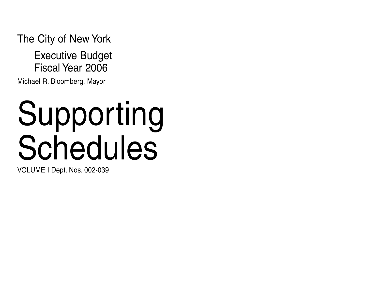The City of New York

Executive Budget Fiscal Year 2006

Michael R. Bloomberg, Mayor

# Supporting Schedules

VOLUME I Dept. Nos. 002-039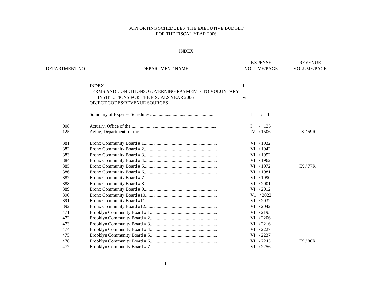|                |                                                       | <b>EXPENSE</b>     | <b>REVENUE</b>     |
|----------------|-------------------------------------------------------|--------------------|--------------------|
| DEPARTMENT NO. | DEPARTMENT NAME                                       | <b>VOLUME/PAGE</b> | <b>VOLUME/PAGE</b> |
|                |                                                       |                    |                    |
|                | <b>INDEX</b>                                          | i                  |                    |
|                | TERMS AND CONDITIONS, GOVERNING PAYMENTS TO VOLUNTARY |                    |                    |
|                | <b>INSTITUTIONS FOR THE FISCALS YEAR 2006</b>         | vii                |                    |
|                | OBJECT CODES/REVENUE SOURCES                          |                    |                    |
|                |                                                       | $\bf{I}$<br>/1     |                    |
| 008            |                                                       | /135               |                    |
| 125            |                                                       | IV / 1506          | IX / 59R           |
| 381            |                                                       | VI / 1932          |                    |
| 382            |                                                       | VI / 1942          |                    |
| 383            |                                                       | VI / 1952          |                    |
| 384            |                                                       | VI / 1962          |                    |
| 385            |                                                       | VI / 1972          | IX / 77R           |
| 386            |                                                       | VI / 1981          |                    |
| 387            |                                                       | VI / 1990          |                    |
| 388            |                                                       | VI / 2001          |                    |
| 389            |                                                       | VI / 2012          |                    |
| 390            |                                                       | V1 / 2022          |                    |
| 391            |                                                       | VI / 2032          |                    |
| 392            |                                                       | VI / 2042          |                    |
| 471            |                                                       | VI / 2195          |                    |
| 472            |                                                       | VI / 2206          |                    |
| 473            |                                                       | VI / 2216          |                    |
| 474            |                                                       | VI / 2227          |                    |
| 475            |                                                       | VI / 2237          |                    |
| 476            |                                                       | VI / 2245          | IX / 80R           |
| 477            |                                                       | VI / 2256          |                    |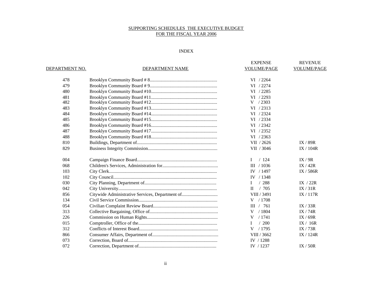|                |                                                 | <b>EXPENSE</b>       | <b>REVENUE</b>     |
|----------------|-------------------------------------------------|----------------------|--------------------|
| DEPARTMENT NO. | DEPARTMENT NAME                                 | <b>VOLUME/PAGE</b>   | <b>VOLUME/PAGE</b> |
| 478            |                                                 | VI / 2264            |                    |
| 479            |                                                 | VI / 2274            |                    |
| 480            |                                                 | VI / 2285            |                    |
| 481            |                                                 | VI / 2293            |                    |
| 482            |                                                 | $V$ / 2303           |                    |
| 483            |                                                 | VI / 2313            |                    |
| 484            |                                                 | VI / 2324            |                    |
| 485            |                                                 | VI / 2334            |                    |
| 486            |                                                 | VI / 2342            |                    |
| 487            |                                                 | VI / 2352            |                    |
| 488            |                                                 | VI / 2363            |                    |
| 810            |                                                 | VII / 2626           | IX / 89R           |
| 829            |                                                 | VII / 3046           | IX/104R            |
| 004            |                                                 | /124<br>L            | IX / 9R            |
| 068            |                                                 | $III$ / 1036         | IX/42R             |
| 103            |                                                 | IV / 1497            | IX / 586R          |
| 102            |                                                 | IV $/1348$           |                    |
| 030            |                                                 | /288<br>Ι.           | IX $/22R$          |
| 042            |                                                 | /705<br>$\mathbf{H}$ | IX / 31R           |
| 856            | Citywide Administrative Services, Department of | VIII / 3491          | IX/117R            |
| 134            |                                                 | V / 1708             |                    |
| 054            |                                                 | III / 761            | IX / 33R           |
| 313            |                                                 | /1804<br>V           | IX / 74R           |
| 226            |                                                 | /1741<br>V           | IX / 69R           |
| 015            |                                                 | /200<br>L            | IX / 16R           |
| 312            |                                                 | V / 1795             | IX/73R             |
| 866            |                                                 | VIII / 3662          | IX / 124R          |
| 073            |                                                 | IV / 1288            |                    |
| 072            |                                                 | IV / 1237            | IX / 50R           |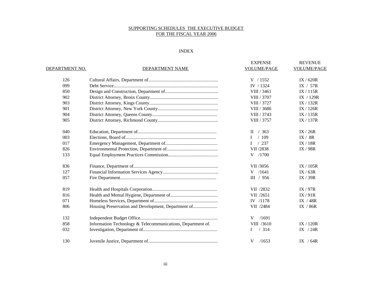| DEPARTMENT NO. | DEPARTMENT NAME                                             | <b>EXPENSE</b><br>VOLUME/PAGE | <b>REVENUE</b><br><b>VOLUME/PAGE</b> |
|----------------|-------------------------------------------------------------|-------------------------------|--------------------------------------|
| 126            |                                                             | V / 1552                      | IX / 620R                            |
| 099            |                                                             | IV / 1324                     | IX / 57R                             |
| 850            |                                                             | VIII / 3461                   | IX/115R                              |
| 902            |                                                             | VIII / 3707                   | IX $/129R$                           |
| 903            |                                                             | VIII / 3727                   | IX / 132R                            |
| 901            |                                                             | VIII / 3686                   | IX/126R                              |
| 904            |                                                             | VIII / 3743                   | IX/135R                              |
| 905            |                                                             | VIII / 3757                   | IX/137R                              |
| 040            |                                                             | $II \quad / \quad 363$        | IX / 26R                             |
| 003            |                                                             | /109<br>Ι                     | IX / 8R                              |
| 017            |                                                             | /237                          | IX/18R                               |
| 826            |                                                             | VII /2838                     | IX / 98R                             |
| 133            |                                                             | /1700<br>V                    |                                      |
| 836            |                                                             | VII /3056                     | IX/105R                              |
| 127            |                                                             | $V$ /1641                     | IX / 63R                             |
| 057            |                                                             | III / 956                     | IX / 39R                             |
| 819            |                                                             | VII /2832                     | IX / 97R                             |
| 816            |                                                             | VII /2651                     | IX/91R                               |
| 071            |                                                             | IV /1178                      | IX / 48R                             |
| 806            | Housing Preservation and Development, Department of         | VII /2484                     | IX / 86R                             |
| 132            |                                                             | V<br>/1691                    |                                      |
| 858            | Information Technology & Telecommunications, Department of. | VIII /3610                    | IX / 120R                            |
| 032            |                                                             | /314<br>Ι                     | IX $/24R$                            |
| 130            |                                                             | /1653<br>V                    | IX $/64R$                            |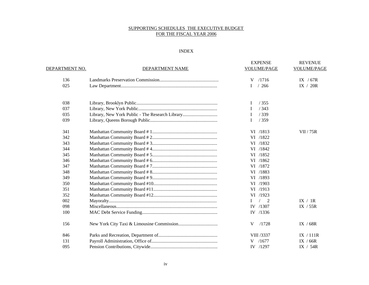|                |                                                 | <b>EXPENSE</b> | <b>REVENUE</b>     |
|----------------|-------------------------------------------------|----------------|--------------------|
| DEPARTMENT NO. | DEPARTMENT NAME                                 | VOLUME/PAGE    | <b>VOLUME/PAGE</b> |
| 136            |                                                 | /1716<br>V     | IX $/67R$          |
| 025            |                                                 | /266<br>L      | IX / 20R           |
| 038            |                                                 | /355<br>I      |                    |
| 037            |                                                 | /343<br>I      |                    |
| 035            | Library, New York Public - The Research Library | /339<br>I      |                    |
| 039            |                                                 | I<br>/359      |                    |
| 341            |                                                 | VI /1813       | <b>VII</b> / 75R   |
| 342            |                                                 | VI /1822       |                    |
| 343            |                                                 | VI /1832       |                    |
| 344            |                                                 | VI /1842       |                    |
| 345            |                                                 | VI /1852       |                    |
| 346            |                                                 | VI /1862       |                    |
| 347            |                                                 | VI /1872       |                    |
| 348            |                                                 | VI /1883       |                    |
| 349            |                                                 | VI /1893       |                    |
| 350            |                                                 | VI /1903       |                    |
| 351            |                                                 | VI /1913       |                    |
| 352            |                                                 | VI /1923       |                    |
| 002            |                                                 | L<br>2         | IX / IR            |
| 098            |                                                 | IV /1307       | IX / 55R           |
| 100            |                                                 | IV /1336       |                    |
| 156            |                                                 | V<br>/1728     | IX / $68R$         |
| 846            |                                                 | VIII /3337     | IX / 111R          |
| 131            |                                                 | $V$ /1677      | IX / $66R$         |
| 095            |                                                 | IV /1297       | IX $/$ 54R         |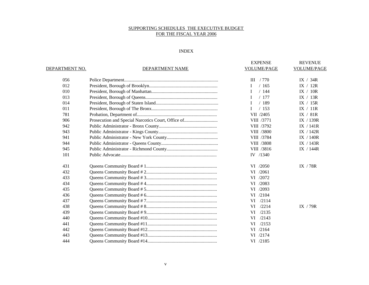|                |                 | <b>EXPENSE</b>       | <b>REVENUE</b>     |
|----------------|-----------------|----------------------|--------------------|
| DEPARTMENT NO. | DEPARTMENT NAME | <b>VOLUME/PAGE</b>   | <b>VOLUME/PAGE</b> |
| 056            |                 | III / 770            | IX / 34R           |
| 012            |                 | /165                 | IX / 12R           |
| 010            |                 | /144<br>$\mathbf{I}$ | IX / 10R           |
| 013            |                 | /177<br>L            | IX $/$ 13R         |
| 014            |                 | /189<br>$\mathbf{I}$ | IX $/15R$          |
| 011            |                 | /153<br>L            | IX / 11R           |
| 781            |                 | VII /2405            | IX / 81R           |
| 906            |                 | VIII /3771           | IX $/139R$         |
| 942            |                 | VIII /3792           | IX $/141R$         |
| 943            |                 | VIII /3800           | IX / 142R          |
| 941            |                 | VIII /3784           | IX $/140R$         |
| 944            |                 | VIII /3808           | IX $/143R$         |
| 945            |                 | VIII /3816           | IX $/144R$         |
| 101            |                 | IV $/1340$           |                    |
| 431            |                 | VI /2050             | IX / 78R           |
| 432            |                 | VI /2061             |                    |
| 433            |                 | VI /2072             |                    |
| 434            |                 | VI /2083             |                    |
| 435            |                 | VI /2093             |                    |
| 436            |                 | VI /2104             |                    |
| 437            |                 | VI /2114             |                    |
| 438            |                 | VI /2214             | IX $/79R$          |
| 439            |                 | VI<br>/2135          |                    |
| 440            |                 | /2143<br>VI          |                    |
| 441            |                 | VI /2153             |                    |
| 442            |                 | VI /2164             |                    |
| 443            |                 | VI /2174             |                    |
| 444            |                 | VI /2185             |                    |
|                |                 |                      |                    |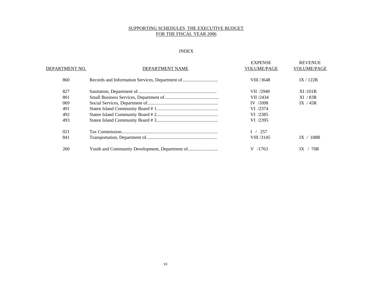| DEPARTMENT NO. | <b>DEPARTMENT NAME</b>                         | <b>EXPENSE</b><br><b>VOLUME/PAGE</b> | <b>REVENUE</b><br><b>VOLUME/PAGE</b> |
|----------------|------------------------------------------------|--------------------------------------|--------------------------------------|
| 860            |                                                | VIII /3648                           | IX/122R                              |
| 827            |                                                | VII /2940                            | XI/101R                              |
| 801            |                                                | VII /2434                            | XI / 83R                             |
| 069            |                                                | IV /1098                             | IX $/45R$                            |
| 491            |                                                | VI /2374                             |                                      |
| 492            |                                                | VI /2385                             |                                      |
| 493            |                                                | VI /2395                             |                                      |
| 021            |                                                | 257                                  |                                      |
| 841            |                                                | VIII /3145                           | 108R<br>IX.                          |
| 260            | Youth and Community Development, Department of | V /1763                              | 70R                                  |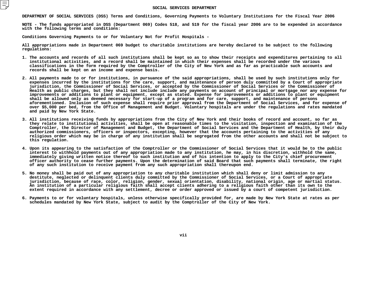#### SOCIAL SERVICES DEPARTMENT

SOCIAL SERVICES DEPARTMENT<br>DEPAR<mark>TMENT OF SOCIAL SERVICES (DSS) Terms and Conditions, Governing Payments to</mark>

DEPARTMENT OF SOCIAL SERVICES (DSS) Terms and Conditions, Governing Payments to Voluntary Institutions for the Fiscal Year 2006<br>NOTE – The funds appropriated in DSS (Department 069) Codes 518, and 519 for the fiscal year 2 with the following terms and conditions:

**the following terms and conditions: Conditions**

Conditions Governing Payments to or for Voluntary Not for Profit Hospitals -<br>All appropriations made in Department 069 budget to charitable institutions **appropriations made in Department <sup>069</sup> budget to charitable institutions are hereby declared to be subject to the following regulations:**

- **institutional**1. The accounts and records of all such institutions shall be kept so as to show their receipts and expenditures pertaining to all . The accounts and records of all such institutions shall be kept so as to show their receipts and expenditures pertaining to all<br>institutional activities, and a record shall be maintained in which their expenses shall be **activities, and <sup>a</sup> record shall be maintained in which their expenses shall be recorded under the various** classifications in the form required by the Comptroller of the City of New York and as far as practicable such accounts and<br>records shall be kept on an income and expense basis.<br>... records shall be kept on an income and expense basis.
- **shall be kept on an income and expense basis. 2.**. All payments made to or for institutions, in pursuance of the said appropriations, shall be used by such institutions only for<br>expenses incurred by the institutions for the care, support, and maintenance of person duly c **expenses**expenses incurred by the institutions for the care, support, and maintenance of person duly committed by a Court of appropriate<br>jurisdiction, the Commissioner of Social Services, or accepted by the Commissioner of Social S **jurisdiction,**, the Commissioner of Social Services, or accepted by the Commissioner of Social Services or the Commissioner of<br>blic charges, but they shall not include include any payments on account of principal or mortgage nor any exp h as public charges, but they shall not include include any payments on account of principal or mortgage nor any expense for<br>vements or additions to plant or equipment, except as stated. Expense for improvements or additio **improvements**s or additions to plant or equipment, except as stated. Expense for improvements or additions to plant or equipment<br>lowed only as deemed necessary for start-up of a program and for care, support, and maintenance of persons **shall**l be allowed only as deemed necessary for start-up of a program and for care, support, and maintenance of persons<br>ementioned. Inclusion of such expense shall require prior approval from the Department of Social Services, a **aforementioned.**. Inclusion of such expense shall require prior approval from the Department of Social Services, and for expense of<br>r bed, from the Office of Management and Budget. Voluntary hospitals are under the regulations and rates m **over \$5,000 per bed, from the Office of Management and Budget. Voluntary hospitals are under the regulations and rates mandated** and paid by New York State.
- **paid by New York State. 3.**. All institutions receiving funds by appropriations from the City of New York and their books of record and account, so far as<br>they relate to institutional activities, shall be open at reasonable times to the visitation, **they**y relate to institutional activities, shall be open at reasonable times to the visitation, inspection and examination of the<br>ptroller, the Director of Management and Budget, the Department of Social Services and the Depart **Comptroller,**, the Director of Management and Budget, the Department of Social Services and the Department of Health, by their duly<br>commissioners, officers or inspectors, excepting, however that the accounts pertaining to the activitie authorized commissioners, officers or inspectors, excepting, however that the accounts pertaining to the activities of any **commissioners, officers or inspectors, excepting, however that the accounts pertaining to the activities of any religious order which may be in charge of any institution shall be segregated from the other accounts and shall not be subject to this**
- this regulation.<br>4. Upon its appeari . Upon its appearing to the satisfaction of the Comptroller or the Commissioner of Social Services that it would be to the public<br>interest to withhold payments out of any appropriation made to any institution, he may, in h interest to withhold payments out of any appropriation made to any institution, he may, in his discretion, withhold the same, t to withhold payments out of any appropriation made to any institution, he may, in his discretion, withhold the same,<br>tely giving written notice thereof to such institution and of his intention to apply to the City's chie **immediately**y giving written notice thereof to such institution and of his intention to apply to the City's chief procurement<br>thority to cease further payments. Upon the determination of said Board that such payments shall terminate, officer authority to cease further payments. Upon the determination of said Board that such payments shall terminate, the right<br>of any such institution to receive payment from any such appropriation shall thereupon end.<br>.. of any such institution to receive payment from any such appropriation shall thereupon end.
- **any such institution to receive payment from any such appropriation shall thereupon end. 5.**No money shall be paid out of any appropriation to any charitable institution which shall deny or limit admission to any destitute, neglected or delinquent clients duly committed by the Commissioner of Social Services, or **destitute,**, neglected or delinquent clients duly committed by the Commissioner of Social Services, or a Court of appropriate<br>ion, because of race, color, religion, gender, sexual orientation, disability, national origin, age or mart **jurisdiction, because of race, color, religion, gender, sexual orientation, disability, national origin, age or martial status. An**n institution of a particular religious faith shall accept clients adhering to a religious faith other than its own to the<br>xtent required in accordance with any settlement, decree or order approved or issued by a court of **extent**
- extent required in accordance with any settlement, decree or order approved or issued by a court of competent jurisdiction.<br>6. Payments to or for voluntary hospitals, unless otherwise specifically provided for, are made by **schedules mandated by New York State, subject to audit by the Comptroller of the City of New York.**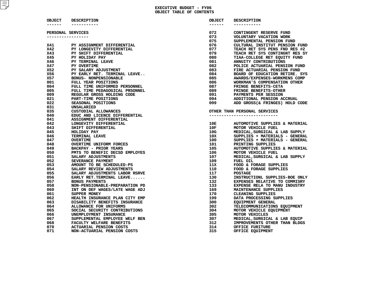| OBJECT     | <b>DESCRIPTION</b>             | OBJECT            | <b>DESCRIPTION</b>             |
|------------|--------------------------------|-------------------|--------------------------------|
| ------     | -----------                    | -------           | -----------                    |
|            | PERSONAL SERVICES              | 072               | CONTINGENT RESERVE FUND        |
|            | -----------------              | 073               | VOLUNTARY VACATION WORK        |
|            |                                | 075               | SUPPLEMENTAL PENSION FUND      |
| <b>X41</b> | PY ASSIGNMENT DIFFERENTIAL     | 076               | CULTURAL INSTITUT PENSION FUND |
| <b>X42</b> | PY LONGEVITY DIFFERENTIAL      | 077               | TEACH RET SYS PENS FND RES #2  |
| <b>X43</b> | PY SHIFT DIFFERENTIAL          | 079               | TEACH RET SYS CONTINGNT RES SY |
| <b>X45</b> | PY HOLIDAY PAY                 | 080               | TIAA-COLLEGE RET EQUITY FUND   |
| <b>X46</b> | PY TERMINAL LEAVE              | 081               | ANNUITY CONTRIBUTIONS          |
| <b>X47</b> | PY OVERTIME                    | 082               | POLICE ACTUARIAL PENSION FUND  |
| X52        | PY SALARY ADJUSTMENT           | 083               | FIRE ACTUARIAL PENSION FUND    |
| X56        | PY EARLY RET. TERMINAL LEAVE   | 084               | BOARD OF EDUCATION RETIRE. SYS |
| X57        | <b>BONUS- NONPENSIONABLE</b>   | 085               | AWARDS/EXPENSES-WORKMENS COMP  |
| 001        | FULL YEAR POSITIONS            | 086               | WORKMAN'S COMPENSATION OTHER   |
| 004        | FULL TIME UNIFORMED PERSONNEL  | 087               | FRINGE BENEFITS-CETA           |
| 005        | FULL TIME PEDAGOGICAL PRSONNEL | 089               | FRINGE BENEFITS-OTHER          |
| 009        | REGULAR GROSS HOLDING CODE     | 091 -             | PAYMENTS PER SESSION           |
| 021        | PART-TIME POSITIONS            | 094               | ADDITIONAL PENSION ACCRUAL     |
| 022        | SEASONAL POSITIONS             | 099               | ADD GROSS(& FRINGES) HOLD CODE |
| 031        | UNSALARIED                     |                   |                                |
| 035        | CUSTODIAL ALLOWANCES           |                   | OTHER THAN PERSONAL SERVICES   |
| 040        | EDUC AND LICENCE DIFFERENTIAL  |                   | -----------------------------  |
| 041        | ASSIGNMENT DIFFERENTIAL        |                   |                                |
| 042        | LONGEVITY DIFFERENTIAL         | 10E               | AUTOMOTIVE SUPPLIES & MATERIAL |
| 043        | SHIFT DIFFERENTIAL             | 10F               | MOTOR VEHICLE FUEL             |
| 045        | HOLIDAY PAY                    |                   | MEDICAL, SURGICAL & LAB SUPPLY |
| 046        | TERMINAL LEAVE                 | $\frac{10G}{10X}$ | SUPPLIES + MATERIALS - GENERAL |
| 047        | <b>OVERTIME</b>                | 100               | SUPPLIES + MATERIALS - GENERAL |
| 048        | <b>OVERTIME UNIFORM FORCES</b> | 101               | PRINTING SUPPLIES              |
| 049        | <b>BACKPAY - PRIOR YEARS</b>   | 105               | AUTOMOTIVE SUPPLIES & MATERIAL |
| 050        | PMTS TO BENEFIC DECSD EMPLOYES | 106               | MOTOR VEHICLE FUEL             |
| 051        | SALARY ADJUSTMENTS             | 107               | MEDICAL, SURGICAL & LAB SUPPLY |
| 052        | SEVERANCE PAYMENT              | 109               | FUEL OIL                       |
| 053        | AMOUNT TO BE SCHEDULED-PS      | 11x               | FOOD & FORAGE SUPPLIES         |
| 054        | SALARY REVIEW ADJUSTMENTS      | 110               | FOOD & FORAGE SUPPLIES         |
| 055        | SALARY ADJUSTMENTS LABOR RSRVE | 117               | <b>POSTAGE</b>                 |
| 056        | EARLY RET. TERMINAL LEAVE      | 130               | INSTRUCTIONL SUPPLIES-BOE ONLY |
| 057        | <b>BONUS PAYMENTS</b>          | 132               | EXPENSES RELATIVE TO COMMISRY  |
| 058        | NON-PENSIONABLE-PREPARATION PD | 133               | EXPENSE RELA TO MANU INDUSTRY  |
| 060        | INT ON DEF WAGES/LATE WAGE ADJ | 169               | MAINTENANCE SUPPLIES           |
| 061        | SUPPER MONEY                   | 170               | <b>CLEANING SUPPLIES</b>       |
| 062        | HEALTH INSURANCE PLAN CITY EMP | 199               | DATA PROCESSING SUPPLIES       |
| 063        | DISABILITY BENEFITS INSURANCE  | 300               | <b>EQUIPMENT GENERAL</b>       |
| 064        | ALLOWANCE FOR UNIFORMS         | 302               | TELECOMMUNICATIONS EQUIPMENT   |
| 065        | SOCIAL SECURITY CONTRIBUTIONS  | 304               | MOTOR VEHICLE EQUIPMENT        |
| 066        | UNEMPLOYMENT INSURANCE         | 305               | MOTOR VEHICLES                 |
| 067        | SUPPLEMENTAL EMPLOYEE WELF BEN | 307               | MEDICAL, SURGICAL & LAB EQUIP  |
| 068        | FACULTY WELFARE BENEFITS       | 312               | IMPROVEMENTS OTHER THAN BLDGS  |
| 070        | ACTUARIAL PENSION COSTS        | 314               | OFFICE FURITURE                |
| 071        | NON-ACTUARIAL PENSION COSTS    | 315               | OFFICE EQUIPMENT               |
|            |                                |                   |                                |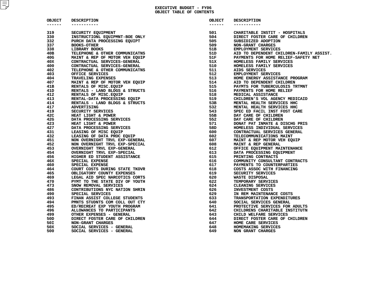### **EXECUTIVE BUDGET - FY06 OBJECT TABLE OF CONTENTS**

| ------<br>319<br>330<br>332<br>337<br>338<br>40B<br>40G | -----------<br>SECURITY EQUIPMENT<br>INSTRUCTIONL EQUIPMNT-BOE ONLY<br>PURCH DATA PROCESSING EQUIPT | ------<br>501<br>504 | ----------<br>CHARITABLE INSTIT - HOSPITALS |
|---------------------------------------------------------|-----------------------------------------------------------------------------------------------------|----------------------|---------------------------------------------|
|                                                         |                                                                                                     |                      |                                             |
|                                                         |                                                                                                     |                      |                                             |
|                                                         |                                                                                                     |                      | DIRECT FOSTER CARE OF CHILDREN              |
|                                                         |                                                                                                     | 505                  | SUBSIDIZED ADOPTION                         |
|                                                         | <b>BOOKS-OTHER</b>                                                                                  | 509                  | NON-GRANT CHARGES                           |
|                                                         | LIBRARY BOOKS                                                                                       | 51 <sub>B</sub>      | EMPLOYMENT SERVICES                         |
|                                                         | TELEPHONE & OTHER COMMUNICATNS                                                                      | 51D                  | AID TO DEPENDENT CHILDREN-FAMILY AS         |
|                                                         | MAINT & REP OF MOTOR VEH EQUIP                                                                      | 51F                  | PAYMENTS FOR HOME RELIEF-SAFETY NET         |
| 40X                                                     | CONTRACTUAL SERVICES-GENERAL                                                                        | 51X                  | HOMELESS FAMILY SERVICES                    |
| 400                                                     | CONTRACTUAL SERVICES-GENERAL                                                                        | 510                  | HOMELESS FAMILY SERVICES                    |
| 402                                                     | TELEPHONE & OTHER COMMUNICATNS                                                                      | 511                  | AIDS SERVICES                               |
| 403                                                     | OFFICE SERVICES                                                                                     | 512                  | EMPLOYMENT SERVICES                         |
| 404                                                     | TRAVELING EXPENSES                                                                                  | 513                  | HOME ENERGY ASSISTANCE PROGRAM              |
| 407                                                     | MAINT & REP OF MOTOR VEH EQUIP                                                                      | 514                  | AID TO DEPENDENT CHILDREN                   |
| 41B                                                     | RENTALS OF MISC. EQUIP                                                                              | 515                  | PAYMTS FOR TUBERCULOSIS TRTMNT              |
| 41D                                                     | RENTALS - LAND BLDGS & STRUCTS                                                                      | 516                  | PAYMENTS FOR HOME RELIEF                    |
| 412                                                     | RENTALS OF MISC. EQUIP                                                                              | 518                  | MEDICAL ASSISTANCE                          |
| 413                                                     | RENTAL-DATA PROCESSING EQUIP                                                                        | 519                  | CHILDREN'S VOL AGENCY MEDICAID              |
| 414                                                     | RENTALS - LAND BLDGS & STRUCTS                                                                      | 53B                  | MENTAL HEALTH SERVICES HHC                  |
| 417                                                     | <b>ADVERTISING</b>                                                                                  | 532                  | MENTAL HEALTH SERVICES HHC                  |
| 419                                                     | SECURITY SERVICES                                                                                   | 543                  | SPEC ED FACIL INST FOST CARE                |
| 42C                                                     | HEAT LIGHT & POWER                                                                                  | 55B                  | DAY CARE OF CHILDREN                        |
| 42G                                                     | DATA PROCESSING SERVICES                                                                            | 552                  | DAY CARE OF CHILDREN                        |
| 423                                                     | HEAT LIGHT & POWER                                                                                  | 571                  | DONAT PAT INMATE & DISCHG PRIS              |
| 427                                                     |                                                                                                     | 58D                  |                                             |
|                                                         | DATA PROCESSING SERVICES                                                                            |                      | HOMELESS INDIVIDUAL SERVICES                |
| 431                                                     | LEASING OF MISC EQUIP                                                                               | 600                  | CONTRACTUAL SERVICES GENERAL                |
| 432                                                     | LEASING OF DATA PROC EQUIP                                                                          | 602                  | TELECOMMUNICATIONS MAINT                    |
| 451                                                     | NON OVERNIGHT TRVL EXP-GENERAL                                                                      | 607                  | MAINT & REP MOTOR VEH EQUIP                 |
| 452                                                     | NON OVERNIGHT TRVL EXP-SPECIAL                                                                      | 608                  | MAINT & REP GENERAL                         |
| 453                                                     | OVERNIGHT TRVL EXP-GENERAL                                                                          | 612                  | OFFICE EQUIPMENT MAINTENANCE                |
| 454                                                     | OVERNIGHT TRVL EXP-SPECIAL                                                                          | 613                  | DATA PROCESSING EQUIPMENT                   |
| 456                                                     | HIGHER ED STUDENT ASSISTANCE                                                                        | 615                  | PRINTING CONTRACTS                          |
| 46X                                                     | SPECIAL EXPENSE                                                                                     | 616                  | COMMUNITY CONSULTANT CONTRACTS              |
| 460                                                     | SPECIAL EXPENSE                                                                                     | 617                  | PAYMENTS TO COUNTERPARTIES                  |
| 464                                                     | COURT COSTS DURING STATE TKOVR                                                                      | 618                  | COSTS ASSOC WITH FINANCING                  |
| 465                                                     | OBLIGATORY COUNTY EXPENSES                                                                          | 619                  | SECURITY SERVICES                           |
| 469                                                     | LEGAL AID SPEC NARCOTICS CORTS                                                                      | 620                  | <b>WASTE DISPOSAL</b>                       |
| 470                                                     | PYMT TO THE STATE DIV OF YOUTH                                                                      | 622                  | TEMPORARY SERVICES                          |
| 473                                                     | SNOW REMOVAL SERVICES                                                                               | 624                  | CLEANING SERVICES                           |
| 486                                                     | CONTRIBUTIONS NYC NATION SHRIN                                                                      | 626                  | INVESTMENT COSTS                            |
| 490                                                     | SPECIAL SERVICES                                                                                    | 629                  | IN REM MAINTENANCE COSTS                    |
| 493                                                     | FINAN ASSIST COLLEGE STUDENTS                                                                       | 633                  | TRANSPORTATION EXPENDITURES                 |
| 494                                                     | PMNTS STUDNTS COM COLL OUT CTY                                                                      | 640                  | SOCIAL SERVICES GENERAL                     |
| 495                                                     | ED/RECREAT EXP YOUTH PROGRAM                                                                        | 641                  | PROTECTIVE SERVICES FOR ADULTS              |
| 496                                                     | ALLOWANCES TO PARTICIPANTS                                                                          | 642                  | CHILDRENS CHARITABLE INSTITUTN              |
| 499                                                     | OTHER EXPENSES - GENERAL                                                                            | 643                  | CHILD WELFARE SERVICES                      |
| 50D                                                     | DIRECT FOSTER CARE OF CHILDREN                                                                      | 644                  | DIRECT FOSTER CARE OF CHILDREN              |
| 50I                                                     | NON-GRANT CHARGES                                                                                   | 647                  | HOME CARE SERVICES                          |
| 50X                                                     | SOCIAL SERVICES - GENERAL                                                                           | 648                  | HOMEMAKING SERVICES                         |
| 500                                                     | SOCIAL SERVICES - GENERAL                                                                           | 649                  | NON GRANT CHARGES                           |

| JECT | <b>DESCRIPTION</b>             | <b>OBJECT</b> | DESCRIPTION                              |
|------|--------------------------------|---------------|------------------------------------------|
| ---- | -----------                    | ------        | ---------                                |
| 9    | SECURITY EQUIPMENT             | 501           | CHARITABLE INSTIT - HOSPITALS            |
| 0    | INSTRUCTIONL EQUIPMNT-BOE ONLY | 504           | DIRECT FOSTER CARE OF CHILDREN           |
| 2    | PURCH DATA PROCESSING EQUIPT   | 505           | SUBSIDIZED ADOPTION                      |
| 7    | <b>BOOKS-OTHER</b>             | 509           | NON-GRANT CHARGES                        |
| 8    | <b>LIBRARY BOOKS</b>           | 51B           | EMPLOYMENT SERVICES                      |
| в    | TELEPHONE & OTHER COMMUNICATNS | 51D           | AID TO DEPENDENT CHILDREN-FAMILY ASSIST. |
| G    | MAINT & REP OF MOTOR VEH EQUIP | 51F           | PAYMENTS FOR HOME RELIEF-SAFETY NET      |
| x    | CONTRACTUAL SERVICES-GENERAL   | 51X           | HOMELESS FAMILY SERVICES                 |
| 0    | CONTRACTUAL SERVICES-GENERAL   | 510           | HOMELESS FAMILY SERVICES                 |
| 2    | TELEPHONE & OTHER COMMUNICATNS | 511           | AIDS SERVICES                            |
| 3    | OFFICE SERVICES                | 512           | EMPLOYMENT SERVICES                      |
| 4    | TRAVELING EXPENSES             | 513           | HOME ENERGY ASSISTANCE PROGRAM           |
| 7    | MAINT & REP OF MOTOR VEH EQUIP | 514           | AID TO DEPENDENT CHILDREN                |
| в    | RENTALS OF MISC. EQUIP         | 515           | PAYMTS FOR TUBERCULOSIS TRTMNT           |
| D    | RENTALS - LAND BLDGS & STRUCTS | 516           | PAYMENTS FOR HOME RELIEF                 |
| 2    | RENTALS OF MISC. EQUIP         | 518           | MEDICAL ASSISTANCE                       |
| 3    | RENTAL-DATA PROCESSING EQUIP   | 519           | CHILDREN'S VOL AGENCY MEDICAID           |
| 4    | RENTALS - LAND BLDGS & STRUCTS | 53B           | MENTAL HEALTH SERVICES HHC               |
| 7    | <b>ADVERTISING</b>             | 532           | MENTAL HEALTH SERVICES HHC               |
| 9    | SECURITY SERVICES              | 543           | SPEC ED FACIL INST FOST CARE             |
| c    | HEAT LIGHT & POWER             | 55B           | DAY CARE OF CHILDREN                     |
| G    | DATA PROCESSING SERVICES       | 552           | DAY CARE OF CHILDREN                     |
| 3    | HEAT LIGHT & POWER             | 571           | DONAT PAT INMATE & DISCHG PRIS           |
| 7    | DATA PROCESSING SERVICES       | 58D           | HOMELESS INDIVIDUAL SERVICES             |
| 1    | LEASING OF MISC EQUIP          | 600           | CONTRACTUAL SERVICES GENERAL             |
| 2    | LEASING OF DATA PROC EQUIP     | 602           | TELECOMMUNICATIONS MAINT                 |
| 1    | NON OVERNIGHT TRVL EXP-GENERAL | 607           | MAINT & REP MOTOR VEH EQUIP              |
| 2    | NON OVERNIGHT TRVL EXP-SPECIAL | 608           | MAINT & REP GENERAL                      |
| 3    | OVERNIGHT TRVL EXP-GENERAL     | 612           | OFFICE EQUIPMENT MAINTENANCE             |
| 4    | OVERNIGHT TRVL EXP-SPECIAL     | 613           | DATA PROCESSING EQUIPMENT                |
| 6    | HIGHER ED STUDENT ASSISTANCE   | 615           | PRINTING CONTRACTS                       |
| x    | SPECIAL EXPENSE                | 616           | COMMUNITY CONSULTANT CONTRACTS           |
| 0    | SPECIAL EXPENSE                | 617           | PAYMENTS TO COUNTERPARTIES               |
| 4    |                                | 618           |                                          |
| 5    | COURT COSTS DURING STATE TKOVR | 619           | COSTS ASSOC WITH FINANCING               |
|      | OBLIGATORY COUNTY EXPENSES     | 620           | SECURITY SERVICES                        |
| 9    | LEGAL AID SPEC NARCOTICS CORTS |               | WASTE DISPOSAL                           |
| 0    | PYMT TO THE STATE DIV OF YOUTH | 622<br>624    | TEMPORARY SERVICES                       |
| з    | SNOW REMOVAL SERVICES          |               | CLEANING SERVICES                        |
| 6    | CONTRIBUTIONS NYC NATION SHRIN | 626           | INVESTMENT COSTS                         |
| 0    | SPECIAL SERVICES               | 629<br>633    | IN REM MAINTENANCE COSTS                 |
| 3    | FINAN ASSIST COLLEGE STUDENTS  |               | TRANSPORTATION EXPENDITURES              |
| 4    | PMNTS STUDNTS COM COLL OUT CTY | 640           | SOCIAL SERVICES GENERAL                  |
| 5    | ED/RECREAT EXP YOUTH PROGRAM   | 641           | PROTECTIVE SERVICES FOR ADULTS           |
| 6    | ALLOWANCES TO PARTICIPANTS     | 642           | CHILDRENS CHARITABLE INSTITUTN           |
| 9    | OTHER EXPENSES - GENERAL       | 643           | CHILD WELFARE SERVICES                   |
| D    | DIRECT FOSTER CARE OF CHILDREN | 644           | DIRECT FOSTER CARE OF CHILDREN           |
| I    | NON-GRANT CHARGES              | 647           | HOME CARE SERVICES                       |
| x.   | SOCIAL SERVICES - GENERAL      | 648<br>649    | HOMEMAKING SERVICES                      |
| n    | COCTAI CEPUICES - CENEDAI.     |               | NON CRANT CHARCES                        |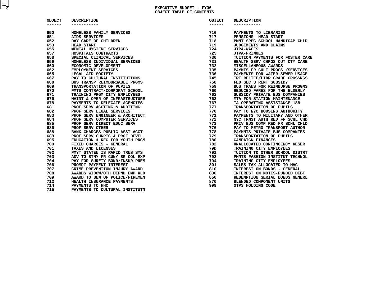## **EXECUTIVEBUDGET - FY06**

| <b>OBJECT</b><br>------ | <b>DESCRIPTION</b>                                                                                                                                                                                                                                                                          | OBJECT  |                                   |
|-------------------------|---------------------------------------------------------------------------------------------------------------------------------------------------------------------------------------------------------------------------------------------------------------------------------------------|---------|-----------------------------------|
|                         | -----------                                                                                                                                                                                                                                                                                 | ------- | <b>DESCRIPTION</b><br>----------- |
|                         |                                                                                                                                                                                                                                                                                             |         |                                   |
| 650                     | HOMELESS FAMILY SERVICES<br>HOMELESS FAMILY SERVICES<br>AIDS SERVICES<br>AIDS SERVICES<br>DAY CARE OF CHILDREN<br>HEAD START<br>HEAD START<br>SERVICALS CONTRACTS<br>SPECIAL CLINICAL SERVICES<br>HOMELESS INDIVIDUAL SERVICES<br>HOMELESS INDIVIDUAL SERVICES<br>ECONOMIC DEVELOPMENT<br>L | 716     | PAYMENTS TO LIBRARIES             |
| 651                     |                                                                                                                                                                                                                                                                                             | 717     | PENSIONS- HEAD START              |
| 652                     |                                                                                                                                                                                                                                                                                             | 718     | PMNT SPEC SCHOOL HANDICAP CHLD    |
| 653                     |                                                                                                                                                                                                                                                                                             | 719     | JUDGEMENTS AND CLAIMS             |
| 655                     |                                                                                                                                                                                                                                                                                             | 724     | <b>JTPA-WAGES</b>                 |
| 657                     |                                                                                                                                                                                                                                                                                             | 725     | <b>JTPA-FRINGES</b>               |
| 658                     |                                                                                                                                                                                                                                                                                             | 730     | TUITION PAYMENTS FOR FOSTER CARE  |
| 659                     |                                                                                                                                                                                                                                                                                             | 731     | HEALTH SERV CHRGS OUT CTY CARE    |
| 660                     |                                                                                                                                                                                                                                                                                             | 732     | MISCELLANEOUS AWARDS              |
| 662                     |                                                                                                                                                                                                                                                                                             | 735     | PAYMTS FR CULT PROGS / SERVICES   |
| 665                     |                                                                                                                                                                                                                                                                                             | 736     | PAYMENTS FOR WATER SEWER USAGE    |
| 667                     |                                                                                                                                                                                                                                                                                             | 745     | IRT RELIEF/LIRR GRADE CROSSNGS    |
| 668                     |                                                                                                                                                                                                                                                                                             | 758     | FED SEC 8 RENT SUBSIDY            |
| 669                     |                                                                                                                                                                                                                                                                                             | 759     | BUS TRANS FOR REIMBURSE PROGMS    |
| 670                     |                                                                                                                                                                                                                                                                                             | 760     | REDUCED FARES FOR THE ELDERLY     |
| 671                     |                                                                                                                                                                                                                                                                                             | 762     | SUBSIDY PRIVATE BUS COMPANIES     |
| 676                     |                                                                                                                                                                                                                                                                                             | 763     | MTA FOR STATION MAINTENANCE       |
| 678                     |                                                                                                                                                                                                                                                                                             | 767     | TA OPERATING ASSISTANCE 18B       |
| 681                     |                                                                                                                                                                                                                                                                                             | 77I     | TRANSPORTATION OF PUPILS          |
| 682                     |                                                                                                                                                                                                                                                                                             | 770     | PAY TO NYC HOUSING AUTHORITY      |
| 683                     |                                                                                                                                                                                                                                                                                             | 771     | PAYMENTS TO MILITARY AND OTHER    |
| 684                     |                                                                                                                                                                                                                                                                                             | 772     | NYC TRNST AUTH RED FR SCHL CHD    |
| 685                     |                                                                                                                                                                                                                                                                                             | 773     | PRIV BUS COMP RED FR SCHL CHLD    |
| 686                     |                                                                                                                                                                                                                                                                                             | 776     | PAY TO METRO TRANSPORT AUTHOR     |
| 688                     | BANK CHARGES PUBLIC ASST ACCT                                                                                                                                                                                                                                                               | 778     | PAYMNTS PRIVATE BUS COMPANIES     |
| 689                     | PROF SERV CURRIC & PROF DEVEL                                                                                                                                                                                                                                                               | 779     | TRANSPORTATION OF PUPILS          |
| 695                     | EDUCATION & REC FOR YOUTH PRGM                                                                                                                                                                                                                                                              | 780     | <b>CAMPAIGN FINANCES</b>          |
| 700                     | FIXED CHARGES - GENERAL                                                                                                                                                                                                                                                                     | 782     | UNALLOCATED CONTINGENCY RESER     |
| 701                     | TAXES AND LICENSES                                                                                                                                                                                                                                                                          | 79D     | TRAINING CITY EMPLOYEES           |
| 702                     | PMYT STATEN IS RAPID TRNS SYS                                                                                                                                                                                                                                                               | 791     | TUITION TO OTHER SCHOOL DISTRT    |
| 703                     | ADV TO STNY FR CUNY SR COL EXP                                                                                                                                                                                                                                                              | 793     | PMNTS FASHION INSTITUT TECHNOL    |
| 704                     | PAY FOR SURETY BOND/INSUR PREM                                                                                                                                                                                                                                                              | 794     | TRAINING CITY EMPLOYEES           |
| 706                     | PROMPT PAYMENT INTEREST                                                                                                                                                                                                                                                                     | 801     | SALES TAX ALLOCATED TO MAC        |
| 707                     | CRIME PREVENTION INJURY AWARD                                                                                                                                                                                                                                                               | 810     | INTEREST ON BONDS - GENERAL       |
| 708                     | AWARDS WIDOW/OTH DEPND EMP KLD                                                                                                                                                                                                                                                              | 830     | INTEREST ON NOTES-FUNDED DEBT     |
| 709                     | AWARD TO BEN OF POLICE/FIREMEN                                                                                                                                                                                                                                                              | 850     | REDEMPTION SERIAL BONDS GENERL    |
| 712                     | HEALTH INSURANCE PAYMENTS                                                                                                                                                                                                                                                                   | 870     | BLENDED COMPONENT UNITS           |
| 714                     | PAYMENTS TO HHC                                                                                                                                                                                                                                                                             | 999     | OTPS HOLDING CODE                 |
| 715                     | PAYMENTS TO CULTURAL INSTITUTN                                                                                                                                                                                                                                                              |         |                                   |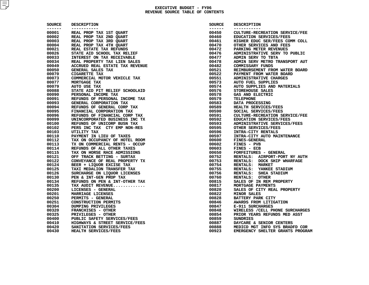### **EXECUTIVE BUDGET - FY06 REVENUE SOURCE TABLE OF CONTENTS**

| SOURCE  | <b>DESCRIPTION</b>              | SOURCE  | <b>DESCRIPTION</b>               |
|---------|---------------------------------|---------|----------------------------------|
| ------- | -----------                     | ------- | -----------                      |
| 00001   | REAL PROP TAX 1ST QUART         | 00450   | CULTURE-RECREATION SERVICE/FEE   |
| 00002   | REAL PROP TAX 2ND QUART         | 00460   | EDUCATION SERVICES/FEES          |
| 00003   | REAL PROP TAX 3RD QUART         | 00461   | HIGHER EDUC SER/FEES COMM COLL   |
| 00004   | REAL PROP TAX 4TH QUART         | 00470   | OTHER SERVICES AND FEES          |
| 00021   | REAL ESTATE TAX REFUNDS         | 00472   | PARKING METER REVENUES           |
| 00026   | STATE AID SCHOOL TAX RELIEF     | 00476   | ADMINISTRATIVE SERV TO PUBLIC    |
| 00033   | INTEREST ON TAX RECEIVABLE      | 00477   | ADMIN SERV TO TBTA               |
| 00034   | REAL PROPERTY TAX LIEN SALES    | 00478   | ADMIN SERV METRO TRANSPORT AUT   |
| 00049   | ACCRUED REAL ESTATE TAX REVENUE | 00482   | <b>COMMISSARY FUNDS</b>          |
| 00050   | GENERAL SALES TAX               | 00521   | REIMBURSEMENT FROM WATER BOARD   |
| 00070   | <b>CIGARETTE TAX</b>            | 00522   | PAYMENT FROM WATER BOARD         |
| 00073   | COMMERCIAL MOTOR VEHICLE TAX    | 00551   | <b>ADMINISTRATIVE CHARGES</b>    |
| 00077   | MORTGAGE TAX                    | 00573   | <b>AUTO FUEL SUPPLIES</b>        |
| 00079   | AUTO USE TAX                    | 00574   | AUTO SUPPLIES AND MATERIALS      |
| 00088   | STATE AID PIT RELIEF SCHOOLAID  | 00576   | STOREHOUSE SALES                 |
| 00090   | PERSONAL INCOME TAX             | 00578   | GAS AND ELECTRIC                 |
| 00091   | REFUNDS OF PERSONAL INCOME TAX  | 00579   | <b>TELEPHONE</b>                 |
| 00093   | GENERAL CORPORATION TAX         | 00583   | DATA PROCESSING                  |
| 00094   | REFUNDS OF GENERAL CORP TAX     | 00589   | HEALTH SERVICES/FEES             |
| 00095   | FINANCIAL CORPORATION TAX       | 00590   | SOCIAL SERVICES/FEES             |
| 00096   | REFUNDS OF FINANCIAL CORP TAX   | 00591   | CULTURE-RECREATION SERVICE/FEE   |
| 00099   | UNINCORPORATED BUSINESS INC TX  | 00592   | EDUCATION SERVICES/FEES          |
| 00100   | REFUNDS OF UNICORP BUSN TAX     | 00593   | ADMINISTRATIVE SERVICES/FEES     |
| 00102   | PERS INC TAX CTY EMP NON-RES    | 00595   | OTHER SERVICES/FEES              |
| 00103   | UTILITY TAX                     | 00596   | INTRA-CITY RENTALS               |
| 00110   | PAYMENT IN LIEU OF TAXES        | 00597   | INTRA-CITY AUTO MAINTENANCE      |
| 00112   | TAX ON OCCUPANCY OF HOTEL ROOM  | 00600   | <b>FINES-GENERAL</b>             |
| 00113   | TX ON COMMERCIAL RENTS - OCCUP  | 00602   | FINES - PVB                      |
| 00114   | REFUNDS OF ALL OTHER TAXES      | 00603   | FINES - ECB                      |
| 00115   | TAX ON HORSE RACE ADMISSIONS    | 00650   | FORFEITURES - GENERAL            |
| 00121   | OFF TRACK BETTING - SURTAX      | 00752   | RENTALS: AIRPORT-PORT NY AUTH    |
| 00122   | CONVEYANCE OF REAL PROPERTY TX  | 00753   | RENTALS: DOCK SHIP WHARFAGE      |
| 00124   | BEER + LIQUOR EXCISE TAX        | 00754   | RENTALS: MARKET                  |
| 00125   | TAXI MEDALION TRANSFER TAX      | 00755   | RENTALS: YANKEE STADIUM          |
| 00126   | SURCHARGE ON LIQUOR LICENSES    | 00756   | RENTALS: SHEA STADIUM            |
| 00130   | PEN & INT-GEN PROP TAX          | 00760   | RENTALS: OTHER                   |
| 00134   | REFUNDS ON PEN & INT-OTHER TAX  | 00815   | SALES OF IN REM PROPERTY         |
| 00135   | TAX AUDIT REVENUE               | 00817   | MORTGAGE PAYMENTS                |
| 00200   | LICENSES - GENERAL              | 00820   | SALES OF CITY REAL PROPERTY      |
| 00201   | MARRIAGE LICENSES               | 00822   | <b>MINOR SALES</b>               |
| 00250   | PERMITS - GENERAL               | 00828   | BATTERY PARK CITY                |
| 00251   | <b>CONSTRUCTION PERMITS</b>     | 00846   | AWARDS FROM LITIGATION           |
| 00304   | <b>DUMPING PRIVILEGES</b>       | 00847   | E-911 SURCHARGES                 |
| 00320   | <b>FRANCHISES - OTHER</b>       | 00848   | WIRELESS / CELL PHONE SURCHARGES |
| 00325   | PRIVILEGES - OTHER              | 00854   | PRIOR YEARS REFUNDS MED ASST     |
| 00400   | PUBLIC SAFETY SERVICES/FEES     | 00859   | <b>SUNDRIES</b>                  |
| 00410   | HIGHWAYS & STREET SERVICE/FEES  | 00887   | DAYCARE & SENIOR CENTERS         |
| 00420   | SANITATION SERVICES/FEES        | 00888   | MEDICD MGT INFO SYS BRADFD COR   |
|         | HEALTH SERVICES/FEES            |         |                                  |
| 00430   |                                 | 00923   | EMERGENCY SHELTER GRANTS PROGRAM |

| CE        | <b>DESCRIPTION</b>                     | SOURCE          | <b>DESCRIPTION</b>                               |
|-----------|----------------------------------------|-----------------|--------------------------------------------------|
| $--$<br>1 | -----------<br>REAL PROP TAX 1ST QUART | ------<br>00450 | -----------<br>CULTURE-RECREATION SERVICE/FEE    |
| 2         | REAL PROP TAX 2ND QUART                |                 | EDUCATION SERVICES/FEES                          |
| 3         | REAL PROP TAX 3RD QUART                | 00460<br>00461  | HIGHER EDUC SER/FEES COMM COLL                   |
| 4         | REAL PROP TAX 4TH QUART                | 00470           | OTHER SERVICES AND FEES                          |
| 1         | REAL ESTATE TAX REFUNDS                | 00472           | PARKING METER REVENUES                           |
| 6         | STATE AID SCHOOL TAX RELIEF            | 00476           | ADMINISTRATIVE SERV TO PUBLIC                    |
| 3         | INTEREST ON TAX RECEIVABLE             | 00477           | ADMIN SERV TO TBTA                               |
| 4         | REAL PROPERTY TAX LIEN SALES           | 00478           | ADMIN SERV METRO TRANSPORT AUT                   |
| 9         | ACCRUED REAL ESTATE TAX REVENUE        | 00482           | COMMISSARY FUNDS                                 |
| 0         | GENERAL SALES TAX                      | 00521           | REIMBURSEMENT FROM WATER BOARD                   |
| 0         | <b>CIGARETTE TAX</b>                   | 00522           | PAYMENT FROM WATER BOARD                         |
| 3         | COMMERCIAL MOTOR VEHICLE TAX           | 00551           | ADMINISTRATIVE CHARGES                           |
| 7         | MORTGAGE TAX                           | 00573           | <b>AUTO FUEL SUPPLIES</b>                        |
| 9         | AUTO USE TAX                           | 00574           | AUTO SUPPLIES AND MATERIALS                      |
| 8         | STATE AID PIT RELIEF SCHOOLAID         | 00576           | STOREHOUSE SALES                                 |
| 0         | PERSONAL INCOME TAX                    | 00578           | GAS AND ELECTRIC                                 |
| 1         | REFUNDS OF PERSONAL INCOME TAX         | 00579           | <b>TELEPHONE</b>                                 |
| 3         | GENERAL CORPORATION TAX                | 00583           | DATA PROCESSING                                  |
| 4         | REFUNDS OF GENERAL CORP TAX            | 00589           | HEALTH SERVICES/FEES                             |
| 5         | FINANCIAL CORPORATION TAX              | 00590           | SOCIAL SERVICES/FEES                             |
| 6         | REFUNDS OF FINANCIAL CORP TAX          | 00591           | CULTURE-RECREATION SERVICE/FEE                   |
| 9         | UNINCORPORATED BUSINESS INC TX         | 00592           | EDUCATION SERVICES/FEES                          |
| 0         | REFUNDS OF UNICORP BUSN TAX            | 00593           | ADMINISTRATIVE SERVICES/FEES                     |
| 2         | PERS INC TAX CTY EMP NON-RES           | 00595           | OTHER SERVICES/FEES                              |
| 3         | UTILITY TAX                            | 00596           | INTRA-CITY RENTALS                               |
| 0         | PAYMENT IN LIEU OF TAXES               | 00597           | INTRA-CITY AUTO MAINTENANCE                      |
| 2         | TAX ON OCCUPANCY OF HOTEL ROOM         | 00600           | <b>FINES-GENERAL</b>                             |
| 3         | TX ON COMMERCIAL RENTS - OCCUP         | 00602           | FINES - PVB                                      |
| 4         |                                        | 00603           |                                                  |
|           | REFUNDS OF ALL OTHER TAXES             |                 | FINES - ECB                                      |
| 5         | TAX ON HORSE RACE ADMISSIONS           | 00650           | FORFEITURES - GENERAL                            |
| 1         | OFF TRACK BETTING - SURTAX             | 00752<br>00753  | RENTALS: AIRPORT-PORT NY AUTH                    |
| 2         | CONVEYANCE OF REAL PROPERTY TX         |                 | RENTALS: DOCK SHIP WHARFAGE<br>RENTALS: MARKET   |
| 4         | BEER + LIQUOR EXCISE TAX               | 00754           |                                                  |
| 5         | TAXI MEDALION TRANSFER TAX             | 00755           | RENTALS: YANKEE STADIUM<br>RENTALS: SHEA STADIUM |
| 6<br>0    | SURCHARGE ON LIQUOR LICENSES           | 00756           |                                                  |
|           | PEN & INT-GEN PROP TAX                 | 00760           | RENTALS: OTHER                                   |
| 4         | REFUNDS ON PEN & INT-OTHER TAX         | 00815           | SALES OF IN REM PROPERTY                         |
| 5         | TAX AUDIT REVENUE                      | 00817           | MORTGAGE PAYMENTS                                |
| 0         | LICENSES - GENERAL                     | 00820           | SALES OF CITY REAL PROPERTY                      |
| 1         | MARRIAGE LICENSES                      | 00822           | <b>MINOR SALES</b>                               |
| 0         | PERMITS - GENERAL                      | 00828           | <b>BATTERY PARK CITY</b>                         |
| 1         | <b>CONSTRUCTION PERMITS</b>            | 00846           | AWARDS FROM LITIGATION                           |
| 4         | <b>DUMPING PRIVILEGES</b>              | 00847           | E-911 SURCHARGES                                 |
| 0         | FRANCHISES - OTHER                     | 00848           | WIRELESS / CELL PHONE SURCHARGES                 |
| 5         | PRIVILEGES - OTHER                     | 00854           | PRIOR YEARS REFUNDS MED ASST                     |
| 0         | PUBLIC SAFETY SERVICES/FEES            | 00859           | <b>SUNDRIES</b>                                  |
| 0         | HIGHWAYS & STREET SERVICE/FEES         | 00887           | DAYCARE & SENIOR CENTERS                         |
| 0         | SANITATION SERVICES/FEES               | 00888           | MEDICD MGT INFO SYS BRADFD COR                   |
| O         | HEALTH SERVICES/FEES                   | 00923           | EMERGENCY SHELTER GRANTS PROGRAM                 |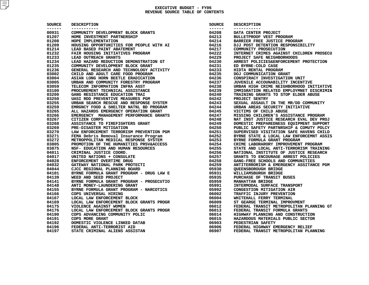| SOURCE           | <b>DESCRIPTION</b>                                                                                      | SOURCE         | <b>DESCRIPTION</b>                     |
|------------------|---------------------------------------------------------------------------------------------------------|----------------|----------------------------------------|
| -------<br>00931 | -----------                                                                                             |                | -----------<br>DATA CENTER PROJECT     |
| 01207            |                                                                                                         |                | BULLETPROOF VEST PROGRAM               |
| 01208            |                                                                                                         |                | BARRIER FREE JUSTICE PROGRAM           |
| 01209            |                                                                                                         |                | DJJ POST DETENTION RESPONSIBILITY      |
| 01214            |                                                                                                         |                | COMMUNITY PROSECUTION                  |
| 01232            |                                                                                                         |                | INTERNET CRIMES AGAINST CHILDREN PROSE |
| 01233            |                                                                                                         |                | PROJECT SAFE NEIGHBORHOODS             |
| 01234            |                                                                                                         |                | ARREST POLICIES&ENFORCEMENT PROTECTION |
| 01235            |                                                                                                         |                | ED BYRNE-COLD CASE                     |
| 01236            |                                                                                                         |                | HIDTA RENTAL PROGRAM                   |
| 03002            |                                                                                                         |                | DOJ COMMUNICATION GRANT                |
| 03004            |                                                                                                         |                | CONSPIRACY INVESTIGATION UNIT          |
| 03005            |                                                                                                         |                | JUVENILE ACCOUNABILITY INCENTIVE       |
| 03059            |                                                                                                         |                | URBAN HIGH CRIME NEIGHBORHOOD INITIATI |
| 03100            |                                                                                                         |                | IMMIGRATION RELATED EMPLOYMNET DISCRIM |
| 03200            |                                                                                                         |                | TRAINING GRANTS TO STOP ELDER ABUSE    |
| 03250            |                                                                                                         |                | PROJECT SENTRY                         |
| 03255            |                                                                                                         |                | SEXUAL ASSAULT IN THE MR/DD COMMUNITY  |
| 03259            |                                                                                                         |                | URBAN AREAS SECURITY INITIATIVE        |
| 03265            |                                                                                                         |                | VICTIMS OF CHILD ABUSE                 |
| 03266            |                                                                                                         |                | MISSING CHILDREN'S ASSISTANCE PROGRAM  |
| 03267            |                                                                                                         |                | NAT INST JUSTICE RESEARCH EVAL DEV PRO |
| 03268            |                                                                                                         |                | DOMESTIC PREPAREDNESS EOUIPMENT SUPPOR |
| 03269            |                                                                                                         |                | PUBLIC SAFETY PARTNRSHIP & COMUTY POLC |
| 03270            |                                                                                                         |                | SUPERVISED VISITATION SAFE HAVENS CHIL |
| 03271            |                                                                                                         |                |                                        |
|                  |                                                                                                         |                | BYRNE STATE & LOCAL LAW ENFORCEMNT ASS |
| 03272            |                                                                                                         |                | BYRNE FORMULA GRANT PROGRAM            |
| 03805            |                                                                                                         |                | CRIME LABORARORY IMPROVEMENT PROGRAM   |
| 03875            |                                                                                                         |                | STATE AND LOCAL ANTI-TERRORISM TRAININ |
| 04011            |                                                                                                         |                | NATIONAL INSTITUTE OF JUSTICE RESEARCH |
| 04017            |                                                                                                         |                | GRANTS TO ENCOURAGE ARREST POLICIES    |
| 04028            |                                                                                                         |                | GANG-FREE SCHOOLS AND COMMUNITIES      |
| 04032            |                                                                                                         |                | ANTITERRORISM & EMERGENCY ASSITANCE PG |
| 04044            |                                                                                                         |                | <b>QUEENSBOROUGH BRIDGE</b>            |
| 04101            |                                                                                                         |                | WILLIAMSBURGH BRIDGE                   |
| 04139            |                                                                                                         |                | PURCHASE OF TRANSIT BUSES              |
| 04141            |                                                                                                         |                | <b>MANHATTAN BRIDGE</b>                |
| 04148            |                                                                                                         |                | INTERMODAL SURFACE TRANSPORT           |
| 04155            |                                                                                                         |                | CONGESTION MITIGATION AIR              |
| 04166            |                                                                                                         |                | TRAFFIC INJURY PREVENTION              |
| 04167            |                                                                                                         |                | WHITEHALL FERRY TERMINAL               |
| 04169            |                                                                                                         |                | ST GEARGE TERMINAL IMPROVMENT          |
| 04175            |                                                                                                         |                | FEDERAL TRANSIT METROPOLITAN PLANNING  |
| 04176            |                                                                                                         |                | FEDERAL TRANSIT FORMULA GRANTS         |
| 04190            |                                                                                                         |                | HIGHWAY PLANNING AND CONSTRUCTION      |
| 04191            |                                                                                                         | 06015          | HAZARDOUS MATERIALS PUBLIC SECTOR      |
| 04192            | <b>DOMESTIC VIOLENCE LINKED DATAB<br/>FEDERAL ANTI-TERRORIST AID<br/>STATE CRIMINAL ALIENS ASSISTAN</b> | 06903<br>06906 | <b>PEDESTRIAN SAFETY</b>               |
| 04196            |                                                                                                         |                | FEDERAL HIGHWAY EMERGENCY RELIEF       |
| 04197            |                                                                                                         | 06907          | FEDERAL TRANSIT METROPOLITAN PLANNING  |

| CE    | <b>DESCRIPTION</b>                                                                                                                                                                                                                                                                                                                                                                                                                                               | SOURCE  | <b>DESCRIPTION</b>                       |
|-------|------------------------------------------------------------------------------------------------------------------------------------------------------------------------------------------------------------------------------------------------------------------------------------------------------------------------------------------------------------------------------------------------------------------------------------------------------------------|---------|------------------------------------------|
| $- -$ |                                                                                                                                                                                                                                                                                                                                                                                                                                                                  | ------- |                                          |
| 1     | COMMUNITY DEVELOPMENT BLOCK GRANTS                                                                                                                                                                                                                                                                                                                                                                                                                               | 04208   | DATA CENTER PROJECT                      |
| 7     | HOME INVESTMENT PARTNERSHIP                                                                                                                                                                                                                                                                                                                                                                                                                                      | 04213   | BULLETPROOF VEST PROGRAM                 |
| 8     | HOUSING OPPORTUNITIES FOR PEOPLE WITH AI<br>LEAD BASED PAINT ABATEMENT<br>FAIR WOUGING TOOL                                                                                                                                                                                                                                                                                                                                                                      | 04214   | BARRIER FREE JUSTICE PROGRAM             |
| 9     |                                                                                                                                                                                                                                                                                                                                                                                                                                                                  | 04216   | DJJ POST DETENTION RESPONSIBILITY        |
| 4     |                                                                                                                                                                                                                                                                                                                                                                                                                                                                  |         | COMMUNITY PROSECUTION                    |
| 2     | FAIR HOUSING INITIATIVES PROGRAM<br>LEAD OUTREACH GRANTS<br>LEAD HAZARD PEDICTED ON PROGRAM<br>LEAD HAZARD PEDICTED ON PROGRAM                                                                                                                                                                                                                                                                                                                                   |         | INTERNET CRIMES AGAINST CHILDREN PROSECU |
| 3     |                                                                                                                                                                                                                                                                                                                                                                                                                                                                  |         | PROJECT SAFE NEIGHBORHOODS               |
| 4     |                                                                                                                                                                                                                                                                                                                                                                                                                                                                  |         | ARREST POLICIES&ENFORCEMENT PROTECTION   |
| 5     |                                                                                                                                                                                                                                                                                                                                                                                                                                                                  |         | ED BYRNE-COLD CASE                       |
| 6     |                                                                                                                                                                                                                                                                                                                                                                                                                                                                  |         | HIDTA RENTAL PROGRAM                     |
| 2     |                                                                                                                                                                                                                                                                                                                                                                                                                                                                  |         | DOJ COMMUNICATION GRANT                  |
| 4     |                                                                                                                                                                                                                                                                                                                                                                                                                                                                  |         | CONSPIRACY INVESTIGATION UNIT            |
| 5     |                                                                                                                                                                                                                                                                                                                                                                                                                                                                  |         | JUVENILE ACCOUNABILITY INCENTIVE         |
| 9     | FAR ROUSE IN HITAIT DEMONSTRATION OF THE DUTREACH GRANTS<br>LEAD OUTREACH GRANTS<br>LEAD HAZARD REDUCTION DEMONSTRATION GT  04229<br>COMMUNITY DEVELOPMENT BLOCK GRANT<br>CHENNAL RESERVENT AND TECHNOLOGY ACTIVITY 04231<br>CHILD AND                                                                                                                                                                                                                           |         | URBAN HIGH CRIME NEIGHBORHOOD INITIATIVE |
| 0     |                                                                                                                                                                                                                                                                                                                                                                                                                                                                  |         | IMMIGRATION RELATED EMPLOYMNET DISCRIMIN |
| 0     |                                                                                                                                                                                                                                                                                                                                                                                                                                                                  |         | TRAINING GRANTS TO STOP ELDER ABUSE      |
| 0     |                                                                                                                                                                                                                                                                                                                                                                                                                                                                  |         | PROJECT SENTRY                           |
| 5     |                                                                                                                                                                                                                                                                                                                                                                                                                                                                  |         | SEXUAL ASSAULT IN THE MR/DD COMMUNITY    |
| 9     |                                                                                                                                                                                                                                                                                                                                                                                                                                                                  |         | URBAN AREAS SECURITY INITIATIVE          |
| 5     |                                                                                                                                                                                                                                                                                                                                                                                                                                                                  |         | VICTIMS OF CHILD ABUSE                   |
| 6     |                                                                                                                                                                                                                                                                                                                                                                                                                                                                  |         | MISSING CHILDREN'S ASSISTANCE PROGRAM    |
| 7     |                                                                                                                                                                                                                                                                                                                                                                                                                                                                  |         | NAT INST JUSTICE RESEARCH EVAL DEV PROJ  |
| 8     |                                                                                                                                                                                                                                                                                                                                                                                                                                                                  |         | DOMESTIC PREPAREDNESS EQUIPMENT SUPPORT  |
| 9     |                                                                                                                                                                                                                                                                                                                                                                                                                                                                  |         | PUBLIC SAFETY PARTNRSHIP & COMUTY POLCY  |
| 0     | ASSISTANCE TO FIREFIGEIRON CONTRAINS (94250)<br>PRE-DISASTER MITIGATION PREVENTION PGM (94250)<br>LAW ENFORCEMENT TERRORISM PREVENTION PGM (94251)<br>FEMA Debris Removal Insurance Program (94252)<br>METROPPOLITAN MEDICAL RESPONSE                                                                                                                                                                                                                            |         | SUPERVISED VISITATION SAFE HAVENS CHILD  |
| 1     |                                                                                                                                                                                                                                                                                                                                                                                                                                                                  |         | BYRNE STATE & LOCAL LAW ENFORCEMNT ASSIS |
| 2     |                                                                                                                                                                                                                                                                                                                                                                                                                                                                  |         | BYRNE FORMULA GRANT PROGRAM              |
| 5     |                                                                                                                                                                                                                                                                                                                                                                                                                                                                  |         | CRIME LABORARORY IMPROVEMENT PROGRAM     |
| 5     |                                                                                                                                                                                                                                                                                                                                                                                                                                                                  |         | STATE AND LOCAL ANTI-TERRORISM TRAINING  |
| 1     |                                                                                                                                                                                                                                                                                                                                                                                                                                                                  |         | NATIONAL INSTITUTE OF JUSTICE RESEARCH   |
| 7     |                                                                                                                                                                                                                                                                                                                                                                                                                                                                  |         | GRANTS TO ENCOURAGE ARREST POLICIES      |
| 8     |                                                                                                                                                                                                                                                                                                                                                                                                                                                                  |         | GANG-FREE SCHOOLS AND COMMUNITIES        |
| 2     | ENFORCEMENT OVERTIME DRUG<br>GATEWAY NATIONAL PARK PROTECTI (1993)<br>CJCC REGIONAL PLANNING BOARD (1993)<br>BYRNE FORMULA GRANT PROGRAM - DRUG LAW E (1993)<br>19935 (1993)                                                                                                                                                                                                                                                                                     |         | ANTITERRORISM & EMERGENCY ASSITANCE PGM  |
| 4     |                                                                                                                                                                                                                                                                                                                                                                                                                                                                  |         | OUEENSBOROUGH BRIDGE                     |
| 1     |                                                                                                                                                                                                                                                                                                                                                                                                                                                                  |         | WILLIAMSBURGH BRIDGE                     |
| 9     |                                                                                                                                                                                                                                                                                                                                                                                                                                                                  |         | PURCHASE OF TRANSIT BUSES                |
| 1     |                                                                                                                                                                                                                                                                                                                                                                                                                                                                  |         | MANHATTAN BRIDGE                         |
| 8     |                                                                                                                                                                                                                                                                                                                                                                                                                                                                  |         | INTERMODAL SURFACE TRANSPORT             |
| 5     |                                                                                                                                                                                                                                                                                                                                                                                                                                                                  |         | CONGESTION MITIGATION AIR                |
| 6     |                                                                                                                                                                                                                                                                                                                                                                                                                                                                  |         | TRAFFIC INJURY PREVENTION                |
| 7     |                                                                                                                                                                                                                                                                                                                                                                                                                                                                  |         | WHITEHALL FERRY TERMINAL                 |
| 9     | LOCAL LAW ENFORCEMENT BLOCK<br>LOCAL LAW ENFORCEMENT BLOCK GRANTS PROGR                                                                                                                                                                                                                                                                                                                                                                                          |         |                                          |
|       |                                                                                                                                                                                                                                                                                                                                                                                                                                                                  | 06009   | ST GEARGE TERMINAL IMPROVMENT            |
| 5     | VIOLENCE AGAINST WOMEN                                                                                                                                                                                                                                                                                                                                                                                                                                           | 06012   | FEDERAL TRANSIT METROPOLITAN PLANNING GT |
| 6     | LOCAL LAW ENFORCEMENT BLOCK GRANTS PROGR                                                                                                                                                                                                                                                                                                                                                                                                                         | 06013   | FEDERAL TRANSIT FORMULA GRANTS           |
| 0     | COPS ADVANCING COMMUNITY POLIC                                                                                                                                                                                                                                                                                                                                                                                                                                   | 06014   | HIGHWAY PLANNING AND CONSTRUCTION        |
| 1     | COPS MORE GRANT                                                                                                                                                                                                                                                                                                                                                                                                                                                  | 06015   | HAZARDOUS MATERIALS PUBLIC SECTOR        |
| 2     | DOMESTIC VIOLENCE LINKED DATAB                                                                                                                                                                                                                                                                                                                                                                                                                                   | 06903   | PEDESTRIAN SAFETY                        |
| 6     | FEDERAL ANTI-TERRORIST AID<br>$\begin{array}{ccccccccc}\n\text{ORAB} & \text{ORB} & \text{ORB} & \text{ORB} & \text{ORB} & \text{ORB} & \text{ORB} & \text{ORB} & \text{ORB} & \text{ORB} & \text{ORB} & \text{ORB} & \text{ORB} & \text{ORB} & \text{ORB} & \text{ORB} & \text{ORB} & \text{ORB} & \text{ORB} & \text{ORB} & \text{ORB} & \text{ORB} & \text{ORB} & \text{ORB} & \text{ORB} & \text{ORB} & \text{ORB} & \text{ORB} & \text{ORB} & \text{ORB} &$ | 06906   | FEDERAL HIGHWAY EMERGENCY RELIEF         |
|       |                                                                                                                                                                                                                                                                                                                                                                                                                                                                  |         |                                          |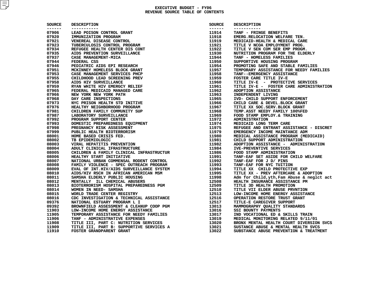| <b>SOURCE</b>    | <b>DESCRIPTION</b><br>DESCRIPTION CONTROL GRANT THE SERVENTION CONTROL INFORMATION IN THE CONTROL THE SERVES EXAMPLE TO BREAD TO BROW THE CONTROL AND REPORTED AND REPORTED AND REPORT ON THE CASE MANAGEMENT -HIGA<br>CASE MANAGEMENT -HIGA ENTER DIS | SOURCE           | <b>DESCRIPTION</b>                       |
|------------------|--------------------------------------------------------------------------------------------------------------------------------------------------------------------------------------------------------------------------------------------------------|------------------|------------------------------------------|
| -------<br>07906 | -----------                                                                                                                                                                                                                                            | -------<br>11914 | -----------<br>TANF - FRINGE BENEFITS    |
| 07920            |                                                                                                                                                                                                                                                        | 11918            | EMERG.RELOCATION WELFARE TEN.            |
| 07921            |                                                                                                                                                                                                                                                        | 11919            | MEDICAID-HEALTH & MEDICAL CARE           |
| 07923            |                                                                                                                                                                                                                                                        | 11921            | TITLE V NCOA EMPLOYMENT PROG.            |
| 07934            |                                                                                                                                                                                                                                                        | 11922            | TITLE V SEN COM SER EMP PROGM.           |
| 07935            |                                                                                                                                                                                                                                                        | 11930            | NUTRITION PROGRAM FOR THE ELDERLY        |
| 07937            |                                                                                                                                                                                                                                                        | 11944            | TANF - HOMELESS FAMILIES                 |
| 07944            |                                                                                                                                                                                                                                                        | 11950            | SUPPORTIVE HOUSING PROGRAM               |
| 07946            |                                                                                                                                                                                                                                                        | 11954            | PROMOTING SAFE AND STABLE FAMILIES       |
| 07951            |                                                                                                                                                                                                                                                        | 11957            | TEMPORARY ASSISTANCE FOR NEEDY FAMILIE   |
| 07953            |                                                                                                                                                                                                                                                        | 11958            | TANF--EMERGENCY ASSISTANCE               |
| 07955            |                                                                                                                                                                                                                                                        | 11959            | FOSTER CARE TITLE IV-E                   |
| 07958            |                                                                                                                                                                                                                                                        | 11960            | TITLE IV-E - PROTECTIVE SERVICES         |
| 07959            |                                                                                                                                                                                                                                                        | 11961            | TITLE IV-E - FOSTER CARE ADMINISTRATI    |
| 07965            |                                                                                                                                                                                                                                                        | 11962            | ADOPTION ASSISTANCE                      |
| 07966            |                                                                                                                                                                                                                                                        | 11963            | INDEPENDENT LIVING                       |
| 07968            |                                                                                                                                                                                                                                                        | 11965            | IVD- CHILD SUPPORT ENFORCEMENT           |
| 07973            |                                                                                                                                                                                                                                                        | 11966            | CHILD CARE & DEVEL. BLOCK GRANT          |
| 07976            |                                                                                                                                                                                                                                                        | 11967            | TITLE XX SOC. SERV. BLOCK GRANT          |
| 07981            |                                                                                                                                                                                                                                                        | 11968            | TEMP.ASST NEEDY FAMILY 100%FED           |
| 07987            |                                                                                                                                                                                                                                                        | 11969            | FOOD STAMP EMPLOY.& TRAINING             |
| 07992            |                                                                                                                                                                                                                                                        | 11972            | <b>ADMINISTRATION</b>                    |
| 07993            |                                                                                                                                                                                                                                                        | 11974            | MEDICAID LONG TERM CARE                  |
| 07998            |                                                                                                                                                                                                                                                        | 11975            | REFUGEE AND ENTRANT ASSISTANCE - DISCR   |
| 07999            |                                                                                                                                                                                                                                                        | 11979            | EMERGENCY INCOME MAINTANCE ADM           |
| 08001            |                                                                                                                                                                                                                                                        | 11980            | MEDICAL ASSISTANCE PROGRAM (MEDICAID)    |
| 08002            |                                                                                                                                                                                                                                                        | 11981            | CHILD SUPPORT ADMINISTRATION             |
| 08003            |                                                                                                                                                                                                                                                        |                  | ADOPTION ASSISTANCE - ADMINISTRATION     |
| 08004            |                                                                                                                                                                                                                                                        |                  | IVE-PREVENTIVE SERVICES                  |
| 08005            |                                                                                                                                                                                                                                                        |                  | FOOD STAMP ADMINISTRATION                |
| 08006            |                                                                                                                                                                                                                                                        |                  | TANF-EAF SET ASIDE FOR CHILD WELFARE     |
| 08007            |                                                                                                                                                                                                                                                        |                  | TANF-EAF FOR J D/ PINS                   |
| 08008            |                                                                                                                                                                                                                                                        |                  | TANF-EAF FOR NYC TUITION                 |
| 08009            |                                                                                                                                                                                                                                                        |                  | TITLE XX CHILD PROTECTIVE EXP            |
| 08010            |                                                                                                                                                                                                                                                        |                  | TITLE XX - PREV AFTERCARE & ADOPTION     |
| 08011            |                                                                                                                                                                                                                                                        |                  | Adm for Child, yth, Fam Abuse & neglct a |
| 08012            |                                                                                                                                                                                                                                                        |                  | HEALTH INSURANCE ASSISTANCE PM           |
| 08013            |                                                                                                                                                                                                                                                        |                  | TITLE 3D HEALTH PROMOTION                |
| 08014            |                                                                                                                                                                                                                                                        |                  | TITLE VII ELDER ABUSE PRVNTION           |
| 08015            |                                                                                                                                                                                                                                                        |                  | LOW-INCOME HOME ENERGY ASSISTANCE        |
| 08016            |                                                                                                                                                                                                                                                        |                  | OPERATION RESTORE TRUST GRANT            |
| 09376            |                                                                                                                                                                                                                                                        |                  | TITLE-E CAREGIVER SUPPORT                |
|                  |                                                                                                                                                                                                                                                        |                  |                                          |
| 09392            |                                                                                                                                                                                                                                                        |                  | MAMMOGRAPHY OUALITY STANDARDS            |
| 11903            |                                                                                                                                                                                                                                                        |                  | SSI BOUNTY PAYMENTS                      |
| 11905            |                                                                                                                                                                                                                                                        |                  | IND VOCATIONAL ED & SKILLS TRAIN         |
| 11906            |                                                                                                                                                                                                                                                        |                  | MEDICAL MONITORING RELATED 9/11/01       |
| 11908            |                                                                                                                                                                                                                                                        |                  | BRONX MENTAL HEALTH COURT DIVERSION SV   |
| 11909            | THE HEATITIE FREEWING FRAMENCE CONSUMING THE SAME IN THE REPLEMITORIX IN THE SEPTING CHILING AND AN ONE CHILING THE SAME THAT INTERT IN THAT IN THE NATURAL OF THE INTERT ONE SERVICE AND MANUSING THE MANUSCRIP (1993) FAMILY                         |                  | SUSTANCE ABUSE & MENTAL HEALTH SVCS      |
| 11910            | FOSTER GRANDPARENT GRANT                                                                                                                                                                                                                               |                  | SUBSTANCE ABUSE PREVENTION & TREATMENT   |
|                  |                                                                                                                                                                                                                                                        |                  |                                          |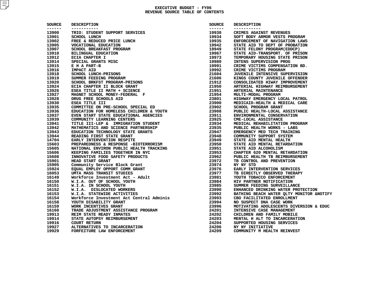| SOURCE<br>------- | <b>DESCRIPTION</b><br>-----------                                                                                                                                                                                                                               | SOURCE<br>------ | <b>DESCRIPTION</b><br>-----------               |
|-------------------|-----------------------------------------------------------------------------------------------------------------------------------------------------------------------------------------------------------------------------------------------------------------|------------------|-------------------------------------------------|
| 13900             | ----------<br>TRIO: STUDENT SUPPORT SERVICES<br>SCHOOL LUNCH<br>FREE & REDUCED PRICE LUNCH<br>VOCATIONAL EDUCATION<br>SCHOOL BREAKFAST PROGRAM<br>BLINGUAL EDUCATION<br>ECIA CHAPTER I<br>SPECIAL GRANTS MISC<br>E H A PART-B<br>IMPACT AID<br>SCHOOL LUNCH-PRI | 19930            | CRIMES AGAINST REVENUES                         |
| 13901             |                                                                                                                                                                                                                                                                 | 19934            | SOFT BODY ARMOR VESTS PROGRAM                   |
| 13902             |                                                                                                                                                                                                                                                                 | 19935            | ENFORCEMENT OF NAVIGATION LAWS                  |
| 13905             |                                                                                                                                                                                                                                                                 | 19942            | STATE AID TO DEPT OF PROBATION                  |
| 13907             |                                                                                                                                                                                                                                                                 | 19949            | STATE FELONY PROGRAM (EDDCP)                    |
| 13910             |                                                                                                                                                                                                                                                                 | 19967            | STATE AID-TRANSPORT. OF PRISON                  |
| 13912             |                                                                                                                                                                                                                                                                 | 19973            | TEMPORARY HOUSING STATE PRISON                  |
| 13914             |                                                                                                                                                                                                                                                                 | 19980            | INTENS SUPERVISION PROG                         |
| 13915             |                                                                                                                                                                                                                                                                 | 19991            | CRIME VICTIMS COMPENSATION BD.                  |
| 13916             |                                                                                                                                                                                                                                                                 | 19992            | CRIME VICTIMS PROGRAM                           |
| 13918             |                                                                                                                                                                                                                                                                 | 21604            | JUVENILE INTENSIVE SUPERVISION                  |
| 13919             |                                                                                                                                                                                                                                                                 | 21606            | KINGS COUNTY JUVENILE OFFENDER                  |
| 13920             |                                                                                                                                                                                                                                                                 | 21912            | CONSOLIDATED HIWAY IMPROVEMENT                  |
| 13924             |                                                                                                                                                                                                                                                                 | 21950            | ARTERIAL HIGHWAY REIMBURSEMENT                  |
| 13926             |                                                                                                                                                                                                                                                                 | 21951            | ARTERIAL MAINTENANCE                            |
| 13927             |                                                                                                                                                                                                                                                                 | 21954            | MULTI-MODAL PROGRAM                             |
| 13928             |                                                                                                                                                                                                                                                                 | 23801            | HIGHWAY EMERGENCY LOCAL PATROL                  |
| 13930             | DRUG FREE SCHOOLS AID<br>ESEA TITLE III<br>COMMITTEE ON PRE-SCHOOL SPECIAL ED<br>EDUCATION FOR HOMELESS CHILDREN & YOUTH                                                                                                                                        | 23900            | MEDICAID-HEALTH & MEDICAL CARE                  |
| 13935             |                                                                                                                                                                                                                                                                 | 23902            | SCHOOL PROGRAM GRANT                            |
| 13936             |                                                                                                                                                                                                                                                                 |                  | PUBLIC HEALTH-LOCAL ASSISTANCE                  |
| 13937             |                                                                                                                                                                                                                                                                 | 23908<br>23911   | ENVIRONMENTAL CONSERVATION                      |
| 13939             |                                                                                                                                                                                                                                                                 | 23925            | CME-LOCAL ASSISTANCE                            |
| 13941             |                                                                                                                                                                                                                                                                 | 23934            | MEDICAL REHABILITATION PROGRAM                  |
| 13942             |                                                                                                                                                                                                                                                                 | 23935            | PUBLIC HEALTH WORKS - LABS                      |
| 13943             | EVEN START STATE EDUCATIONAL AGENCIES<br>COMMUNITY LEARNING CENTERS<br>TITLE III-LEP & IMMIGRATION STUDENT<br>MATHEMATICS AND SCIENCE PARTNERSHIP<br>EDUCATION TECHNOLOGY STATE GRANTS<br>READING FIRST STATE GRANT<br>EARLY INTERVENTION RESPIT                | 23947            | EMERGENCY MED TECH TRAINING                     |
| 13944             |                                                                                                                                                                                                                                                                 | 23948            | COMMUNITY SUPPORT SYSTEM                        |
| 14704             |                                                                                                                                                                                                                                                                 | 23949            | STATE AID MENTAL HEALTH                         |
| 15603             | EARLY INTERVENTION RESPITE<br>PREPAREDNESS & RESPONSE -BIOTERRORISM<br>NATIONAL ENVIRON PUBLIC HEALTH TRACKING<br>KEEPING FAMILIES TOGETHER IN NYC<br>INNOVATIVE FOOD SAFETY PRODUCTS<br>HEAD START GRANT<br>COMMUNITY Service Block Grant                      |                  | STATE AID MENTAL RETARDATION                    |
| 15605             |                                                                                                                                                                                                                                                                 | 23950<br>23951   | STATE AID ALCOHOLISM                            |
| 15606             |                                                                                                                                                                                                                                                                 | 23953            | CHAPTER 620 MENTAL RETARDATION                  |
| 15608             |                                                                                                                                                                                                                                                                 | 23962            | PUBLIC HEALTH TB REIMBURSEMENT                  |
| 15901             |                                                                                                                                                                                                                                                                 | 23972            | TB CONTROL AND PREVENTION                       |
| 15905             |                                                                                                                                                                                                                                                                 | 23974            | NY NY STD                                       |
|                   |                                                                                                                                                                                                                                                                 |                  |                                                 |
| 15924             |                                                                                                                                                                                                                                                                 | 23976            | EARLY INTERVENTION SERVICES                     |
| 16053             | ONIA FRAN TRIBULES<br>WORKFORCE INVESTMENT ACT - Adult<br>W.I.A. OUT OF SCHOOL YOUTH<br>W.I.A. IN SCHOOL YOUTH<br>W.I.A. DISLOCATED WORKERS<br>W.I.A. DISLOCATED WORKERS<br>W.I.A. STATEWIDE ACTIVITIES<br>WORKFORCE INVESTMENT ACT CENTRAL                     | 23977            | TB DIRECTLY OBSERVED THERAPY                    |
| 16149             |                                                                                                                                                                                                                                                                 | 23981            | YOUTH TOBACCO ENFORCEMENT                       |
| 16150             |                                                                                                                                                                                                                                                                 | 23984            | HIV PARTNER NOTIFICATION                        |
| 16151             |                                                                                                                                                                                                                                                                 | 23985            | SUMMER FEEDING SURVEILLANCE                     |
| 16152             |                                                                                                                                                                                                                                                                 | 23990            | ENHANCED DRINKING WATER PROTECTION              |
| 16153             |                                                                                                                                                                                                                                                                 | 23992            | BATHING BEACH WATER OLTY MONITOR &              |
| 16154             |                                                                                                                                                                                                                                                                 | 23993            | CBO FACILITATED ENROLLMENT                      |
| 16158             | YOUTH DISABILITY GRANT                                                                                                                                                                                                                                          | 23994            | NO SUSPECT DNA CASE WORK                        |
| 16159             |                                                                                                                                                                                                                                                                 | 23996            | MOTIVATING ADOLESCENTS DIVERSION &              |
| 16160             | YOUTH DISABILIII SANT<br>WORK INCENTIVES GRANT<br>TRADE ADJUSTMENT ASSISTANCE PROGRAM<br>---- ----------                                                                                                                                                        | 24201            | INTENSIVE CASE MANAGEMENT                       |
| 19913             | REIM STATE READY INMATES                                                                                                                                                                                                                                        | 24202            | CHILDREN AND FAMILY MOBILE                      |
| 19914             | STATE AUTOPSY REIMBURSEMENT                                                                                                                                                                                                                                     | 24203            | MENTAL H ALT TO INCARCERATION                   |
| 19916             | <b>COURT RETURN</b>                                                                                                                                                                                                                                             | 24204            | SUPPORTED HOUSING SERVICES                      |
| 19927             | ALTERNATIVES TO INCARCERATION<br>FORFEITURE LAW ENFORCEMENT                                                                                                                                                                                                     | 24206            | NY NY INITIATIVE<br>COMMUNITY M HEALTH REINVEST |
| 19929             |                                                                                                                                                                                                                                                                 | 24209            |                                                 |

| CE         | <b>DESCRIPTION</b>                                                                                                                                                                                                                                               | SOURCE<br>-------                | <b>DESCRIPTION</b><br>-----------        |
|------------|------------------------------------------------------------------------------------------------------------------------------------------------------------------------------------------------------------------------------------------------------------------|----------------------------------|------------------------------------------|
| $- -$<br>0 | -----------<br>TRIO: STUDENT SUPPORT SERVICES                                                                                                                                                                                                                    | 19930                            | CRIMES AGAINST REVENUES                  |
| 1          | SCHOOL LUNCH                                                                                                                                                                                                                                                     | 19934                            | SOFT BODY ARMOR VESTS PROGRAM            |
| 2          | FREE & REDUCED PRICE LUNCH                                                                                                                                                                                                                                       | 19935                            | ENFORCEMENT OF NAVIGATION LAWS           |
| 5          | VOCATIONAL EDUCATION                                                                                                                                                                                                                                             |                                  | STATE AID TO DEPT OF PROBATION           |
| 7          | SCHOOL BREAKFAST PROGRAM                                                                                                                                                                                                                                         | 19942<br>19949                   | STATE FELONY PROGRAM (EDDCP)             |
| 0          | <b>BILINGUAL EDUCATION</b>                                                                                                                                                                                                                                       | 19967                            | STATE AID-TRANSPORT. OF PRISON           |
| 2          | ECIA CHAPTER I                                                                                                                                                                                                                                                   | 19973                            | TEMPORARY HOUSING STATE PRISON           |
| 4          | SPECIAL GRANTS MISC                                                                                                                                                                                                                                              | 19980                            | INTENS SUPERVISION PROG                  |
| 5          | E H A PART-B                                                                                                                                                                                                                                                     | 19991                            | CRIME VICTIMS COMPENSATION BD.           |
| 6          | <b>IMPACT AID</b>                                                                                                                                                                                                                                                | 19992                            | CRIME VICTIMS PROGRAM                    |
| 8          |                                                                                                                                                                                                                                                                  |                                  |                                          |
|            | SCHOOL LUNCH-PRISONS                                                                                                                                                                                                                                             | 21604                            | JUVENILE INTENSIVE SUPERVISION           |
| 9          | SUMMER FEEDING PROGRAM                                                                                                                                                                                                                                           | 21606                            | KINGS COUNTY JUVENILE OFFENDER           |
| 0          |                                                                                                                                                                                                                                                                  | 21912                            | CONSOLIDATED HIWAY IMPROVEMENT           |
| 4          |                                                                                                                                                                                                                                                                  | 21950                            | ARTERIAL HIGHWAY REIMBURSEMENT           |
| 6          |                                                                                                                                                                                                                                                                  | 21951                            | ARTERIAL MAINTENANCE                     |
| 7          |                                                                                                                                                                                                                                                                  | 21954                            | MULTI-MODAL PROGRAM                      |
| 8          |                                                                                                                                                                                                                                                                  | 23801                            | HIGHWAY EMERGENCY LOCAL PATROL           |
| 0          |                                                                                                                                                                                                                                                                  | 23900                            | MEDICAID-HEALTH & MEDICAL CARE           |
| 5          |                                                                                                                                                                                                                                                                  | 23902                            | SCHOOL PROGRAM GRANT                     |
| 6          | SUMMER FEEDING PROGRAM<br>SCHOOL BRKFST PROGRAM-PRISONS<br>ECIA CHAPTER II BLOCK GRANT<br>ESEA TITLE II MATH + SCIENCE<br>MAGNET SCHOOL MONEY-FEDERAL<br>PRUG FREE SCHOOLS AID<br>ESEA TITLE II<br>COMMITTEE ON PRE-SCHOOL SPECIAL ED<br>EDUCATION FOR           | 23902<br>23908<br>23911<br>23925 | PUBLIC HEALTH-LOCAL ASSISTANCE           |
| 7          | EVEN START STATE EDUCATIONAL AGENCIES<br>COMMUNITY LEARNING CENTERS<br>TITLE III-LEP & IMMIGRATION STUDENT<br>MATHEMATICS AND SCIENCE PARTNERSHIP<br>EDUCATION TECHNOLOGY STATE GRANTS<br>READING FIRST STATE GRANT<br>EARLY INTERVENTION RESPIT                 |                                  | ENVIRONMENTAL CONSERVATION               |
| 9          |                                                                                                                                                                                                                                                                  | 23925                            | CME-LOCAL ASSISTANCE                     |
| 1          |                                                                                                                                                                                                                                                                  | 23934                            | MEDICAL REHABILITATION PROGRAM           |
| 2          |                                                                                                                                                                                                                                                                  | 23935                            | PUBLIC HEALTH WORKS - LABS               |
| 3          |                                                                                                                                                                                                                                                                  | 23947                            | EMERGENCY MED TECH TRAINING              |
| 4          |                                                                                                                                                                                                                                                                  | 23948                            | COMMUNITY SUPPORT SYSTEM                 |
| 4          | EARLY INTERVENTION RESPITE                                                                                                                                                                                                                                       | 23949                            | STATE AID MENTAL HEALTH                  |
| 3          | PREPAREDNESS & RESPONSE -BIOTERRORISM                                                                                                                                                                                                                            | -----<br>23950<br>23951          | STATE AID MENTAL RETARDATION             |
| 5          |                                                                                                                                                                                                                                                                  |                                  | STATE AID ALCOHOLISM                     |
| 6          |                                                                                                                                                                                                                                                                  | 23953                            | CHAPTER 620 MENTAL RETARDATION           |
| 8          |                                                                                                                                                                                                                                                                  | 23962                            | PUBLIC HEALTH TB REIMBURSEMENT           |
| 1          |                                                                                                                                                                                                                                                                  | 23972                            | TB CONTROL AND PREVENTION                |
| 5          |                                                                                                                                                                                                                                                                  | 23974                            | NY NY STD                                |
|            | <b>EARLI INTENSIONS &amp; RESPONSE -BIOTERRORISM<br/>NATIONAL ENVIRON PUBLIC HEALTH TRACKING<br/>KEEPING FAMILIES TOGETHER IN NYC<br/>INNOVATIVE FOOD SAFETY PRODUCTS<br/>HEAD START GRANT<br/>Community Service Block Grant<br/>EQUAL EMPLOY OPPORT COMM GR</b> | 23976                            | EARLY INTERVENTION SERVICES              |
| 3          |                                                                                                                                                                                                                                                                  | 23977                            | TB DIRECTLY OBSERVED THERAPY             |
| 9          |                                                                                                                                                                                                                                                                  | 23981                            | YOUTH TOBACCO ENFORCEMENT                |
| 0          |                                                                                                                                                                                                                                                                  | 23984                            | HIV PARTNER NOTIFICATION                 |
| 1          | W.I.A. IN SCHOOL YOUTH                                                                                                                                                                                                                                           | 23985                            | SUMMER FEEDING SURVEILLANCE              |
|            | W.I.A. DISLOCATED WORKERS                                                                                                                                                                                                                                        | 23990                            | ENHANCED DRINKING WATER PROTECTION       |
|            |                                                                                                                                                                                                                                                                  |                                  |                                          |
| 3          | W.I.A. STATEWIDE ACTIVITIES<br>Workforce Investment Act Central Adminis                                                                                                                                                                                          | 23992<br>23993                   | BATHING BEACH WATER OLTY MONITOR &NOTIFY |
| 4          |                                                                                                                                                                                                                                                                  |                                  | CBO FACILITATED ENROLLMENT               |
| 8          | YOUTH DISABILITY GRANT                                                                                                                                                                                                                                           | 23994                            | NO SUSPECT DNA CASE WORK                 |
| 9          | WORK INCENTIVES GRANT                                                                                                                                                                                                                                            | 23996                            | MOTIVATING ADOLESCENTS DIVERSION & EDUC  |
| 0          | TRADE ADJUSTMENT ASSISTANCE PROGRAM                                                                                                                                                                                                                              | 24201                            | INTENSIVE CASE MANAGEMENT                |
| 3          | REIM STATE READY INMATES                                                                                                                                                                                                                                         | 24202                            | CHILDREN AND FAMILY MOBILE               |
|            | STATE AUTOPSY REIMBURSEMENT                                                                                                                                                                                                                                      | 24203                            | MENTAL H ALT TO INCARCERATION            |
| 6          | <b>COURT RETURN</b>                                                                                                                                                                                                                                              | 24204                            | SUPPORTED HOUSING SERVICES               |
| 7          | ALTERNATIVES TO INCARCERATION                                                                                                                                                                                                                                    | 24206                            | NY NY INITIATIVE                         |
| 9          | FORFEITURE LAW ENFORCEMENT                                                                                                                                                                                                                                       | 24209                            | COMMUNITY M HEALTH REINVEST              |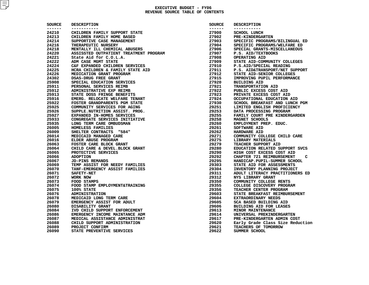| CHILDREN FAMILY SUPPORT STATE<br>CHILDREN FAMILY HOME BASED<br>SUPPORTIVE CASE MANAGEMENT<br>THERAPEUTIC NURSERY<br>MENTALLY ILL CHEMICAL ABUSERS<br>ASSISSTED OUTPATIENT TREATMENT PROGRAM<br>State Aid for C.O.L.A.<br>ADM CASE MGMT STATE<br>C&F EXPANDED CHILDREN SERVICES<br>HCRA CHILDREN & FAMILY STATE AID<br>MEDICATION GRANT PROGRAM<br>DSAS-DRUG FREE GRANT<br>SPECIAL EDUCATION SERVICES<br>PERSONAL SERVICES REIMB<br>ADMINISTRATIVE EXP REIMB<br>STATE DOSS FRINGE BENEFITS<br>EMERG. RELOCATE WELFARE TENANT<br>FOSTER GRANDPARENTS PGM STATE<br>COMMUNITY SERVICES FOR AGING<br>SUPPLE.NUTRITION ASSIST. PROG. | -------<br>27900<br>27902<br>27903<br>27904<br>27906<br>27907<br>27908<br>27909<br>27910<br>27911<br>27912<br>27915<br>27920<br>27921<br>27922<br>27923<br>27924<br>27930                                                                                                                                                 | -----------<br><b>SCHOOL LUNCH</b><br><b>PRE-KINDERGARTEN</b><br>SPECIFIC PROGRAMS/BILINGUAL ED<br>SPECIFIC PROGRAMS/WELFARE ED<br>SPECIAL GRANTS-MISCELLANEOUS<br>P.S. AID/TEXTBOOKS<br>OPERATING AID<br>STATE AID-COMMUNITY COLLEGES<br>P.S.AID/SPECIAL READING<br>P.S. AID&TRANSPORT/NET SUPPORT<br>STATE AID-SENIOR COLLEGES<br>IMPROVING PUPIL PERFORMANCE<br><b>BUILDING AID</b><br>TRANSPORTATION AID<br>PUBLIC EXCESS COST AID<br>PRIVATE EXCESS COST AID<br>OCCUPATIONAL EDUCATION AID |
|--------------------------------------------------------------------------------------------------------------------------------------------------------------------------------------------------------------------------------------------------------------------------------------------------------------------------------------------------------------------------------------------------------------------------------------------------------------------------------------------------------------------------------------------------------------------------------------------------------------------------------|---------------------------------------------------------------------------------------------------------------------------------------------------------------------------------------------------------------------------------------------------------------------------------------------------------------------------|-------------------------------------------------------------------------------------------------------------------------------------------------------------------------------------------------------------------------------------------------------------------------------------------------------------------------------------------------------------------------------------------------------------------------------------------------------------------------------------------------|
|                                                                                                                                                                                                                                                                                                                                                                                                                                                                                                                                                                                                                                |                                                                                                                                                                                                                                                                                                                           |                                                                                                                                                                                                                                                                                                                                                                                                                                                                                                 |
|                                                                                                                                                                                                                                                                                                                                                                                                                                                                                                                                                                                                                                |                                                                                                                                                                                                                                                                                                                           |                                                                                                                                                                                                                                                                                                                                                                                                                                                                                                 |
|                                                                                                                                                                                                                                                                                                                                                                                                                                                                                                                                                                                                                                |                                                                                                                                                                                                                                                                                                                           |                                                                                                                                                                                                                                                                                                                                                                                                                                                                                                 |
|                                                                                                                                                                                                                                                                                                                                                                                                                                                                                                                                                                                                                                |                                                                                                                                                                                                                                                                                                                           |                                                                                                                                                                                                                                                                                                                                                                                                                                                                                                 |
|                                                                                                                                                                                                                                                                                                                                                                                                                                                                                                                                                                                                                                |                                                                                                                                                                                                                                                                                                                           |                                                                                                                                                                                                                                                                                                                                                                                                                                                                                                 |
|                                                                                                                                                                                                                                                                                                                                                                                                                                                                                                                                                                                                                                |                                                                                                                                                                                                                                                                                                                           |                                                                                                                                                                                                                                                                                                                                                                                                                                                                                                 |
|                                                                                                                                                                                                                                                                                                                                                                                                                                                                                                                                                                                                                                |                                                                                                                                                                                                                                                                                                                           |                                                                                                                                                                                                                                                                                                                                                                                                                                                                                                 |
|                                                                                                                                                                                                                                                                                                                                                                                                                                                                                                                                                                                                                                |                                                                                                                                                                                                                                                                                                                           |                                                                                                                                                                                                                                                                                                                                                                                                                                                                                                 |
|                                                                                                                                                                                                                                                                                                                                                                                                                                                                                                                                                                                                                                |                                                                                                                                                                                                                                                                                                                           |                                                                                                                                                                                                                                                                                                                                                                                                                                                                                                 |
|                                                                                                                                                                                                                                                                                                                                                                                                                                                                                                                                                                                                                                |                                                                                                                                                                                                                                                                                                                           |                                                                                                                                                                                                                                                                                                                                                                                                                                                                                                 |
|                                                                                                                                                                                                                                                                                                                                                                                                                                                                                                                                                                                                                                |                                                                                                                                                                                                                                                                                                                           |                                                                                                                                                                                                                                                                                                                                                                                                                                                                                                 |
|                                                                                                                                                                                                                                                                                                                                                                                                                                                                                                                                                                                                                                |                                                                                                                                                                                                                                                                                                                           |                                                                                                                                                                                                                                                                                                                                                                                                                                                                                                 |
|                                                                                                                                                                                                                                                                                                                                                                                                                                                                                                                                                                                                                                |                                                                                                                                                                                                                                                                                                                           |                                                                                                                                                                                                                                                                                                                                                                                                                                                                                                 |
|                                                                                                                                                                                                                                                                                                                                                                                                                                                                                                                                                                                                                                |                                                                                                                                                                                                                                                                                                                           |                                                                                                                                                                                                                                                                                                                                                                                                                                                                                                 |
|                                                                                                                                                                                                                                                                                                                                                                                                                                                                                                                                                                                                                                |                                                                                                                                                                                                                                                                                                                           |                                                                                                                                                                                                                                                                                                                                                                                                                                                                                                 |
|                                                                                                                                                                                                                                                                                                                                                                                                                                                                                                                                                                                                                                |                                                                                                                                                                                                                                                                                                                           |                                                                                                                                                                                                                                                                                                                                                                                                                                                                                                 |
|                                                                                                                                                                                                                                                                                                                                                                                                                                                                                                                                                                                                                                |                                                                                                                                                                                                                                                                                                                           |                                                                                                                                                                                                                                                                                                                                                                                                                                                                                                 |
|                                                                                                                                                                                                                                                                                                                                                                                                                                                                                                                                                                                                                                |                                                                                                                                                                                                                                                                                                                           | SCHOOL BREAKFAST AND LUNCH PGM                                                                                                                                                                                                                                                                                                                                                                                                                                                                  |
|                                                                                                                                                                                                                                                                                                                                                                                                                                                                                                                                                                                                                                | 29251                                                                                                                                                                                                                                                                                                                     | LIMITED ENGLISH PROFICIENCY                                                                                                                                                                                                                                                                                                                                                                                                                                                                     |
|                                                                                                                                                                                                                                                                                                                                                                                                                                                                                                                                                                                                                                | 29253                                                                                                                                                                                                                                                                                                                     | DATA PROCESSING PROGRAM                                                                                                                                                                                                                                                                                                                                                                                                                                                                         |
| EXPANDED IN-HOMES SERVICES                                                                                                                                                                                                                                                                                                                                                                                                                                                                                                                                                                                                     | 29255                                                                                                                                                                                                                                                                                                                     | FAMILY COURT PRE KINDERGARDEN                                                                                                                                                                                                                                                                                                                                                                                                                                                                   |
| CONGREGATE SERVICES INITIATIVE                                                                                                                                                                                                                                                                                                                                                                                                                                                                                                                                                                                                 | 29258                                                                                                                                                                                                                                                                                                                     | MAGNET SCHOOLS                                                                                                                                                                                                                                                                                                                                                                                                                                                                                  |
| LONG TERM CARE OMBUDSMAN                                                                                                                                                                                                                                                                                                                                                                                                                                                                                                                                                                                                       | 29260                                                                                                                                                                                                                                                                                                                     | EMPLOYMENT PREP. EDUC.                                                                                                                                                                                                                                                                                                                                                                                                                                                                          |
| HOMELESS FAMILIES                                                                                                                                                                                                                                                                                                                                                                                                                                                                                                                                                                                                              | 29261                                                                                                                                                                                                                                                                                                                     | <b>SOFTWARE AID</b>                                                                                                                                                                                                                                                                                                                                                                                                                                                                             |
| SHELTER CONTRACTS "584"                                                                                                                                                                                                                                                                                                                                                                                                                                                                                                                                                                                                        | 29262                                                                                                                                                                                                                                                                                                                     | <b>HARDWARE AID</b>                                                                                                                                                                                                                                                                                                                                                                                                                                                                             |
| MEDICAID MANAGED CARE                                                                                                                                                                                                                                                                                                                                                                                                                                                                                                                                                                                                          | 29271                                                                                                                                                                                                                                                                                                                     | COMMUNITY COLLEGE CHILD CARE                                                                                                                                                                                                                                                                                                                                                                                                                                                                    |
| ELDER ABUSE PROGRAM                                                                                                                                                                                                                                                                                                                                                                                                                                                                                                                                                                                                            | 29275                                                                                                                                                                                                                                                                                                                     | LIBRARY MATERIALS                                                                                                                                                                                                                                                                                                                                                                                                                                                                               |
| FOSTER CARE BLOCK GRANT                                                                                                                                                                                                                                                                                                                                                                                                                                                                                                                                                                                                        | 29279                                                                                                                                                                                                                                                                                                                     | TEACHER SUPPORT AID                                                                                                                                                                                                                                                                                                                                                                                                                                                                             |
| CHILD CARE & DEVEL. BLOCK GRANT                                                                                                                                                                                                                                                                                                                                                                                                                                                                                                                                                                                                | 29280                                                                                                                                                                                                                                                                                                                     | EDUCATION RELATED SUPPORT SVCS                                                                                                                                                                                                                                                                                                                                                                                                                                                                  |
| PROTECTIVE SERVICES                                                                                                                                                                                                                                                                                                                                                                                                                                                                                                                                                                                                            | 29290                                                                                                                                                                                                                                                                                                                     | HIGH COST EXCESS COST AID                                                                                                                                                                                                                                                                                                                                                                                                                                                                       |
|                                                                                                                                                                                                                                                                                                                                                                                                                                                                                                                                                                                                                                | 29292                                                                                                                                                                                                                                                                                                                     | CHAPTER 721 REIMBURSEMENT<br>C                                                                                                                                                                                                                                                                                                                                                                                                                                                                  |
| JD-PINS REMANDS                                                                                                                                                                                                                                                                                                                                                                                                                                                                                                                                                                                                                | 29295                                                                                                                                                                                                                                                                                                                     | HANDICAP. PUPIL-SUMMER SCHOOL                                                                                                                                                                                                                                                                                                                                                                                                                                                                   |
| TEMP ASSIST FOR NEEDY FAMILIES                                                                                                                                                                                                                                                                                                                                                                                                                                                                                                                                                                                                 | 29303                                                                                                                                                                                                                                                                                                                     | STATE AID FOR ASSESSMENTS                                                                                                                                                                                                                                                                                                                                                                                                                                                                       |
| TANF-EMERGENCY ASSIST FAMILIES                                                                                                                                                                                                                                                                                                                                                                                                                                                                                                                                                                                                 | 29304                                                                                                                                                                                                                                                                                                                     | INVENTORY PLANNING PROJECT                                                                                                                                                                                                                                                                                                                                                                                                                                                                      |
|                                                                                                                                                                                                                                                                                                                                                                                                                                                                                                                                                                                                                                | 29311                                                                                                                                                                                                                                                                                                                     | ADULT LITERACY PRACTITIONERS ED                                                                                                                                                                                                                                                                                                                                                                                                                                                                 |
|                                                                                                                                                                                                                                                                                                                                                                                                                                                                                                                                                                                                                                | 29312                                                                                                                                                                                                                                                                                                                     | NYS LIBRARY GRANT                                                                                                                                                                                                                                                                                                                                                                                                                                                                               |
|                                                                                                                                                                                                                                                                                                                                                                                                                                                                                                                                                                                                                                | 29350                                                                                                                                                                                                                                                                                                                     | COMMUNITY COLLEGE RENTS                                                                                                                                                                                                                                                                                                                                                                                                                                                                         |
|                                                                                                                                                                                                                                                                                                                                                                                                                                                                                                                                                                                                                                | 29355                                                                                                                                                                                                                                                                                                                     | COLLEGE DISCOVERY PROGRAM                                                                                                                                                                                                                                                                                                                                                                                                                                                                       |
|                                                                                                                                                                                                                                                                                                                                                                                                                                                                                                                                                                                                                                | 29356                                                                                                                                                                                                                                                                                                                     | TEACHER CENTER PROGRAM                                                                                                                                                                                                                                                                                                                                                                                                                                                                          |
|                                                                                                                                                                                                                                                                                                                                                                                                                                                                                                                                                                                                                                | 29603                                                                                                                                                                                                                                                                                                                     | STATE BREAKFAST REIMBURSEMENT                                                                                                                                                                                                                                                                                                                                                                                                                                                                   |
|                                                                                                                                                                                                                                                                                                                                                                                                                                                                                                                                                                                                                                | 29604                                                                                                                                                                                                                                                                                                                     | EXTRAORDINARY NEEDS                                                                                                                                                                                                                                                                                                                                                                                                                                                                             |
|                                                                                                                                                                                                                                                                                                                                                                                                                                                                                                                                                                                                                                | 29605                                                                                                                                                                                                                                                                                                                     | SCA BASED BUILDING AID                                                                                                                                                                                                                                                                                                                                                                                                                                                                          |
|                                                                                                                                                                                                                                                                                                                                                                                                                                                                                                                                                                                                                                | 29606                                                                                                                                                                                                                                                                                                                     | <b>BUILDING AID FOR LEASES</b>                                                                                                                                                                                                                                                                                                                                                                                                                                                                  |
|                                                                                                                                                                                                                                                                                                                                                                                                                                                                                                                                                                                                                                | 29613                                                                                                                                                                                                                                                                                                                     | MINOR MAINTENANCE                                                                                                                                                                                                                                                                                                                                                                                                                                                                               |
|                                                                                                                                                                                                                                                                                                                                                                                                                                                                                                                                                                                                                                | 29614                                                                                                                                                                                                                                                                                                                     | UNIVERSAL PREKINDERGARTEN                                                                                                                                                                                                                                                                                                                                                                                                                                                                       |
|                                                                                                                                                                                                                                                                                                                                                                                                                                                                                                                                                                                                                                | 29617                                                                                                                                                                                                                                                                                                                     | PRE-KINDERGARTEN ADMIN COST                                                                                                                                                                                                                                                                                                                                                                                                                                                                     |
|                                                                                                                                                                                                                                                                                                                                                                                                                                                                                                                                                                                                                                | 29620                                                                                                                                                                                                                                                                                                                     | Early Grade Class Size Reduction                                                                                                                                                                                                                                                                                                                                                                                                                                                                |
|                                                                                                                                                                                                                                                                                                                                                                                                                                                                                                                                                                                                                                | 29621                                                                                                                                                                                                                                                                                                                     | TEACHERS OF TOMORROW                                                                                                                                                                                                                                                                                                                                                                                                                                                                            |
|                                                                                                                                                                                                                                                                                                                                                                                                                                                                                                                                                                                                                                | 29622                                                                                                                                                                                                                                                                                                                     | SUMMER SCHOOL                                                                                                                                                                                                                                                                                                                                                                                                                                                                                   |
| FOOD STAMPS                                                                                                                                                                                                                                                                                                                                                                                                                                                                                                                                                                                                                    | FOOD STAMP EMPLOYMENT&TRAINING<br><b>ADMINISTRATION</b><br>MEDICAID LONG TERM CARE<br>EMERGENCY ASSIST FOR ADULT<br>DISABILITY GRANT<br>IVD CHILD SUPPORT ENFORCEMENT<br>EMERGENCY INCOME MAINTANCE ADM<br>MEDICAL ASSISTANCE ADMINISTRAT<br>CHILD SUPPORT ADMINISTRATION<br>PROJECT CONFIRM<br>STATE PREVENTIVE SERVICES |                                                                                                                                                                                                                                                                                                                                                                                                                                                                                                 |

| <b>SOURCE</b> | <b>DESCRIPTION</b>                    |
|---------------|---------------------------------------|
| ------        | -----------                           |
| 27900         | SCHOOL LUNCH                          |
| 27902         | <b>PRE-KINDERGARTEN</b>               |
| 27903         | SPECIFIC PROGRAMS/BILINGUAL ED        |
| 27904         | SPECIFIC PROGRAMS/WELFARE ED          |
| 27906         | SPECIAL GRANTS-MISCELLANEOUS          |
| 27907         | P.S. AID/TEXTBOOKS                    |
| 27908         | <b>OPERATING AID</b>                  |
| 27909         | STATE AID-COMMUNITY COLLEGES          |
| 27910         | P.S.AID/SPECIAL READING               |
| 27911         | P.S. AID&TRANSPORT/NET SUPPORT        |
| 27912         | STATE AID-SENIOR COLLEGES             |
| 27915         | IMPROVING PUPIL PERFORMANCE           |
| 27920         | <b>BUILDING AID</b>                   |
| 27921         | <b>TRANSPORTATION AID</b>             |
| 27922         | PUBLIC EXCESS COST AID                |
| 27923         | PRIVATE EXCESS COST AID               |
| 27924         | OCCUPATIONAL EDUCATION AID            |
| 27930         | SCHOOL BREAKFAST AND LUNCH PGM        |
| 29251         | LIMITED ENGLISH PROFICIENCY           |
| 29253         | DATA PROCESSING PROGRAM               |
| 29255         | FAMILY COURT PRE KINDERGARDEN         |
| 29258         | MAGNET SCHOOLS                        |
| 29260         | EMPLOYMENT PREP. EDUC.                |
| 29261         | <b>SOFTWARE AID</b>                   |
| 29262         | <b>HARDWARE AID</b>                   |
| 29271         | COMMUNITY COLLEGE CHILD CARE          |
| 29275         | LIBRARY MATERIALS                     |
| 29279         | TEACHER SUPPORT AID                   |
| 29280         | EDUCATION RELATED SUPPORT SVCS        |
| 29290         | HIGH COST EXCESS COST AID             |
| 29292         | <b>CHAPTER 721 REIMBURSEMENT</b><br>с |
| 29295         | HANDICAP. PUPIL-SUMMER SCHOOL         |
| 29303         | STATE AID FOR ASSESSMENTS             |
| 29304         | INVENTORY PLANNING PROJECT            |
| 29311         | ADULT LITERACY PRACTITIONERS ED       |
| 29312         | <b>NYS LIBRARY GRANT</b>              |
| 29350         | COMMUNITY COLLEGE RENTS               |
| 29355         | COLLEGE DISCOVERY PROGRAM             |
| 29356         | TEACHER CENTER PROGRAM                |
| 29603         | STATE BREAKFAST REIMBURSEMENT         |
| 29604         | EXTRAORDINARY NEEDS                   |
| 29605         | SCA BASED BUILDING AID                |
| 29606         | <b>BUILDING AID FOR LEASES</b>        |
| 29613         | <b>MINOR MAINTENANCE</b>              |
| 29614         | UNIVERSAL PREKINDERGARTEN             |
| 29617         | PRE-KINDERGARTEN ADMIN COST           |
| 29620         | Early Grade Class Size Reduction      |
| 29621         | TEACHERS OF TOMORROW                  |
| 29622         | SUMMER SCHOOL                         |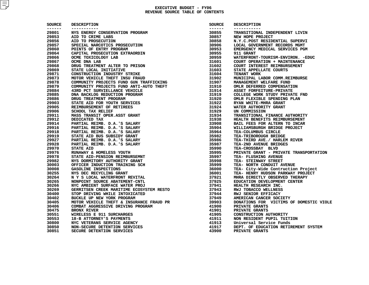| <b>SOURCE</b><br>------- | <b>DESCRIPTION</b>                                                                                                                                                               | SOURCE           | <b>DESCRIPTION</b>                            |
|--------------------------|----------------------------------------------------------------------------------------------------------------------------------------------------------------------------------|------------------|-----------------------------------------------|
| 29801                    | -----------<br>NYS ENERGY CONSERVATION PROGRAM                                                                                                                                   | -------<br>30855 | -----------<br>TRANSITIONAL INDEPENDENT LIVIN |
| 29853                    |                                                                                                                                                                                  | 30857            | NEW HOPE PROJECT                              |
| 29856                    | AID TO CRIME LABS<br>AID TO PROSECUTION                                                                                                                                          | 30858            | N.Y.C.POST RESIDENTIAL SUPERVI                |
| 29857                    | SPECIAL NARCOTICS PROSECUTION                                                                                                                                                    | 30906            | LOCAL GOVERNMENT RECORDS MGMT                 |
| 29860                    | POINTS OF ENTRY PROGRAM                                                                                                                                                          | 30953            | EMERGENCY MEDICAL SERVICES PGM                |
| 29864                    | CAPITAL PROSECUTION EXTRAORDIN                                                                                                                                                   | 30955            | 911 GRANT                                     |
| 29866                    |                                                                                                                                                                                  |                  | WATERFRONT-TOURISM-ENVIRON. - EDUC            |
| 29867                    |                                                                                                                                                                                  |                  | COURT OPERATION + MAINTENANCE                 |
| 29868                    |                                                                                                                                                                                  |                  | COURT INTEREST REIMBURSEMENT                  |
| 29869                    |                                                                                                                                                                                  |                  | STATE APPELLATE COURTS                        |
| 29871                    |                                                                                                                                                                                  |                  | TENANT WORK                                   |
| 29873                    |                                                                                                                                                                                  |                  | MUNICIPAL LABOR COMM.REIMBURSE                |
| 29878                    |                                                                                                                                                                                  |                  | MANAGEMENT WELFARE FUND                       |
| 29879                    |                                                                                                                                                                                  |                  | OMLR DEFERRED COMPENSATION                    |
| 29884                    |                                                                                                                                                                                  |                  | ASSET FORFEITURE-PRIVATE                      |
| 29885                    |                                                                                                                                                                                  |                  | COLLEGE WORK STUDY PRIVATE FND                |
| 29886                    |                                                                                                                                                                                  |                  | OMLR FLEXIBLE SPENDING PLAN                   |
| 29903                    |                                                                                                                                                                                  |                  | RYAN WHITE-MHRA GRANT                         |
| 29905                    |                                                                                                                                                                                  |                  |                                               |
|                          |                                                                                                                                                                                  |                  | WATER AUTHORITY GRANT                         |
| 29906                    |                                                                                                                                                                                  |                  | UN COMMISSION                                 |
| 29911                    |                                                                                                                                                                                  |                  | TRANSITIONAL FINANCE AUTHORITY                |
| 29912                    |                                                                                                                                                                                  |                  | HEALTH BENEFITS REIMBURSEMENT                 |
| 29914                    |                                                                                                                                                                                  |                  | BAIL FEES FOR ALTERN TO INCAR                 |
| 29916                    |                                                                                                                                                                                  |                  | WILLIAMSBURGH BRIDGE PROJECT                  |
| 29918                    |                                                                                                                                                                                  |                  | TEA-COLUMBUS CIRCLE                           |
| 29919                    | STATE AID BUS SUBSIDY GRANT                                                                                                                                                      | 35982            | TEA-TRIBOROUGH BRIDGE                         |
| 29927                    | PARTIAL REIMB. D.A.'S SALARY<br>$36$<br>$3792$<br>$3792$<br>$37941$<br>$37943$<br>$37944$<br>$37944$<br>$37949$<br>$39903$<br>$4190$                                             | 35986            | TEA-THIRD AVE./ HARLEM RIVER                  |
| 29928                    | PARTIAL REIMB. D.A.'S SALARY                                                                                                                                                     |                  | TEA-2ND AVENUE BRIDGES                        |
| 29970                    | <b>STATE AID</b>                                                                                                                                                                 |                  | TEA-CROSSBAY BLVD                             |
| 29976                    | RUNAWAY & HOMELESS YOUTH                                                                                                                                                         |                  | PRIVATE GRANT - PRIVATE TRANSPORTATI          |
| 29978                    | STATE AID-PENSION REIMBURSEMNT                                                                                                                                                   |                  | TEA- FLUSHING AVENUE                          |
| 29982                    | NYS DORMITORY AUTHORITY GRANT                                                                                                                                                    |                  | TEA- STEINWAY STREET                          |
| 30003                    | OFFICER INDUCTION TRAINING SCH                                                                                                                                                   |                  | TEA- NORTH CONDUIT AVENUE                     |
| 30008                    | <b>GASOLINE INSPECTIONS</b>                                                                                                                                                      |                  | TEA- City-Wide Contruction Project            |
| 30255                    | NYS DEC RECYCLING GRANT                                                                                                                                                          |                  | TEA- HENRY HUDSON PARKWAY PROJECT             |
| 30264                    | N Y S LOCAL WATERFRONT REVITAL                                                                                                                                                   |                  | MHRA DIRECTLY OBSERVED THERAPY                |
| 30265                    | NONPOINT SOURCE ABATEMENT-CNTL                                                                                                                                                   |                  | EDUCATION DEVELOPMENT CENTER                  |
| 30266                    | NYC AMBIENT SURFACE WATER PROJ                                                                                                                                                   |                  | HEALTH RESEARCH INC.                          |
| 30269                    |                                                                                                                                                                                  |                  | RWJ TOBACCO WELLNESS                          |
| 30400                    | STOP DRIVING WHILE INTOXICATED                                                                                                                                                   |                  | RWJ SENIOR EFFICACY                           |
| 30402                    | BUCKLE UP NEW YORK PROGRAM                                                                                                                                                       |                  | AMERICAN CANCER SOCIETY                       |
| 30405                    |                                                                                                                                                                                  |                  | DONATIONS FOR VICTIMS OF DOMESTIC V           |
| 30406                    |                                                                                                                                                                                  |                  | PRIVATE GRANTS                                |
| 30475                    |                                                                                                                                                                                  |                  | PRIVATE GRANTS                                |
| 30551                    |                                                                                                                                                                                  | 41905            | CONSTRUCTION AUTHORITY                        |
| 30553                    | MOTOR VEHICLE THEFT & INSURANCE FRAUD PR<br>COMBAT AGGRESSIVE DRIVING PROGRAM<br>BRONX RIVER<br>WIRELESS E 911 SURCHARGES<br>18-B ATTORNEY'S PAYMENTS<br>D-B ATTORNEY'S PAYMENTS | 41911            | NON RESIDENT PUPIL TUITION                    |
| 30800                    | NYC VETERANS SERVICE AGENCY                                                                                                                                                      | 41913            | Universal Service Funds                       |
| 30850                    | NON-SECURE DETENTION SERVICES                                                                                                                                                    | 41917            | DEPT. OF EDUCATION RETIREMENT SYSTEM          |
| 30851                    | SECURE DETENTION SERVICES                                                                                                                                                        | 43900            | PRIVATE GRANTS                                |
|                          |                                                                                                                                                                                  |                  |                                               |

| CE                  | <b>DESCRIPTION</b>                                                                           | SOURCE           | <b>DESCRIPTION</b>                            |
|---------------------|----------------------------------------------------------------------------------------------|------------------|-----------------------------------------------|
| $- -$<br>1          | -----------<br>NYS ENERGY CONSERVATION PROGRAM                                               | -------<br>30855 | -----------<br>TRANSITIONAL INDEPENDENT LIVIN |
| 3                   | AID TO CRIME LABS                                                                            | 30857            | NEW HOPE PROJECT                              |
| 6                   | AID TO PROSECUTION                                                                           | 30858            | N.Y.C.POST RESIDENTIAL SUPERVI                |
| 7                   | SPECIAL NARCOTICS PROSECUTION                                                                | 30906            | LOCAL GOVERNMENT RECORDS MGMT                 |
| 0                   | POINTS OF ENTRY PROGRAM                                                                      | 30953            | EMERGENCY MEDICAL SERVICES PGM                |
| 4                   | CAPITAL PROSECUTION EXTRAORDIN                                                               | 30955            | 911 GRANT                                     |
| 6                   | OCME TOXICOLOGY LAB                                                                          | 30959            | WATERFRONT-TOURISM-ENVIRON. - EDUC            |
| 7                   | <b>OCME DNA LAB</b>                                                                          | 31601            | COURT OPERATION + MAINTENANCE                 |
| 8                   | DRUG TREATMENT ALTER TO PRISON                                                               | 31602            | COURT INTEREST REIMBURSEMENT                  |
| 9                   | STATE LOCAL INITIATIVE                                                                       | 31603            | STATE APPELLATE COURTS                        |
| 1                   | <b>CONSTRUCTION INDUSTRY STRIKE</b>                                                          | 31604            | TENANT WORK                                   |
| 3                   | MOTOR VEHICLE THEFT INSU FRAUD                                                               | 31902            | MUNICIPAL LABOR COMM.REIMBURSE                |
| 8                   | COMMUNITY PROJECTS FUND GUN TRAFFICKING                                                      | 31907            | MANAGEMENT WELFARE FUND                       |
| 9                   | COMMUNITY PROJECTS FUND ANTI-AUTO THEFT                                                      | 31910            | OMLR DEFERRED COMPENSATION                    |
| 4                   | 43RD PCT SURVIELLANCE VEHICLE                                                                | 31914            | ASSET FORFEITURE-PRIVATE                      |
| 5                   | DNA BACKLOG REDUCTION PROGRAM                                                                | 31919            | COLLEGE WORK STUDY PRIVATE FND                |
| 6                   | DRUG TREATMENT PROGRAM                                                                       | 31920            | OMLR FLEXIBLE SPENDING PLAN                   |
|                     |                                                                                              | 31922            | RYAN WHITE-MHRA GRANT                         |
| 3<br>5              | <b>STATE AID FOR YOUTH SERVICES</b>                                                          | 31924            |                                               |
|                     | REIMBURSEMENT OF RETIREES                                                                    |                  | WATER AUTHORITY GRANT                         |
| 6                   | <b>SCHOOL TAX RELIEF</b>                                                                     | 31929            | UN COMMISSION                                 |
| 1<br>$\overline{a}$ | MASS TRANSIT OPER.ASST GRANT                                                                 | 31934            | TRANSITIONAL FINANCE AUTHORITY                |
|                     | DEDICATED TAX                                                                                | 31938            | HEALTH BENEFITS REIMBURSEMENT                 |
|                     | PARTIAL REIMB. D.A.'S SALARY                                                                 | 33908            | BAIL FEES FOR ALTERN TO INCAR                 |
| 6                   | PARTIAL REIMB. D.A.'S SALARY                                                                 | 35904            | WILLIAMSBURGH BRIDGE PROJECT                  |
| 8                   | PARTIAL REIMB. D.A.'S SALARY                                                                 | 35964            | TEA-COLUMBUS CIRCLE                           |
| 9                   | STATE AID BUS SUBSIDY GRANT                                                                  | 35982            | TEA-TRIBOROUGH BRIDGE                         |
| 7                   | PARTIAL REIMB. D.A.'S SALARY                                                                 | 35986            | TEA-THIRD AVE./ HARLEM RIVER                  |
| 8                   | PARTIAL REIMB. D.A.'S SALARY                                                                 | 35987            | TEA-2ND AVENUE BRIDGES                        |
| 0                   | <b>STATE AID</b>                                                                             | 35990            | TEA-CROSSBAY BLVD                             |
| 6                   | RUNAWAY & HOMELESS YOUTH                                                                     | 35995            | PRIVATE GRANT - PRIVATE TRANSPORTATION        |
| 8                   | STATE AID-PENSION REIMBURSEMNT                                                               | 35997            | TEA- FLUSHING AVENUE                          |
| 2                   | NYS DORMITORY AUTHORITY GRANT                                                                | 35998            | TEA- STEINWAY STREET                          |
| 3                   | OFFICER INDUCTION TRAINING SCH                                                               | 35999            | TEA- NORTH CONDUIT AVENUE                     |
| 8                   | GASOLINE INSPECTIONS                                                                         | 36000            | TEA- City-Wide Contruction Project            |
| 5                   | NYS DEC RECYCLING GRANT                                                                      | 36001            | TEA- HENRY HUDSON PARKWAY PROJECT             |
| 4                   | N Y S LOCAL WATERFRONT REVITAL                                                               | 37921            | MHRA DIRECTLY OBSERVED THERAPY                |
| 5                   | NONPOINT SOURCE ABATEMENT-CNTL                                                               | 37925            | EDUCATION DEVELOPMENT CENTER                  |
| 6                   | NYC AMBIENT SURFACE WATER PROJ                                                               | 37941            | HEALTH RESEARCH INC.                          |
| 9                   | GERRITSEN CREEK MARITIME ECOSYSTEM RESTO                                                     | 37943            | RWJ TOBACCO WELLNESS                          |
| 0                   | STOP DRIVING WHILE INTOXICATED                                                               | 37944            | RWJ SENIOR EFFICACY                           |
| 2                   | BUCKLE UP NEW YORK PROGRAM                                                                   | 37949            | AMERICAN CANCER SOCIETY                       |
| 5                   | MOTOR VEHICLE THEFT & INSURANCE FRAUD PR<br>COMBAT AGGRESSIVE DRIVING PROGRAM<br>BRONX RIVER | 39903            | DONATIONS FOR VICTIMS OF DOMESTIC VIOLE       |
| 6                   |                                                                                              | 41900            | PRIVATE GRANTS                                |
| 5                   | <b>BRONX RIVER</b>                                                                           | 41901            | PRIVATE GRANTS                                |
| 1                   | WIRELESS E 911 SURCHARGES                                                                    | 41905            | <b>CONSTRUCTION AUTHORITY</b>                 |
| 3                   | 18-B ATTORNEY'S PAYMENTS                                                                     | 41911            | NON RESIDENT PUPIL TUITION                    |
| 0                   | NYC VETERANS SERVICE AGENCY                                                                  | 41913            | Universal Service Funds                       |
| 0                   | NON-SECURE DETENTION SERVICES                                                                | 41917            | DEPT. OF EDUCATION RETIREMENT SYSTEM          |
|                     | SECURE DETENTION SERVICES                                                                    | 43900            | PRIVATE GRANTS                                |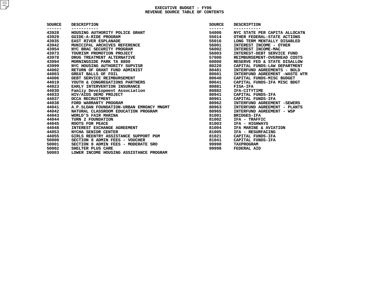| <b>SOURCE</b> | <b>DESCRIPTION</b>                       | SOURCE | <b>DESCRIPTION</b>             |
|---------------|------------------------------------------|--------|--------------------------------|
| ------        |                                          | ------ |                                |
| 43928         | HOUSING AUTHORITY POLICE GRANT           | 54000  | NYC STATE PER CAPITA ALLOCATN  |
| 43929         | GUIDE-A-RIDE PROGRAM                     | 55014  | OTHER FEDERAL-STATE ACTIONS    |
| 43935         | EAST RIVER ESPLANADE                     | 55016  | LONG TERM MENTALLY DISABLED    |
| 43942         | MUNICIPAL ARCHIVES REFERENCE             | 56001  | INTEREST INCOME - OTHER        |
| 43954         | NYC BRAC SECURITY PROGRAM                | 56002  | INTEREST INCOME-MAC            |
| 43973         | TOURISM PROMOTION PROJECT                | 56003  | INTEREST-DEBT SERVICE FUND     |
| 43978         | DRUG TREATMENT ALTERNATIVE               | 57000  | REIMBURSEMENT-OVERHEAD COSTS   |
| 43994         | MORNINGSIDE PARK TA 8800                 | 60000  | RESERVE FED & STATE DISALLOW   |
| 43999         | NYC HOUSING AUTHORITY SUPVISR            | 80220  | CAPITAL FUNDS-LAW DEPARTMENT   |
| 44002         | RETURN OF GRANT FUND ADMINIST            | 80481  | INTERFUND AGREEMENTS - BOLD    |
| 44003         | GREAT BALLS OF FOIL                      | 80601  | INTERFUND AGREEMENT -WASTE WTR |
| 44006         | DEBT SERVICE REIMBURSEMENT               | 80640  | CAPITAL FUNDS-MISC BUDGET      |
| 44019         | YOUTH & CONGREGATIONS PARTNERS           | 80641  | CAPITAL FUNDS-IFA MISC BDGT    |
| 44023         | EARLY INTERVENTION INSURANCE             | 80881  | <b>FISA-IFA</b>                |
| 44030         | Famliy Development Association           | 80882  | IFA-CITYTIME                   |
| 44033         | HIV/AIDS DEMO PROJECT                    | 80941  | CAPITAL FUNDS-IFA              |
| 44037         | <b>DCCA RECRUITMENT</b>                  | 80961  | CAPITAL FUNDS-IFA              |
| 44038         | FORD WARRANTY PROGRAM                    | 80962  | INTERFUND AGREEMENT -SEWERS    |
| 44041         | A.P.SLOAN FOUNDATION-URBAN EMRGNCY MNGMT | 80963  | INTERFUND AGREEMENT - PLANTS   |
| 44042         | NATURAL CLASSROOM EDUCATION PROGRAM      | 80965  | INTERFUND AGREEMENT - WSP      |
| 44043         | WORLD'S FAIR MARINA                      | 81001  | <b>BRIDGES-IFA</b>             |
| 44044         | TURN 2 FOUNDATION                        | 81002  | IFA - TRAFFIC                  |
| 44045         | ROOTS FOR PEACE                          | 81003  | IFA - HIGHWAYS                 |
| 44048         | INTEREST EXCHANGE AGREEMENT              | 81004  | IFA MARINE & AVIATION          |
| 44053         | NYCHA SENIOR CENTER                      | 81005  | IFA - RESURFACING              |
| 44055         | GIRLS REENTRY ASSISTANCE SUPPORT PGM     | 81021  | CAPITAL FUNDS-IFA              |
| 50000         | SECTION 8 ADMIN FEES - VOUCHER           | 81041  | CAPITAL FUNDS-IFA              |
| 50001         | SECTION 8 ADMIN FEES - MODERATE SRO      | 99990  | <b>TAXPROGRAM</b>              |
| 50002         | SHELTER PLUS CARE                        | 99998  | FEDERAL AID                    |
| 50003         | LOWER INCOME HOUSING ASSISTANCE PROGRAM  |        |                                |
|               |                                          |        |                                |
|               |                                          |        |                                |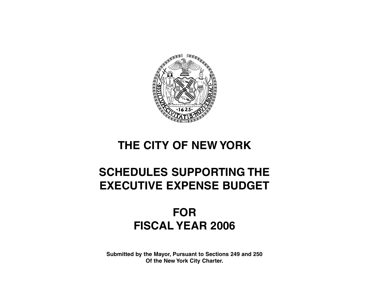

# **THE CITY OF NEW YORK**

# **SCHEDULES SUPPORTING THE EXECUTIVE EXPENSE BUDGET**

# **FOR FISCAL YEAR 2006**

**Submitted by the Mayor, Pursuant to Sections 249 and 250 Of the New York City Charter.**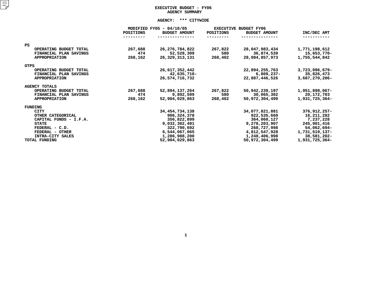## **EXECUTIVE BUDGET - FY06 AGENCY**

|                        |                  | AGENCY SUMMARY                                   |           |                                                      |                |
|------------------------|------------------|--------------------------------------------------|-----------|------------------------------------------------------|----------------|
|                        |                  |                                                  |           |                                                      |                |
|                        | <b>POSITIONS</b> | MODIFIED FY05 - 04/10/05<br><b>BUDGET AMOUNT</b> | POSITIONS | <b>EXECUTIVE BUDGET FY06</b><br><b>BUDGET AMOUNT</b> | INC/DEC AMT    |
|                        |                  |                                                  |           |                                                      |                |
| PS.                    |                  |                                                  |           |                                                      |                |
| OPERATING BUDGET TOTAL | 267,688          | 26, 276, 784, 822                                | 267,822   | 28,047,983,434                                       | 1,771,198,612  |
| FINANCIAL PLAN SAVINGS | 474              | 52,528,309                                       | 580       | 36,874,539                                           | 15,653,770-    |
| <b>APPROPRIATION</b>   | 268,162          | 26, 329, 313, 131                                | 268,402   | 28,084,857,973                                       | 1,755,544,842  |
| OTPS                   |                  |                                                  |           |                                                      |                |
| OPERATING BUDGET TOTAL |                  | 26,617,352,442                                   |           | 22,894,255,763                                       | 3,723,096,679- |
| FINANCIAL PLAN SAVINGS |                  | 42,635,710-                                      |           | $6,809,237-$                                         | 35,826,473     |
| <b>APPROPRIATION</b>   |                  | 26,574,716,732                                   |           | 22,887,446,526                                       | 3,687,270,206- |
| <b>AGENCY TOTALS</b>   |                  |                                                  |           |                                                      |                |
| OPERATING BUDGET TOTAL | 267,688          | 52,894,137,264                                   | 267,822   | 50,942,239,197                                       | 1,951,898,067- |
| FINANCIAL PLAN SAVINGS | 474              | 9,892,599                                        | 580       | 30,065,302                                           | 20,172,703     |
| <b>APPROPRIATION</b>   | 268,162          | 52,904,029,863                                   | 268,402   | 50,972,304,499                                       | 1,931,725,364- |
| FUNDING                |                  |                                                  |           |                                                      |                |
| CITY                   |                  | 34, 454, 734, 138                                |           | 34,077,821,881                                       | 376,912,257-   |
| OTHER CATEGORICAL      |                  | 906,324,378                                      |           | 922,535,660                                          | 16,211,282     |
| CAPITAL FUNDS - I.F.A. |                  | 356,822,899                                      |           | 364,060,127                                          | 7,237,228      |
| <b>STATE</b>           |                  | 9,032,302,491                                    |           | 9,278,203,907                                        | 245,901,416    |
| FEDERAL - C.D.         |                  | 322,790,692                                      |           | 268,727,998                                          | 54,062,694-    |
| FEDERAL - OTHER        |                  | 6,544,067,065                                    |           | 4,812,547,928                                        | 1,731,519,137- |
| INTRA-CITY SALES       |                  | 1,286,988,200                                    |           | 1,248,406,998                                        | 38,581,202-    |
| TOTAL FUNDING          |                  | 52,904,029,863                                   |           | 50,972,304,499                                       | 1,931,725,364- |
|                        |                  |                                                  |           |                                                      |                |
|                        |                  |                                                  |           |                                                      |                |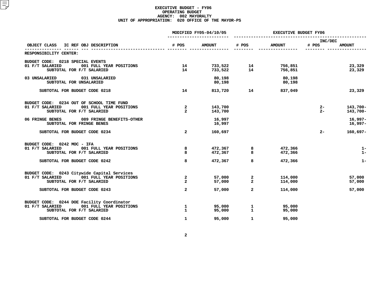|                                                                                                                                                         | MODIFIED FY05-04/10/05                         |                            |                                                        | EXECUTIVE BUDGET FY06         |                  |                            |  |
|---------------------------------------------------------------------------------------------------------------------------------------------------------|------------------------------------------------|----------------------------|--------------------------------------------------------|-------------------------------|------------------|----------------------------|--|
| IC REF OBJ DESCRIPTION<br>OBJECT CLASS                                                                                                                  | # POS                                          | <b>AMOUNT</b>              | # POS                                                  | <b>AMOUNT</b>                 | INC/DEC<br># POS | <b>AMOUNT</b>              |  |
| RESPONSIBILITY CENTER:                                                                                                                                  |                                                |                            |                                                        |                               |                  |                            |  |
| BUDGET CODE: 0218 SPECIAL EVENTS<br>001 FULL YEAR POSITIONS<br>01 F/T SALARIED<br>SUBTOTAL FOR F/T SALARIED                                             | 14<br>14                                       |                            | 733,522               14<br>733,522                 14 | 756,851<br>756,851            |                  | 23,329<br>23,329           |  |
| 03 UNSALARIED<br>031 UNSALARIED<br>SUBTOTAL FOR UNSALARIED                                                                                              |                                                | 80,198<br>80,198           |                                                        | 80,198<br>80,198              |                  |                            |  |
| SUBTOTAL FOR BUDGET CODE 0218                                                                                                                           | 14                                             | 813,720                    | $\overline{14}$                                        | 837,049                       |                  | 23,329                     |  |
| BUDGET CODE: 0234 OUT OF SCHOOL TIME FUND<br>001 FULL YEAR POSITIONS<br>01 F/T SALARIED<br>SUBTOTAL FOR F/T SALARIED                                    | $\overline{a}$<br>$\overline{a}$               | 143,700<br>143,700         |                                                        |                               | $2 -$<br>$2 -$   | 143,700-<br>143,700-       |  |
| 06 FRINGE BENES<br>089 FRINGE BENEFITS-OTHER<br>SUBTOTAL FOR FRINGE BENES                                                                               |                                                | 16,997<br>16,997           |                                                        |                               |                  | $16,997-$<br>$16,997-$     |  |
| SUBTOTAL FOR BUDGET CODE 0234                                                                                                                           | $\overline{a}$                                 | 160,697                    |                                                        |                               | $2 -$            | $160,697-$                 |  |
| BUDGET CODE: 0242 MOC - IFA<br>01 F/T SALARIED<br>001 FULL YEAR POSITIONS<br>SUBTOTAL FOR F/T SALARIED                                                  | 8<br>8                                         | 472,367<br>472,367         | 8<br>8                                                 | 472,366<br>472,366            |                  | $1-$<br>$1-$               |  |
| SUBTOTAL FOR BUDGET CODE 0242                                                                                                                           | 8                                              | 472,367                    | 8                                                      | 472,366                       |                  | $1-$                       |  |
| BUDGET CODE: 0243 Citywide Capital Services<br>001 FULL YEAR POSITIONS<br>01 F/T SALARIED<br>SUBTOTAL FOR F/T SALARIED<br>SUBTOTAL FOR BUDGET CODE 0243 | $\mathbf{2}$<br>$\mathbf{2}$<br>$\overline{a}$ | 57,000<br>57,000<br>57,000 | $\mathbf{2}$<br>$\overline{a}$<br>$\overline{a}$       | 114,000<br>114,000<br>114,000 |                  | 57,000<br>57,000<br>57,000 |  |
|                                                                                                                                                         |                                                |                            |                                                        |                               |                  |                            |  |
| BUDGET CODE: 0244 DOE Facility Coordinator<br>01 F/T SALARIED<br>001 FULL YEAR POSITIONS<br>SUBTOTAL FOR F/T SALARIED                                   | $\mathbf 1$<br>$\mathbf{1}$                    | 95,000<br>95,000           | 1<br>$\mathbf{1}$                                      | 95,000<br>95,000              |                  |                            |  |
| SUBTOTAL FOR BUDGET CODE 0244                                                                                                                           | $\mathbf{1}$                                   | 95,000                     | $\mathbf{1}$                                           | 95,000                        |                  |                            |  |
|                                                                                                                                                         |                                                |                            |                                                        |                               |                  |                            |  |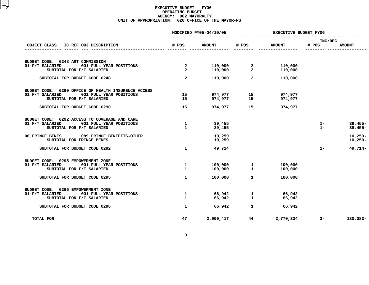|                                                                                                                                |                                 | MODIFIED FY05-04/10/05 | <b>EXECUTIVE BUDGET FY06</b>                 |                    |                  |                        |  |
|--------------------------------------------------------------------------------------------------------------------------------|---------------------------------|------------------------|----------------------------------------------|--------------------|------------------|------------------------|--|
| OBJECT CLASS IC REF OBJ DESCRIPTION                                                                                            | # POS                           | <b>AMOUNT</b>          | # POS                                        | <b>AMOUNT</b>      | INC/DEC<br># POS | <b>AMOUNT</b>          |  |
|                                                                                                                                |                                 |                        |                                              |                    |                  |                        |  |
| BUDGET CODE: 0248 ART COMMISSION<br>001 FULL YEAR POSITIONS<br>01 F/T SALARIED<br>SUBTOTAL FOR F/T SALARIED                    | $\frac{2}{2}$<br>$\overline{a}$ | 110,000                | $110,000$ 2<br>$110,000$ 2<br>$\overline{2}$ | 110,000<br>110,000 |                  |                        |  |
| SUBTOTAL FOR BUDGET CODE 0248                                                                                                  | $\overline{a}$                  | 110,000                | $\overline{a}$                               | 110,000            |                  |                        |  |
| BUDGET CODE: 0290 OFFICE OF HEALTH INSURENCE ACCESS<br>01 F/T SALARIED<br>001 FULL YEAR POSITIONS<br>SUBTOTAL FOR F/T SALARIED | 15<br>15                        | 974,977<br>974,977     | 15<br>$\overline{15}$                        | 974,977<br>974,977 |                  |                        |  |
| SUBTOTAL FOR BUDGET CODE 0290                                                                                                  | 15                              |                        | 974,977 15                                   | 974,977            |                  |                        |  |
| BUDGET CODE: 0292 ACCESS TO COVERAGE AND CARE<br>01 F/T SALARIED<br>001 FULL YEAR POSITIONS<br>SUBTOTAL FOR F/T SALARIED       | $\mathbf{1}$<br>$\mathbf{1}$    | 39,455<br>39,455       |                                              |                    | $1 -$<br>$1 -$   | $39,455-$<br>$39,455-$ |  |
| 06 FRINGE BENES<br>089 FRINGE BENEFITS-OTHER<br>SUBTOTAL FOR FRINGE BENES                                                      |                                 | 10,259<br>10,259       |                                              |                    |                  | $10,259-$<br>$10,259-$ |  |
| SUBTOTAL FOR BUDGET CODE 0292                                                                                                  | $\mathbf{1}$                    | 49,714                 |                                              |                    | $1 -$            | 49,714-                |  |
| BUDGET CODE: 0295 EMPOWERMENT ZONE<br>01 F/T SALARIED<br>001 FULL YEAR POSITIONS<br>SUBTOTAL FOR F/T SALARIED                  | $\mathbf{1}$<br>$\mathbf{1}$    | 100,000<br>100,000     | 1<br>$\mathbf{1}$                            | 100,000<br>100,000 |                  |                        |  |
| SUBTOTAL FOR BUDGET CODE 0295                                                                                                  | $\mathbf{1}$                    | 100,000                | $\mathbf{1}$                                 | 100,000            |                  |                        |  |
| BUDGET CODE: 0296 EMPOWERMENT ZONE<br>01 F/T SALARIED<br>001 FULL YEAR POSITIONS<br>SUBTOTAL FOR F/T SALARIED                  | $\mathbf{1}$<br>$\mathbf{1}$    | 66,942<br>66,942       | 1<br>$\mathbf{1}$                            | 66,942<br>66,942   |                  |                        |  |
| SUBTOTAL FOR BUDGET CODE 0296                                                                                                  | $\mathbf{1}$                    | 66,942                 | $\mathbf{1}$                                 | 66,942             |                  |                        |  |
| TOTAL FOR                                                                                                                      | 47                              | 2,900,417              | 44                                           | 2,770,334          | $3-$             | 130,083-               |  |
|                                                                                                                                |                                 |                        |                                              |                    |                  |                        |  |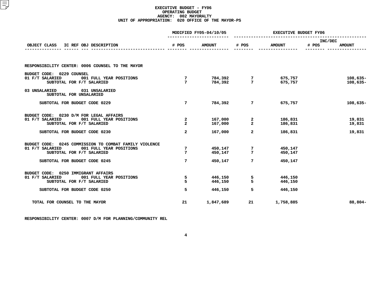|                                                                                                      |              | MODIFIED FY05-04/10/05 | <b>EXECUTIVE BUDGET FY06</b>                               |                        |                        |  |
|------------------------------------------------------------------------------------------------------|--------------|------------------------|------------------------------------------------------------|------------------------|------------------------|--|
|                                                                                                      |              |                        |                                                            |                        | INC/DEC                |  |
| IC REF OBJ DESCRIPTION<br>OBJECT CLASS                                                               | # POS        | <b>AMOUNT</b>          | # POS                                                      | <b>AMOUNT</b>          | # POS<br><b>AMOUNT</b> |  |
| RESPONSIBILITY CENTER: 0006 COUNSEL TO THE MAYOR                                                     |              |                        |                                                            |                        |                        |  |
| BUDGET CODE: 0229 COUNSEL<br>01 F/T SALARIED<br>001 FULL YEAR POSITIONS<br>SUBTOTAL FOR F/T SALARIED | 7<br>7       |                        | 784,392                   7<br>784,392                   7 | 675,757<br>675,757     | $108,635-$<br>108,635- |  |
| 03 UNSALARIED 031 UNSALARIED<br>SUBTOTAL FOR UNSALARIED                                              |              |                        |                                                            |                        |                        |  |
| SUBTOTAL FOR BUDGET CODE 0229                                                                        | $7^{\circ}$  | 784,392                |                                                            | $7$ and $7$<br>675,757 | 108,635-               |  |
| BUDGET CODE: 0230 D/M FOR LEGAL AFFAIRS<br>01 F/T SALARIED 001 FULL YEAR POSITIONS                   | $\mathbf{2}$ | 167,000                | 2                                                          | 186,831                | 19,831                 |  |
| SUBTOTAL FOR F/T SALARIED                                                                            | $\mathbf{2}$ | 167,000                | $\overline{a}$                                             | 186,831                | 19,831                 |  |
| SUBTOTAL FOR BUDGET CODE 0230                                                                        | $\mathbf{2}$ | 167,000                | $\overline{2}$                                             | 186,831                | 19,831                 |  |
| BUDGET CODE: 0245 COMMISSION TO COMBAT FAMILY VIOLENCE<br>01 F/T SALARIED 001 FULL YEAR POSITIONS    | 7            | 450,147                | 7                                                          | 450,147                |                        |  |
| SUBTOTAL FOR F/T SALARIED                                                                            | 7            | 450,147                | 7                                                          | 450,147                |                        |  |
| SUBTOTAL FOR BUDGET CODE 0245                                                                        | $7^{\circ}$  | 450,147                | $7^{\circ}$                                                | 450,147                |                        |  |
| BUDGET CODE: 0250 IMMIGRANT AFFAIRS                                                                  |              |                        |                                                            |                        |                        |  |
| 01 F/T SALARIED 001 FULL YEAR POSITIONS<br>SUBTOTAL FOR F/T SALARIED                                 | 5<br>5       | 446,150<br>446,150     | 5<br>5                                                     | 446,150<br>446,150     |                        |  |
| SUBTOTAL FOR BUDGET CODE 0250                                                                        | 5            | 446,150                | 5                                                          | 446,150                |                        |  |
| TOTAL FOR COUNSEL TO THE MAYOR                                                                       | 21           | 1,847,689              | 21                                                         | 1,758,885              | 88,804-                |  |
|                                                                                                      |              |                        |                                                            |                        |                        |  |

**RESPONSIBILITY CENTER: <sup>0007</sup> D/M FOR PLANNING/COMMUNITY REL**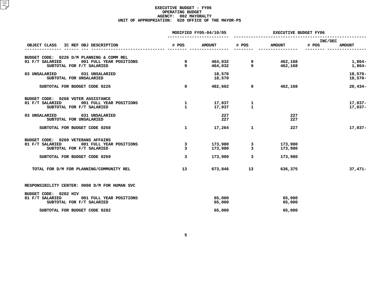|                                                                     |                | MODIFIED FY05-04/10/05 | <b>EXECUTIVE BUDGET FY06</b> |               |                                   |  |
|---------------------------------------------------------------------|----------------|------------------------|------------------------------|---------------|-----------------------------------|--|
| OBJECT CLASS IC REF OBJ DESCRIPTION                                 | # POS          | <b>AMOUNT</b>          | # POS                        | <b>AMOUNT</b> | INC/DEC<br># POS<br><b>AMOUNT</b> |  |
|                                                                     |                |                        |                              |               |                                   |  |
| BUDGET CODE: 0226 D/M PLANNING & COMM REL                           |                |                        |                              |               |                                   |  |
| 01 F/T SALARIED<br>001 FULL YEAR POSITIONS                          | 9              | 464,032                | 9                            | 462,168       | 1,864-                            |  |
| SUBTOTAL FOR F/T SALARIED                                           | 9              | 464,032                | 9                            | 462,168       | $1,864-$                          |  |
| 03 UNSALARIED 031 UNSALARIED                                        |                | 18,570                 |                              |               | $18,570-$                         |  |
| SUBTOTAL FOR UNSALARIED                                             |                | 18,570                 |                              |               | $18,570-$                         |  |
| SUBTOTAL FOR BUDGET CODE 0226                                       | 9              | 482,602                | 9                            | 462,168       | $20,434-$                         |  |
| BUDGET CODE: 0268 VOTER ASSISTANCE                                  |                |                        |                              |               |                                   |  |
| 01 F/T SALARIED<br>001 FULL YEAR POSITIONS                          | 1              | 17,037                 | 1                            |               | $17,037-$                         |  |
| SUBTOTAL FOR F/T SALARIED                                           | $\mathbf{1}$   | 17,037                 | $\mathbf{1}$                 |               | $17,037-$                         |  |
| 03 UNSALARIED<br>031 UNSALARIED                                     |                | 227                    |                              | 227           |                                   |  |
| SUBTOTAL FOR UNSALARIED                                             |                | 227                    |                              | 227           |                                   |  |
| SUBTOTAL FOR BUDGET CODE 0268                                       | $\mathbf{1}$   | 17,264                 | $\mathbf{1}$                 | 227           | $17,037-$                         |  |
| BUDGET CODE: 0269 VETERANS AFFAIRS                                  |                |                        |                              |               |                                   |  |
| 01 F/T SALARIED<br>001 FULL YEAR POSITIONS                          | 3              | 173,980                | 3                            | 173,980       |                                   |  |
| SUBTOTAL FOR F/T SALARIED                                           | $\mathbf{3}$   | 173,980                | 3                            | 173,980       |                                   |  |
| SUBTOTAL FOR BUDGET CODE 0269                                       | $\overline{3}$ | 173,980                | $\mathbf{3}$                 | 173,980       |                                   |  |
| TOTAL FOR D/M FOR PLANNING/COMMUNITY REL                            | 13             | 673,846                | 13                           | 636,375       | $37,471-$                         |  |
| RESPONSIBILITY CENTER: 0008 D/M FOR HUMAN SVC                       |                |                        |                              |               |                                   |  |
|                                                                     |                |                        |                              |               |                                   |  |
| BUDGET CODE: 0282 HIV<br>01 F/T SALARIED<br>001 FULL YEAR POSITIONS |                | 65,000                 |                              | 65,000        |                                   |  |
| SUBTOTAL FOR F/T SALARIED                                           |                | 65,000                 |                              | 65,000        |                                   |  |
| SUBTOTAL FOR BUDGET CODE 0282                                       |                | 65,000                 |                              | 65,000        |                                   |  |
|                                                                     |                |                        |                              |               |                                   |  |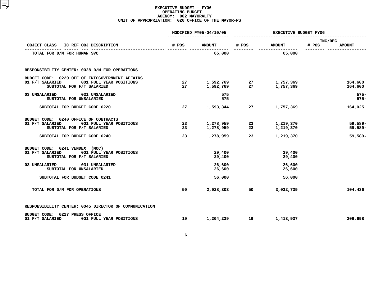|                                                                                                                            |          | MODIFIED FY05-04/10/05 | <b>EXECUTIVE BUDGET FY06</b> |                        |                                   |  |  |
|----------------------------------------------------------------------------------------------------------------------------|----------|------------------------|------------------------------|------------------------|-----------------------------------|--|--|
| OBJECT CLASS IC REF OBJ DESCRIPTION                                                                                        | # POS    | <b>AMOUNT</b>          | # POS                        | <b>AMOUNT</b>          | INC/DEC<br># POS<br><b>AMOUNT</b> |  |  |
| TOTAL FOR D/M FOR HUMAN SVC                                                                                                |          | 65,000                 | --------                     | 65,000                 |                                   |  |  |
| RESPONSIBILITY CENTER: 0028 D/M FOR OPERATIONS                                                                             |          |                        |                              |                        |                                   |  |  |
| BUDGET CODE: 0220 OFF OF INTGGOVERNMENT AFFAIRS<br>01 F/T SALARIED<br>001 FULL YEAR POSITIONS<br>SUBTOTAL FOR F/T SALARIED | 27<br>27 | 1,592,769<br>1,592,769 | 27<br>27                     | 1,757,369<br>1,757,369 | 164,600<br>164,600                |  |  |
| 03 UNSALARIED<br>031 UNSALARIED<br>SUBTOTAL FOR UNSALARIED                                                                 |          | 575<br>575             |                              |                        | $575-$<br>$575 -$                 |  |  |
| SUBTOTAL FOR BUDGET CODE 0220                                                                                              | 27       | 1,593,344              | 27                           | 1,757,369              | 164,025                           |  |  |
| BUDGET CODE: 0240 OFFICE OF CONTRACTS<br>001 FULL YEAR POSITIONS<br>01 F/T SALARIED<br>SUBTOTAL FOR F/T SALARIED           | 23<br>23 | 1,278,959<br>1,278,959 | 23<br>23                     | 1,219,370<br>1,219,370 | $59,589-$<br>$59,589-$            |  |  |
| SUBTOTAL FOR BUDGET CODE 0240                                                                                              | 23       | 1,278,959              | 23                           | 1,219,370              | 59,589-                           |  |  |
| BUDGET CODE: 0241 VENDEX (MOC)<br>01 F/T SALARIED<br>001 FULL YEAR POSITIONS<br>SUBTOTAL FOR F/T SALARIED                  |          | 29,400<br>29,400       |                              | 29,400<br>29,400       |                                   |  |  |
| 031 UNSALARIED<br>03 UNSALARIED<br>SUBTOTAL FOR UNSALARIED                                                                 |          | 26,600<br>26,600       |                              | 26,600<br>26,600       |                                   |  |  |
| SUBTOTAL FOR BUDGET CODE 0241                                                                                              |          | 56,000                 |                              | 56,000                 |                                   |  |  |
| TOTAL FOR D/M FOR OPERATIONS                                                                                               | 50       | 2,928,303              | 50                           | 3,032,739              | 104,436                           |  |  |
| RESPONSIBILITY CENTER: 0045 DIRECTOR OF COMMUNICATION                                                                      |          |                        |                              |                        |                                   |  |  |
| BUDGET CODE: 0227 PRESS OFFICE<br>01 F/T SALARIED<br>001 FULL YEAR POSITIONS                                               | 19       | 1,204,239              | 19                           | 1,413,937              | 209,698                           |  |  |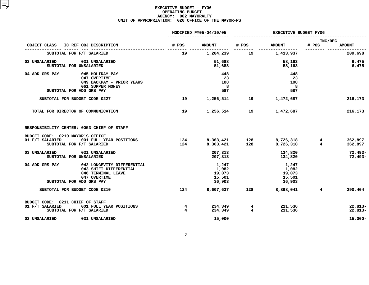|                                                                                                                                |                                                                                            |                     | MODIFIED FY05-04/10/05                       | <b>EXECUTIVE BUDGET FY06</b> |                                              |                               |                                      |
|--------------------------------------------------------------------------------------------------------------------------------|--------------------------------------------------------------------------------------------|---------------------|----------------------------------------------|------------------------------|----------------------------------------------|-------------------------------|--------------------------------------|
| OBJECT CLASS                                                                                                                   | IC REF OBJ DESCRIPTION                                                                     | # POS               | <b>AMOUNT</b>                                | # POS                        | <b>AMOUNT</b>                                | INC/DEC<br># POS              | <b>AMOUNT</b>                        |
| SUBTOTAL FOR F/T SALARIED                                                                                                      |                                                                                            | 19                  | 1,204,239                                    | 19                           | --------------<br>1,413,937                  |                               | 209,698                              |
| 03 UNSALARIED<br>SUBTOTAL FOR UNSALARIED                                                                                       | 031 UNSALARIED                                                                             |                     | 51,688<br>51,688                             |                              | 58,163<br>58,163                             |                               | 6,475<br>6,475                       |
| 04 ADD GRS PAY<br>SUBTOTAL FOR ADD GRS PAY                                                                                     | 045 HOLIDAY PAY<br>047 OVERTIME<br>049 BACKPAY - PRIOR YEARS<br>061 SUPPER MONEY           |                     | 448<br>23<br>108<br>8<br>587                 |                              | 448<br>23<br>108<br>8<br>587                 |                               |                                      |
| SUBTOTAL FOR BUDGET CODE 0227                                                                                                  |                                                                                            | 19                  | 1,256,514                                    | 19                           | 1,472,687                                    |                               | 216,173                              |
| TOTAL FOR DIRECTOR OF COMMUNICATION                                                                                            |                                                                                            | 19                  | 1,256,514                                    | 19                           | 1,472,687                                    |                               | 216,173                              |
| RESPONSIBILITY CENTER: 0053 CHIEF OF STAFF<br>BUDGET CODE: 0210 MAYOR'S OFFICE<br>01 F/T SALARIED<br>SUBTOTAL FOR F/T SALARIED | 001 FULL YEAR POSITIONS                                                                    | 124<br>124          | 8,363,421<br>8,363,421                       | 128<br>128                   | 8,726,318<br>° 726.318<br>8,726,318          | $4^{\circ}$<br>$\overline{4}$ | 362,897<br>362,897                   |
| 03 UNSALARIED<br>SUBTOTAL FOR UNSALARIED                                                                                       | 031 UNSALARIED                                                                             |                     | 207,313<br>207,313                           |                              | 134,820<br>134,820                           |                               | $72,493-$<br>72,493-                 |
| 04 ADD GRS PAY<br>SUBTOTAL FOR ADD GRS PAY                                                                                     | 042 LONGEVITY DIFFERENTIAL<br>043 SHIFT DIFFERENTIAL<br>046 TERMINAL LEAVE<br>047 OVERTIME |                     | 1,247<br>1,082<br>19,073<br>15,501<br>36,903 |                              | 1,247<br>1,082<br>19,073<br>15,501<br>36,903 |                               |                                      |
| SUBTOTAL FOR BUDGET CODE 0210                                                                                                  |                                                                                            | 124                 | 8,607,637                                    | 128                          | 8,898,041                                    | $4^{\circ}$                   | 290,404                              |
| BUDGET CODE: 0211 CHIEF OF STAFF<br>01 F/T SALARIED<br>SUBTOTAL FOR F/T SALARIED<br>03 UNSALARIED                              | 001 FULL YEAR POSITIONS<br>031 UNSALARIED                                                  | 4<br>$\overline{4}$ | 234,349<br>234,349<br>15,000                 | 4<br>$\overline{4}$          | 211,536<br>211,536                           |                               | $22,813-$<br>$22,813-$<br>$15,000 -$ |
|                                                                                                                                |                                                                                            |                     |                                              |                              |                                              |                               |                                      |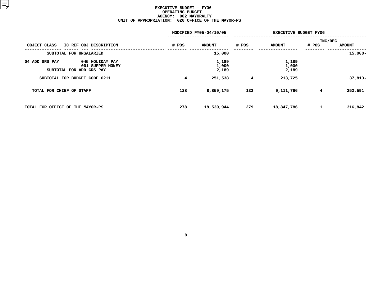|                                                                                   | MODIFIED FY05-04/10/05 |                         |       | <b>EXECUTIVE BUDGET FY06</b> |                |               |  |  |
|-----------------------------------------------------------------------------------|------------------------|-------------------------|-------|------------------------------|----------------|---------------|--|--|
|                                                                                   |                        |                         |       |                              | <b>INC/DEC</b> |               |  |  |
| IC REF OBJ DESCRIPTION<br>OBJECT CLASS                                            | # POS                  | <b>AMOUNT</b>           | # POS | <b>AMOUNT</b>                | # POS          | <b>AMOUNT</b> |  |  |
| SUBTOTAL FOR UNSALARIED                                                           |                        | 15,000                  |       |                              |                | $15,000 -$    |  |  |
| 045 HOLIDAY PAY<br>04 ADD GRS PAY<br>061 SUPPER MONEY<br>SUBTOTAL FOR ADD GRS PAY |                        | 1,189<br>1,000<br>2,189 |       | 1,189<br>1,000<br>2,189      |                |               |  |  |
| SUBTOTAL FOR BUDGET CODE 0211                                                     | 4                      | 251,538                 | 4     | 213,725                      |                | $37,813-$     |  |  |
| TOTAL FOR CHIEF OF STAFF                                                          | 128                    | 8,859,175               | 132   | 9,111,766                    | 4              | 252,591       |  |  |
| TOTAL FOR OFFICE OF THE MAYOR-PS                                                  | 278                    | 18,530,944              | 279   | 18,847,786                   | 1              | 316,842       |  |  |
|                                                                                   |                        |                         |       |                              |                |               |  |  |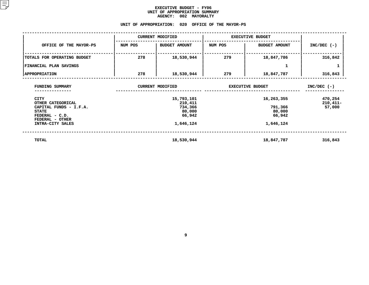#### **EXECUTIVE BUDGET - FY06 UNIT OF APPROPRIATION SUMMARY AGENCY:**

# AGENCY: 002 MAYORALTY<br>UNIT OF APPROPRIATION: 020 OFFICE OF

|                                                                                                                 |         | <b>CURRENT MODIFIED</b>                              | <b>EXECUTIVE BUDGET</b> |                                           |                                 |
|-----------------------------------------------------------------------------------------------------------------|---------|------------------------------------------------------|-------------------------|-------------------------------------------|---------------------------------|
| OFFICE OF THE MAYOR-PS                                                                                          | NUM POS | <b>BUDGET AMOUNT</b>                                 | NUM POS                 | <b>BUDGET AMOUNT</b>                      | $INC/DEC$ (-)                   |
| TOTALS FOR OPERATING BUDGET                                                                                     | 278     | 18,530,944                                           | 279                     | 18,847,786                                | 316,842                         |
| FINANCIAL PLAN SAVINGS                                                                                          |         |                                                      |                         | 1                                         | 1                               |
| <b>APPROPRIATION</b>                                                                                            | 278     | 18,530,944                                           | 279                     | 18,847,787                                | 316,843                         |
| FUNDING SUMMARY                                                                                                 |         | <b>CURRENT MODIFIED</b>                              |                         | <b>EXECUTIVE BUDGET</b>                   | $INC/DEC$ (-)                   |
| <b>CITY</b><br>OTHER CATEGORICAL<br>CAPITAL FUNDS - I.F.A.<br><b>STATE</b><br>FEDERAL - C.D.<br>FEDERAL - OTHER |         | 15,793,101<br>210,411<br>734,366<br>80,000<br>66,942 |                         | 16,263,355<br>791,366<br>80,000<br>66,942 | 470,254<br>$210,411-$<br>57,000 |
| INTRA-CITY SALES                                                                                                |         | 1,646,124                                            |                         | 1,646,124                                 |                                 |
| TOTAL                                                                                                           |         | 18,530,944                                           |                         | 18,847,787                                | 316,843                         |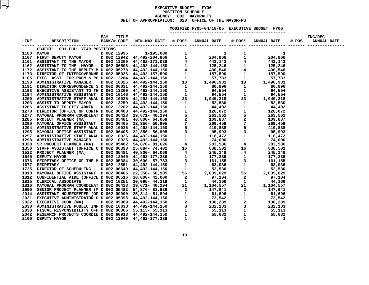#### **EXECUTIVE BUDGET - FY06 POSITIONN SCHEDULE<br>02 MAYORA<br>020 OFFIC AGENCY: <sup>002</sup> MAYORALTY UNITOF APPROPRIATION: <sup>020</sup> OFFICE OF THE MAYOR-PS MODIFIED**

**FY05-04/10/05 EXECUTIVE BUDGET FY06 -----------------------**

| OBJECT: 001 FULL YEAR POSITIONS                                                                                                                                                                                                   |  |  |  |  |  |
|-----------------------------------------------------------------------------------------------------------------------------------------------------------------------------------------------------------------------------------|--|--|--|--|--|
|                                                                                                                                                                                                                                   |  |  |  |  |  |
|                                                                                                                                                                                                                                   |  |  |  |  |  |
|                                                                                                                                                                                                                                   |  |  |  |  |  |
|                                                                                                                                                                                                                                   |  |  |  |  |  |
|                                                                                                                                                                                                                                   |  |  |  |  |  |
|                                                                                                                                                                                                                                   |  |  |  |  |  |
|                                                                                                                                                                                                                                   |  |  |  |  |  |
|                                                                                                                                                                                                                                   |  |  |  |  |  |
|                                                                                                                                                                                                                                   |  |  |  |  |  |
|                                                                                                                                                                                                                                   |  |  |  |  |  |
|                                                                                                                                                                                                                                   |  |  |  |  |  |
|                                                                                                                                                                                                                                   |  |  |  |  |  |
|                                                                                                                                                                                                                                   |  |  |  |  |  |
|                                                                                                                                                                                                                                   |  |  |  |  |  |
|                                                                                                                                                                                                                                   |  |  |  |  |  |
|                                                                                                                                                                                                                                   |  |  |  |  |  |
|                                                                                                                                                                                                                                   |  |  |  |  |  |
|                                                                                                                                                                                                                                   |  |  |  |  |  |
|                                                                                                                                                                                                                                   |  |  |  |  |  |
|                                                                                                                                                                                                                                   |  |  |  |  |  |
|                                                                                                                                                                                                                                   |  |  |  |  |  |
|                                                                                                                                                                                                                                   |  |  |  |  |  |
|                                                                                                                                                                                                                                   |  |  |  |  |  |
|                                                                                                                                                                                                                                   |  |  |  |  |  |
|                                                                                                                                                                                                                                   |  |  |  |  |  |
|                                                                                                                                                                                                                                   |  |  |  |  |  |
|                                                                                                                                                                                                                                   |  |  |  |  |  |
|                                                                                                                                                                                                                                   |  |  |  |  |  |
|                                                                                                                                                                                                                                   |  |  |  |  |  |
|                                                                                                                                                                                                                                   |  |  |  |  |  |
|                                                                                                                                                                                                                                   |  |  |  |  |  |
|                                                                                                                                                                                                                                   |  |  |  |  |  |
|                                                                                                                                                                                                                                   |  |  |  |  |  |
|                                                                                                                                                                                                                                   |  |  |  |  |  |
|                                                                                                                                                                                                                                   |  |  |  |  |  |
|                                                                                                                                                                                                                                   |  |  |  |  |  |
|                                                                                                                                                                                                                                   |  |  |  |  |  |
|                                                                                                                                                                                                                                   |  |  |  |  |  |
|                                                                                                                                                                                                                                   |  |  |  |  |  |
|                                                                                                                                                                                                                                   |  |  |  |  |  |
|                                                                                                                                                                                                                                   |  |  |  |  |  |
|                                                                                                                                                                                                                                   |  |  |  |  |  |
| LIME (1982)<br>1982 - 1982–2017 - 1982 - 1982 - 1982 - 1982 - 1982 - 1982 - 1982 - 1982 - 1982 - 1982 - 1982 - 1982<br>11100 MATERIX 100 1992 - 1982 - 1982 - 1982 - 1982 - 1982 - 1982 - 1982 - 1982 - 1982 - 1982 - 1982 - 1982 |  |  |  |  |  |
|                                                                                                                                                                                                                                   |  |  |  |  |  |
|                                                                                                                                                                                                                                   |  |  |  |  |  |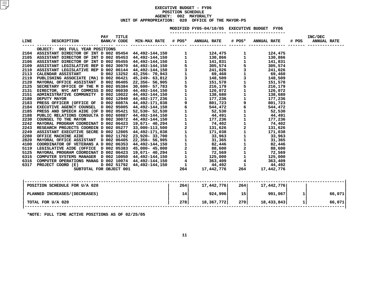|             |                                                                                                                                                                                                                                     |                     |  | MODIFIED FY05-04/10/05 EXECUTIVE BUDGET FY06 |  |                              |  |
|-------------|-------------------------------------------------------------------------------------------------------------------------------------------------------------------------------------------------------------------------------------|---------------------|--|----------------------------------------------|--|------------------------------|--|
| <b>LINE</b> | DESCRIPTION              BANK/# CODE    MIN-MAX  RATE     #  POS*     ANNUAL  RATE       #  POS*     ANNUAL  RATE                                                                                                                   | <b>TITLE</b><br>PAY |  | --------------------- ----------------       |  | INC/DEC<br># POS ANNUAL RATE |  |
|             | OBJECT: 001 FULL YEAR POSITIONS                                                                                                                                                                                                     |                     |  |                                              |  |                              |  |
|             |                                                                                                                                                                                                                                     |                     |  |                                              |  |                              |  |
|             |                                                                                                                                                                                                                                     |                     |  |                                              |  |                              |  |
|             |                                                                                                                                                                                                                                     |                     |  |                                              |  |                              |  |
|             |                                                                                                                                                                                                                                     |                     |  |                                              |  |                              |  |
|             |                                                                                                                                                                                                                                     |                     |  |                                              |  |                              |  |
|             |                                                                                                                                                                                                                                     |                     |  |                                              |  |                              |  |
|             |                                                                                                                                                                                                                                     |                     |  |                                              |  |                              |  |
|             |                                                                                                                                                                                                                                     |                     |  |                                              |  |                              |  |
|             |                                                                                                                                                                                                                                     |                     |  |                                              |  |                              |  |
|             |                                                                                                                                                                                                                                     |                     |  |                                              |  |                              |  |
|             |                                                                                                                                                                                                                                     |                     |  |                                              |  |                              |  |
|             |                                                                                                                                                                                                                                     |                     |  |                                              |  |                              |  |
|             |                                                                                                                                                                                                                                     |                     |  |                                              |  |                              |  |
|             |                                                                                                                                                                                                                                     |                     |  |                                              |  |                              |  |
|             |                                                                                                                                                                                                                                     |                     |  |                                              |  |                              |  |
|             |                                                                                                                                                                                                                                     |                     |  |                                              |  |                              |  |
|             |                                                                                                                                                                                                                                     |                     |  |                                              |  |                              |  |
|             |                                                                                                                                                                                                                                     |                     |  |                                              |  |                              |  |
|             |                                                                                                                                                                                                                                     |                     |  |                                              |  |                              |  |
|             |                                                                                                                                                                                                                                     |                     |  |                                              |  |                              |  |
|             |                                                                                                                                                                                                                                     |                     |  |                                              |  |                              |  |
|             |                                                                                                                                                                                                                                     |                     |  |                                              |  |                              |  |
|             |                                                                                                                                                                                                                                     |                     |  |                                              |  |                              |  |
|             |                                                                                                                                                                                                                                     |                     |  |                                              |  |                              |  |
|             |                                                                                                                                                                                                                                     |                     |  |                                              |  |                              |  |
|             |                                                                                                                                                                                                                                     |                     |  |                                              |  |                              |  |
|             |                                                                                                                                                                                                                                     |                     |  |                                              |  |                              |  |
|             |                                                                                                                                                                                                                                     |                     |  |                                              |  |                              |  |
|             |                                                                                                                                                                                                                                     |                     |  |                                              |  |                              |  |
|             | 2104 ASSISTANT DIRECTOR OF INTO 1006 05453 44.492-1444.150 1<br>2104 ASSISTANT DIRECTOR OF INT DIRECTOR - 1.24444.150 1<br>2105 ASSISTANT DIRECTOR OF INT DIRECTOR 1654 44.492-1444.150 1<br>2105 ASSISTANT DIRECTOR OF INT DIRECTO |                     |  |                                              |  |                              |  |
|             |                                                                                                                                                                                                                                     |                     |  |                                              |  |                              |  |

| POSITION SCHEDULE FOR U/A 020 | 264 | 17,442,776 | 264             | 17,442,776 |        |
|-------------------------------|-----|------------|-----------------|------------|--------|
| PLANNED INCREASES/(DECREASES) | 14  | 924,996    | 15 <sup>1</sup> | 991,067    | 66,071 |
| TOTAL FOR U/A 020             | 278 | 18,367,772 | 279             | 18,433,843 | 66,071 |
| ______ _ _ __ _ _ _ _ _       |     |            |                 |            |        |

**\*NOTE: FULL TIME ACTIVE POSITIONS AS OF 02/25/05**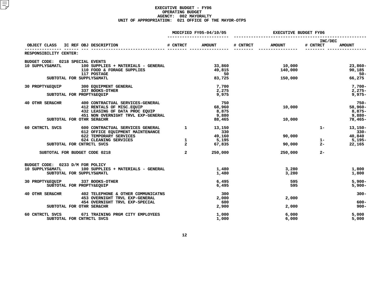|                                     |                                                               |                | MODIFIED FY05-04/10/05 | <b>EXECUTIVE BUDGET FY06</b> |                |                     |                |  |
|-------------------------------------|---------------------------------------------------------------|----------------|------------------------|------------------------------|----------------|---------------------|----------------|--|
| OBJECT CLASS IC REF OBJ DESCRIPTION |                                                               | # CNTRCT       | <b>AMOUNT</b>          | # CNTRCT                     | <b>AMOUNT</b>  | INC/DEC<br># CNTRCT | <b>AMOUNT</b>  |  |
| RESPONSIBILITY CENTER:              |                                                               |                |                        |                              |                |                     |                |  |
| BUDGET CODE: 0218 SPECIAL EVENTS    |                                                               |                |                        |                              |                |                     |                |  |
| 10 SUPPLYS&MATL                     | 100 SUPPLIES + MATERIALS - GENERAL                            |                | 33,860                 |                              | 10,000         |                     | $23,860 -$     |  |
|                                     | 110 FOOD & FORAGE SUPPLIES                                    |                | 49,815                 |                              | 140,000        |                     | 90,185         |  |
|                                     | 117 POSTAGE                                                   |                | 50                     |                              |                |                     | $50 -$         |  |
|                                     | SUBTOTAL FOR SUPPLYS&MATL                                     |                | 83,725                 |                              | 150,000        |                     | 66,275         |  |
| 30 PROPTY&EQUIP                     | 300 EQUIPMENT GENERAL                                         |                | 7,700                  |                              |                |                     | $7,700-$       |  |
|                                     | 337 BOOKS-OTHER                                               |                | 2,275                  |                              |                |                     | $2,275-$       |  |
|                                     | SUBTOTAL FOR PROPTY&EQUIP                                     |                | 9,975                  |                              |                |                     | $9,975 -$      |  |
| <b>40 OTHR SER&amp;CHR</b>          | 400 CONTRACTUAL SERVICES-GENERAL                              |                | 750                    |                              |                |                     | $750 -$        |  |
|                                     | 412 RENTALS OF MISC. EQUIP                                    |                | 68,960                 |                              | 10,000         |                     | $58,960 -$     |  |
|                                     | 432 LEASING OF DATA PROC EQUIP                                |                | 8,875                  |                              |                |                     | $8,875-$       |  |
|                                     | 451 NON OVERNIGHT TRVL EXP-GENERAL                            |                | 9,880                  |                              |                |                     | $9,880 -$      |  |
|                                     | SUBTOTAL FOR OTHR SER&CHR                                     |                | 88,465                 |                              | 10,000         |                     | $78,465-$      |  |
| 60 CNTRCTL SVCS                     | 600 CONTRACTUAL SERVICES GENERAL                              | $\mathbf{1}$   | 13,150                 |                              |                | $1 -$               | $13,150-$      |  |
|                                     | 612 OFFICE EQUIPMENT MAINTENANCE                              |                | 330                    |                              |                |                     | $330 -$        |  |
|                                     | 622 TEMPORARY SERVICES                                        |                | 49,160                 |                              | 90,000         |                     | 40,840         |  |
|                                     | 624 CLEANING SERVICES                                         | $\mathbf{1}$   | 5,195                  |                              |                | $1 -$               | $5,195-$       |  |
|                                     | SUBTOTAL FOR CNTRCTL SVCS                                     | $\overline{a}$ | 67,835                 |                              | 90,000         | $2 -$               | 22,165         |  |
| SUBTOTAL FOR BUDGET CODE 0218       |                                                               | $\overline{a}$ | 250,000                |                              | 250,000        | $2 -$               |                |  |
| BUDGET CODE: 0233 D/M FOR POLICY    |                                                               |                |                        |                              |                |                     |                |  |
| 10 SUPPLYS&MATL                     | 100 SUPPLIES + MATERIALS - GENERAL                            |                | 1,480                  |                              | 3,280          |                     | 1,800          |  |
|                                     | SUBTOTAL FOR SUPPLYS&MATL                                     |                | 1,480                  |                              | 3,280          |                     | 1,800          |  |
| 30 PROPTY&EQUIP 337 BOOKS-OTHER     |                                                               |                | 6,495                  |                              | 595            |                     | $5,900 -$      |  |
|                                     | SUBTOTAL FOR PROPTY&EQUIP                                     |                | 6,495                  |                              | 595            |                     | $5,900-$       |  |
| 40 OTHR SER&CHR                     | 402 TELEPHONE & OTHER COMMUNICATNS                            |                | 300                    |                              |                |                     | $300 -$        |  |
|                                     | 453 OVERNIGHT TRVL EXP-GENERAL                                |                | 2,000                  |                              | 2,000          |                     |                |  |
|                                     | 454 OVERNIGHT TRVL EXP-SPECIAL                                |                | 600                    |                              |                |                     | 600-           |  |
|                                     | SUBTOTAL FOR OTHR SER&CHR                                     |                | 2,900                  |                              | 2,000          |                     | $900 -$        |  |
|                                     |                                                               |                |                        |                              |                |                     |                |  |
| 60 CNTRCTL SVCS                     | 671 TRAINING PRGM CITY EMPLOYEES<br>SUBTOTAL FOR CNTRCTL SVCS |                | 1,000<br>1,000         |                              | 6,000<br>6,000 |                     | 5,000<br>5,000 |  |
|                                     |                                                               |                |                        |                              |                |                     |                |  |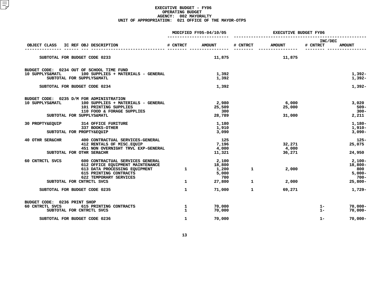|                                                                                  |                                                                                                                                                                                        |                                   | MODIFIED FY05-04/10/05                             | <b>EXECUTIVE BUDGET FY06</b> |                           |                         |                                                                     |  |
|----------------------------------------------------------------------------------|----------------------------------------------------------------------------------------------------------------------------------------------------------------------------------------|-----------------------------------|----------------------------------------------------|------------------------------|---------------------------|-------------------------|---------------------------------------------------------------------|--|
| OBJECT CLASS                                                                     | IC REF OBJ DESCRIPTION                                                                                                                                                                 | # CNTRCT                          | <b>AMOUNT</b>                                      | # CNTRCT                     | <b>AMOUNT</b>             | INC/DEC<br># CNTRCT     | <b>AMOUNT</b>                                                       |  |
| SUBTOTAL FOR BUDGET CODE 0233                                                    |                                                                                                                                                                                        |                                   | 11,875                                             |                              | 11,875                    |                         |                                                                     |  |
| BUDGET CODE: 0234 OUT OF SCHOOL TIME FUND<br>10 SUPPLYS&MATL                     | 100 SUPPLIES + MATERIALS - GENERAL<br>SUBTOTAL FOR SUPPLYS&MATL                                                                                                                        |                                   | 1,392<br>1,392                                     |                              |                           |                         | $1,392-$<br>$1,392-$                                                |  |
| SUBTOTAL FOR BUDGET CODE 0234                                                    |                                                                                                                                                                                        |                                   | 1,392                                              |                              |                           |                         | $1,392-$                                                            |  |
| BUDGET CODE: 0235 D/M FOR ADMINISTRATION<br>10 SUPPLYS&MATL                      | 100 SUPPLIES + MATERIALS - GENERAL<br>101 PRINTING SUPPLIES<br>110 FOOD & FORAGE SUPPLIES<br>SUBTOTAL FOR SUPPLYS&MATL                                                                 |                                   | 2,980<br>25,509<br>300<br>28,789                   |                              | 6,000<br>25,000<br>31,000 |                         | 3,020<br>$509 -$<br>$300 -$<br>2,211                                |  |
| 30 PROPTY&EQUIP                                                                  | 314 OFFICE FURITURE<br>337 BOOKS-OTHER<br>SUBTOTAL FOR PROPTY&EQUIP                                                                                                                    |                                   | 1,180<br>1,910<br>3,090                            |                              |                           |                         | 1,180-<br>$1,910-$<br>$3,090-$                                      |  |
| 40 OTHR SER&CHR                                                                  | 400 CONTRACTUAL SERVICES-GENERAL<br>412 RENTALS OF MISC. EQUIP<br>451 NON OVERNIGHT TRVL EXP-GENERAL<br>SUBTOTAL FOR OTHR SER&CHR                                                      |                                   | 125<br>7,196<br>4,000<br>11,321                    |                              | 32,271<br>4,000<br>36,271 |                         | $125 -$<br>25,075<br>24,950                                         |  |
| 60 CNTRCTL SVCS                                                                  | 600 CONTRACTUAL SERVICES GENERAL<br>612 OFFICE EQUIPMENT MAINTENANCE<br>613 DATA PROCESSING EQUIPMENT<br>615 PRINTING CONTRACTS<br>622 TEMPORARY SERVICES<br>SUBTOTAL FOR CNTRCTL SVCS | $\mathbf{1}$<br>$\mathbf{1}$      | 2,100<br>18,800<br>1,200<br>5,000<br>700<br>27,800 | 1<br>$\mathbf{1}$            | 2,000<br>2,000            |                         | $2,100-$<br>$18,800 -$<br>800<br>$5,000 -$<br>$700 -$<br>$25,800 -$ |  |
| SUBTOTAL FOR BUDGET CODE 0235                                                    |                                                                                                                                                                                        | $\mathbf{1}$                      | 71,000                                             | $\mathbf{1}$                 | 69,271                    |                         | 1,729-                                                              |  |
| BUDGET CODE: 0236 PRINT SHOP<br>60 CNTRCTL SVCS<br>SUBTOTAL FOR BUDGET CODE 0236 | 615 PRINTING CONTRACTS<br>SUBTOTAL FOR CNTRCTL SVCS                                                                                                                                    | 1<br>$\mathbf{1}$<br>$\mathbf{1}$ | 70,000<br>70,000<br>70,000                         |                              |                           | $1 -$<br>$1 -$<br>$1 -$ | $70,000 -$<br>$70,000 -$<br>$70,000 -$                              |  |
|                                                                                  |                                                                                                                                                                                        |                                   |                                                    |                              |                           |                         |                                                                     |  |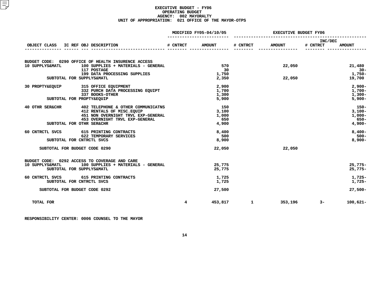|                  |                                                                  |                 | MODIFIED FY05-04/10/05 |           | <b>EXECUTIVE BUDGET FY06</b> |                     |                       |  |
|------------------|------------------------------------------------------------------|-----------------|------------------------|-----------|------------------------------|---------------------|-----------------------|--|
| OBJECT CLASS     | IC REF OBJ DESCRIPTION                                           | <b># CNTRCT</b> | <b>AMOUNT</b>          | # CNTRCT  | <b>AMOUNT</b>                | INC/DEC<br># CNTRCT | <b>AMOUNT</b>         |  |
|                  | ________ <b>_______________________</b> __                       |                 |                        |           |                              |                     |                       |  |
|                  | BUDGET CODE: 0290 OFFICE OF HEALTH INSURENCE ACCESS              |                 |                        |           |                              |                     |                       |  |
| 10 SUPPLYS&MATL  | 100 SUPPLIES + MATERIALS - GENERAL<br>117 POSTAGE                |                 | 570<br>30              |           | 22,050                       |                     | 21,480<br>$30 -$      |  |
|                  | 199 DATA PROCESSING SUPPLIES                                     |                 | 1,750                  |           |                              |                     | $1,750-$              |  |
|                  | SUBTOTAL FOR SUPPLYS&MATL                                        |                 | 2,350                  |           | 22,050                       |                     | 19,700                |  |
|                  | 30 PROPTY&EQUIP 315 OFFICE EQUIPMENT                             |                 | 2,900                  |           |                              |                     | $2,900 -$             |  |
|                  | 332 PURCH DATA PROCESSING EQUIPT                                 |                 | 1,700                  |           |                              |                     | $1,700-$              |  |
|                  | 337 BOOKS-OTHER<br>SUBTOTAL FOR PROPTY&EQUIP                     |                 | 1,300<br>5,900         |           |                              |                     | $1,300-$<br>$5,900 -$ |  |
|                  |                                                                  |                 |                        |           |                              |                     |                       |  |
| 40 OTHR SER&CHR  | 402 TELEPHONE & OTHER COMMUNICATNS                               |                 | 150                    |           |                              |                     | 150-                  |  |
|                  | 412 RENTALS OF MISC. EQUIP<br>451 NON OVERNIGHT TRVL EXP-GENERAL |                 | 3,100<br>1,000         |           |                              |                     | $3,100-$<br>$1,000-$  |  |
|                  | 453 OVERNIGHT TRVL EXP-GENERAL                                   |                 | 650                    |           |                              |                     | 650-                  |  |
|                  | SUBTOTAL FOR OTHR SER&CHR                                        |                 | 4,900                  |           |                              |                     | $4,900-$              |  |
| 60 CNTRCTL SVCS  | 615 PRINTING CONTRACTS                                           |                 | 8,400                  |           |                              |                     | $8,400-$              |  |
|                  | 622 TEMPORARY SERVICES<br>SUBTOTAL FOR CNTRCTL SVCS              |                 | 500<br>8,900           |           |                              |                     | $500 -$<br>$8,900 -$  |  |
|                  |                                                                  |                 |                        |           |                              |                     |                       |  |
|                  | SUBTOTAL FOR BUDGET CODE 0290                                    |                 | 22,050                 |           | 22,050                       |                     |                       |  |
|                  | BUDGET CODE: 0292 ACCESS TO COVERAGE AND CARE                    |                 |                        |           |                              |                     |                       |  |
| 10 SUPPLYS&MATL  | 100 SUPPLIES + MATERIALS - GENERAL                               |                 | 25,775                 |           |                              |                     | $25.775-$             |  |
|                  | SUBTOTAL FOR SUPPLYS&MATL                                        |                 | 25,775                 |           |                              |                     | $25,775-$             |  |
|                  | 60 CNTRCTL SVCS 615 PRINTING CONTRACTS                           |                 | 1,725                  |           |                              |                     | $1,725-$              |  |
|                  | SUBTOTAL FOR CNTRCTL SVCS                                        |                 | 1,725                  |           |                              |                     | $1,725-$              |  |
|                  | SUBTOTAL FOR BUDGET CODE 0292                                    |                 | 27,500                 |           |                              |                     | $27,500-$             |  |
| <b>TOTAL FOR</b> |                                                                  | $4^{\circ}$     |                        | 453,817 1 | 353,196                      | $3-$                | $100,621 -$           |  |
|                  |                                                                  |                 |                        |           |                              |                     |                       |  |

**RESPONSIBILITY CENTER: <sup>0006</sup> COUNSEL TO THE MAYOR**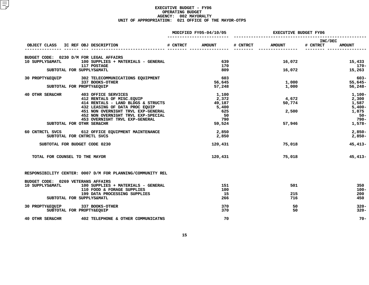|                                         |                                                                                                                                                                            | MODIFIED FY05-04/10/05 |          | EXECUTIVE BUDGET FY06 |                                             |  |  |
|-----------------------------------------|----------------------------------------------------------------------------------------------------------------------------------------------------------------------------|------------------------|----------|-----------------------|---------------------------------------------|--|--|
| OBJECT CLASS IC REF OBJ DESCRIPTION     |                                                                                                                                                                            | # CNTRCT AMOUNT        | # CNTRCT | <b>AMOUNT</b>         | <b>INC/DEC</b><br># CNTRCT<br><b>AMOUNT</b> |  |  |
| BUDGET CODE: 0230 D/M FOR LEGAL AFFAIRS |                                                                                                                                                                            |                        |          |                       |                                             |  |  |
| 10 SUPPLYS&MATL                         | 100 SUPPLIES + MATERIALS - GENERAL                                                                                                                                         | 639                    |          | 16,072                | 15,433                                      |  |  |
|                                         | 117 POSTAGE                                                                                                                                                                | 170                    |          |                       | 170-                                        |  |  |
|                                         | SUBTOTAL FOR SUPPLYS&MATL                                                                                                                                                  | 809                    |          |                       | 16,072<br>15,263                            |  |  |
|                                         |                                                                                                                                                                            | 603                    |          |                       | 603-                                        |  |  |
|                                         | 30 PROPTY&EQUIP 302 TELECOMMUNICATIONS EQUIPMENT<br>337 BOOKS-OTHER                                                                                                        | 56,645                 |          | 1,000                 | $55,645-$                                   |  |  |
|                                         | SUBTOTAL FOR PROPTY&EQUIP                                                                                                                                                  | 57,248                 |          | 1,000                 | $56,248-$                                   |  |  |
|                                         |                                                                                                                                                                            | 1,100                  |          |                       | $1,100-$                                    |  |  |
|                                         | 40 OTHR SER&CHR 403 OFFICE SERVICES<br>412 RENTALS OF MISC.EQUIP                                                                                                           | 2,372                  |          | 4,672                 | 2,300                                       |  |  |
|                                         | 414 RENTALS - LAND BLDGS & STRUCTS 49,187                                                                                                                                  |                        |          |                       | 50,774<br>1,587                             |  |  |
|                                         | <b>EXECUTE AND SUBARUMERRIT TRULE EXP-GENERAL</b><br>452 NON OVERNIGHT TRVL EXP-SPECIAL<br>453 OVERNIGHT TRVL EXP-SPECIAL<br>453 OVERNIGHT TRVL EXP-GENERAL<br>THR SER&CHR | 5,400                  |          |                       | $5,400-$                                    |  |  |
|                                         |                                                                                                                                                                            | 625                    |          | 2,500                 | 1,875                                       |  |  |
|                                         |                                                                                                                                                                            | 50                     |          |                       | 50-                                         |  |  |
|                                         |                                                                                                                                                                            | 790                    |          |                       | 790-                                        |  |  |
|                                         | SUBTOTAL FOR OTHR SER&CHR                                                                                                                                                  | 59,524                 |          | 57,946                | 1,578-                                      |  |  |
|                                         | 60 CNTRCTL SVCS 612 OFFICE EQUIPMENT MAINTENANCE                                                                                                                           | 2,850                  |          |                       | $2,850-$                                    |  |  |
|                                         | SUBTOTAL FOR CNTRCTL SVCS                                                                                                                                                  | 2,850                  |          |                       | $2,850-$                                    |  |  |
| SUBTOTAL FOR BUDGET CODE 0230           |                                                                                                                                                                            | 120,431                |          | 75,018                | $45,413-$                                   |  |  |
| TOTAL FOR COUNSEL TO THE MAYOR          |                                                                                                                                                                            | 120,431                |          | 75,018                | $45,413-$                                   |  |  |
|                                         | RESPONSIBILITY CENTER: 0007 D/M FOR PLANNING/COMMUNITY REL                                                                                                                 |                        |          |                       |                                             |  |  |
| BUDGET CODE: 0269 VETERANS AFFAIRS      |                                                                                                                                                                            |                        |          |                       |                                             |  |  |
| 10 SUPPLYS&MATL                         | 100 SUPPLIES + MATERIALS - GENERAL                                                                                                                                         | 151                    |          | 501                   | 350                                         |  |  |
|                                         | 110 FOOD & FORAGE SUPPLIES                                                                                                                                                 | 100                    |          |                       | $100 -$                                     |  |  |
|                                         | 199 DATA PROCESSING SUPPLIES                                                                                                                                               | -15                    |          | 215                   | 200                                         |  |  |
|                                         | SUBTOTAL FOR SUPPLYS&MATL                                                                                                                                                  | 266                    |          | 716                   | 450                                         |  |  |
| 30 PROPTY&EQUIP 337 BOOKS-OTHER         |                                                                                                                                                                            | 370                    |          | 50                    | $320 -$                                     |  |  |
|                                         | SUBTOTAL FOR PROPTY&EQUIP                                                                                                                                                  | 370                    |          | 50                    | $320 -$                                     |  |  |
|                                         | 40 OTHR SER&CHR 402 TELEPHONE & OTHER COMMUNICATNS                                                                                                                         | 70                     |          |                       | $70-$                                       |  |  |
|                                         |                                                                                                                                                                            |                        |          |                       |                                             |  |  |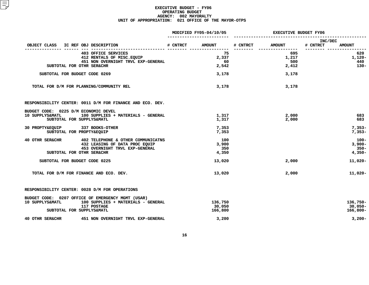|                                                                                      |                                                                                                        | MODIFIED FY05-04/10/05 |                              | <b>EXECUTIVE BUDGET FY06</b> |                     |                     |                                            |
|--------------------------------------------------------------------------------------|--------------------------------------------------------------------------------------------------------|------------------------|------------------------------|------------------------------|---------------------|---------------------|--------------------------------------------|
| OBJECT CLASS IC REF OBJ DESCRIPTION                                                  |                                                                                                        | # CNTRCT               | <b>AMOUNT</b>                | # CNTRCT                     | <b>AMOUNT</b>       | INC/DEC<br># CNTRCT | <b>AMOUNT</b>                              |
|                                                                                      | 403 OFFICE SERVICES<br>412 RENTALS OF MISC.EQUIP<br>451 NON OVERNIGHT TRVL EXP-GENERAL                 |                        | 75<br>2,337<br>60            |                              | 695<br>1,217<br>500 |                     | 620<br>1,120-<br>440                       |
| SUBTOTAL FOR OTHR SER&CHR                                                            |                                                                                                        |                        | 2,542                        |                              | 2,412               |                     | $130 -$                                    |
| SUBTOTAL FOR BUDGET CODE 0269                                                        |                                                                                                        |                        | 3,178                        |                              | 3,178               |                     |                                            |
|                                                                                      | TOTAL FOR D/M FOR PLANNING/COMMUNITY REL                                                               |                        | 3,178                        |                              | 3,178               |                     |                                            |
|                                                                                      | RESPONSIBILITY CENTER: 0011 D/M FOR FINANCE AND ECO. DEV.                                              |                        |                              |                              |                     |                     |                                            |
| BUDGET CODE: 0225 D/M ECONOMIC DEVEL<br>10 SUPPLYS&MATL<br>SUBTOTAL FOR SUPPLYS&MATL | 100 SUPPLIES + MATERIALS - GENERAL                                                                     |                        | 1,317<br>1,317               |                              | 2,000<br>2,000      |                     | 683<br>683                                 |
| 30 PROPTY&EQUIP 337 BOOKS-OTHER<br>SUBTOTAL FOR PROPTY&EQUIP                         |                                                                                                        |                        | 7,353<br>7,353               |                              |                     |                     | $7,353-$<br>$7,353-$                       |
| 40 OTHR SER&CHR<br>SUBTOTAL FOR OTHR SER&CHR                                         | 402 TELEPHONE & OTHER COMMUNICATNS<br>432 LEASING OF DATA PROC EQUIP<br>453 OVERNIGHT TRVL EXP-GENERAL |                        | 100<br>3,900<br>350<br>4,350 |                              |                     |                     | $100 -$<br>$3,900-$<br>$350 -$<br>$4,350-$ |
| SUBTOTAL FOR BUDGET CODE 0225                                                        |                                                                                                        |                        | 13,020                       |                              | 2,000               |                     | 11,020-                                    |
|                                                                                      | TOTAL FOR D/M FOR FINANCE AND ECO. DEV.                                                                |                        | 13,020                       |                              | 2,000               |                     | $11,020 -$                                 |
|                                                                                      | RESPONSIBILITY CENTER: 0028 D/M FOR OPERATIONS                                                         |                        |                              |                              |                     |                     |                                            |
| 10 SUPPLYS&MATL<br>SUBTOTAL FOR SUPPLYS&MATL                                         | BUDGET CODE: 0207 OFFICE OF EMERGENCY MGMT (USAR)<br>100 SUPPLIES + MATERIALS - GENERAL<br>117 POSTAGE |                        | 136,750<br>30,050<br>166,800 |                              |                     |                     | 136,750-<br>$30,050 -$<br>$166,800 -$      |
| 40 OTHR SER&CHR                                                                      | 451 NON OVERNIGHT TRVL EXP-GENERAL                                                                     |                        | 3,200                        |                              |                     |                     | $3,200-$                                   |
|                                                                                      |                                                                                                        |                        |                              |                              |                     |                     |                                            |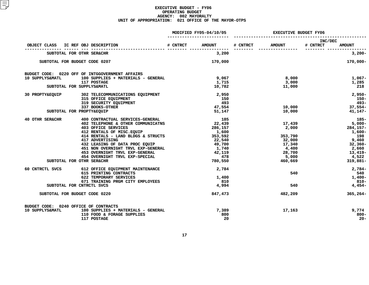|                                       |                                                                      | MODIFIED FY05-04/10/05 |          | <b>EXECUTIVE BUDGET FY06</b> |                                      |
|---------------------------------------|----------------------------------------------------------------------|------------------------|----------|------------------------------|--------------------------------------|
|                                       | OBJECT CLASS IC REF OBJ DESCRIPTION                                  | # CNTRCT AMOUNT        | # CNTRCT | <b>AMOUNT</b>                | INC/DEC<br># CNTRCT<br><b>AMOUNT</b> |
|                                       | SUBTOTAL FOR OTHR SER&CHR                                            | 3,200                  |          |                              | --------- ------------<br>$3,200-$   |
|                                       | SUBTOTAL FOR BUDGET CODE 0207                                        | 170,000                |          |                              | 170,000-                             |
|                                       | BUDGET CODE: 0220 OFF OF INTGGOVERNMENT AFFAIRS                      |                        |          |                              |                                      |
| 10 SUPPLYS&MATL                       | 100 SUPPLIES + MATERIALS - GENERAL                                   | 9,067                  |          | 8,000                        | $1,067-$                             |
|                                       | <b>117 POSTAGE</b>                                                   | 1,715                  |          | 3,000                        | 1,285                                |
|                                       | SUBTOTAL FOR SUPPLYS&MATL                                            | 10,782                 |          | 11,000                       | 218                                  |
| 30 PROPTY&EQUIP                       | 302 TELECOMMUNICATIONS EQUIPMENT                                     | 2,950                  |          |                              | $2,950-$                             |
|                                       | 315 OFFICE EQUIPMENT                                                 | 150                    |          |                              | $150 -$                              |
|                                       | 319 SECURITY EQUIPMENT                                               |                        | 493      |                              | $493-$                               |
|                                       | 337 BOOKS-OTHER                                                      | 47,554                 |          | 10,000                       | $37,554-$                            |
|                                       | SUBTOTAL FOR PROPTY&EQUIP                                            | 51,147                 |          | 10,000                       | 41,147-                              |
| 40 OTHR SER&CHR                       | 400 CONTRACTUAL SERVICES-GENERAL                                     | 185                    |          |                              | - 185-                               |
|                                       | 402 TELEPHONE & OTHER COMMUNICATNS                                   | 22,439                 |          | 17,439                       | $5,000-$                             |
|                                       | 403 OFFICE SERVICES<br>412 RENTALS OF MISC.EQUIP<br>414 RENTALS      | 286,157                |          | 2,000                        | 284,157-                             |
|                                       |                                                                      | 1,600                  |          |                              | $1,600-$                             |
|                                       | $414$ RENTALS - LAND BLDGS & STRUCTS 353,592                         |                        |          | 353,790                      | 198                                  |
|                                       | 417 ADVERTISING                                                      | 22,540                 |          | 32,000                       | 9,460                                |
|                                       | 432 LEASING OF DATA PROC EQUIP                                       | 49,700                 |          | 17,340                       | 32,360-                              |
|                                       | 451 NON OVERNIGHT TRVL EXP-GENERAL<br>453 OVERNIGHT TRVL EXP-GENERAL | 1,740                  |          | 4,400                        | 2,660                                |
|                                       | 453 OVERNIGHT TRVL EXP-GENERAL<br>454 OVERNIGHT TRVL EXP-SPECIAL     | 42,119<br>478          |          | 28,700<br>5,000              | 13,419-<br>4,522                     |
|                                       | SUBTOTAL FOR OTHR SER&CHR                                            | 780,550                |          | 460,669                      | 319,881-                             |
|                                       |                                                                      |                        |          |                              |                                      |
| 60 CNTRCTL SVCS                       | 612 OFFICE EQUIPMENT MAINTENANCE                                     | 2,784                  |          |                              | $2,784-$                             |
|                                       | 615 PRINTING CONTRACTS                                               |                        |          | 540                          | 540                                  |
|                                       | 622 TEMPORARY SERVICES                                               | 1,400                  |          |                              | $1,400-$                             |
|                                       | 671 TRAINING PRGM CITY EMPLOYEES                                     | 810                    |          |                              | $810 -$                              |
|                                       | SUBTOTAL FOR CNTRCTL SVCS                                            | 4,994                  |          | 540                          | $4,454-$                             |
|                                       | SUBTOTAL FOR BUDGET CODE 0220                                        | 847,473                |          | 482,209                      | $365, 264 -$                         |
| BUDGET CODE: 0240 OFFICE OF CONTRACTS |                                                                      |                        |          |                              |                                      |
| 10 SUPPLYS&MATL                       | 100 SUPPLIES + MATERIALS - GENERAL                                   | 7,389                  |          | 17,163                       | 9,774                                |
|                                       | 110 FOOD & FORAGE SUPPLIES                                           |                        | 800      |                              | $800 -$                              |
|                                       | 117 POSTAGE                                                          |                        | 20       |                              | $20 -$                               |
|                                       |                                                                      |                        |          |                              |                                      |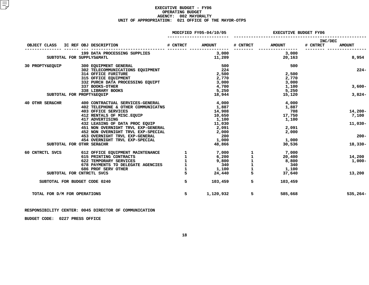|                              |                           |  |                                              |              | MODIFIED FY05-04/10/05  |               | <b>EXECUTIVE BUDGET FY06</b> |                     |               |
|------------------------------|---------------------------|--|----------------------------------------------|--------------|-------------------------|---------------|------------------------------|---------------------|---------------|
| OBJECT CLASS                 |                           |  |                                              |              |                         | # CNTRCT      | <b>AMOUNT</b>                | INC/DEC<br># CNTRCT | <b>AMOUNT</b> |
|                              |                           |  | 199 DATA PROCESSING SUPPLIES                 |              | 3,000                   |               | 3,000                        |                     |               |
|                              |                           |  | SUBTOTAL FOR SUPPLYS&MATL                    |              | 11,209                  |               | 20,163                       |                     | 8,954         |
| 30 PROPTY&EQUIP              |                           |  | 300 EQUIPMENT GENERAL                        |              | 500                     |               | 500                          |                     |               |
|                              |                           |  | 302 TELECOMMUNICATIONS EQUIPMENT             |              | 224                     |               |                              |                     | $224-$        |
|                              |                           |  | <b>314 OFFICE FURITURE</b>                   |              | 2,500                   |               | 2,500                        |                     |               |
|                              |                           |  | 315 OFFICE EQUIPMENT                         |              | 2,770                   |               | 2,770                        |                     |               |
|                              |                           |  | 332 PURCH DATA PROCESSING EQUIPT             |              | 3,000                   |               | 3,000                        |                     |               |
|                              |                           |  | 337 BOOKS-OTHER                              |              | 4,700                   |               | 1,100                        |                     | $3,600-$      |
|                              |                           |  | 338 LIBRARY BOOKS                            |              | 5,250                   |               | 5,250                        |                     |               |
|                              | SUBTOTAL FOR PROPTY&EQUIP |  |                                              |              | 18,944                  |               | 15,120                       |                     | $3,824-$      |
| 40 OTHR SER&CHR              |                           |  | 400 CONTRACTUAL SERVICES-GENERAL             |              | 4,000                   |               | 4,000                        |                     |               |
|                              |                           |  | 402 TELEPHONE & OTHER COMMUNICATNS           |              | 1,887                   |               | 1,887                        |                     |               |
|                              |                           |  | <b>403 OFFICE SERVICES</b>                   |              | 14,908                  |               | 708                          |                     | 14,200-       |
|                              |                           |  | 412 RENTALS OF MISC.EQUIP<br>417 ADVERTISING |              | 10,650                  |               | 17,750                       |                     | 7,100         |
|                              |                           |  |                                              |              | 1,100                   |               | 1,100                        |                     |               |
|                              |                           |  | 432 LEASING OF DATA PROC EQUIP               |              | 11,030                  |               |                              |                     | $11,030-$     |
|                              |                           |  | 451 NON OVERNIGHT TRVL EXP-GENERAL           |              | 2,091                   |               | 2,091                        |                     |               |
|                              |                           |  | 452 NON OVERNIGHT TRVL EXP-SPECIAL           |              | 2,000                   |               | 2,000                        |                     |               |
|                              |                           |  | 453 OVERNIGHT TRVL EXP-GENERAL               |              | 200                     |               |                              |                     | $200 -$       |
|                              |                           |  | 454 OVERNIGHT TRVL EXP-SPECIAL               |              | 1,000                   |               | 1,000                        |                     |               |
|                              |                           |  | SUBTOTAL FOR OTHR SER&CHR                    |              | 48,866                  |               | 30,536                       |                     | 18,330-       |
| 60 CNTRCTL SVCS              |                           |  | 612 OFFICE EQUIPMENT MAINTENANCE 1 1 7,000   |              |                         | $\mathbf{1}$  | 7,000                        |                     |               |
|                              |                           |  | 615 PRINTING CONTRACTS                       | $\mathbf{1}$ |                         | $\mathbf 1$   | 20,400                       |                     | 14,200        |
|                              |                           |  | 622 TEMPORARY SERVICES                       |              | $6,200$<br>9,800<br>340 |               | 8,800                        |                     | 1,000-        |
|                              |                           |  | 678 PAYMENTS TO DELEGATE AGENCIES            |              |                         | $\frac{1}{1}$ | 340                          |                     |               |
|                              |                           |  | 686 PROF SERV OTHER                          | $\mathbf{1}$ |                         |               | $1,100$ $1,100$              |                     |               |
|                              |                           |  | SUBTOTAL FOR CNTRCTL SVCS                    | 5            | 24,440                  |               | 37,640                       |                     | 13,200        |
|                              |                           |  | SUBTOTAL FOR BUDGET CODE 0240                | 5            | 103,459                 | $5^{\circ}$   | 103,459                      |                     |               |
| TOTAL FOR D/M FOR OPERATIONS |                           |  |                                              | 5            | 1,120,932               | 5             | 585,668                      |                     | 535,264-      |
|                              |                           |  |                                              |              |                         |               |                              |                     |               |

# **RESPONSIBILITY CENTER: <sup>0045</sup> DIRECTOR OF COMMUNICATION**

**BUDGET CODE: <sup>0227</sup> PRESS OFFICE**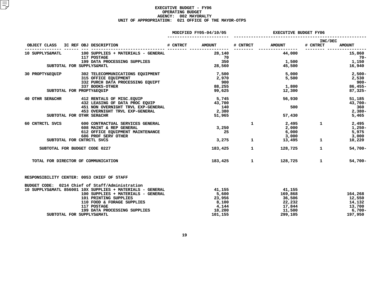|                                    |                                | <b>EXECUTIVE BUDGET FY06</b>                                                       |                   |                                         |                                                                                                                         |  |
|------------------------------------|--------------------------------|------------------------------------------------------------------------------------|-------------------|-----------------------------------------|-------------------------------------------------------------------------------------------------------------------------|--|
| # CNTRCT                           | <b>AMOUNT</b>                  | # CNTRCT                                                                           | <b>AMOUNT</b>     | # CNTRCT                                | <b>AMOUNT</b>                                                                                                           |  |
|                                    | 28,140                         |                                                                                    | 44,000            |                                         | 15,860<br>- 70-                                                                                                         |  |
|                                    | 350                            |                                                                                    |                   |                                         | 1,150                                                                                                                   |  |
|                                    |                                |                                                                                    |                   |                                         | 16,940                                                                                                                  |  |
|                                    | 7,500                          |                                                                                    |                   |                                         | 2,500-                                                                                                                  |  |
|                                    |                                |                                                                                    |                   |                                         | 2,530                                                                                                                   |  |
|                                    |                                |                                                                                    |                   |                                         | $900 -$                                                                                                                 |  |
|                                    |                                |                                                                                    |                   |                                         | $86,455-$                                                                                                               |  |
|                                    |                                |                                                                                    |                   |                                         | $87,325-$                                                                                                               |  |
|                                    |                                |                                                                                    | 56,930            |                                         | 51,185                                                                                                                  |  |
|                                    | 43,700                         |                                                                                    |                   |                                         | 43,700-                                                                                                                 |  |
| 451 NON OVERNIGHT TRVL EXP-GENERAL | 140                            |                                                                                    | 500               |                                         | 360                                                                                                                     |  |
|                                    |                                |                                                                                    |                   |                                         | $2,380-$                                                                                                                |  |
|                                    | 51,965                         |                                                                                    | 57,430            |                                         | 5,465                                                                                                                   |  |
|                                    |                                | $\mathbf{1}$                                                                       |                   | $\mathbf{1}$                            | 2,495                                                                                                                   |  |
|                                    | 3,250                          |                                                                                    | 2,000             |                                         | 1,250-                                                                                                                  |  |
|                                    | 25                             |                                                                                    | 6,000             |                                         | 5,975                                                                                                                   |  |
|                                    |                                |                                                                                    |                   |                                         | 3,000                                                                                                                   |  |
|                                    | 3,275                          | $\mathbf{1}$                                                                       |                   |                                         | 10,220                                                                                                                  |  |
|                                    | 183,425                        | $\mathbf{1}$                                                                       |                   | $\mathbf{1}$                            | $54,700 -$                                                                                                              |  |
|                                    |                                |                                                                                    |                   | $\mathbf{1}$                            | $54,700-$                                                                                                               |  |
|                                    |                                |                                                                                    |                   |                                         |                                                                                                                         |  |
|                                    |                                |                                                                                    |                   |                                         |                                                                                                                         |  |
|                                    | 41,155                         |                                                                                    | 41,155            |                                         |                                                                                                                         |  |
|                                    | 5,600                          |                                                                                    | 169,868           |                                         | 164,268                                                                                                                 |  |
|                                    | 23,956                         |                                                                                    | 36,506            |                                         | 12,550                                                                                                                  |  |
|                                    | 8,100                          |                                                                                    | 22,232            |                                         | 14,132                                                                                                                  |  |
|                                    | 4,144                          |                                                                                    | 17,844            |                                         | 13,700                                                                                                                  |  |
|                                    | 18,200                         |                                                                                    | 11,500            |                                         | 6,700-                                                                                                                  |  |
|                                    | 101,155                        |                                                                                    | 299,105           |                                         | 197,950                                                                                                                 |  |
|                                    | 432 LEASING OF DATA PROC EQUIP | MODIFIED FY05-04/10/05<br>70<br>2,970<br>900<br>88,255<br>99,625<br>5,745<br>2,380 | 28,560<br>183,425 | 12,300<br>$1 \quad \cdots \quad \cdots$ | INC/DEC<br>1,500<br>45,500<br>5,000<br>5,500<br>1,800<br>2,495<br>3,000<br>13,495<br>$\mathbf{1}$<br>128,725<br>128,725 |  |

**DATA PROCESSING SUPPLIES 18,200 11,500 6,700-**

**FOR SUPPLYS&MATL 101,155 299,105 197,950**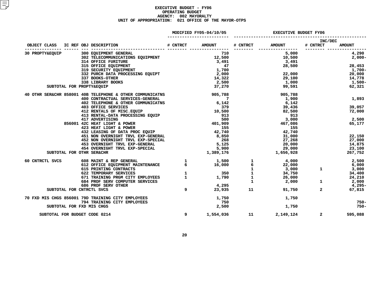|                 |  |                                                                                                                                                                     |   | MODIFIED FY05-04/10/05 | <b>EXECUTIVE BUDGET FY06</b>                                              |                     |                            |
|-----------------|--|---------------------------------------------------------------------------------------------------------------------------------------------------------------------|---|------------------------|---------------------------------------------------------------------------|---------------------|----------------------------|
|                 |  |                                                                                                                                                                     |   |                        | # CNTRCT AMOUNT                                                           | INC/DEC<br># CNTRCT | <b>AMOUNT</b>              |
|                 |  |                                                                                                                                                                     |   |                        | ----------------                                                          |                     | _________ ________________ |
| 30 PROPTY&EQUIP |  | 300 EQUIPMENT GENERAL                                                                                                                                               |   | 710                    | 5,000                                                                     |                     | 4,290                      |
|                 |  |                                                                                                                                                                     |   |                        | $10,500$<br>$3,491$                                                       |                     | $2,000-$                   |
|                 |  |                                                                                                                                                                     |   |                        |                                                                           |                     |                            |
|                 |  |                                                                                                                                                                     |   |                        |                                                                           |                     | 28,500 28,453              |
|                 |  |                                                                                                                                                                     |   |                        |                                                                           |                     | 1,700-                     |
|                 |  |                                                                                                                                                                     |   |                        | 22,000                                                                    |                     | 20,000                     |
|                 |  |                                                                                                                                                                     |   |                        | 29,100<br>1,000                                                           |                     | 14,778                     |
|                 |  |                                                                                                                                                                     |   |                        |                                                                           |                     | 1,500-                     |
|                 |  | SUBTOTAL FOR PROPTY&EQUIP                                                                                                                                           |   |                        | 99,591 2001                                                               |                     | 62,321                     |
|                 |  | 40 OTHR SER&CHR 858001 40B TELEPHONE & OTHER COMMUNICATNS 905,788                                                                                                   |   |                        | 905,788                                                                   |                     |                            |
|                 |  |                                                                                                                                                                     |   |                        | 1,900                                                                     |                     | 1,893                      |
|                 |  |                                                                                                                                                                     |   |                        | 6,142                                                                     |                     |                            |
|                 |  |                                                                                                                                                                     |   |                        | 39,436<br>82,500                                                          |                     | 39,057                     |
|                 |  |                                                                                                                                                                     |   |                        |                                                                           |                     | 72,000                     |
|                 |  |                                                                                                                                                                     |   |                        | 913                                                                       |                     |                            |
|                 |  |                                                                                                                                                                     |   |                        | 3,000                                                                     |                     | 2,500                      |
|                 |  |                                                                                                                                                                     |   |                        |                                                                           | 467,086             | 65,177                     |
|                 |  |                                                                                                                                                                     |   |                        | 155                                                                       |                     |                            |
|                 |  |                                                                                                                                                                     |   |                        | 42,740                                                                    |                     |                            |
|                 |  |                                                                                                                                                                     |   |                        | 31,000                                                                    |                     | 22,150                     |
|                 |  |                                                                                                                                                                     |   |                        | 27,268                                                                    |                     | 27,000                     |
|                 |  |                                                                                                                                                                     |   |                        | 20,000                                                                    |                     | 14,875                     |
|                 |  |                                                                                                                                                                     |   |                        | 29,000<br>$29,000$<br>1,656,928                                           |                     | 23,100                     |
|                 |  | SUBTOTAL FOR OTHR SER&CHR                                                                                                                                           |   |                        |                                                                           |                     | 267,752                    |
| 60 CNTRCTL SVCS |  | $\begin{array}{lllllll} 608 & \text{MAINT & \& REP & \text{GENERAL} & & & 1 & & 1,500 \\ 612 & \text{OFFICE EQUIPMENT & MAINTENANCE} & & & & 16,000 \\ \end{array}$ |   |                        | $\begin{array}{ccc} 1 & & 4,000 \\ 6 & & 22,000 \\ 3,000 & & \end{array}$ |                     | 2,500                      |
|                 |  |                                                                                                                                                                     |   |                        |                                                                           |                     | 6,000                      |
|                 |  | 615 PRINTING CONTRACTS                                                                                                                                              |   |                        | $\frac{1}{1}$ $\frac{3,000}{34,750}$                                      | $\mathbf{1}$        | 3,000                      |
|                 |  | 622 TEMPORARY SERVICES                                                                                                                                              |   |                        |                                                                           |                     | 34,400                     |
|                 |  | 671 TRAINING PRGM CITY EMPLOYEES                                                                                                                                    |   |                        |                                                                           |                     | 24,210                     |
|                 |  | 684 PROF SERV COMPUTER SERVICES                                                                                                                                     |   |                        |                                                                           | $\mathbf{1}$        | 2,000                      |
|                 |  | 686 PROF SERV OTHER                                                                                                                                                 |   |                        |                                                                           |                     | 4,295-                     |
|                 |  | SUBTOTAL FOR CNTRCTL SVCS                                                                                                                                           | 9 | 4,295<br>23,935        | 91,750<br>$11$ and $11$                                                   | $2^{\circ}$         | 67,815                     |
|                 |  | 70 FXD MIS CHGS 856001 79D TRAINING CITY EMPLOYEES<br>794 TRAINING CITY EMPLOYEES<br>797 TIP JIE GUIG CITY EMPLOYEES                                                |   | 1,750                  | 1,750                                                                     |                     |                            |
|                 |  |                                                                                                                                                                     |   | 750                    |                                                                           |                     | $750 -$                    |
|                 |  | SUBTOTAL FOR FXD MIS CHGS                                                                                                                                           |   | 2,500                  |                                                                           | 1,750               | $750 -$                    |
|                 |  | SUBTOTAL FOR BUDGET CODE 0214                                                                                                                                       | 9 | 1,554,036              | 2,149,124                                                                 | $\overline{2}$      | 595,088                    |
|                 |  |                                                                                                                                                                     |   |                        |                                                                           |                     |                            |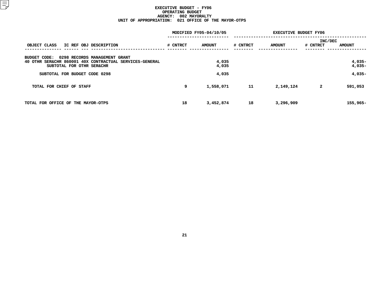|                                                                                                                                       |          | MODIFIED FY05-04/10/05 | <b>EXECUTIVE BUDGET FY06</b> |               |          |                      |  |
|---------------------------------------------------------------------------------------------------------------------------------------|----------|------------------------|------------------------------|---------------|----------|----------------------|--|
|                                                                                                                                       |          |                        |                              |               | INC/DEC  |                      |  |
| OBJECT CLASS<br>IC REF OBJ DESCRIPTION                                                                                                | # CNTRCT | <b>AMOUNT</b>          | # CNTRCT                     | <b>AMOUNT</b> | # CNTRCT | <b>AMOUNT</b>        |  |
| 0298 RECORDS MANAGEMENT GRANT<br>BUDGET CODE:<br>40 OTHR SER&CHR 860001 40X CONTRACTUAL SERVICES-GENERAL<br>SUBTOTAL FOR OTHR SER&CHR |          | 4,035<br>4,035         |                              |               |          | $4,035-$<br>$4,035-$ |  |
| SUBTOTAL FOR BUDGET CODE 0298                                                                                                         |          | 4,035                  |                              |               |          | $4,035-$             |  |
| TOTAL FOR CHIEF OF STAFF                                                                                                              | 9        | 1,558,071              | 11                           | 2,149,124     | 2        | 591,053              |  |
| TOTAL FOR OFFICE OF THE MAYOR-OTPS                                                                                                    | 18       | 3,452,874              | 18                           | 3,296,909     |          | $155,965-$           |  |
|                                                                                                                                       |          |                        |                              |               |          |                      |  |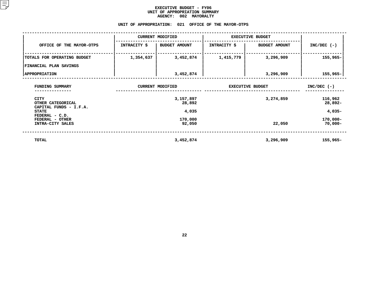#### **EXECUTIVE BUDGET - FY06** UNIT OF APPROPRIATION SUMMARY **OF APPROPRIATION SUMMARY AGENCY:**

| 002 MAYORALTY<br><b>AGENCY:</b>                        |                         |                         |                         |                      |               |  |  |  |  |  |  |
|--------------------------------------------------------|-------------------------|-------------------------|-------------------------|----------------------|---------------|--|--|--|--|--|--|
| 021 OFFICE OF THE MAYOR-OTPS<br>UNIT OF APPROPRIATION: |                         |                         |                         |                      |               |  |  |  |  |  |  |
|                                                        |                         | <b>CURRENT MODIFIED</b> | <b>EXECUTIVE BUDGET</b> |                      |               |  |  |  |  |  |  |
| OFFICE OF THE MAYOR-OTPS                               | INTRACITY \$            | <b>BUDGET AMOUNT</b>    | INTRACITY \$            | <b>BUDGET AMOUNT</b> | $INC/DEC$ (-) |  |  |  |  |  |  |
| TOTALS FOR OPERATING BUDGET                            | 3,452,874<br>1,354,637  |                         | 1,415,779               | 3,296,909            | $155,965 -$   |  |  |  |  |  |  |
| FINANCIAL PLAN SAVINGS                                 |                         |                         |                         |                      |               |  |  |  |  |  |  |
| <b>APPROPRIATION</b>                                   |                         | 3,452,874               |                         | 3,296,909            | $155,965 -$   |  |  |  |  |  |  |
| FUNDING SUMMARY                                        | <b>CURRENT MODIFIED</b> | <b>EXECUTIVE BUDGET</b> | $INC/DEC$ (-)           |                      |               |  |  |  |  |  |  |

| FUNDING SUMMARY<br>------------                       | <b>CURRENT MODIFIED</b> | <b>EXECUTIVE BUDGET</b> | $INC/DEC$ (-)             |
|-------------------------------------------------------|-------------------------|-------------------------|---------------------------|
| CITY<br>OTHER CATEGORICAL<br>CAPITAL FUNDS - I.F.A.   | 3,157,897<br>28,892     | 3,274,859               | 116,962<br>28,892-        |
| <b>STATE</b>                                          | 4,035                   |                         | $4,035-$                  |
| FEDERAL - C.D.<br>FEDERAL - OTHER<br>INTRA-CITY SALES | 170,000<br>92,050       | 22,050                  | $170,000 -$<br>$70,000 -$ |
| TOTAL                                                 | 3,452,874               | 3,296,909               | $155,965-$                |
|                                                       |                         |                         |                           |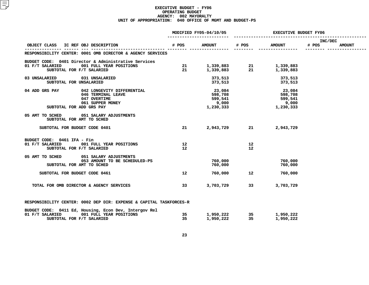|                                                                                                                                    |                   | MODIFIED FY05-04/10/05                             | EXECUTIVE BUDGET FY06 |                                                        |                  |               |  |
|------------------------------------------------------------------------------------------------------------------------------------|-------------------|----------------------------------------------------|-----------------------|--------------------------------------------------------|------------------|---------------|--|
| OBJECT CLASS IC REF OBJ DESCRIPTION                                                                                                | # POS             | <b>AMOUNT</b>                                      | # POS                 | <b>AMOUNT</b>                                          | INC/DEC<br># POS | <b>AMOUNT</b> |  |
| RESPONSIBILITY CENTER: 0001 OMB DIRECTOR & AGENCY SERVICES                                                                         |                   |                                                    |                       |                                                        |                  |               |  |
| BUDGET CODE: 0401 Director & Administrative Services                                                                               |                   |                                                    |                       |                                                        |                  |               |  |
| 001 FULL YEAR POSITIONS<br>01 F/T SALARIED<br>SUBTOTAL FOR F/T SALARIED                                                            |                   |                                                    |                       | 21 1,339,883 21 1,339,883<br>21 1,339,883 21 1,339,883 |                  |               |  |
| 03 UNSALARIED<br>031 UNSALARIED<br>SUBTOTAL FOR UNSALARIED                                                                         |                   |                                                    | 373,513<br>373,513    | 373,513<br>373,513                                     |                  |               |  |
| 04 ADD GRS PAY<br>042 LONGEVITY DIFFERENTIAL<br>046 TERMINAL LEAVE<br>047 OVERTIME<br>061 SUPPER MONEY<br>SUBTOTAL FOR ADD GRS PAY |                   | 23,084<br>598,708<br>599,541<br>9,000<br>1,230,333 |                       | 23,084<br>598,708<br>599,541<br>9,000<br>1,230,333     |                  |               |  |
| 05 AMT TO SCHED 051 SALARY ADJUSTMENTS<br>SUBTOTAL FOR AMT TO SCHED                                                                |                   |                                                    |                       |                                                        |                  |               |  |
| SUBTOTAL FOR BUDGET CODE 0401                                                                                                      | 21                |                                                    | 2,943,729 21          | 2,943,729                                              |                  |               |  |
| BUDGET CODE: 0461 IFA - Fin<br>01 F/T SALARIED 001 FULL YEAR POSITIONS                                                             | 12                |                                                    | 12                    |                                                        |                  |               |  |
| SUBTOTAL FOR F/T SALARIED                                                                                                          | $12 \overline{ }$ |                                                    | 12                    |                                                        |                  |               |  |
| 05 AMT TO SCHED 051 SALARY ADJUSTMENTS<br>053 AMOUNT TO BE SCHEDULED-PS                                                            |                   | 760,000                                            |                       | 760,000                                                |                  |               |  |
| SUBTOTAL FOR AMT TO SCHED                                                                                                          |                   | 760,000                                            |                       | 760,000                                                |                  |               |  |
| SUBTOTAL FOR BUDGET CODE 0461                                                                                                      | 12 <sup>°</sup>   |                                                    | 760,000 12            | 760,000                                                |                  |               |  |
| TOTAL FOR OMB DIRECTOR & AGENCY SERVICES                                                                                           | 33                | 3,703,729 33                                       |                       | 3,703,729                                              |                  |               |  |
| RESPONSIBILITY CENTER: 0002 DEP DIR: EXPENSE & CAPITAL TASKFORCES-R                                                                |                   |                                                    |                       |                                                        |                  |               |  |
| BUDGET CODE: 0411 Ed, Housing, Econ Dev, Intergov Rel<br>01 F/T SALARIED 001 FULL YEAR POSITIONS<br>SUBTOTAL FOR F/T SALARIED      |                   |                                                    |                       | 35 1,950,222 35 1,950,222<br>35 1,950,222 35 1,950,222 |                  |               |  |
|                                                                                                                                    |                   |                                                    |                       |                                                        |                  |               |  |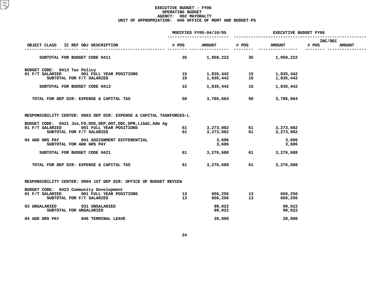|                                                                                                                                              |                       | MODIFIED FY05-04/10/05 | <b>EXECUTIVE BUDGET FY06</b> |                        |                                   |  |  |
|----------------------------------------------------------------------------------------------------------------------------------------------|-----------------------|------------------------|------------------------------|------------------------|-----------------------------------|--|--|
| IC REF OBJ DESCRIPTION<br>OBJECT CLASS                                                                                                       | # POS                 | <b>AMOUNT</b>          | # POS                        | <b>AMOUNT</b>          | INC/DEC<br># POS<br><b>AMOUNT</b> |  |  |
| SUBTOTAL FOR BUDGET CODE 0411                                                                                                                | 35                    | 1,950,222              | 35                           | 1,950,222              |                                   |  |  |
| BUDGET CODE: 0413 Tax Policy<br>01 F/T SALARIED<br>001 FULL YEAR POSITIONS<br>SUBTOTAL FOR F/T SALARIED                                      | 15<br>15              | 1,835,442<br>1,835,442 | 15<br>15                     | 1,835,442<br>1,835,442 |                                   |  |  |
| SUBTOTAL FOR BUDGET CODE 0413                                                                                                                | 15                    | 1,835,442              | 15                           | 1,835,442              |                                   |  |  |
| TOTAL FOR DEP DIR: EXPENSE & CAPITAL TAS                                                                                                     | 50                    | 3,785,664              | 50                           | 3,785,664              |                                   |  |  |
| RESPONSIBILITY CENTER: 0003 DEP DIR: EXPENSE & CAPITAL TASKFORCES-L                                                                          |                       |                        |                              |                        |                                   |  |  |
| BUDGET CODE: 0421 Jus, FD, DOS, DEP, DOT, DDC, DPR, Lib&C, Adm Ag<br>01 F/T SALARIED<br>001 FULL YEAR POSITIONS<br>SUBTOTAL FOR F/T SALARIED | 61<br>61              | 3,273,082<br>3,273,082 | 61<br>61                     | 3,273,082<br>3,273,082 |                                   |  |  |
| 04 ADD GRS PAY<br>041 ASSIGNMENT DIFFERENTIAL<br>SUBTOTAL FOR ADD GRS PAY                                                                    |                       | 3,606<br>3,606         |                              | 3,606<br>3,606         |                                   |  |  |
| SUBTOTAL FOR BUDGET CODE 0421                                                                                                                | 61                    | 3,276,688              | 61 — 10                      | 3,276,688              |                                   |  |  |
| TOTAL FOR DEP DIR: EXPENSE & CAPITAL TAS                                                                                                     | 61                    | 3,276,688              | 61                           | 3,276,688              |                                   |  |  |
| RESPONSIBILITY CENTER: 0004 1ST DEP DIR: OFFICE OF BUDGET REVIEW                                                                             |                       |                        |                              |                        |                                   |  |  |
| BUDGET CODE: 0423 Community Development<br>01 F/T SALARIED<br>001 FULL YEAR POSITIONS<br>SUBTOTAL FOR F/T SALARIED                           | 13<br>13 <sup>7</sup> | 656,256<br>656,256     | 13<br>13                     | 656,256<br>656,256     |                                   |  |  |
| 03 UNSALARIED<br>031 UNSALARIED<br>SUBTOTAL FOR UNSALARIED                                                                                   |                       | 99,022<br>99,022       |                              | 99,022<br>99,022       |                                   |  |  |
| 04 ADD GRS PAY<br>046 TERMINAL LEAVE                                                                                                         |                       | 20,000                 |                              | 20,000                 |                                   |  |  |
|                                                                                                                                              |                       |                        |                              |                        |                                   |  |  |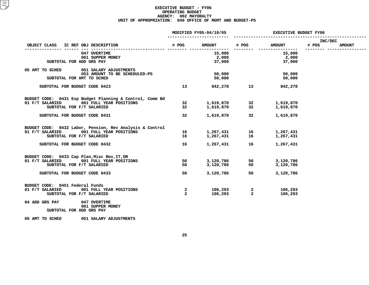|                                                                                                                                                                      |                             | MODIFIED FY05-04/10/05       | <b>EXECUTIVE BUDGET FY06</b>                  |                                     |                  |               |  |  |
|----------------------------------------------------------------------------------------------------------------------------------------------------------------------|-----------------------------|------------------------------|-----------------------------------------------|-------------------------------------|------------------|---------------|--|--|
| IC REF OBJ DESCRIPTION<br>OBJECT CLASS                                                                                                                               | # POS                       | <b>AMOUNT</b>                | # POS                                         | <b>AMOUNT</b>                       | INC/DEC<br># POS | <b>AMOUNT</b> |  |  |
| 047 OVERTIME<br>061 SUPPER MONEY<br>SUBTOTAL FOR ADD GRS PAY                                                                                                         |                             | 15,000<br>2,000<br>37,000    |                                               | 15,000<br>2,000<br>37,000           |                  |               |  |  |
| 05 AMT TO SCHED<br>051 SALARY ADJUSTMENTS<br>053 AMOUNT TO BE SCHEDULED-PS<br>SUBTOTAL FOR AMT TO SCHED                                                              |                             | 50,000<br>50,000             |                                               | 50,000<br>50,000                    |                  |               |  |  |
| SUBTOTAL FOR BUDGET CODE 0423                                                                                                                                        | 13 <sup>7</sup>             |                              | 842,278 13                                    | 842,278                             |                  |               |  |  |
| BUDGET CODE: 0431 Exp Budget Planning & Control, Comm Bd<br>01 F/T SALARIED<br>001 FULL YEAR POSITIONS<br>SUBTOTAL FOR F/T SALARIED<br>SUBTOTAL FOR BUDGET CODE 0431 | 32<br>32 <sub>2</sub><br>32 | 1,619,870<br>1,619,870       | $1,619,870$ 32<br>$1,619,870$ 32<br>32<br>-32 | 1,619,870<br>1,619,870<br>1,619,870 |                  |               |  |  |
| BUDGET CODE: 0432 Labor, Pension, Rev Analysis & Control<br>01 F/T SALARIED<br>001 FULL YEAR POSITIONS<br>SUBTOTAL FOR F/T SALARIED                                  | 16<br>16                    | 1,267,431 16<br>1,267,431 16 |                                               | 1,267,431<br>1,267,431              |                  |               |  |  |
| SUBTOTAL FOR BUDGET CODE 0432                                                                                                                                        | 16                          | 1,267,431                    | 16                                            | 1,267,431                           |                  |               |  |  |
| BUDGET CODE: 0433 Cap Plan, Misc Rev, IT, OR<br>01 F/T SALARIED<br>001 FULL YEAR POSITIONS<br>SUBTOTAL FOR F/T SALARIED                                              | 50<br>50                    | 3,120,786<br>3,120,786       | 50<br>50                                      | 3,120,786<br>3,120,786              |                  |               |  |  |
| SUBTOTAL FOR BUDGET CODE 0433                                                                                                                                        | 50                          | 3,120,786                    | 50                                            | 3,120,786                           |                  |               |  |  |
| BUDGET CODE: 0451 Federal Funds<br>01 F/T SALARIED<br>001 FULL YEAR POSITIONS<br>SUBTOTAL FOR F/T SALARIED                                                           | 2<br>$\overline{2}$         | 106,293<br>106,293           | $\mathbf{2}$<br>$\overline{a}$                | 106,293<br>106,293                  |                  |               |  |  |
| 04 ADD GRS PAY<br>047 OVERTIME<br>061 SUPPER MONEY<br>SUBTOTAL FOR ADD GRS PAY                                                                                       |                             |                              |                                               |                                     |                  |               |  |  |
| 05 AMT TO SCHED<br>051 SALARY ADJUSTMENTS                                                                                                                            |                             |                              |                                               |                                     |                  |               |  |  |
|                                                                                                                                                                      |                             |                              |                                               |                                     |                  |               |  |  |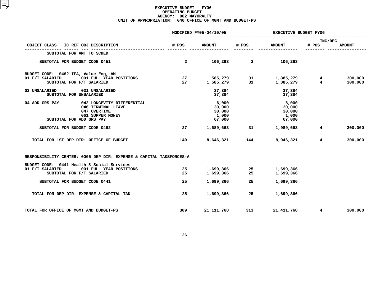|                                        |                                                                     |                | MODIFIED FY05-04/10/05 | <b>EXECUTIVE BUDGET FY06</b> |                 |                  |               |  |
|----------------------------------------|---------------------------------------------------------------------|----------------|------------------------|------------------------------|-----------------|------------------|---------------|--|
| OBJECT CLASS IC REF OBJ DESCRIPTION    |                                                                     | # POS          | <b>AMOUNT</b>          | # POS                        | <b>AMOUNT</b>   | INC/DEC<br># POS | <b>AMOUNT</b> |  |
|                                        | SUBTOTAL FOR AMT TO SCHED                                           |                |                        |                              |                 |                  |               |  |
|                                        | SUBTOTAL FOR BUDGET CODE 0451                                       | $\overline{2}$ | 106,293                | $\overline{2}$               | 106,293         |                  |               |  |
| BUDGET CODE: 0462 IFA, Value Eng, AM   |                                                                     |                |                        |                              |                 |                  |               |  |
| 01 F/T SALARIED                        | 001 FULL YEAR POSITIONS                                             | 27             |                        | 1,585,279 31                 | 1,885,279       | 4                | 300,000       |  |
|                                        | SUBTOTAL FOR F/T SALARIED                                           | 27             | 1,585,279              | 31                           | 1,885,279       | $\overline{4}$   | 300,000       |  |
| 03 UNSALARIED                          | 031 UNSALARIED                                                      |                | 37,384                 |                              | 37,384          |                  |               |  |
|                                        | SUBTOTAL FOR UNSALARIED                                             |                | 37,384                 |                              | 37,384          |                  |               |  |
| 04 ADD GRS PAY                         | 042 LONGEVITY DIFFERENTIAL                                          |                | 6,000                  |                              | 6,000           |                  |               |  |
|                                        | 046 TERMINAL LEAVE                                                  |                | 30,000                 |                              | 30,000          |                  |               |  |
|                                        | 047 OVERTIME                                                        |                | 30,000                 |                              | 30,000          |                  |               |  |
|                                        | 061 SUPPER MONEY<br>SUBTOTAL FOR ADD GRS PAY                        |                | 1,000<br>67,000        |                              | 1,000<br>67,000 |                  |               |  |
|                                        |                                                                     |                |                        |                              |                 |                  |               |  |
|                                        | SUBTOTAL FOR BUDGET CODE 0462                                       | 27             | 1,689,663              | 31                           | 1,989,663       | $4\overline{ }$  | 300,000       |  |
|                                        | TOTAL FOR 1ST DEP DIR: OFFICE OF BUDGET                             | 140            | 8,646,321              | 144                          | 8,946,321       | $4\overline{ }$  | 300,000       |  |
|                                        | RESPONSIBILITY CENTER: 0005 DEP DIR: EXPENSE & CAPITAL TAKSFORCES-A |                |                        |                              |                 |                  |               |  |
|                                        | BUDGET CODE: 0441 Health & Social Services                          |                |                        |                              |                 |                  |               |  |
| 01 F/T SALARIED                        | 001 FULL YEAR POSITIONS                                             | 25             | 1,699,366              | 25                           | 1,699,366       |                  |               |  |
|                                        | SUBTOTAL FOR F/T SALARIED                                           | 25             | 1,699,366              | 25                           | 1,699,366       |                  |               |  |
|                                        | SUBTOTAL FOR BUDGET CODE 0441                                       | 25             | 1,699,366              | 25                           | 1,699,366       |                  |               |  |
|                                        | TOTAL FOR DEP DIR: EXPENSE & CAPITAL TAK                            | 25             | 1,699,366              | 25                           | 1,699,366       |                  |               |  |
| TOTAL FOR OFFICE OF MGMT AND BUDGET-PS |                                                                     | 309            | 21, 111, 768           | 313                          | 21,411,768      | $4\overline{ }$  | 300,000       |  |
|                                        |                                                                     |                |                        |                              |                 |                  |               |  |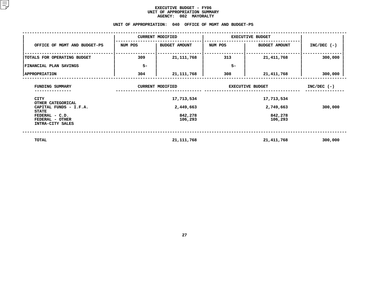#### **EXECUTIVE BUDGET - FY06** UNIT OF APPROPRIATION SUMMARY **OF APPROPRIATION SUMMARY AGENCY:**

| <b>AGENCY:</b><br>002 MAYORALTY                                       |         |                                                         |                         |                      |               |  |  |  |  |  |  |
|-----------------------------------------------------------------------|---------|---------------------------------------------------------|-------------------------|----------------------|---------------|--|--|--|--|--|--|
|                                                                       |         | UNIT OF APPROPRIATION: 040 OFFICE OF MGMT AND BUDGET-PS |                         |                      |               |  |  |  |  |  |  |
|                                                                       |         | <b>CURRENT MODIFIED</b>                                 | <b>EXECUTIVE BUDGET</b> |                      |               |  |  |  |  |  |  |
| OFFICE OF MGMT AND BUDGET-PS                                          | NUM POS | <b>BUDGET AMOUNT</b>                                    | NUM POS                 | <b>BUDGET AMOUNT</b> | $INC/DEC$ (-) |  |  |  |  |  |  |
| TOTALS FOR OPERATING BUDGET                                           | 309     | 21, 111, 768                                            | 313                     | 21, 411, 768         | 300,000       |  |  |  |  |  |  |
| FINANCIAL PLAN SAVINGS                                                | $5-$    |                                                         | $5-$                    |                      |               |  |  |  |  |  |  |
| <b>APPROPRIATION</b>                                                  | 304     | 21, 111, 768                                            | 308                     | 21,411,768           | 300,000       |  |  |  |  |  |  |
| FUNDING SUMMARY                                                       |         | <b>CURRENT MODIFIED</b>                                 | <b>EXECUTIVE BUDGET</b> | $INC/DEC$ (-)        |               |  |  |  |  |  |  |
| <b>CITY</b>                                                           |         | 17,713,534                                              |                         |                      |               |  |  |  |  |  |  |
| OTHER CATEGORICAL<br>CAPITAL FUNDS - I.F.A.                           |         | 2,449,663                                               |                         | 300,000              |               |  |  |  |  |  |  |
| <b>STATE</b><br>FEDERAL - C.D.<br>FEDERAL - OTHER<br>INTRA-CITY SALES |         | 842,278<br>106,293                                      |                         | 842,278<br>106,293   |               |  |  |  |  |  |  |
| TOTAL                                                                 |         | 21, 111, 768                                            |                         | 21, 411, 768         | 300,000       |  |  |  |  |  |  |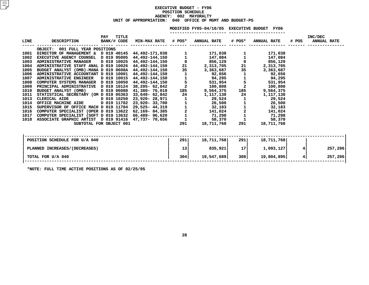|             |                                                          |                    |       |                          |                | MODIFIED FY05-04/10/05 EXECUTIVE BUDGET FY06      |                |                    |       |                               |
|-------------|----------------------------------------------------------|--------------------|-------|--------------------------|----------------|---------------------------------------------------|----------------|--------------------|-------|-------------------------------|
| <b>LINE</b> | <b>DESCRIPTION</b>                                       | PAY<br>BANK/# CODE | TITLE |                          |                | MIN-MAX RATE # POS* ANNUAL RATE                   | # POS*         | <b>ANNUAL RATE</b> | # POS | INC/DEC<br><b>ANNUAL RATE</b> |
|             | OBJECT: 001 FULL YEAR POSITIONS                          |                    |       |                          |                |                                                   |                |                    |       |                               |
| 1001        | DIRECTOR OF MANAGEMENT & D 019 40145                     |                    |       | 44,492-171,038           |                | 171,038                                           |                | 171,038            |       |                               |
| 1002        | EXECUTIVE AGENCY COUNSEL D 019 95005                     |                    |       | 44,492-144,150           | $\overline{1}$ | 147,084                                           |                | 147,084            |       |                               |
| 1003        | <b>ADMINISTRATIVE MANAGER</b>                            | D 019 10025        |       | 44,492-144,150           |                | $\begin{array}{c} 8 \\ 21 \end{array}$<br>856,129 | 8              | 856,129            |       |                               |
| 1004        | ADMINISTRATIVE STAFF ANAL D 019 10026 44,492-144,150     |                    |       |                          |                | 2,313,705                                         | 21             | 2,313,705          |       |                               |
| 1005        | BUDGET ANALYST (OMB)-MANA D 019 0608A 44,492-144,150     |                    |       |                          | 35             | 3,363,687                                         | 35             | 3,363,687          |       |                               |
| 1006        | ADMINISTRATIVE ACCOUNTANT D 019 10001                    |                    |       | 44,492-144,150           |                | 92,656                                            |                | 92,656             |       |                               |
| 1007        | ADMINISTRATIVE ENGINEER                                  | 10015 019 D        |       | 44,492-144,150           |                | 94,295                                            |                | 94,295             |       |                               |
| 1008        | COMPUTER SYSTEMS MANAGER D 019 10050                     |                    |       | 44,492-144,150           | $\frac{1}{2}$  | 531,954                                           |                | 531,954            |       |                               |
| 1009        | PRINCIPAL ADMINISTRATIVE D 019 10124 38,205- 62,842      |                    |       |                          |                | 100,808                                           | $\overline{2}$ | 100,808            |       |                               |
| 1010        | BUDGET ANALYST (OMB) D 019 06088                         |                    |       | 41,380- 76,019           | 185            | 9,564,375                                         | 185 — 187      | 9,564,375          |       |                               |
| 1011        | STATISTICAL SECRETARY (OM D 019 05363                    |                    |       | 33,649- 62,842           | 24             | 1,117,138                                         | 24             | 1,117,138          |       |                               |
| 1013        | CLERICAL AIDE D 019 10250                                |                    |       | 23,920- 28,971           |                | 29,524                                            |                | 29,524             |       |                               |
| 1014        | OFFICE MACHINE AIDE                                      |                    |       | 019 11702 23,920- 33,700 |                | 26,500                                            |                | 26,500             |       |                               |
| 1015        | SUPERVISOR OF OFFICE MACH D 019 11704 29,525- 44,319     |                    |       |                          |                | 32,183                                            |                | 32,183             |       |                               |
| 1016        | COMPUTER SPECIALIST (OPER D 019 13622 62,169- 84,385     |                    |       |                          | $\overline{a}$ | 141,024                                           |                | 141,024            |       |                               |
| 1017        | COMPUTER SPECIALIST (SOFT D 019 13632 66,489- 96,620     |                    |       |                          |                | 71,298                                            |                | 71,298             |       |                               |
|             | 1018 ASSOCIATE GRAPHIC ARTIST D 019 91416 47,737- 70,656 |                    |       |                          | $\mathbf{1}$   | 58,370                                            |                | 58,370             |       |                               |
|             | SUBTOTAL FOR OBJECT 001                                  |                    |       |                          | 291            | 18,711,768                                        | 291 —          | 18,711,768         |       |                               |
|             |                                                          |                    |       |                          |                |                                                   |                |                    |       |                               |
|             |                                                          |                    |       |                          |                |                                                   |                |                    |       |                               |

| POSITION SCHEDULE FOR U/A 040 | 291 | 18,711,768 | 291  | 18,711,768 |         |
|-------------------------------|-----|------------|------|------------|---------|
| PLANNED INCREASES/(DECREASES) | 13  | 835,921    | 17 I | 1,093,127  | 257,206 |
| TOTAL FOR U/A 040             | 304 | 19,547,689 | 308  | 19,804,895 | 257,206 |
|                               |     |            |      |            |         |

**\*NOTE: FULL TIME ACTIVE POSITIONS AS OF 02/25/05**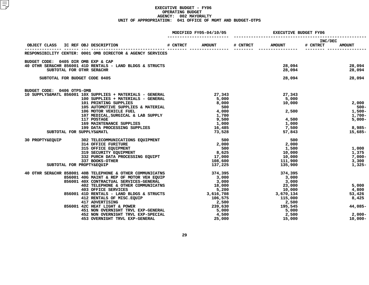|                                                            |                                                                                       |          | MODIFIED FY05-04/10/05 | <b>EXECUTIVE BUDGET FY06</b> |                   |                     |                  |  |
|------------------------------------------------------------|---------------------------------------------------------------------------------------|----------|------------------------|------------------------------|-------------------|---------------------|------------------|--|
| OBJECT CLASS IC REF OBJ DESCRIPTION                        |                                                                                       | # CNTRCT | <b>AMOUNT</b>          | # CNTRCT                     | <b>AMOUNT</b>     | INC/DEC<br># CNTRCT | <b>AMOUNT</b>    |  |
| RESPONSIBILITY CENTER: 0001 OMB DIRECTOR & AGENCY SERVICES |                                                                                       |          |                        |                              |                   |                     |                  |  |
| BUDGET CODE: 0405 DIR OMB EXP & CAP                        |                                                                                       |          |                        |                              |                   |                     |                  |  |
| 40 OTHR SER&CHR 856001 41D RENTALS - LAND BLDGS & STRUCTS  |                                                                                       |          |                        |                              | 28,094            |                     | 28,094           |  |
| SUBTOTAL FOR OTHR SER&CHR                                  |                                                                                       |          |                        |                              | 28,094            |                     | 28,094           |  |
| SUBTOTAL FOR BUDGET CODE 0405                              |                                                                                       |          |                        |                              | 28,094            |                     | 28,094           |  |
| BUDGET CODE: 0406 OTPS-OMB                                 |                                                                                       |          |                        |                              |                   |                     |                  |  |
| 10 SUPPLYS&MATL 856001 10X SUPPLIES + MATERIALS - GENERAL  |                                                                                       |          | 27,343                 |                              | 27,343            |                     |                  |  |
|                                                            | 100 SUPPLIES + MATERIALS - GENERAL                                                    |          | 5,000                  |                              | 5,000             |                     |                  |  |
| 101 PRINTING SUPPLIES                                      |                                                                                       |          | 8,000<br>500           |                              | 10,000            |                     | 2,000<br>$500 -$ |  |
|                                                            | 101 PRINTING SUPPLIES<br>105 AUTOMOTIVE SUPPLIES & MATERIAL<br>106 MOTOR VEHICLE FUEL |          | 4,000                  |                              |                   | 2,500               | 1,500-           |  |
|                                                            | 107 MEDICAL, SURGICAL & LAB SUPPLY                                                    |          | 1,700                  |                              |                   |                     | 1,700-           |  |
| 117 POSTAGE                                                |                                                                                       |          | 9,500                  |                              | 4,500             |                     | $5,000 -$        |  |
|                                                            | <b>169 MAINTENANCE SUPPLIES</b>                                                       |          | 1,000                  |                              | 1,000             |                     |                  |  |
|                                                            | 199 DATA PROCESSING SUPPLIES                                                          |          | 16,485                 |                              | 7,500             |                     | 8,985-           |  |
| SUBTOTAL FOR SUPPLYS&MATL                                  |                                                                                       |          | 73,528                 |                              | 57,843            |                     | 15,685-          |  |
| 30 PROPTY&EQUIP<br>302 TELECOMMUNICATIONS EQUIPMENT        |                                                                                       |          | 500                    |                              | 500               |                     |                  |  |
| 314 OFFICE FURITURE                                        |                                                                                       |          | 2,000                  |                              | 2,000             |                     |                  |  |
|                                                            | 315 OFFICE EQUIPMENT<br>319 SECURITY EQUIPMENT                                        |          | 500                    |                              | 1,500             |                     | 1,000            |  |
|                                                            |                                                                                       |          | 8,625                  |                              | 10,000            |                     | 1,375            |  |
| 337 BOOKS-OTHER                                            | 332 PURCH DATA PROCESSING EQUIPT                                                      |          | 17,000<br>108,600      |                              | 10,000<br>111,900 |                     | 7,000-<br>3,300  |  |
| SUBTOTAL FOR PROPTY&EQUIP                                  |                                                                                       |          | 137,225                |                              | 135,900           |                     | $1,325-$         |  |
| 40 OTHR SER&CHR 858001 40B TELEPHONE & OTHER COMMUNICATNS  |                                                                                       |          | 374,395                |                              | 374,395           |                     |                  |  |
| 856001 40G MAINT & REP OF MOTOR VEH EQUIP                  |                                                                                       |          |                        |                              | 3,000             |                     |                  |  |
| 856001 40X CONTRACTUAL SERVICES-GENERAL                    |                                                                                       |          | 3,000<br>3,000         |                              | 3,000             |                     |                  |  |
|                                                            | 402 TELEPHONE & OTHER COMMUNICATNS                                                    |          | 18,000                 |                              | 23,000            |                     | 5,000            |  |
| 403 OFFICE SERVICES                                        |                                                                                       |          | 5,200                  |                              | 10,000            |                     | 4,800            |  |
|                                                            | 856001 41D RENTALS - LAND BLDGS & STRUCTS $3,616,708$                                 |          |                        |                              | 3,670,134         |                     | 53,426           |  |
|                                                            | 412 RENTALS OF MISC.EQUIP                                                             |          | 106,575                |                              | 115,000           |                     | 8,425            |  |
|                                                            | 417 ADVERTISING<br>856001 42C HEAT LIGHT & POWER                                      |          | 2,500<br>239,630       |                              | 2,500<br>195,545  |                     | 44,085-          |  |
|                                                            | 451 NON OVERNIGHT TRVL EXP-GENERAL<br>452 NON OVERNIGHT TRVL EXP-GENERAL              |          | 5,000                  |                              | 5,000             |                     |                  |  |
|                                                            | 452 NON OVERNIGHT TRVL EXP-SPECIAL                                                    |          | 4,500                  |                              | 2,500             |                     | 2,000-           |  |
|                                                            | 453 OVERNIGHT TRVL EXP-GENERAL                                                        |          | 25,000                 |                              | 15,000            |                     | $10,000 -$       |  |
|                                                            |                                                                                       |          |                        |                              |                   |                     |                  |  |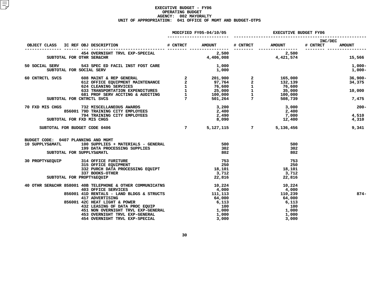|                                     |                                                                                                                                                                                                                                                                                                                                                                                          |                | MODIFIED FY05-04/10/05 | EXECUTIVE BUDGET FY06 |                                                                            |                                 |  |
|-------------------------------------|------------------------------------------------------------------------------------------------------------------------------------------------------------------------------------------------------------------------------------------------------------------------------------------------------------------------------------------------------------------------------------------|----------------|------------------------|-----------------------|----------------------------------------------------------------------------|---------------------------------|--|
|                                     |                                                                                                                                                                                                                                                                                                                                                                                          |                |                        |                       | # CNTRCT AMOUNT # CNTRCT                                                   | <b>INC/DEC</b><br><b>AMOUNT</b> |  |
|                                     | 454 OVERNIGHT TRVL EXP-SPECIAL                                                                                                                                                                                                                                                                                                                                                           |                |                        |                       | $2,500$<br>4,406,008<br>4,421,574<br>4,421,574                             |                                 |  |
|                                     | SUBTOTAL FOR OTHR SER&CHR                                                                                                                                                                                                                                                                                                                                                                |                |                        |                       |                                                                            | 15,566                          |  |
| SUBTOTAL FOR SOCIAL SERV            | 50 SOCIAL SERV 543 SPEC ED FACIL INST FOST CARE                                                                                                                                                                                                                                                                                                                                          |                | 1,000<br>1,000         |                       |                                                                            | 1,000-<br>1,000-                |  |
| 60 CNTRCTL SVCS                     | $\begin{array}{cccccc} 608 & \text{MANT} & \texttt{k} & \texttt{REF} & \texttt{GENERAL} & & 2 & 201,900 & 2 & 165,000 \\ 612 & \texttt{OFFICE} & \texttt{EQUIPMENT} & \texttt{MANTENANCE} & 2 & 97,764 & 2 & 132,139 \\ 624 & \texttt{CLEANING} & \texttt{SERVICES} & 1 & 76,600 & 1 & 76,600 \\ 633 & \texttt{TRANSPORTATION} & \texttt{EXPERDITURES} & 1 & 25,000 & 1 & 35,000 \\ 681$ |                |                        |                       |                                                                            | $36,900 -$                      |  |
|                                     |                                                                                                                                                                                                                                                                                                                                                                                          |                |                        |                       |                                                                            | 34,375                          |  |
|                                     |                                                                                                                                                                                                                                                                                                                                                                                          |                |                        |                       |                                                                            |                                 |  |
|                                     |                                                                                                                                                                                                                                                                                                                                                                                          |                |                        |                       |                                                                            | 10,000                          |  |
|                                     |                                                                                                                                                                                                                                                                                                                                                                                          |                |                        |                       |                                                                            |                                 |  |
|                                     | SUBTOTAL FOR CNTRCTL SVCS                                                                                                                                                                                                                                                                                                                                                                |                |                        |                       |                                                                            | 7,475                           |  |
|                                     |                                                                                                                                                                                                                                                                                                                                                                                          |                |                        |                       |                                                                            | $200 -$                         |  |
|                                     |                                                                                                                                                                                                                                                                                                                                                                                          |                |                        |                       |                                                                            |                                 |  |
|                                     |                                                                                                                                                                                                                                                                                                                                                                                          |                |                        |                       |                                                                            | 4,510                           |  |
|                                     | 70 FXD MIS CHGS 732 MISCELLANEOUS AWARDS<br>856001 79D TRAINING CITY EMPLOYEES<br>794 TRAINING CITY EMPLOYEES                                                                                                                                                                                                                                                                            |                |                        |                       | $3,200$<br>$2,400$<br>$2,490$<br>$3,000$<br>$2,400$<br>$7,000$<br>$12,400$ | 4,310                           |  |
|                                     | SUBTOTAL FOR BUDGET CODE 0406                                                                                                                                                                                                                                                                                                                                                            | $\overline{7}$ |                        |                       |                                                                            | 5,127,115 7 5,136,456<br>9,341  |  |
| BUDGET CODE: 0407 PLANNING AND MGMT |                                                                                                                                                                                                                                                                                                                                                                                          |                |                        |                       |                                                                            |                                 |  |
|                                     | 10 SUPPLYS&MATL 100 SUPPLIES + MATERIALS - GENERAL                                                                                                                                                                                                                                                                                                                                       |                |                        |                       | 500                                                                        |                                 |  |
|                                     | <b>199 DATA PROCESSING SUPPLIES</b>                                                                                                                                                                                                                                                                                                                                                      |                |                        |                       | 302                                                                        |                                 |  |
|                                     | SUBTOTAL FOR SUPPLYS&MATL                                                                                                                                                                                                                                                                                                                                                                |                | 802                    |                       | 802                                                                        |                                 |  |
|                                     |                                                                                                                                                                                                                                                                                                                                                                                          |                |                        |                       |                                                                            |                                 |  |
|                                     | 30 PROPTY&EQUIP 314 OFFICE FURITURE                                                                                                                                                                                                                                                                                                                                                      |                |                        |                       | 753                                                                        |                                 |  |
|                                     |                                                                                                                                                                                                                                                                                                                                                                                          |                |                        |                       | -250                                                                       |                                 |  |
|                                     |                                                                                                                                                                                                                                                                                                                                                                                          |                |                        |                       | 18,101                                                                     |                                 |  |
|                                     |                                                                                                                                                                                                                                                                                                                                                                                          |                | 3,712<br>22,816        |                       | 3,712                                                                      |                                 |  |
|                                     | 337 BOOKS-OTHER<br>PROPTY&EQUIP<br>SUBTOTAL FOR PROPTY&EQUIP                                                                                                                                                                                                                                                                                                                             |                |                        |                       | 22,816                                                                     |                                 |  |
|                                     | 40 OTHR SER&CHR 858001 40B TELEPHONE & OTHER COMMUNICATNS 10,224 10,224 10,224<br>4,000 4,000 1000 47,000 111,113 110,239<br>856001 41D RENTALS - LAND BLDGS & STRUCTS 111,113                                                                                                                                                                                                           |                |                        |                       |                                                                            |                                 |  |
|                                     |                                                                                                                                                                                                                                                                                                                                                                                          |                |                        |                       |                                                                            |                                 |  |
|                                     |                                                                                                                                                                                                                                                                                                                                                                                          |                |                        |                       |                                                                            | $874 -$                         |  |
|                                     |                                                                                                                                                                                                                                                                                                                                                                                          |                |                        |                       | 64,000                                                                     |                                 |  |
|                                     |                                                                                                                                                                                                                                                                                                                                                                                          |                |                        |                       | 6,113                                                                      |                                 |  |
|                                     |                                                                                                                                                                                                                                                                                                                                                                                          |                |                        |                       | 100                                                                        |                                 |  |
|                                     |                                                                                                                                                                                                                                                                                                                                                                                          |                |                        |                       | 1,000                                                                      |                                 |  |
|                                     |                                                                                                                                                                                                                                                                                                                                                                                          |                |                        |                       | 1,000                                                                      |                                 |  |
|                                     | 417 ADVERTISING<br>42C HEAT LIGHT & POWER<br>432 LEASING OF DATA PROC EQUIP<br>451 NON OVERNIGHT TRVL EXP-GENERAL<br>453 OVERNIGHT TRVL EXP-GENERAL<br>454,000<br>453 OVERNIGHT TRVL EXP-GENERAL<br>454 OVERNIGHT TRVL EXP-SPECIAL<br>454 OVER                                                                                                                                           |                |                        |                       | 3,000                                                                      |                                 |  |
|                                     |                                                                                                                                                                                                                                                                                                                                                                                          |                |                        |                       |                                                                            |                                 |  |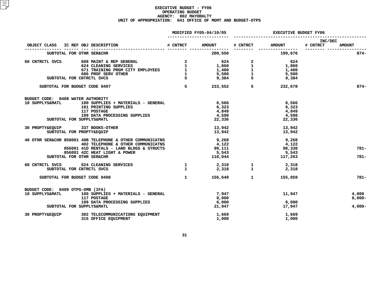|                                     |                                                                                                                                                                                                                                                      |              | MODIFIED FY05-04/10/05 | <b>EXECUTIVE BUDGET FY06</b> |                       |                                   |               |  |
|-------------------------------------|------------------------------------------------------------------------------------------------------------------------------------------------------------------------------------------------------------------------------------------------------|--------------|------------------------|------------------------------|-----------------------|-----------------------------------|---------------|--|
| OBJECT CLASS IC REF OBJ DESCRIPTION |                                                                                                                                                                                                                                                      |              | # CNTRCT AMOUNT        |                              | # CNTRCT AMOUNT       | <b>INC/DEC</b><br><b># CNTRCT</b> | <b>AMOUNT</b> |  |
|                                     | SUBTOTAL FOR OTHR SER&CHR                                                                                                                                                                                                                            |              | 200,550                |                              | 199,676               |                                   | $874-$        |  |
| 60 CNTRCTL SVCS                     |                                                                                                                                                                                                                                                      |              |                        |                              |                       |                                   |               |  |
|                                     | <b>608 MAINT &amp; REP GENERAL<br/>624 CLEANING SERVICES</b>                                                                                                                                                                                         |              |                        |                              |                       |                                   |               |  |
|                                     |                                                                                                                                                                                                                                                      |              |                        |                              |                       |                                   |               |  |
|                                     |                                                                                                                                                                                                                                                      |              |                        |                              |                       |                                   |               |  |
|                                     | SUBTOTAL FOR CNTRCTL SVCS                                                                                                                                                                                                                            |              |                        |                              |                       |                                   |               |  |
|                                     | SUBTOTAL FOR BUDGET CODE 0407                                                                                                                                                                                                                        |              |                        |                              | $5$ 233,552 5 232,678 |                                   | $874-$        |  |
| BUDGET CODE: 0408 WATER AUTHORITY   |                                                                                                                                                                                                                                                      |              |                        |                              |                       |                                   |               |  |
|                                     | 10 SUPPLYS&MATL 100 SUPPLIES + MATERIALS - GENERAL                                                                                                                                                                                                   |              | 6,566                  |                              | 6,566                 |                                   |               |  |
|                                     | 101 PRINTING SUPPLIES                                                                                                                                                                                                                                |              | 6,323                  |                              | 6,323                 |                                   |               |  |
|                                     | 117 POSTAGE<br>199 DATA PROCESSING SUPPLIES                                                                                                                                                                                                          |              | 4,849                  |                              | 4,849                 |                                   |               |  |
|                                     |                                                                                                                                                                                                                                                      |              | 4,598                  |                              | 4,598                 |                                   |               |  |
|                                     | SUBTOTAL FOR SUPPLYS&MATL                                                                                                                                                                                                                            |              | 22,336                 |                              | 22,336                |                                   |               |  |
|                                     | 30 PROPTY&EQUIP 337 BOOKS-OTHER                                                                                                                                                                                                                      |              |                        | 13,942                       | 13,942                |                                   |               |  |
|                                     | SUBTOTAL FOR PROPTY&EQUIP                                                                                                                                                                                                                            |              | 13,942                 |                              | 13,942                |                                   |               |  |
|                                     | 40 OTHR SER&CHR 858001 40B TELEPHONE & OTHER COMMUNICATNS                                                                                                                                                                                            |              | 9,268<br>4,122         |                              | 9,268                 |                                   |               |  |
|                                     | 402 TELEPHONE & OTHER COMMUNICATNS                                                                                                                                                                                                                   |              |                        |                              | 4,122                 |                                   |               |  |
|                                     | 856001 41D RENTALS - LAND BLDGS & STRUCTS                                                                                                                                                                                                            |              | $\frac{1}{2}$ ,111     |                              | 98,330                |                                   | $781 -$       |  |
|                                     | 856001 42C HEAT LIGHT & POWER                                                                                                                                                                                                                        |              | 5,543                  |                              | 5,543                 |                                   |               |  |
|                                     | SUBTOTAL FOR OTHR SER&CHR                                                                                                                                                                                                                            |              |                        | 118,044                      | 117,263               |                                   | $781 -$       |  |
|                                     |                                                                                                                                                                                                                                                      |              |                        |                              |                       |                                   |               |  |
|                                     | $\begin{array}{cccccccc} 60 & \text{CNTRCTL SVCS} & & & & 624 & \text{CLEANING SERVICES} & & & & 1 & & & 2,318 & & 1 & & 2,318 \\ & & & & & & & 50 & & 1 & & 2,318 & & 1 & & 2,318 \\ & & & & & & 50 & & 1 & & 2,318 & & 1 & & 2,318 \\ \end{array}$ |              |                        |                              |                       |                                   |               |  |
|                                     | SUBTOTAL FOR BUDGET CODE 0408                                                                                                                                                                                                                        | $\mathbf{1}$ | $156,640$ 1            |                              | 155,859               |                                   | $781 -$       |  |
| BUDGET CODE: 0409 OTPS-OMB (IFA)    |                                                                                                                                                                                                                                                      |              |                        |                              |                       |                                   |               |  |
|                                     | 10 SUPPLYS&MATL 100 SUPPLIES + MATERIALS - GENERAL                                                                                                                                                                                                   |              | 7,947                  |                              | 11,947                |                                   | 4,000         |  |
|                                     | 117 POSTAGE                                                                                                                                                                                                                                          |              | 8,000                  |                              |                       |                                   | $8,000 -$     |  |
|                                     | 199 DATA PROCESSING SUPPLIES                                                                                                                                                                                                                         |              | $\frac{3}{6}$ ,000     |                              | 6,000                 |                                   |               |  |
|                                     | SUBTOTAL FOR SUPPLYS&MATL                                                                                                                                                                                                                            |              | 21,947                 |                              | 17,947                |                                   | 4,000-        |  |
|                                     | 30 PROPTY&EQUIP 302 TELECOMMUNICATIONS EQUIPMENT                                                                                                                                                                                                     |              | 1,669                  |                              | 1,669                 |                                   |               |  |
|                                     | 315 OFFICE EQUIPMENT                                                                                                                                                                                                                                 |              | 1,000                  |                              | 1,000                 |                                   |               |  |
|                                     |                                                                                                                                                                                                                                                      |              |                        |                              |                       |                                   |               |  |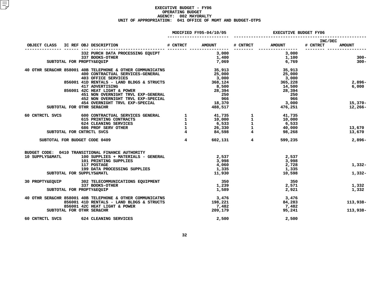|                 |                                                                                                                                                                                                                                                                                                                                                                                                                          | MODIFIED FY05-04/10/05 | <b>EXECUTIVE BUDGET FY06</b> |               |                            |               |
|-----------------|--------------------------------------------------------------------------------------------------------------------------------------------------------------------------------------------------------------------------------------------------------------------------------------------------------------------------------------------------------------------------------------------------------------------------|------------------------|------------------------------|---------------|----------------------------|---------------|
|                 |                                                                                                                                                                                                                                                                                                                                                                                                                          |                        | # CNTRCT                     | <b>AMOUNT</b> | <b>INC/DEC</b><br># CNTRCT | <b>AMOUNT</b> |
|                 |                                                                                                                                                                                                                                                                                                                                                                                                                          | 3,000                  |                              | 3,000         |                            |               |
|                 | 332 PURCH DATA PROCESSING EQUIPT<br>227 POOKS OWNER                                                                                                                                                                                                                                                                                                                                                                      |                        |                              |               |                            |               |
|                 | 337 BOOKS-OTHER                                                                                                                                                                                                                                                                                                                                                                                                          | 1,400                  |                              | 1,100         |                            | $300 -$       |
|                 | SUBTOTAL FOR PROPTY&EQUIP                                                                                                                                                                                                                                                                                                                                                                                                | 7,069                  |                              | 6,769         |                            | $300 -$       |
|                 | 40 OTHR SER&CHR 858001 40B TELEPHONE & OTHER COMMUNICATNS                                                                                                                                                                                                                                                                                                                                                                | 35,913                 |                              | 35,913        |                            |               |
|                 | 400 CONTRACTUAL SERVICES-GENERAL                                                                                                                                                                                                                                                                                                                                                                                         | 25,000                 |                              | 25,000        |                            |               |
|                 | 403 OFFICE SERVICES                                                                                                                                                                                                                                                                                                                                                                                                      | 3,000                  |                              | 3,000         |                            |               |
|                 | $356001$ 41D RENTALS - LAND BLDGS & STRUCTS 368,124                                                                                                                                                                                                                                                                                                                                                                      |                        |                              | 365,228       |                            | $2,896-$      |
|                 | 417 ADVERTISING                                                                                                                                                                                                                                                                                                                                                                                                          | 8,500                  |                              | 14,500        |                            | 6,000         |
|                 | 856001 42C HEAT LIGHT & POWER                                                                                                                                                                                                                                                                                                                                                                                            | 28,394                 |                              | 28,394        |                            |               |
|                 |                                                                                                                                                                                                                                                                                                                                                                                                                          | 250                    |                              | 250           |                            |               |
|                 | 42C HEAT LIGHT & POWER<br>451 NON OVERNIGHT TRVL EXP-GENERAL<br>452 NON OVERNIGHT TRVL EXP-SPECIAL<br>454 OVERNIGHT TRVL EXP-SPECIAL                                                                                                                                                                                                                                                                                     | 966                    |                              | 966           |                            |               |
|                 |                                                                                                                                                                                                                                                                                                                                                                                                                          | 18,370                 |                              | 3,000         |                            | 15,370-       |
|                 | SUBTOTAL FOR OTHR SER&CHR                                                                                                                                                                                                                                                                                                                                                                                                | 488,517                |                              | 476,251       |                            | $12,266-$     |
| 60 CNTRCTL SVCS |                                                                                                                                                                                                                                                                                                                                                                                                                          |                        |                              |               |                            |               |
|                 |                                                                                                                                                                                                                                                                                                                                                                                                                          |                        |                              |               |                            |               |
|                 |                                                                                                                                                                                                                                                                                                                                                                                                                          |                        |                              |               |                            |               |
|                 |                                                                                                                                                                                                                                                                                                                                                                                                                          |                        |                              |               |                            | 13,670        |
|                 | $\begin{array}{cccccccc} 600 & \text{CONTRACTUAL} & \text{SEVICES} & \text{GERAL} & & & 1 & & & 41,735 & & 1 & & 41,735 \\ 615 & \text{PRINTING} & \text{CONTRACTERS} & & & & 1 & & 10,000 & & 1 & & 10,000 \\ 624 & \text{CLEANING} & \text{SEVICES} & & & & 1 & & 6,533 & & 1 & & 6,533 \\ 686 & \text{ROF} & \text{SEKV OTHER} & & & & 1 & & 26,330 & & 1 & & 40,000 \\ 686 & \text{PRO$<br>SUBTOTAL FOR CNTRCTL SVCS |                        |                              |               |                            | 13,670        |
|                 | SUBTOTAL FOR BUDGET CODE 0409                                                                                                                                                                                                                                                                                                                                                                                            | 4 602,131 4            |                              | 599,235       |                            | $2,896-$      |
|                 |                                                                                                                                                                                                                                                                                                                                                                                                                          |                        |                              |               |                            |               |
|                 | BUDGET CODE: 0410 TRANSITIONAL FINANCE AUTHORITY                                                                                                                                                                                                                                                                                                                                                                         |                        |                              |               |                            |               |
|                 | 10 SUPPLYS&MATL 100 SUPPLIES + MATERIALS - GENERAL                                                                                                                                                                                                                                                                                                                                                                       | 2,537                  |                              | 2,537         |                            |               |
|                 | <b>101 PRINTING SUPPLIES<br/>117 POSTAGE</b>                                                                                                                                                                                                                                                                                                                                                                             | 3,998                  |                              | 3,998         |                            |               |
|                 |                                                                                                                                                                                                                                                                                                                                                                                                                          | 4,060                  |                              | 2,728         |                            | $1,332-$      |
|                 | 199 DATA PROCESSING SUPPLIES                                                                                                                                                                                                                                                                                                                                                                                             | 1,335                  |                              | 1,335         |                            |               |
|                 | SUBTOTAL FOR SUPPLYS&MATL                                                                                                                                                                                                                                                                                                                                                                                                | 11,930                 |                              | 10,598        |                            | $1,332-$      |
|                 | 30 PROPTY&EQUIP 302 TELECOMMUNICATIONS EQUIPMENT                                                                                                                                                                                                                                                                                                                                                                         | 350                    |                              | 350           |                            |               |
|                 | 337 BOOKS-OTHER                                                                                                                                                                                                                                                                                                                                                                                                          | 1,239                  |                              | 2,571         |                            | 1,332         |
|                 | SUBTOTAL FOR PROPTY&EQUIP                                                                                                                                                                                                                                                                                                                                                                                                | 1,589                  |                              | 2,921         |                            | 1,332         |
|                 | 40 OTHR SER&CHR 858001 40B TELEPHONE & OTHER COMMUNICATNS                                                                                                                                                                                                                                                                                                                                                                | 3,476                  |                              | 3,476         |                            |               |
|                 | 856001 41D RENTALS - LAND BLDGS & STRUCTS                                                                                                                                                                                                                                                                                                                                                                                | 198,221                |                              | 84,283        |                            | 113,938-      |
|                 | 856001 42C HEAT LIGHT & POWER                                                                                                                                                                                                                                                                                                                                                                                            | 7,482                  |                              | 7,482         |                            |               |
|                 | SUBTOTAL FOR OTHR SER&CHR                                                                                                                                                                                                                                                                                                                                                                                                | 209,179                |                              | 95,241        |                            | 113,938-      |
|                 | 60 CNTRCTL SVCS 624 CLEANING SERVICES                                                                                                                                                                                                                                                                                                                                                                                    | 2,500                  |                              | 2,500         |                            |               |
|                 |                                                                                                                                                                                                                                                                                                                                                                                                                          |                        |                              |               |                            |               |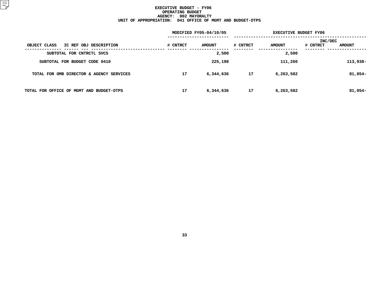|          |               | <b>EXECUTIVE BUDGET FY06</b> |               |                                             |  |  |
|----------|---------------|------------------------------|---------------|---------------------------------------------|--|--|
| # CNTRCT | <b>AMOUNT</b> | # CNTRCT                     | <b>AMOUNT</b> | <b>INC/DEC</b><br># CNTRCT<br><b>AMOUNT</b> |  |  |
|          | 2,500         |                              | 2,500         |                                             |  |  |
|          | 225,198       |                              | 111,260       | 113,938-                                    |  |  |
| 17       | 6,344,636     | 17                           | 6,263,582     | $81,054-$                                   |  |  |
| 17       | 6,344,636     | 17                           | 6,263,582     | $81,054-$                                   |  |  |
|          |               | MODIFIED FY05-04/10/05       |               |                                             |  |  |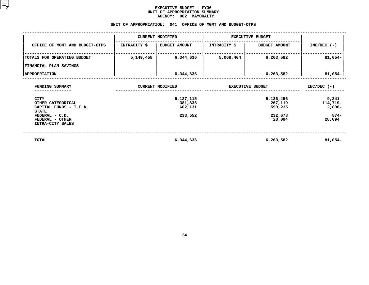#### **EXECUTIVE BUDGET - FY06** UNIT OF APPROPRIATION SUMMARY **OF APPROPRIATION SUMMARY AGENCY:**

|                                                                     |                        | <b>AGENCY:</b><br>002 MAYORALTY |                                    |                                 |                               |
|---------------------------------------------------------------------|------------------------|---------------------------------|------------------------------------|---------------------------------|-------------------------------|
|                                                                     | UNIT OF APPROPRIATION: |                                 | 041 OFFICE OF MGMT AND BUDGET-OTPS |                                 |                               |
|                                                                     |                        | <b>CURRENT MODIFIED</b>         |                                    | <b>EXECUTIVE BUDGET</b>         |                               |
| OFFICE OF MGMT AND BUDGET-OTPS                                      | <b>INTRACITY \$</b>    | <b>BUDGET AMOUNT</b>            | <b>INTRACITY \$</b>                | <b>BUDGET AMOUNT</b>            | $INC/DEC$ (-)                 |
| TOTALS FOR OPERATING BUDGET                                         | 5,149,458              | 6,344,636                       | 5,068,404                          | 6,263,582                       | $81,054-$                     |
| FINANCIAL PLAN SAVINGS                                              |                        |                                 |                                    |                                 |                               |
| <b>APPROPRIATION</b>                                                |                        | 6,344,636                       |                                    | 6,263,582                       | $81,054-$                     |
| FUNDING SUMMARY                                                     |                        | <b>CURRENT MODIFIED</b>         | <b>EXECUTIVE BUDGET</b>            | $INC/DEC$ (-)                   |                               |
| CITY<br>OTHER CATEGORICAL<br>CAPITAL FUNDS - I.F.A.<br><b>STATE</b> |                        | 5,127,115<br>381,838<br>602,131 |                                    | 5,136,456<br>267,119<br>599,235 | 9,341<br>114,719-<br>$2,896-$ |
| FEDERAL - C.D.<br>FEDERAL - OTHER<br>INTRA-CITY SALES               |                        | 233,552                         |                                    | 232,678<br>28,094               | $874 -$<br>28,094             |
| <b>TOTAL</b>                                                        |                        | 6,344,636                       |                                    | 6,263,582                       | $81,054-$                     |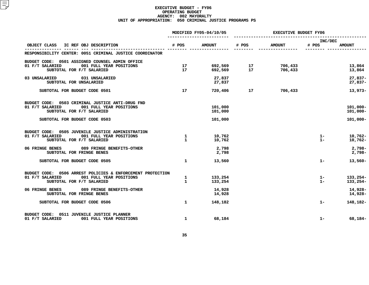|                                                                                                                                                              |                              | MODIFIED FY05-04/10/05        | <b>EXECUTIVE BUDGET FY06</b>                          |                    |                  |                                        |  |
|--------------------------------------------------------------------------------------------------------------------------------------------------------------|------------------------------|-------------------------------|-------------------------------------------------------|--------------------|------------------|----------------------------------------|--|
| OBJECT CLASS IC REF OBJ DESCRIPTION                                                                                                                          | # POS                        | <b>AMOUNT</b>                 | # POS                                                 | <b>AMOUNT</b>      | INC/DEC<br># POS | <b>AMOUNT</b>                          |  |
| RESPONSIBILITY CENTER: 0051 CRIMINAL JUSTICE COORDINATOR                                                                                                     |                              |                               |                                                       |                    |                  |                                        |  |
| BUDGET CODE: 0501 ASSIGNED COUNSEL ADMIN OFFICE<br>01 F/T SALARIED<br>001 FULL YEAR POSITIONS<br>SUBTOTAL FOR F/T SALARIED                                   | 17<br>17                     | 692,569                       | 692,569              17<br>692,569                 17 | 706,433<br>706,433 |                  | 13,864<br>13,864                       |  |
| 03 UNSALARIED<br>031 UNSALARIED<br>SUBTOTAL FOR UNSALARIED                                                                                                   |                              | 27,837<br>27,837              |                                                       |                    |                  | $27,837-$<br>$27,837-$                 |  |
| SUBTOTAL FOR BUDGET CODE 0501                                                                                                                                | 17                           | 720,406                       | 17                                                    | 706,433            |                  | 13,973-                                |  |
| BUDGET CODE: 0503 CRIMINAL JUSTICE ANTI-DRUG FND<br>01 F/T SALARIED<br>001 FULL YEAR POSITIONS<br>SUBTOTAL FOR F/T SALARIED<br>SUBTOTAL FOR BUDGET CODE 0503 |                              | 101,000<br>101,000<br>101,000 |                                                       |                    |                  | $101,000 -$<br>$101,000 -$<br>101,000- |  |
| BUDGET CODE: 0505 JUVENILE JUSTICE ADMINISTRATION<br>001 FULL YEAR POSITIONS<br>01 F/T SALARIED<br>SUBTOTAL FOR F/T SALARIED                                 | $\mathbf{1}$<br>$\mathbf{1}$ | 10,762<br>10,762              |                                                       |                    | $1 -$<br>$1 -$   | $10,762 -$<br>$10,762 -$               |  |
| 06 FRINGE BENES 089 FRINGE BENEFITS-OTHER<br>SUBTOTAL FOR FRINGE BENES                                                                                       |                              | 2,798<br>2,798                |                                                       |                    |                  | $2,798-$<br>$2,798-$                   |  |
| SUBTOTAL FOR BUDGET CODE 0505                                                                                                                                | $\mathbf{1}$                 | 13,560                        |                                                       |                    | $1 -$            | 13,560-                                |  |
| BUDGET CODE: 0506 ARREST POLICIES & ENFORCEMENT PROTECTION<br>01 F/T SALARIED<br>001 FULL YEAR POSITIONS<br>SUBTOTAL FOR F/T SALARIED                        | $\mathbf{1}$<br>$\mathbf{1}$ | 133,254<br>133,254            |                                                       |                    | $1-$<br>$1 -$    | 133,254-<br>133,254-                   |  |
| 06 FRINGE BENES 089 FRINGE BENEFITS-OTHER<br>SUBTOTAL FOR FRINGE BENES                                                                                       |                              | 14,928<br>14,928              |                                                       |                    |                  | 14,928-<br>14,928-                     |  |
| SUBTOTAL FOR BUDGET CODE 0506                                                                                                                                | $\mathbf{1}$                 | 148,182                       |                                                       |                    | $1 -$            | 148,182-                               |  |
| BUDGET CODE: 0511 JUVENILE JUSTICE PLANNER<br>01 F/T SALARIED<br>001 FULL YEAR POSITIONS                                                                     | $\mathbf{1}$                 | 68,184                        |                                                       |                    | $1 -$            | 68,184-                                |  |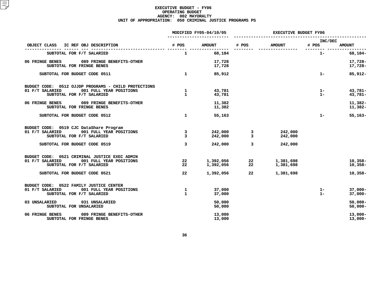|                                                                                                                                 |                              | MODIFIED FY05-04/10/05 | <b>EXECUTIVE BUDGET FY06</b> |                        |                           |                          |  |
|---------------------------------------------------------------------------------------------------------------------------------|------------------------------|------------------------|------------------------------|------------------------|---------------------------|--------------------------|--|
| IC REF OBJ DESCRIPTION<br>OBJECT CLASS                                                                                          | # POS                        | <b>AMOUNT</b>          | # POS                        | <b>AMOUNT</b>          | INC/DEC<br># POS          | <b>AMOUNT</b>            |  |
| SUBTOTAL FOR F/T SALARIED                                                                                                       | $\mathbf{1}$                 | 68,184                 | --------                     |                        | --------- ------<br>$1 -$ | 68,184-                  |  |
| 06 FRINGE BENES<br>089 FRINGE BENEFITS-OTHER<br>SUBTOTAL FOR FRINGE BENES                                                       |                              | 17,728<br>17,728       |                              |                        |                           | 17,728-<br>17,728-       |  |
| SUBTOTAL FOR BUDGET CODE 0511                                                                                                   | $\mathbf{1}$                 | 85,912                 |                              |                        | $1 -$                     | 85,912-                  |  |
| BUDGET CODE: 0512 OJJDP PROGRAMS - CHILD PROTECTIONS<br>01 F/T SALARIED<br>001 FULL YEAR POSITIONS<br>SUBTOTAL FOR F/T SALARIED | $\mathbf{1}$<br>$\mathbf{1}$ | 43,781<br>43,781       |                              |                        | $1 -$<br>$1 -$            | $43,781-$<br>43,781-     |  |
| 06 FRINGE BENES<br>089 FRINGE BENEFITS-OTHER<br>SUBTOTAL FOR FRINGE BENES                                                       |                              | 11,382<br>11,382       |                              |                        |                           | $11,382-$<br>$11,382-$   |  |
| SUBTOTAL FOR BUDGET CODE 0512                                                                                                   | $\mathbf{1}$                 | 55,163                 |                              |                        | $1 -$                     | $55,163-$                |  |
| BUDGET CODE: 0519 CJC DataShare Program<br>001 FULL YEAR POSITIONS<br>01 F/T SALARIED<br>SUBTOTAL FOR F/T SALARIED              | 3<br>$\overline{3}$          | 242,000<br>242,000     | 3<br>$\overline{3}$          | 242,000<br>242,000     |                           |                          |  |
| SUBTOTAL FOR BUDGET CODE 0519                                                                                                   | $\overline{3}$               | 242,000                | 3                            | 242,000                |                           |                          |  |
| BUDGET CODE: 0521 CRIMINAL JUSTICE EXEC ADMIN<br>01 F/T SALARIED<br>001 FULL YEAR POSITIONS<br>SUBTOTAL FOR F/T SALARIED        | 22<br>$22 \,$                | 1,392,056<br>1,392,056 | 22<br>$22 \,$                | 1,381,698<br>1,381,698 |                           | $10,358-$<br>$10,358-$   |  |
| SUBTOTAL FOR BUDGET CODE 0521                                                                                                   | $22 \,$                      | 1,392,056              | 22                           | 1,381,698              |                           | $10,358-$                |  |
| BUDGET CODE: 0522 FAMILY JUSTICE CENTER<br>01 F/T SALARIED<br>001 FULL YEAR POSITIONS<br>SUBTOTAL FOR F/T SALARIED              | $\mathbf{1}$<br>$\mathbf{1}$ | 37,000<br>37,000       |                              |                        | $1 -$<br>$1 -$            | $37,000 -$<br>$37,000 -$ |  |
| 031 UNSALARIED<br>03 UNSALARIED<br>SUBTOTAL FOR UNSALARIED                                                                      |                              | 50,000<br>50,000       |                              |                        |                           | $50,000 -$<br>$50,000 -$ |  |
| 06 FRINGE BENES<br>089 FRINGE BENEFITS-OTHER<br>SUBTOTAL FOR FRINGE BENES                                                       |                              | 13,000<br>13,000       |                              |                        |                           | $13,000 -$<br>$13,000-$  |  |
|                                                                                                                                 |                              |                        |                              |                        |                           |                          |  |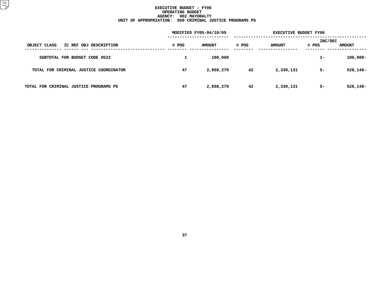|                                        |       | MODIFIED FY05-04/10/05 |       | <b>EXECUTIVE BUDGET FY06</b> |                         |               |  |  |
|----------------------------------------|-------|------------------------|-------|------------------------------|-------------------------|---------------|--|--|
| OBJECT CLASS<br>IC REF OBJ DESCRIPTION | # POS | <b>AMOUNT</b>          | # POS | <b>AMOUNT</b>                | <b>INC/DEC</b><br># POS | <b>AMOUNT</b> |  |  |
| SUBTOTAL FOR BUDGET CODE 0522          |       | 100,000                |       |                              | $1 -$                   | $100,000 -$   |  |  |
| TOTAL FOR CRIMINAL JUSTICE COORDINATOR | 47    | 2,858,279              | 42    | 2,330,131                    | $5-$                    | 528,148-      |  |  |
| TOTAL FOR CRIMINAL JUSTICE PROGRAMS PS | 47    | 2,858,279              | 42    | 2,330,131                    | $5-$                    | 528,148-      |  |  |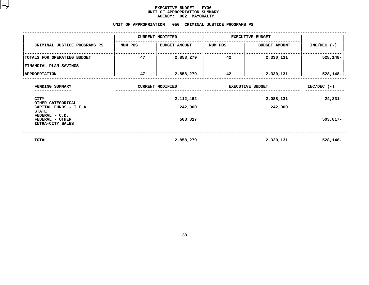#### **EXECUTIVE BUDGET - FY06** UNIT OF APPROPRIATION SUMMARY **OF APPROPRIATION SUMMARY AGENCY:**

|                                                             |         | <b>AGENCY:</b><br>002 MAYORALTY                         |                         |                      |               |
|-------------------------------------------------------------|---------|---------------------------------------------------------|-------------------------|----------------------|---------------|
|                                                             |         | UNIT OF APPROPRIATION: 050 CRIMINAL JUSTICE PROGRAMS PS |                         |                      |               |
|                                                             |         | <b>CURRENT MODIFIED</b>                                 | <b>EXECUTIVE BUDGET</b> |                      |               |
| CRIMINAL JUSTICE PROGRAMS PS                                | NUM POS | <b>BUDGET AMOUNT</b>                                    | NUM POS                 | <b>BUDGET AMOUNT</b> | $INC/DEC$ (-) |
| TOTALS FOR OPERATING BUDGET                                 | 47      | 2,858,279                                               | 42                      | 2,330,131            | $528,148-$    |
| FINANCIAL PLAN SAVINGS                                      |         |                                                         |                         |                      |               |
| <b>APPROPRIATION</b>                                        | 47      | 2,858,279                                               | 42                      | 2,330,131            | 528,148-      |
| FUNDING SUMMARY                                             |         | <b>CURRENT MODIFIED</b>                                 | <b>EXECUTIVE BUDGET</b> | $INC/DEC$ (-)        |               |
| CITY                                                        |         | 2,112,462                                               |                         | $24,331-$            |               |
| OTHER CATEGORICAL<br>CAPITAL FUNDS - I.F.A.<br><b>STATE</b> |         | 242,000                                                 |                         |                      |               |
| FEDERAL - C.D.<br>FEDERAL - OTHER<br>INTRA-CITY SALES       |         | 503,817                                                 |                         |                      | $503,817-$    |
| TOTAL                                                       |         | 2,858,279                                               |                         | 2,330,131            | $528,148-$    |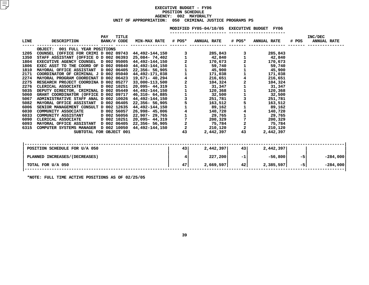# **EXECUTIVEE BUDGET - FY06<br>ION SCHEDULE<br>002 MAYORALTY<br>-POSITION**N SCHEDULE<br>02 MAYORA<br>CRIMINAL **AGENCY: <sup>002</sup> MAYORALTY UNIT OF APPROPRIATION: <sup>050</sup> CRIMINAL JUSTICE PROGRAMS PS**

|      |                                                     |     |                      |                            |                         | MODIFIED FY05-04/10/05 EXECUTIVE BUDGET |               |                    | FY06      |       |                               |  |
|------|-----------------------------------------------------|-----|----------------------|----------------------------|-------------------------|-----------------------------------------|---------------|--------------------|-----------|-------|-------------------------------|--|
| LINE | <b>DESCRIPTION</b>                                  | PAY | TITLE<br>BANK/# CODE | <b>MIN-MAX RATE # POS*</b> |                         | <b>ANNUAL RATE</b>                      | # POS*        | <b>ANNUAL RATE</b> |           | # POS | INC/DEC<br><b>ANNUAL RATE</b> |  |
|      | 001 FULL YEAR POSITIONS<br><b>OBJECT:</b>           |     |                      |                            |                         |                                         |               |                    |           |       |                               |  |
| 1205 | COUNSEL (OFFICE FOR CRIMI D 002 09743               |     |                      | 44,492-144,150             | 3                       | 285,843                                 |               |                    | 285,843   |       |                               |  |
| 1350 | STAFF ASSISTANT (OFFICE O D 002 06393               |     |                      | 25,084- 74,402             |                         | 42,840                                  |               |                    | 42,840    |       |                               |  |
| 1804 | EXECUTIVE AGENCY COUNSEL D 002 95005                |     |                      | 44,492-144,150             | $\overline{a}$          | 170,673                                 |               |                    | 170,673   |       |                               |  |
| 1806 | EXEC ASST TO THE COORD OF D 002 09840               |     |                      | 44,492-144,150             |                         | 59,740                                  |               |                    | 59,740    |       |                               |  |
| 1810 | MAYORAL OFFICE ASSISTANT D 002 06405                |     |                      | 22,356- 56,905             |                         | 45,900                                  |               |                    | 45,900    |       |                               |  |
| 2171 | COORDINATOR OF CRIMINAL J D 002 05040               |     |                      | 44,492-171,038             |                         | 171,038                                 |               |                    | 171,038   |       |                               |  |
| 2274 | MAYORAL PROGRAM COORDINAT D 002 06423               |     |                      | 19,671– 40,294             | $\overline{\mathbf{4}}$ | 216,651                                 | 4             |                    | 216,651   |       |                               |  |
| 2275 | RESEARCH PROJECT COORDINA D 002 05277               |     |                      | 33,000-113,500             | 2                       | 104,324                                 |               |                    | 104,324   |       |                               |  |
| 2276 | CLERICAL ASSOCIATE                                  |     | D 002 10251          | 20,095- 44,319             |                         | 31,347                                  |               |                    | 31,347    |       |                               |  |
| 5035 | DEPUTY DIRECTOR, CRIMINAL D 002 05449               |     |                      | 44,492-144,150             |                         | 120,368                                 |               |                    | 120,368   |       |                               |  |
| 5060 | GRANT COORDINATOR (OFFICE D 002 09717               |     |                      | 46,310- 64,885             |                         | 32,500                                  |               |                    | 32,500    |       |                               |  |
| 5067 | ADMINISTRATIVE STAFF ANAL D 002 10026               |     |                      | 44,492-144,150             | 3                       | 251,781                                 |               |                    | 251,781   |       |                               |  |
| 5082 | MAYORAL OFFICE ASSISTANT D 002 06405                |     |                      | 22,356- 56,905             | 5                       | 163,512                                 | 5             |                    | 163,512   |       |                               |  |
| 6006 | SENIOR MANAGEMENT CONSULT D 002 12635               |     |                      | 44,492-144,150             |                         | 89,162                                  |               |                    | 89,162    |       |                               |  |
| 6030 | COMMUNITY ASSOCIATE                                 |     | D 002 56057          | 26,998-45,006              | 4                       | 140,720                                 |               |                    | 140,720   |       |                               |  |
| 6033 | <b>COMMUNITY ASSISTANT</b>                          |     | D 002 56056          | 22,907– 29,765             | $\mathbf{1}$            | 29,765                                  |               |                    | 29,765    |       |                               |  |
| 6090 | CLERICAL ASSOCIATE                                  |     | D 002 10251          | 20,095- 44,319             |                         | 200,329                                 |               |                    | 200,329   |       |                               |  |
| 6093 | MAYORAL OFFICE ASSISTANT D 002 06405                |     |                      | 22,356- 56,905             | $\overline{a}$          | 75,784                                  | $\frac{2}{2}$ |                    | 75,784    |       |                               |  |
| 6315 | COMPUTER SYSTEMS MANAGER D 002 10050 44,492-144,150 |     |                      |                            | $\overline{a}$          | 210,120                                 |               |                    | 210,120   |       |                               |  |
|      | SUBTOTAL FOR OBJECT 001                             |     |                      |                            | 43                      | 2,442,397                               | 43            |                    | 2,442,397 |       |                               |  |
|      |                                                     |     |                      |                            |                         |                                         |               |                    |           |       |                               |  |
|      |                                                     |     |                      |                            |                         |                                         |               |                    |           |       |                               |  |

| POSITION SCHEDULE FOR U/A 050 | 43 | 2,442,397 | 43   | 2,442,397 |       |            |
|-------------------------------|----|-----------|------|-----------|-------|------------|
| PLANNED INCREASES/(DECREASES) |    | 227,200   | $-1$ | $-56,800$ | -5    | $-284,000$ |
| TOTAL FOR U/A 050             | 47 | 2,669,597 | 42   | 2,385,597 | $-51$ | $-284,000$ |
| ______ _ _ __ _ _ _ _ _       |    |           |      |           |       |            |

**\*NOTE: FULL TIME ACTIVE POSITIONS AS OF 02/25/05**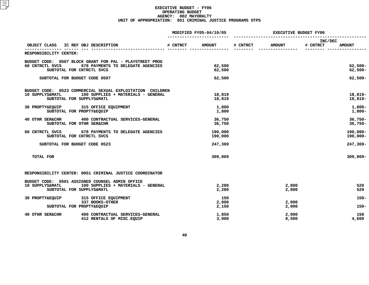|                                                                                                                                                                   |                                                                                                                                     | MODIFIED FY05-04/10/05 |                                                        | <b>EXECUTIVE BUDGET FY06</b> |                |                     |                                                                          |
|-------------------------------------------------------------------------------------------------------------------------------------------------------------------|-------------------------------------------------------------------------------------------------------------------------------------|------------------------|--------------------------------------------------------|------------------------------|----------------|---------------------|--------------------------------------------------------------------------|
| OBJECT CLASS IC REF OBJ DESCRIPTION                                                                                                                               |                                                                                                                                     | # CNTRCT               | <b>AMOUNT</b>                                          | # CNTRCT                     | <b>AMOUNT</b>  | INC/DEC<br># CNTRCT | <b>AMOUNT</b>                                                            |
| RESPONSIBILITY CENTER:                                                                                                                                            |                                                                                                                                     |                        |                                                        |                              | -------------- |                     |                                                                          |
| 60 CNTRCTL SVCS<br>SUBTOTAL FOR CNTRCTL SVCS                                                                                                                      | BUDGET CODE: 0507 BLOCK GRANT FOR PAL - PLAYSTREET PROG<br>678 PAYMENTS TO DELEGATE AGENCIES                                        |                        | 62,500<br>62,500                                       |                              |                |                     | $62,500 -$<br>$62,500 -$                                                 |
| SUBTOTAL FOR BUDGET CODE 0507                                                                                                                                     |                                                                                                                                     |                        | 62,500                                                 |                              |                |                     | $62,500 -$                                                               |
| 10 SUPPLYS&MATL<br>SUBTOTAL FOR SUPPLYS&MATL<br>30 PROPTY&EQUIP 315 OFFICE EQUIPMENT<br>SUBTOTAL FOR PROPTY&EQUIP<br>40 OTHR SER&CHR<br>SUBTOTAL FOR OTHR SER&CHR | BUDGET CODE: 0523 COMMERCIAL SEXUAL EXPLOITATION CHILDREN<br>100 SUPPLIES + MATERIALS - GENERAL<br>400 CONTRACTUAL SERVICES-GENERAL |                        | 18,819<br>18,819<br>1,800<br>1,800<br>36,750<br>36,750 |                              |                |                     | $18,819-$<br>18,819-<br>$1,800-$<br>$1,800-$<br>$36,750 -$<br>$36,750 -$ |
| 60 CNTRCTL SVCS<br>SUBTOTAL FOR CNTRCTL SVCS                                                                                                                      | 678 PAYMENTS TO DELEGATE AGENCIES                                                                                                   |                        | 190,000<br>190,000                                     |                              |                |                     | $190,000 -$<br>190,000-                                                  |
| SUBTOTAL FOR BUDGET CODE 0523                                                                                                                                     |                                                                                                                                     |                        | 247,369                                                |                              |                |                     | 247,369-                                                                 |
| TOTAL FOR                                                                                                                                                         |                                                                                                                                     |                        | 309,869                                                |                              |                |                     | 309,869-                                                                 |
|                                                                                                                                                                   | RESPONSIBILITY CENTER: 0051 CRIMINAL JUSTICE COORDINATOR                                                                            |                        |                                                        |                              |                |                     |                                                                          |
| BUDGET CODE: 0501 ASSIGNED COUNSEL ADMIN OFFICE<br>10 SUPPLYS&MATL<br>SUBTOTAL FOR SUPPLYS&MATL                                                                   | 100 SUPPLIES + MATERIALS - GENERAL                                                                                                  |                        | 2,280<br>2,280                                         |                              | 2,800<br>2,800 |                     | 520<br>520                                                               |
| 30 PROPTY&EQUIP                                                                                                                                                   | 315 OFFICE EQUIPMENT<br>337 BOOKS-OTHER                                                                                             |                        | 150<br>2,000                                           |                              | 2,000          |                     | $150 -$                                                                  |
| SUBTOTAL FOR PROPTY&EQUIP                                                                                                                                         |                                                                                                                                     |                        | 2,150                                                  |                              | 2,000          |                     | $150 -$                                                                  |
| 40 OTHR SER&CHR                                                                                                                                                   | 400 CONTRACTUAL SERVICES-GENERAL<br>412 RENTALS OF MISC. EQUIP                                                                      |                        | 1,850<br>3,900                                         |                              | 2,000<br>8,500 |                     | 150<br>4,600                                                             |
|                                                                                                                                                                   |                                                                                                                                     |                        |                                                        |                              |                |                     |                                                                          |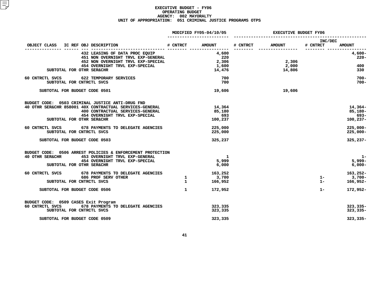|                                                                                                                                                                                                                | MODIFIED FY05-04/10/05 |                                    | <b>EXECUTIVE BUDGET FY06</b> |                 |                     |                                                    |
|----------------------------------------------------------------------------------------------------------------------------------------------------------------------------------------------------------------|------------------------|------------------------------------|------------------------------|-----------------|---------------------|----------------------------------------------------|
| OBJECT CLASS IC REF OBJ DESCRIPTION                                                                                                                                                                            |                        | # CNTRCT AMOUNT                    | # CNTRCT                     | <b>AMOUNT</b>   | INC/DEC<br># CNTRCT | <b>AMOUNT</b>                                      |
| 432 LEASING OF DATA PROC EQUIP<br>432 LEASING OF DATA PROC EQUIP<br>451 NON OVERNIGHT TRVL EXP-GENERAL<br>452 NON OVERNIGHT TRVL EXP-SPECIAL<br>454 OVERNIGHT TRVL EXP-SPECIAL                                 |                        | 4,600<br>220<br>2,306              |                              | 2,306           |                     | 4,600-<br>$220 -$                                  |
| SUBTOTAL FOR OTHR SER&CHR                                                                                                                                                                                      |                        | 1,600<br>14,476                    |                              | 2,000<br>14,806 |                     | 400<br>330                                         |
| 60 CNTRCTL SVCS 622 TEMPORARY SERVICES<br>SUBTOTAL FOR CNTRCTL SVCS                                                                                                                                            |                        | 700<br>700                         |                              |                 |                     | $700 -$<br>$700 -$                                 |
| SUBTOTAL FOR BUDGET CODE 0501                                                                                                                                                                                  |                        | 19,606                             |                              | 19,606          |                     |                                                    |
| BUDGET CODE: 0503 CRIMINAL JUSTICE ANTI-DRUG FND<br>40 OTHR SER&CHR 858001 40X CONTRACTUAL SERVICES-GENERAL<br>400 CONTRACTUAL SERVICES-GENERAL<br>454 OVERNIGHT TRVL EXP-SPECIAL<br>SUBTOTAL FOR OTHR SER&CHR |                        | 14,364<br>85,180<br>693<br>100,237 |                              |                 |                     | $14,364-$<br>$85,180 -$<br>$693 -$<br>$100, 237 -$ |
| 60 CNTRCTL SVCS 678 PAYMENTS TO DELEGATE AGENCIES<br>SUBTOTAL FOR CNTRCTL SVCS                                                                                                                                 |                        | 225,000<br>225,000                 |                              |                 |                     | $225,000 -$<br>$225,000 -$                         |
| SUBTOTAL FOR BUDGET CODE 0503                                                                                                                                                                                  |                        | 325,237                            |                              |                 |                     | $325, 237 -$                                       |
| BUDGET CODE: 0506 ARREST POLICIES & ENFORCEMENT PROTECTION<br>40 OTHR SER&CHR<br>453 OVERNIGHT TRVL EXP-GENERAL<br>454 OVERNIGHT TRVL EXP-SPECIAL<br>SUBTOTAL FOR OTHR SER&CHR                                 |                        | -1<br>5,999<br>6,000               |                              |                 |                     | $1-$<br>$5,999-$<br>$6,000 -$                      |
| 60 CNTRCTL SVCS<br>678 PAYMENTS TO DELEGATE AGENCIES<br>686 PROF SERV OTHER<br>SUBTOTAL FOR CNTRCTL SVCS                                                                                                       | $\frac{1}{\tau}$       | 163,252<br>3,700<br>166,952        |                              |                 | $1 -$<br>$1 -$      | 163,252-<br>$3,700-$<br>$166,952-$                 |
| SUBTOTAL FOR BUDGET CODE 0506                                                                                                                                                                                  | $\mathbf{1}$           | 172,952                            |                              |                 | $1 -$               | 172,952-                                           |
| BUDGET CODE: 0509 CASES Exit Program<br>60 CNTRCTL SVCS 678 PAYMENTS TO DELEGATE AGENCIES<br>SUBTOTAL FOR CNTRCTL SVCS                                                                                         |                        | 323,335<br>323,335                 |                              |                 |                     | $323, 335 -$<br>$323,335-$                         |
| SUBTOTAL FOR BUDGET CODE 0509                                                                                                                                                                                  |                        | 323,335                            |                              |                 |                     | $323,335-$                                         |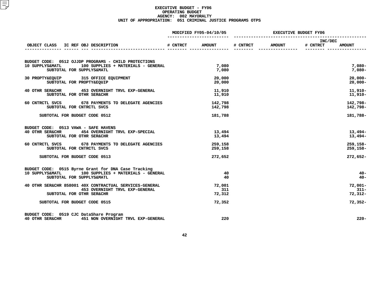|                                                                                                                                            | MODIFIED FY05-04/10/05 |                         | <b>EXECUTIVE BUDGET FY06</b> |               |                            |                                    |
|--------------------------------------------------------------------------------------------------------------------------------------------|------------------------|-------------------------|------------------------------|---------------|----------------------------|------------------------------------|
| OBJECT CLASS IC REF OBJ DESCRIPTION<br><u>---- 2-</u>                                                                                      | # CNTRCT               | <b>AMOUNT</b>           | # CNTRCT                     | <b>AMOUNT</b> | <b>INC/DEC</b><br># CNTRCT | <b>AMOUNT</b>                      |
| BUDGET CODE: 0512 OJJDP PROGRAMS - CHILD PROTECTIONS<br>10 SUPPLYS&MATL<br>100 SUPPLIES + MATERIALS - GENERAL<br>SUBTOTAL FOR SUPPLYS&MATL |                        | 7,080<br>7,080          |                              |               |                            | $7,080-$<br>$7,080-$               |
| 30 PROPTY&EQUIP 315 OFFICE EQUIPMENT<br>SUBTOTAL FOR PROPTY&EQUIP                                                                          |                        | 20,000<br>20,000        |                              |               |                            | $20,000 -$<br>$20,000 -$           |
| 40 OTHR SER&CHR 453 OVERNIGHT TRVL EXP-GENERAL<br>SUBTOTAL FOR OTHR SER&CHR                                                                |                        | 11,910<br>11,910        |                              |               |                            | $11,910-$<br>11,910-               |
| 60 CNTRCTL SVCS 678 PAYMENTS TO DELEGATE AGENCIES<br>SUBTOTAL FOR CNTRCTL SVCS                                                             |                        | 142,798<br>142,798      |                              |               |                            | 142,798-<br>142,798-               |
| SUBTOTAL FOR BUDGET CODE 0512                                                                                                              |                        | 181,788                 |                              |               |                            | 181,788-                           |
| BUDGET CODE: 0513 VAWA - SAFE HAVENS<br>40 OTHR SER&CHR 454 OVERNIGHT TRVL EXP-SPECIAL<br>SUBTOTAL FOR OTHR SER&CHR                        |                        | 13,494<br>13,494        |                              |               |                            | $13,494-$<br>$13,494-$             |
| 60 CNTRCTL SVCS 678 PAYMENTS TO DELEGATE AGENCIES<br>SUBTOTAL FOR CNTRCTL SVCS                                                             |                        | 259,158<br>259,158      |                              |               |                            | 259,158-<br>259,158-               |
| SUBTOTAL FOR BUDGET CODE 0513                                                                                                              |                        | 272,652                 |                              |               |                            | 272,652-                           |
| BUDGET CODE: 0515 Byrne Grant for DNA Case Tracking<br>10 SUPPLYS&MATL 100 SUPPLIES + MATERIALS - GENERAL<br>SUBTOTAL FOR SUPPLYS&MATL     |                        | 40<br>40                |                              |               |                            | $40 -$<br>$40 -$                   |
| 40 OTHR SER&CHR 858001 40X CONTRACTUAL SERVICES-GENERAL<br>453 OVERNIGHT TRVL EXP-GENERAL<br>SUBTOTAL FOR OTHR SER&CHR                     |                        | 72,001<br>311<br>72,312 |                              |               |                            | $72,001 -$<br>$311 -$<br>$72,312-$ |
| SUBTOTAL FOR BUDGET CODE 0515                                                                                                              |                        | 72,352                  |                              |               |                            | $72,352-$                          |
| BUDGET CODE: 0519 CJC DataShare Program<br>40 OTHR SER&CHR 451 NON OVERNIGHT TRVL EXP-GENERAL                                              |                        | 220                     |                              |               |                            | $220 -$                            |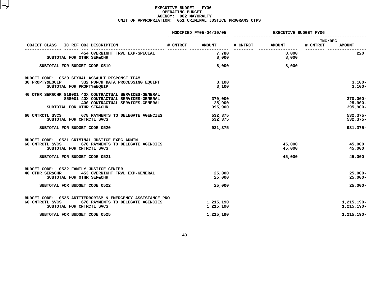|                                                             | MODIFIED FY05-04/10/05 |               | <b>EXECUTIVE BUDGET FY06</b> |               |                                      |  |
|-------------------------------------------------------------|------------------------|---------------|------------------------------|---------------|--------------------------------------|--|
| OBJECT CLASS IC REF OBJ DESCRIPTION                         | # CNTRCT               | <b>AMOUNT</b> | # CNTRCT                     | <b>AMOUNT</b> | INC/DEC<br># CNTRCT<br><b>AMOUNT</b> |  |
| 454 OVERNIGHT TRVL EXP-SPECIAL                              |                        | 7,780         |                              | 8,000         | 220                                  |  |
| SUBTOTAL FOR OTHR SER&CHR                                   |                        | 8,000         |                              | 8,000         |                                      |  |
| SUBTOTAL FOR BUDGET CODE 0519                               |                        | 8,000         |                              | 8,000         |                                      |  |
| BUDGET CODE: 0520 SEXUAL ASSAULT RESPONSE TEAM              |                        |               |                              |               |                                      |  |
| 30 PROPTY&EQUIP 332 PURCH DATA PROCESSING EQUIPT            |                        | 3,100         |                              |               | $3,100-$                             |  |
| SUBTOTAL FOR PROPTY&EQUIP                                   |                        | 3,100         |                              |               | 3,100-                               |  |
| 40 OTHR SER&CHR 819001 40X CONTRACTUAL SERVICES-GENERAL     |                        |               |                              |               |                                      |  |
| 858001 40X CONTRACTUAL SERVICES-GENERAL                     |                        | 370,000       |                              |               | $370,000 -$                          |  |
| 400 CONTRACTUAL SERVICES-GENERAL                            |                        | 25,900        |                              |               | $25,900 -$                           |  |
| SUBTOTAL FOR OTHR SER&CHR                                   |                        | 395,900       |                              |               | $395,900 -$                          |  |
| <b>678 PAYMENTS TO DELEGATE AGENCIES</b><br>60 CNTRCTL SVCS |                        | 532,375       |                              |               | $532,375-$                           |  |
| SUBTOTAL FOR CNTRCTL SVCS                                   |                        | 532,375       |                              |               | $532,375-$                           |  |
| SUBTOTAL FOR BUDGET CODE 0520                               |                        | 931,375       |                              |               | $931,375 -$                          |  |
| BUDGET CODE: 0521 CRIMINAL JUSTICE EXEC ADMIN               |                        |               |                              |               |                                      |  |
| 60 CNTRCTL SVCS<br>678 PAYMENTS TO DELEGATE AGENCIES        |                        |               |                              | 45,000        | 45,000                               |  |
| SUBTOTAL FOR CNTRCTL SVCS                                   |                        |               |                              | 45,000        | 45,000                               |  |
|                                                             |                        |               |                              |               |                                      |  |
| SUBTOTAL FOR BUDGET CODE 0521                               |                        |               |                              | 45,000        | 45,000                               |  |
| BUDGET CODE: 0522 FAMILY JUSTICE CENTER                     |                        |               |                              |               |                                      |  |
| 453 OVERNIGHT TRVL EXP-GENERAL<br>40 OTHR SER&CHR           |                        | 25,000        |                              |               | $25,000 -$                           |  |
| SUBTOTAL FOR OTHR SER&CHR                                   |                        | 25,000        |                              |               | $25,000-$                            |  |
|                                                             |                        |               |                              |               |                                      |  |
| SUBTOTAL FOR BUDGET CODE 0522                               |                        | 25,000        |                              |               | $25,000-$                            |  |
| BUDGET CODE: 0525 ANTITERRORISM & EMERGENCY ASSISTANCE PRO  |                        |               |                              |               |                                      |  |
| 60 CNTRCTL SVCS<br>678 PAYMENTS TO DELEGATE AGENCIES        |                        | 1,215,190     |                              |               | 1,215,190-                           |  |
| SUBTOTAL FOR CNTRCTL SVCS                                   |                        | 1,215,190     |                              |               | 1,215,190-                           |  |
|                                                             |                        |               |                              |               |                                      |  |
| SUBTOTAL FOR BUDGET CODE 0525                               |                        | 1,215,190     |                              |               | 1,215,190-                           |  |
|                                                             |                        |               |                              |               |                                      |  |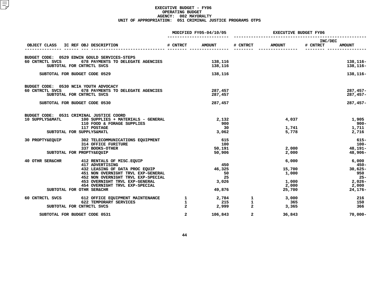|                                       | MODIFIED FY05-04/10/05                                              |                | <b>EXECUTIVE BUDGET FY06</b> |                |               |                                      |
|---------------------------------------|---------------------------------------------------------------------|----------------|------------------------------|----------------|---------------|--------------------------------------|
|                                       | OBJECT CLASS IC REF OBJ DESCRIPTION<br>-------------------------- - | # CNTRCT       | <b>AMOUNT</b>                | # CNTRCT       | <b>AMOUNT</b> | INC/DEC<br># CNTRCT<br><b>AMOUNT</b> |
|                                       |                                                                     |                |                              |                |               |                                      |
|                                       | BUDGET CODE: 0529 EDWIN GOULD SERVICES-STEPS                        |                |                              |                |               |                                      |
| 60 CNTRCTL SVCS                       | 678 PAYMENTS TO DELEGATE AGENCIES                                   |                | 138,116                      |                |               | 138,116-                             |
|                                       | SUBTOTAL FOR CNTRCTL SVCS                                           |                | 138,116                      |                |               | 138,116-                             |
|                                       | SUBTOTAL FOR BUDGET CODE 0529                                       |                | 138,116                      |                |               | 138,116-                             |
| BUDGET CODE: 0530 NCIA YOUTH ADVOCACY |                                                                     |                |                              |                |               |                                      |
| 60 CNTRCTL SVCS                       | 678 PAYMENTS TO DELEGATE AGENCIES                                   |                | 287,457                      |                |               | $287,457-$                           |
|                                       | SUBTOTAL FOR CNTRCTL SVCS                                           |                | 287,457                      |                |               | $287,457-$                           |
|                                       | SUBTOTAL FOR BUDGET CODE 0530                                       |                | 287,457                      |                |               | 287,457-                             |
|                                       | BUDGET CODE: 0531 CRIMINAL JUSTICE COORD                            |                |                              |                |               |                                      |
| 10 SUPPLYS&MATL                       | 100 SUPPLIES + MATERIALS - GENERAL                                  |                | 2,132                        |                | 4,037         | 1,905                                |
|                                       | 110 FOOD & FORAGE SUPPLIES                                          |                | 900                          |                |               | -900                                 |
|                                       | 117 POSTAGE                                                         |                | 30                           |                | 1,741         | 1,711                                |
|                                       | SUBTOTAL FOR SUPPLYS&MATL                                           |                | 3,062                        |                | 5,778         | 2,716                                |
|                                       | 30 PROPTY&EQUIP 302 TELECOMMUNICATIONS EQUIPMENT                    |                | 615                          |                |               | $615 -$                              |
|                                       | <b>314 OFFICE FURITURE</b>                                          |                | 100                          |                |               | $100 -$                              |
|                                       | 337 BOOKS-OTHER                                                     |                | 50,191                       |                | 2,000         | 48,191-                              |
|                                       | SUBTOTAL FOR PROPTY&EQUIP                                           |                | 50,906                       |                | 2,000         | 48,906-                              |
| 40 OTHR SER&CHR                       | 412 RENTALS OF MISC.EQUIP                                           |                |                              |                | 6,000         | 6,000                                |
|                                       | 417 ADVERTISING                                                     |                | 450                          |                |               | $450 -$                              |
|                                       | 432 LEASING OF DATA PROC EQUIP                                      |                | 46,325                       |                | 15,700        | $30,625 -$                           |
|                                       | 451 NON OVERNIGHT TRVL EXP-GENERAL                                  |                | 50                           |                | 1,000         | 950                                  |
|                                       | 452 NON OVERNIGHT TRVL EXP-SPECIAL                                  |                | 25                           |                |               | $25 -$                               |
|                                       | 453 OVERNIGHT TRVL EXP-GENERAL                                      |                | 3,026                        |                | 1,000         | $2,026-$                             |
|                                       | 454 OVERNIGHT TRVL EXP-SPECIAL                                      |                |                              |                | 2,000         | 2,000                                |
|                                       | SUBTOTAL FOR OTHR SER&CHR                                           |                | 49,876                       |                | 25,700        | 24,176-                              |
| 60 CNTRCTL SVCS                       | 612 OFFICE EQUIPMENT MAINTENANCE                                    | $\mathbf{1}$   |                              | $2,784$ 1      | 3,000         | 216                                  |
|                                       | 622 TEMPORARY SERVICES                                              | $\mathbf{1}$   | 215                          | $\mathbf{1}$   | 365           | 150                                  |
|                                       | SUBTOTAL FOR CNTRCTL SVCS                                           | $\overline{a}$ | 2,999                        | $\overline{a}$ | 3,365         | 366                                  |
|                                       | SUBTOTAL FOR BUDGET CODE 0531                                       | $\overline{a}$ | 106,843                      | $\overline{a}$ | 36,843        | $70,000 -$                           |
|                                       |                                                                     |                |                              |                |               |                                      |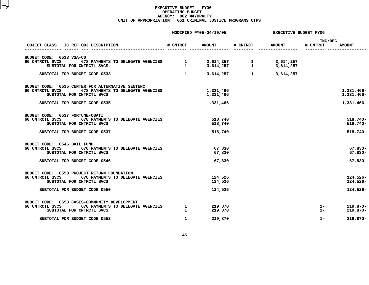|                                                                                                                                       | MODIFIED FY05-04/10/05       |                        | <b>EXECUTIVE BUDGET FY06</b> |                        |                     |                           |
|---------------------------------------------------------------------------------------------------------------------------------------|------------------------------|------------------------|------------------------------|------------------------|---------------------|---------------------------|
| OBJECT CLASS<br>IC REF OBJ DESCRIPTION                                                                                                | # CNTRCT                     | <b>AMOUNT</b>          | # CNTRCT                     | <b>AMOUNT</b>          | INC/DEC<br># CNTRCT | <b>AMOUNT</b>             |
| BUDGET CODE: 0533 VSA-CD                                                                                                              |                              |                        |                              |                        |                     |                           |
| 60 CNTRCTL SVCS<br>678 PAYMENTS TO DELEGATE AGENCIES<br>SUBTOTAL FOR CNTRCTL SVCS                                                     | $\mathbf{1}$<br>$\mathbf{1}$ | 3,614,257<br>3,614,257 | 1<br>$\mathbf{1}$            | 3,614,257<br>3,614,257 |                     |                           |
| SUBTOTAL FOR BUDGET CODE 0533                                                                                                         | $\mathbf{1}$                 | 3,614,257              | $\mathbf{1}$                 | 3,614,257              |                     |                           |
| BUDGET CODE: 0535 CENTER FOR ALTERNATIVE SENTENC<br>60 CNTRCTL SVCS<br>678 PAYMENTS TO DELEGATE AGENCIES<br>SUBTOTAL FOR CNTRCTL SVCS |                              | 1,331,466<br>1,331,466 |                              |                        |                     | 1,331,466-<br>1,331,466-  |
| SUBTOTAL FOR BUDGET CODE 0535                                                                                                         |                              | 1,331,466              |                              |                        |                     | 1,331,466-                |
| BUDGET CODE: 0537 FORTUNE-OBATI<br>60 CNTRCTL SVCS<br>678 PAYMENTS TO DELEGATE AGENCIES<br>SUBTOTAL FOR CNTRCTL SVCS                  |                              | 518,740<br>518,740     |                              |                        |                     | $518,740 -$<br>$518,740-$ |
| SUBTOTAL FOR BUDGET CODE 0537                                                                                                         |                              | 518,740                |                              |                        |                     | $518,740-$                |
| BUDGET CODE: 0546 BAIL FUND<br>60 CNTRCTL SVCS<br>678 PAYMENTS TO DELEGATE AGENCIES<br>SUBTOTAL FOR CNTRCTL SVCS                      |                              | 67,830<br>67,830       |                              |                        |                     | $67,830-$<br>$67,830 -$   |
| SUBTOTAL FOR BUDGET CODE 0546                                                                                                         |                              | 67,830                 |                              |                        |                     | $67,830 -$                |
| 0550 PROJECT RETURN FOUNDATION<br>BUDGET CODE:<br>60 CNTRCTL SVCS<br>678 PAYMENTS TO DELEGATE AGENCIES<br>SUBTOTAL FOR CNTRCTL SVCS   |                              | 124,526<br>124,526     |                              |                        |                     | $124,526-$<br>124,526-    |
| SUBTOTAL FOR BUDGET CODE 0550                                                                                                         |                              | 124,526                |                              |                        |                     | 124,526-                  |
| BUDGET CODE: 0553 CASES-COMMUNITY DEVELOPMENT<br>60 CNTRCTL SVCS<br>678 PAYMENTS TO DELEGATE AGENCIES<br>SUBTOTAL FOR CNTRCTL SVCS    | $\mathbf{1}$<br>$\mathbf{1}$ | 219,870<br>219,870     |                              |                        | $1-$<br>$1 -$       | 219,870-<br>219,870-      |
| SUBTOTAL FOR BUDGET CODE 0553                                                                                                         | $\mathbf{1}$                 | 219,870                |                              |                        | $1 -$               | $219,870-$                |
|                                                                                                                                       |                              |                        |                              |                        |                     |                           |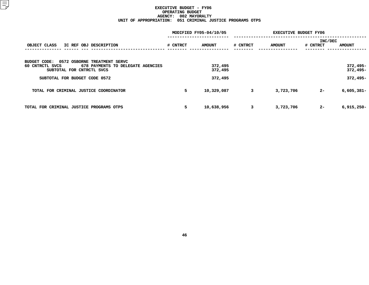|                                                      | MODIFIED FY05-04/10/05 |               |          |               | <b>EXECUTIVE BUDGET FY06</b> |               |
|------------------------------------------------------|------------------------|---------------|----------|---------------|------------------------------|---------------|
|                                                      |                        |               |          |               | INC/DEC                      |               |
| OBJECT CLASS<br>IC REF OBJ DESCRIPTION               | # CNTRCT               | <b>AMOUNT</b> | # CNTRCT | <b>AMOUNT</b> | # CNTRCT                     | <b>AMOUNT</b> |
|                                                      |                        |               |          |               |                              |               |
| 0572 OSBORNE TREATMENT SERVC<br>BUDGET CODE:         |                        |               |          |               |                              |               |
| 678 PAYMENTS TO DELEGATE AGENCIES<br>60 CNTRCTL SVCS |                        | 372,495       |          |               |                              | $372,495-$    |
| SUBTOTAL FOR CNTRCTL SVCS                            |                        | 372,495       |          |               |                              | 372,495-      |
| SUBTOTAL FOR BUDGET CODE 0572                        |                        | 372,495       |          |               |                              | $372,495-$    |
|                                                      |                        |               |          |               |                              |               |
| TOTAL FOR CRIMINAL JUSTICE COORDINATOR               | 5                      | 10,329,087    | 3        | 3,723,706     | $2 -$                        | $6,605,381 -$ |
|                                                      |                        |               |          |               |                              |               |
|                                                      |                        |               |          |               |                              |               |
| TOTAL FOR CRIMINAL JUSTICE PROGRAMS OTPS             | 5                      | 10,638,956    | 3        | 3,723,706     | $2 -$                        | $6,915,250 -$ |
|                                                      |                        |               |          |               |                              |               |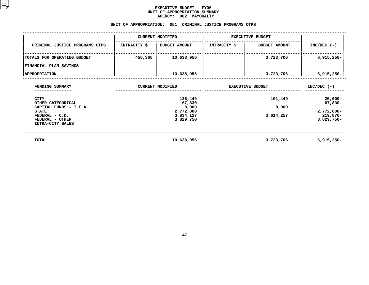#### **EXECUTIVE BUDGET - FY06** UNIT OF APPROPRIATION SUMMARY **OF APPROPRIATION SUMMARY AGENCY:**

|                                                                                                                              |                        | <b>AGENCY:</b><br>002 MAYORALTY                                   |                                    |                               |                                                                 |  |
|------------------------------------------------------------------------------------------------------------------------------|------------------------|-------------------------------------------------------------------|------------------------------------|-------------------------------|-----------------------------------------------------------------|--|
|                                                                                                                              | UNIT OF APPROPRIATION: |                                                                   | 051 CRIMINAL JUSTICE PROGRAMS OTPS |                               |                                                                 |  |
|                                                                                                                              |                        | <b>CURRENT MODIFIED</b>                                           |                                    | <b>EXECUTIVE BUDGET</b>       |                                                                 |  |
| CRIMINAL JUSTICE PROGRAMS OTPS                                                                                               | INTRACITY \$           | <b>BUDGET AMOUNT</b>                                              | INTRACITY \$                       | <b>BUDGET AMOUNT</b>          | $INC/DEC$ (-)                                                   |  |
| TOTALS FOR OPERATING BUDGET                                                                                                  | 456,365                | 10,638,956                                                        |                                    | 3,723,706                     | $6,915,250 -$                                                   |  |
| FINANCIAL PLAN SAVINGS                                                                                                       |                        |                                                                   |                                    |                               |                                                                 |  |
| <b>APPROPRIATION</b>                                                                                                         |                        | 10,638,956                                                        |                                    | 3,723,706                     | $6,915,250 -$                                                   |  |
| FUNDING SUMMARY                                                                                                              |                        | <b>CURRENT MODIFIED</b>                                           | <b>EXECUTIVE BUDGET</b>            | $INC/DEC$ (-)                 |                                                                 |  |
| CITY<br>OTHER CATEGORICAL<br>CAPITAL FUNDS - I.F.A.<br><b>STATE</b><br>FEDERAL - C.D.<br>FEDERAL - OTHER<br>INTRA-CITY SALES |                        | 126,449<br>67,830<br>8,000<br>2,772,800<br>3,834,127<br>3,829,750 |                                    | 101,449<br>8,000<br>3,614,257 | $25,000-$<br>67,830-<br>2,772,800-<br>219,870-<br>$3,829,750 -$ |  |
| <b>TOTAL</b>                                                                                                                 |                        | 10,638,956                                                        |                                    | 3,723,706                     | $6,915,250 -$                                                   |  |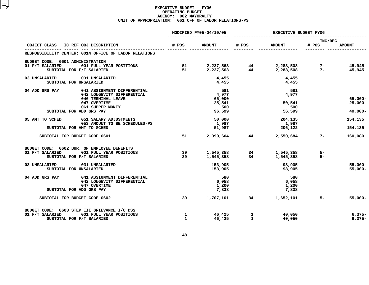|                                                                         | MODIFIED FY05-04/10/05 |                 | <b>EXECUTIVE BUDGET FY06</b> |                                                                                             |                  |                  |
|-------------------------------------------------------------------------|------------------------|-----------------|------------------------------|---------------------------------------------------------------------------------------------|------------------|------------------|
| OBJECT CLASS IC REF OBJ DESCRIPTION                                     | # POS                  | <b>AMOUNT</b>   | # POS                        | <b>AMOUNT</b>                                                                               | INC/DEC<br># POS | <b>AMOUNT</b>    |
| RESPONSIBILITY CENTER: 0014 OFFICE OF LABOR RELATIONS                   |                        |                 |                              |                                                                                             |                  |                  |
| BUDGET CODE: 0601 ADMINISTRATION                                        |                        |                 |                              |                                                                                             |                  |                  |
| 01 F/T SALARIED<br>001 FULL YEAR POSITIONS<br>SUBTOTAL FOR F/T SALARIED | 51<br>51               | 2,237,563       |                              | 2,237,563     44     2,283,508     7–<br>2,237,563     44     2,283,508     7–<br>2,283,508 |                  | 45,945<br>45,945 |
| 031 UNSALARIED<br>03 UNSALARIED<br>SUBTOTAL FOR UNSALARIED              |                        | 4,455<br>4,455  |                              | 4,455<br>4,455                                                                              |                  |                  |
| 04 ADD GRS PAY<br>041 ASSIGNMENT DIFFERENTIAL                           |                        | 581             |                              | 581                                                                                         |                  |                  |
| 042 LONGEVITY DIFFERENTIAL<br>046 TERMINAL LEAVE                        |                        | 4,977<br>65,000 |                              | 4,977                                                                                       |                  | $65,000 -$       |
| 047 OVERTIME                                                            |                        | 25,541          |                              | 50,541                                                                                      |                  | 25,000           |
| 061 SUPPER MONEY<br>SUBTOTAL FOR ADD GRS PAY                            |                        | 500<br>96,599   |                              | 500<br>56,599                                                                               |                  | $40,000 -$       |
|                                                                         |                        |                 |                              |                                                                                             |                  |                  |
| 05 AMT TO SCHED<br>051 SALARY ADJUSTMENTS                               |                        | 50,000          |                              | 204,135                                                                                     |                  | 154,135          |
| 053 AMOUNT TO BE SCHEDULED-PS<br>SUBTOTAL FOR AMT TO SCHED              |                        | 1,987<br>51,987 |                              | 1,987<br>206,122                                                                            |                  |                  |
|                                                                         |                        |                 |                              |                                                                                             |                  | 154,135          |
| SUBTOTAL FOR BUDGET CODE 0601                                           | 51                     | 2,390,604       | 44 — 200                     | 2,550,684                                                                                   | $7-$             | 160,080          |
| BUDGET CODE: 0602 BUR. OF EMPLOYEE BENEFITS                             |                        |                 |                              |                                                                                             |                  |                  |
| 01 F/T SALARIED<br>001 FULL YEAR POSITIONS<br>SUBTOTAL FOR F/T SALARIED | 39<br>39               | 1,545,358       | 34                           | 1,545,358 34 1,545,358<br>1,545,358                                                         | 5-<br>$5-$       |                  |
|                                                                         |                        |                 |                              |                                                                                             |                  |                  |
| 031 UNSALARIED<br>03 UNSALARIED                                         |                        | 153,905         |                              | 98,905                                                                                      |                  | $55,000 -$       |
| SUBTOTAL FOR UNSALARIED                                                 |                        | 153,905         |                              | 98,905                                                                                      |                  | $55,000 -$       |
| 041 ASSIGNMENT DIFFERENTIAL<br>04 ADD GRS PAY                           |                        | 580             |                              | 580                                                                                         |                  |                  |
| 042 LONGEVITY DIFFERENTIAL                                              |                        | 6,058           |                              | 6,058                                                                                       |                  |                  |
| 047 OVERTIME<br>SUBTOTAL FOR ADD GRS PAY                                |                        | 1,200<br>7,838  |                              | 1,200<br>7,838                                                                              |                  |                  |
|                                                                         |                        |                 |                              |                                                                                             |                  |                  |
| SUBTOTAL FOR BUDGET CODE 0602                                           | 39                     | 1,707,101       |                              | 34 1,652,101                                                                                | $5-$             | $55,000 -$       |
| BUDGET CODE: 0603 STEP III GRIEVANCE I/C DSS                            |                        |                 |                              |                                                                                             |                  |                  |
| 01 F/T SALARIED<br>001 FULL YEAR POSITIONS                              | $\mathbf{1}$           | 46,425          | 1                            | 40,050                                                                                      |                  | $6,375-$         |
| SUBTOTAL FOR F/T SALARIED                                               | $\mathbf{1}$           | 46,425          | 1                            | 40,050                                                                                      |                  | $6,375-$         |
|                                                                         |                        |                 |                              |                                                                                             |                  |                  |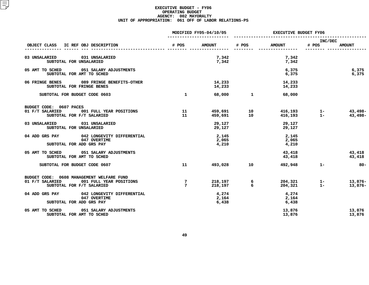|                                                                                                                   | MODIFIED FY05-04/10/05            |                         | <b>EXECUTIVE BUDGET FY06</b>  |                         |                |                      |
|-------------------------------------------------------------------------------------------------------------------|-----------------------------------|-------------------------|-------------------------------|-------------------------|----------------|----------------------|
|                                                                                                                   |                                   |                         |                               |                         | INC/DEC        |                      |
| OBJECT CLASS IC REF OBJ DESCRIPTION                                                                               | # POS                             | <b>AMOUNT</b>           | # POS                         | <b>AMOUNT</b>           | # POS          | <b>AMOUNT</b>        |
| 03 UNSALARIED<br>031 UNSALARIED<br>SUBTOTAL FOR UNSALARIED                                                        |                                   | 7,342<br>7,342          |                               | 7,342<br>7,342          |                |                      |
| 05 AMT TO SCHED 051 SALARY ADJUSTMENTS<br>SUBTOTAL FOR AMT TO SCHED                                               |                                   |                         |                               | 6,375<br>6,375          |                | 6,375<br>6,375       |
| 06 FRINGE BENES 089 FRINGE BENEFITS-OTHER<br>SUBTOTAL FOR FRINGE BENES                                            |                                   | 14,233<br>14,233        |                               | 14,233<br>14,233        |                |                      |
| SUBTOTAL FOR BUDGET CODE 0603                                                                                     | $\mathbf{1}$                      |                         | 68,000 1                      | 68,000                  |                |                      |
| BUDGET CODE: 0607 PACES<br>01 F/T SALARIED<br>001 FULL YEAR POSITIONS<br>SUBTOTAL FOR F/T SALARIED                | 11<br>11                          | 459,691                 | 459,691 10<br>$\overline{10}$ | 416,193<br>416,193      | $1 -$<br>$1 -$ | 43,498-<br>43,498-   |
| 031 UNSALARIED<br>03 UNSALARIED<br>SUBTOTAL FOR UNSALARIED                                                        |                                   | 29,127<br>29,127        |                               | 29,127<br>29,127        |                |                      |
| 04 ADD GRS PAY 042 LONGEVITY DIFFERENTIAL<br>047 OVERTIME<br>SUBTOTAL FOR ADD GRS PAY                             |                                   | 2,145<br>2,065<br>4,210 |                               | 2,145<br>2,065<br>4,210 |                |                      |
| 05 AMT TO SCHED 051 SALARY ADJUSTMENTS<br>SUBTOTAL FOR AMT TO SCHED                                               |                                   |                         |                               | 43,418<br>43,418        |                | 43,418<br>43,418     |
| SUBTOTAL FOR BUDGET CODE 0607                                                                                     | 11                                |                         | 493,028 10                    | 492,948                 | $1 -$          | $80 -$               |
| BUDGET CODE: 0608 MANAGEMENT WELFARE FUND<br>01 F/T SALARIED 001 FULL YEAR POSITIONS<br>SUBTOTAL FOR F/T SALARIED | $\overline{7}$<br>$7\phantom{.0}$ | 218,197<br>218,197      | 6<br>-6                       | 204,321<br>204,321      | $1 -$<br>$1 -$ | $13,876-$<br>13,876- |
| 04 ADD GRS PAY 042 LONGEVITY DIFFERENTIAL<br>047 OVERTIME<br>SUBTOTAL FOR ADD GRS PAY                             |                                   | 4,274<br>2,164<br>6,438 |                               | 4,274<br>2,164<br>6,438 |                |                      |
| 05 AMT TO SCHED<br>051 SALARY ADJUSTMENTS<br>SUBTOTAL FOR AMT TO SCHED                                            |                                   |                         |                               | 13,876<br>13,876        |                | 13,876<br>13,876     |
|                                                                                                                   |                                   |                         |                               |                         |                |                      |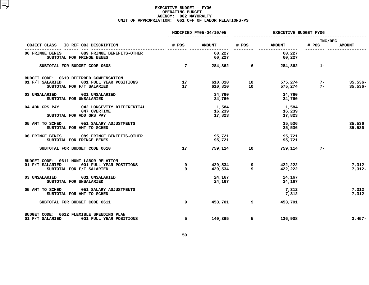|                                                                                                                    | MODIFIED FY05-04/10/05 |                           | EXECUTIVE BUDGET FY06 |                                      |                      |                        |
|--------------------------------------------------------------------------------------------------------------------|------------------------|---------------------------|-----------------------|--------------------------------------|----------------------|------------------------|
| OBJECT CLASS IC REF OBJ DESCRIPTION                                                                                | # POS                  | <b>AMOUNT</b>             | # POS                 | <b>AMOUNT</b>                        | INC/DEC<br># POS     | <b>AMOUNT</b>          |
| 06 FRINGE BENES<br>089 FRINGE BENEFITS-OTHER<br>SUBTOTAL FOR FRINGE BENES                                          |                        | 60,227<br>60,227          | ---------             | ----------------<br>60,227<br>60,227 |                      |                        |
| SUBTOTAL FOR BUDGET CODE 0608                                                                                      | $\overline{7}$         | 284,862                   |                       | $6 \qquad \qquad$                    | 284,862 1-           |                        |
| BUDGET CODE: 0610 DEFERRED COMPENSATION<br>01 F/T SALARIED<br>001 FULL YEAR POSITIONS<br>SUBTOTAL FOR F/T SALARIED | 17<br>17               | 610,810<br>610,810        | 10<br>10              | 575,274                              | $575,274$ 7-<br>$7-$ | $35,536-$<br>$35,536-$ |
| 03 UNSALARIED<br>031 UNSALARIED<br>SUBTOTAL FOR UNSALARIED                                                         |                        | 34,760<br>34,760          |                       | 34,760<br>34,760                     |                      |                        |
| 04 ADD GRS PAY 042 LONGEVITY DIFFERENTIAL<br>047 OVERTIME<br>SUBTOTAL FOR ADD GRS PAY                              |                        | 1,584<br>16,239<br>17,823 |                       | 1,584<br>16,239<br>17,823            |                      |                        |
| 05 AMT TO SCHED<br>051 SALARY ADJUSTMENTS<br>SUBTOTAL FOR AMT TO SCHED                                             |                        |                           |                       | 35,536<br>35,536                     |                      | 35,536<br>35,536       |
| 06 FRINGE BENES 089 FRINGE BENEFITS-OTHER<br>SUBTOTAL FOR FRINGE BENES                                             |                        | 95,721<br>95,721          |                       | 95,721<br>95,721                     |                      |                        |
| SUBTOTAL FOR BUDGET CODE 0610                                                                                      | 17                     |                           | 759,114 10            | 759,114                              | $7 -$                |                        |
| BUDGET CODE: 0611 MUNI LABOR RELATION<br>001 FULL YEAR POSITIONS<br>01 F/T SALARIED<br>SUBTOTAL FOR F/T SALARIED   | 9<br>9                 | 429,534                   | 429,534 9<br>9        | 422,222<br>422,222                   |                      | $7,312-$<br>$7,312-$   |
| 03 UNSALARIED<br>031 UNSALARIED<br>SUBTOTAL FOR UNSALARIED                                                         |                        | 24,167<br>24,167          |                       | 24,167<br>24,167                     |                      |                        |
| 05 AMT TO SCHED 051 SALARY ADJUSTMENTS<br>SUBTOTAL FOR AMT TO SCHED                                                |                        |                           |                       | 7,312<br>7,312                       |                      | 7,312<br>7,312         |
| SUBTOTAL FOR BUDGET CODE 0611                                                                                      | 9                      | 453,701                   | 9                     | 453,701                              |                      |                        |
| BUDGET CODE: 0612 FLEXIBLE SPENDING PLAN<br>01 F/T SALARIED<br>001 FULL YEAR POSITIONS                             | 5                      | 140,365                   | 5                     | 136,908                              |                      | $3,457-$               |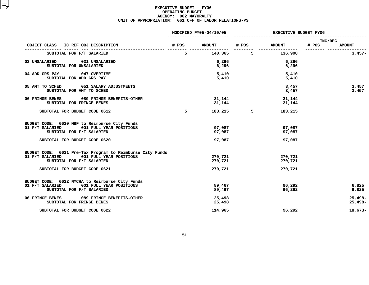|                                                                                                                                                                       | MODIFIED FY05-04/10/05 |                               | <b>EXECUTIVE BUDGET FY06</b> |                               |                  |                        |
|-----------------------------------------------------------------------------------------------------------------------------------------------------------------------|------------------------|-------------------------------|------------------------------|-------------------------------|------------------|------------------------|
| OBJECT CLASS IC REF OBJ DESCRIPTION                                                                                                                                   | # POS                  | <b>AMOUNT</b>                 | # POS                        | <b>AMOUNT</b>                 | INC/DEC<br># POS | <b>AMOUNT</b>          |
| SUBTOTAL FOR F/T SALARIED                                                                                                                                             | 5                      | 140,365                       | 5                            | 136,908                       |                  | $3,457-$               |
| 03 UNSALARIED<br>031 UNSALARIED<br>SUBTOTAL FOR UNSALARIED                                                                                                            |                        | 6,296<br>6,296                |                              | 6,296<br>6,296                |                  |                        |
| 04 ADD GRS PAY 047 OVERTIME<br>SUBTOTAL FOR ADD GRS PAY                                                                                                               |                        | 5,410<br>5,410                |                              | 5,410<br>5,410                |                  |                        |
| 05 AMT TO SCHED<br>051 SALARY ADJUSTMENTS<br>SUBTOTAL FOR AMT TO SCHED                                                                                                |                        |                               |                              | 3,457<br>3,457                |                  | 3,457<br>3,457         |
| 06 FRINGE BENES<br>089 FRINGE BENEFITS-OTHER<br>SUBTOTAL FOR FRINGE BENES                                                                                             |                        | 31,144<br>31,144              |                              | 31,144<br>31,144              |                  |                        |
| SUBTOTAL FOR BUDGET CODE 0612                                                                                                                                         | 5                      | 183,215                       | 5                            | 183,215                       |                  |                        |
| BUDGET CODE: 0620 MBF to Reimburse City Funds<br>001 FULL YEAR POSITIONS<br>01 F/T SALARIED<br>SUBTOTAL FOR F/T SALARIED                                              |                        | 97,087<br>97,087              |                              | 97,087<br>97,087              |                  |                        |
| SUBTOTAL FOR BUDGET CODE 0620                                                                                                                                         |                        | 97,087                        |                              | 97,087                        |                  |                        |
| BUDGET CODE: 0621 Pre-Tax Program to Reimburse City Funds<br>01 F/T SALARIED<br>001 FULL YEAR POSITIONS<br>SUBTOTAL FOR F/T SALARIED<br>SUBTOTAL FOR BUDGET CODE 0621 |                        | 270,721<br>270,721<br>270,721 |                              | 270,721<br>270,721<br>270,721 |                  |                        |
| BUDGET CODE: 0622 NYCHA to Reimburse City Funds<br>01 F/T SALARIED<br>001 FULL YEAR POSITIONS<br>SUBTOTAL FOR F/T SALARIED                                            |                        | 89,467<br>89,467              |                              | 96,292<br>96,292              |                  | 6,825<br>6,825         |
| 06 FRINGE BENES 089 FRINGE BENEFITS-OTHER<br>SUBTOTAL FOR FRINGE BENES                                                                                                |                        | 25,498<br>25,498              |                              |                               |                  | $25,498-$<br>$25,498-$ |
| SUBTOTAL FOR BUDGET CODE 0622                                                                                                                                         |                        | 114,965                       |                              | 96,292                        |                  | $18,673-$              |
|                                                                                                                                                                       |                        |                               |                              |                               |                  |                        |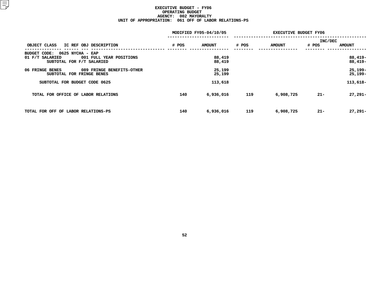|                                                                                                                    | MODIFIED FY05-04/10/05 |                  | <b>EXECUTIVE BUDGET FY06</b> |               |                  |                        |
|--------------------------------------------------------------------------------------------------------------------|------------------------|------------------|------------------------------|---------------|------------------|------------------------|
| OBJECT CLASS<br>IC REF OBJ DESCRIPTION                                                                             | # POS                  | <b>AMOUNT</b>    | # POS                        | <b>AMOUNT</b> | INC/DEC<br># POS | <b>AMOUNT</b>          |
| 0625 NYCHA - EAP<br><b>BUDGET CODE:</b><br>001 FULL YEAR POSITIONS<br>01 F/T SALARIED<br>SUBTOTAL FOR F/T SALARIED |                        | 88,419<br>88,419 |                              |               |                  | $88,419-$<br>$88,419-$ |
| 06 FRINGE BENES<br>089 FRINGE BENEFITS-OTHER<br>SUBTOTAL FOR FRINGE BENES                                          |                        | 25,199<br>25,199 |                              |               |                  | $25,199-$<br>25,199-   |
| SUBTOTAL FOR BUDGET CODE 0625                                                                                      |                        | 113,618          |                              |               |                  | $113,618-$             |
| TOTAL FOR OFFICE OF LABOR RELATIONS                                                                                | 140                    | 6,936,016        | 119                          | 6,908,725     | $21 -$           | $27,291-$              |
| TOTAL FOR OFF OF LABOR RELATIONS-PS                                                                                | 140                    | 6,936,016        | 119                          | 6,908,725     | $21 -$           | $27,291 -$             |
|                                                                                                                    |                        |                  |                              |               |                  |                        |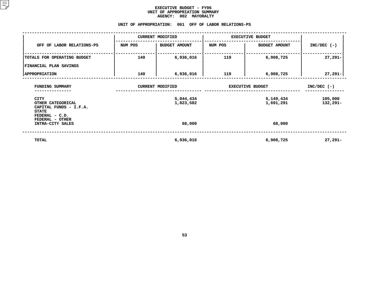#### **EXECUTIVE BUDGET - FY06** UNIT OF APPROPRIATION SUMMARY **OF APPROPRIATION SUMMARY AGENCY:**

# AGENCY: 002 MAYORALTY<br>UNIT OF APPROPRIATION: 061 OFF OF L<mark>AB</mark>

|                                                                                              | UNIT OF APPROPRIATION:  |                         | 061 OFF OF LABOR RELATIONS-PS |                        |                     |
|----------------------------------------------------------------------------------------------|-------------------------|-------------------------|-------------------------------|------------------------|---------------------|
|                                                                                              |                         | <b>CURRENT MODIFIED</b> | <b>EXECUTIVE BUDGET</b>       |                        |                     |
| OFF OF LABOR RELATIONS-PS                                                                    | NUM POS                 | <b>BUDGET AMOUNT</b>    | NUM POS                       | <b>BUDGET AMOUNT</b>   | $INC/DEC$ (-)       |
| TOTALS FOR OPERATING BUDGET<br>FINANCIAL PLAN SAVINGS                                        | 140                     | 6,936,016               | 119                           | 6,908,725              | $27,291-$           |
| <b>APPROPRIATION</b>                                                                         | 140                     | 6,936,016               | 119                           | 6,908,725              | 27,291-             |
| FUNDING SUMMARY                                                                              | <b>CURRENT MODIFIED</b> |                         | <b>EXECUTIVE BUDGET</b>       |                        | $INC/DEC$ (-)       |
| <b>CITY</b><br>OTHER CATEGORICAL<br>CAPITAL FUNDS - I.F.A.<br><b>STATE</b><br>FEDERAL - C.D. |                         | 5,044,434<br>1,823,582  |                               | 5,149,434<br>1,691,291 | 105,000<br>132,291- |
| FEDERAL - OTHER<br>INTRA-CITY SALES                                                          |                         | 68,000                  |                               | 68,000                 |                     |
| <b>TOTAL</b>                                                                                 |                         | 6,936,016               |                               | 6,908,725              | $27,291-$           |
|                                                                                              |                         |                         |                               |                        |                     |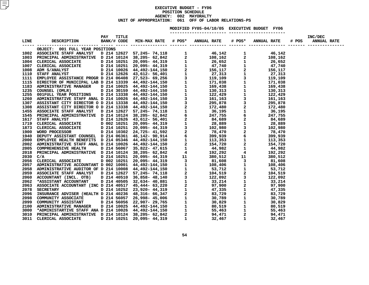### **EXECUTIVE BUDGET - FY06 POSITIONN SCHEDULE<br>02 MAYORA<br>61 OFF OF AGENCY: <sup>002</sup> MAYORALTY UNITOF APPROPRIATION: <sup>061</sup> OFF OF LABOR RELATIONS-PS MODIFIED**

**FY05-04/10/05 EXECUTIVE BUDGET FY06 -----------------------**

| OBJECT: 001 FULL YEAR POSITIONS                                                                                                                                                                                                                                                                                                                                                                                                                     |  |  |  |  |  |
|-----------------------------------------------------------------------------------------------------------------------------------------------------------------------------------------------------------------------------------------------------------------------------------------------------------------------------------------------------------------------------------------------------------------------------------------------------|--|--|--|--|--|
|                                                                                                                                                                                                                                                                                                                                                                                                                                                     |  |  |  |  |  |
|                                                                                                                                                                                                                                                                                                                                                                                                                                                     |  |  |  |  |  |
|                                                                                                                                                                                                                                                                                                                                                                                                                                                     |  |  |  |  |  |
|                                                                                                                                                                                                                                                                                                                                                                                                                                                     |  |  |  |  |  |
|                                                                                                                                                                                                                                                                                                                                                                                                                                                     |  |  |  |  |  |
|                                                                                                                                                                                                                                                                                                                                                                                                                                                     |  |  |  |  |  |
|                                                                                                                                                                                                                                                                                                                                                                                                                                                     |  |  |  |  |  |
|                                                                                                                                                                                                                                                                                                                                                                                                                                                     |  |  |  |  |  |
|                                                                                                                                                                                                                                                                                                                                                                                                                                                     |  |  |  |  |  |
|                                                                                                                                                                                                                                                                                                                                                                                                                                                     |  |  |  |  |  |
|                                                                                                                                                                                                                                                                                                                                                                                                                                                     |  |  |  |  |  |
|                                                                                                                                                                                                                                                                                                                                                                                                                                                     |  |  |  |  |  |
|                                                                                                                                                                                                                                                                                                                                                                                                                                                     |  |  |  |  |  |
|                                                                                                                                                                                                                                                                                                                                                                                                                                                     |  |  |  |  |  |
|                                                                                                                                                                                                                                                                                                                                                                                                                                                     |  |  |  |  |  |
|                                                                                                                                                                                                                                                                                                                                                                                                                                                     |  |  |  |  |  |
|                                                                                                                                                                                                                                                                                                                                                                                                                                                     |  |  |  |  |  |
|                                                                                                                                                                                                                                                                                                                                                                                                                                                     |  |  |  |  |  |
|                                                                                                                                                                                                                                                                                                                                                                                                                                                     |  |  |  |  |  |
|                                                                                                                                                                                                                                                                                                                                                                                                                                                     |  |  |  |  |  |
|                                                                                                                                                                                                                                                                                                                                                                                                                                                     |  |  |  |  |  |
|                                                                                                                                                                                                                                                                                                                                                                                                                                                     |  |  |  |  |  |
|                                                                                                                                                                                                                                                                                                                                                                                                                                                     |  |  |  |  |  |
|                                                                                                                                                                                                                                                                                                                                                                                                                                                     |  |  |  |  |  |
|                                                                                                                                                                                                                                                                                                                                                                                                                                                     |  |  |  |  |  |
|                                                                                                                                                                                                                                                                                                                                                                                                                                                     |  |  |  |  |  |
|                                                                                                                                                                                                                                                                                                                                                                                                                                                     |  |  |  |  |  |
|                                                                                                                                                                                                                                                                                                                                                                                                                                                     |  |  |  |  |  |
|                                                                                                                                                                                                                                                                                                                                                                                                                                                     |  |  |  |  |  |
|                                                                                                                                                                                                                                                                                                                                                                                                                                                     |  |  |  |  |  |
|                                                                                                                                                                                                                                                                                                                                                                                                                                                     |  |  |  |  |  |
|                                                                                                                                                                                                                                                                                                                                                                                                                                                     |  |  |  |  |  |
|                                                                                                                                                                                                                                                                                                                                                                                                                                                     |  |  |  |  |  |
|                                                                                                                                                                                                                                                                                                                                                                                                                                                     |  |  |  |  |  |
|                                                                                                                                                                                                                                                                                                                                                                                                                                                     |  |  |  |  |  |
|                                                                                                                                                                                                                                                                                                                                                                                                                                                     |  |  |  |  |  |
|                                                                                                                                                                                                                                                                                                                                                                                                                                                     |  |  |  |  |  |
|                                                                                                                                                                                                                                                                                                                                                                                                                                                     |  |  |  |  |  |
|                                                                                                                                                                                                                                                                                                                                                                                                                                                     |  |  |  |  |  |
|                                                                                                                                                                                                                                                                                                                                                                                                                                                     |  |  |  |  |  |
|                                                                                                                                                                                                                                                                                                                                                                                                                                                     |  |  |  |  |  |
|                                                                                                                                                                                                                                                                                                                                                                                                                                                     |  |  |  |  |  |
|                                                                                                                                                                                                                                                                                                                                                                                                                                                     |  |  |  |  |  |
| $\begin{tabular}{cccccccc} \textbf{0.013}\footnote{ \textbf{0.023}\footnote{ \textbf{0.034}\footnote{ \textbf{0.048}\footnote{ \textbf{0.049}\footnote{ \textbf{0.049}\footnote{ \textbf{0.049}\footnote{ \textbf{0.049}\footnote{ \textbf{0.049}\footnote{ \textbf{0.049}\footnote{ \textbf{0.049}\footnote{ \textbf{0.049}\footnote{ \textbf{0.049}\footnote{ \textbf{0.049}\footnote{ \textbf{0.049}\footnote{ \textbf{0.049}\footnote{ \textbf$ |  |  |  |  |  |
|                                                                                                                                                                                                                                                                                                                                                                                                                                                     |  |  |  |  |  |
|                                                                                                                                                                                                                                                                                                                                                                                                                                                     |  |  |  |  |  |
|                                                                                                                                                                                                                                                                                                                                                                                                                                                     |  |  |  |  |  |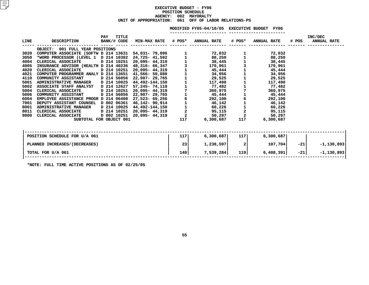# **EXECUTIVE BUDGET - FY06 POSITIONN SCHEDULE<br>02 MAYORA<br>61 OFF OF AGENCY: <sup>002</sup> MAYORALTY UNIT OF APPROPRIATION: <sup>061</sup> OFF OF LABOR RELATIONS-PS**

|      |                                                      |                                    |                            |                                                 | MODIFIED FY05-04/10/05 EXECUTIVE BUDGET FY06 |                                                   |                    |       |                               |
|------|------------------------------------------------------|------------------------------------|----------------------------|-------------------------------------------------|----------------------------------------------|---------------------------------------------------|--------------------|-------|-------------------------------|
| LINE | <b>DESCRIPTION</b>                                   | <b>TITLE</b><br>PAY<br>BANK/# CODE | <b>MIN-MAX RATE # POS*</b> |                                                 | <b>ANNUAL RATE</b>                           | # POS*                                            | <b>ANNUAL RATE</b> | # POS | INC/DEC<br><b>ANNUAL RATE</b> |
|      | OBJECT: 001 FULL YEAR POSITIONS                      |                                    |                            |                                                 |                                              |                                                   |                    |       |                               |
| 3020 | COMPUTER ASSOCIATE (SOFTW D 214 13631 54,031- 79,096 |                                    |                            |                                                 | 72,032                                       |                                                   | 72,032             |       |                               |
| 3050 | *WORD PROCESSOR (LEVEL 1 D 214 10302                 |                                    | 24,725- 41,592             |                                                 | 88,250                                       | $\begin{array}{c} 1 \\ 1 \\ 1 \end{array}$        | 88,250             |       |                               |
| 4004 | CLERICAL ASSOCIATE                                   | D 214 10251                        | 20,095- 44,319             | $\begin{array}{c} 1 \\ 1 \\ 1 \\ 3 \end{array}$ | 38,445                                       |                                                   | 38,445             |       |                               |
| 4005 | INSURANCE ADVISOR (HEALTH D 214 40236                |                                    | 48,316- 66,347             |                                                 | 170,961                                      |                                                   | 170,961            |       |                               |
| 4020 | CLERICAL ASSOCIATE                                   | D 214 10251                        | 20,095- 44,319             | 111117161122                                    | 45,444                                       |                                                   | 45,444             |       |                               |
| 4021 | COMPUTER PROGRAMMER ANALY D 214 13651                |                                    | 41,566- 59,080             |                                                 | 34,956                                       |                                                   | 34,956             |       |                               |
| 4110 | COMMUNITY ASSISTANT D 214 56056                      |                                    | 22,907-29,765              |                                                 | 29,525                                       |                                                   | 29,525             |       |                               |
| 5001 | ADMINISTRATIVE MANAGER D 214 10025                   |                                    | 44,492-144,150             |                                                 | 117,490                                      |                                                   | 117,490            |       |                               |
| 5002 | ASSOCIATE STAFF ANALYST                              | D 214 12627                        | 57,245- 74,118             |                                                 | 77,482                                       |                                                   | 77,482             |       |                               |
| 5004 | CLERICAL ASSOCIATE                                   | D 214 10251                        | 20,095- 44,319             |                                                 | 360,975                                      | $\begin{array}{c} 7 \\ 1 \\ 6 \end{array}$        | 360,975            |       |                               |
| 5006 | COMMUNITY ASSISTANT                                  | D 214 56056                        | 22,907- 29,765             |                                                 | 45,444                                       |                                                   | 45,444             |       |                               |
| 6004 | EMPLOYEE ASSISTANCE PROGR D 214 06408                |                                    | 27,523- 69,256             |                                                 | 292,100                                      |                                                   | 292,100            |       |                               |
| 7001 | DEPUTY ASSISTANT COUNSEL D 002 06361                 |                                    | 46,142-90,914              |                                                 | 46,142                                       |                                                   | 46,142             |       |                               |
| 8001 | <b>ADMINISTRATIVE MANAGER</b>                        |                                    | D 214 10025 44,492–144,150 |                                                 | 60,226                                       | $\begin{array}{c}\n1 \\ 1 \\ 2 \\ 2\n\end{array}$ | 60,226             |       |                               |
| 8011 | CLERICAL ASSOCIATE                                   | D 214 10251                        | 20,095- 44,319             |                                                 | 95,115                                       |                                                   | 95,115             |       |                               |
| 9000 | CLERICAL ASSOCIATE                                   | D 002 10251                        | 20,095- 44,319             |                                                 | 50,297                                       |                                                   | 50,297             |       |                               |
|      | SUBTOTAL FOR OBJECT 001                              |                                    |                            | 117                                             | 6,300,687                                    | 117                                               | 6,300,687          |       |                               |
|      | POSITION SCHEDULE FOR U/A 061                        |                                    |                            | 117                                             | 6,300,687                                    | 117 l                                             | 6,300,687          |       |                               |
|      | PLANNED INCREASES/(DECREASES)                        |                                    |                            | 23                                              | 1,238,597                                    | 2                                                 | 107,704            | $-21$ | $-1, 130, 893$                |
|      | TOTAL FOR U/A 061                                    |                                    |                            | 140                                             | 7,539,284                                    | 119                                               | 6,408,391          | $-21$ | $-1, 130, 893$                |
|      |                                                      |                                    |                            |                                                 |                                              |                                                   |                    |       |                               |

**\*NOTE: FULL TIME ACTIVE POSITIONS AS OF 02/25/05**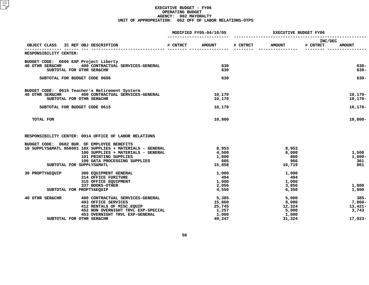|                                                                                                                                                                                                                                                                                               | MODIFIED FY05-04/10/05                                |            | <b>EXECUTIVE BUDGET FY06</b>                         |                                                   |  |  |
|-----------------------------------------------------------------------------------------------------------------------------------------------------------------------------------------------------------------------------------------------------------------------------------------------|-------------------------------------------------------|------------|------------------------------------------------------|---------------------------------------------------|--|--|
| OBJECT CLASS<br>IC REF OBJ DESCRIPTION                                                                                                                                                                                                                                                        | # CNTRCT<br><b>AMOUNT</b>                             | # CNTRCT   | <b>AMOUNT</b>                                        | INC/DEC<br># CNTRCT<br><b>AMOUNT</b>              |  |  |
| RESPONSIBILITY CENTER:                                                                                                                                                                                                                                                                        |                                                       |            |                                                      |                                                   |  |  |
| BUDGET CODE: 0606 EAP Project Liberty<br>400 CONTRACTUAL SERVICES-GENERAL<br><b>40 OTHR SER&amp;CHR</b><br>SUBTOTAL FOR OTHR SER&CHR                                                                                                                                                          |                                                       | 630<br>630 |                                                      | $630 -$<br>$630 -$                                |  |  |
| SUBTOTAL FOR BUDGET CODE 0606                                                                                                                                                                                                                                                                 |                                                       | 630        |                                                      | $630 -$                                           |  |  |
| BUDGET CODE: 0615 Teacher's Retirement Systerm<br>40 OTHR SER&CHR<br>400 CONTRACTUAL SERVICES-GENERAL<br>SUBTOTAL FOR OTHR SER&CHR<br>SUBTOTAL FOR BUDGET CODE 0615                                                                                                                           | 10,170<br>10,170<br>10,170                            |            |                                                      | $10, 170 -$<br>10,170-<br>$10, 170 -$             |  |  |
| TOTAL FOR                                                                                                                                                                                                                                                                                     | 10,800                                                |            |                                                      | $10,800 -$                                        |  |  |
| RESPONSIBILITY CENTER: 0014 OFFICE OF LABOR RELATIONS<br>BUDGET CODE: 0602 BUR. OF EMPLOYEE BENEFITS<br>10 SUPPLYS&MATL 856001 10X SUPPLIES + MATERIALS - GENERAL<br>100 SUPPLIES + MATERIALS - GENERAL<br>101 PRINTING SUPPLIES<br>199 DATA PROCESSING SUPPLIES<br>SUBTOTAL FOR SUPPLYS&MATL | 8,953<br>4,500<br>1,800<br>15,858                     | 605        | 8,953<br>6,000<br>800<br>966<br>16,719               | 1,500<br>$1,000-$<br>361<br>861                   |  |  |
| <b>30 PROPTY&amp;EOUIP</b><br>300 EQUIPMENT GENERAL<br>314 OFFICE FURITURE<br>315 OFFICE EQUIPMENT<br>337 BOOKS-OTHER<br>SUBTOTAL FOR PROPTY&EQUIP                                                                                                                                            | 1,000<br>1,000<br>2,056<br>4,550                      | 494        | 1,000<br>494<br>1,000<br>3,856<br>6,350              | 1,800<br>1,800                                    |  |  |
| 40 OTHR SER&CHR<br>400 CONTRACTUAL SERVICES-GENERAL<br><b>403 OFFICE SERVICES</b><br>412 RENTALS OF MISC. EQUIP<br>452 NON OVERNIGHT TRVL EXP-SPECIAL<br>453 OVERNIGHT TRVL EXP-GENERAL<br>SUBTOTAL FOR OTHR SER&CHR                                                                          | 5,385<br>15,860<br>25,745<br>1,257<br>1,000<br>49,247 |            | 5,000<br>8,000<br>12,324<br>5,000<br>1,000<br>31,324 | $385-$<br>7,860-<br>$13,421-$<br>3,743<br>17,923- |  |  |
|                                                                                                                                                                                                                                                                                               |                                                       |            |                                                      |                                                   |  |  |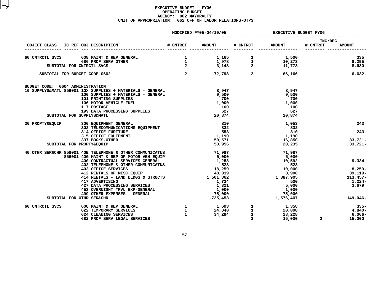|                                     |                                                                                                                                                                                                                                                                                                                                                        | MODIFIED FY05-04/10/05 | EXECUTIVE BUDGET FY06 |                                                                                                                                              |                            |                   |
|-------------------------------------|--------------------------------------------------------------------------------------------------------------------------------------------------------------------------------------------------------------------------------------------------------------------------------------------------------------------------------------------------------|------------------------|-----------------------|----------------------------------------------------------------------------------------------------------------------------------------------|----------------------------|-------------------|
| OBJECT CLASS IC REF OBJ DESCRIPTION |                                                                                                                                                                                                                                                                                                                                                        | # CNTRCT AMOUNT        |                       | # CNTRCT AMOUNT                                                                                                                              | <b>INC/DEC</b><br># CNTRCT | <b>AMOUNT</b>     |
|                                     |                                                                                                                                                                                                                                                                                                                                                        |                        |                       |                                                                                                                                              |                            |                   |
|                                     |                                                                                                                                                                                                                                                                                                                                                        |                        |                       |                                                                                                                                              |                            |                   |
|                                     | $\begin{array}{cccccccccccc} 60 & \text{CMTRCTL SVCS} & 608 & \text{MAINT & & REP GENERAL} & 1 & 1,165 & 1 & 1,500 & 335 \\ & & & & & & & & & 686 & \text{PROF} & \text{SERV OTHER} & & & & & 1 & 1,978 & 1 & 10,273 & 8,295 \\ & & & & & & & & & & 1 & 1,978 & 1 & 10,273 & 8,295 & 11,773 & 8,630 \\ & & & & & & & & & 2 & 3,143 & 2 & 11,773 & 8,6$ |                        |                       |                                                                                                                                              |                            |                   |
|                                     |                                                                                                                                                                                                                                                                                                                                                        |                        |                       |                                                                                                                                              |                            | $6,632-$          |
| BUDGET CODE: 0604 ADMINISTRATION    |                                                                                                                                                                                                                                                                                                                                                        |                        |                       |                                                                                                                                              |                            |                   |
|                                     | 10 SUPPLYS&MATL 856001 10X SUPPLIES + MATERIALS - GENERAL                                                                                                                                                                                                                                                                                              | 8,947                  |                       | 8,947                                                                                                                                        |                            |                   |
|                                     | 100 SUPPLIES + MATERIALS - GENERAL<br>101 PRINTING SUPPLIES                                                                                                                                                                                                                                                                                            | 9,500<br>700           |                       | 9,500<br>700                                                                                                                                 |                            |                   |
|                                     | 106 MOTOR VEHICLE FUEL                                                                                                                                                                                                                                                                                                                                 | 1,000                  |                       | 1,000                                                                                                                                        |                            |                   |
|                                     | 117 POSTAGE                                                                                                                                                                                                                                                                                                                                            | 100                    |                       | 100                                                                                                                                          |                            |                   |
|                                     | 117 POSTAGE<br>199 DATA PROCESSING SUPPLIES                                                                                                                                                                                                                                                                                                            | 627<br>20,874          |                       | 627                                                                                                                                          |                            |                   |
| SUBTOTAL FOR SUPPLYS&MATL           |                                                                                                                                                                                                                                                                                                                                                        |                        |                       | 20,874                                                                                                                                       |                            |                   |
|                                     | 30 PROPTY&EQUIP 300 EQUIPMENT GENERAL                                                                                                                                                                                                                                                                                                                  | 810<br>832             |                       | 1,053                                                                                                                                        |                            | 243               |
|                                     | 300 EQUIPMENT GENERAL<br>302 TELECOMMUNICATIONS EQUIPMENT 632<br>314 OFFICE FURITURE 553<br>315 OFFICE EQUIPMENT 1,190                                                                                                                                                                                                                                 |                        |                       | 832                                                                                                                                          |                            |                   |
|                                     | 314 OFFICE FURITURE<br>315 OFFICE EQUIPMENT<br>337 BOOKS-OTHER<br>PROPTYSEOUTD                                                                                                                                                                                                                                                                         |                        |                       | 310<br>1,190                                                                                                                                 |                            | $243-$            |
|                                     |                                                                                                                                                                                                                                                                                                                                                        | 50,571                 |                       | 16,850                                                                                                                                       |                            | 33,721-           |
| SUBTOTAL FOR PROPTY&EQUIP           |                                                                                                                                                                                                                                                                                                                                                        | 53,956                 |                       | 20,235                                                                                                                                       |                            | $33,721 -$        |
|                                     | 858001 40B TELEPHONE & OTHER COMMUNICATNS<br>856001 40G MAINT & REP OF MOTOR VEH EQUIP<br>400 CONTRACTUAL SERVICES-GENERAL<br>402 TELEPHONE & OTHER COMMUNICATNS<br>403 OFFICE SERVICES<br>413 RENTALS OF MISC.EQUIP<br>42 RENTALS OF MISC<br>40 OTHR SER&CHR 858001 40B TELEPHONE & OTHER COMMUNICATNS                                                |                        |                       | 71,987                                                                                                                                       |                            |                   |
|                                     |                                                                                                                                                                                                                                                                                                                                                        |                        |                       | 5,000                                                                                                                                        |                            |                   |
|                                     |                                                                                                                                                                                                                                                                                                                                                        |                        |                       | 10,592                                                                                                                                       |                            | 9,334             |
|                                     |                                                                                                                                                                                                                                                                                                                                                        |                        |                       | 523<br>$\begin{array}{c} 523 \\ 10,000 \\ 8,900 \\ 1,387,905 \end{array}$                                                                    |                            |                   |
|                                     |                                                                                                                                                                                                                                                                                                                                                        |                        |                       |                                                                                                                                              |                            | 8,259-<br>-39,119 |
|                                     | 414 RENTALS - LAND BLDGS & STRUCTS 1,501,362                                                                                                                                                                                                                                                                                                           |                        |                       |                                                                                                                                              |                            | $113,457-$        |
|                                     | 417 ADVERTISING                                                                                                                                                                                                                                                                                                                                        | 1,724                  |                       | 500                                                                                                                                          |                            | 1,224-            |
|                                     |                                                                                                                                                                                                                                                                                                                                                        |                        |                       | 5,000                                                                                                                                        |                            | 3,679             |
|                                     |                                                                                                                                                                                                                                                                                                                                                        |                        |                       | 1,000                                                                                                                                        |                            |                   |
|                                     |                                                                                                                                                                                                                                                                                                                                                        |                        |                       | ر ہے۔<br>75,000<br>1,576,407                                                                                                                 |                            |                   |
| SUBTOTAL FOR OTHR SER&CHR           | 417 ADVERTISING<br>427 DATA PROCESSING SERVICES<br>453 OVERNIGHT TRVL EXP-GENERAL<br>499 OTHER EXPENSES - GENERAL<br><www.erps.com (1,725,453<="" html="" td=""><td>1,725,453</td><td></td><td></td><td></td><td>149,046-</td></www.erps.com>                                                                                                          | 1,725,453              |                       |                                                                                                                                              |                            | 149,046-          |
| 60 CNTRCTL SVCS                     | <b>608 MAINT &amp; REP GENERAL<br/>622 TEMPORARY SERVICES</b>                                                                                                                                                                                                                                                                                          |                        |                       | $\begin{array}{ccccccccc}\n1 & & & 1,693 & & 1 & & 1,358 \\ 1 & & & 24,840 & & 1 & & 20,000 \\ 1 & & & 34,294 & & 1 & & 28,228\n\end{array}$ |                            | $335 -$           |
|                                     |                                                                                                                                                                                                                                                                                                                                                        |                        |                       |                                                                                                                                              |                            | $4,840-$          |
|                                     | 624 CLEANING SERVICES<br>682 PROF SERV LEGAL SERVICES                                                                                                                                                                                                                                                                                                  |                        | $\overline{2}$        | 28,228<br>28,228<br>15,000                                                                                                                   | $\mathbf{2}$               | 6,066-<br>15,000  |
|                                     |                                                                                                                                                                                                                                                                                                                                                        |                        |                       |                                                                                                                                              |                            |                   |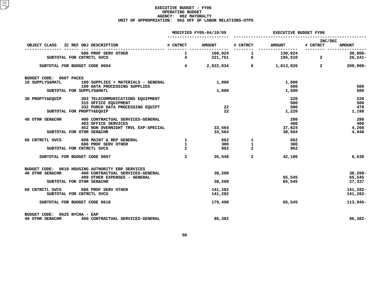|                                                                                                                                                                   |                | MODIFIED FY05-04/10/05                          | <b>EXECUTIVE BUDGET FY06</b> |                                              |                         |                               |
|-------------------------------------------------------------------------------------------------------------------------------------------------------------------|----------------|-------------------------------------------------|------------------------------|----------------------------------------------|-------------------------|-------------------------------|
| OBJECT CLASS IC REF OBJ DESCRIPTION                                                                                                                               |                | # CNTRCT AMOUNT                                 |                              | # CNTRCT AMOUNT                              | INC/DEC<br># CNTRCT     | <b>AMOUNT</b>                 |
| 686 PROF SERV OTHER<br>SUBTOTAL FOR CNTRCTL SVCS                                                                                                                  |                |                                                 |                              | 1 160,924 1 130,924<br>4 221,751 6 195,510 2 | $\overline{\mathbf{a}}$ | $30,000 -$<br>$26,241-$       |
| SUBTOTAL FOR BUDGET CODE 0604                                                                                                                                     |                |                                                 |                              | $4$ 2,022,034 6 1,813,026 2                  |                         | $209,008 -$                   |
| BUDGET CODE: 0607 PACES<br>10 SUPPLYS&MATL 100 SUPPLIES + MATERIALS - GENERAL<br>199 DATA PROCESSING SUPPLIES                                                     |                | 1,000                                           |                              | 1,000<br>500                                 |                         | 500                           |
| SUBTOTAL FOR SUPPLYS&MATL                                                                                                                                         |                | 1,000                                           |                              | 1,500                                        |                         | 500                           |
| 30 PROPTY&EQUIP 302 TELECOMMUNICATIONS EQUIPMENT<br>315 OFFICE EQUIPMENT<br>332 PURCH DATA PROCESSING EQUIPT<br>SUBTOTAL FOR PROPTY&EQUIP                         |                | 22<br>$22 \,$                                   |                              | 220<br>500<br>500<br>1,220                   |                         | 220<br>500<br>478<br>1,198    |
| 40 OTHR SER&CHR<br>400 CONTRACTUAL SERVICES-GENERAL<br>403 OFFICE SERVICES<br>452 NON OVERNIGHT TRVL EXP-SPECIAL<br>SUBTOTAL FOR OTHR SER&CHR                     |                | 33,564                                          | 33,564                       | 280<br>400<br>37,824<br>38,504               |                         | 280<br>400<br>4,260<br>4,940  |
| 60 CNTRCTL SVCS 608 MAINT & REP GENERAL<br><b>686 PROF SERV OTHER</b><br>SUBTOTAL FOR CNTRCTL SVCS                                                                | $\overline{2}$ | $\frac{1}{2}$ 662 1<br>$\frac{1}{2}$ 300<br>962 | $\overline{2}$               | 662<br>300<br>962                            |                         |                               |
| SUBTOTAL FOR BUDGET CODE 0607                                                                                                                                     | $\mathbf{2}$   |                                                 | 35,548<br>2 <sup>1</sup>     | 42,186                                       |                         | 6,638                         |
| BUDGET CODE: 0618 HOUSING AUTHORITY EBP SERVICES<br>40 OTHR SER&CHR 400 CONTRACTUAL SERVICES-GENERAL<br>499 OTHER EXPENSES - GENERAL<br>SUBTOTAL FOR OTHR SER&CHR |                | 38,208<br>38,208                                |                              | 65,545<br>65,545                             |                         | $38,208-$<br>65,545<br>27,337 |
| 60 CNTRCTL SVCS 686 PROF SERV OTHER<br>SUBTOTAL FOR CNTRCTL SVCS                                                                                                  |                | 141,282<br>141,282                              |                              |                                              |                         | 141,282-<br>141,282-          |
| SUBTOTAL FOR BUDGET CODE 0618                                                                                                                                     |                | 179,490                                         |                              | 65,545                                       |                         | 113,945-                      |
| BUDGET CODE: 0625 NYCHA - EAP<br>40 OTHR SER&CHR<br>400 CONTRACTUAL SERVICES-GENERAL                                                                              |                | 86,382                                          |                              |                                              |                         | 86,382-                       |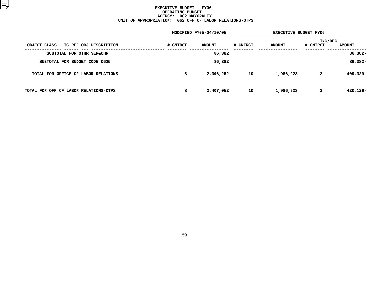|          |               | <b>EXECUTIVE BUDGET FY06</b> |               |                         |               |
|----------|---------------|------------------------------|---------------|-------------------------|---------------|
| # CNTRCT | <b>AMOUNT</b> | # CNTRCT                     | <b>AMOUNT</b> | # CNTRCT                | <b>AMOUNT</b> |
|          | 86,382        |                              |               |                         | $86,382 -$    |
|          | 86,382        |                              |               |                         | 86,382-       |
| 8        | 2,396,252     | 10                           | 1,986,923     | $\overline{\mathbf{2}}$ | 409,329-      |
| 8        | 2,407,052     | 10                           | 1,986,923     | $\mathbf{2}$            | 420,129-      |
|          |               | MODIFIED FY05-04/10/05       |               |                         | INC/DEC       |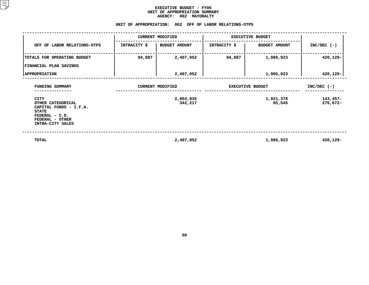## **EXECUTIVE BUDGET - FY06 UNIT OF APPROPRIATION SUMMARY AGENCY:**

| <b>AGENCY:</b><br><b>002 MAYORALTY</b>                                                                                              |              |                                                        |                         |                      |                      |  |  |  |  |  |
|-------------------------------------------------------------------------------------------------------------------------------------|--------------|--------------------------------------------------------|-------------------------|----------------------|----------------------|--|--|--|--|--|
|                                                                                                                                     |              | UNIT OF APPROPRIATION: 062 OFF OF LABOR RELATIONS-OTPS |                         |                      |                      |  |  |  |  |  |
|                                                                                                                                     |              | <b>CURRENT MODIFIED</b>                                | <b>EXECUTIVE BUDGET</b> |                      |                      |  |  |  |  |  |
| OFF OF LABOR RELATIONS-OTPS                                                                                                         | INTRACITY \$ | <b>BUDGET AMOUNT</b>                                   | <b>INTRACITY \$</b>     | <b>BUDGET AMOUNT</b> | $INC/DEC$ (-)        |  |  |  |  |  |
| TOTALS FOR OPERATING BUDGET                                                                                                         | 94,887       | 2,407,052                                              | 94,887                  | 1,986,923            | 420,129-             |  |  |  |  |  |
| FINANCIAL PLAN SAVINGS                                                                                                              |              |                                                        |                         |                      |                      |  |  |  |  |  |
| <b>APPROPRIATION</b>                                                                                                                |              | 2,407,052                                              |                         | 1,986,923            | 420,129-             |  |  |  |  |  |
| FUNDING SUMMARY                                                                                                                     |              | <b>CURRENT MODIFIED</b>                                | <b>EXECUTIVE BUDGET</b> | $INC/DEC$ (-)        |                      |  |  |  |  |  |
| <b>CITY</b><br>OTHER CATEGORICAL<br>CAPITAL FUNDS - I.F.A.<br><b>STATE</b><br>FEDERAL - C.D.<br>FEDERAL - OTHER<br>INTRA-CITY SALES |              | 2,064,835<br>342,217                                   |                         | 1,921,378<br>65,545  | 143,457-<br>276,672- |  |  |  |  |  |
| TOTAL                                                                                                                               |              | 2,407,052                                              |                         | 1,986,923            | 420,129-             |  |  |  |  |  |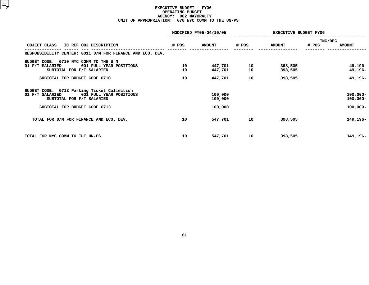# **EXECUTIVE BUDGET - FY06 OPERATING**G BUDGET<br>02 MAYOR<br>0 NYC CO **AGENCY: <sup>002</sup> MAYORALTY UNIT OF APPROPRIATION: <sup>070</sup> NYC COMM TO THE UN-PS**

|                                                                                           |       | MODIFIED FY05-04/10/05 | EXECUTIVE BUDGET FY06 |               |                  |               |
|-------------------------------------------------------------------------------------------|-------|------------------------|-----------------------|---------------|------------------|---------------|
| OBJECT CLASS<br>IC REF OBJ DESCRIPTION                                                    | # POS | <b>AMOUNT</b>          | # POS                 | <b>AMOUNT</b> | INC/DEC<br># POS | <b>AMOUNT</b> |
|                                                                                           |       |                        |                       |               |                  |               |
| RESPONSIBILITY CENTER: 0011 D/M FOR FINANCE AND ECO. DEV.                                 |       |                        |                       |               |                  |               |
| 0710 NYC COMM TO THE U N<br>BUDGET CODE:                                                  |       |                        |                       |               |                  |               |
| 01 F/T SALARIED<br>001 FULL YEAR POSITIONS                                                | 10    | 447,701                | 10                    | 398,505       |                  | 49,196-       |
| SUBTOTAL FOR F/T SALARIED                                                                 | 10    | 447,701                | 10                    | 398,505       |                  | 49,196-       |
| SUBTOTAL FOR BUDGET CODE 0710                                                             | 10    | 447,701                | 10                    | 398,505       |                  | 49,196-       |
|                                                                                           |       |                        |                       |               |                  |               |
| BUDGET CODE: 0713 Parking Ticket Collection<br>01 F/T SALARIED<br>001 FULL YEAR POSITIONS |       | 100,000                |                       |               |                  | $100,000 -$   |
| SUBTOTAL FOR F/T SALARIED                                                                 |       | 100,000                |                       |               |                  | $100,000 -$   |
| SUBTOTAL FOR BUDGET CODE 0713                                                             |       | 100,000                |                       |               |                  | $100,000 -$   |
|                                                                                           |       |                        |                       |               |                  |               |
| TOTAL FOR D/M FOR FINANCE AND ECO. DEV.                                                   | 10    | 547,701                | 10                    | 398,505       |                  | 149,196-      |
|                                                                                           |       |                        |                       |               |                  |               |
|                                                                                           |       |                        |                       |               |                  |               |
| TOTAL FOR NYC COMM TO THE UN-PS                                                           | 10    | 547,701                | 10                    | 398,505       |                  | 149,196-      |
|                                                                                           |       |                        |                       |               |                  |               |
|                                                                                           |       |                        |                       |               |                  |               |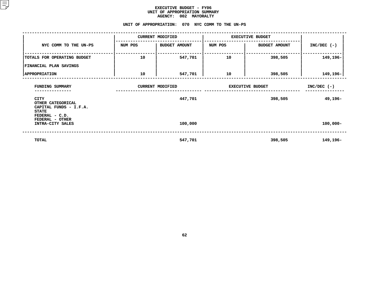|                                                                            | <b>AGENCY:</b><br>002 MAYORALTY |                                                  |                         |                      |               |  |  |  |  |  |  |  |
|----------------------------------------------------------------------------|---------------------------------|--------------------------------------------------|-------------------------|----------------------|---------------|--|--|--|--|--|--|--|
|                                                                            |                                 | UNIT OF APPROPRIATION: 070 NYC COMM TO THE UN-PS |                         |                      |               |  |  |  |  |  |  |  |
|                                                                            |                                 | <b>CURRENT MODIFIED</b>                          | <b>EXECUTIVE BUDGET</b> |                      |               |  |  |  |  |  |  |  |
| NYC COMM TO THE UN-PS                                                      | NUM POS                         | BUDGET AMOUNT                                    | NUM POS                 | <b>BUDGET AMOUNT</b> | $INC/DEC$ (-) |  |  |  |  |  |  |  |
| TOTALS FOR OPERATING BUDGET                                                | 10                              | 547,701                                          | 10                      | 398,505              | 149,196-      |  |  |  |  |  |  |  |
| FINANCIAL PLAN SAVINGS                                                     |                                 |                                                  |                         |                      |               |  |  |  |  |  |  |  |
| <b>APPROPRIATION</b>                                                       | 10                              | 547,701                                          | 10                      | 398,505              | 149,196-      |  |  |  |  |  |  |  |
| FUNDING SUMMARY                                                            |                                 | <b>CURRENT MODIFIED</b>                          | <b>EXECUTIVE BUDGET</b> | $INC/DEC$ (-)        |               |  |  |  |  |  |  |  |
| <b>CITY</b><br>OTHER CATEGORICAL<br>CAPITAL FUNDS - I.F.A.<br><b>STATE</b> |                                 | 447,701                                          |                         | 49,196-              |               |  |  |  |  |  |  |  |
| FEDERAL - C.D.<br>FEDERAL - OTHER<br>INTRA-CITY SALES                      |                                 | 100,000                                          |                         |                      | $100,000 -$   |  |  |  |  |  |  |  |
| TOTAL                                                                      |                                 | 547,701                                          |                         | 149,196-             |               |  |  |  |  |  |  |  |
|                                                                            |                                 |                                                  |                         |                      |               |  |  |  |  |  |  |  |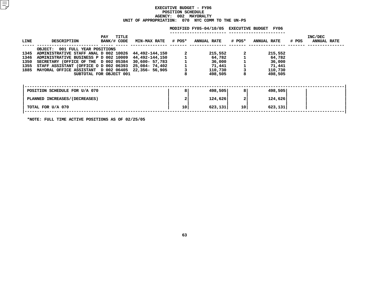# **EXECUTIVE BUDGET - FY06 POSITIONN SCHEDULE<br>02 MAYORA<br>070 NYC AGENCY: <sup>002</sup> MAYORALTY UNIT OF APPROPRIATION: <sup>070</sup> NYC COMM TO THE UN-PS**

|      |                                           |                                           |                     |        | MODIFIED FY05-04/10/05 EXECUTIVE BUDGET |                 | FY06        |       |                               |
|------|-------------------------------------------|-------------------------------------------|---------------------|--------|-----------------------------------------|-----------------|-------------|-------|-------------------------------|
| LINE | <b>DESCRIPTION</b>                        | TITLE<br>PAY<br>BANK/# CODE               | <b>MIN-MAX RATE</b> | # POS* | <b>ANNUAL RATE</b>                      | # POS*          | ANNUAL RATE | # POS | INC/DEC<br><b>ANNUAL RATE</b> |
|      | 001 FULL YEAR POSITIONS<br><b>OBJECT:</b> |                                           |                     |        |                                         |                 |             |       |                               |
| 1345 | ADMINISTRATIVE STAFF ANAL D 002 10026     |                                           | 44,492-144,150      |        | 215,552                                 |                 | 215,552     |       |                               |
| 1346 | ADMINISTRATIVE BUSINESS P D 002 10009     |                                           | 44,492-144,150      |        | 64,782                                  |                 | 64,782      |       |                               |
| 1350 | SECRETARY (OFFICE OF THE D 002 05384      |                                           | $30,600 - 57,783$   |        | 36,000                                  |                 | 36,000      |       |                               |
| 1355 | STAFF ASSISTANT (OFFICE O D 002 06393     |                                           | 25,084- 74,402      |        | 71,441                                  |                 | 71,441      |       |                               |
| 1885 | MAYORAL OFFICE ASSISTANT D 002 06405      |                                           | 22,356- 56,905      |        | 110,730                                 |                 | 110,730     |       |                               |
|      |                                           | SUBTOTAL FOR OBJECT 001                   |                     |        | 498,505                                 | 8               | 498,505     |       |                               |
|      |                                           |                                           |                     |        |                                         |                 |             |       |                               |
|      | POSITION SCHEDULE FOR U/A 070             |                                           |                     | 8      | 498,505                                 | 81              | 498,505     |       |                               |
|      | PLANNED INCREASES/(DECREASES)             |                                           |                     |        | 124,626                                 | 2               | 124,626     |       |                               |
|      | TOTAL FOR U/A 070                         |                                           |                     | 10     | 623,131                                 | 10 <sub>1</sub> | 623,131     |       |                               |
|      |                                           | - - - -------- - - - - <b>- - - - - -</b> |                     |        |                                         |                 |             |       |                               |

**\*NOTE: FULL TIME ACTIVE POSITIONS AS OF 02/25/05**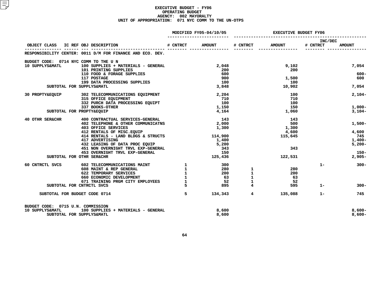# **EXECUTIVE BUDGET - FY06 OPERATING**G BUDGET<br>02 MAYOR<br>1 NYC CO **AGENCY: <sup>002</sup> MAYORALTY UNIT OF APPROPRIATION: <sup>071</sup> NYC COMM TO THE UN-OTPS**

|                                       |                                                           |                          | MODIFIED FY05-04/10/05 | <b>EXECUTIVE BUDGET FY06</b> |               |                     |               |
|---------------------------------------|-----------------------------------------------------------|--------------------------|------------------------|------------------------------|---------------|---------------------|---------------|
| OBJECT CLASS IC REF OBJ DESCRIPTION   |                                                           | # CNTRCT                 | <b>AMOUNT</b>          | # CNTRCT                     | <b>AMOUNT</b> | INC/DEC<br># CNTRCT | <b>AMOUNT</b> |
|                                       | RESPONSIBILITY CENTER: 0011 D/M FOR FINANCE AND ECO. DEV. |                          |                        |                              |               |                     |               |
| BUDGET CODE: 0714 NYC COMM TO THE U N |                                                           |                          |                        |                              |               |                     |               |
| 10 SUPPLYS&MATL                       | 100 SUPPLIES + MATERIALS - GENERAL                        |                          | 2,048                  |                              | 9,102         |                     | 7,054         |
|                                       | 101 PRINTING SUPPLIES                                     |                          | 200                    |                              | 200           |                     |               |
|                                       | 110 FOOD & FORAGE SUPPLIES                                |                          | 600                    |                              |               |                     | $600 -$       |
|                                       | 117 POSTAGE                                               |                          | 900                    |                              | 1,500         |                     | 600           |
|                                       | 199 DATA PROCESSING SUPPLIES                              |                          | 100                    |                              | 100           |                     |               |
|                                       | SUBTOTAL FOR SUPPLYS&MATL                                 |                          | 3,848                  |                              | 10,902        |                     | 7,054         |
| 30 PROPTY&EQUIP                       | 302 TELECOMMUNICATIONS EQUIPMENT                          |                          | 2,204                  |                              | 100           |                     | $2,104-$      |
|                                       | 315 OFFICE EQUIPMENT                                      |                          | 710                    |                              | 710           |                     |               |
|                                       | 332 PURCH DATA PROCESSING EQUIPT                          |                          | 100                    |                              | 100           |                     |               |
|                                       | 337 BOOKS-OTHER                                           |                          | 1,150                  |                              | 150           |                     | $1,000-$      |
|                                       | SUBTOTAL FOR PROPTY&EQUIP                                 |                          | 4,164                  |                              | 1,060         |                     | $3,104-$      |
| 40 OTHR SER&CHR                       | 400 CONTRACTUAL SERVICES-GENERAL                          |                          | 143                    |                              | 143           |                     |               |
|                                       | 402 TELEPHONE & OTHER COMMUNICATNS                        |                          | 2,000                  |                              | 500           |                     | $1,500-$      |
|                                       | <b>403 OFFICE SERVICES</b>                                |                          | 1,300                  |                              | 1,300         |                     |               |
|                                       | 412 RENTALS OF MISC.EQUIP                                 |                          |                        |                              | 4,600         |                     | 4,600         |
|                                       | 414 RENTALS - LAND BLDGS & STRUCTS                        |                          | 114,900                |                              | 115,645       |                     | 745           |
|                                       | 417 ADVERTISING                                           |                          | 1,400                  |                              |               |                     | $1,400-$      |
|                                       | 432 LEASING OF DATA PROC EQUIP                            |                          | 5,200                  |                              |               |                     | $5,200 -$     |
|                                       | 451 NON OVERNIGHT TRVL EXP-GENERAL                        |                          | 343                    |                              | 343           |                     |               |
|                                       | 453 OVERNIGHT TRVL EXP-GENERAL                            |                          | 150                    |                              |               |                     | $150 -$       |
|                                       | SUBTOTAL FOR OTHR SER&CHR                                 |                          | 125,436                |                              | 122,531       |                     | $2,905-$      |
| 60 CNTRCTL SVCS                       | 602 TELECOMMUNICATIONS MAINT                              | $\mathbf{1}$             | 300                    |                              |               | $1 -$               | $300 -$       |
|                                       | 608 MAINT & REP GENERAL                                   | $\mathbf{1}$             | 280                    | 1                            | 280           |                     |               |
|                                       | 622 TEMPORARY SERVICES                                    |                          | 200                    | $\mathbf{1}$                 | 200           |                     |               |
|                                       | 660 ECONOMIC DEVELOPMENT                                  | $\mathbf{1}$             | 63                     | $\mathbf 1$                  | 63            |                     |               |
|                                       | 671 TRAINING PRGM CITY EMPLOYEES                          | $\mathbf{1}$             | 52                     | $\mathbf 1$                  | - 52          |                     |               |
|                                       | SUBTOTAL FOR CNTRCTL SVCS                                 | -5                       | 895                    | $\overline{\mathbf{4}}$      | 595           | $1 -$               | $300 -$       |
| SUBTOTAL FOR BUDGET CODE 0714         |                                                           | $\overline{\phantom{0}}$ | 134,343                | $4^{\circ}$                  | 135,088       | $1 -$               | 745           |
| BUDGET CODE: 0715 U.N. COMMISSION     |                                                           |                          |                        |                              |               |                     |               |
| 10 SUPPLYS&MATL                       | 100 SUPPLIES + MATERIALS - GENERAL                        |                          | 8,600                  |                              |               |                     | $8,600 -$     |
|                                       | SUBTOTAL FOR SUPPLYS&MATL                                 |                          | 8,600                  |                              |               |                     | $8,600 -$     |
|                                       |                                                           |                          |                        |                              |               |                     |               |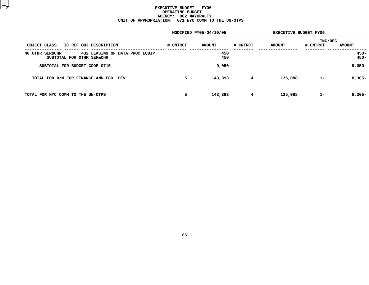# **EXECUTIVE BUDGET - FY06 OPERATING**G BUDGET<br>02 MAYOR<br>1 NYC CO **AGENCY: <sup>002</sup> MAYORALTY UNIT OF APPROPRIATION: <sup>071</sup> NYC COMM TO THE UN-OTPS**

|                                                                                              |          | MODIFIED FY05-04/10/05 | <b>EXECUTIVE BUDGET FY06</b> |               |                     |                    |
|----------------------------------------------------------------------------------------------|----------|------------------------|------------------------------|---------------|---------------------|--------------------|
| OBJECT CLASS<br>IC REF OBJ DESCRIPTION                                                       | # CNTRCT | <b>AMOUNT</b>          | # CNTRCT                     | <b>AMOUNT</b> | INC/DEC<br># CNTRCT | <b>AMOUNT</b>      |
| 40 OTHR<br><b>SER&amp;CHR</b><br>432 LEASING OF DATA PROC EQUIP<br>SUBTOTAL FOR OTHR SER&CHR |          | 450<br>450             |                              |               |                     | $450 -$<br>$450 -$ |
| SUBTOTAL FOR BUDGET CODE 0715                                                                |          | 9,050                  |                              |               |                     | $9,050-$           |
| TOTAL FOR D/M FOR FINANCE AND ECO. DEV.                                                      | 5        | 143,393                | $4\phantom{1}$               | 135,088       | $1 -$               | $8,305-$           |
| TOTAL FOR NYC COMM TO THE UN-OTPS                                                            | 5        | 143,393                | 4                            | 135,088       | $1 -$               | $8,305 -$          |
|                                                                                              |          |                        |                              |               |                     |                    |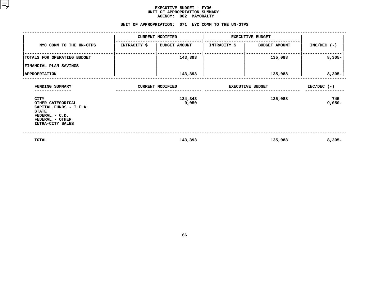## **EXECUTIVE BUDGET - FY06 UNIT OF APPROPRIATION SUMMARY AGENCY:**

| <b>AGENCY:</b><br>002 MAYORALTY                                                                                              |              |                                                    |                         |                      |                 |  |  |  |  |  |
|------------------------------------------------------------------------------------------------------------------------------|--------------|----------------------------------------------------|-------------------------|----------------------|-----------------|--|--|--|--|--|
|                                                                                                                              |              | UNIT OF APPROPRIATION: 071 NYC COMM TO THE UN-OTPS |                         |                      |                 |  |  |  |  |  |
|                                                                                                                              |              | <b>CURRENT MODIFIED</b>                            | <b>EXECUTIVE BUDGET</b> |                      |                 |  |  |  |  |  |
| NYC COMM TO THE UN-OTPS                                                                                                      | INTRACITY \$ | <b>BUDGET AMOUNT</b>                               | INTRACITY \$            | <b>BUDGET AMOUNT</b> | $INC/DEC$ (-)   |  |  |  |  |  |
| TOTALS FOR OPERATING BUDGET                                                                                                  |              | 143,393                                            |                         | 135,088              | $8,305 -$       |  |  |  |  |  |
| FINANCIAL PLAN SAVINGS                                                                                                       |              |                                                    |                         |                      |                 |  |  |  |  |  |
| <b>APPROPRIATION</b>                                                                                                         |              | 143,393                                            |                         | 135,088              | $8,305-$        |  |  |  |  |  |
| FUNDING SUMMARY                                                                                                              |              | <b>CURRENT MODIFIED</b>                            | <b>EXECUTIVE BUDGET</b> | $INC/DEC$ (-)        |                 |  |  |  |  |  |
| CITY<br>OTHER CATEGORICAL<br>CAPITAL FUNDS - I.F.A.<br><b>STATE</b><br>FEDERAL - C.D.<br>FEDERAL - OTHER<br>INTRA-CITY SALES |              | 134,343<br>9,050                                   |                         | 135,088              | 745<br>$9,050-$ |  |  |  |  |  |
| TOTAL                                                                                                                        |              | 143,393                                            |                         | 135,088              | $8,305 -$       |  |  |  |  |  |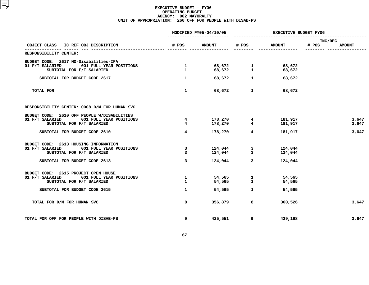# **EXECUTIVE BUDGET - FY06 OPERATING**G BUDGET<br>02 MAYOR<br>0 OFF FO **AGENCY: <sup>002</sup> MAYORALTY UNIT OF APPROPRIATION: <sup>260</sup> OFF FOR PEOPLE WITH DISAB-PS**

|                                                                                                                        |                                  | MODIFIED FY05-04/10/05 | <b>EXECUTIVE BUDGET FY06</b>              |                    |                                   |  |
|------------------------------------------------------------------------------------------------------------------------|----------------------------------|------------------------|-------------------------------------------|--------------------|-----------------------------------|--|
| OBJECT CLASS IC REF OBJ DESCRIPTION                                                                                    | # POS                            | <b>AMOUNT</b>          | # POS                                     | <b>AMOUNT</b>      | INC/DEC<br># POS<br><b>AMOUNT</b> |  |
| RESPONSIBILITY CENTER:                                                                                                 |                                  |                        |                                           |                    |                                   |  |
| BUDGET CODE: 2617 MO-Disabilities-IFA<br>01 F/T SALARIED<br>001 FULL YEAR POSITIONS<br>SUBTOTAL FOR F/T SALARIED       | $\frac{1}{2}$<br>$\mathbf{1}$    |                        |                                           | 68,672<br>68,672   |                                   |  |
| SUBTOTAL FOR BUDGET CODE 2617                                                                                          | $\mathbf{1}$                     | 68,672                 | $\mathbf{1}$                              | 68,672             |                                   |  |
| TOTAL FOR                                                                                                              | $\mathbf{1}$                     | 68,672                 | 1                                         | 68,672             |                                   |  |
| RESPONSIBILITY CENTER: 0008 D/M FOR HUMAN SVC                                                                          |                                  |                        |                                           |                    |                                   |  |
| BUDGET CODE: 2610 OFF PEOPLE W/DISABILITIES<br>01 F/T SALARIED<br>001 FULL YEAR POSITIONS<br>SUBTOTAL FOR F/T SALARIED | $\overline{4}$<br>$\overline{4}$ | 178,270<br>178,270     | $\overline{\mathbf{4}}$<br>$\overline{4}$ | 181,917<br>181,917 | 3,647<br>3,647                    |  |
| SUBTOTAL FOR BUDGET CODE 2610                                                                                          | $\overline{\mathbf{4}}$          | 178,270                | $\overline{4}$                            | 181,917            | 3,647                             |  |
| BUDGET CODE: 2613 HOUSING INFORMATION<br>01 F/T SALARIED<br>001 FULL YEAR POSITIONS<br>SUBTOTAL FOR F/T SALARIED       | 3<br>$\overline{3}$              | 124,044                | $124,044$ 3<br>$124,044$ 3                | 124,044<br>124,044 |                                   |  |
| SUBTOTAL FOR BUDGET CODE 2613                                                                                          | 3                                | 124,044                | $\overline{\mathbf{3}}$                   | 124,044            |                                   |  |
| BUDGET CODE: 2615 PROJECT OPEN HOUSE<br>001 FULL YEAR POSITIONS<br>01 F/T SALARIED<br>SUBTOTAL FOR F/T SALARIED        | $\mathbf{1}$<br>$\mathbf{1}$     |                        | 54,565 1<br>54,565 1                      | 54,565<br>54,565   |                                   |  |
| SUBTOTAL FOR BUDGET CODE 2615                                                                                          | $\mathbf{1}$                     | 54,565                 | $\mathbf{1}$                              | 54,565             |                                   |  |
| TOTAL FOR D/M FOR HUMAN SVC                                                                                            | 8                                | 356,879                | 8                                         | 360,526            | 3,647                             |  |
| TOTAL FOR OFF FOR PEOPLE WITH DISAB-PS                                                                                 | 9                                | 425,551                | 9                                         | 429,198            | 3,647                             |  |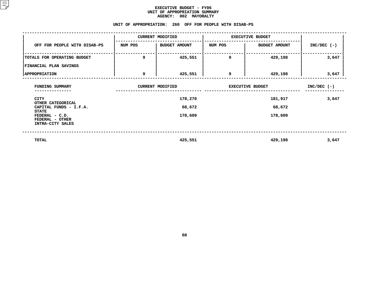| AGENCY: 002 MAYORALTY<br>UNIT OF APPROPRIATION: 260 OFF FOR PEOPLE WITH DISAB-PS |                                 |                         |                         |                      |               |  |  |  |  |  |
|----------------------------------------------------------------------------------|---------------------------------|-------------------------|-------------------------|----------------------|---------------|--|--|--|--|--|
|                                                                                  |                                 |                         |                         |                      |               |  |  |  |  |  |
|                                                                                  |                                 | <b>CURRENT MODIFIED</b> | <b>EXECUTIVE BUDGET</b> |                      |               |  |  |  |  |  |
| OFF FOR PEOPLE WITH DISAB-PS                                                     | NUM POS<br><b>BUDGET AMOUNT</b> |                         | NUM POS                 | <b>BUDGET AMOUNT</b> | $INC/DEC$ (-) |  |  |  |  |  |
| TOTALS FOR OPERATING BUDGET                                                      | 9                               | 425,551                 | 9                       | 429,198              | 3,647         |  |  |  |  |  |
| FINANCIAL PLAN SAVINGS                                                           |                                 |                         |                         |                      |               |  |  |  |  |  |
| <b>APPROPRIATION</b>                                                             | 9                               | 425,551                 | 9                       | 429,198              | 3,647         |  |  |  |  |  |
| FUNDING SUMMARY                                                                  |                                 | <b>CURRENT MODIFIED</b> | <b>EXECUTIVE BUDGET</b> | $INC/DEC$ (-)        |               |  |  |  |  |  |
| CITY                                                                             |                                 | 178,270                 |                         | 3,647                |               |  |  |  |  |  |
| OTHER CATEGORICAL<br>CAPITAL FUNDS - I.F.A.                                      |                                 | 68,672                  |                         |                      |               |  |  |  |  |  |
| <b>STATE</b><br>FEDERAL - C.D.<br>FEDERAL - OTHER                                |                                 | 178,609                 |                         |                      |               |  |  |  |  |  |
| INTRA-CITY SALES                                                                 |                                 |                         |                         |                      |               |  |  |  |  |  |
| TOTAL                                                                            |                                 | 425,551                 |                         | 429,198              | 3,647         |  |  |  |  |  |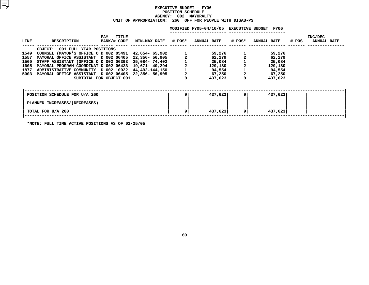# **EXECUTIVE BUDGET - FY06 POSITIONN SCHEDULE<br>02 MAYORA<br>OFF FOR AGENCY: <sup>002</sup> MAYORALTY UNIT OF APPROPRIATION: <sup>260</sup> OFF FOR PEOPLE WITH DISAB-PS**

|      |                                           |                             |                            |     | MODIFIED FY05-04/10/05 EXECUTIVE BUDGET |        | FY06               |       |                               |
|------|-------------------------------------------|-----------------------------|----------------------------|-----|-----------------------------------------|--------|--------------------|-------|-------------------------------|
| LINE | DESCRIPTION                               | TITLE<br>PAY<br>BANK/# CODE | <b>MIN-MAX RATE # POS*</b> |     | <b>ANNUAL RATE</b>                      | # POS* | <b>ANNUAL RATE</b> | # POS | INC/DEC<br><b>ANNUAL RATE</b> |
|      | 001 FULL YEAR POSITIONS<br><b>OBJECT:</b> |                             |                            |     |                                         |        |                    |       |                               |
| 1549 | COUNSEL (MAYOR'S OFFICE O D 002 05491     |                             | 42,654- 65,902             |     | 59,276                                  |        | 59,276             |       |                               |
| 1557 | MAYORAL OFFICE ASSISTANT D 002 06405      |                             | 22,356- 56,905             |     | 62,279                                  |        | 62,279             |       |                               |
| 1560 | STAFF ASSISTANT (OFFICE O D 002 06393     |                             | 25,084- 74,402             |     | 25,084                                  |        | 25,084             |       |                               |
| 1605 | MAYORAL PROGRAM COORDINAT D 002 06423     |                             | 19,671– 40,294             |     | 129,180                                 |        | 129,180            |       |                               |
| 1877 | ADMINISTRATIVE COMMUNITY D 002 10022      |                             | 44,492-144,150             |     | 94,554                                  |        | 94,554             |       |                               |
| 5003 | MAYORAL OFFICE ASSISTANT D 002 06405      |                             | 22,356- 56,905             |     | 67,250                                  |        | 67,250             |       |                               |
|      |                                           | SUBTOTAL FOR OBJECT 001     |                            |     | 437,623                                 |        | 437,623            |       |                               |
|      |                                           |                             |                            |     |                                         |        |                    |       |                               |
|      | POSITION SCHEDULE FOR U/A 260             |                             |                            | ا 9 | 437,623                                 | 9      | 437,623            |       |                               |
|      | PLANNED INCREASES/(DECREASES)             |                             |                            |     |                                         |        |                    |       |                               |
|      | TOTAL FOR U/A 260                         |                             |                            | ا 9 | 437,623                                 | 9      | 437,623            |       |                               |
|      |                                           |                             |                            |     |                                         |        |                    |       |                               |

**\*NOTE: FULL TIME ACTIVE POSITIONS AS OF 02/25/05**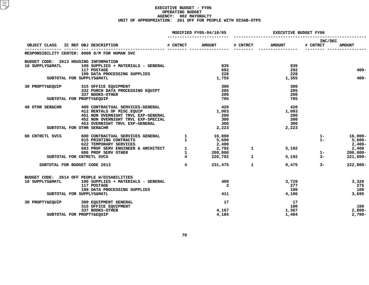# **EXECUTIVE BUDGET - FY06 OPERATING**G BUDGET<br>02 MAYOR<br>1 OFF FO **AGENCY: <sup>002</sup> MAYORALTY UNIT OF APPROPRIATION: <sup>261</sup> OFF FOR PEOPLE WITH DISAB-OTPS**

|                                       |                                                                                                                                                      |                | MODIFIED FY05-04/10/05 | <b>EXECUTIVE BUDGET FY06</b> |                                                                          |                     |               |
|---------------------------------------|------------------------------------------------------------------------------------------------------------------------------------------------------|----------------|------------------------|------------------------------|--------------------------------------------------------------------------|---------------------|---------------|
|                                       | OBJECT CLASS IC REF OBJ DESCRIPTION                                                                                                                  | # CNTRCT       | <b>AMOUNT</b>          | # CNTRCT                     | <b>AMOUNT</b>                                                            | INC/DEC<br># CNTRCT | <b>AMOUNT</b> |
|                                       | RESPONSIBILITY CENTER: 0008 D/M FOR HUMAN SVC                                                                                                        |                |                        |                              |                                                                          |                     |               |
| BUDGET CODE: 2613 HOUSING INFORMATION |                                                                                                                                                      |                |                        |                              |                                                                          |                     |               |
| 10 SUPPLYS&MATL                       | 100 SUPPLIES + MATERIALS - GENERAL                                                                                                                   |                | 835                    |                              | 835                                                                      |                     |               |
|                                       | 117 POSTAGE                                                                                                                                          |                | 692                    |                              | 292                                                                      |                     | $400 -$       |
|                                       | 199 DATA PROCESSING SUPPLIES                                                                                                                         |                | 228                    |                              | 228                                                                      |                     |               |
|                                       | SUBTOTAL FOR SUPPLYS&MATL                                                                                                                            |                | 1,755                  |                              | 1,355                                                                    |                     | $400 -$       |
|                                       | 30 PROPTY&EQUIP 315 OFFICE EQUIPMENT                                                                                                                 |                | 300                    |                              | 300                                                                      |                     |               |
|                                       | 313 OIIIOM MOONTA PROCESSING EQUIPT                                                                                                                  |                | 205                    |                              | 205                                                                      |                     |               |
|                                       | 337 BOOKS-OTHER                                                                                                                                      |                | 200                    |                              | 200                                                                      |                     |               |
|                                       | SUBTOTAL FOR PROPTY&EQUIP                                                                                                                            |                | 705                    |                              | 705                                                                      |                     |               |
| 40 OTHR SER&CHR                       | 400 CONTRACTUAL SERVICES-GENERAL                                                                                                                     |                | 420                    |                              | 420                                                                      |                     |               |
|                                       | 412 RENTALS OF MISC. EQUIP                                                                                                                           |                | 1,003                  |                              | 1,003                                                                    |                     |               |
|                                       | 451 NON OVERNIGHT TRVL EXP-GENERAL                                                                                                                   |                | 200                    |                              | 200                                                                      |                     |               |
|                                       | 452 NON OVERNIGHT TRVL EXP-SPECIAL                                                                                                                   |                | 300                    |                              | 300                                                                      |                     |               |
|                                       | 453 OVERNIGHT TRVL EXP-GENERAL                                                                                                                       |                | 300                    |                              | 300                                                                      |                     |               |
|                                       | SUBTOTAL FOR OTHR SER&CHR                                                                                                                            |                | 2,223                  |                              | 2,223                                                                    |                     |               |
| 60 CNTRCTL SVCS                       | 600 CONTRACTUAL SERVICES GENERAL (1994)<br>1991 - TERNATING CONTRACTS (1994)<br>1992 - TENEORADA ALEXANDER CONTRACTS                                 |                | 16,000                 |                              |                                                                          | $1 -$               | $16,000 -$    |
|                                       | 600 CONTRACTUAL SERVICES GENERAL MARK (SONTRACTS 1<br>622 TEMPORARY SERVICES 2,400<br>683 PROF SERV ENGINEER & ARCHITECT 1 2,792<br>792<br>1 200,000 |                |                        |                              |                                                                          | $1 -$               | $5,600 -$     |
|                                       |                                                                                                                                                      |                |                        |                              |                                                                          |                     | $2,400-$      |
|                                       |                                                                                                                                                      |                |                        |                              | 5,192<br>$\mathbf{1}$ and $\mathbf{1}$ and $\mathbf{1}$ and $\mathbf{1}$ |                     | 2,400         |
|                                       |                                                                                                                                                      |                |                        |                              |                                                                          | $1 -$               | $200,000 -$   |
|                                       | SUBTOTAL FOR CNTRCTL SVCS                                                                                                                            | $\overline{4}$ | 226,792                | $\mathbf{1}$                 |                                                                          | $5,192$ $3-$        | $221,600 -$   |
|                                       | SUBTOTAL FOR BUDGET CODE 2613                                                                                                                        | $\overline{4}$ | 231,475                | $\mathbf{1}$                 |                                                                          | $3 -$<br>9,475      | $222,000 -$   |
|                                       | BUDGET CODE: 2614 OFF PEOPLE W/DISABILITIES                                                                                                          |                |                        |                              |                                                                          |                     |               |
| 10 SUPPLYS&MATL                       | 100 SUPPLIES + MATERIALS - GENERAL                                                                                                                   |                | 409                    |                              | 3,729                                                                    |                     | 3,320         |
|                                       | 117 POSTAGE                                                                                                                                          |                | $\mathbf{2}$           |                              | 277                                                                      |                     | 275           |
|                                       | 199 DATA PROCESSING SUPPLIES                                                                                                                         |                |                        |                              | 100                                                                      |                     | 100           |
|                                       | SUBTOTAL FOR SUPPLYS&MATL                                                                                                                            |                | 411                    |                              | 4,106                                                                    |                     | 3,695         |
|                                       | 30 PROPTY&EQUIP 300 EQUIPMENT GENERAL                                                                                                                |                | 17                     |                              | 17                                                                       |                     |               |
|                                       | 315 OFFICE EQUIPMENT                                                                                                                                 |                |                        |                              | 100                                                                      |                     | 100           |
|                                       | 337 BOOKS-OTHER                                                                                                                                      |                | 4,167                  |                              | 1,367                                                                    |                     | $2,800-$      |
|                                       | SUBTOTAL FOR PROPTY&EOUIP                                                                                                                            |                | 4,184                  |                              | 1,484                                                                    |                     | $2,700-$      |
|                                       |                                                                                                                                                      |                |                        |                              |                                                                          |                     |               |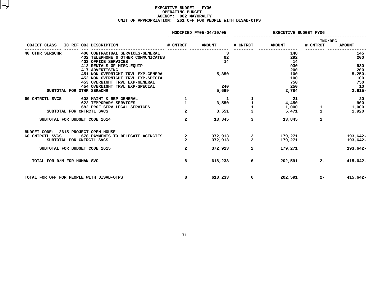# **EXECUTIVE BUDGET - FY06 OPERATING**G BUDGET<br>02 MAYOR<br>1 OFF FO **AGENCY: <sup>002</sup> MAYORALTY UNIT OF APPROPRIATION: <sup>261</sup> OFF FOR PEOPLE WITH DISAB-OTPS**

|                 |                             |  |  |                                                                                               |                   | MODIFIED FY05-04/10/05 | <b>EXECUTIVE BUDGET FY06</b> |                       |                     |                        |
|-----------------|-----------------------------|--|--|-----------------------------------------------------------------------------------------------|-------------------|------------------------|------------------------------|-----------------------|---------------------|------------------------|
| OBJECT CLASS    |                             |  |  | IC REF OBJ DESCRIPTION                                                                        | # CNTRCT          | <b>AMOUNT</b>          | # CNTRCT                     | <b>AMOUNT</b>         | INC/DEC<br># CNTRCT | <b>AMOUNT</b>          |
| 40 OTHR SER&CHR |                             |  |  | 400 CONTRACTUAL SERVICES-GENERAL<br>402 TELEPHONE & OTHER COMMUNICATNS<br>403 OFFICE SERVICES |                   | 3<br>92<br>14          |                              | 148<br>292<br>-14     |                     | 145<br>200             |
|                 |                             |  |  | 412 RENTALS OF MISC. EQUIP<br>417 ADVERTISING<br>451 NON OVERNIGHT TRVL EXP-GENERAL           |                   | 5,350                  |                              | 930<br>200<br>100     |                     | 930<br>200<br>$5,250-$ |
|                 |                             |  |  | 452 NON OVERNIGHT TRVL EXP-SPECIAL<br>453 OVERNIGHT TRVL EXP-GENERAL                          |                   |                        |                              | 100<br>750            |                     | 100<br>750             |
|                 |                             |  |  | 454 OVERNIGHT TRVL EXP-SPECIAL<br>SUBTOTAL FOR OTHR SER&CHR                                   |                   | 240<br>5,699           |                              | 250<br>2,784          |                     | 10<br>$2,915-$         |
| 60 CNTRCTL SVCS |                             |  |  | 608 MAINT & REP GENERAL<br>622 TEMPORARY SERVICES<br>682 PROF SERV LEGAL SERVICES             | 1<br>$\mathbf{1}$ | -1<br>3,550            | $\mathbf{1}$                 | -21<br>4,450<br>1,000 | 1                   | -20<br>900<br>1,000    |
|                 |                             |  |  | SUBTOTAL FOR CNTRCTL SVCS                                                                     | $\overline{a}$    | 3,551                  | 3                            | 5,471                 | $\mathbf{1}$        | 1,920                  |
|                 |                             |  |  | SUBTOTAL FOR BUDGET CODE 2614                                                                 | $\overline{a}$    | 13,845                 | 3                            | 13,845                | $\mathbf 1$         |                        |
| 60 CNTRCTL SVCS |                             |  |  | BUDGET CODE: 2615 PROJECT OPEN HOUSE<br>678 PAYMENTS TO DELEGATE AGENCIES                     | 2                 | 372,913                | 2                            | 179,271               |                     | 193,642-               |
|                 |                             |  |  | SUBTOTAL FOR CNTRCTL SVCS                                                                     | $\overline{a}$    | 372,913                | $\overline{2}$               | 179,271               |                     | 193,642-               |
|                 |                             |  |  | SUBTOTAL FOR BUDGET CODE 2615                                                                 | $\overline{2}$    | 372,913                | $\overline{a}$               | 179,271               |                     | 193,642-               |
|                 | TOTAL FOR D/M FOR HUMAN SVC |  |  |                                                                                               | 8                 | 618,233                | 6                            | 202,591               | $2 -$               | 415,642-               |
|                 |                             |  |  | TOTAL FOR OFF FOR PEOPLE WITH DISAB-OTPS                                                      | 8                 | 618,233                | 6                            | 202,591               | $2 -$               | 415,642-               |
|                 |                             |  |  |                                                                                               |                   |                        |                              |                       |                     |                        |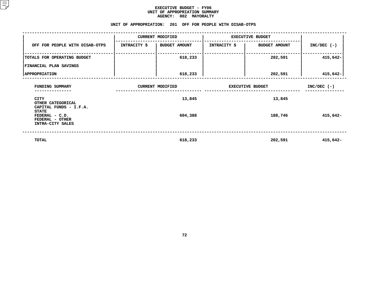| <b>AGENCY:</b><br>002 MAYORALTY                                                                 |              |                                                           |                         |                         |               |  |  |  |  |  |
|-------------------------------------------------------------------------------------------------|--------------|-----------------------------------------------------------|-------------------------|-------------------------|---------------|--|--|--|--|--|
|                                                                                                 |              | UNIT OF APPROPRIATION: 261 OFF FOR PEOPLE WITH DISAB-OTPS |                         |                         |               |  |  |  |  |  |
|                                                                                                 |              | <b>CURRENT MODIFIED</b>                                   |                         | <b>EXECUTIVE BUDGET</b> |               |  |  |  |  |  |
| OFF FOR PEOPLE WITH DISAB-OTPS                                                                  | INTRACITY \$ | <b>BUDGET AMOUNT</b>                                      | <b>INTRACITY \$</b>     | <b>BUDGET AMOUNT</b>    | $INC/DEC$ (-) |  |  |  |  |  |
| TOTALS FOR OPERATING BUDGET                                                                     |              | 618,233                                                   |                         | 202,591                 | $415,642-$    |  |  |  |  |  |
| FINANCIAL PLAN SAVINGS                                                                          |              |                                                           |                         |                         |               |  |  |  |  |  |
| <b>APPROPRIATION</b>                                                                            |              | 618,233                                                   |                         | 202,591                 | 415,642-      |  |  |  |  |  |
| FUNDING SUMMARY                                                                                 |              | <b>CURRENT MODIFIED</b>                                   | <b>EXECUTIVE BUDGET</b> | $INC/DEC$ (-)           |               |  |  |  |  |  |
| CITY<br>OTHER CATEGORICAL                                                                       |              | 13,845                                                    |                         |                         |               |  |  |  |  |  |
| CAPITAL FUNDS - I.F.A.<br><b>STATE</b><br>FEDERAL - C.D.<br>FEDERAL - OTHER<br>INTRA-CITY SALES |              | 604,388                                                   |                         | 188,746                 | 415,642-      |  |  |  |  |  |
| TOTAL                                                                                           |              | 618,233                                                   |                         | 202,591                 | 415,642-      |  |  |  |  |  |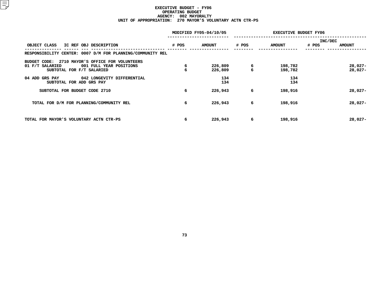# **EXECUTIVE BUDGET - FY06 OPERATING**G BUDGET<br>02 MAYOR<br>0 MAYOR' **AGENCY: <sup>002</sup> MAYORALTY UNIT OF APPROPRIATION: <sup>270</sup> MAYOR'S VOLUNTARY ACTN CTR-PS**

|                                                                                                                               |        | MODIFIED FY05-04/10/05 | <b>EXECUTIVE BUDGET FY06</b> |                    |                                   |  |  |
|-------------------------------------------------------------------------------------------------------------------------------|--------|------------------------|------------------------------|--------------------|-----------------------------------|--|--|
| OBJECT CLASS<br>IC REF OBJ DESCRIPTION                                                                                        | # POS  | <b>AMOUNT</b>          | # POS                        | <b>AMOUNT</b>      | INC/DEC<br># POS<br><b>AMOUNT</b> |  |  |
| RESPONSIBILITY CENTER: 0007 D/M FOR PLANNING/COMMUNITY REL                                                                    |        |                        |                              |                    |                                   |  |  |
| 2710 MAYOR'S OFFICE FOR VOLUNTEERS<br>BUDGET CODE:<br>01 F/T SALARIED<br>001 FULL YEAR POSITIONS<br>SUBTOTAL FOR F/T SALARIED | 6<br>6 | 226,809<br>226,809     | $\frac{6}{6}$                | 198,782<br>198,782 | 28,027-<br>$28,027-$              |  |  |
| 04 ADD GRS PAY<br>042 LONGEVITY DIFFERENTIAL<br>SUBTOTAL FOR ADD GRS PAY                                                      |        | 134<br>134             |                              | 134<br>134         |                                   |  |  |
| SUBTOTAL FOR BUDGET CODE 2710                                                                                                 | 6      | 226,943                | 6                            | 198,916            | $28,027-$                         |  |  |
| TOTAL FOR D/M FOR PLANNING/COMMUNITY REL                                                                                      | 6      | 226,943                | 6                            | 198,916            | $28,027-$                         |  |  |
| TOTAL FOR MAYOR'S VOLUNTARY ACTN CTR-PS                                                                                       | 6      | 226,943                | 6                            | 198,916            | $28,027-$                         |  |  |
|                                                                                                                               |        |                        |                              |                    |                                   |  |  |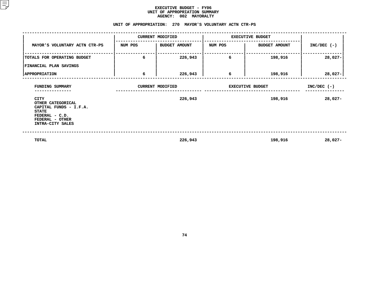|                                                                                                                              |         | AGENCY: 002 MAYORALTY<br>UNIT OF APPROPRIATION: 270 MAYOR'S VOLUNTARY ACTN CTR-PS |                         |                      |               |
|------------------------------------------------------------------------------------------------------------------------------|---------|-----------------------------------------------------------------------------------|-------------------------|----------------------|---------------|
|                                                                                                                              |         | <b>CURRENT MODIFIED</b>                                                           | <b>EXECUTIVE BUDGET</b> |                      |               |
| MAYOR'S VOLUNTARY ACTN CTR-PS                                                                                                | NUM POS | <b>BUDGET AMOUNT</b>                                                              | NUM POS                 | <b>BUDGET AMOUNT</b> | $INC/DEC$ (-) |
| TOTALS FOR OPERATING BUDGET                                                                                                  | 6       | 226,943                                                                           | 6                       | 198,916              | $28,027-$     |
| FINANCIAL PLAN SAVINGS                                                                                                       |         |                                                                                   |                         |                      |               |
| <b>APPROPRIATION</b>                                                                                                         | 6       | 226,943                                                                           | 6                       | 198,916              | $28,027-$     |
| FUNDING SUMMARY<br>------------                                                                                              |         | <b>CURRENT MODIFIED</b>                                                           | <b>EXECUTIVE BUDGET</b> | $INC/DEC$ (-)        |               |
| CITY<br>OTHER CATEGORICAL<br>CAPITAL FUNDS - I.F.A.<br><b>STATE</b><br>FEDERAL - C.D.<br>FEDERAL - OTHER<br>INTRA-CITY SALES |         | 226,943                                                                           |                         | 198,916              | 28,027-       |
| TOTAL                                                                                                                        |         | 226,943                                                                           |                         | 198,916              | $28,027-$     |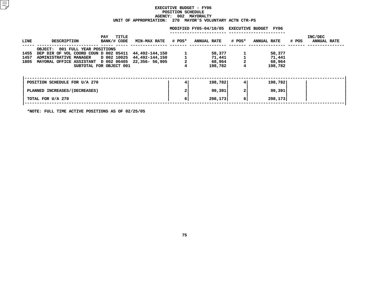# **EXECUTIVEE BUDGET - FY06<br>ION SCHEDULE<br>002 MAYORALTY<br>-POSITION**N SCHEDULE<br>02 MAYORA<br>MAYOR'S **AGENCY: <sup>002</sup> MAYORALTY UNIT OF APPROPRIATION: <sup>270</sup> MAYOR'S VOLUNTARY ACTN CTR-PS**

|              |                                                                                                                                                                       |                             |                                              |                | MODIFIED FY05-04/10/05 EXECUTIVE BUDGET FY06 |                  |                                       |       |                               |
|--------------|-----------------------------------------------------------------------------------------------------------------------------------------------------------------------|-----------------------------|----------------------------------------------|----------------|----------------------------------------------|------------------|---------------------------------------|-------|-------------------------------|
| LINE         | DESCRIPTION                                                                                                                                                           | TITLE<br>PAY<br>BANK/# CODE | MIN-MAX RATE # POS* ANNUAL RATE              |                |                                              |                  | <b>#POS* ANNUAL RATE</b>              | # POS | INC/DEC<br><b>ANNUAL RATE</b> |
| 1455<br>1457 | OBJECT: 001 FULL YEAR POSITIONS<br>DEP DIR OF VOL COORD COUN D 002 05411<br><b>ADMINISTRATIVE MANAGER</b><br>1805 MAYORAL OFFICE ASSISTANT D 002 06405 22,356- 56,905 | SUBTOTAL FOR OBJECT 001     | 44,492-144,150<br>D 002 10025 44,492-144,150 | $\overline{a}$ | 58,377<br>71,441<br>68,964<br>198,782        | 4                | 58,377<br>71,441<br>68,964<br>198,782 |       |                               |
|              | POSITION SCHEDULE FOR U/A 270                                                                                                                                         |                             |                                              |                | 198,782                                      | 4                | 198,782                               |       |                               |
|              | PLANNED INCREASES/(DECREASES)                                                                                                                                         |                             |                                              |                | 99,391                                       | 2                | 99,391                                |       |                               |
|              | TOTAL FOR U/A 270                                                                                                                                                     |                             |                                              | 6              | 298, 173                                     | $6 \overline{6}$ | 298,173                               |       |                               |
|              |                                                                                                                                                                       |                             |                                              |                |                                              |                  |                                       |       |                               |

**\*NOTE: FULL TIME ACTIVE POSITIONS AS OF 02/25/05**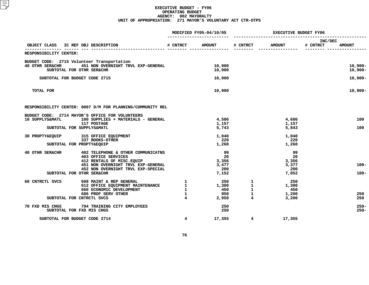# **EXECUTIVE BUDGET - FY06 OPERATING**G BUDGET<br>02 MAYOR<br>1 MAYOR' **AGENCY: <sup>002</sup> MAYORALTY UNIT OF APPROPRIATION: <sup>271</sup> MAYOR'S VOLUNTARY ACT CTR-OTPS**

| MODIFIED FY05-04/10/05                                                                                |                                                                                                                                                                     |                                                              |                                            |                                                                  | <b>EXECUTIVE BUDGET FY06</b>               |                     |                          |  |
|-------------------------------------------------------------------------------------------------------|---------------------------------------------------------------------------------------------------------------------------------------------------------------------|--------------------------------------------------------------|--------------------------------------------|------------------------------------------------------------------|--------------------------------------------|---------------------|--------------------------|--|
| IC REF OBJ DESCRIPTION<br>OBJECT CLASS                                                                |                                                                                                                                                                     | # CNTRCT                                                     | <b>AMOUNT</b>                              | # CNTRCT                                                         | <b>AMOUNT</b>                              | INC/DEC<br># CNTRCT | <b>AMOUNT</b>            |  |
| RESPONSIBILITY CENTER:                                                                                |                                                                                                                                                                     |                                                              |                                            |                                                                  |                                            |                     |                          |  |
| BUDGET CODE: 2715 Volunteer Transportation<br><b>40 OTHR SER&amp;CHR</b><br>SUBTOTAL FOR OTHR SER&CHR | 451 NON OVERNIGHT TRVL EXP-GENERAL                                                                                                                                  |                                                              | 10,900<br>10,900                           |                                                                  |                                            |                     | $10,900 -$<br>$10,900 -$ |  |
| SUBTOTAL FOR BUDGET CODE 2715                                                                         |                                                                                                                                                                     |                                                              | 10,900                                     |                                                                  |                                            |                     | $10,900 -$               |  |
| TOTAL FOR                                                                                             |                                                                                                                                                                     |                                                              | 10,900                                     |                                                                  |                                            |                     | $10,900 -$               |  |
|                                                                                                       | RESPONSIBILITY CENTER: 0007 D/M FOR PLANNING/COMMUNITY REL                                                                                                          |                                                              |                                            |                                                                  |                                            |                     |                          |  |
| BUDGET CODE: 2714 MAYOR'S OFFICE FOR VOLUNTEERS<br>10 SUPPLYS&MATL<br>SUBTOTAL FOR SUPPLYS&MATL       | 100 SUPPLIES + MATERIALS - GENERAL<br>117 POSTAGE                                                                                                                   |                                                              | 4,586<br>1,157<br>5,743                    |                                                                  | 4,686<br>1,157<br>5,843                    |                     | 100<br>100               |  |
| 30 PROPTY&EQUIP<br>SUBTOTAL FOR PROPTY&EQUIP                                                          | 315 OFFICE EQUIPMENT<br>337 BOOKS-OTHER                                                                                                                             |                                                              | 1,040<br>220<br>1,260                      |                                                                  | 1,040<br>220<br>1,260                      |                     |                          |  |
| 40 OTHR SER&CHR<br>SUBTOTAL FOR OTHR SER&CHR                                                          | 402 TELEPHONE & OTHER COMMUNICATNS<br>403 OFFICE SERVICES<br>412 RENTALS OF MISC. EQUIP<br>451 NON OVERNIGHT TRVL EXP-GENERAL<br>452 NON OVERNIGHT TRVL EXP-SPECIAL |                                                              | 99<br>20<br>3,356<br>3,477<br>200<br>7,152 |                                                                  | 99<br>20<br>3,356<br>3,377<br>200<br>7,052 |                     | $100 -$<br>$100 -$       |  |
| 60 CNTRCTL SVCS<br>SUBTOTAL FOR CNTRCTL SVCS                                                          | 608 MAINT & REP GENERAL<br>612 OFFICE EQUIPMENT MAINTENANCE<br>660 ECONOMIC DEVELOPMENT<br>686 PROF SERV OTHER                                                      | $\mathbf{1}$<br>$\mathbf{1}$<br>$\mathbf{1}$<br>$\mathbf{1}$ | 250<br>1,300<br>450<br>950<br>2,950        | $\mathbf{1}$<br>$\mathbf{1}$<br>$\mathbf{1}$<br>$\mathbf 1$<br>4 | 250<br>1,300<br>450<br>1,200<br>3,200      |                     | 250<br>250               |  |
| 70 FXD MIS CHGS<br>SUBTOTAL FOR FXD MIS CHGS                                                          | 794 TRAINING CITY EMPLOYEES                                                                                                                                         |                                                              | 250<br>250                                 |                                                                  |                                            |                     | $250 -$<br>$250 -$       |  |
| SUBTOTAL FOR BUDGET CODE 2714                                                                         |                                                                                                                                                                     | $4\overline{ }$                                              | 17,355                                     | $4^{\circ}$                                                      | 17,355                                     |                     |                          |  |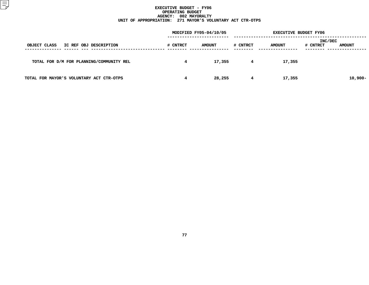# **EXECUTIVE BUDGET - FY06 OPERATING**G BUDGET<br>02 MAYOR<br>1 MAYOR' **AGENCY: <sup>002</sup> MAYORALTY UNIT OF APPROPRIATION: <sup>271</sup> MAYOR'S VOLUNTARY ACT CTR-OTPS**

|                                          |          | MODIFIED FY05-04/10/05 |          |               | <b>EXECUTIVE BUDGET FY06</b> |               |  |
|------------------------------------------|----------|------------------------|----------|---------------|------------------------------|---------------|--|
| OBJECT CLASS<br>IC REF OBJ DESCRIPTION   | # CNTRCT | <b>AMOUNT</b>          | # CNTRCT | <b>AMOUNT</b> | INC/DEC<br># CNTRCT          | <b>AMOUNT</b> |  |
| TOTAL FOR D/M FOR PLANNING/COMMUNITY REL | 4        | 17,355                 | 4        | 17,355        |                              |               |  |
| TOTAL FOR MAYOR'S VOLUNTARY ACT CTR-OTPS | 4        | 28,255                 | 4        | 17,355        |                              | $10,900 -$    |  |
|                                          |          |                        |          |               |                              |               |  |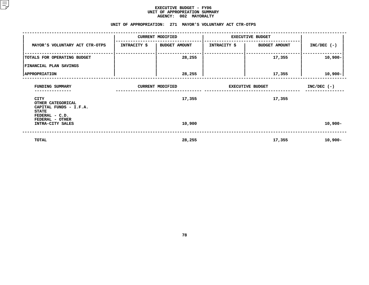## **EXECUTIVE BUDGET - FY06 UNIT OF APPROPRIATION SUMMARY AGENCY:**

|                                                                     |              | <b>AGENCY:</b><br>002 MAYORALTY                           |                         |                         |               |
|---------------------------------------------------------------------|--------------|-----------------------------------------------------------|-------------------------|-------------------------|---------------|
|                                                                     |              | UNIT OF APPROPRIATION: 271 MAYOR'S VOLUNTARY ACT CTR-OTPS |                         |                         |               |
|                                                                     |              | <b>CURRENT MODIFIED</b>                                   |                         | <b>EXECUTIVE BUDGET</b> |               |
| MAYOR'S VOLUNTARY ACT CTR-OTPS                                      | INTRACITY \$ | <b>BUDGET AMOUNT</b>                                      | <b>INTRACITY \$</b>     | <b>BUDGET AMOUNT</b>    | $INC/DEC$ (-) |
| TOTALS FOR OPERATING BUDGET                                         |              | 28,255                                                    |                         | 17,355                  | 10,900-       |
| FINANCIAL PLAN SAVINGS                                              |              |                                                           |                         |                         |               |
| <b>APPROPRIATION</b>                                                |              | 28,255                                                    |                         | 17,355                  | $10,900 -$    |
| FUNDING SUMMARY                                                     |              | <b>CURRENT MODIFIED</b>                                   | <b>EXECUTIVE BUDGET</b> | $INC/DEC$ (-)           |               |
| CITY<br>OTHER CATEGORICAL<br>CAPITAL FUNDS - I.F.A.<br><b>STATE</b> |              | 17,355                                                    |                         | 17,355                  |               |
| FEDERAL - C.D.<br>FEDERAL - OTHER<br>INTRA-CITY SALES               |              | 10,900                                                    |                         |                         | $10,900 -$    |
| <b>TOTAL</b>                                                        |              | 28,255                                                    |                         | 17,355                  | $10,900 -$    |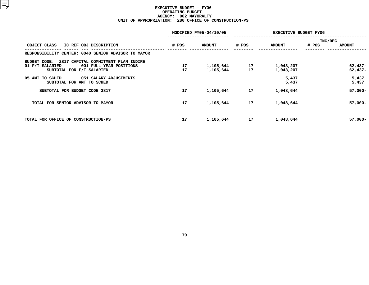# **EXECUTIVE BUDGET - FY06 OPERATING**G BUDGET<br>02 MAYOR<br>0 OFFICE **AGENCY: <sup>002</sup> MAYORALTY UNIT OF APPROPRIATION: <sup>280</sup> OFFICE OF CONSTRUCTION-PS**

|          |                        | <b>EXECUTIVE BUDGET FY06</b> |                        |                                   |  |
|----------|------------------------|------------------------------|------------------------|-----------------------------------|--|
| # POS    | <b>AMOUNT</b>          | # POS                        | <b>AMOUNT</b>          | INC/DEC<br># POS<br><b>AMOUNT</b> |  |
|          |                        |                              |                        |                                   |  |
| 17<br>17 | 1,105,644<br>1,105,644 | 17<br>17                     | 1,043,207<br>1,043,207 | $62,437-$<br>$62,437-$            |  |
|          |                        |                              | 5,437<br>5,437         | 5,437<br>5,437                    |  |
| 17       | 1,105,644              | 17                           | 1,048,644              | $57,000 -$                        |  |
| 17       | 1,105,644              | 17                           | 1,048,644              | $57,000 -$                        |  |
| 17       | 1,105,644              | 17                           | 1,048,644              | $57,000 -$                        |  |
|          |                        | MODIFIED FY05-04/10/05       |                        |                                   |  |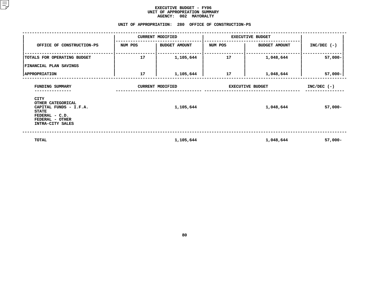|                                                                                                                              |         | <b>AGENCY:</b><br>002 MAYORALTY                      |                         |                      |               |
|------------------------------------------------------------------------------------------------------------------------------|---------|------------------------------------------------------|-------------------------|----------------------|---------------|
|                                                                                                                              |         | UNIT OF APPROPRIATION: 280 OFFICE OF CONSTRUCTION-PS |                         |                      |               |
|                                                                                                                              |         | <b>CURRENT MODIFIED</b>                              | <b>EXECUTIVE BUDGET</b> |                      |               |
| OFFICE OF CONSTRUCTION-PS                                                                                                    | NUM POS | <b>BUDGET AMOUNT</b>                                 | NUM POS                 | <b>BUDGET AMOUNT</b> | $INC/DEC$ (-) |
| TOTALS FOR OPERATING BUDGET                                                                                                  | 17      | 1,105,644                                            | 17                      | 1,048,644            | $57,000 -$    |
| <b>FINANCIAL PLAN SAVINGS</b>                                                                                                |         |                                                      |                         |                      |               |
| <b>APPROPRIATION</b>                                                                                                         | 17      | 1,105,644                                            | 17                      | 1,048,644            | $57,000-$     |
| FUNDING SUMMARY                                                                                                              |         | <b>CURRENT MODIFIED</b>                              | <b>EXECUTIVE BUDGET</b> | $INC/DEC$ (-)        |               |
| CITY<br>OTHER CATEGORICAL<br>CAPITAL FUNDS - I.F.A.<br><b>STATE</b><br>FEDERAL - C.D.<br>FEDERAL - OTHER<br>INTRA-CITY SALES |         | 1,105,644                                            |                         | 1,048,644            | $57,000-$     |
| <b>TOTAL</b>                                                                                                                 |         | 1,105,644                                            |                         | 1,048,644            | $57,000 -$    |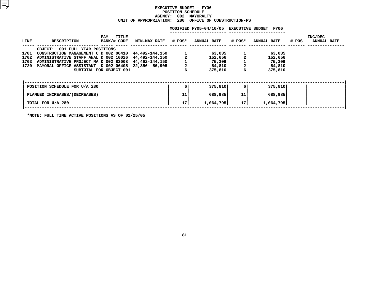# **EXECUTIVE BUDGET - FY06 POSITIONN SCHEDULE<br>02 MAYORA<br>80 OFFICE AGENCY: <sup>002</sup> MAYORALTY UNIT OF APPROPRIATION: <sup>280</sup> OFFICE OF CONSTRUCTION-PS**

|      |                                           |                             |                     |                | MODIFIED FY05-04/10/05 EXECUTIVE BUDGET |        | FY06        |       |                               |
|------|-------------------------------------------|-----------------------------|---------------------|----------------|-----------------------------------------|--------|-------------|-------|-------------------------------|
| LINE | <b>DESCRIPTION</b>                        | TITLE<br>PAY<br>BANK/# CODE | <b>MIN-MAX RATE</b> | # POS*         | <b>ANNUAL RATE</b>                      | # POS* | ANNUAL RATE | # POS | INC/DEC<br><b>ANNUAL RATE</b> |
|      | 001 FULL YEAR POSITIONS<br><b>OBJECT:</b> |                             |                     |                |                                         |        |             |       |                               |
| 1701 | CONSTRUCTION MANAGEMENT C D 002 06410     |                             | 44,492-144,150      |                | 63,035                                  |        | 63,035      |       |                               |
| 1702 | ADMINISTRATIVE STAFF ANAL D 002 10026     |                             | 44,492-144,150      |                | 152,656                                 |        | 152,656     |       |                               |
| 1703 | ADMINISTRATIVE PROJECT MA D 002 83008     |                             | 44,492-144,150      |                | 75,309                                  |        | 75,309      |       |                               |
| 1720 | MAYORAL OFFICE ASSISTANT D 002 06405      |                             | 22,356- 56,905      | $\overline{a}$ | 84,810                                  |        | 84,810      |       |                               |
|      |                                           | SUBTOTAL FOR OBJECT 001     |                     |                | 375,810                                 | 6      | 375,810     |       |                               |
|      | POSITION SCHEDULE FOR U/A 280             |                             |                     | 6 I            | 375,810                                 | 6      | 375,810     |       |                               |
|      | PLANNED INCREASES/(DECREASES)             |                             |                     | 11             | 688,985                                 | 11     | 688,985     |       |                               |
|      | TOTAL FOR U/A 280                         |                             |                     | 17             | 1,064,795                               | 17     | 1,064,795   |       |                               |
|      |                                           |                             |                     |                |                                         |        |             |       |                               |

**\*NOTE: FULL TIME ACTIVE POSITIONS AS OF 02/25/05**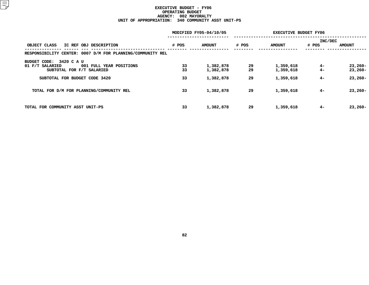# **EXECUTIVE BUDGET - FY06 OPERATINGG BUDGET<br>02 MAYOR<br>0 COMMUN AGENCY: <sup>002</sup> MAYORALTY UNIT OF APPROPRIATION: <sup>340</sup> COMMUNITY ASST UNIT-PS**

|                                                            | MODIFIED FY05-04/10/05 |               |       |               | <b>EXECUTIVE BUDGET FY06</b> |               |
|------------------------------------------------------------|------------------------|---------------|-------|---------------|------------------------------|---------------|
|                                                            |                        |               |       |               | INC/DEC                      |               |
| OBJECT CLASS<br>IC REF OBJ DESCRIPTION                     | # POS                  | <b>AMOUNT</b> | # POS | <b>AMOUNT</b> | # POS                        | <b>AMOUNT</b> |
| RESPONSIBILITY CENTER: 0007 D/M FOR PLANNING/COMMUNITY REL |                        |               |       |               |                              |               |
| 3420 C A U<br>BUDGET CODE:                                 |                        |               |       |               |                              |               |
| 01 F/T SALARIED<br>001 FULL YEAR POSITIONS                 | 33                     | 1,382,878     | 29    | 1,359,618     | $4-$                         | $23,260-$     |
| SUBTOTAL FOR F/T SALARIED                                  | 33                     | 1,382,878     | 29    | 1,359,618     | $4-$                         | $23,260-$     |
| SUBTOTAL FOR BUDGET CODE 3420                              | 33                     | 1,382,878     | 29    | 1,359,618     | $4-$                         | $23,260-$     |
| TOTAL FOR D/M FOR PLANNING/COMMUNITY REL                   | 33                     | 1,382,878     | 29    | 1,359,618     | $4-$                         | $23,260-$     |
| TOTAL FOR COMMUNITY ASST UNIT-PS                           | 33                     | 1,382,878     | 29    | 1,359,618     | $4-$                         | $23,260-$     |
|                                                            |                        |               |       |               |                              |               |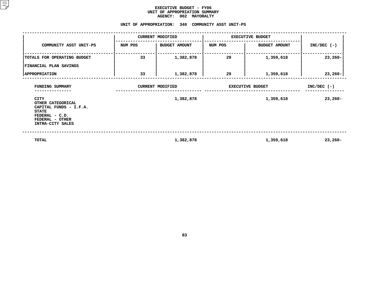|                                                                                                                              |                                 | <b>AGENCY:</b><br>002 MAYORALTY                   |                         |                      |               |
|------------------------------------------------------------------------------------------------------------------------------|---------------------------------|---------------------------------------------------|-------------------------|----------------------|---------------|
|                                                                                                                              |                                 | UNIT OF APPROPRIATION: 340 COMMUNITY ASST UNIT-PS |                         |                      |               |
|                                                                                                                              |                                 | <b>CURRENT MODIFIED</b>                           | <b>EXECUTIVE BUDGET</b> |                      |               |
| COMMUNITY ASST UNIT-PS                                                                                                       | <b>BUDGET AMOUNT</b><br>NUM POS |                                                   | NUM POS                 | <b>BUDGET AMOUNT</b> | $INC/DEC$ (-) |
| TOTALS FOR OPERATING BUDGET                                                                                                  | 33                              | 1,382,878                                         |                         | 1,359,618            | $23,260-$     |
| FINANCIAL PLAN SAVINGS                                                                                                       |                                 |                                                   |                         |                      |               |
| <b>APPROPRIATION</b>                                                                                                         | 33<br>1,382,878                 |                                                   | 29                      | 1,359,618            | $23,260-$     |
| FUNDING SUMMARY                                                                                                              |                                 | <b>CURRENT MODIFIED</b>                           | <b>EXECUTIVE BUDGET</b> | $INC/DEC$ (-)        |               |
| CITY<br>OTHER CATEGORICAL<br>CAPITAL FUNDS - I.F.A.<br><b>STATE</b><br>FEDERAL - C.D.<br>FEDERAL - OTHER<br>INTRA-CITY SALES |                                 | 1,382,878                                         |                         | 1,359,618            | $23,260-$     |
| TOTAL                                                                                                                        |                                 | 1,382,878                                         |                         | 1,359,618            | $23,260-$     |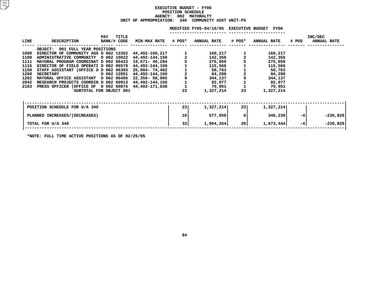# **EXECUTIVE BUDGET - FY06 POSITION**N SCHEDULE<br>02 MAYORA<br>340 COMMU **AGENCY: <sup>002</sup> MAYORALTY UNIT OF APPROPRIATION: <sup>340</sup> COMMUNITY ASST UNIT-PS**

|             |                                                     |                                      |                            |    | MODIFIED FY05-04/10/05 EXECUTIVE BUDGET FY06 |        |                    |       |                               |
|-------------|-----------------------------------------------------|--------------------------------------|----------------------------|----|----------------------------------------------|--------|--------------------|-------|-------------------------------|
| <b>LINE</b> | <b>DESCRIPTION</b>                                  | <b>TITLE</b><br>PAY<br>BANK/# CODE   | <b>MIN-MAX RATE # POS*</b> |    | <b>ANNUAL RATE</b>                           | # POS* | <b>ANNUAL RATE</b> | # POS | INC/DEC<br><b>ANNUAL RATE</b> |
|             | <b>OBJECT:</b><br>001 FULL YEAR POSITIONS           |                                      |                            |    |                                              |        |                    |       |                               |
| 1090        | DIRECTOR OF COMMUNITY ASS D 002 13362               |                                      | 44,492-160,217             |    | 160,217                                      |        | 160,217            |       |                               |
| 1100        | ADMINISTRATIVE COMMUNITY D 002 10022                |                                      | 44,492-144,150             |    | 142,356                                      |        | 142,356            |       |                               |
| 1111        | MAYORAL PROGRAM COORDINAT D 002 06423               |                                      | 19,671– 40,294             |    | 275,959                                      |        | 275,959            |       |                               |
| 1115        | DIRECTOR OF FIELD OPERATI D 002 06578               |                                      | 44,492-144,150             |    | 115,566                                      |        | 115,566            |       |                               |
| 1150        | STAFF ASSISTANT (OFFICE O D 002 06393               |                                      | 25,084- 74,402             |    | 50,763                                       |        | 50,763             |       |                               |
| 1200        | <b>SECRETARY</b>                                    | D 002 12851                          | 44,492-144,150             |    | 84,288                                       |        | 84,288             |       |                               |
| 1202        | MAYORAL OFFICE ASSISTANT D 002 06405                |                                      | 22,356- 56,905             | 9  | 344,137                                      |        | 344,137            |       |                               |
| 2042        | RESEARCH PROJECTS COORDIN D 002 60913               |                                      | 44,492-144,150             |    | 82,977                                       |        | 82,977             |       |                               |
| 2183        | PRESS OFFICER (OFFICE OF D 002 6087A 44,492-171,038 |                                      |                            |    | 70,951                                       |        | 70,951             |       |                               |
|             |                                                     | SUBTOTAL FOR OBJECT 001              |                            | 23 | 1,327,214                                    | 23     | 1,327,214          |       |                               |
|             |                                                     |                                      |                            |    |                                              |        |                    |       |                               |
|             | POSITION SCHEDULE FOR U/A 340                       |                                      |                            | 23 | 1,327,214                                    | 23     | 1,327,214          |       |                               |
|             | PLANNED INCREASES / (DECREASES)                     |                                      |                            | 10 | 577,050                                      | 6      | 346,230            | $-4$  | $-230,820$                    |
|             | TOTAL FOR U/A 340                                   |                                      |                            | 33 | 1,904,264                                    | 29     | 1,673,444          | $-4$  | $-230,820$                    |
|             |                                                     | - ----------- - - -- <b>-- -- --</b> |                            |    |                                              |        |                    |       |                               |

**\*NOTE: FULL TIME ACTIVE POSITIONS AS OF 02/25/05**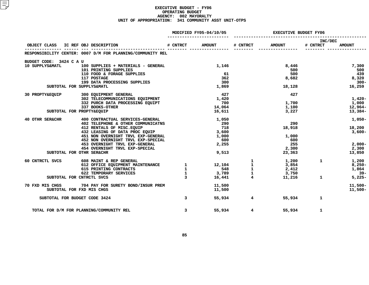# **EXECUTIVE BUDGET - FY06 OPERATING**G BUDGET<br>02 MAYOR<br>1 COMMUN **AGENCY: <sup>002</sup> MAYORALTY UNIT OF APPROPRIATION: <sup>341</sup> COMMUNITY ASST UNIT-OTPS**

|                         |                                                                                                                                                                                                                                                                                                                                                                                                                           |                         | MODIFIED FY05-04/10/05 | <b>EXECUTIVE BUDGET FY06</b> |                                                                                                                                                                                                                                                                                                                                              |                     |               |
|-------------------------|---------------------------------------------------------------------------------------------------------------------------------------------------------------------------------------------------------------------------------------------------------------------------------------------------------------------------------------------------------------------------------------------------------------------------|-------------------------|------------------------|------------------------------|----------------------------------------------------------------------------------------------------------------------------------------------------------------------------------------------------------------------------------------------------------------------------------------------------------------------------------------------|---------------------|---------------|
|                         | OBJECT CLASS IC REF OBJ DESCRIPTION                                                                                                                                                                                                                                                                                                                                                                                       | # CNTRCT                | <b>AMOUNT</b>          | # CNTRCT                     | <b>AMOUNT</b>                                                                                                                                                                                                                                                                                                                                | INC/DEC<br># CNTRCT | <b>AMOUNT</b> |
|                         | RESPONSIBILITY CENTER: 0007 D/M FOR PLANNING/COMMUNITY REL                                                                                                                                                                                                                                                                                                                                                                |                         |                        |                              |                                                                                                                                                                                                                                                                                                                                              |                     |               |
|                         |                                                                                                                                                                                                                                                                                                                                                                                                                           |                         |                        |                              |                                                                                                                                                                                                                                                                                                                                              |                     |               |
| BUDGET CODE: 3424 C A U |                                                                                                                                                                                                                                                                                                                                                                                                                           |                         |                        |                              |                                                                                                                                                                                                                                                                                                                                              |                     |               |
| 10 SUPPLYS&MATL         | 100 SUPPLIES + MATERIALS - GENERAL                                                                                                                                                                                                                                                                                                                                                                                        |                         | 1,146                  |                              | 8,446<br>500                                                                                                                                                                                                                                                                                                                                 |                     | 7,300         |
|                         | 101 PRINTING SUPPLIES<br>110 FOOD & FORAGE SUPPLIES                                                                                                                                                                                                                                                                                                                                                                       |                         | 61                     |                              | 500                                                                                                                                                                                                                                                                                                                                          |                     | 500<br>439    |
|                         | 117 POSTAGE                                                                                                                                                                                                                                                                                                                                                                                                               |                         | 362                    |                              | 8,682                                                                                                                                                                                                                                                                                                                                        |                     | 8,320         |
|                         | 199 DATA PROCESSING SUPPLIES                                                                                                                                                                                                                                                                                                                                                                                              |                         | 300                    |                              |                                                                                                                                                                                                                                                                                                                                              |                     | - 300-        |
|                         | SUBTOTAL FOR SUPPLYS&MATL                                                                                                                                                                                                                                                                                                                                                                                                 |                         | 1,869                  |                              |                                                                                                                                                                                                                                                                                                                                              | 18,128              | 16,259        |
|                         |                                                                                                                                                                                                                                                                                                                                                                                                                           |                         |                        |                              |                                                                                                                                                                                                                                                                                                                                              |                     |               |
| 30 PROPTY&EQUIP         | 300 EQUIPMENT GENERAL                                                                                                                                                                                                                                                                                                                                                                                                     |                         | 427                    |                              | 427                                                                                                                                                                                                                                                                                                                                          |                     |               |
|                         | 302 TELECOMMUNICATIONS EQUIPMENT                                                                                                                                                                                                                                                                                                                                                                                          |                         | 1,420                  |                              |                                                                                                                                                                                                                                                                                                                                              |                     | $1,420-$      |
|                         | 332 PURCH DATA PROCESSING EQUIPT                                                                                                                                                                                                                                                                                                                                                                                          |                         | 700                    |                              | 1,700                                                                                                                                                                                                                                                                                                                                        |                     | 1,000         |
|                         | 337 BOOKS-OTHER                                                                                                                                                                                                                                                                                                                                                                                                           |                         | 14,064                 |                              | 1,100                                                                                                                                                                                                                                                                                                                                        |                     | 12,964-       |
|                         | SUBTOTAL FOR PROPTY&EQUIP                                                                                                                                                                                                                                                                                                                                                                                                 |                         | 16,611                 |                              | 3,227                                                                                                                                                                                                                                                                                                                                        |                     | 13,384-       |
| 40 OTHR SER&CHR         | 400 CONTRACTUAL SERVICES-GENERAL                                                                                                                                                                                                                                                                                                                                                                                          |                         | 1,050                  |                              |                                                                                                                                                                                                                                                                                                                                              |                     | $1,050-$      |
|                         | 402 TELEPHONE & OTHER COMMUNICATNS                                                                                                                                                                                                                                                                                                                                                                                        |                         | 290                    |                              | 290                                                                                                                                                                                                                                                                                                                                          |                     |               |
|                         | 412 RENTALS OF MISC. EQUIP                                                                                                                                                                                                                                                                                                                                                                                                |                         | 718                    |                              | 18,918                                                                                                                                                                                                                                                                                                                                       |                     | 18,200        |
|                         | 432 LEASING OF DATA PROC EQUIP                                                                                                                                                                                                                                                                                                                                                                                            |                         | 3,600                  |                              |                                                                                                                                                                                                                                                                                                                                              |                     | 3,600-        |
|                         | 451 NON OVERNIGHT TRVL EXP-GENERAL                                                                                                                                                                                                                                                                                                                                                                                        |                         | 1,000                  |                              | 1,000                                                                                                                                                                                                                                                                                                                                        |                     |               |
|                         | 452 NON OVERNIGHT TRVL EXP-SPECIAL                                                                                                                                                                                                                                                                                                                                                                                        |                         | 600                    |                              | 600                                                                                                                                                                                                                                                                                                                                          |                     |               |
|                         | 453 OVERNIGHT TRVL EXP-GENERAL                                                                                                                                                                                                                                                                                                                                                                                            |                         | 2,255                  |                              | 255                                                                                                                                                                                                                                                                                                                                          |                     | $2,000-$      |
|                         | 454 OVERNIGHT TRVL EXP-SPECIAL                                                                                                                                                                                                                                                                                                                                                                                            |                         |                        |                              | 2,300                                                                                                                                                                                                                                                                                                                                        |                     | 2,300         |
|                         | SUBTOTAL FOR OTHR SER&CHR                                                                                                                                                                                                                                                                                                                                                                                                 |                         | 9,513                  |                              | 23,363                                                                                                                                                                                                                                                                                                                                       |                     | 13,850        |
| 60 CNTRCTL SVCS         |                                                                                                                                                                                                                                                                                                                                                                                                                           |                         |                        |                              | 1,200                                                                                                                                                                                                                                                                                                                                        | $\mathbf{1}$        | 1,200         |
|                         |                                                                                                                                                                                                                                                                                                                                                                                                                           |                         |                        |                              |                                                                                                                                                                                                                                                                                                                                              |                     | $8,250 -$     |
|                         |                                                                                                                                                                                                                                                                                                                                                                                                                           |                         |                        |                              | 2,412                                                                                                                                                                                                                                                                                                                                        |                     | 1,864         |
|                         |                                                                                                                                                                                                                                                                                                                                                                                                                           |                         |                        |                              |                                                                                                                                                                                                                                                                                                                                              |                     | - 39–         |
|                         | $\begin{array}{cccccccc} \texttt{5.5} & \texttt{5.6} & \texttt{5.6} & \texttt{5.6} & \texttt{5.6} & \texttt{5.6} & \texttt{6.6} & \texttt{6.6} & \texttt{6.6} & \texttt{6.6} & \texttt{6.6} & \texttt{6.6} & \texttt{6.6} & \texttt{6.6} & \texttt{6.6} & \texttt{6.6} & \texttt{6.6} & \texttt{6.6} & \texttt{6.6} & \texttt{6.6} & \texttt{6.6} & \texttt{6.6} & \texttt{6.6} & \texttt{6$<br>SUBTOTAL FOR CNTRCTL SVCS |                         |                        |                              |                                                                                                                                                                                                                                                                                                                                              | $11,216$ 1          | $5,225-$      |
|                         | 70 FXD MIS CHGS 704 PAY FOR SURETY BOND/INSUR PREM                                                                                                                                                                                                                                                                                                                                                                        |                         | 11,500                 |                              |                                                                                                                                                                                                                                                                                                                                              |                     | $11,500 -$    |
|                         | SUBTOTAL FOR FXD MIS CHGS                                                                                                                                                                                                                                                                                                                                                                                                 |                         | 11,500                 |                              |                                                                                                                                                                                                                                                                                                                                              |                     | $11,500 -$    |
|                         |                                                                                                                                                                                                                                                                                                                                                                                                                           |                         |                        |                              |                                                                                                                                                                                                                                                                                                                                              |                     |               |
|                         | SUBTOTAL FOR BUDGET CODE 3424                                                                                                                                                                                                                                                                                                                                                                                             | $\overline{\mathbf{3}}$ |                        | 55,934                       | $\overline{4}$ and $\overline{4}$ and $\overline{4}$ and $\overline{4}$ and $\overline{4}$ and $\overline{4}$ and $\overline{4}$ and $\overline{4}$ and $\overline{4}$ and $\overline{4}$ and $\overline{4}$ and $\overline{4}$ and $\overline{4}$ and $\overline{4}$ and $\overline{4}$ and $\overline{4}$ and $\overline{4}$ and<br>55,934 | 1                   |               |
|                         | TOTAL FOR D/M FOR PLANNING/COMMUNITY REL                                                                                                                                                                                                                                                                                                                                                                                  | $\overline{\mathbf{3}}$ |                        | 55,934                       | $\overline{4}$ and $\overline{4}$ and $\overline{4}$ and $\overline{4}$ and $\overline{4}$ and $\overline{4}$ and $\overline{4}$ and $\overline{4}$ and $\overline{4}$ and $\overline{4}$ and $\overline{4}$ and $\overline{4}$ and $\overline{4}$ and $\overline{4}$ and $\overline{4}$ and $\overline{4}$ and $\overline{4}$ and<br>55,934 | 1                   |               |
|                         |                                                                                                                                                                                                                                                                                                                                                                                                                           |                         |                        |                              |                                                                                                                                                                                                                                                                                                                                              |                     |               |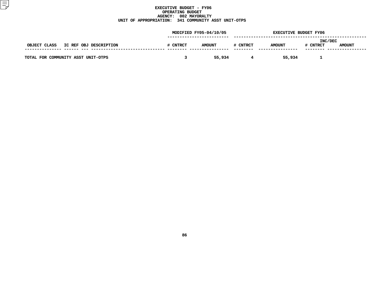# **EXECUTIVE BUDGET - FY06 OPERATING**G BUDGET<br>02 MAYOR<br>1 COMMUN **AGENCY: <sup>002</sup> MAYORALTY UNIT OF APPROPRIATION: <sup>341</sup> COMMUNITY ASST UNIT-OTPS**

| MODIFIED FY05-04/10/05 |               |   | <b>EXECUTIVE BUDGET FY06</b> |          |               |  |
|------------------------|---------------|---|------------------------------|----------|---------------|--|
| # CNTRCT               | <b>AMOUNT</b> |   | <b>AMOUNT</b>                | # CNTRCT | <b>AMOUNT</b> |  |
|                        | 55,934        | 4 | 55,934                       |          |               |  |
|                        |               |   | # CNTRCT                     |          | INC/DEC       |  |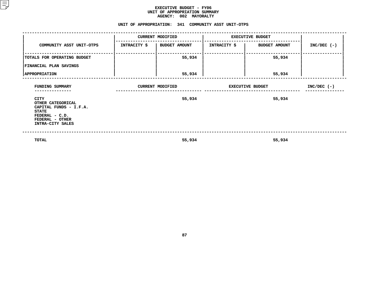|                                                                                                                              | AGENCY: 002 MAYORALTY                               |                         |                              |               |
|------------------------------------------------------------------------------------------------------------------------------|-----------------------------------------------------|-------------------------|------------------------------|---------------|
|                                                                                                                              | UNIT OF APPROPRIATION: 341 COMMUNITY ASST UNIT-OTPS |                         |                              |               |
|                                                                                                                              | <b>CURRENT MODIFIED</b>                             | <b>EXECUTIVE BUDGET</b> |                              |               |
| COMMUNITY ASST UNIT-OTPS                                                                                                     | INTRACITY \$   BUDGET AMOUNT                        |                         | INTRACITY \$   BUDGET AMOUNT | $INC/DEC$ (-) |
| TOTALS FOR OPERATING BUDGET                                                                                                  | 55,934                                              |                         | 55,934                       |               |
| FINANCIAL PLAN SAVINGS                                                                                                       |                                                     |                         |                              |               |
| <b>APPROPRIATION</b>                                                                                                         | 55,934                                              |                         | 55,934                       |               |
| FUNDING SUMMARY<br>------------                                                                                              | <b>CURRENT MODIFIED</b>                             | <b>EXECUTIVE BUDGET</b> | $INC/DEC$ (-)                |               |
| CITY<br>OTHER CATEGORICAL<br>CAPITAL FUNDS - I.F.A.<br><b>STATE</b><br>FEDERAL - C.D.<br>FEDERAL - OTHER<br>INTRA-CITY SALES | 55,934                                              |                         | 55,934                       |               |
| <b>TOTAL</b>                                                                                                                 | 55,934                                              |                         | 55,934                       |               |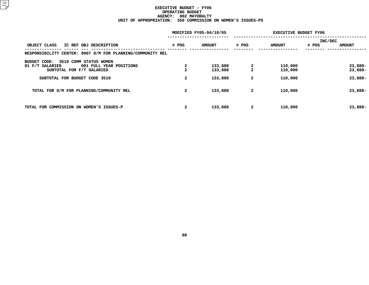# **EXECUTIVE BUDGET - FY06 OPERATING**G BUDGET<br>02 MAYOR<br>0 COMMIS **AGENCY: <sup>002</sup> MAYORALTY UNIT OF APPROPRIATION: <sup>350</sup> COMMISSION ON WOMEN'S ISSUES-PS**

|                                                            |                | MODIFIED FY05-04/10/05 | <b>EXECUTIVE BUDGET FY06</b> |               |         |               |
|------------------------------------------------------------|----------------|------------------------|------------------------------|---------------|---------|---------------|
|                                                            |                |                        |                              |               | INC/DEC |               |
| OBJECT CLASS<br>IC REF OBJ DESCRIPTION                     | # POS          | <b>AMOUNT</b>          | # POS                        | <b>AMOUNT</b> | # POS   | <b>AMOUNT</b> |
| RESPONSIBILITY CENTER: 0007 D/M FOR PLANNING/COMMUNITY REL |                |                        |                              |               |         |               |
| 3510 COMM STATUS WOMEN<br><b>BUDGET CODE:</b>              |                |                        |                              |               |         |               |
| 001 FULL YEAR POSITIONS<br>01 F/T SALARIED                 | 2              | 133,888                | 2                            | 110,000       |         | 23,888-       |
| SUBTOTAL FOR F/T SALARIED                                  |                | 133,888                | $\overline{a}$               | 110,000       |         | 23,888-       |
| SUBTOTAL FOR BUDGET CODE 3510                              | $\overline{2}$ | 133,888                | $\mathbf{2}$                 | 110,000       |         | 23,888-       |
| TOTAL FOR D/M FOR PLANNING/COMMUNITY REL                   | $\mathbf{2}$   | 133,888                | $\mathbf{2}$                 | 110,000       |         | 23,888-       |
| TOTAL FOR COMMISSION ON WOMEN'S ISSUES-P                   | $\overline{2}$ | 133,888                | $\mathbf{2}$                 | 110,000       |         | 23,888-       |
|                                                            |                |                        |                              |               |         |               |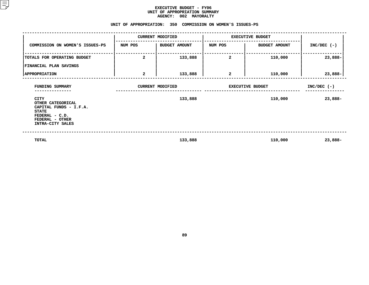|                                                                                                                              |                | <b>AGENCY:</b><br>002 MAYORALTY                            |                         |                      |               |
|------------------------------------------------------------------------------------------------------------------------------|----------------|------------------------------------------------------------|-------------------------|----------------------|---------------|
|                                                                                                                              |                | UNIT OF APPROPRIATION: 350 COMMISSION ON WOMEN'S ISSUES-PS |                         |                      |               |
|                                                                                                                              |                | <b>CURRENT MODIFIED</b>                                    | <b>EXECUTIVE BUDGET</b> |                      |               |
| COMMISSION ON WOMEN'S ISSUES-PS                                                                                              | NUM POS        | BUDGET AMOUNT                                              | NUM POS                 | <b>BUDGET AMOUNT</b> | $INC/DEC$ (-) |
| TOTALS FOR OPERATING BUDGET                                                                                                  | $\overline{a}$ | 133,888                                                    | 2                       | 110,000              | 23,888-       |
| FINANCIAL PLAN SAVINGS                                                                                                       |                |                                                            |                         |                      |               |
| <b>APPROPRIATION</b>                                                                                                         | 2              | 133,888                                                    | 2                       | 110,000              | 23,888-       |
| FUNDING SUMMARY<br>------------                                                                                              |                | <b>CURRENT MODIFIED</b>                                    | <b>EXECUTIVE BUDGET</b> | $INC/DEC$ (-)        |               |
| CITY<br>OTHER CATEGORICAL<br>CAPITAL FUNDS - I.F.A.<br><b>STATE</b><br>FEDERAL - C.D.<br>FEDERAL - OTHER<br>INTRA-CITY SALES |                | 133,888                                                    |                         | 110,000              | 23,888-       |
| <b>TOTAL</b>                                                                                                                 |                | 133,888                                                    |                         | 110,000              | 23,888-       |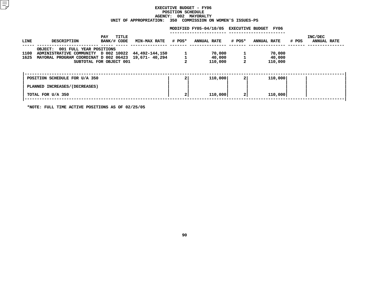#### **EXECUTIVE BUDGET - FY06 POSITIONN SCHEDULE<br>02 MAYORA<br>COMMISSIO AGENCY: <sup>002</sup> MAYORALTY UNIT**

| UNIT OF APPROPRIATION:<br>350 COMMISSION ON WOMEN'S ISSUES-PS |                   |                                                                                                                                                |                             |                            |     |                                              |                |                             |       |                        |
|---------------------------------------------------------------|-------------------|------------------------------------------------------------------------------------------------------------------------------------------------|-----------------------------|----------------------------|-----|----------------------------------------------|----------------|-----------------------------|-------|------------------------|
|                                                               |                   |                                                                                                                                                |                             |                            |     | MODIFIED FY05-04/10/05 EXECUTIVE BUDGET FY06 |                |                             |       |                        |
|                                                               | LINE              | <b>DESCRIPTION</b>                                                                                                                             | TITLE<br>PAY<br>BANK/# CODE | <b>MIN-MAX RATE # POS*</b> |     | <b>ANNUAL RATE</b>                           |                | # POS* ANNUAL RATE          | # POS | INC/DEC<br>ANNUAL RATE |
|                                                               | 1100<br>1625      | OBJECT: 001 FULL YEAR POSITIONS<br>ADMINISTRATIVE COMMUNITY D 002 10022 44,492-144,150<br>MAYORAL PROGRAM COORDINAT D 002 06423 19,671- 40,294 | SUBTOTAL FOR OBJECT 001     |                            |     | 70,000<br>40,000<br>110,000                  |                | 70,000<br>40,000<br>110,000 |       |                        |
|                                                               |                   | POSITION SCHEDULE FOR U/A 350<br>PLANNED INCREASES/(DECREASES)                                                                                 |                             |                            | ا 2 | 110,000                                      | $\mathbf{2}$   | 110,000                     |       |                        |
|                                                               | TOTAL FOR U/A 350 |                                                                                                                                                |                             |                            | 2   | 110,000                                      | 2 <sub>1</sub> | 110,000                     |       |                        |
|                                                               |                   |                                                                                                                                                |                             |                            |     |                                              |                |                             |       |                        |

**\*NOTE: FULL TIME ACTIVE POSITIONS AS OF 02/25/05**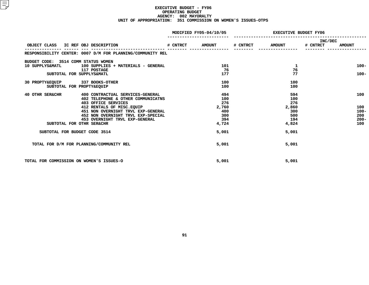## **EXECUTIVE BUDGET - FY06 OPERATING**G BUDGET<br>02 MAYOR<br>1 COMMIS **AGENCY: <sup>002</sup> MAYORALTY UNIT OF APPROPRIATION: <sup>351</sup> COMMISSION ON WOMEN'S ISSUES-OTPS**

|                                          |                                                            | MODIFIED FY05-04/10/05 | <b>EXECUTIVE BUDGET FY06</b> |               |                     |               |
|------------------------------------------|------------------------------------------------------------|------------------------|------------------------------|---------------|---------------------|---------------|
|                                          | OBJECT CLASS IC REF OBJ DESCRIPTION                        | # CNTRCT AMOUNT        | # CNTRCT                     | <b>AMOUNT</b> | INC/DEC<br># CNTRCT | <b>AMOUNT</b> |
|                                          | RESPONSIBILITY CENTER: 0007 D/M FOR PLANNING/COMMUNITY REL |                        |                              |               |                     |               |
| BUDGET CODE: 3514 COMM STATUS WOMEN      |                                                            |                        |                              |               |                     |               |
|                                          | 10 SUPPLYS&MATL 100 SUPPLIES + MATERIALS - GENERAL         | 101                    |                              | ı             |                     | $100 -$       |
|                                          | <b>117 POSTAGE</b>                                         | -76                    |                              | 76            |                     |               |
|                                          | SUBTOTAL FOR SUPPLYS&MATL                                  | 177                    |                              | 77            |                     | $100 -$       |
| 30 PROPTY&EQUIP 337 BOOKS-OTHER          |                                                            | 100                    |                              | 100           |                     |               |
|                                          | SUBTOTAL FOR PROPTY&EQUIP                                  | 100                    |                              | 100           |                     |               |
| <b>40 OTHR SER&amp;CHR</b>               | 400 CONTRACTUAL SERVICES-GENERAL                           | 494                    |                              | 594           |                     | 100           |
|                                          | 402 TELEPHONE & OTHER COMMUNICATNS                         | 100                    |                              | 100           |                     |               |
|                                          | 403 OFFICE SERVICES                                        | 276                    |                              | 276           |                     |               |
|                                          | 412 RENTALS OF MISC.EOUIP                                  | 2,760                  |                              | 2,860         |                     | 100           |
|                                          | 451 NON OVERNIGHT TRVL EXP-GENERAL                         | 400                    |                              | 300           |                     | $100 -$       |
|                                          | 452 NON OVERNIGHT TRVL EXP-SPECIAL                         | 300                    |                              | 500           |                     | 200           |
|                                          | 453 OVERNIGHT TRVL EXP-GENERAL                             | - 394                  |                              | 194           |                     | $200 -$       |
|                                          | SUBTOTAL FOR OTHR SER&CHR                                  | 4,724                  |                              | 4,824         |                     | 100           |
| SUBTOTAL FOR BUDGET CODE 3514            |                                                            | 5,001                  |                              | 5,001         |                     |               |
|                                          | TOTAL FOR D/M FOR PLANNING/COMMUNITY REL                   | 5,001                  |                              | 5,001         |                     |               |
| TOTAL FOR COMMISSION ON WOMEN'S ISSUES-O |                                                            | 5,001                  |                              | 5,001         |                     |               |
|                                          |                                                            |                        |                              |               |                     |               |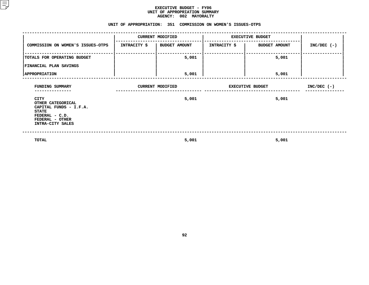#### **EXECUTIVE BUDGET - FY06 UNIT OF APPROPRIATION SUMMARY AGENCY:**

| AGENCY: 002 MAYORALTY                                                                                                        |  |                              |                         |                            |               |  |  |  |  |  |
|------------------------------------------------------------------------------------------------------------------------------|--|------------------------------|-------------------------|----------------------------|---------------|--|--|--|--|--|
| UNIT OF APPROPRIATION: 351 COMMISSION ON WOMEN'S ISSUES-OTPS                                                                 |  |                              |                         |                            |               |  |  |  |  |  |
|                                                                                                                              |  | <b>CURRENT MODIFIED</b>      |                         | <b>EXECUTIVE BUDGET</b>    |               |  |  |  |  |  |
| COMMISSION ON WOMEN'S ISSUES-OTPS                                                                                            |  | INTRACITY \$   BUDGET AMOUNT |                         | INTRACITY \$ BUDGET AMOUNT | $INC/DEC$ (-) |  |  |  |  |  |
| TOTALS FOR OPERATING BUDGET                                                                                                  |  | 5,001                        |                         | 5,001                      |               |  |  |  |  |  |
| FINANCIAL PLAN SAVINGS                                                                                                       |  |                              |                         |                            |               |  |  |  |  |  |
| <b>APPROPRIATION</b>                                                                                                         |  | 5,001                        |                         | 5,001                      |               |  |  |  |  |  |
| FUNDING SUMMARY<br>------------                                                                                              |  | <b>CURRENT MODIFIED</b>      | <b>EXECUTIVE BUDGET</b> | $INC/DEC$ (-)              |               |  |  |  |  |  |
| CITY<br>OTHER CATEGORICAL<br>CAPITAL FUNDS - I.F.A.<br><b>STATE</b><br>FEDERAL - C.D.<br>FEDERAL - OTHER<br>INTRA-CITY SALES |  | 5,001                        |                         | 5,001                      |               |  |  |  |  |  |
| TOTAL                                                                                                                        |  | 5,001                        |                         | 5,001                      |               |  |  |  |  |  |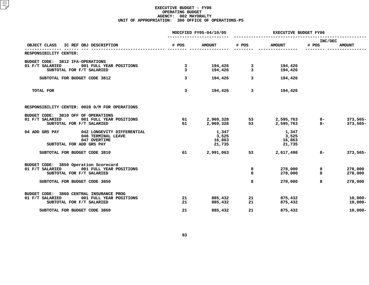## **EXECUTIVE BUDGET - FY06 OPERATING**G BUDGET<br>02 MAYOR<br>0 OFFICE **AGENCY: <sup>002</sup> MAYORALTY UNIT OF APPROPRIATION: <sup>380</sup> OFFICE OF OPERATIONS-PS**

|                                                                                                                                                   |                   | MODIFIED FY05-04/10/05             | <b>EXECUTIVE BUDGET FY06</b> |                                    |                  |                               |  |
|---------------------------------------------------------------------------------------------------------------------------------------------------|-------------------|------------------------------------|------------------------------|------------------------------------|------------------|-------------------------------|--|
| OBJECT CLASS<br>IC REF OBJ DESCRIPTION                                                                                                            | # POS             | <b>AMOUNT</b>                      | # POS                        | <b>AMOUNT</b>                      | INC/DEC<br># POS | <b>AMOUNT</b>                 |  |
| RESPONSIBILITY CENTER:                                                                                                                            |                   |                                    |                              |                                    |                  |                               |  |
| BUDGET CODE: 3812 IFA-OPERATIONS<br>001 FULL YEAR POSITIONS<br>01 F/T SALARIED<br>SUBTOTAL FOR F/T SALARIED                                       | 3<br>$\mathbf{3}$ | 194,426<br>194,426                 | 3<br>3                       | 194,426<br>194,426                 |                  |                               |  |
| SUBTOTAL FOR BUDGET CODE 3812                                                                                                                     | $\overline{3}$    | 194,426                            | 3                            | 194,426                            |                  |                               |  |
| <b>TOTAL FOR</b>                                                                                                                                  | 3                 | 194,426                            | 3                            | 194,426                            |                  |                               |  |
| RESPONSIBILITY CENTER: 0028 D/M FOR OPERATIONS                                                                                                    |                   |                                    |                              |                                    |                  |                               |  |
| BUDGET CODE: 3810 OFF OF OPERATIONS<br>01 F/T SALARIED<br>001 FULL YEAR POSITIONS<br>SUBTOTAL FOR F/T SALARIED                                    | 61<br>61          | 2,969,328<br>2,969,328             | 53<br>53                     | 2,595,763<br>2,595,763             | $8-$<br>$8 -$    | 373,565-<br>$373,565-$        |  |
| 04 ADD GRS PAY<br>042 LONGEVITY DIFFERENTIAL<br>046 TERMINAL LEAVE<br>047 OVERTIME<br>SUBTOTAL FOR ADD GRS PAY                                    |                   | 1,347<br>3,525<br>16,863<br>21,735 |                              | 1,347<br>3,525<br>16,863<br>21,735 |                  |                               |  |
| SUBTOTAL FOR BUDGET CODE 3810                                                                                                                     | 61                | 2,991,063                          | 53                           | 2,617,498                          | $8-$             | 373,565-                      |  |
| BUDGET CODE: 3850 Operation Scorecard<br>01 F/T SALARIED<br>001 FULL YEAR POSITIONS<br>SUBTOTAL FOR F/T SALARIED<br>SUBTOTAL FOR BUDGET CODE 3850 |                   |                                    | 8<br>8<br>8                  | 278,000<br>278,000<br>278,000      | 8<br>8<br>8      | 278,000<br>278,000<br>278,000 |  |
|                                                                                                                                                   |                   |                                    |                              |                                    |                  |                               |  |
| BUDGET CODE: 3860 CENTRAL INSURANCE PROG<br>001 FULL YEAR POSITIONS<br>01 F/T SALARIED<br>SUBTOTAL FOR F/T SALARIED                               | 21<br>21          | 885,432<br>885,432                 | 21<br>21                     | 875,432<br>875,432                 |                  | $10,000 -$<br>$10,000 -$      |  |
| SUBTOTAL FOR BUDGET CODE 3860                                                                                                                     | 21                | 885,432                            | 21                           | 875,432                            |                  | $10,000 -$                    |  |
|                                                                                                                                                   |                   |                                    |                              |                                    |                  |                               |  |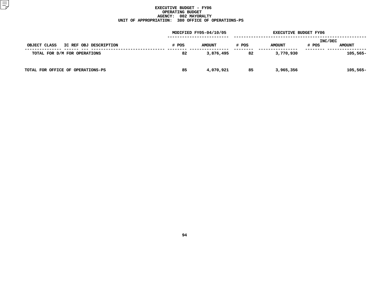## **EXECUTIVE BUDGET - FY06 OPERATING**G BUDGET<br>02 MAYOR<br>0 OFFICE **AGENCY: <sup>002</sup> MAYORALTY UNIT OF APPROPRIATION: <sup>380</sup> OFFICE OF OPERATIONS-PS**

|                                        |       | MODIFIED FY05-04/10/05 |       | <b>EXECUTIVE BUDGET FY06</b> |                  |               |
|----------------------------------------|-------|------------------------|-------|------------------------------|------------------|---------------|
| OBJECT CLASS<br>IC REF OBJ DESCRIPTION | # POS | <b>AMOUNT</b>          | # POS | <b>AMOUNT</b>                | INC/DEC<br># POS | <b>AMOUNT</b> |
| TOTAL FOR D/M FOR OPERATIONS           | 82    | 3,876,495              | 82    | 3,770,930                    |                  | $105,565-$    |
| TOTAL FOR OFFICE OF OPERATIONS-PS      | 85    | 4,070,921              | 85    | 3,965,356                    |                  | $105,565-$    |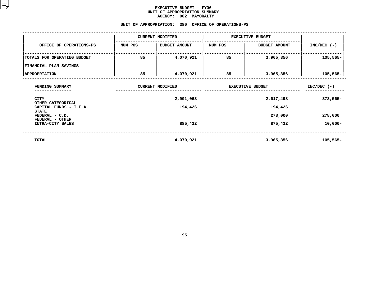#### **EXECUTIVE BUDGET - FY06** UNIT OF APPROPRIATION SUMMARY **OF APPROPRIATION SUMMARY AGENCY:**

| <b>AGENCY:</b><br>002 MAYORALTY        |                         |                                                    |                         |                         |               |  |  |  |  |  |
|----------------------------------------|-------------------------|----------------------------------------------------|-------------------------|-------------------------|---------------|--|--|--|--|--|
|                                        |                         | UNIT OF APPROPRIATION: 380 OFFICE OF OPERATIONS-PS |                         |                         |               |  |  |  |  |  |
|                                        |                         | <b>CURRENT MODIFIED</b>                            | <b>EXECUTIVE BUDGET</b> |                         |               |  |  |  |  |  |
| OFFICE OF OPERATIONS-PS                | NUM POS                 | <b>BUDGET AMOUNT</b>                               |                         | <b>BUDGET AMOUNT</b>    | $INC/DEC$ (-) |  |  |  |  |  |
| TOTALS FOR OPERATING BUDGET            | 85                      | 4,070,921                                          | 85                      | 3,965,356               | $105,565-$    |  |  |  |  |  |
| FINANCIAL PLAN SAVINGS                 |                         |                                                    |                         |                         |               |  |  |  |  |  |
| <b>APPROPRIATION</b>                   | 85                      | 4,070,921                                          | 85                      | 3,965,356               | 105,565-      |  |  |  |  |  |
| FUNDING SUMMARY                        | <b>CURRENT MODIFIED</b> |                                                    |                         | <b>EXECUTIVE BUDGET</b> |               |  |  |  |  |  |
| CITY<br>OTHER CATEGORICAL              |                         | 2,991,063                                          |                         | 2,617,498               | $373,565-$    |  |  |  |  |  |
| CAPITAL FUNDS - I.F.A.<br><b>STATE</b> |                         | 194,426                                            |                         |                         |               |  |  |  |  |  |
| FEDERAL - C.D.<br>FEDERAL - OTHER      |                         |                                                    |                         | 278,000                 | 278,000       |  |  |  |  |  |
| INTRA-CITY SALES                       |                         | 885,432                                            |                         | 875,432                 | $10,000-$     |  |  |  |  |  |
| TOTAL                                  |                         | 4,070,921                                          |                         | 3,965,356               | $105,565-$    |  |  |  |  |  |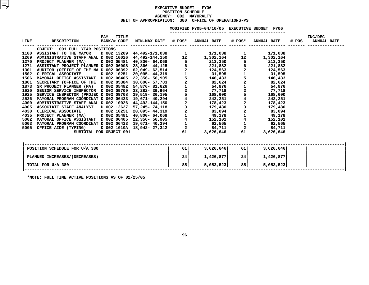## **EXECUTIVE BUDGET - FY06 POSITIONN SCHEDULE<br>02 MAYORA<br>380 OFFIC AGENCY: <sup>002</sup> MAYORALTY UNIT OF APPROPRIATION: <sup>380</sup> OFFICE OF OPERATIONS-PS**

|             |                                                      |             |                      |                            |                    | MODIFIED FY05-04/10/05 EXECUTIVE BUDGET FY06 |                                            |                    |       |                               |
|-------------|------------------------------------------------------|-------------|----------------------|----------------------------|--------------------|----------------------------------------------|--------------------------------------------|--------------------|-------|-------------------------------|
| <b>LINE</b> | <b>DESCRIPTION</b>                                   | PAY         | TITLE<br>BANK/# CODE | <b>MIN-MAX RATE # POS*</b> |                    | <b>ANNUAL RATE</b>                           | # POS*                                     | <b>ANNUAL RATE</b> | # POS | INC/DEC<br><b>ANNUAL RATE</b> |
|             | OBJECT: 001 FULL YEAR POSITIONS                      |             |                      |                            |                    |                                              |                                            |                    |       |                               |
| 1100        | ASSISTANT TO THE MAYOR D 002 13209 44,492-171,038    |             |                      |                            | $\mathbf{1}$       | 171,038                                      |                                            | 171,038            |       |                               |
| 1269        | ADMINISTRATIVE STAFF ANAL D 002 10026 44,492-144,150 |             |                      |                            | 12                 | 1,302,164                                    | 12                                         | 1,302,164          |       |                               |
| 1270        | PROJECT PLANNER (MA)                                 |             | D 002 05481          | 40,800- 64,068             | 5                  | 213,350                                      |                                            | 213,350            |       |                               |
| 1271        | ASSISTANT PROJECT PLANNER D 002 06008                |             |                      | 28,366- 44,125             | $6\overline{6}$    | 221,882                                      | $\begin{array}{c} 6 \\ 2 \\ 1 \end{array}$ | 221,882            |       |                               |
| 1301        | AUDITOR (OFFICE OF THE MA D 002 06392                |             |                      | 62,049– 62,514             |                    | 124,563                                      |                                            | 124,563            |       |                               |
| 1502        | CLERICAL ASSOCIATE                                   |             | D 002 10251          | 20,095- 44,319             | $\frac{2}{1}$<br>5 | 31,595                                       |                                            | 31,595             |       |                               |
| 1506        | MAYORAL OFFICE ASSISTANT D 002 06405                 |             |                      | 22,356- 56,905             |                    | 146,433                                      | $\frac{1}{2}$                              | 146,433            |       |                               |
| 1861        | SECRETARY (OFFICE OF THE D 002 05384 30,600- 57,783  |             |                      |                            | $\frac{2}{1}$<br>2 | 82,624                                       |                                            | 82,624             |       |                               |
| 1873        | SR PROJECT PLANNER (MA) D 002 05482                  |             |                      | 54,876- 81,626             |                    | 54,876                                       | $\begin{array}{c} 1 \\ 2 \\ 5 \end{array}$ | 54,876             |       |                               |
| 1920        | SENIOR SERVICE INSPECTOR D 002 09709                 |             |                      | 33,282-39,964              |                    | 77,718                                       |                                            | 77,718             |       |                               |
| 1925        | SERVICE INSPECTOR (PROJEC D 002 09708                |             |                      | 29,519- 36,195             | 5                  | 168,600                                      |                                            | 168,600            |       |                               |
| 2526        | MAYORAL PROGRAM COORDINAT D 002 06423                |             |                      | 19,671– 40,294             | $\frac{4}{2}$      | 242,251                                      | $\begin{array}{c} 4 \\ 2 \\ 3 \end{array}$ | 242,251            |       |                               |
| 4000        | ADMINISTRATIVE STAFF ANAL D 002 10026 44,492-144,150 |             |                      |                            |                    | 178,423                                      |                                            | 178,423            |       |                               |
| 4005        | ASSOCIATE STAFF ANALYST                              | D 002 12627 |                      | 57,245- 74,118             | $\frac{3}{2}$      | 179,480                                      |                                            | 179,480            |       |                               |
| 4030        | CLERICAL ASSOCIATE                                   |             | D 002 10251          | 20,095- 44,319             |                    | 83,094                                       |                                            | 83,094             |       |                               |
| 4035        | PROJECT PLANNER (MA)                                 |             |                      | D 002 05481 40,800- 64,068 | $\mathbf{1}$       | 49,178                                       |                                            | 49,178             |       |                               |
| 5002        | MAYORAL OFFICE ASSISTANT D 002 06405 22,356- 56,905  |             |                      |                            |                    | 152,101                                      |                                            | 152,101            |       |                               |
| 5003        | MAYORAL PROGRAM COORDINAT D 002 06423                |             |                      | 19,671– 40,294             | $\mathbf{1}$       | 62,565                                       | $\mathbf 1$                                | 62,565             |       |                               |
| 5005        | OFFICE AIDE (TYPING)                                 |             |                      | D 002 1010A 18,942- 27,342 | $\overline{a}$     | 84,711                                       | $\overline{a}$                             | 84,711             |       |                               |
|             | SUBTOTAL FOR OBJECT 001                              |             |                      |                            | 61                 | 3,626,646                                    | 61                                         | 3,626,646          |       |                               |
|             |                                                      |             |                      |                            |                    |                                              |                                            |                    |       |                               |
|             |                                                      |             |                      |                            |                    |                                              |                                            |                    |       |                               |

| POSITION SCHEDULE FOR U/A 380 | 61 | 3,626,646 | 61   | 3,626,646 |  |
|-------------------------------|----|-----------|------|-----------|--|
| PLANNED INCREASES/(DECREASES) | 24 | 1,426,877 | 24 l | 1,426,877 |  |
| TOTAL FOR U/A 380             | 85 | 5,053,523 | 85 l | 5,053,523 |  |
| --------- -- -- -- -- -- --   |    |           |      |           |  |

**\*NOTE: FULL TIME ACTIVE POSITIONS AS OF 02/25/05**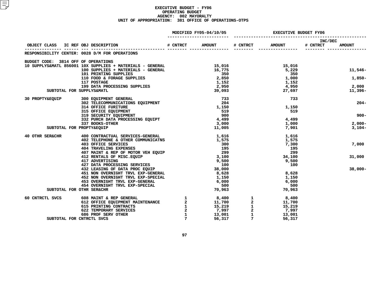## **EXECUTIVE BUDGET - FY06 OPERATING**G BUDGET<br>02 MAYOR<br>1 OFFICE **AGENCY: <sup>002</sup> MAYORALTY UNIT OF APPROPRIATION: <sup>381</sup> OFFICE OF OPERATIONS-OTPS**

|                                     | OBJECT CLASS IC REF OBJ DESCRIPTION                                                                                                                                                                                                                                                                                                                                                                 |             | MODIFIED FY05-04/10/05                       | <b>EXECUTIVE BUDGET FY06</b> |               |                     |               |
|-------------------------------------|-----------------------------------------------------------------------------------------------------------------------------------------------------------------------------------------------------------------------------------------------------------------------------------------------------------------------------------------------------------------------------------------------------|-------------|----------------------------------------------|------------------------------|---------------|---------------------|---------------|
|                                     |                                                                                                                                                                                                                                                                                                                                                                                                     | # CNTRCT    | <b>AMOUNT</b>                                | # CNTRCT                     | <b>AMOUNT</b> | INC/DEC<br># CNTRCT | <b>AMOUNT</b> |
|                                     | RESPONSIBILITY CENTER: 0028 D/M FOR OPERATIONS                                                                                                                                                                                                                                                                                                                                                      |             |                                              |                              |               |                     |               |
| BUDGET CODE: 3814 OFF OF OPERATIONS |                                                                                                                                                                                                                                                                                                                                                                                                     |             |                                              |                              |               |                     |               |
|                                     |                                                                                                                                                                                                                                                                                                                                                                                                     |             |                                              |                              | 15,016        |                     |               |
|                                     |                                                                                                                                                                                                                                                                                                                                                                                                     |             |                                              |                              | 5,229         |                     | 11,546-       |
|                                     |                                                                                                                                                                                                                                                                                                                                                                                                     |             |                                              |                              | 350           |                     |               |
|                                     |                                                                                                                                                                                                                                                                                                                                                                                                     |             |                                              |                              | 1,000         |                     | $1,850-$      |
|                                     |                                                                                                                                                                                                                                                                                                                                                                                                     |             |                                              |                              | 1,152         |                     |               |
|                                     |                                                                                                                                                                                                                                                                                                                                                                                                     |             |                                              |                              | 4,950         |                     | 2,000         |
|                                     | EUDE: 3814 OFF OF OPERAILS - GENERAL<br>10 SUPPLYS&MATL 856001 10X SUPPLIES + MATERIALS - GENERAL<br>10 IO SUPPLIES + MATERIALS - GENERAL<br>10 IO PRINTING SUPPLIES<br>110 FOOD & FORAGE SUPPLIES<br>117 POSTAGE<br>17 POSTAGE<br>19 DATA P                                                                                                                                                        |             |                                              |                              | 27,697        |                     | 11,396-       |
| 30 PROPTY&EQUIP                     | 300 EQUIPMENT GENERAL<br>302 TELECOMMUNICATIONS EQUIPMENT 204<br>314 OFFICE FURITURE                                                                                                                                                                                                                                                                                                                |             |                                              |                              | 733           |                     |               |
|                                     |                                                                                                                                                                                                                                                                                                                                                                                                     |             |                                              |                              |               |                     | $204-$        |
|                                     | 314 OFFICE FURITURE<br>314 OFFICE FURITURE<br>315 OFFICE EQUIPMENT<br>319 SECURITY EQUIPMENT<br>332 POOKS OFTER PROCESSING EQUIPT<br>337 POOKS-OTHER                                                                                                                                                                                                                                                |             | 1,150                                        |                              | 1,150         |                     |               |
|                                     |                                                                                                                                                                                                                                                                                                                                                                                                     |             |                                              |                              | 519           |                     |               |
|                                     |                                                                                                                                                                                                                                                                                                                                                                                                     |             |                                              |                              |               |                     | $900 -$       |
|                                     |                                                                                                                                                                                                                                                                                                                                                                                                     |             |                                              |                              | 4,499         |                     |               |
|                                     | 337 BOOKS-OTHER                                                                                                                                                                                                                                                                                                                                                                                     |             | 3,000                                        |                              | 1,000         |                     | $2,000-$      |
|                                     | SUBTOTAL FOR PROPTY&EQUIP                                                                                                                                                                                                                                                                                                                                                                           |             | 11,005                                       |                              | 7,901         |                     | $3,104-$      |
| 40 OTHR SER&CHR                     | 400 CONTRACTUAL SERVICES-GENERAL                                                                                                                                                                                                                                                                                                                                                                    |             | 1,616                                        |                              | 1,616         |                     |               |
|                                     |                                                                                                                                                                                                                                                                                                                                                                                                     |             |                                              |                              | 1,575         |                     |               |
|                                     | 400 CONTRACTUAL SERVICES-GENERAL<br>402 TELEPHONE & OTHER COMMUNICATNS<br>403 OFFICE SERVICES<br>403 OFFICE SERVICES<br>404 TRAVELING EXPENSES<br>407 MAINT & REP OF MOTOR VEH EQUIP<br>417 ADVERTISING<br>427 DATA PROCESSING SERVICES<br>432                                                                                                                                                      |             |                                              |                              | 7,300         |                     | 7,000         |
|                                     |                                                                                                                                                                                                                                                                                                                                                                                                     |             |                                              |                              | 195           |                     |               |
|                                     |                                                                                                                                                                                                                                                                                                                                                                                                     |             |                                              |                              | 299           |                     |               |
|                                     |                                                                                                                                                                                                                                                                                                                                                                                                     |             |                                              |                              | 34,100        |                     | 31,000        |
|                                     |                                                                                                                                                                                                                                                                                                                                                                                                     |             |                                              |                              | 9,500         |                     |               |
|                                     |                                                                                                                                                                                                                                                                                                                                                                                                     |             |                                              |                              | 100           |                     |               |
|                                     |                                                                                                                                                                                                                                                                                                                                                                                                     |             |                                              |                              |               |                     | $38,000 -$    |
|                                     |                                                                                                                                                                                                                                                                                                                                                                                                     |             |                                              |                              | 8,628         |                     |               |
|                                     | 452 NON OVERNIGHT TRVL EXP-SPECIAL 453 OVERNIGHT TRVL EXP-GENERAL 454 OVERNIGHT TRVL EXP-GENERAL 6,000<br>454 OVERNIGHT TRVL EXP-GENERAL 454 OVERNIGHT TRVL EXP-SPECIAL 454 OVERNIGHT TRVL EXP-SPECIAL 454 $\frac{500}{70.963}$                                                                                                                                                                     |             |                                              |                              | 1,150         |                     |               |
|                                     |                                                                                                                                                                                                                                                                                                                                                                                                     |             |                                              |                              | 6,000         |                     |               |
|                                     |                                                                                                                                                                                                                                                                                                                                                                                                     |             | $\begin{array}{c} 500 \\ 70,963 \end{array}$ |                              | 500           |                     |               |
|                                     | SUBTOTAL FOR OTHR SER&CHR                                                                                                                                                                                                                                                                                                                                                                           |             |                                              |                              | 70,963        |                     |               |
| 60 CNTRCTL SVCS                     | $\begin{array}{cccccc} 608 & \text{MANT} & \texttt{a} & \texttt{REP} & \texttt{GERAL} & & & & & 1 & & & 8,400 & & 1 & & 8,400 \\ 612 & \texttt{OFFICE} & \texttt{EQUIPMENT} & \texttt{MANTENANCE} & & & & & 2 & & 11,700 & & 2 & & 11,700 \\ 615 & \texttt{PRINTING} & \texttt{CONTRACS} & & & & & 1 & & 15,219 & & 1 & 15,219 \\ 622 & \texttt{TEMPORARY} & \texttt{SEIVICES} & & & & & 2 & & 7,9$ |             |                                              |                              |               |                     |               |
|                                     |                                                                                                                                                                                                                                                                                                                                                                                                     |             |                                              |                              |               |                     |               |
|                                     |                                                                                                                                                                                                                                                                                                                                                                                                     |             |                                              |                              |               |                     |               |
|                                     |                                                                                                                                                                                                                                                                                                                                                                                                     |             |                                              |                              |               |                     |               |
|                                     |                                                                                                                                                                                                                                                                                                                                                                                                     |             |                                              | 13,001<br>56,317             |               |                     |               |
|                                     | SUBTOTAL FOR CNTRCTL SVCS                                                                                                                                                                                                                                                                                                                                                                           | $7^{\circ}$ |                                              | $7^{\circ}$                  | 56,317        |                     |               |
|                                     |                                                                                                                                                                                                                                                                                                                                                                                                     |             |                                              |                              |               |                     |               |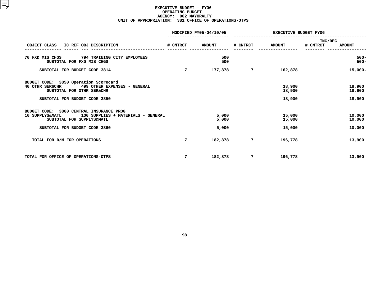## **EXECUTIVE BUDGET - FY06 OPERATING**G BUDGET<br>02 MAYOR<br>1 OFFICE **AGENCY: <sup>002</sup> MAYORALTY UNIT OF APPROPRIATION: <sup>381</sup> OFFICE OF OPERATIONS-OTPS**

|                                                                                                                                                                   |                 | MODIFIED FY05-04/10/05  | <b>EXECUTIVE BUDGET FY06</b> |                            |                     |                            |  |
|-------------------------------------------------------------------------------------------------------------------------------------------------------------------|-----------------|-------------------------|------------------------------|----------------------------|---------------------|----------------------------|--|
| OBJECT CLASS<br>IC REF OBJ DESCRIPTION                                                                                                                            | # CNTRCT        | <b>AMOUNT</b>           | # CNTRCT                     | <b>AMOUNT</b>              | INC/DEC<br># CNTRCT | <b>AMOUNT</b>              |  |
| 70 FXD MIS CHGS 794 TRAINING CITY EMPLOYEES<br>SUBTOTAL FOR FXD MIS CHGS                                                                                          |                 | 500<br>500              |                              |                            |                     | $500 -$<br>$500 -$         |  |
| SUBTOTAL FOR BUDGET CODE 3814                                                                                                                                     | $7\overline{ }$ | 177,878                 | 7                            | 162,878                    |                     | 15,000-                    |  |
| BUDGET CODE: 3850 Operation Scorecard<br><b>40 OTHR SER&amp;CHR</b><br>499 OTHER EXPENSES - GENERAL<br>SUBTOTAL FOR OTHR SER&CHR<br>SUBTOTAL FOR BUDGET CODE 3850 |                 |                         |                              | 18,900<br>18,900<br>18,900 |                     | 18,900<br>18,900<br>18,900 |  |
| BUDGET CODE: 3860 CENTRAL INSURANCE PROG<br>100 SUPPLIES + MATERIALS - GENERAL<br>10 SUPPLYS&MATL<br>SUBTOTAL FOR SUPPLYS&MATL<br>SUBTOTAL FOR BUDGET CODE 3860   |                 | 5,000<br>5,000<br>5,000 |                              | 15,000<br>15,000<br>15,000 |                     | 10,000<br>10,000<br>10,000 |  |
| TOTAL FOR D/M FOR OPERATIONS                                                                                                                                      | 7               | 182,878                 | 7                            | 196,778                    |                     | 13,900                     |  |
| TOTAL FOR OFFICE OF OPERATIONS-OTPS                                                                                                                               | 7               | 182,878                 | 7                            | 196,778                    |                     | 13,900                     |  |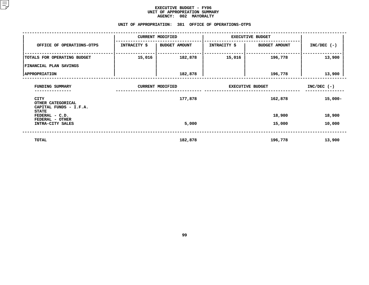#### **EXECUTIVE BUDGET - FY06** UNIT OF APPROPRIATION SUMMARY **OF APPROPRIATION SUMMARY AGENCY:**

| <b>AGENCY:</b><br>002 MAYORALTY                         |              |                         |                         |                      |               |  |  |  |  |  |  |
|---------------------------------------------------------|--------------|-------------------------|-------------------------|----------------------|---------------|--|--|--|--|--|--|
| UNIT OF APPROPRIATION:<br>381 OFFICE OF OPERATIONS-OTPS |              |                         |                         |                      |               |  |  |  |  |  |  |
|                                                         |              | <b>CURRENT MODIFIED</b> | <b>EXECUTIVE BUDGET</b> |                      |               |  |  |  |  |  |  |
| OFFICE OF OPERATIONS-OTPS                               | INTRACITY \$ | <b>BUDGET AMOUNT</b>    | INTRACITY \$            | <b>BUDGET AMOUNT</b> | $INC/DEC$ (-) |  |  |  |  |  |  |
| TOTALS FOR OPERATING BUDGET                             | 15,016       | 182,878                 | 15,016                  | 196,778              | 13,900        |  |  |  |  |  |  |
| FINANCIAL PLAN SAVINGS                                  |              |                         |                         |                      |               |  |  |  |  |  |  |
| <b>APPROPRIATION</b>                                    |              | 182,878                 |                         | 196,778              | 13,900        |  |  |  |  |  |  |
| FUNDING SUMMARY                                         |              | <b>CURRENT MODIFIED</b> | <b>EXECUTIVE BUDGET</b> | $INC/DEC$ (-)        |               |  |  |  |  |  |  |
| CITY<br>OTHER CATEGORICAL<br>CAPITAL FUNDS - I.F.A.     |              | 177,878                 |                         | 162,878              | $15,000-$     |  |  |  |  |  |  |
| <b>STATE</b><br>FEDERAL - C.D.<br>FEDERAL - OTHER       |              |                         |                         | 18,900               | 18,900        |  |  |  |  |  |  |
| INTRA-CITY SALES                                        |              | 5,000                   |                         | 15,000               | 10,000        |  |  |  |  |  |  |

 **TOTAL182,878 196,778 13,900**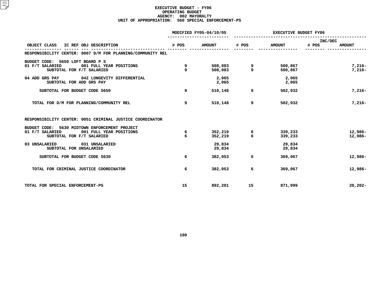## **EXECUTIVE BUDGET - FY06 OPERATING**G BUDGET<br>02 MAYOR<br>0 SPECIA **AGENCY: <sup>002</sup> MAYORALTY UNIT OF APPROPRIATION: <sup>560</sup> SPECIAL ENFORCEMENT-PS**

|                                                                                                                          | MODIFIED FY05-04/10/05 |                    | <b>EXECUTIVE BUDGET FY06</b> |                    |                                   |  |
|--------------------------------------------------------------------------------------------------------------------------|------------------------|--------------------|------------------------------|--------------------|-----------------------------------|--|
| IC REF OBJ DESCRIPTION<br>OBJECT CLASS                                                                                   | # POS                  | <b>AMOUNT</b>      | # POS                        | <b>AMOUNT</b>      | INC/DEC<br># POS<br><b>AMOUNT</b> |  |
| RESPONSIBILITY CENTER: 0007 D/M FOR PLANNING/COMMUNITY REL                                                               |                        |                    |                              |                    |                                   |  |
| BUDGET CODE: 5650 LOFT BOARD P S<br>01 F/T SALARIED<br>001 FULL YEAR POSITIONS<br>SUBTOTAL FOR F/T SALARIED              | 9<br>9                 | 508,083<br>508,083 | 9<br>9                       | 500,867<br>500,867 | $7,216-$<br>$7,216-$              |  |
| 04 ADD GRS PAY 042 LONGEVITY DIFFERENTIAL<br>SUBTOTAL FOR ADD GRS PAY                                                    |                        | 2,065<br>2,065     |                              | 2,065<br>2,065     |                                   |  |
| SUBTOTAL FOR BUDGET CODE 5650                                                                                            | 9                      | 510,148            | 9                            | 502,932            | $7,216-$                          |  |
| TOTAL FOR D/M FOR PLANNING/COMMUNITY REL                                                                                 | 9                      | 510,148            | 9                            | 502,932            | $7.216 -$                         |  |
| RESPONSIBILITY CENTER: 0051 CRIMINAL JUSTICE COORDINATOR                                                                 |                        |                    |                              |                    |                                   |  |
| BUDGET CODE: 5630 MIDTOWN ENFORCEMENT PROJECT<br>01 F/T SALARIED<br>001 FULL YEAR POSITIONS<br>SUBTOTAL FOR F/T SALARIED | 6<br>6                 | 352,219<br>352,219 | 6<br>6                       | 339,233<br>339,233 | 12,986-<br>12,986-                |  |
| 03 UNSALARIED<br>031 UNSALARIED<br>SUBTOTAL FOR UNSALARIED                                                               |                        | 29,834<br>29,834   |                              | 29,834<br>29,834   |                                   |  |
| SUBTOTAL FOR BUDGET CODE 5630                                                                                            | 6                      | 382,053            | 6                            | 369,067            | 12,986-                           |  |
| TOTAL FOR CRIMINAL JUSTICE COORDINATOR                                                                                   | 6                      | 382,053            | 6                            | 369,067            | 12,986-                           |  |
| TOTAL FOR SPECIAL ENFORCEMENT-PS                                                                                         | 15                     | 892,201            | 15                           | 871,999            | $20, 202 -$                       |  |
|                                                                                                                          |                        |                    |                              |                    |                                   |  |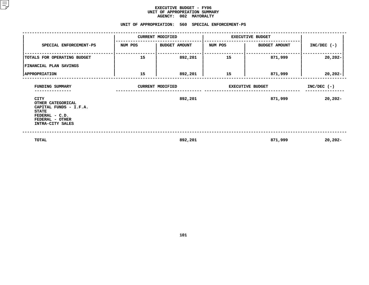#### **EXECUTIVE BUDGET - FY06 UNIT OF APPROPRIATION SUMMARY AGENCY:**

|                                                                                                                              |         | AGENCY: 002 MAYORALTY                             |         |                         |               |  |
|------------------------------------------------------------------------------------------------------------------------------|---------|---------------------------------------------------|---------|-------------------------|---------------|--|
|                                                                                                                              |         | UNIT OF APPROPRIATION: 560 SPECIAL ENFORCEMENT-PS |         |                         |               |  |
|                                                                                                                              |         | <b>CURRENT MODIFIED</b>                           |         | <b>EXECUTIVE BUDGET</b> |               |  |
| SPECIAL ENFORCEMENT-PS                                                                                                       | NUM POS | <b>BUDGET AMOUNT</b>                              | NUM POS | <b>BUDGET AMOUNT</b>    | $INC/DEC$ (-) |  |
| TOTALS FOR OPERATING BUDGET                                                                                                  | 15      | 892,201                                           | 15      | 871,999                 | $20,202 -$    |  |
| FINANCIAL PLAN SAVINGS                                                                                                       |         |                                                   |         |                         |               |  |
| <b>APPROPRIATION</b>                                                                                                         | 15      | 892,201                                           | 15      | 871,999                 | $20,202 -$    |  |
| FUNDING SUMMARY                                                                                                              |         | <b>CURRENT MODIFIED</b>                           |         | <b>EXECUTIVE BUDGET</b> | $INC/DEC$ (-) |  |
| CITY<br>OTHER CATEGORICAL<br>CAPITAL FUNDS - I.F.A.<br><b>STATE</b><br>FEDERAL - C.D.<br>FEDERAL - OTHER<br>INTRA-CITY SALES |         | 892,201                                           |         | 871,999                 | 20,202-       |  |
| TOTAL                                                                                                                        |         | 892,201                                           |         | 871,999                 | $20,202 -$    |  |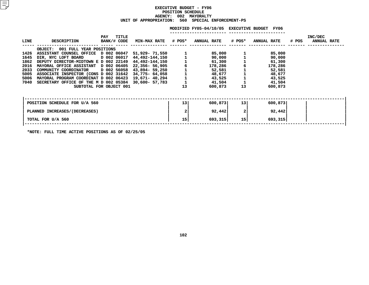## **EXECUTIVE BUDGET - FY06 POSITION**N SCHEDULE<br>02 MAYORA<br>560 SPECI **AGENCY: <sup>002</sup> MAYORALTY UNIT OF APPROPRIATION: <sup>560</sup> SPECIAL ENFORCEMENT-PS**

|             |                                           |                             |                     |    | MODIFIED FY05-04/10/05 EXECUTIVE BUDGET |                 | FY06               |       |                               |
|-------------|-------------------------------------------|-----------------------------|---------------------|----|-----------------------------------------|-----------------|--------------------|-------|-------------------------------|
| <b>LINE</b> | <b>DESCRIPTION</b>                        | TITLE<br>PAY<br>BANK/# CODE | MIN-MAX RATE # POS* |    | <b>ANNUAL RATE</b>                      | # POS*          | <b>ANNUAL RATE</b> | # POS | INC/DEC<br><b>ANNUAL RATE</b> |
|             | 001 FULL YEAR POSITIONS<br><b>OBJECT:</b> |                             |                     |    |                                         |                 |                    |       |                               |
| 1426        | ASSISTANT COUNSEL OFFICE D 002 06047      |                             | 51,929- 71,550      |    | 85,000                                  |                 | 85,000             |       |                               |
| 1645        | DIR, NYC LOFT BOARD                       | D 002 06017                 | 44,492-144,150      |    | 90,000                                  |                 | 90,000             |       |                               |
| 1862        | DEPUTY DIRECTOR-MIDTOWN E D 002 22149     |                             | 44,492-144,150      |    | 61,300                                  |                 | 61,300             |       |                               |
| 2016        | MAYORAL OFFICE ASSISTANT D 002 06405      |                             | 22,356- 56,905      |    | 178,286                                 |                 | 178,286            |       |                               |
| 2033        | COMMUNITY COORDINATOR                     | D 002 56058                 | 43,894- 59,250      |    | 52,581                                  |                 | 52,581             |       |                               |
| 5005        | ASSOCIATE INSPECTOR (CONS D 002 31642     |                             | 34,775- 64,058      |    | 48,677                                  |                 | 48,677             |       |                               |
| 5006        | MAYORAL PROGRAM COORDINAT D 002 06423     |                             | 19,671– 40,294      |    | 43,525                                  |                 | 43,525             |       |                               |
| 7040        | SECRETARY OFFICE OF THE M D 002 05384     |                             | 30,600- 57,783      |    | 41,504                                  |                 | 41,504             |       |                               |
|             |                                           | SUBTOTAL FOR OBJECT 001     |                     | 13 | 600,873                                 | 13              | 600,873            |       |                               |
|             |                                           |                             |                     |    |                                         |                 |                    |       |                               |
|             | POSITION SCHEDULE FOR U/A 560             |                             |                     | 13 | 600,873                                 | 13 <sup>1</sup> | 600,873            |       |                               |
|             | PLANNED INCREASES/(DECREASES)             |                             |                     |    | 92,442                                  | $\mathbf{2}$    | 92,442             |       |                               |
|             | TOTAL FOR U/A 560                         |                             |                     | 15 | 693,315                                 | 15 <sub>1</sub> | 693,315            |       |                               |
|             |                                           |                             |                     |    |                                         |                 |                    |       |                               |

**\*NOTE: FULL TIME ACTIVE POSITIONS AS OF 02/25/05**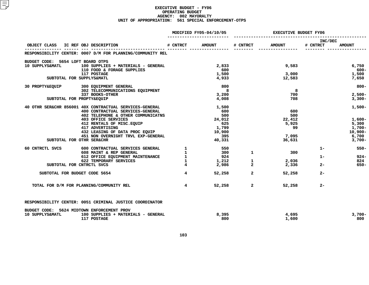## **EXECUTIVE BUDGET - FY06 OPERATING**G BUDGET<br>02 MAYOR<br>1 SPECIA **AGENCY: <sup>002</sup> MAYORALTY UNIT OF APPROPRIATION: <sup>561</sup> SPECIAL ENFORCEMENT-OTPS**

|                                     |                                                                                                       | MODIFIED FY05-04/10/05  |                                        | <b>EXECUTIVE BUDGET FY06</b> |                 |                     |                   |
|-------------------------------------|-------------------------------------------------------------------------------------------------------|-------------------------|----------------------------------------|------------------------------|-----------------|---------------------|-------------------|
| OBJECT CLASS IC REF OBJ DESCRIPTION |                                                                                                       | # CNTRCT                | <b>AMOUNT</b>                          | # CNTRCT                     | <b>AMOUNT</b>   | INC/DEC<br># CNTRCT | <b>AMOUNT</b>     |
|                                     | RESPONSIBILITY CENTER: 0007 D/M FOR PLANNING/COMMUNITY REL                                            |                         | <u>---- -------- -----------------</u> |                              |                 |                     |                   |
| BUDGET CODE: 5654 LOFT BOARD OTPS   |                                                                                                       |                         |                                        |                              |                 |                     |                   |
| 10 SUPPLYS&MATL                     | 100 SUPPLIES + MATERIALS - GENERAL                                                                    |                         | 2,833                                  |                              | 9,583           |                     | 6,750             |
|                                     | 110 FOOD & FORAGE SUPPLIES                                                                            |                         | 600                                    |                              |                 |                     | 600-              |
|                                     | 117 POSTAGE                                                                                           |                         | 1,500                                  |                              | 3,000           |                     | 1,500             |
| SUBTOTAL FOR SUPPLYS&MATL           |                                                                                                       |                         | 4,933                                  |                              | 12,583          |                     | 7,650             |
|                                     | 30 PROPTY&EQUIP 300 EQUIPMENT GENERAL                                                                 |                         | 800                                    |                              |                 |                     | $800 -$           |
|                                     | 302 TELECOMMUNICATIONS EQUIPMENT                                                                      |                         | $\overline{\phantom{0}}$ 8             |                              | $_{\rm 8}$      |                     |                   |
|                                     | 337 BOOKS-OTHER                                                                                       |                         | 3,200                                  |                              | 700             |                     | $2,500-$          |
| SUBTOTAL FOR PROPTY&EQUIP           |                                                                                                       |                         | 4,008                                  |                              | 708             |                     | $3,300-$          |
|                                     | 40 OTHR SER&CHR 856001 40X CONTRACTUAL SERVICES-GENERAL                                               |                         | 1,500                                  |                              |                 |                     | $1,500-$          |
|                                     | 400 CONTRACTUAL SERVICES-GENERAL                                                                      |                         | 600                                    |                              | 600             |                     |                   |
|                                     | 402 TELEPHONE & OTHER COMMUNICATNS                                                                    |                         | 500                                    |                              | 500             |                     |                   |
|                                     | <b>403 OFFICE SERVICES</b>                                                                            |                         | 24,012                                 |                              | 22,412          |                     | $1,600-$          |
|                                     | 412 RENTALS OF MISC.EQUIP<br>417 ADVERTISING                                                          |                         | 625                                    |                              | 5,925           |                     | 5,300             |
|                                     | 417 ADVERTISING                                                                                       |                         | 1,799                                  |                              | 99              |                     | 1,700-            |
|                                     | 432 LEASING OF DATA PROC EQUIP<br>451 NON OVERNIGHT TRVL EXP-GENERAL                                  |                         | 10,900                                 |                              |                 |                     | $10,900 -$        |
| SUBTOTAL FOR OTHR SER&CHR           |                                                                                                       |                         | 395<br>40,331                          |                              | 7,095<br>36,631 |                     | 6,700<br>$3,700-$ |
|                                     |                                                                                                       |                         |                                        |                              |                 |                     |                   |
| 60 CNTRCTL SVCS                     | 600 CONTRACTUAL SERVICES GENERAL 1<br>608 MAINT & REP GENERAL 1<br>612 OFFICE EQUIPMENT MAINTENANCE 1 |                         | 550                                    |                              |                 | $1 -$               | $550 -$           |
|                                     |                                                                                                       |                         | 300                                    | $\mathbf{1}$                 | 300             |                     |                   |
|                                     |                                                                                                       |                         | 924                                    |                              |                 | $1 -$               | $924 -$           |
|                                     | 622 TEMPORARY SERVICES                                                                                | $\mathbf{1}$            | 1,212<br>2,986                         | $\mathbf{1}$                 | 2,036           |                     | 824               |
| SUBTOTAL FOR CNTRCTL SVCS           |                                                                                                       | $\overline{4}$          |                                        | $\overline{2}$               | 2,336           | $2 -$               | $650 -$           |
| SUBTOTAL FOR BUDGET CODE 5654       |                                                                                                       | $\overline{4}$          |                                        | 52,258<br>$\overline{a}$     | 52,258          | $2 -$               |                   |
|                                     | TOTAL FOR D/M FOR PLANNING/COMMUNITY REL                                                              | $\overline{\mathbf{4}}$ | 52,258                                 | $\overline{a}$               | 52,258          | $2 -$               |                   |
|                                     | RESPONSIBILITY CENTER: 0051 CRIMINAL JUSTICE COORDINATOR                                              |                         |                                        |                              |                 |                     |                   |
| 10 SUPPLYS&MATL                     | BUDGET CODE: 5624 MIDTOWN ENFORCEMENT PROV<br>100 SUPPLIES + MATERIALS - GENERAL<br>117 POSTAGE       |                         | 8,395<br>800                           |                              | 4,695<br>1,600  |                     | $3,700-$<br>800   |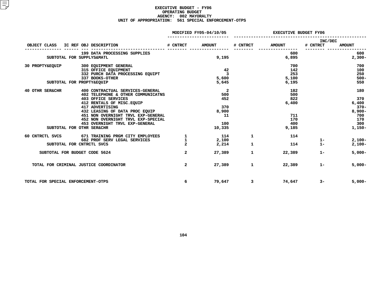## **EXECUTIVE BUDGET - FY06 OPERATING**G BUDGET<br>02 MAYOR<br>1 SPECIA **AGENCY: <sup>002</sup> MAYORALTY UNIT OF APPROPRIATION: <sup>561</sup> SPECIAL ENFORCEMENT-OTPS**

|                                     |                                                                                                                                                                                                                                                                                                                                    | MODIFIED FY05-04/10/05         |                                                                                              | <b>EXECUTIVE BUDGET FY06</b> |                                                          |                     |                                                                             |
|-------------------------------------|------------------------------------------------------------------------------------------------------------------------------------------------------------------------------------------------------------------------------------------------------------------------------------------------------------------------------------|--------------------------------|----------------------------------------------------------------------------------------------|------------------------------|----------------------------------------------------------|---------------------|-----------------------------------------------------------------------------|
| OBJECT CLASS IC REF OBJ DESCRIPTION |                                                                                                                                                                                                                                                                                                                                    | # CNTRCT                       | <b>AMOUNT</b>                                                                                | # CNTRCT                     | <b>AMOUNT</b>                                            | INC/DEC<br># CNTRCT | <b>AMOUNT</b>                                                               |
|                                     | 199 DATA PROCESSING SUPPLIES<br>SUBTOTAL FOR SUPPLYS&MATL                                                                                                                                                                                                                                                                          |                                | 9,195                                                                                        |                              | 600<br>6,895                                             |                     | 600<br>$2,300-$                                                             |
| 30 PROPTY&EQUIP                     | 300 EQUIPMENT GENERAL<br>315 OFFICE EQUIPMENT<br>332 PURCH DATA PROCESSING EQUIPT<br>337 BOOKS-OTHER<br>SUBTOTAL FOR PROPTY&EQUIP                                                                                                                                                                                                  |                                | 42<br>$\overline{\mathbf{3}}$<br>5,600<br>5,645                                              |                              | 700<br>142<br>253<br>5,100<br>6,195                      |                     | 700<br>100<br>250<br>$500 -$<br>550                                         |
| 40 OTHR SER&CHR                     | 400 CONTRACTUAL SERVICES-GENERAL<br>402 TELEPHONE & OTHER COMMUNICATNS<br><b>403 OFFICE SERVICES</b><br>412 RENTALS OF MISC. EQUIP<br>417 ADVERTISING<br>432 LEASING OF DATA PROC EQUIP<br>451 NON OVERNIGHT TRVL EXP-GENERAL<br>452 NON OVERNIGHT TRVL EXP-SPECIAL<br>453 OVERNIGHT TRVL EXP-GENERAL<br>SUBTOTAL FOR OTHR SER&CHR |                                | $\overline{2}$<br>500<br>452<br>370<br>8,900<br>$\overline{\phantom{0}}$ 11<br>100<br>10,335 |                              | 182<br>500<br>822<br>6,400<br>711<br>170<br>400<br>9,185 |                     | 180<br>370<br>6,400<br>$370-$<br>$8,900 -$<br>700<br>170<br>300<br>$1,150-$ |
|                                     | 60 CNTRCTL SVCS 671 TRAINING PRGM CITY EMPLOYEES 1<br>682 PROF SERV LEGAL SERVICES<br>SUBTOTAL FOR CNTRCTL SVCS                                                                                                                                                                                                                    | $\mathbf{1}$<br>$\overline{a}$ | 114<br>2,100<br>2,214                                                                        | 1<br>1                       | 114<br>114                                               | $1 -$<br>$1 -$      | $2,100-$<br>$2,100-$                                                        |
| SUBTOTAL FOR BUDGET CODE 5624       |                                                                                                                                                                                                                                                                                                                                    | $\overline{a}$                 | 27,389                                                                                       | $\mathbf{1}$                 | 22,389                                                   | $1 -$               | $5,000-$                                                                    |
|                                     | TOTAL FOR CRIMINAL JUSTICE COORDINATOR                                                                                                                                                                                                                                                                                             | $\overline{a}$                 | 27,389                                                                                       | $\mathbf{1}$                 | 22,389                                                   | $1 -$               | $5,000-$                                                                    |
| TOTAL FOR SPECIAL ENFORCEMENT-OTPS  |                                                                                                                                                                                                                                                                                                                                    | 6                              | 79,647                                                                                       | $3 \sim$                     | 74,647                                                   | $3-$                | $5,000-$                                                                    |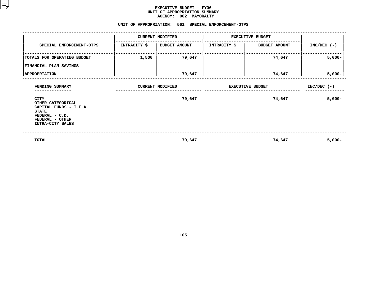#### **EXECUTIVE BUDGET - FY06 UNIT OF APPROPRIATION SUMMARY AGENCY:**

# AGENCY: 002 MAYORALTY<br>UNIT OF APPROPRIATION: 561 SPECIAL <mark>E</mark>N

|                                                                                                                              |                     | UNIT OF APPROPRIATION: 561 SPECIAL ENFORCEMENT-OTPS |              |                         |               |
|------------------------------------------------------------------------------------------------------------------------------|---------------------|-----------------------------------------------------|--------------|-------------------------|---------------|
|                                                                                                                              |                     | <b>CURRENT MODIFIED</b>                             |              | <b>EXECUTIVE BUDGET</b> |               |
| SPECIAL ENFORCEMENT-OTPS                                                                                                     | <b>INTRACITY \$</b> | <b>BUDGET AMOUNT</b>                                | INTRACITY \$ | <b>BUDGET AMOUNT</b>    | $INC/DEC$ (-) |
| TOTALS FOR OPERATING BUDGET                                                                                                  | 1,500               | 79,647                                              |              | 74,647                  | $5,000 -$     |
| FINANCIAL PLAN SAVINGS                                                                                                       |                     |                                                     |              |                         |               |
| <b>APPROPRIATION</b>                                                                                                         |                     | 79,647                                              |              | 74,647                  | $5,000-$      |
| FUNDING SUMMARY                                                                                                              |                     | <b>CURRENT MODIFIED</b>                             |              | <b>EXECUTIVE BUDGET</b> | $INC/DEC$ (-) |
| CITY<br>OTHER CATEGORICAL<br>CAPITAL FUNDS - I.F.A.<br><b>STATE</b><br>FEDERAL - C.D.<br>FEDERAL - OTHER<br>INTRA-CITY SALES |                     | 79,647                                              |              | 74,647                  | $5,000-$      |
| TOTAL                                                                                                                        |                     | 79,647                                              |              | 74,647                  | $5,000 -$     |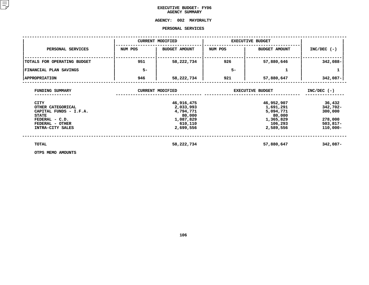## **EXECUTIVE BUDGET- FY06 AGENCY**

## **AGENCY SUMMARY<br><mark>AGENCY:</mark> 002 MAYOR <sup>002</sup> MAYORALTY PERSONAL**

|                                                                                                                                     |         | PERSONAL SERVICES                                                                   |         |                                                                                     |                                                                       |
|-------------------------------------------------------------------------------------------------------------------------------------|---------|-------------------------------------------------------------------------------------|---------|-------------------------------------------------------------------------------------|-----------------------------------------------------------------------|
|                                                                                                                                     |         | <b>CURRENT MODIFIED</b>                                                             |         | <b>EXECUTIVE BUDGET</b>                                                             |                                                                       |
| PERSONAL SERVICES                                                                                                                   | NUM POS | <b>BUDGET AMOUNT</b>                                                                | NUM POS | <b>BUDGET AMOUNT</b>                                                                | $INC/DEC$ (-)                                                         |
| TOTALS FOR OPERATING BUDGET                                                                                                         | 951     | 58,222,734                                                                          | 926     | 57,880,646                                                                          | 342,088-                                                              |
| <b>FINANCIAL PLAN SAVINGS</b>                                                                                                       | $5-$    |                                                                                     | $5-$    | 1                                                                                   |                                                                       |
| <b>APPROPRIATION</b>                                                                                                                | 946     | 58,222,734                                                                          | 921     | 57,880,647                                                                          | 342,087-                                                              |
| FUNDING SUMMARY                                                                                                                     |         | <b>CURRENT MODIFIED</b>                                                             |         | <b>EXECUTIVE BUDGET</b>                                                             | $INC/DEC$ (-)                                                         |
| <b>CITY</b><br>OTHER CATEGORICAL<br>CAPITAL FUNDS - I.F.A.<br><b>STATE</b><br>FEDERAL - C.D.<br>FEDERAL - OTHER<br>INTRA-CITY SALES |         | 46,916,475<br>2,033,993<br>4,794,771<br>80,000<br>1,087,829<br>610,110<br>2,699,556 |         | 46,952,907<br>1,691,291<br>5,094,771<br>80,000<br>1,365,829<br>106,293<br>2,589,556 | 36,432<br>342,702-<br>300,000<br>278,000<br>$503,817-$<br>$110,000 -$ |
| TOTAL<br>OTPS MEMO AMOUNTS                                                                                                          |         | 58,222,734                                                                          |         | 57,880,647                                                                          | 342,087-                                                              |

**OTPS MEMO AMOUNTS**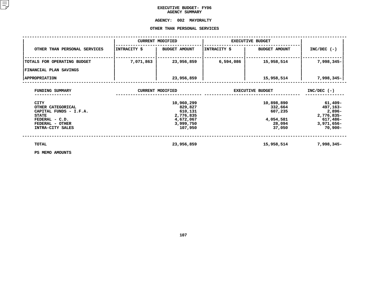## **EXECUTIVE BUDGET- FY06 AGENCY**

# **AGENCY SUMMARY<br><mark>AGENCY:</mark> 002 MAYOR**

# **<sup>002</sup> MAYORALTY OTHER**

|                                                                       |              | OTHER THAN PERSONAL SERVICES                   |              |                                  |                                                       |
|-----------------------------------------------------------------------|--------------|------------------------------------------------|--------------|----------------------------------|-------------------------------------------------------|
|                                                                       |              | <b>CURRENT MODIFIED</b>                        |              | <b>EXECUTIVE BUDGET</b>          |                                                       |
| OTHER THAN PERSONAL SERVICES                                          | INTRACITY \$ | <b>BUDGET AMOUNT</b>                           | INTRACITY \$ | <b>BUDGET AMOUNT</b>             | $INC/DEC$ (-)                                         |
| TOTALS FOR OPERATING BUDGET                                           | 7,071,863    | 23,956,859                                     | 6,594,086    | 15,958,514                       | 7,998,345-                                            |
| FINANCIAL PLAN SAVINGS                                                |              |                                                |              |                                  |                                                       |
| <b>APPROPRIATION</b>                                                  |              | 23,956,859                                     |              | 15,958,514                       | 7,998,345-                                            |
| FUNDING SUMMARY                                                       |              | <b>CURRENT MODIFIED</b>                        |              | <b>EXECUTIVE BUDGET</b>          | $INC/DEC$ (-)                                         |
| <b>CITY</b><br>OTHER CATEGORICAL<br>CAPITAL FUNDS - I.F.A.            |              | 10,960,299<br>829,827<br>610,131               |              | 10,898,890<br>332,664<br>607,235 | 61,409-<br>497,163-<br>$2,896-$                       |
| <b>STATE</b><br>FEDERAL - C.D.<br>FEDERAL - OTHER<br>INTRA-CITY SALES |              | 2,776,835<br>4,672,067<br>3,999,750<br>107,950 |              | 4,054,581<br>28,094<br>37,050    | 2,776,835-<br>617,486-<br>$3,971,656 -$<br>$70,900 -$ |
| TOTAL                                                                 |              | 23,956,859                                     |              | 15,958,514                       | 7,998,345-                                            |
| PS MEMO AMOUNTS                                                       |              |                                                |              |                                  |                                                       |

**PS MEMO AMOUNTS**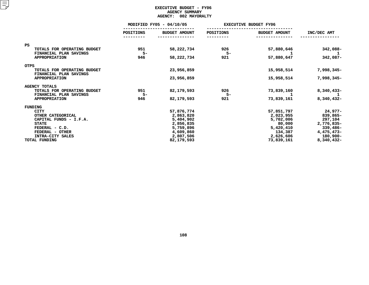## **EXECUTIVE BUDGET - FY06 AGENCYY SUMMARY<br>002 MAYOR<br>...**

|                                                |                  | <b>AGENCY:</b><br>002 MAYORALTY |           |                              |              |
|------------------------------------------------|------------------|---------------------------------|-----------|------------------------------|--------------|
|                                                |                  | MODIFIED FY05 - 04/10/05        |           | <b>EXECUTIVE BUDGET FY06</b> |              |
|                                                | <b>POSITIONS</b> | <b>BUDGET AMOUNT</b>            | POSITIONS | <b>BUDGET AMOUNT</b>         | INC/DEC AMT  |
| <b>PS</b>                                      |                  |                                 |           |                              |              |
| TOTALS FOR OPERATING BUDGET                    | 951              | 58,222,734                      | 926       | 57,880,646                   | 342,088-     |
| FINANCIAL PLAN SAVINGS                         | $5-$             |                                 | $5-$      |                              | 1            |
| <b>APPROPRIATION</b>                           | 946              | 58,222,734                      | 921       | 57,880,647                   | 342,087-     |
| <b>OTPS</b>                                    |                  |                                 |           |                              |              |
| TOTALS FOR OPERATING BUDGET                    |                  | 23,956,859                      |           | 15,958,514                   | 7,998,345-   |
| FINANCIAL PLAN SAVINGS<br><b>APPROPRIATION</b> |                  | 23,956,859                      |           | 15,958,514                   | 7,998,345-   |
|                                                |                  |                                 |           |                              |              |
| <b>AGENCY TOTALS</b>                           |                  |                                 |           |                              |              |
| TOTALS FOR OPERATING BUDGET                    | 951              | 82,179,593                      | 926       | 73,839,160                   | $8,340,433-$ |
| FINANCIAL PLAN SAVINGS                         | $5-$             |                                 | $5-$      |                              | 1            |
| <b>APPROPRIATION</b>                           | 946              | 82,179,593                      | 921       | 73,839,161                   | 8,340,432-   |
| FUNDING                                        |                  |                                 |           |                              |              |
| <b>CITY</b>                                    |                  | 57,876,774                      |           | 57,851,797                   | 24,977-      |
| OTHER CATEGORICAL                              |                  | 2,863,820                       |           | 2,023,955                    | 839,865-     |
| CAPITAL FUNDS - I.F.A.                         |                  | 5,404,902                       |           | 5,702,006                    | 297,104      |
| <b>STATE</b>                                   |                  | 2,856,835                       |           | 80,000                       | 2,776,835-   |
| FEDERAL - C.D.                                 |                  | 5,759,896                       |           | 5,420,410                    | $339,486 -$  |
| FEDERAL - OTHER                                |                  | 4,609,860                       |           | 134,387                      | 4,475,473-   |
| INTRA-CITY SALES                               |                  | 2,807,506                       |           | 2,626,606                    | 180,900-     |
| TOTAL FUNDING                                  |                  | 82,179,593                      |           | 73,839,161                   | 8,340,432-   |
|                                                |                  |                                 |           |                              |              |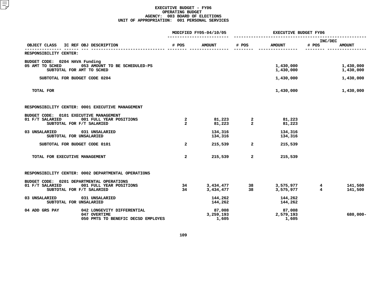|                                                                                                                      | MODIFIED FY05-04/10/05           |                              | <b>EXECUTIVE BUDGET FY06</b>            |                              |                                           |  |
|----------------------------------------------------------------------------------------------------------------------|----------------------------------|------------------------------|-----------------------------------------|------------------------------|-------------------------------------------|--|
| IC REF OBJ DESCRIPTION<br>OBJECT CLASS                                                                               | # POS                            | <b>AMOUNT</b>                | # POS                                   | <b>AMOUNT</b>                | INC/DEC<br># POS<br><b>AMOUNT</b>         |  |
| RESPONSIBILITY CENTER:                                                                                               |                                  |                              |                                         |                              |                                           |  |
| BUDGET CODE: 0204 HAVA Funding<br>053 AMOUNT TO BE SCHEDULED-PS<br>05 AMT TO SCHED<br>SUBTOTAL FOR AMT TO SCHED      |                                  |                              |                                         | 1,430,000<br>1,430,000       | 1,430,000<br>1,430,000                    |  |
| SUBTOTAL FOR BUDGET CODE 0204                                                                                        |                                  |                              |                                         | 1,430,000                    | 1,430,000                                 |  |
| TOTAL FOR                                                                                                            |                                  |                              |                                         | 1,430,000                    | 1,430,000                                 |  |
| RESPONSIBILITY CENTER: 0001 EXECUTIVE MANAGEMENT                                                                     |                                  |                              |                                         |                              |                                           |  |
| BUDGET CODE: 0101 EXECUTIVE MANAGEMENT<br>01 F/T SALARIED<br>001 FULL YEAR POSITIONS<br>SUBTOTAL FOR F/T SALARIED    | $\overline{2}$<br>$\overline{a}$ | 81,223<br>81,223             | $\frac{2}{2}$                           | 81,223<br>81,223             |                                           |  |
| 03 UNSALARIED<br>031 UNSALARIED<br>SUBTOTAL FOR UNSALARIED                                                           |                                  | 134,316<br>134,316           |                                         | 134,316<br>134,316           |                                           |  |
| SUBTOTAL FOR BUDGET CODE 0101                                                                                        | $\overline{a}$                   | 215,539                      | $\overline{a}$                          | 215,539                      |                                           |  |
| TOTAL FOR EXECUTIVE MANAGEMENT                                                                                       | $\overline{a}$                   | 215,539                      | $\overline{2}$                          | 215,539                      |                                           |  |
| RESPONSIBILITY CENTER: 0002 DEPARTMENTAL OPERATIONS                                                                  |                                  |                              |                                         |                              |                                           |  |
| BUDGET CODE: 0201 DEPARTMENTAL OPERATIONS<br>01 F/T SALARIED<br>001 FULL YEAR POSITIONS<br>SUBTOTAL FOR F/T SALARIED | 34<br>34                         | 3,434,477<br>3,434,477       | $\begin{array}{c} 38 \\ 38 \end{array}$ | 3,575,977<br>3,575,977       | 141,500<br>4<br>$\overline{4}$<br>141,500 |  |
| 03 UNSALARIED<br>031 UNSALARIED<br>SUBTOTAL FOR UNSALARIED                                                           |                                  | 144,262<br>144,262           |                                         | 144,262<br>144,262           |                                           |  |
| 04 ADD GRS PAY<br>042 LONGEVITY DIFFERENTIAL<br>047 OVERTIME<br>050 PMTS TO BENEFIC DECSD EMPLOYES                   |                                  | 87,008<br>3,259,193<br>1,605 |                                         | 87,008<br>2,579,193<br>1,605 | 680,000-                                  |  |
|                                                                                                                      |                                  |                              |                                         |                              |                                           |  |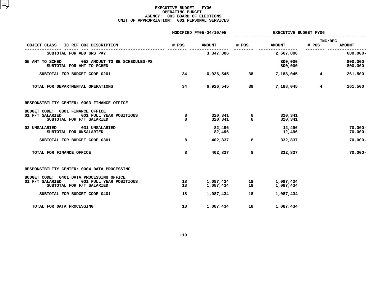|                                                                                                                     | MODIFIED FY05-04/10/05 |                        | <b>EXECUTIVE BUDGET FY06</b> |                        |                  |                          |
|---------------------------------------------------------------------------------------------------------------------|------------------------|------------------------|------------------------------|------------------------|------------------|--------------------------|
| IC REF OBJ DESCRIPTION<br>OBJECT CLASS                                                                              | # POS                  | <b>AMOUNT</b>          | # POS                        | <b>AMOUNT</b>          | INC/DEC<br># POS | <b>AMOUNT</b>            |
| SUBTOTAL FOR ADD GRS PAY                                                                                            |                        | 3,347,806              |                              | 2,667,806              |                  | 680,000-                 |
| 05 AMT TO SCHED<br>053 AMOUNT TO BE SCHEDULED-PS<br>SUBTOTAL FOR AMT TO SCHED                                       |                        |                        |                              | 800,000<br>800,000     |                  | 800,000<br>800,000       |
| SUBTOTAL FOR BUDGET CODE 0201                                                                                       | 34                     | 6,926,545              | 38                           | 7,188,045              | $4^{\circ}$      | 261,500                  |
| TOTAL FOR DEPARTMENTAL OPERATIONS                                                                                   | 34                     | 6,926,545              | 38                           | 7,188,045              | 4                | 261,500                  |
| RESPONSIBILITY CENTER: 0003 FINANCE OFFICE                                                                          |                        |                        |                              |                        |                  |                          |
| BUDGET CODE: 0301 FINANCE OFFICE<br>01 F/T SALARIED<br>001 FULL YEAR POSITIONS<br>SUBTOTAL FOR F/T SALARIED         | 8<br>8                 | 320,341<br>320,341     | 8<br>8                       | 320,341<br>320,341     |                  |                          |
| 03 UNSALARIED<br>031 UNSALARIED<br>SUBTOTAL FOR UNSALARIED                                                          |                        | 82,496<br>82,496       |                              | 12,496<br>12,496       |                  | $70,000 -$<br>$70,000 -$ |
| SUBTOTAL FOR BUDGET CODE 0301                                                                                       | 8                      | 402,837                | 8                            | 332,837                |                  | $70,000 -$               |
| TOTAL FOR FINANCE OFFICE                                                                                            | 8                      | 402,837                | 8                            | 332,837                |                  | $70,000 -$               |
| RESPONSIBILITY CENTER: 0004 DATA PROCESSING                                                                         |                        |                        |                              |                        |                  |                          |
| BUDGET CODE: 0401 DATA PROCESSING OFFICE<br>01 F/T SALARIED<br>001 FULL YEAR POSITIONS<br>SUBTOTAL FOR F/T SALARIED | 18<br>18               | 1,087,434<br>1,087,434 | 18<br>18                     | 1,087,434<br>1,087,434 |                  |                          |
| SUBTOTAL FOR BUDGET CODE 0401                                                                                       | 18                     | 1,087,434              | 18                           | 1,087,434              |                  |                          |
| TOTAL FOR DATA PROCESSING                                                                                           | 18                     | 1,087,434              | 18                           | 1,087,434              |                  |                          |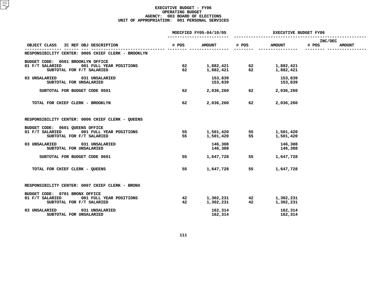|                                                                         | MODIFIED FY05-04/10/05 |                    | <b>EXECUTIVE BUDGET FY06</b> |                                                                                                                                |                  |               |
|-------------------------------------------------------------------------|------------------------|--------------------|------------------------------|--------------------------------------------------------------------------------------------------------------------------------|------------------|---------------|
| OBJECT CLASS IC REF OBJ DESCRIPTION                                     | # POS                  | <b>AMOUNT</b>      | # POS                        | <b>AMOUNT</b>                                                                                                                  | INC/DEC<br># POS | <b>AMOUNT</b> |
| RESPONSIBILITY CENTER: 0005 CHIEF CLERK - BROOKLYN                      |                        |                    |                              |                                                                                                                                |                  |               |
| BUDGET CODE: 0501 BROOKLYN OFFICE                                       |                        |                    |                              |                                                                                                                                |                  |               |
| 01 F/T SALARIED<br>001 FULL YEAR POSITIONS<br>SUBTOTAL FOR F/T SALARIED | 62                     |                    |                              | $\begin{array}{cccc} 1,882,421 & \qquad & 62 & \qquad & 1,882,421 \\ 1,882,421 & \qquad & 62 & \qquad & 1,882,421 \end{array}$ |                  |               |
| 03 UNSALARIED 031 UNSALARIED<br>SUBTOTAL FOR UNSALARIED                 |                        | 153,839<br>153,839 |                              | 153,839<br>153,839                                                                                                             |                  |               |
| SUBTOTAL FOR BUDGET CODE 0501                                           | 62                     | 2,036,260 62       |                              | 2,036,260                                                                                                                      |                  |               |
| TOTAL FOR CHIEF CLERK - BROOKLYN                                        | 62                     | 2,036,260          | 62                           | 2,036,260                                                                                                                      |                  |               |
| RESPONSIBILITY CENTER: 0006 CHIEF CLERK - QUEENS                        |                        |                    |                              |                                                                                                                                |                  |               |
| BUDGET CODE: 0601 QUEENS OFFICE                                         |                        |                    |                              |                                                                                                                                |                  |               |
| 01 F/T SALARIED<br>001 FULL YEAR POSITIONS<br>SUBTOTAL FOR F/T SALARIED | 55<br>55               | 1,501,420          |                              | 1,501,420 55 1,501,420<br>1,501,420 55 1,501,420<br>1,501,420                                                                  |                  |               |
| 031 UNSALARIED<br>03 UNSALARIED<br>SUBTOTAL FOR UNSALARIED              |                        | 146,308<br>146,308 |                              | 146,308<br>146,308                                                                                                             |                  |               |
| SUBTOTAL FOR BUDGET CODE 0601                                           | 55                     | 1,647,728          | 55                           | 1,647,728                                                                                                                      |                  |               |
| TOTAL FOR CHIEF CLERK - QUEENS                                          | 55                     | 1,647,728          | 55                           | 1,647,728                                                                                                                      |                  |               |
| RESPONSIBILITY CENTER: 0007 CHIEF CLERK - BRONX                         |                        |                    |                              |                                                                                                                                |                  |               |
| BUDGET CODE: 0701 BRONX OFFICE                                          |                        |                    |                              |                                                                                                                                |                  |               |
| 01 F/T SALARIED 001 FULL YEAR POSITIONS                                 | 42                     |                    |                              |                                                                                                                                |                  |               |
| SUBTOTAL FOR F/T SALARIED                                               | 42                     | 1,302,231          |                              | $1,302,231$<br>$1,302,231$<br>$42$<br>$1,302,231$<br>$42$<br>$1,302,231$                                                       |                  |               |
| 03 UNSALARIED<br>031 UNSALARIED                                         |                        | 162,314            |                              | 162,314                                                                                                                        |                  |               |
| SUBTOTAL FOR UNSALARIED                                                 |                        | 162,314            |                              | 162,314                                                                                                                        |                  |               |
|                                                                         |                        |                    |                              |                                                                                                                                |                  |               |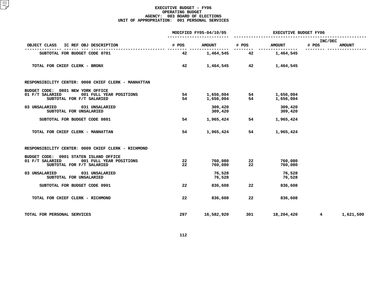|                                                                                                                   |          | MODIFIED FY05-04/10/05 | <b>EXECUTIVE BUDGET FY06</b> |                            |                  |               |
|-------------------------------------------------------------------------------------------------------------------|----------|------------------------|------------------------------|----------------------------|------------------|---------------|
| OBJECT CLASS IC REF OBJ DESCRIPTION                                                                               | # POS    | <b>AMOUNT</b>          | # POS                        | <b>AMOUNT</b>              | INC/DEC<br># POS | <b>AMOUNT</b> |
| SUBTOTAL FOR BUDGET CODE 0701                                                                                     | 42       | 1,464,545 42           |                              | -------------<br>1,464,545 |                  |               |
| TOTAL FOR CHIEF CLERK - BRONX                                                                                     | 42       |                        | 1,464,545 42                 | 1,464,545                  |                  |               |
| RESPONSIBILITY CENTER: 0008 CHIEF CLERK - MANHATTAN                                                               |          |                        |                              |                            |                  |               |
| BUDGET CODE: 0801 NEW YORK OFFICE<br>001 FULL YEAR POSITIONS<br>01 F/T SALARIED<br>SUBTOTAL FOR F/T SALARIED      | 54<br>54 | 1,656,004<br>1,656,004 | 54<br>54                     | 1,656,004<br>1,656,004     |                  |               |
| 03 UNSALARIED<br>031 UNSALARIED<br>SUBTOTAL FOR UNSALARIED                                                        |          | 309,420<br>309,420     |                              | 309,420<br>309,420         |                  |               |
| SUBTOTAL FOR BUDGET CODE 0801                                                                                     | 54       | 1,965,424              | 54                           | 1,965,424                  |                  |               |
| TOTAL FOR CHIEF CLERK - MANHATTAN                                                                                 | 54       | 1,965,424              | 54                           | 1,965,424                  |                  |               |
| RESPONSIBILITY CENTER: 0009 CHIEF CLERK - RICHMOND                                                                |          |                        |                              |                            |                  |               |
| BUDGET CODE: 0901 STATEN ISLAND OFFICE<br>01 F/T SALARIED<br>001 FULL YEAR POSITIONS<br>SUBTOTAL FOR F/T SALARIED | 22<br>22 | 760,080<br>760,080     | 22<br>22                     | 760,080<br>760,080         |                  |               |
| 031 UNSALARIED<br>03 UNSALARIED<br>SUBTOTAL FOR UNSALARIED                                                        |          | 76,528<br>76,528       |                              | 76,528<br>76,528           |                  |               |
| SUBTOTAL FOR BUDGET CODE 0901                                                                                     | 22       | 836,608                | 22                           | 836,608                    |                  |               |
| TOTAL FOR CHIEF CLERK - RICHMOND                                                                                  | 22       | 836,608                | 22                           | 836,608                    |                  |               |
| TOTAL FOR PERSONAL SERVICES                                                                                       | 297      | 16,582,920             | 301                          | 18,204,420                 | $4^{\circ}$      | 1,621,500     |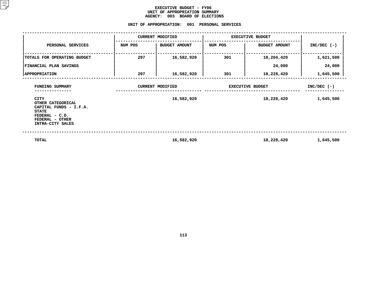#### **EXECUTIVE BUDGET - FY06 UNIT OF APPROPRIATION SUMMARY AGENCY:**

# **<sup>003</sup> BOARD OF ELECTIONS UNIT**

|                                                                                                                              | UNIT OF APPROPRIATION: |                         | 001 PERSONAL SERVICES   |                         |               |
|------------------------------------------------------------------------------------------------------------------------------|------------------------|-------------------------|-------------------------|-------------------------|---------------|
|                                                                                                                              |                        | <b>CURRENT MODIFIED</b> |                         | <b>EXECUTIVE BUDGET</b> |               |
| PERSONAL SERVICES                                                                                                            | NUM POS                | <b>BUDGET AMOUNT</b>    | NUM POS                 | <b>BUDGET AMOUNT</b>    | $INC/DEC$ (-) |
| TOTALS FOR OPERATING BUDGET                                                                                                  | 297                    | 16,582,920              | 301                     | 18,204,420              | 1,621,500     |
| FINANCIAL PLAN SAVINGS                                                                                                       |                        |                         |                         | 24,000                  | 24,000        |
| <b>APPROPRIATION</b>                                                                                                         | 297                    | 16,582,920              | 301                     | 18,228,420              | 1,645,500     |
| FUNDING SUMMARY                                                                                                              |                        | <b>CURRENT MODIFIED</b> | <b>EXECUTIVE BUDGET</b> | $INC/DEC$ (-)           |               |
| CITY<br>OTHER CATEGORICAL<br>CAPITAL FUNDS - I.F.A.<br><b>STATE</b><br>FEDERAL - C.D.<br>FEDERAL - OTHER<br>INTRA-CITY SALES |                        | 16,582,920              |                         | 18,228,420              | 1,645,500     |
| TOTAL                                                                                                                        |                        | 16,582,920              |                         | 18,228,420              | 1,645,500     |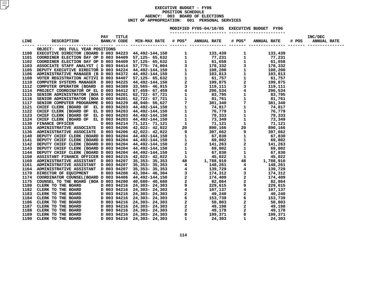#### **EXECUTIVE BUDGET - FY06 POSITIONN SCHEDULE<br>BOARD OF E<br><mark>:</mark> 001 PE AGENCY: <sup>003</sup> BOARD OF ELECTIONS UNITOF APPROPRIATION: <sup>001</sup> PERSONAL SERVICES MODIFIED**

**FY05-04/10/05 EXECUTIVE BUDGET FY06 -----------------------**

| OBJECT: 001 FULL YEAR POSITIONS                                                                                                                                                                                                               |  |  |  |  |  |
|-----------------------------------------------------------------------------------------------------------------------------------------------------------------------------------------------------------------------------------------------|--|--|--|--|--|
|                                                                                                                                                                                                                                               |  |  |  |  |  |
|                                                                                                                                                                                                                                               |  |  |  |  |  |
|                                                                                                                                                                                                                                               |  |  |  |  |  |
|                                                                                                                                                                                                                                               |  |  |  |  |  |
|                                                                                                                                                                                                                                               |  |  |  |  |  |
|                                                                                                                                                                                                                                               |  |  |  |  |  |
|                                                                                                                                                                                                                                               |  |  |  |  |  |
|                                                                                                                                                                                                                                               |  |  |  |  |  |
|                                                                                                                                                                                                                                               |  |  |  |  |  |
|                                                                                                                                                                                                                                               |  |  |  |  |  |
|                                                                                                                                                                                                                                               |  |  |  |  |  |
|                                                                                                                                                                                                                                               |  |  |  |  |  |
|                                                                                                                                                                                                                                               |  |  |  |  |  |
|                                                                                                                                                                                                                                               |  |  |  |  |  |
|                                                                                                                                                                                                                                               |  |  |  |  |  |
|                                                                                                                                                                                                                                               |  |  |  |  |  |
|                                                                                                                                                                                                                                               |  |  |  |  |  |
|                                                                                                                                                                                                                                               |  |  |  |  |  |
|                                                                                                                                                                                                                                               |  |  |  |  |  |
|                                                                                                                                                                                                                                               |  |  |  |  |  |
|                                                                                                                                                                                                                                               |  |  |  |  |  |
|                                                                                                                                                                                                                                               |  |  |  |  |  |
|                                                                                                                                                                                                                                               |  |  |  |  |  |
|                                                                                                                                                                                                                                               |  |  |  |  |  |
|                                                                                                                                                                                                                                               |  |  |  |  |  |
|                                                                                                                                                                                                                                               |  |  |  |  |  |
|                                                                                                                                                                                                                                               |  |  |  |  |  |
|                                                                                                                                                                                                                                               |  |  |  |  |  |
|                                                                                                                                                                                                                                               |  |  |  |  |  |
|                                                                                                                                                                                                                                               |  |  |  |  |  |
|                                                                                                                                                                                                                                               |  |  |  |  |  |
|                                                                                                                                                                                                                                               |  |  |  |  |  |
|                                                                                                                                                                                                                                               |  |  |  |  |  |
|                                                                                                                                                                                                                                               |  |  |  |  |  |
|                                                                                                                                                                                                                                               |  |  |  |  |  |
|                                                                                                                                                                                                                                               |  |  |  |  |  |
|                                                                                                                                                                                                                                               |  |  |  |  |  |
|                                                                                                                                                                                                                                               |  |  |  |  |  |
|                                                                                                                                                                                                                                               |  |  |  |  |  |
|                                                                                                                                                                                                                                               |  |  |  |  |  |
|                                                                                                                                                                                                                                               |  |  |  |  |  |
|                                                                                                                                                                                                                                               |  |  |  |  |  |
|                                                                                                                                                                                                                                               |  |  |  |  |  |
| 2002<br>CRIPT: 101 FULL TRA POSITIONS<br>CRIPT: 101 FULL TRA POSITIONS<br>2002<br>CRIPT: 101 FULL TRA POSITIONS<br>2002<br>2003 MACHINERY MARGENT ON DOS 9440 9 77.125- 67,622<br>2010 MACHINERY (MARGENT ON DOS 94440 9 77.125- 67,622<br>20 |  |  |  |  |  |
|                                                                                                                                                                                                                                               |  |  |  |  |  |
|                                                                                                                                                                                                                                               |  |  |  |  |  |
|                                                                                                                                                                                                                                               |  |  |  |  |  |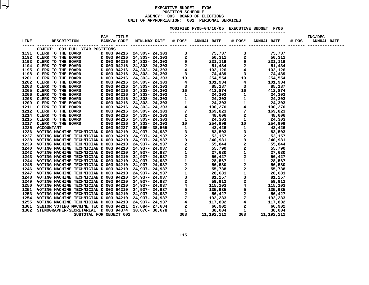#### **EXECUTIVE BUDGET - FY06 POSITIONN SCHEDULE<br>BOARD OF E<br><mark>:</mark> 001 PE AGENCY: <sup>003</sup> BOARD OF ELECTIONS UNITOF APPROPRIATION: <sup>001</sup> PERSONAL SERVICES MODIFIED**

**FY05-04/10/05 EXECUTIVE BUDGET FY06 -----------------------**

| OBJECT: 001 FULL YEAR POSITIONS |  |  |  |  |
|---------------------------------|--|--|--|--|
|                                 |  |  |  |  |
|                                 |  |  |  |  |
|                                 |  |  |  |  |
|                                 |  |  |  |  |
|                                 |  |  |  |  |
|                                 |  |  |  |  |
|                                 |  |  |  |  |
|                                 |  |  |  |  |
|                                 |  |  |  |  |
|                                 |  |  |  |  |
|                                 |  |  |  |  |
|                                 |  |  |  |  |
|                                 |  |  |  |  |
|                                 |  |  |  |  |
|                                 |  |  |  |  |
|                                 |  |  |  |  |
|                                 |  |  |  |  |
|                                 |  |  |  |  |
|                                 |  |  |  |  |
|                                 |  |  |  |  |
|                                 |  |  |  |  |
|                                 |  |  |  |  |
|                                 |  |  |  |  |
|                                 |  |  |  |  |
|                                 |  |  |  |  |
|                                 |  |  |  |  |
|                                 |  |  |  |  |
|                                 |  |  |  |  |
|                                 |  |  |  |  |
|                                 |  |  |  |  |
|                                 |  |  |  |  |
|                                 |  |  |  |  |
|                                 |  |  |  |  |
|                                 |  |  |  |  |
|                                 |  |  |  |  |
|                                 |  |  |  |  |
|                                 |  |  |  |  |
|                                 |  |  |  |  |
|                                 |  |  |  |  |
|                                 |  |  |  |  |
|                                 |  |  |  |  |
|                                 |  |  |  |  |
|                                 |  |  |  |  |
|                                 |  |  |  |  |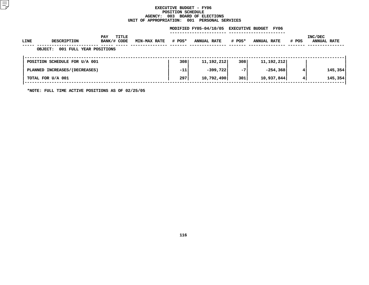#### **EXECUTIVE BUDGET - FY06 POSITIONN SCHEDULE<br>BOARD OF E<br><mark>:</mark> 001 PE AGENCY: <sup>003</sup> BOARD OF ELECTIONS UNIT**

| UNIT OF APPROPRIATION:<br>001<br><b>PERSONAL SERVICES</b> |                                           |                             |                     |        |                        |        |                                 |       |                               |
|-----------------------------------------------------------|-------------------------------------------|-----------------------------|---------------------|--------|------------------------|--------|---------------------------------|-------|-------------------------------|
|                                                           |                                           |                             |                     |        | MODIFIED FY05-04/10/05 |        | <b>EXECUTIVE BUDGET</b><br>FY06 |       |                               |
| LINE                                                      | <b>DESCRIPTION</b>                        | TITLE<br>PAY<br>BANK/# CODE | <b>MIN-MAX RATE</b> | # POS* | <b>ANNUAL RATE</b>     | # POS* | <b>ANNUAL RATE</b>              | # POS | INC/DEC<br><b>ANNUAL RATE</b> |
|                                                           | 001 FULL YEAR POSITIONS<br><b>OBJECT:</b> |                             |                     |        |                        |        |                                 |       |                               |
|                                                           | POSITION SCHEDULE FOR U/A 001             |                             |                     | 308    | 11, 192, 212           | 308    | 11, 192, 212                    |       |                               |
|                                                           | PLANNED INCREASES/(DECREASES)             |                             |                     | $-11$  | $-399,722$             | $-7$   | $-254, 368$                     | 4     | 145,354                       |
|                                                           | TOTAL FOR U/A 001                         |                             |                     | 297    | 10,792,490             | 301    | 10,937,844                      | 4     | 145,354                       |
|                                                           |                                           |                             |                     |        |                        |        |                                 |       |                               |

**\*NOTE: FULL TIME ACTIVE POSITIONS AS OF 02/25/05**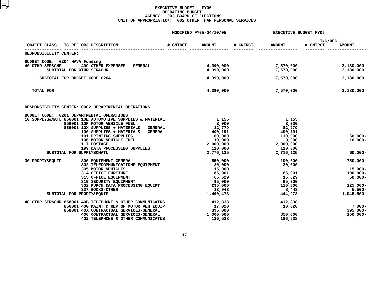|                                                                                                        |          | MODIFIED FY05-04/10/05    | EXECUTIVE BUDGET FY06 |                        |                                      |  |
|--------------------------------------------------------------------------------------------------------|----------|---------------------------|-----------------------|------------------------|--------------------------------------|--|
| IC REF OBJ DESCRIPTION<br>OBJECT CLASS                                                                 | # CNTRCT | # CNTRCT<br><b>AMOUNT</b> |                       | <b>AMOUNT</b>          | INC/DEC<br># CNTRCT<br><b>AMOUNT</b> |  |
| RESPONSIBILITY CENTER:                                                                                 |          |                           |                       |                        |                                      |  |
| BUDGET CODE: 0204 HAVA Funding                                                                         |          |                           |                       |                        |                                      |  |
| 499 OTHER EXPENSES - GENERAL<br><b>40 OTHR SER&amp;CHR</b><br>SUBTOTAL FOR OTHR SER&CHR                |          | 4,390,000<br>4,390,000    |                       | 7,570,000<br>7,570,000 | 3,180,000<br>3,180,000               |  |
| SUBTOTAL FOR BUDGET CODE 0204                                                                          |          | 4,390,000                 |                       | 7,570,000              | 3,180,000                            |  |
| TOTAL FOR                                                                                              |          | 4,390,000                 |                       | 7,570,000              | 3,180,000                            |  |
| RESPONSIBILITY CENTER: 0002 DEPARTMENTAL OPERATIONS                                                    |          |                           |                       |                        |                                      |  |
| BUDGET CODE: 0201 DEPARTMENTAL OPERATIONS<br>10 SUPPLYS&MATL 856001 10E AUTOMOTIVE SUPPLIES & MATERIAL |          | 1,155                     |                       | 1,155                  |                                      |  |
| 856001 10F MOTOR VEHICLE FUEL                                                                          |          | 3,000                     |                       | 3,000                  |                                      |  |
| 856001 10X SUPPLIES + MATERIALS - GENERAL                                                              |          | 82,779                    |                       | 82,779                 |                                      |  |
| 100 SUPPLIES + MATERIALS - GENERAL                                                                     |          | 400,191                   |                       | 400,191                |                                      |  |
| 101 PRINTING SUPPLIES                                                                                  |          | 160,000                   |                       | 110,000                | $50,000 -$                           |  |
| 106 MOTOR VEHICLE FUEL                                                                                 |          | 19,000                    |                       | 9,000                  | $10,000 -$                           |  |
| 117 POSTAGE                                                                                            |          | 2,000,000                 |                       | 2,000,000              |                                      |  |
| 199 DATA PROCESSING SUPPLIES                                                                           |          | 110,000<br>2,776,125      |                       | 110,000<br>2,716,125   | $60,000 -$                           |  |
| SUBTOTAL FOR SUPPLYS&MATL                                                                              |          |                           |                       |                        |                                      |  |
| 30 PROPTY&EQUIP<br>300 EQUIPMENT GENERAL                                                               |          | 850,000                   |                       | 100,000                | $750,000 -$                          |  |
| 302 TELECOMMUNICATIONS EQUIPMENT                                                                       |          | 30,000                    |                       | 30,000                 |                                      |  |
| 305 MOTOR VEHICLES                                                                                     |          | 15,000                    |                       |                        | $15,000 -$                           |  |
| <b>314 OFFICE FURITURE</b>                                                                             |          | 185,901                   |                       | 85,901                 | $100,000 -$                          |  |
| 315 OFFICE EQUIPMENT                                                                                   |          | 65,629                    |                       | 15,629                 | $50,000 -$                           |  |
| 319 SECURITY EQUIPMENT<br>332 PURCH DATA PROCESSING EQUIPT                                             |          | 95,000<br>235,000         |                       | 95,000<br>110,000      | $125,000 -$                          |  |
| 337 BOOKS-OTHER                                                                                        |          | 13,943                    |                       | 8,443                  | $5,500 -$                            |  |
| SUBTOTAL FOR PROPTY&EQUIP                                                                              |          | 1,490,473                 |                       | 444,973                | $1,045,500-$                         |  |
| 40 OTHR SER&CHR 858001 40B TELEPHONE & OTHER COMMUNICATNS                                              |          | 412,838                   |                       | 412,838                |                                      |  |
| 856001 40G MAINT & REP OF MOTOR VEH EQUIP                                                              |          | 17,020                    |                       | 10,020                 | $7.000 -$                            |  |
| 858001 40X CONTRACTUAL SERVICES-GENERAL                                                                |          | 395,000                   |                       |                        | $395,000 -$                          |  |
| 400 CONTRACTUAL SERVICES-GENERAL                                                                       |          | 1,000,000                 |                       | 850,000                | $150,000 -$                          |  |
| 402 TELEPHONE & OTHER COMMUNICATNS                                                                     |          | 186,538                   |                       | 186,538                |                                      |  |
|                                                                                                        |          |                           |                       |                        |                                      |  |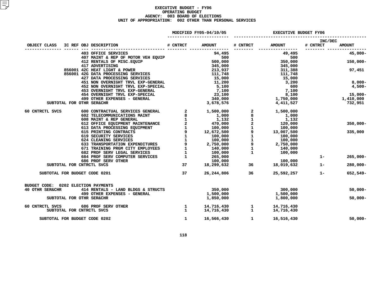|                                                                                                                                                                                                                                                                                                          |                               | MODIFIED FY05-04/10/05                 | <b>EXECUTIVE BUDGET FY06</b>      |                                               |                     |                        |
|----------------------------------------------------------------------------------------------------------------------------------------------------------------------------------------------------------------------------------------------------------------------------------------------------------|-------------------------------|----------------------------------------|-----------------------------------|-----------------------------------------------|---------------------|------------------------|
| IC REF OBJ DESCRIPTION<br>OBJECT CLASS                                                                                                                                                                                                                                                                   | # CNTRCT                      | <b>AMOUNT</b>                          | # CNTRCT                          | <b>AMOUNT</b>                                 | INC/DEC<br># CNTRCT | <b>AMOUNT</b>          |
|                                                                                                                                                                                                                                                                                                          |                               |                                        |                                   | 49,495                                        |                     | $45,000 -$             |
|                                                                                                                                                                                                                                                                                                          |                               |                                        |                                   | 500<br>350,000<br>345,000                     |                     | $150,000 -$            |
| 403 OFFICE SERVICES<br>407 MAINT & REP OF MOTOR VEH EQUIP<br>412 RENTALS OF MISC.EQUIP<br>417 ADVERTISING<br>417 ADVERTISING<br>417 ADVERTISING<br>417 ADVERTISING<br>421,748<br>417 ADVERTISING<br>856001 42C HEAT LIGHT & POWER<br>856001 42G DATA PROCESSING SERVICES<br>427 DATA PROCESSING SERVICES |                               | 111,748<br>15,000                      |                                   | 311,388<br>111,748                            |                     | 97,451                 |
| 451 NON OVERNIGHT TRVL EXP-GENERAL<br>452 NON OVERNIGHT TRVL EXP-SPECIAL                                                                                                                                                                                                                                 |                               | 11,200<br>5,100                        |                                   | 15,000<br>3,200<br>600                        |                     | 8,000-<br>$4,500-$     |
| 453 OVERNIGHT TRVL EXP-GENERAL<br>454 OVERNIGHT TRVL EXP-SPECIAL<br>499 OTHER EXPENSES - GENERAL                                                                                                                                                                                                         |                               | 7,100<br>23,100<br>340,000             |                                   | 7,100<br>8,100<br>1,750,000                   |                     | $15,000-$<br>1,410,000 |
| SUBTOTAL FOR OTHR SER&CHR                                                                                                                                                                                                                                                                                |                               | 3,678,576                              |                                   | 4,411,527                                     |                     | 732,951                |
| 600 CONTRACTUAL SERVICES GENERAL<br>60 CNTRCTL SVCS                                                                                                                                                                                                                                                      | $\overline{\mathbf{2}}$       | 1,500,000                              | $\mathbf 1$                       | 1,500,000<br>1,000<br>1,132                   |                     |                        |
|                                                                                                                                                                                                                                                                                                          |                               |                                        | $\overline{a}$<br>$\mathbf{1}$    | 120,000<br>$100,000$<br>100,000<br>13,007.500 |                     | $350,000 -$            |
|                                                                                                                                                                                                                                                                                                          |                               |                                        | $\mathbf{1}$<br>$\mathbf 1$       | 100,000<br>100,000                            |                     | 335,000                |
|                                                                                                                                                                                                                                                                                                          |                               |                                        | 9<br>$\mathbf{1}$<br>$\mathbf{1}$ | 2,750,000<br>$140,000$<br>$100,000$           |                     |                        |
| 684 PROF SERV COMPUTER SERVICES 1<br>686 PROF SERV OTHER                                                                                                                                                                                                                                                 |                               | $265,000$<br>$100,000$<br>$18,299,632$ |                                   | 100,000                                       | $1 -$               | $265,000 -$            |
| SUBTOTAL FOR CNTRCTL SVCS                                                                                                                                                                                                                                                                                | 37                            |                                        | 36                                | 18,019,632                                    | $1 -$               | $280,000 -$            |
| SUBTOTAL FOR BUDGET CODE 0201                                                                                                                                                                                                                                                                            | 37                            | 26,244,806 36                          |                                   | 25,592,257                                    | $1 -$               | 652,549-               |
| BUDGET CODE: 0202 ELECTION PAYMENTS<br><b>40 OTHR SER&amp;CHR</b><br>414 RENTALS - LAND BLDGS & STRUCTS                                                                                                                                                                                                  |                               | 350,000                                |                                   | 300,000                                       |                     | $50,000 -$             |
| 499 OTHER EXPENSES - GENERAL<br>SUBTOTAL FOR OTHR SER&CHR                                                                                                                                                                                                                                                |                               | 1,500,000<br>1,850,000                 |                                   | 1,500,000<br>1,800,000                        |                     | $50,000 -$             |
| 60 CNTRCTL SVCS 686 PROF SERV OTHER<br>SUBTOTAL FOR CNTRCTL SVCS                                                                                                                                                                                                                                         | $\frac{1}{2}$<br>$\mathbf{1}$ | 14,716,430<br>14,716,430               | $\mathbf{1}$<br>$\mathbf{1}$      | 14,716,430<br>14,716,430                      |                     |                        |
| SUBTOTAL FOR BUDGET CODE 0202                                                                                                                                                                                                                                                                            | $\mathbf{1}$                  | 16,566,430                             | $\mathbf{1}$                      | 16,516,430                                    |                     | $50,000 -$             |
|                                                                                                                                                                                                                                                                                                          |                               |                                        |                                   |                                               |                     |                        |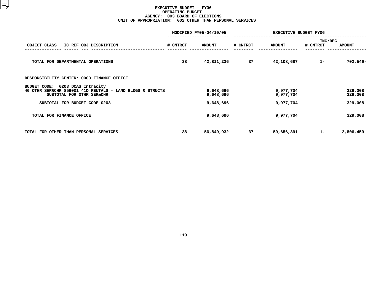|                                                           |          | MODIFIED FY05-04/10/05 | <b>EXECUTIVE BUDGET FY06</b> |               |          |               |  |
|-----------------------------------------------------------|----------|------------------------|------------------------------|---------------|----------|---------------|--|
|                                                           |          |                        |                              |               |          | INC/DEC       |  |
| OBJECT CLASS<br>IC REF OBJ DESCRIPTION                    | # CNTRCT | <b>AMOUNT</b>          | # CNTRCT                     | <b>AMOUNT</b> | # CNTRCT | <b>AMOUNT</b> |  |
|                                                           |          |                        |                              |               |          |               |  |
| TOTAL FOR DEPARTMENTAL OPERATIONS                         | 38       | 42,811,236             | 37                           | 42,108,687    | $1 -$    | $702,549-$    |  |
|                                                           |          |                        |                              |               |          |               |  |
| RESPONSIBILITY CENTER: 0003 FINANCE OFFICE                |          |                        |                              |               |          |               |  |
| 0203 DCAS Intracity<br>BUDGET CODE:                       |          |                        |                              |               |          |               |  |
| 40 OTHR SER&CHR 856001 41D RENTALS - LAND BLDGS & STRUCTS |          | 9,648,696              |                              | 9,977,704     |          | 329,008       |  |
| SUBTOTAL FOR OTHR SER&CHR                                 |          | 9,648,696              |                              | 9,977,704     |          | 329,008       |  |
| SUBTOTAL FOR BUDGET CODE 0203                             |          | 9,648,696              |                              | 9,977,704     |          | 329,008       |  |
| TOTAL FOR FINANCE OFFICE                                  |          | 9,648,696              |                              | 9,977,704     |          | 329,008       |  |
|                                                           |          |                        |                              |               |          |               |  |
|                                                           |          |                        |                              |               |          |               |  |
| TOTAL FOR OTHER THAN PERSONAL SERVICES                    | 38       | 56,849,932             | 37                           | 59,656,391    | $1 -$    | 2,806,459     |  |
|                                                           |          |                        |                              |               |          |               |  |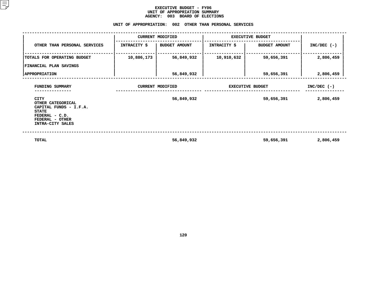#### **EXECUTIVE BUDGET - FY06 UNIT OF APPROPRIATION SUMMARY AGENCY:**

|                                                                                                                                     |              | AGENCY: 003 BOARD OF ELECTIONS<br>UNIT OF APPROPRIATION: 002 OTHER THAN PERSONAL SERVICES |                         |                         |               |  |
|-------------------------------------------------------------------------------------------------------------------------------------|--------------|-------------------------------------------------------------------------------------------|-------------------------|-------------------------|---------------|--|
|                                                                                                                                     |              | <b>CURRENT MODIFIED</b>                                                                   |                         | <b>EXECUTIVE BUDGET</b> |               |  |
| OTHER THAN PERSONAL SERVICES                                                                                                        | INTRACITY \$ | <b>BUDGET AMOUNT</b>                                                                      | <b>INTRACITY \$</b>     | <b>BUDGET AMOUNT</b>    | $INC/DEC$ (-) |  |
| TOTALS FOR OPERATING BUDGET                                                                                                         | 10,886,173   | 56,849,932                                                                                | 10,910,632              | 59,656,391              | 2,806,459     |  |
| FINANCIAL PLAN SAVINGS                                                                                                              |              |                                                                                           |                         |                         |               |  |
| <b>APPROPRIATION</b>                                                                                                                |              | 56,849,932                                                                                |                         | 59,656,391              | 2,806,459     |  |
| FUNDING SUMMARY                                                                                                                     |              | <b>CURRENT MODIFIED</b>                                                                   | <b>EXECUTIVE BUDGET</b> | $INC/DEC$ (-)           |               |  |
| <b>CITY</b><br>OTHER CATEGORICAL<br>CAPITAL FUNDS - I.F.A.<br><b>STATE</b><br>FEDERAL - C.D.<br>FEDERAL - OTHER<br>INTRA-CITY SALES |              | 56,849,932                                                                                |                         | 59,656,391              | 2,806,459     |  |
| TOTAL                                                                                                                               |              | 56,849,932                                                                                |                         | 59,656,391              | 2,806,459     |  |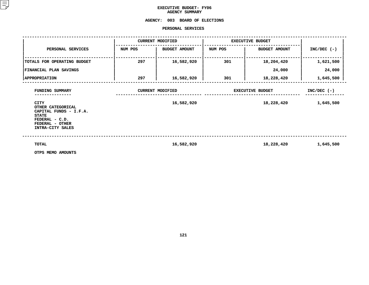## **EXECUTIVE BUDGET- FY06 AGENCY**

## **AGENCY SUMMARY<br>AGENCY: 003 BOARD OF <sup>003</sup> BOARD OF ELECTIONS PERSONAL**

|                                                                                                                                                        |         | PERSONAL SERVICES                     |                         |                            |               |
|--------------------------------------------------------------------------------------------------------------------------------------------------------|---------|---------------------------------------|-------------------------|----------------------------|---------------|
|                                                                                                                                                        |         | <b>CURRENT MODIFIED</b>               |                         | <b>EXECUTIVE BUDGET</b>    |               |
| PERSONAL SERVICES                                                                                                                                      | NUM POS | <b>BUDGET AMOUNT</b>                  | NUM POS                 | <b>BUDGET AMOUNT</b>       | $INC/DEC$ (-) |
| TOTALS FOR OPERATING BUDGET                                                                                                                            | 297     | 16,582,920                            | 301                     | 18,204,420                 | 1,621,500     |
| FINANCIAL PLAN SAVINGS                                                                                                                                 |         |                                       |                         | 24,000                     | 24,000        |
| <b>APPROPRIATION</b>                                                                                                                                   | 297     | 16,582,920                            | 301                     | 18,228,420                 | 1,645,500     |
| FUNDING SUMMARY<br><b>CITY</b><br>OTHER CATEGORICAL<br>CAPITAL FUNDS - I.F.A.<br><b>STATE</b><br>FEDERAL - C.D.<br>FEDERAL - OTHER<br>INTRA-CITY SALES |         | <b>CURRENT MODIFIED</b><br>16,582,920 | <b>EXECUTIVE BUDGET</b> | $INC/DEC$ (-)<br>1,645,500 |               |
| <b>TOTAL</b><br>OTPS MEMO AMOUNTS                                                                                                                      |         | 16,582,920                            |                         | 18,228,420                 | 1,645,500     |

**OTPS MEMO AMOUNTS**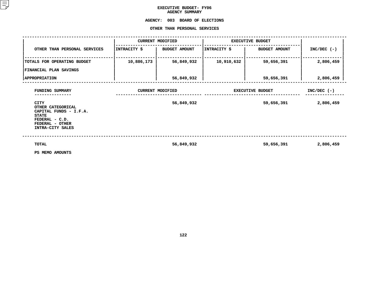## **EXECUTIVE BUDGET- FY06 AGENCY**

**AGENCY SUMMARY<br>AGENCY: 003 BOARD OF <sup>003</sup> BOARD OF ELECTIONS OTHER**

|                                                                                                                                     |              | OTHER THAN PERSONAL SERVICES |                         |                         |               |  |
|-------------------------------------------------------------------------------------------------------------------------------------|--------------|------------------------------|-------------------------|-------------------------|---------------|--|
|                                                                                                                                     |              | <b>CURRENT MODIFIED</b>      |                         | <b>EXECUTIVE BUDGET</b> |               |  |
| OTHER THAN PERSONAL SERVICES                                                                                                        | INTRACITY \$ | <b>BUDGET AMOUNT</b>         | INTRACITY \$            | <b>BUDGET AMOUNT</b>    | $INC/DEC$ (-) |  |
| TOTALS FOR OPERATING BUDGET                                                                                                         | 10,886,173   | 56,849,932                   | 10,910,632              | 59,656,391              | 2,806,459     |  |
| <b>FINANCIAL PLAN SAVINGS</b>                                                                                                       |              |                              |                         |                         |               |  |
| <b>APPROPRIATION</b>                                                                                                                |              | 56,849,932                   |                         | 59,656,391              | 2,806,459     |  |
| FUNDING SUMMARY                                                                                                                     |              | <b>CURRENT MODIFIED</b>      | <b>EXECUTIVE BUDGET</b> | $INC/DEC$ (-)           |               |  |
| <b>CITY</b><br>OTHER CATEGORICAL<br>CAPITAL FUNDS - I.F.A.<br><b>STATE</b><br>FEDERAL - C.D.<br>FEDERAL - OTHER<br>INTRA-CITY SALES |              | 56,849,932                   |                         | 59,656,391              | 2,806,459     |  |
| TOTAL<br>PS MEMO AMOUNTS                                                                                                            |              | 56,849,932                   |                         | 59,656,391              | 2,806,459     |  |

**PS MEMO AMOUNTS**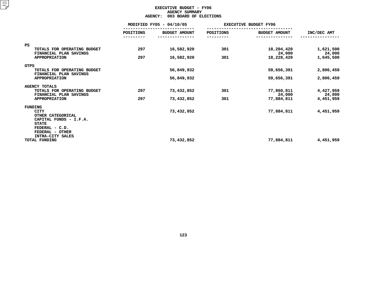## **EXECUTIVE BUDGET - FY06 AGENCYY SUMMARY<br>OARD OF E<br>...**

|                                                                                              |                          | <b>AGENCY:</b><br>003 BOARD OF ELECTIONS |                              |                      |                     |
|----------------------------------------------------------------------------------------------|--------------------------|------------------------------------------|------------------------------|----------------------|---------------------|
|                                                                                              | MODIFIED FY05 - 04/10/05 |                                          | <b>EXECUTIVE BUDGET FY06</b> |                      |                     |
|                                                                                              | <b>POSITIONS</b>         | <b>BUDGET AMOUNT</b>                     | POSITIONS                    | <b>BUDGET AMOUNT</b> | INC/DEC AMT         |
| PS                                                                                           |                          |                                          |                              |                      |                     |
| TOTALS FOR OPERATING BUDGET<br>FINANCIAL PLAN SAVINGS                                        | 297                      | 16,582,920                               | 301                          | 18,204,420<br>24,000 | 1,621,500<br>24,000 |
| <b>APPROPRIATION</b>                                                                         | 297                      | 16,582,920                               | 301                          | 18,228,420           | 1,645,500           |
| <b>OTPS</b>                                                                                  |                          |                                          |                              |                      |                     |
| TOTALS FOR OPERATING BUDGET<br>FINANCIAL PLAN SAVINGS                                        |                          | 56,849,932                               |                              | 59,656,391           | 2,806,459           |
| <b>APPROPRIATION</b>                                                                         |                          | 56,849,932                               |                              | 59,656,391           | 2,806,459           |
| <b>AGENCY TOTALS</b>                                                                         |                          |                                          |                              |                      |                     |
| TOTALS FOR OPERATING BUDGET<br>FINANCIAL PLAN SAVINGS                                        | 297                      | 73,432,852                               | 301                          | 77,860,811<br>24,000 | 4,427,959<br>24,000 |
| <b>APPROPRIATION</b>                                                                         | 297                      | 73,432,852                               | 301                          | 77,884,811           | 4,451,959           |
| FUNDING                                                                                      |                          |                                          |                              |                      |                     |
| <b>CITY</b><br>OTHER CATEGORICAL<br>CAPITAL FUNDS - I.F.A.<br><b>STATE</b><br>FEDERAL - C.D. |                          | 73,432,852                               |                              | 77,884,811           | 4,451,959           |
| FEDERAL - OTHER<br>INTRA-CITY SALES                                                          |                          |                                          |                              |                      |                     |
| TOTAL FUNDING                                                                                |                          | 73,432,852                               |                              | 77,884,811           | 4,451,959           |
|                                                                                              |                          |                                          |                              |                      |                     |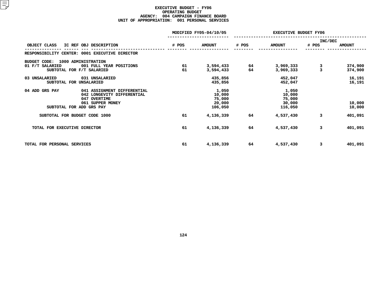## **EXECUTIVE BUDGET - FY06 OPERATINGG BUDGET<br>AIGN FIN<br>1 PERSON AGENCY: <sup>004</sup> CAMPAIGN FINANCE BOARD UNIT OF APPROPRIATION: <sup>001</sup> PERSONAL SERVICES**

|                                                | MODIFIED FY05-04/10/05 |               |       | <b>EXECUTIVE BUDGET FY06</b> |              |               |  |
|------------------------------------------------|------------------------|---------------|-------|------------------------------|--------------|---------------|--|
|                                                |                        |               |       |                              | INC/DEC      |               |  |
| OBJECT CLASS<br>IC REF OBJ DESCRIPTION         | # POS                  | <b>AMOUNT</b> | # POS | <b>AMOUNT</b>                | # POS        | <b>AMOUNT</b> |  |
| RESPONSIBILITY CENTER: 0001 EXECUTIVE DIRECTOR |                        |               |       |                              |              |               |  |
| <b>BUDGET CODE:</b><br>1000 ADMINISTRATION     |                        |               |       |                              |              |               |  |
| 01 F/T SALARIED<br>001 FULL YEAR POSITIONS     | 61                     | 3,594,433     | 64    | 3,969,333                    | 3            | 374,900       |  |
| SUBTOTAL FOR F/T SALARIED                      | 61                     | 3,594,433     | 64    | 3,969,333                    | $\mathbf{a}$ | 374,900       |  |
| 03 UNSALARIED<br>031 UNSALARIED                |                        | 435,856       |       | 452,047                      |              | 16,191        |  |
| SUBTOTAL FOR UNSALARIED                        |                        | 435,856       |       | 452,047                      |              | 16,191        |  |
| 041 ASSIGNMENT DIFFERENTIAL<br>04 ADD GRS PAY  |                        | 1,050         |       | 1,050                        |              |               |  |
| 042 LONGEVITY DIFFERENTIAL                     |                        | 10,000        |       | 10,000                       |              |               |  |
| 047 OVERTIME                                   |                        | 75,000        |       | 75,000                       |              |               |  |
| 061 SUPPER MONEY                               |                        | 20,000        |       | 30,000                       |              | 10,000        |  |
| SUBTOTAL FOR ADD GRS PAY                       |                        | 106,050       |       | 116,050                      |              | 10,000        |  |
| SUBTOTAL FOR BUDGET CODE 1000                  | 61                     | 4,136,339     | 64    | 4,537,430                    | 3            | 401,091       |  |
| TOTAL FOR EXECUTIVE DIRECTOR                   | 61                     | 4,136,339     | 64    | 4,537,430                    | 3            | 401,091       |  |
|                                                |                        |               |       |                              |              |               |  |
| TOTAL FOR PERSONAL SERVICES                    | 61                     | 4,136,339     | 64    | 4,537,430                    | 3            | 401,091       |  |
|                                                |                        |               |       |                              |              |               |  |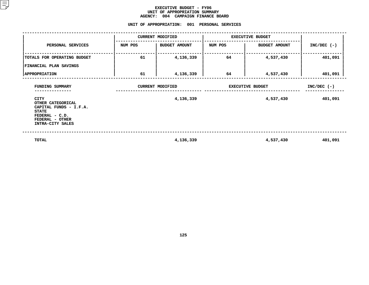#### **EXECUTIVE BUDGET - FY06 UNIT OF APPROPRIATION SUMMARY AGENCY:**

**<sup>004</sup> CAMPAIGN FINANCE BOARD UNIT**

|                                                                                                                              |                         | UNIT OF APPROPRIATION: 001 PERSONAL SERVICES |                         |                      |               |
|------------------------------------------------------------------------------------------------------------------------------|-------------------------|----------------------------------------------|-------------------------|----------------------|---------------|
|                                                                                                                              | <b>CURRENT MODIFIED</b> |                                              | <b>EXECUTIVE BUDGET</b> |                      |               |
| PERSONAL SERVICES                                                                                                            | NUM POS                 | <b>BUDGET AMOUNT</b>                         | NUM POS                 | <b>BUDGET AMOUNT</b> | $INC/DEC$ (-) |
| TOTALS FOR OPERATING BUDGET                                                                                                  | 61                      | 4,136,339                                    | 64                      | 4,537,430            | 401,091       |
| FINANCIAL PLAN SAVINGS<br><b>APPROPRIATION</b>                                                                               | 61                      | 4,136,339                                    | 64                      | 4,537,430            | 401,091       |
| FUNDING SUMMARY                                                                                                              | <b>CURRENT MODIFIED</b> |                                              | <b>EXECUTIVE BUDGET</b> |                      | $INC/DEC$ (-) |
| CITY<br>OTHER CATEGORICAL<br>CAPITAL FUNDS - I.F.A.<br><b>STATE</b><br>FEDERAL - C.D.<br>FEDERAL - OTHER<br>INTRA-CITY SALES |                         | 4,136,339                                    |                         | 4,537,430            | 401,091       |
| TOTAL                                                                                                                        |                         | 4,136,339                                    |                         | 4,537,430            | 401,091       |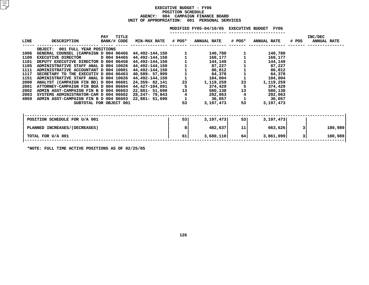#### **EXECUTIVE BUDGET - FY06 POSITIONN SCHEDULE<br>MPAIGN FIN<br><mark>:</mark> 001 PE</mark> AGENCY: <sup>004</sup> CAMPAIGN FINANCE BOARD UNIT OF APPROPRIATION: <sup>001</sup> PERSONAL SERVICES**

|      |                                       |                                           |                     |        | MODIFIED FY05-04/10/05 EXECUTIVE BUDGET |        | <b>FY06</b>        |       |                               |         |
|------|---------------------------------------|-------------------------------------------|---------------------|--------|-----------------------------------------|--------|--------------------|-------|-------------------------------|---------|
| LINE | <b>DESCRIPTION</b>                    | <b>TITLE</b><br><b>PAY</b><br>BANK/# CODE | <b>MIN-MAX RATE</b> | # POS* | <b>ANNUAL RATE</b>                      | # POS* | <b>ANNUAL RATE</b> | # POS | INC/DEC<br><b>ANNUAL RATE</b> |         |
|      | OBJECT: 001 FULL YEAR POSITIONS       |                                           |                     |        |                                         |        |                    |       |                               |         |
| 1006 | GENERAL COUNSEL (CAMPAIGN D 004 06466 |                                           | 44,492-144,150      |        | 140,780                                 |        | 140,780            |       |                               |         |
| 1100 | <b>EXECUTIVE DIRECTOR</b>             | D 004 94465                               | 44,492-144,150      |        | 168,177                                 |        | 168,177            |       |                               |         |
| 1101 | DEPUTY EXECUTIVE DIRECTOR D 004 06458 |                                           | 44,492-144,150      |        | 144,149                                 |        | 144,149            |       |                               |         |
| 1105 | ADMINISTRATIVE STAFF ANAL D 004 10026 |                                           | 44,492-144,150      |        | 87,227                                  |        | 87,227             |       |                               |         |
| 1111 | ADMINISTRATIVE ACCOUNTANT D 004 10001 |                                           | 44,492-144,150      |        | 86,812                                  |        | 86,812             |       |                               |         |
| 1117 | SECRETARY TO THE EXECUTIV D 004 06463 |                                           | 40,589- 57,999      |        | 64,378                                  |        | 64,378             |       |                               |         |
| 1151 | ADMINISTRATIVE STAFF ANAL D 004 10026 |                                           | 44,492-144,150      |        | 104,004                                 |        | 104,004            |       |                               |         |
| 2000 | ANALYST (CAMPAIGN FIN BD) D 004 06601 |                                           | 24,359-82,141       | 23     | 1,119,259                               | 23     | 1,119,259          |       |                               |         |
| 2001 | ATTORNEY-CAMPAIGN FIN BOA D 004 06604 |                                           | 44,427-104,091      | 5      | 374,429                                 | 5      | 374,429            |       |                               |         |
| 2002 | ADMIN ASST-CAMPAIGN FIN B D 004 06603 |                                           | 22,881- 51,690      | 13     | 580,138                                 | 13     | 580,138            |       |                               |         |
| 2003 | SYSTEMS ADMINISTRATOR-CAM D 004 06602 |                                           | 28,247- 79,843      | 4      | 292,063                                 | 4      | 292,063            |       |                               |         |
| 4969 | ADMIN ASST-CAMPAIGN FIN B D 004 06603 |                                           | 22,881- 51,690      |        | 36,057                                  |        | 36,057             |       |                               |         |
|      |                                       | SUBTOTAL FOR OBJECT 001                   |                     | 53     | 3,197,473                               | 53     | 3,197,473          |       |                               |         |
|      |                                       |                                           |                     |        |                                         |        |                    |       |                               |         |
|      | POSITION SCHEDULE FOR U/A 001         |                                           |                     | 53     | 3,197,473                               | 53     | 3,197,473          |       |                               |         |
|      |                                       |                                           |                     |        |                                         |        |                    |       |                               |         |
|      | PLANNED INCREASES/(DECREASES)         |                                           |                     | 8      | 482,637                                 | 11     | 663,626            |       |                               | 180,989 |
|      | TOTAL FOR U/A 001                     |                                           |                     | 61     | 3,680,110                               | 64     | 3,861,099          | 3     |                               | 180,989 |
|      |                                       |                                           |                     |        |                                         |        |                    |       |                               |         |

**\*NOTE: FULL TIME ACTIVE POSITIONS AS OF 02/25/05**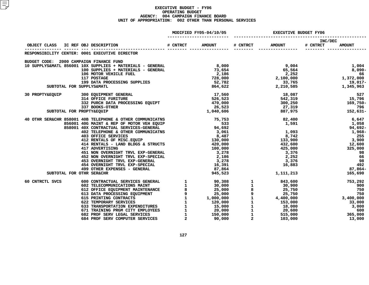#### **EXECUTIVE BUDGET - FY06 OPERATINGG BUDGET<br>AIGN FIN<br>2 OTHER AGENCY: <sup>004</sup> CAMPAIGN FINANCE BOARD UNIT OF APPROPRIATION: <sup>002</sup> OTHER THAN PERSONAL SERVICES**

|                                         |                                                                                                                                                                                                                                                             |          | MODIFIED FY05-04/10/05 | <b>EXECUTIVE BUDGET FY06</b> |                     |                                                                                                |  |
|-----------------------------------------|-------------------------------------------------------------------------------------------------------------------------------------------------------------------------------------------------------------------------------------------------------------|----------|------------------------|------------------------------|---------------------|------------------------------------------------------------------------------------------------|--|
| OBJECT CLASS                            | IC REF OBJ DESCRIPTION                                                                                                                                                                                                                                      | # CNTRCT | <b>AMOUNT</b>          |                              | # CNTRCT AMOUNT     | INC/DEC<br># CNTRCT<br><b>AMOUNT</b>                                                           |  |
|                                         | RESPONSIBILITY CENTER: 0001 EXECUTIVE DIRECTOR                                                                                                                                                                                                              |          |                        |                              |                     |                                                                                                |  |
| BUDGET CODE: 2000 CAMPAIGN FINANCE FUND |                                                                                                                                                                                                                                                             |          |                        |                              |                     |                                                                                                |  |
|                                         | 10 SUPPLYS&MATL 856001 10 SUPPLIES + MATERIALS - GENERAL<br>10 SUPPLYS&MATL 856001 100 SUPPLIES + MATERIALS - GENERAL<br>106 MOTOR VEHICLE FUEL<br>117 POSTAGE<br>199 DATA PROCESSING SUPPLIES<br>52,782<br>52,782<br>199 DATA PROCESSING SUPPLIES<br>      |          |                        |                              | $9,004$<br>65,564   | 1,004<br>8,090-                                                                                |  |
|                                         |                                                                                                                                                                                                                                                             |          |                        |                              |                     |                                                                                                |  |
|                                         |                                                                                                                                                                                                                                                             |          |                        |                              |                     |                                                                                                |  |
|                                         |                                                                                                                                                                                                                                                             |          |                        |                              |                     |                                                                                                |  |
|                                         |                                                                                                                                                                                                                                                             |          | 52,782<br>864,622      |                              |                     | 19,017-                                                                                        |  |
|                                         |                                                                                                                                                                                                                                                             |          |                        |                              |                     | $2,252$<br>$2,100,000$<br>$33,765$<br>$2,210,585$<br>$1,345,963$<br>$2,210,585$<br>$1,345,963$ |  |
|                                         | 30 PROPTY&EQUIP 300 EQUIPMENT GENERAL 17,560<br>314 OFFICE FURITURE 526,523<br>332 PURCH DATA PROCESSING EQUIPT 470,000<br>337 BOOKS-OTHER 26,523                                                                                                           |          |                        |                              | 18,087              | 527                                                                                            |  |
|                                         |                                                                                                                                                                                                                                                             |          |                        |                              |                     | $542,319$ $15,796$                                                                             |  |
|                                         |                                                                                                                                                                                                                                                             |          |                        |                              |                     | $300,250$<br>27,319<br>887,975<br>3087,975<br>387,975<br>31-                                   |  |
|                                         |                                                                                                                                                                                                                                                             |          |                        |                              |                     |                                                                                                |  |
|                                         | 300 EQUIPMENT GENERAL<br>314 OFFICE FURITURE<br>332 PURCH DATA PROCESSING EQUIPT 470,000<br>26,523<br>26,523<br>1,040,606<br>1,040,606<br>SUBTOTAL FOR PROPTY&EQUIP                                                                                         |          |                        |                              |                     |                                                                                                |  |
|                                         | 40 OTHR SER&CHR 858001 40B TELEPHONE & OTHER COMMUNICATNS<br>856001 40G MAINT & REP OF MOTOR VEH EQUIP<br>858001 40X CONTRACTUAL SERVICES-GENERAL<br>402 TELEPHONE & OTHER COMMUNICATNS<br>403 OFFICE SERVICES<br>412 RENTALS OF MISC.EQUIP<br>             |          |                        |                              | 82,400<br>1,591     | 6,647                                                                                          |  |
|                                         |                                                                                                                                                                                                                                                             |          |                        |                              |                     | 1,058                                                                                          |  |
|                                         |                                                                                                                                                                                                                                                             |          |                        |                              | $1,093$<br>8.742    | 94,692-                                                                                        |  |
|                                         |                                                                                                                                                                                                                                                             |          |                        |                              |                     | 1,968-                                                                                         |  |
|                                         |                                                                                                                                                                                                                                                             |          |                        |                              | $\frac{1}{8}$ , 742 | 255                                                                                            |  |
|                                         |                                                                                                                                                                                                                                                             |          |                        |                              | 133,900<br>432,600  | 3,900<br>12,600                                                                                |  |
|                                         |                                                                                                                                                                                                                                                             |          |                        |                              |                     |                                                                                                |  |
|                                         | 451 NON OVERNIGHT TRVL EXP-GENERAL<br>452 NON OVERNIGHT TRVL EXP-GENERAL                                                                                                                                                                                    |          | $100,000$<br>100,000   |                              | 425,000             | 325,000                                                                                        |  |
|                                         |                                                                                                                                                                                                                                                             |          |                        |                              | 3,376               | 98<br>66                                                                                       |  |
|                                         |                                                                                                                                                                                                                                                             |          |                        |                              |                     | $2,252$<br>3,376<br>16,883<br>98                                                               |  |
|                                         |                                                                                                                                                                                                                                                             |          |                        |                              |                     | 492                                                                                            |  |
|                                         |                                                                                                                                                                                                                                                             |          | 87,864                 |                              |                     | 87,864-                                                                                        |  |
|                                         | 452 NON OVERNIGHT TRVL EXP-SPECIAL 453 OVERNIGHT TRVL EXP-GENERAL 453 OVERNIGHT TRVL EXP-SPECIAL 454 OVERNIGHT TRVL EXP-SPECIAL 454 OVERNIGHT TRVL EXP-SPECIAL 454 OVERNIGHT TRVL EXP-SPECIAL 499 OTHER EXPENSES - GENERAL 494<br>SUBTOTAL FOR OTHR SER&CHR |          | 945,523                |                              |                     | 1, 111, 213<br>165,690                                                                         |  |
|                                         |                                                                                                                                                                                                                                                             |          |                        |                              |                     |                                                                                                |  |
| 60 CNTRCTL SVCS                         |                                                                                                                                                                                                                                                             |          |                        |                              |                     | 753,292                                                                                        |  |
|                                         |                                                                                                                                                                                                                                                             |          |                        |                              |                     | 900                                                                                            |  |
|                                         |                                                                                                                                                                                                                                                             |          |                        |                              |                     | 750                                                                                            |  |
|                                         |                                                                                                                                                                                                                                                             |          |                        |                              |                     | $3,400,000$<br>$33,000$                                                                        |  |
|                                         |                                                                                                                                                                                                                                                             |          |                        |                              |                     |                                                                                                |  |
|                                         |                                                                                                                                                                                                                                                             |          |                        |                              |                     |                                                                                                |  |
|                                         |                                                                                                                                                                                                                                                             |          |                        |                              |                     | 3,000                                                                                          |  |
|                                         |                                                                                                                                                                                                                                                             |          |                        |                              |                     | 600                                                                                            |  |
|                                         |                                                                                                                                                                                                                                                             |          |                        |                              |                     | 365,000                                                                                        |  |
|                                         |                                                                                                                                                                                                                                                             |          |                        |                              |                     | 13,000                                                                                         |  |
|                                         |                                                                                                                                                                                                                                                             |          |                        |                              |                     |                                                                                                |  |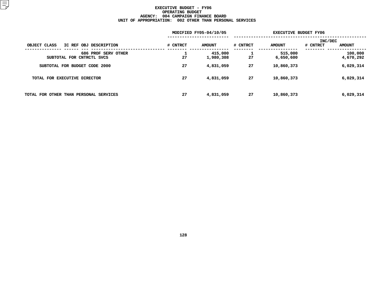#### **EXECUTIVE BUDGET - FY06 OPERATINGG BUDGET<br>AIGN FIN<br>2 OTHER AGENCY: <sup>004</sup> CAMPAIGN FINANCE BOARD UNIT OF APPROPRIATION: <sup>002</sup> OTHER THAN PERSONAL SERVICES**

|                                                  | MODIFIED FY05-04/10/05 |                      |          | <b>EXECUTIVE BUDGET FY06</b> |                                      |  |  |  |
|--------------------------------------------------|------------------------|----------------------|----------|------------------------------|--------------------------------------|--|--|--|
| OBJECT CLASS<br>IC REF OBJ DESCRIPTION           | # CNTRCT               | <b>AMOUNT</b>        | # CNTRCT | <b>AMOUNT</b>                | INC/DEC<br># CNTRCT<br><b>AMOUNT</b> |  |  |  |
| 686 PROF SERV OTHER<br>SUBTOTAL FOR CNTRCTL SVCS | 27                     | 415,000<br>1,980,308 | 27       | 515,000<br>6,650,600         | 100,000<br>4,670,292                 |  |  |  |
| SUBTOTAL FOR BUDGET CODE 2000                    | 27                     | 4,831,059            | 27       | 10,860,373                   | 6,029,314                            |  |  |  |
| TOTAL FOR EXECUTIVE DIRECTOR                     | 27                     | 4,831,059            | 27       | 10,860,373                   | 6,029,314                            |  |  |  |
| TOTAL FOR OTHER THAN PERSONAL SERVICES           | 27                     | 4,831,059            | 27       | 10,860,373                   | 6,029,314                            |  |  |  |
|                                                  |                        |                      |          |                              |                                      |  |  |  |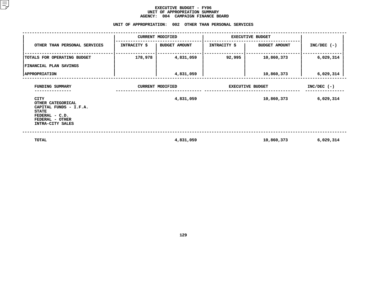#### **EXECUTIVE BUDGET - FY06** UNIT OF APPROPRIATION SUMMARY **OF APPROPRIATION SUMMARY AGENCY:**

|                                                                                                                                       | <b>AGENCY:</b>          | 004<br><b>CAMPAIGN FINANCE BOARD</b><br>UNIT OF APPROPRIATION: 002 OTHER THAN PERSONAL SERVICES |                         |                         |               |
|---------------------------------------------------------------------------------------------------------------------------------------|-------------------------|-------------------------------------------------------------------------------------------------|-------------------------|-------------------------|---------------|
|                                                                                                                                       |                         | <b>CURRENT MODIFIED</b>                                                                         | <b>EXECUTIVE BUDGET</b> |                         |               |
| OTHER THAN PERSONAL SERVICES                                                                                                          | INTRACITY \$            | <b>BUDGET AMOUNT</b>                                                                            | INTRACITY \$            | <b>BUDGET AMOUNT</b>    | $INC/DEC$ (-) |
| TOTALS FOR OPERATING BUDGET                                                                                                           | 178,978                 | 4,831,059                                                                                       | 92,995                  | 10,860,373              | 6,029,314     |
| FINANCIAL PLAN SAVINGS                                                                                                                |                         |                                                                                                 |                         |                         |               |
| <b>APPROPRIATION</b>                                                                                                                  |                         | 4,831,059                                                                                       |                         | 10,860,373              | 6,029,314     |
| FUNDING SUMMARY                                                                                                                       | <b>CURRENT MODIFIED</b> |                                                                                                 |                         | <b>EXECUTIVE BUDGET</b> | $INC/DEC$ (-) |
| <b>CITY</b><br>OTHER CATEGORICAL<br>CAPITAL FUNDS - I.F.A.<br><b>STATE</b><br>$FEDERAL - C.D.$<br>FEDERAL - OTHER<br>INTRA-CITY SALES |                         | 4,831,059                                                                                       |                         | 10,860,373              | 6,029,314     |
| <b>TOTAL</b>                                                                                                                          |                         | 4,831,059                                                                                       |                         | 10,860,373              | 6,029,314     |

**4,831,059 10,860,373 6,029,314**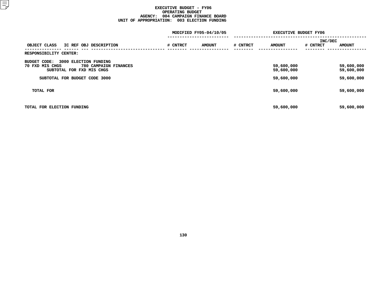#### **EXECUTIVE BUDGET - FY06 OPERATINGG BUDGET<br>AIGN FIN<br>3 ELECTI AGENCY: <sup>004</sup> CAMPAIGN FINANCE BOARD UNIT OF APPROPRIATION: <sup>003</sup> ELECTION FUNDING**

|                                                                       |          | MODIFIED FY05-04/10/05 | <b>EXECUTIVE BUDGET FY06</b> |                          |          |                          |  |
|-----------------------------------------------------------------------|----------|------------------------|------------------------------|--------------------------|----------|--------------------------|--|
|                                                                       |          |                        |                              |                          | INC/DEC  |                          |  |
| OBJECT CLASS<br>IC REF OBJ DESCRIPTION                                | # CNTRCT | <b>AMOUNT</b>          | # CNTRCT                     | <b>AMOUNT</b>            | # CNTRCT | <b>AMOUNT</b>            |  |
| RESPONSIBILITY CENTER:                                                |          |                        |                              |                          |          |                          |  |
| 3000 ELECTION FUNDING<br>BUDGET CODE:                                 |          |                        |                              |                          |          |                          |  |
| 780 CAMPAIGN FINANCES<br>70 FXD MIS CHGS<br>SUBTOTAL FOR FXD MIS CHGS |          |                        |                              | 59,600,000<br>59,600,000 |          | 59,600,000<br>59,600,000 |  |
| SUBTOTAL FOR BUDGET CODE 3000                                         |          |                        |                              | 59,600,000               |          | 59,600,000               |  |
| TOTAL FOR                                                             |          |                        |                              | 59,600,000               |          | 59,600,000               |  |
| TOTAL FOR ELECTION FUNDING                                            |          |                        |                              | 59,600,000               |          | 59,600,000               |  |
|                                                                       |          |                        |                              |                          |          |                          |  |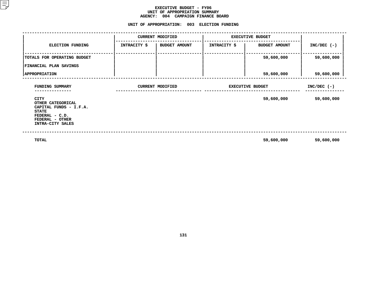#### **EXECUTIVE BUDGET - FY06 UNIT OF APPROPRIATION SUMMARY AGENCY:**

**<sup>004</sup> CAMPAIGN FINANCE BOARD UNIT**

|                                                                                                                              |                     | <b>CURRENT MODIFIED</b> | <b>EXECUTIVE BUDGET</b> |                         |               |  |
|------------------------------------------------------------------------------------------------------------------------------|---------------------|-------------------------|-------------------------|-------------------------|---------------|--|
| ELECTION FUNDING                                                                                                             | <b>INTRACITY \$</b> | <b>BUDGET AMOUNT</b>    | <b>INTRACITY \$</b>     | <b>BUDGET AMOUNT</b>    | $INC/DEC$ (-) |  |
| TOTALS FOR OPERATING BUDGET<br>FINANCIAL PLAN SAVINGS                                                                        |                     |                         |                         | 59,600,000              | 59,600,000    |  |
| <b>APPROPRIATION</b>                                                                                                         |                     |                         |                         | 59,600,000              | 59,600,000    |  |
| FUNDING SUMMARY                                                                                                              |                     | <b>CURRENT MODIFIED</b> |                         | <b>EXECUTIVE BUDGET</b> |               |  |
| CITY<br>OTHER CATEGORICAL<br>CAPITAL FUNDS - I.F.A.<br><b>STATE</b><br>FEDERAL - C.D.<br>FEDERAL - OTHER<br>INTRA-CITY SALES |                     |                         |                         | 59,600,000              | 59,600,000    |  |
| TOTAL                                                                                                                        |                     |                         |                         | 59,600,000              | 59,600,000    |  |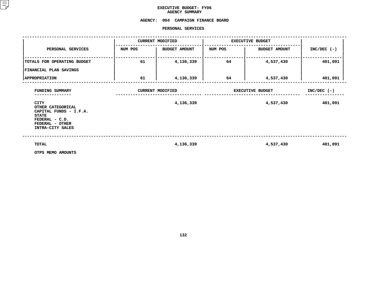## **EXECUTIVE BUDGET- FY06 AGENCY**

# AGENCY SUMMARY<br>AGENCY: 004 CAMPAIGN FINANCE BOARD<br>PERSONAL SERVICES

#### **PERSONAL**

|                                                                                                                                     |         | PERSONAL SERVICES       |                         |                         |               |
|-------------------------------------------------------------------------------------------------------------------------------------|---------|-------------------------|-------------------------|-------------------------|---------------|
|                                                                                                                                     |         | <b>CURRENT MODIFIED</b> |                         | <b>EXECUTIVE BUDGET</b> |               |
| PERSONAL SERVICES                                                                                                                   | NUM POS | <b>BUDGET AMOUNT</b>    | NUM POS                 | <b>BUDGET AMOUNT</b>    | $INC/DEC$ (-) |
| TOTALS FOR OPERATING BUDGET                                                                                                         | 61      | 4,136,339               | 64                      | 4,537,430               | 401,091       |
| FINANCIAL PLAN SAVINGS                                                                                                              |         |                         |                         |                         |               |
| <b>APPROPRIATION</b>                                                                                                                | 61      | 4,136,339               | 64                      | 4,537,430               | 401,091       |
| FUNDING SUMMARY                                                                                                                     |         | <b>CURRENT MODIFIED</b> | <b>EXECUTIVE BUDGET</b> | $INC/DEC$ (-)           |               |
| <b>CITY</b><br>OTHER CATEGORICAL<br>CAPITAL FUNDS - I.F.A.<br><b>STATE</b><br>FEDERAL - C.D.<br>FEDERAL - OTHER<br>INTRA-CITY SALES |         | 4,136,339               |                         | 4,537,430               | 401,091       |
| TOTAL<br>OTPS MEMO AMOUNTS                                                                                                          |         | 4,136,339               |                         | 4,537,430               | 401,091       |

**OTPS MEMO AMOUNTS**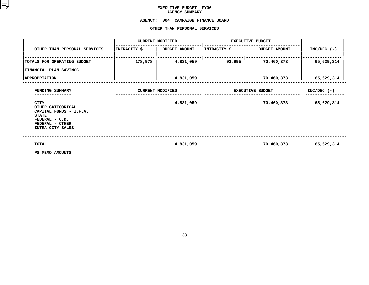## **EXECUTIVE BUDGET- FY06 AGENCY**

## AGENCY SUMMARY<br><mark>AGENCY: 004 CAMPAIGN FI</mark> **<sup>004</sup> CAMPAIGN FINANCE BOARD OTHER**

| OTHER THAN PERSONAL SERVICES                                                                                                        |                         |                         |              |                         |               |  |  |  |  |
|-------------------------------------------------------------------------------------------------------------------------------------|-------------------------|-------------------------|--------------|-------------------------|---------------|--|--|--|--|
|                                                                                                                                     |                         | <b>CURRENT MODIFIED</b> |              | <b>EXECUTIVE BUDGET</b> |               |  |  |  |  |
| OTHER THAN PERSONAL SERVICES                                                                                                        | INTRACITY \$            | <b>BUDGET AMOUNT</b>    | INTRACITY \$ | <b>BUDGET AMOUNT</b>    | $INC/DEC$ (-) |  |  |  |  |
| TOTALS FOR OPERATING BUDGET                                                                                                         | 178,978                 | 4,831,059               | 92,995       | 70,460,373              | 65,629,314    |  |  |  |  |
| FINANCIAL PLAN SAVINGS                                                                                                              |                         |                         |              |                         |               |  |  |  |  |
| <b>APPROPRIATION</b>                                                                                                                |                         | 4,831,059               |              | 70,460,373              | 65,629,314    |  |  |  |  |
| FUNDING SUMMARY                                                                                                                     | <b>CURRENT MODIFIED</b> |                         |              | <b>EXECUTIVE BUDGET</b> |               |  |  |  |  |
| <b>CITY</b><br>OTHER CATEGORICAL<br>CAPITAL FUNDS - I.F.A.<br><b>STATE</b><br>FEDERAL - C.D.<br>FEDERAL - OTHER<br>INTRA-CITY SALES |                         | 4,831,059               |              | 70,460,373              | 65,629,314    |  |  |  |  |
| TOTAL<br>PS MEMO AMOUNTS                                                                                                            |                         | 4,831,059               |              | 70,460,373              | 65,629,314    |  |  |  |  |

**PS MEMO AMOUNTS**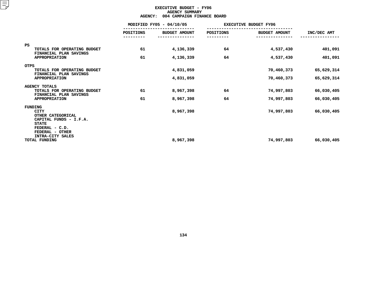### **EXECUTIVE BUDGET - FY06 AGENCY**Y SUMMARY<br>PAIGN FIN<br>...

|                                                                                                                 | <b>AGENCY:</b>   | 004 CAMPAIGN FINANCE BOARD |           |                              |             |
|-----------------------------------------------------------------------------------------------------------------|------------------|----------------------------|-----------|------------------------------|-------------|
|                                                                                                                 |                  | MODIFIED FY05 - 04/10/05   |           | <b>EXECUTIVE BUDGET FY06</b> |             |
|                                                                                                                 | <b>POSITIONS</b> | <b>BUDGET AMOUNT</b>       | POSITIONS | <b>BUDGET AMOUNT</b>         | INC/DEC AMT |
| <b>PS</b>                                                                                                       |                  |                            |           |                              |             |
| TOTALS FOR OPERATING BUDGET<br>FINANCIAL PLAN SAVINGS                                                           | 61               | 4,136,339                  | 64        | 4,537,430                    | 401,091     |
| <b>APPROPRIATION</b>                                                                                            | 61               | 4,136,339                  | 64        | 4,537,430                    | 401,091     |
| <b>OTPS</b>                                                                                                     |                  |                            |           |                              |             |
| TOTALS FOR OPERATING BUDGET                                                                                     |                  | 4,831,059                  |           | 70,460,373                   | 65,629,314  |
| FINANCIAL PLAN SAVINGS<br><b>APPROPRIATION</b>                                                                  |                  | 4,831,059                  |           | 70,460,373                   | 65,629,314  |
| <b>AGENCY TOTALS</b>                                                                                            |                  |                            |           |                              |             |
| TOTALS FOR OPERATING BUDGET<br>FINANCIAL PLAN SAVINGS                                                           | 61               | 8,967,398                  | 64        | 74,997,803                   | 66,030,405  |
| <b>APPROPRIATION</b>                                                                                            | 61               | 8,967,398                  | 64        | 74,997,803                   | 66,030,405  |
| FUNDING                                                                                                         |                  |                            |           |                              |             |
| <b>CITY</b><br>OTHER CATEGORICAL<br>CAPITAL FUNDS - I.F.A.<br><b>STATE</b><br>FEDERAL - C.D.<br>FEDERAL - OTHER |                  | 8,967,398                  |           | 74,997,803                   | 66,030,405  |
| INTRA-CITY SALES<br>TOTAL FUNDING                                                                               |                  | 8,967,398                  |           | 74,997,803                   | 66,030,405  |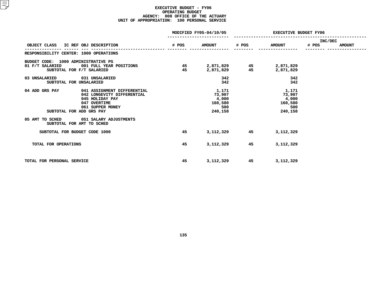#### **EXECUTIVE BUDGET - FY06 OPERATING**G BUDGET<br>ICE OF T<br>0 PERSON **AGENCY: <sup>008</sup> OFFICE OF THE ACTUARY UNIT OF APPROPRIATION: <sup>100</sup> PERSONAL SERVICE**

|                                                                                                                                                                |          | MODIFIED FY05-04/10/05                                | <b>EXECUTIVE BUDGET FY06</b> |                                                       |                  |               |  |
|----------------------------------------------------------------------------------------------------------------------------------------------------------------|----------|-------------------------------------------------------|------------------------------|-------------------------------------------------------|------------------|---------------|--|
| OBJECT CLASS IC REF OBJ DESCRIPTION                                                                                                                            | # POS    | <b>AMOUNT</b>                                         | # POS                        | <b>AMOUNT</b>                                         | INC/DEC<br># POS | <b>AMOUNT</b> |  |
| RESPONSIBILITY CENTER: 1000 OPERATIONS                                                                                                                         |          |                                                       |                              |                                                       |                  |               |  |
| BUDGET CODE: 1000 ADMINISTRATIVE PS<br>01 F/T SALARIED<br>001 FULL YEAR POSITIONS<br>SUBTOTAL FOR F/T SALARIED                                                 | 45<br>45 | 2,871,829<br>2,871,829                                | 45<br>45                     | 2,871,829<br>2,871,829                                |                  |               |  |
| 03 UNSALARIED 031 UNSALARIED<br>SUBTOTAL FOR UNSALARIED                                                                                                        |          | 342<br>342                                            |                              | 342<br>342                                            |                  |               |  |
| 04 ADD GRS PAY<br>041 ASSIGNMENT DIFFERENTIAL<br>042 LONGEVITY DIFFERENTIAL<br>045 HOLIDAY PAY<br>047 OVERTIME<br>061 SUPPER MONEY<br>SUBTOTAL FOR ADD GRS PAY |          | 1,171<br>73,907<br>4,000<br>160,580<br>500<br>240,158 |                              | 1,171<br>73,907<br>4,000<br>160,580<br>500<br>240,158 |                  |               |  |
| 05 AMT TO SCHED 051 SALARY ADJUSTMENTS<br>SUBTOTAL FOR AMT TO SCHED                                                                                            |          |                                                       |                              |                                                       |                  |               |  |
| SUBTOTAL FOR BUDGET CODE 1000                                                                                                                                  | 45       | 3,112,329                                             | 45                           | 3,112,329                                             |                  |               |  |
| TOTAL FOR OPERATIONS                                                                                                                                           | 45       | 3,112,329                                             | 45                           | 3, 112, 329                                           |                  |               |  |
| TOTAL FOR PERSONAL SERVICE                                                                                                                                     | 45       | 3,112,329                                             | 45                           | 3,112,329                                             |                  |               |  |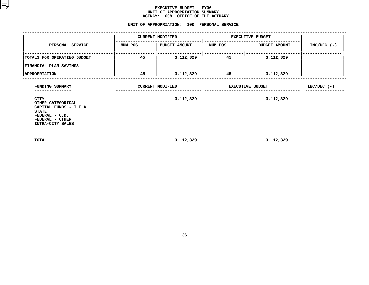#### **EXECUTIVE BUDGET - FY06 UNIT OF APPROPRIATION SUMMARY AGENCY:**

# **<sup>008</sup> OFFICE OF THE ACTUARY UNIT**

|                                                                                                                              |         | <b>CURRENT MODIFIED</b> | <b>EXECUTIVE BUDGET</b> |                      |               |
|------------------------------------------------------------------------------------------------------------------------------|---------|-------------------------|-------------------------|----------------------|---------------|
| PERSONAL SERVICE                                                                                                             | NUM POS | <b>BUDGET AMOUNT</b>    | NUM POS                 | <b>BUDGET AMOUNT</b> | $INC/DEC$ (-) |
| TOTALS FOR OPERATING BUDGET<br>FINANCIAL PLAN SAVINGS                                                                        | 45      | 3,112,329               | 45                      | 3,112,329            |               |
| <b>APPROPRIATION</b>                                                                                                         | 45      | 3,112,329               | 45                      | 3,112,329            |               |
| FUNDING SUMMARY                                                                                                              |         | <b>CURRENT MODIFIED</b> | <b>EXECUTIVE BUDGET</b> | $INC/DEC$ (-)        |               |
| CITY<br>OTHER CATEGORICAL<br>CAPITAL FUNDS - I.F.A.<br><b>STATE</b><br>FEDERAL - C.D.<br>FEDERAL - OTHER<br>INTRA-CITY SALES |         | 3,112,329               |                         | 3,112,329            |               |
| TOTAL                                                                                                                        |         | 3, 112, 329             |                         | 3,112,329            |               |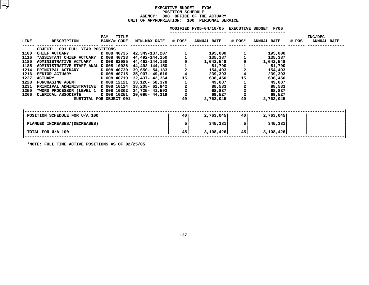#### **EXECUTIVE BUDGET - FY06 POSITIONN SCHEDULE<br>FICE OF TH<br><mark>:</mark> 100 PE</mark> AGENCY: <sup>008</sup> OFFICE OF THE ACTUARY UNIT OF APPROPRIATION: <sup>100</sup> PERSONAL SERVICE**

#### MODIFIED FY05-04/10/05 EXECUTIVE BUDGET FY06

**FY05-04/10/05 EXECUTIVE BUDGET FY06 -----------------------**

| <b>LINE</b> | <b>DESCRIPTION</b>                    | TITLE<br>PAY<br>BANK/# CODE | <b>MIN-MAX RATE # POS*</b> |                                            | <b>ANNUAL RATE</b> | # POS*        | <b>ANNUAL RATE</b> | # POS | INC/DEC<br><b>ANNUAL RATE</b> |
|-------------|---------------------------------------|-----------------------------|----------------------------|--------------------------------------------|--------------------|---------------|--------------------|-------|-------------------------------|
|             | OBJECT: 001 FULL YEAR POSITIONS       |                             |                            |                                            |                    |               |                    |       |                               |
| 1100        | <b>CHIEF ACTUARY</b>                  | D 008 40735                 | 42,349-137,207             |                                            | 195,000            |               | 195,000            |       |                               |
| 1116        | *ASSISTANT CHIEF ACTUARY D 008 40733  |                             | 44,492-144,150             |                                            | 135,387            |               | 135,387            |       |                               |
| 1180        | <b>ADMINISTRATIVE ACTUARY</b>         | D 008 82985                 | 44,492-144,150             |                                            | 1,042,548          |               | 1,042,548          |       |                               |
| 1185        | ADMINISTRATIVE STAFF ANAL D 008 10026 |                             | 44,492-144,150             | $\frac{1}{2}$                              | 81,790             | $\frac{1}{2}$ | 81,790             |       |                               |
| 1214        | PRINCIPAL ACTUARY                     | D 008 40730                 | 39,650- 54,183             |                                            | 154,493            |               | 154,493            |       |                               |
| 1216        | <b>SENIOR ACTUARY</b>                 | D 008 40715                 | 35,907- 49,616             | $\overline{\bf 4}$                         | 239,393            |               | 239,393            |       |                               |
| 1227        | D 008 40710<br><b>ACTUARY</b>         |                             | 32,437- 42,364             | 15                                         | 638,450            | 15            | 638,450            |       |                               |
| 1228        | <b>PURCHASING AGENT</b>               | D 008 12121                 | 33,128- 58,378             |                                            | 49,087             |               | 49,087             |       |                               |
| 1231        | PRINCIPAL ADMINISTRATIVE D 008 10124  |                             | 38,205- 62,842             | $\begin{array}{c} 2 \\ 2 \\ 2 \end{array}$ | 88,533             | $\frac{2}{2}$ | 88,533             |       |                               |
| 1250        | *WORD PROCESSOR (LEVEL 1 D 008 10302  |                             | 24,725- 41,592             |                                            | 68,837             |               | 68,837             |       |                               |
| 1266        | CLERICAL ASSOCIATE                    | D 008 10251                 | 20,095- 44,319             |                                            | 69,527             | $\mathbf 2$   | 69,527             |       |                               |
|             |                                       | SUBTOTAL FOR OBJECT 001     |                            | 40                                         | 2,763,045          | 40            | 2,763,045          |       |                               |
|             |                                       |                             |                            |                                            |                    |               |                    |       |                               |
|             | POSITION SCHEDULE FOR U/A 100         |                             |                            | 40                                         | 2,763,045          | 40 I          | 2,763,045          |       |                               |
|             | PLANNED INCREASES/(DECREASES)         |                             |                            |                                            | 345,381            | 5             | 345,381            |       |                               |
|             | TOTAL FOR U/A 100                     |                             |                            | 45                                         | 3,108,426          | 45            | 3,108,426          |       |                               |
|             |                                       |                             |                            |                                            |                    |               |                    |       |                               |

**\*NOTE: FULL TIME ACTIVE POSITIONS AS OF 02/25/05**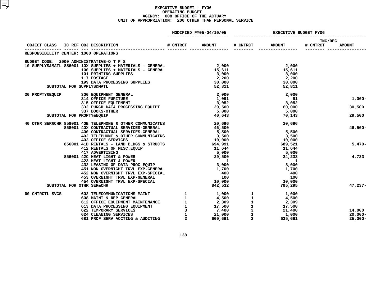#### **EXECUTIVE BUDGET - FY06 OPERATING**G BUDGET<br>ICE OF T<br>0 OTHER **AGENCY: <sup>008</sup> OFFICE OF THE ACTUARY UNIT OF APPROPRIATION: <sup>200</sup> OTHER THAN PERSONAL SERVICE**

|                 |                                                                                                                                                                                                                                                  |          | MODIFIED FY05-04/10/05 | <b>EXECUTIVE BUDGET FY06</b> |                 |                     |               |
|-----------------|--------------------------------------------------------------------------------------------------------------------------------------------------------------------------------------------------------------------------------------------------|----------|------------------------|------------------------------|-----------------|---------------------|---------------|
|                 | OBJECT CLASS IC REF OBJ DESCRIPTION                                                                                                                                                                                                              | # CNTRCT | <b>AMOUNT</b>          | # CNTRCT AMOUNT              |                 | INC/DEC<br># CNTRCT | <b>AMOUNT</b> |
|                 | RESPONSIBILITY CENTER: 1000 OPERATIONS                                                                                                                                                                                                           |          |                        |                              |                 |                     |               |
|                 | BUDGET CODE: 2000 ADMINISTRATIVE-O T P S                                                                                                                                                                                                         |          |                        |                              |                 |                     |               |
|                 | 10 SUPPLYS&MATL 856001 10X SUPPLIES + MATERIALS - GENERAL<br>10 SUPPLIES + MATERIALS - GENERAL<br>15,611                                                                                                                                         |          |                        |                              | 2,000           |                     |               |
|                 |                                                                                                                                                                                                                                                  |          |                        |                              | 15,611          |                     |               |
|                 | 101 PRINTING SUPPLIES                                                                                                                                                                                                                            |          | 3,000                  |                              | 3,000           |                     |               |
|                 | 117 POSTAGE<br>117 POSTAGE<br>199 DATA PROCESSING SUPPLIES<br>""DBI VSCMATI.                                                                                                                                                                     |          | 2,200                  |                              | 2,200           |                     |               |
|                 | SUBTOTAL FOR SUPPLYS&MATL                                                                                                                                                                                                                        |          | 30,000                 |                              | 30,000          |                     |               |
|                 |                                                                                                                                                                                                                                                  |          | 52,811                 |                              | 52,811          |                     |               |
| 30 PROPTY&EQUIP | 300 EQUIPMENT GENERAL<br>314 OFFICE FURITURE<br>315 OFFICE EQUIPMENT                                                                                                                                                                             |          | 2,000                  |                              | 2,000           |                     |               |
|                 |                                                                                                                                                                                                                                                  |          | 1,091                  |                              | 91              |                     | $1,000-$      |
|                 |                                                                                                                                                                                                                                                  |          | 3,052                  |                              | 3,052<br>60,000 |                     |               |
|                 | 332 PURCH DATA PROCESSING EQUIPT                                                                                                                                                                                                                 |          | 29,500                 |                              |                 |                     | 30,500        |
|                 | 337 BOOKS-OTHER                                                                                                                                                                                                                                  |          | 5,000                  |                              | 5,000           |                     | 29,500        |
|                 | SUBTOTAL FOR PROPTY&EQUIP                                                                                                                                                                                                                        |          | 40,643                 |                              | 70,143          |                     |               |
|                 | 40 OTHR SER&CHR 858001 40B TELEPHONE & OTHER COMMUNICATNS                                                                                                                                                                                        |          | 20,696                 |                              | 20,696          |                     |               |
|                 | 858001 40X CONTRACTUAL SERVICES-GENERAL                                                                                                                                                                                                          |          | 46,500                 |                              |                 |                     | $46,500 -$    |
|                 | 400 CONTRACTUAL SERVICES-GENERAL<br>402 TELEPHONE & OTHER COMMUNICATNS<br>403 OFFICE SERVICES<br>403 OFFICE SERVICES<br>403 OFFICE SERVICES<br>413 HEAT LIGHT & POWER<br>417 ADVERTISING<br>417 ADVERTISING<br>423 HEAT LIGHT & POWER<br>423 HEA |          |                        |                              | 5,500           |                     |               |
|                 |                                                                                                                                                                                                                                                  |          |                        |                              | 3,500           |                     |               |
|                 |                                                                                                                                                                                                                                                  |          |                        |                              | 10,000          |                     |               |
|                 |                                                                                                                                                                                                                                                  |          |                        |                              | 689,521         |                     | $5,470-$      |
|                 |                                                                                                                                                                                                                                                  |          | 5,000                  |                              | 11,644<br>5,000 |                     |               |
|                 |                                                                                                                                                                                                                                                  |          |                        |                              | 34,233          |                     | 4,733         |
|                 |                                                                                                                                                                                                                                                  |          |                        |                              |                 |                     |               |
|                 | 432 LEASING OF DATA PROC EQUIP                                                                                                                                                                                                                   |          | 3,000                  |                              | 3,000           |                     |               |
|                 | 451 NON OVERNIGHT TRVL EXP-GENERAL                                                                                                                                                                                                               |          |                        |                              | 1,700           |                     |               |
|                 | 452 NON OVERNIGHT TRVL EXP-SPECIAL                                                                                                                                                                                                               |          | 1,700<br>400           |                              | 400             |                     |               |
|                 | 453 OVERNIGHT TRVL EXP-GENERAL                                                                                                                                                                                                                   |          | 100                    |                              | 100             |                     |               |
|                 | 454 OVERNIGHT TRVL EXP-SPECIAL                                                                                                                                                                                                                   |          | 10,000                 |                              | 10,000          |                     |               |
|                 | SUBTOTAL FOR OTHR SER&CHR                                                                                                                                                                                                                        |          | 842,532                |                              | 795,295         |                     | $47,237-$     |
| 60 CNTRCTL SVCS |                                                                                                                                                                                                                                                  |          |                        |                              |                 |                     |               |
|                 |                                                                                                                                                                                                                                                  |          |                        |                              |                 |                     |               |
|                 |                                                                                                                                                                                                                                                  |          |                        |                              |                 |                     |               |
|                 |                                                                                                                                                                                                                                                  |          |                        |                              |                 |                     |               |
|                 |                                                                                                                                                                                                                                                  |          |                        |                              |                 |                     | 14,000        |
|                 |                                                                                                                                                                                                                                                  |          |                        |                              |                 |                     | $20,000 -$    |
|                 |                                                                                                                                                                                                                                                  |          |                        |                              |                 |                     | $25,000 -$    |
|                 |                                                                                                                                                                                                                                                  |          |                        |                              |                 |                     |               |
|                 |                                                                                                                                                                                                                                                  |          |                        |                              |                 |                     |               |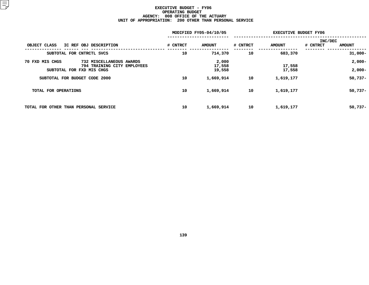#### **EXECUTIVE BUDGET - FY06 OPERATING**G BUDGET<br>ICE OF T<br>0 OTHER **AGENCY: <sup>008</sup> OFFICE OF THE ACTUARY UNIT OF APPROPRIATION: <sup>200</sup> OTHER THAN PERSONAL SERVICE**

|                                       |                                                          |          | MODIFIED FY05-04/10/05 | <b>EXECUTIVE BUDGET FY06</b> |                  |                |               |
|---------------------------------------|----------------------------------------------------------|----------|------------------------|------------------------------|------------------|----------------|---------------|
|                                       |                                                          |          |                        |                              |                  | <b>INC/DEC</b> |               |
| OBJECT CLASS                          | IC REF OBJ DESCRIPTION                                   | # CNTRCT | <b>AMOUNT</b>          | # CNTRCT                     | <b>AMOUNT</b>    | # CNTRCT       | <b>AMOUNT</b> |
|                                       | SUBTOTAL FOR CNTRCTL SVCS                                | 10       | 714,370                | 10                           | 683,370          |                | $31,000 -$    |
| 70 FXD MIS CHGS                       | 732 MISCELLANEOUS AWARDS                                 |          | 2,000                  |                              |                  |                | $2,000-$      |
|                                       | 794 TRAINING CITY EMPLOYEES<br>SUBTOTAL FOR FXD MIS CHGS |          | 17,558<br>19,558       |                              | 17,558<br>17,558 |                | $2,000-$      |
| SUBTOTAL FOR BUDGET CODE 2000         |                                                          | 10       | 1,669,914              | 10                           | 1,619,177        |                | $50,737 -$    |
| TOTAL FOR OPERATIONS                  |                                                          | 10       | 1,669,914              | 10                           | 1,619,177        |                | $50,737 -$    |
| TOTAL FOR OTHER THAN PERSONAL SERVICE |                                                          | 10       | 1,669,914              | 10                           | 1,619,177        |                | $50,737 -$    |
|                                       |                                                          |          |                        |                              |                  |                |               |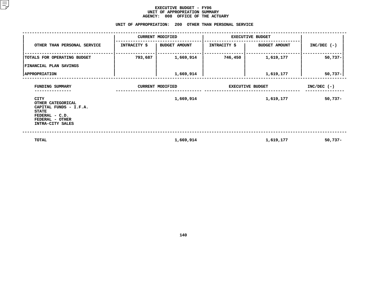#### **EXECUTIVE BUDGET - FY06** UNIT OF APPROPRIATION SUMMARY **OF APPROPRIATION SUMMARY AGENCY:**

|                                                                                                                                     | <b>AGENCY:</b>          | 008<br>OFFICE OF THE ACTUARY<br>UNIT OF APPROPRIATION: 200 OTHER THAN PERSONAL SERVICE |                         |                      |               |
|-------------------------------------------------------------------------------------------------------------------------------------|-------------------------|----------------------------------------------------------------------------------------|-------------------------|----------------------|---------------|
|                                                                                                                                     |                         | <b>CURRENT MODIFIED</b>                                                                | <b>EXECUTIVE BUDGET</b> |                      |               |
| OTHER THAN PERSONAL SERVICE                                                                                                         | <b>INTRACITY \$</b>     | <b>BUDGET AMOUNT</b>                                                                   | <b>INTRACITY \$</b>     | <b>BUDGET AMOUNT</b> | $INC/DEC$ (-) |
| TOTALS FOR OPERATING BUDGET                                                                                                         | 793,687                 | 1,669,914                                                                              | 746,450                 | 1,619,177            | $50,737-$     |
| FINANCIAL PLAN SAVINGS<br><b>APPROPRIATION</b>                                                                                      |                         | 1,669,914                                                                              |                         | 1,619,177            | 50,737-       |
| FUNDING SUMMARY                                                                                                                     | <b>CURRENT MODIFIED</b> |                                                                                        | <b>EXECUTIVE BUDGET</b> | $INC/DEC$ (-)        |               |
| <b>CITY</b><br>OTHER CATEGORICAL<br>CAPITAL FUNDS - I.F.A.<br><b>STATE</b><br>FEDERAL - C.D.<br>FEDERAL - OTHER<br>INTRA-CITY SALES |                         | 1,669,914                                                                              |                         | 1,619,177            | $50,737-$     |
| <b>TOTAL</b>                                                                                                                        |                         | 1,669,914                                                                              |                         | 1,619,177            | $50,737-$     |

**1,669,914 1,619,177 50,737-**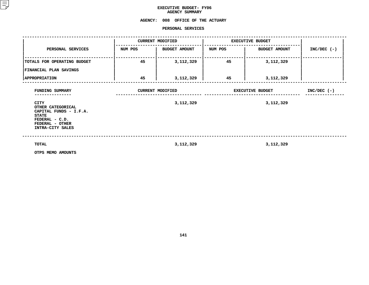## **EXECUTIVE BUDGET- FY06 AGENCY**

# **SUMMARY AGENCY: <sup>008</sup> OFFICE OF THE ACTUARY**

#### **PERSONAL**

|                                                                                                                                                        |         | PERSONAL SERVICES                    |                         |                                      |               |  |
|--------------------------------------------------------------------------------------------------------------------------------------------------------|---------|--------------------------------------|-------------------------|--------------------------------------|---------------|--|
|                                                                                                                                                        |         | <b>CURRENT MODIFIED</b>              | <b>EXECUTIVE BUDGET</b> |                                      |               |  |
| PERSONAL SERVICES                                                                                                                                      | NUM POS | <b>BUDGET AMOUNT</b>                 | NUM POS                 | <b>BUDGET AMOUNT</b>                 | $INC/DEC$ (-) |  |
| TOTALS FOR OPERATING BUDGET                                                                                                                            | 45      | 3,112,329                            | 45                      | 3,112,329                            |               |  |
| <b>FINANCIAL PLAN SAVINGS</b>                                                                                                                          |         |                                      |                         |                                      |               |  |
| <b>APPROPRIATION</b>                                                                                                                                   | 45      | 3,112,329                            | 45                      | 3,112,329                            |               |  |
| FUNDING SUMMARY<br><b>CITY</b><br>OTHER CATEGORICAL<br>CAPITAL FUNDS - I.F.A.<br><b>STATE</b><br>FEDERAL - C.D.<br>FEDERAL - OTHER<br>INTRA-CITY SALES |         | <b>CURRENT MODIFIED</b><br>3,112,329 |                         | <b>EXECUTIVE BUDGET</b><br>3,112,329 | $INC/DEC$ (-) |  |
| <b>TOTAL</b><br>OTPS MEMO AMOUNTS                                                                                                                      |         | 3, 112, 329                          |                         | 3,112,329                            |               |  |

**OTPS MEMO AMOUNTS**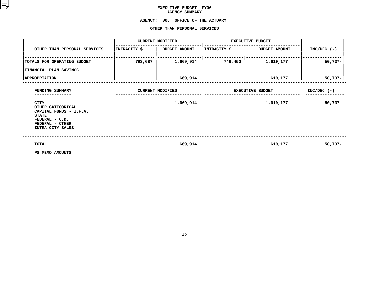## **EXECUTIVE BUDGET- FY06 AGENCY**

## **SUMMARY AGENCY:<sup>008</sup> OFFICE OF THE ACTUARY OTHER**

|                                                                                                                              |              | OTHER THAN PERSONAL SERVICES |                         |                      |               |
|------------------------------------------------------------------------------------------------------------------------------|--------------|------------------------------|-------------------------|----------------------|---------------|
|                                                                                                                              |              | <b>CURRENT MODIFIED</b>      | <b>EXECUTIVE BUDGET</b> |                      |               |
| OTHER THAN PERSONAL SERVICES                                                                                                 | INTRACITY \$ | <b>BUDGET AMOUNT</b>         | INTRACITY \$            | <b>BUDGET AMOUNT</b> | $INC/DEC$ (-) |
| TOTALS FOR OPERATING BUDGET                                                                                                  | 793,687      | 1,669,914                    | 746,450                 | 1,619,177            | $50,737-$     |
| FINANCIAL PLAN SAVINGS                                                                                                       |              |                              |                         |                      |               |
| <b>APPROPRIATION</b>                                                                                                         |              | 1,669,914                    |                         | 1,619,177            | $50,737 -$    |
| FUNDING SUMMARY                                                                                                              |              | <b>CURRENT MODIFIED</b>      | <b>EXECUTIVE BUDGET</b> | $INC/DEC$ (-)        |               |
| CITY<br>OTHER CATEGORICAL<br>CAPITAL FUNDS - I.F.A.<br><b>STATE</b><br>FEDERAL - C.D.<br>FEDERAL - OTHER<br>INTRA-CITY SALES |              | 1,669,914                    |                         | 1,619,177            | $50,737 -$    |
| <b>TOTAL</b><br>PS MEMO AMOUNTS                                                                                              |              | 1,669,914                    |                         | 1,619,177            | 50,737-       |

**PS MEMO AMOUNTS**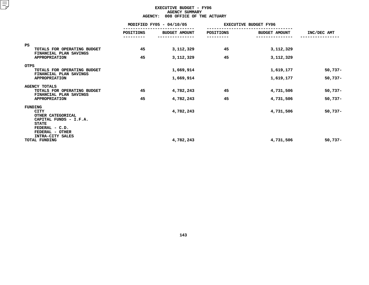### **EXECUTIVE BUDGET - FY06 AGENCYY SUMMARY<br>FICE OF T<br>ACT**

| <b>AGENCY:</b><br>008 OFFICE OF THE ACTUARY                                           |                  |                          |           |                              |             |  |  |  |
|---------------------------------------------------------------------------------------|------------------|--------------------------|-----------|------------------------------|-------------|--|--|--|
|                                                                                       |                  | MODIFIED FY05 - 04/10/05 |           | <b>EXECUTIVE BUDGET FY06</b> |             |  |  |  |
|                                                                                       | <b>POSITIONS</b> | <b>BUDGET AMOUNT</b>     | POSITIONS | <b>BUDGET AMOUNT</b>         | INC/DEC AMT |  |  |  |
| <b>PS</b><br>TOTALS FOR OPERATING BUDGET<br>FINANCIAL PLAN SAVINGS                    | 45               | 3, 112, 329              | 45        | 3,112,329                    |             |  |  |  |
| <b>APPROPRIATION</b>                                                                  | 45               | 3,112,329                | 45        | 3,112,329                    |             |  |  |  |
| <b>OTPS</b><br>TOTALS FOR OPERATING BUDGET<br>FINANCIAL PLAN SAVINGS                  |                  | 1,669,914                |           | 1,619,177                    | $50,737-$   |  |  |  |
| <b>APPROPRIATION</b>                                                                  |                  | 1,669,914                |           | 1,619,177                    | $50,737-$   |  |  |  |
| <b>AGENCY TOTALS</b><br>TOTALS FOR OPERATING BUDGET<br>FINANCIAL PLAN SAVINGS         | 45               | 4,782,243                | 45        | 4,731,506                    | $50,737-$   |  |  |  |
| <b>APPROPRIATION</b>                                                                  | 45               | 4,782,243                | 45        | 4,731,506                    | $50,737-$   |  |  |  |
| FUNDING<br><b>CITY</b><br>OTHER CATEGORICAL<br>CAPITAL FUNDS - I.F.A.<br><b>STATE</b> |                  | 4,782,243                |           | 4,731,506                    | $50,737-$   |  |  |  |
| FEDERAL - C.D.<br>FEDERAL - OTHER<br>INTRA-CITY SALES<br><b>TOTAL FUNDING</b>         |                  | 4,782,243                |           | 4,731,506                    | $50,737-$   |  |  |  |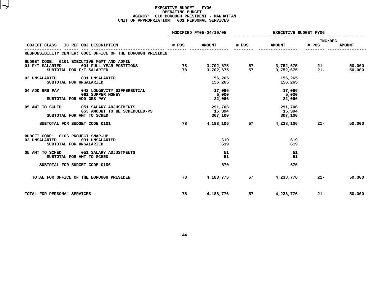#### **EXECUTIVE BUDGET - FY06 OPERATING**G BUDGET<br>PRESIDE<br>1 PERSON **AGENCY: <sup>010</sup> BOROUGH PRESIDENT - MANHATTAN UNIT OF APPROPRIATION: <sup>001</sup> PERSONAL SERVICES**

|                                                                                                                       |          | MODIFIED FY05-04/10/05       | <b>EXECUTIVE BUDGET FY06</b> |                              |                  |                  |  |
|-----------------------------------------------------------------------------------------------------------------------|----------|------------------------------|------------------------------|------------------------------|------------------|------------------|--|
| IC REF OBJ DESCRIPTION<br>OBJECT CLASS                                                                                | # POS    | <b>AMOUNT</b>                | # POS                        | <b>AMOUNT</b>                | INC/DEC<br># POS | <b>AMOUNT</b>    |  |
| RESPONSIBILITY CENTER: 0001 OFFICE OF THE BOROUGH PRESIDEN                                                            |          |                              |                              |                              |                  |                  |  |
| BUDGET CODE: 0101 EXECUTIVE MGMT AND ADMIN<br>01 F/T SALARIED<br>001 FULL YEAR POSITIONS<br>SUBTOTAL FOR F/T SALARIED | 78<br>78 |                              |                              |                              | $21-$<br>$21 -$  | 50,000<br>50,000 |  |
| 03 UNSALARIED 031 UNSALARIED<br>SUBTOTAL FOR UNSALARIED                                                               |          | 156,265<br>156,265           |                              | 156,265<br>156,265           |                  |                  |  |
| 04 ADD GRS PAY<br>042 LONGEVITY DIFFERENTIAL<br>061 SUPPER MONEY<br>SUBTOTAL FOR ADD GRS PAY                          |          | 17,066<br>5,000<br>22,066    |                              | 17,066<br>5,000<br>22,066    |                  |                  |  |
| 05 AMT TO SCHED 051 SALARY ADJUSTMENTS<br>053 AMOUNT TO BE SCHEDULED-PS<br>SUBTOTAL FOR AMT TO SCHED                  |          | 291,706<br>15,394<br>307,100 |                              | 291,706<br>15,394<br>307,100 |                  |                  |  |
| SUBTOTAL FOR BUDGET CODE 0101                                                                                         | 78       |                              | 4,188,106 57                 | 4,238,106                    | $21 -$           | 50,000           |  |
| BUDGET CODE: 0106 PROJECT SNAP-UP<br>03 UNSALARIED<br>031 UNSALARIED<br>SUBTOTAL FOR UNSALARIED                       |          | 619<br>619                   |                              | 619<br>619                   |                  |                  |  |
| 05 AMT TO SCHED 051 SALARY ADJUSTMENTS<br>SUBTOTAL FOR AMT TO SCHED                                                   |          | 51<br>51                     |                              | 51<br>51                     |                  |                  |  |
| SUBTOTAL FOR BUDGET CODE 0106                                                                                         |          | 670                          |                              | 670                          |                  |                  |  |
| TOTAL FOR OFFICE OF THE BOROUGH PRESIDEN                                                                              | 78       | 4,188,776                    | 57 —                         | 4,238,776                    | $21 -$           | 50,000           |  |
| TOTAL FOR PERSONAL SERVICES                                                                                           | 78       | 4,188,776                    | 57                           | 4,238,776                    | $21 -$           | 50,000           |  |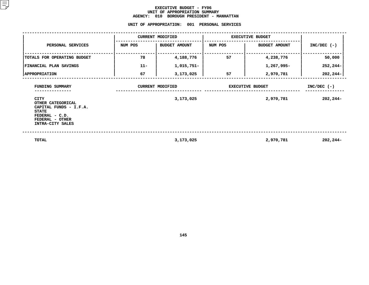#### **EXECUTIVE BUDGET - FY06 UNIT OF APPROPRIATION SUMMARY AGENCY:**

**<sup>010</sup> BOROUGH PRESIDENT - MANHATTAN UNIT**

|                                                                                                                                     | UNIT OF APPROPRIATION: |                         | 001 PERSONAL SERVICES   |                         |               |
|-------------------------------------------------------------------------------------------------------------------------------------|------------------------|-------------------------|-------------------------|-------------------------|---------------|
|                                                                                                                                     |                        | <b>CURRENT MODIFIED</b> | <b>EXECUTIVE BUDGET</b> |                         |               |
| PERSONAL SERVICES                                                                                                                   | NUM POS                | <b>BUDGET AMOUNT</b>    | NUM POS                 | <b>BUDGET AMOUNT</b>    | $INC/DEC$ (-) |
| TOTALS FOR OPERATING BUDGET                                                                                                         | 78                     | 4,188,776               | 57                      | 4,238,776               | 50,000        |
| FINANCIAL PLAN SAVINGS                                                                                                              | $11 -$                 | 1,015,751-              |                         | 1,267,995-              | 252,244-      |
| <b>APPROPRIATION</b>                                                                                                                | 67                     | 3,173,025               | 57                      | 2,970,781               | 202,244-      |
| FUNDING SUMMARY                                                                                                                     |                        | <b>CURRENT MODIFIED</b> |                         | <b>EXECUTIVE BUDGET</b> | $INC/DEC$ (-) |
| <b>CITY</b><br>OTHER CATEGORICAL<br>CAPITAL FUNDS - I.F.A.<br><b>STATE</b><br>FEDERAL - C.D.<br>FEDERAL - OTHER<br>INTRA-CITY SALES |                        | 3,173,025               |                         | 2,970,781               | 202,244-      |
| TOTAL                                                                                                                               |                        | 3,173,025               |                         | 2,970,781               | $202, 244-$   |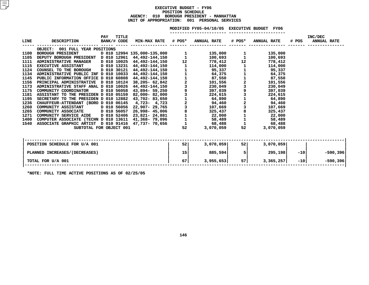#### **EXECUTIVE BUDGET - FY06 POSITIONN SCHEDULE<br>H PRESIDEN<br>: 001 PE AGENCY: <sup>010</sup> BOROUGH PRESIDENT - MANHATTAN UNIT OF APPROPRIATION: <sup>001</sup> PERSONAL SERVICES**

|             |                                                      |             |       |                                                    |                | MODIFIED FY05-04/10/05 EXECUTIVE BUDGET FY06 |                                            |                    |       |                               |  |
|-------------|------------------------------------------------------|-------------|-------|----------------------------------------------------|----------------|----------------------------------------------|--------------------------------------------|--------------------|-------|-------------------------------|--|
| <b>LINE</b> | <b>DESCRIPTION</b>                                   | PAY         | TITLE | BANK/# CODE MIN-MAX RATE # POS* ANNUAL RATE # POS* |                |                                              |                                            | <b>ANNUAL RATE</b> | # POS | INC/DEC<br><b>ANNUAL RATE</b> |  |
|             | OBJECT: 001 FULL YEAR POSITIONS                      |             |       |                                                    |                |                                              |                                            |                    |       |                               |  |
| 1100        | BOROUGH PRESIDENT D 010 12994 135,000-135,000        |             |       |                                                    |                | 135,000                                      |                                            | 135,000            |       |                               |  |
| 1105        | DEPUTY BOROUGH PRESIDENT D 010 12961 44,492-144,150  |             |       |                                                    |                | 100,693                                      |                                            | 100,693            |       |                               |  |
| 1111        | <b>ADMINISTRATIVE MANAGER</b>                        |             |       | D 010 10025 44,492-144,150 12                      |                | 778,412                                      | 12                                         | 778,412            |       |                               |  |
| 1115        | EXECUTIVE ASSISTANT D 010 13231 44,492-144,150       |             |       |                                                    |                | 114,000                                      |                                            | 114,000            |       |                               |  |
| 1124        | COUNSEL TO THE BOROUGH                               |             |       | D 010 30121 44,492-144,150                         |                | 95,337                                       |                                            | 95,337             |       |                               |  |
| 1134        | ADMINISTRATIVE PUBLIC INF D 010 10033 44,492-144,150 |             |       |                                                    |                | 64,375                                       |                                            | 64,375             |       |                               |  |
| 1145        | PUBLIC INFORMATION OFFICE D 010 60808 44,492-144,150 |             |       |                                                    | $\frac{1}{2}$  | 87,550                                       | $\begin{array}{c} 1 \\ 2 \\ 3 \end{array}$ | 87,550             |       |                               |  |
| 1156        | PRINCIPAL ADMINISTRATIVE D 010 10124 38,205- 62,842  |             |       |                                                    |                | 101,556                                      |                                            | 101,556            |       |                               |  |
| 1173        | ADMINISTRATIVE STAFF ANAL D 010 10026 44,492-144,150 |             |       |                                                    |                | 230,049                                      |                                            | 230,049            |       |                               |  |
| 1175        | COMMUNITY COORDINATOR                                | D 010 56058 |       | 43,894- 59,250                                     | و<br>3         | 397,039                                      | $\frac{9}{3}$                              | 397,039            |       |                               |  |
| 1181        | ASSISTANT TO THE PRESIDEN D 010 05159                |             |       | 82,000-82,000                                      |                | 224,615                                      |                                            | 224,615            |       |                               |  |
| 1195        | SECRETARY TO THE PRESIDEN D 010 12882                |             |       | 43,702-83,650                                      | $\frac{1}{2}$  | 64,890                                       | $\frac{1}{2}$                              | 64,890             |       |                               |  |
| 1236        | CHAUFFEUR-ATTENDANT (BORO D 010 06145                |             |       | 4,723-4,723                                        |                | 94,460                                       |                                            | 94,460             |       |                               |  |
| 1260        | <b>COMMUNITY ASSISTANT</b>                           | D 010 56056 |       | 22,907- 29,765                                     |                | 107,669                                      |                                            | 107,669            |       |                               |  |
| 1265        | <b>COMMUNITY ASSOCIATE</b>                           | D 010 56057 |       | 26,998- 45,006                                     | 8              | 325,437                                      | 8                                          | 325,437            |       |                               |  |
| 1271        | <b>COMMUNITY SERVICE AIDE</b>                        |             |       | D 010 52406 23,821- 24,881                         | $\overline{1}$ | 22,000                                       |                                            | 22,000             |       |                               |  |
| 1400        | COMPUTER ASSOCIATE (TECHN D 010 13611 41,368- 79,096 |             |       |                                                    |                | 58,489                                       |                                            | 58,489             |       |                               |  |
| 1540        | ASSOCIATE GRAPHIC ARTIST D 010 91416 47,737- 70,656  |             |       |                                                    |                | 68,488                                       |                                            | 68,488             |       |                               |  |
|             | SUBTOTAL FOR OBJECT 001                              |             |       |                                                    | 52             | 3,070,059                                    | 52                                         | 3,070,059          |       |                               |  |
|             |                                                      |             |       |                                                    |                |                                              |                                            |                    |       |                               |  |
|             |                                                      |             |       |                                                    |                |                                              |                                            |                    |       |                               |  |

| POSITION SCHEDULE FOR U/A 001 | 52 | 3,070,059 | 52 <sub>1</sub> | 3,070,059 |      |            |
|-------------------------------|----|-----------|-----------------|-----------|------|------------|
| PLANNED INCREASES/(DECREASES) | 15 | 885,594   |                 | 295,198   | -101 | $-590,396$ |
| TOTAL FOR U/A 001             | 67 | 3,955,653 | 57 I            | 3,365,257 | -101 | $-590,396$ |
| ------- - - -- -- -- -- -     |    |           |                 |           |      |            |

**\*NOTE: FULL TIME ACTIVE POSITIONS AS OF 02/25/05**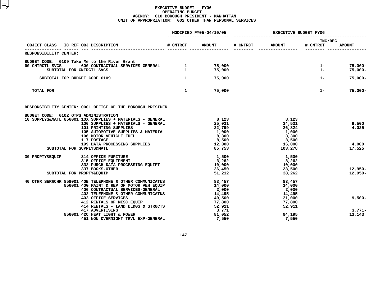#### **EXECUTIVE BUDGET - FY06 OPERATINGG BUDGET<br>PRESIDE<br>2 OTHER AGENCY: <sup>010</sup> BOROUGH PRESIDENT - MANHATTAN UNIT OF APPROPRIATION: <sup>002</sup> OTHER THAN PERSONAL SERVICES**

|                                                                                                                                                   |              | MODIFIED FY05-04/10/05 | <b>EXECUTIVE BUDGET FY06</b> |                 |                     |                          |
|---------------------------------------------------------------------------------------------------------------------------------------------------|--------------|------------------------|------------------------------|-----------------|---------------------|--------------------------|
| IC REF OBJ DESCRIPTION<br>OBJECT CLASS                                                                                                            | # CNTRCT     | <b>AMOUNT</b>          | # CNTRCT                     | <b>AMOUNT</b>   | INC/DEC<br># CNTRCT | <b>AMOUNT</b>            |
| RESPONSIBILITY CENTER:                                                                                                                            |              |                        |                              |                 |                     |                          |
| BUDGET CODE: 0109 Take Me to the River Grant                                                                                                      |              |                        |                              |                 |                     |                          |
| e me co che kiver crune<br>600 CONTRACTUAL SERVICES GENERAL 1975,000<br>TELEVISION NATE (1975,000<br>60 CNTRCTL SVCS<br>SUBTOTAL FOR CNTRCTL SVCS |              | 75,000                 |                              |                 | $1 -$<br>$1 -$      | $75,000 -$<br>$75,000 -$ |
| SUBTOTAL FOR BUDGET CODE 0109                                                                                                                     | $\mathbf{1}$ | 75,000                 |                              |                 | $1 -$               | $75,000 -$               |
| TOTAL FOR                                                                                                                                         | $\mathbf{1}$ | 75,000                 |                              |                 | $1 -$               | $75,000 -$               |
| RESPONSIBILITY CENTER: 0001 OFFICE OF THE BOROUGH PRESIDEN                                                                                        |              |                        |                              |                 |                     |                          |
| BUDGET CODE: 0102 OTPS ADMINISTRATION<br>10 SUPPLYS&MATL 856001 10X SUPPLIES + MATERIALS - GENERAL                                                |              | 8,123                  |                              | 8,123           |                     |                          |
| 100 SUPPLIES + MATERIALS - GENERAL                                                                                                                |              | 25,031                 |                              | 34,531          |                     | 9,500                    |
| 101 PRINTING SUPPLIES                                                                                                                             |              | 22,799                 |                              | 26,824          |                     | 4,025                    |
| 105 AUTOMOTIVE SUPPLIES & MATERIAL                                                                                                                |              | 1,000                  |                              | 1,000           |                     |                          |
| 106 MOTOR VEHICLE FUEL<br>117 POSTAGE<br>117 POSTAGE                                                                                              |              | 8,300<br>8,500         |                              | 8,300<br>8,500  |                     |                          |
| 199 DATA PROCESSING SUPPLIES                                                                                                                      |              | 12,000                 |                              | 16,000          |                     | 4,000                    |
| SUBTOTAL FOR SUPPLYS&MATL                                                                                                                         |              | 85,753                 |                              | 103,278         |                     | 17,525                   |
| 30 PROPTY&EQUIP<br><b>314 OFFICE FURITURE</b>                                                                                                     |              | 1,500                  |                              | 1,500           |                     |                          |
| 315 OFFICE EQUIPMENT<br>332 PURCH DATA PROCESSING EQUIPT                                                                                          |              | 3,262<br>10,000        |                              | 3,262<br>10,000 |                     |                          |
| 337 BOOKS-OTHER                                                                                                                                   |              | 36,450                 |                              | 23,500          |                     | $12,950 -$               |
| SUBTOTAL FOR PROPTY&EQUIP                                                                                                                         |              | 51,212                 |                              | 38,262          |                     | $12,950-$                |
| 40 OTHR SER&CHR 858001 40B TELEPHONE & OTHER COMMUNICATNS                                                                                         |              | 83,457                 |                              | 83,457          |                     |                          |
| 856001 40G MAINT & REP OF MOTOR VEH EQUIP                                                                                                         |              | 14,000                 |                              | 14,000          |                     |                          |
| 400 CONTRACTUAL SERVICES-GENERAL<br>402 TELEPHONE & OTHER COMMUNICATNS                                                                            |              | 2,000<br>14,495        |                              | 2,000<br>14,495 |                     |                          |
| <b>403 OFFICE SERVICES</b>                                                                                                                        |              | 40,500                 |                              | 31,000          |                     | $9,500 -$                |
| 412 RENTALS OF MISC.EQUIP                                                                                                                         |              | 77,800                 |                              | 77,800          |                     |                          |
| 414 RENTALS - LAND BLDGS & STRUCTS                                                                                                                |              | 52,911                 |                              | 52,911          |                     |                          |
| 417 ADVERTISING<br>856001 42C HEAT LIGHT & POWER                                                                                                  |              | 3,771<br>81,052        |                              | 94,195          |                     | $3,771-$<br>13,143       |
| 451 NON OVERNIGHT TRVL EXP-GENERAL                                                                                                                |              | 7,550                  |                              | 7,550           |                     |                          |
|                                                                                                                                                   |              |                        |                              |                 |                     |                          |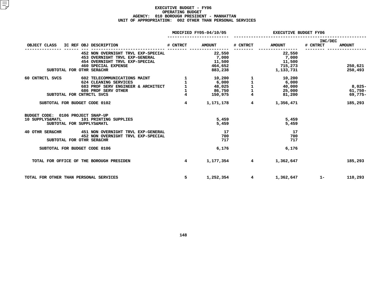#### **EXECUTIVE BUDGET - FY06 OPERATINGG BUDGET<br>PRESIDE<br>2 OTHER AGENCY: <sup>010</sup> BOROUGH PRESIDENT - MANHATTAN UNIT OF APPROPRIATION: <sup>002</sup> OTHER THAN PERSONAL SERVICES**

|                                                                                   |                                                                                                        |                 | MODIFIED FY05-04/10/05      | <b>EXECUTIVE BUDGET FY06</b>    |                            |                     |                                   |
|-----------------------------------------------------------------------------------|--------------------------------------------------------------------------------------------------------|-----------------|-----------------------------|---------------------------------|----------------------------|---------------------|-----------------------------------|
| OBJECT CLASS                                                                      | IC REF OBJ DESCRIPTION                                                                                 | # CNTRCT        | <b>AMOUNT</b>               | # CNTRCT                        | <b>AMOUNT</b>              | INC/DEC<br># CNTRCT | <b>AMOUNT</b>                     |
|                                                                                   | 452 NON OVERNIGHT TRVL EXP-SPECIAL<br>453 OVERNIGHT TRVL EXP-GENERAL<br>454 OVERNIGHT TRVL EXP-SPECIAL |                 | 22,550<br>7,000<br>11,500   |                                 | 22,550<br>7,000<br>11,500  |                     |                                   |
| SUBTOTAL FOR OTHR SER&CHR                                                         | <b>460 SPECIAL EXPENSE</b>                                                                             |                 | 464,652<br>883,238          |                                 | 715,273<br>1,133,731       |                     | 250,621<br>250,493                |
| 60 CNTRCTL SVCS                                                                   | 602 TELECOMMUNICATIONS MAINT<br>624 CLEANING SERVICES                                                  | $\mathbf{1}$    | 10,200<br>6,000             | 1<br>$\mathbf{1}$               | 10,200<br>6,000            |                     |                                   |
| SUBTOTAL FOR CNTRCTL SVCS                                                         | 683 PROF SERV ENGINEER & ARCHITECT<br>686 PROF SERV OTHER                                              | $\overline{4}$  | 48,025<br>86,750<br>150,975 | $\frac{1}{1}$<br>$\overline{4}$ | 40,000<br>25,000<br>81,200 |                     | $8,025-$<br>$61,750 -$<br>69,775- |
| SUBTOTAL FOR BUDGET CODE 0102                                                     |                                                                                                        | $\overline{4}$  | 1,171,178                   | 4                               | 1,356,471                  |                     | 185,293                           |
| BUDGET CODE: 0106 PROJECT SNAP-UP<br>10 SUPPLYS&MATL<br>SUBTOTAL FOR SUPPLYS&MATL | 101 PRINTING SUPPLIES                                                                                  |                 | 5,459<br>5,459              |                                 | 5,459<br>5,459             |                     |                                   |
| 40 OTHR SER&CHR<br>SUBTOTAL FOR OTHR SER&CHR                                      | 451 NON OVERNIGHT TRVL EXP-GENERAL<br>452 NON OVERNIGHT TRVL EXP-SPECIAL                               |                 | 17<br>700<br>717            |                                 | 17<br>700<br>717           |                     |                                   |
| SUBTOTAL FOR BUDGET CODE 0106                                                     |                                                                                                        |                 | 6,176                       |                                 | 6,176                      |                     |                                   |
| TOTAL FOR OFFICE OF THE BOROUGH PRESIDEN                                          |                                                                                                        | $4\overline{ }$ | 1,177,354                   | $4^{\circ}$                     | 1,362,647                  |                     | 185,293                           |
| TOTAL FOR OTHER THAN PERSONAL SERVICES                                            |                                                                                                        | 5               | 1,252,354                   | $\overline{4}$                  | 1,362,647                  | $1 -$               | 110,293                           |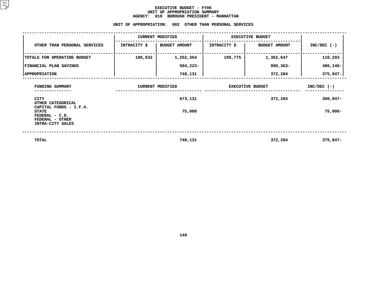#### **EXECUTIVE BUDGET - FY06 UNIT OF APPROPRIATION SUMMARY AGENCY:**

|                                                                                                 | <b>AGENCY:</b> | 010 BOROUGH PRESIDENT - MANHATTAN<br>UNIT OF APPROPRIATION: 002 OTHER THAN PERSONAL SERVICES |                         |                      |               |
|-------------------------------------------------------------------------------------------------|----------------|----------------------------------------------------------------------------------------------|-------------------------|----------------------|---------------|
|                                                                                                 |                |                                                                                              |                         |                      |               |
|                                                                                                 |                | <b>CURRENT MODIFIED</b>                                                                      | <b>EXECUTIVE BUDGET</b> |                      |               |
| OTHER THAN PERSONAL SERVICES                                                                    | INTRACITY \$   | <b>BUDGET AMOUNT</b>                                                                         | <b>INTRACITY \$</b>     | <b>BUDGET AMOUNT</b> | $INC/DEC$ (-) |
| TOTALS FOR OPERATING BUDGET                                                                     | 186,632        | 1,252,354                                                                                    | 199,775                 | 1,362,647            | 110,293       |
| FINANCIAL PLAN SAVINGS                                                                          |                | $504,223-$                                                                                   |                         | $990, 363 -$         | 486,140-      |
| <b>APPROPRIATION</b>                                                                            |                | 748,131                                                                                      |                         | 372,284              | $375,847 -$   |
| FUNDING SUMMARY                                                                                 |                | <b>CURRENT MODIFIED</b>                                                                      | <b>EXECUTIVE BUDGET</b> | $INC/DEC$ (-)        |               |
| CITY<br>OTHER CATEGORICAL                                                                       |                | 673,131                                                                                      |                         | $300,847-$           |               |
| CAPITAL FUNDS - I.F.A.<br><b>STATE</b><br>FEDERAL - C.D.<br>FEDERAL - OTHER<br>INTRA-CITY SALES |                | 75,000                                                                                       |                         |                      | $75,000 -$    |
| <b>TOTAL</b>                                                                                    |                | 748,131                                                                                      |                         | 372,284              | $375,847-$    |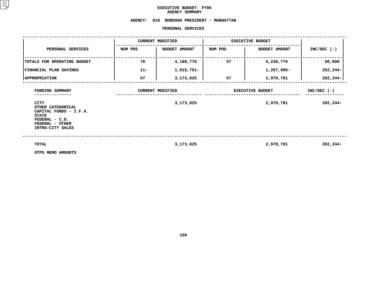## **EXECUTIVE BUDGET- FY06 AGENCY**

# **SUMMARY AGENCY: <sup>010</sup> BOROUGH PRESIDENT - MANHATTAN**

#### **PERSONAL**

|                                                                                                                                                        |         | PERSONAL SERVICES                    |         |                                      |                           |
|--------------------------------------------------------------------------------------------------------------------------------------------------------|---------|--------------------------------------|---------|--------------------------------------|---------------------------|
|                                                                                                                                                        |         | <b>CURRENT MODIFIED</b>              |         | <b>EXECUTIVE BUDGET</b>              |                           |
| PERSONAL SERVICES                                                                                                                                      | NUM POS | <b>BUDGET AMOUNT</b>                 | NUM POS | <b>BUDGET AMOUNT</b>                 | $INC/DEC$ (-)             |
| TOTALS FOR OPERATING BUDGET                                                                                                                            | 78      | 4,188,776                            | 57      | 4,238,776                            | 50,000                    |
| FINANCIAL PLAN SAVINGS                                                                                                                                 | $11 -$  | 1,015,751-                           |         | 1,267,995-                           | 252,244-                  |
| <b>APPROPRIATION</b>                                                                                                                                   | 67      | 3,173,025                            | 57      | 2,970,781                            | $202, 244 -$              |
| FUNDING SUMMARY<br><b>CITY</b><br>OTHER CATEGORICAL<br>CAPITAL FUNDS - I.F.A.<br><b>STATE</b><br>FEDERAL - C.D.<br>FEDERAL - OTHER<br>INTRA-CITY SALES |         | <b>CURRENT MODIFIED</b><br>3,173,025 |         | <b>EXECUTIVE BUDGET</b><br>2,970,781 | $INC/DEC$ (-)<br>202,244- |
| <b>TOTAL</b><br>OTPS MEMO AMOUNTS                                                                                                                      |         | 3,173,025                            |         | 2,970,781                            | $202, 244-$               |

**OTPS MEMO AMOUNTS**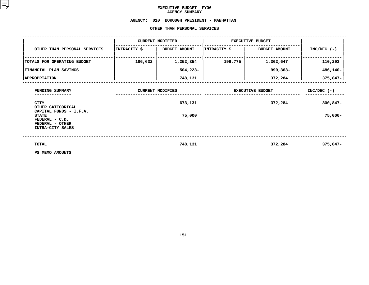## **EXECUTIVE BUDGET- FY06 AGENCY**

## AGENCY SUMMARY<br>AGENCY: 010 BOROUGH PRESIDE **<sup>010</sup> BOROUGH PRESIDENT - MANHATTAN OTHER**

|                                                                                                 |              | OTHER THAN PERSONAL SERVICES |                         |                         |               |
|-------------------------------------------------------------------------------------------------|--------------|------------------------------|-------------------------|-------------------------|---------------|
|                                                                                                 |              | <b>CURRENT MODIFIED</b>      |                         | <b>EXECUTIVE BUDGET</b> |               |
| OTHER THAN PERSONAL SERVICES                                                                    | INTRACITY \$ | <b>BUDGET AMOUNT</b>         | INTRACITY \$            | <b>BUDGET AMOUNT</b>    | $INC/DEC$ (-) |
| TOTALS FOR OPERATING BUDGET                                                                     | 186,632      | 1,252,354                    | 199,775                 | 1,362,647               | 110,293       |
| <b>FINANCIAL PLAN SAVINGS</b>                                                                   |              | $504,223-$                   |                         | 990,363-                | 486,140-      |
| <b>APPROPRIATION</b>                                                                            |              | 748,131                      |                         | 372,284                 | 375,847-      |
| FUNDING SUMMARY                                                                                 |              | <b>CURRENT MODIFIED</b>      | <b>EXECUTIVE BUDGET</b> | $INC/DEC$ (-)           |               |
| <b>CITY</b><br>OTHER CATEGORICAL                                                                |              | 673,131                      |                         | 372,284                 | $300,847-$    |
| CAPITAL FUNDS - I.F.A.<br><b>STATE</b><br>FEDERAL - C.D.<br>FEDERAL - OTHER<br>INTRA-CITY SALES |              | 75,000                       |                         |                         | $75,000 -$    |
| TOTAL                                                                                           |              | 748,131                      |                         | 372,284                 | $375,847-$    |
| PS MEMO AMOUNTS                                                                                 |              |                              |                         |                         |               |

**PS MEMO AMOUNTS**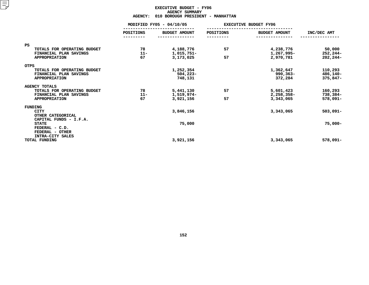### **EXECUTIVE BUDGET - FY06 AGENCYY SUMMARY<br>H PRESIDE<br>ACT**

|                                                       | <b>AGENCY:</b>           | 010 BOROUGH PRESIDENT - MANHATTAN |                              |                         |                       |
|-------------------------------------------------------|--------------------------|-----------------------------------|------------------------------|-------------------------|-----------------------|
|                                                       | MODIFIED FY05 - 04/10/05 |                                   | <b>EXECUTIVE BUDGET FY06</b> |                         |                       |
|                                                       | POSITIONS<br>--------    | <b>BUDGET AMOUNT</b>              | POSITIONS                    | <b>BUDGET AMOUNT</b>    | INC/DEC AMT           |
| <b>PS</b>                                             |                          |                                   |                              |                         |                       |
| TOTALS FOR OPERATING BUDGET<br>FINANCIAL PLAN SAVINGS | 78<br>$11 -$             | 4,188,776<br>1,015,751-           | 57                           | 4,238,776<br>1,267,995- | 50,000<br>$252, 244-$ |
| <b>APPROPRIATION</b>                                  | 67                       | 3,173,025                         | 57                           | 2,970,781               | $202, 244-$           |
| <b>OTPS</b>                                           |                          |                                   |                              |                         |                       |
| TOTALS FOR OPERATING BUDGET                           |                          | 1,252,354                         |                              | 1,362,647               | 110,293               |
| FINANCIAL PLAN SAVINGS                                |                          | $504,223-$                        |                              | 990,363-                | 486,140-              |
| <b>APPROPRIATION</b>                                  |                          | 748,131                           |                              | 372,284                 | 375,847-              |
| <b>AGENCY TOTALS</b>                                  |                          |                                   |                              |                         |                       |
| TOTALS FOR OPERATING BUDGET                           | 78                       | 5,441,130                         | 57                           | 5,601,423               | 160,293               |
| FINANCIAL PLAN SAVINGS                                | $11 -$                   | 1,519,974-                        |                              | 2,258,358-              | 738,384-              |
| <b>APPROPRIATION</b>                                  | 67                       | 3,921,156                         | 57                           | 3,343,065               | 578,091-              |
| FUNDING                                               |                          |                                   |                              |                         |                       |
| <b>CITY</b>                                           |                          | 3,846,156                         |                              | 3,343,065               | $503,091 -$           |
| OTHER CATEGORICAL<br>CAPITAL FUNDS - I.F.A.           |                          |                                   |                              |                         |                       |
| <b>STATE</b>                                          |                          | 75,000                            |                              |                         | $75,000 -$            |
| FEDERAL - C.D.                                        |                          |                                   |                              |                         |                       |
| FEDERAL - OTHER<br>INTRA-CITY SALES                   |                          |                                   |                              |                         |                       |
| TOTAL FUNDING                                         |                          | 3,921,156                         |                              | 3,343,065               | 578,091-              |
|                                                       |                          |                                   |                              |                         |                       |
|                                                       |                          |                                   |                              |                         |                       |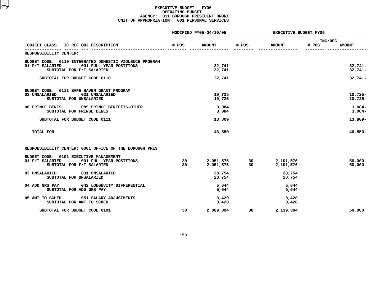#### **EXECUTIVE BUDGET - FY06 OPERATING**G BUDGET<br>UGH PRES<br>1 PERSON **AGENCY: <sup>011</sup> BOROUGH PRESIDENT BRONX UNIT OF APPROPRIATION: <sup>001</sup> PERSONAL SERVICES**

|                                                        |       | MODIFIED FY05-04/10/05 | <b>EXECUTIVE BUDGET FY06</b>            |               |                  |               |
|--------------------------------------------------------|-------|------------------------|-----------------------------------------|---------------|------------------|---------------|
| OBJECT CLASS IC REF OBJ DESCRIPTION                    | # POS | <b>AMOUNT</b>          | # POS                                   | <b>AMOUNT</b> | INC/DEC<br># POS | <b>AMOUNT</b> |
| RESPONSIBILITY CENTER:                                 |       |                        |                                         |               |                  |               |
| BUDGET CODE: 0110 INTEGRATED DOMESTIC VIOLENCE PROGRAM |       |                        |                                         |               |                  |               |
| 01 F/T SALARIED<br>001 FULL YEAR POSITIONS             |       | 32,741                 |                                         |               |                  | $32,741-$     |
| SUBTOTAL FOR F/T SALARIED                              |       | 32,741                 |                                         |               |                  | $32,741-$     |
| SUBTOTAL FOR BUDGET CODE 0110                          |       | 32,741                 |                                         |               |                  | $32,741-$     |
| BUDGET CODE: 0111 SAFE HAVEN GRANT PROGRAM             |       |                        |                                         |               |                  |               |
| 03 UNSALARIED<br>031 UNSALARIED                        |       | 10,725                 |                                         |               |                  | $10,725 -$    |
| SUBTOTAL FOR UNSALARIED                                |       | 10,725                 |                                         |               |                  | $10,725-$     |
| 06 FRINGE BENES<br>089 FRINGE BENEFITS-OTHER           |       | 3,084                  |                                         |               |                  | $3,084-$      |
| SUBTOTAL FOR FRINGE BENES                              |       | 3,084                  |                                         |               |                  | $3,084-$      |
| SUBTOTAL FOR BUDGET CODE 0111                          |       | 13,809                 |                                         |               |                  | $13,809-$     |
| TOTAL FOR                                              |       | 46,550                 |                                         |               |                  | $46,550 -$    |
| RESPONSIBILITY CENTER: 0001 OFFICE OF THE BOROUGH PRES |       |                        |                                         |               |                  |               |
| BUDGET CODE: 0101 EXECUTIVE MANAGEMENT                 |       |                        |                                         |               |                  |               |
| 01 F/T SALARIED<br>001 FULL YEAR POSITIONS             | 30    | 2,051,576              | $\begin{array}{c} 30 \\ 30 \end{array}$ | 2,101,576     |                  | 50,000        |
| SUBTOTAL FOR F/T SALARIED                              | 30    | 2,051,576              |                                         | 2,101,576     |                  | 50,000        |
| 03 UNSALARIED<br>031 UNSALARIED                        |       | 28,754                 |                                         | 28,754        |                  |               |
| SUBTOTAL FOR UNSALARIED                                |       | 28,754                 |                                         | 28,754        |                  |               |
| 042 LONGEVITY DIFFERENTIAL<br>04 ADD GRS PAY           |       | 5,644                  |                                         | 5,644         |                  |               |
| SUBTOTAL FOR ADD GRS PAY                               |       | 5,644                  |                                         | 5,644         |                  |               |
| 05 AMT TO SCHED<br>051 SALARY ADJUSTMENTS              |       | 3,420                  |                                         | 3,420         |                  |               |
| SUBTOTAL FOR AMT TO SCHED                              |       | 3,420                  |                                         | 3,420         |                  |               |
| SUBTOTAL FOR BUDGET CODE 0101                          | 30    | 2,089,394              | 30                                      | 2,139,394     |                  | 50,000        |
|                                                        |       |                        |                                         |               |                  |               |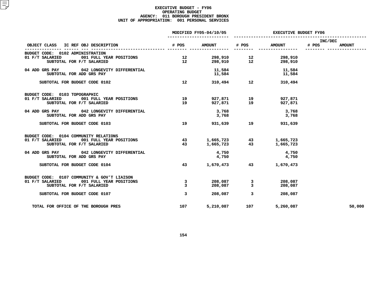#### **EXECUTIVE BUDGET - FY06 OPERATING**G BUDGET<br>UGH PRES<br>1 PERSON **AGENCY: <sup>011</sup> BOROUGH PRESIDENT BRONX UNIT OF APPROPRIATION: <sup>001</sup> PERSONAL SERVICES**

|                                                                         | MODIFIED FY05-04/10/05 |                    | <b>EXECUTIVE BUDGET FY06</b> |                    |                  |               |
|-------------------------------------------------------------------------|------------------------|--------------------|------------------------------|--------------------|------------------|---------------|
| OBJECT CLASS IC REF OBJ DESCRIPTION                                     | # POS                  | <b>AMOUNT</b>      | # POS                        | <b>AMOUNT</b>      | INC/DEC<br># POS | <b>AMOUNT</b> |
| BUDGET CODE: 0102 ADMINISTRATION                                        |                        |                    |                              |                    |                  |               |
| 001 FULL YEAR POSITIONS<br>01 F/T SALARIED<br>SUBTOTAL FOR F/T SALARIED | 12<br>12 <sup>°</sup>  |                    | 298,910 12<br>298,910 12     | 298,910<br>298,910 |                  |               |
| 04 ADD GRS PAY 042 LONGEVITY DIFFERENTIAL<br>SUBTOTAL FOR ADD GRS PAY   |                        | 11,584             | 11,584                       | 11,584<br>11,584   |                  |               |
| SUBTOTAL FOR BUDGET CODE 0102                                           | 12 <sup>12</sup>       |                    | 310,494 12                   | 310,494            |                  |               |
| BUDGET CODE: 0103 TOPOGRAPHIC                                           |                        |                    |                              |                    |                  |               |
| 01 F/T SALARIED<br>001 FULL YEAR POSITIONS<br>SUBTOTAL FOR F/T SALARIED | 19<br>19               | 927,871            | $927,871$ 19<br>19           | 927,871<br>927,871 |                  |               |
| 04 ADD GRS PAY 042 LONGEVITY DIFFERENTIAL<br>SUBTOTAL FOR ADD GRS PAY   |                        | 3,768<br>3,768     |                              | 3,768<br>3,768     |                  |               |
| SUBTOTAL FOR BUDGET CODE 0103                                           | 19                     | 931,639 19         |                              | 931,639            |                  |               |
| BUDGET CODE: 0104 COMMUNITY RELATIONS                                   |                        |                    |                              |                    |                  |               |
| 01 F/T SALARIED 001 FULL YEAR POSITIONS                                 | 43                     |                    | 1,665,723 43                 | 1,665,723          |                  |               |
| SUBTOTAL FOR F/T SALARIED                                               | 43                     | 1,665,723          | 43                           | 1,665,723          |                  |               |
| 04 ADD GRS PAY 042 LONGEVITY DIFFERENTIAL                               |                        | 4,750              |                              | 4,750              |                  |               |
| SUBTOTAL FOR ADD GRS PAY                                                |                        | 4,750              |                              | 4,750              |                  |               |
| SUBTOTAL FOR BUDGET CODE 0104                                           | 43                     | 1,670,473          | 43                           | 1,670,473          |                  |               |
| BUDGET CODE: 0107 COMMUNITY & GOV'T LIAISON                             |                        |                    |                              |                    |                  |               |
| 01 F/T SALARIED 001 FULL YEAR POSITIONS<br>SUBTOTAL FOR F/T SALARIED    | 3<br>$\overline{3}$    | 208,087<br>208,087 | 3<br>$\mathbf{3}$            | 208,087<br>208,087 |                  |               |
| SUBTOTAL FOR BUDGET CODE 0107                                           | $\overline{3}$         | 208,087            | $\overline{3}$               | 208,087            |                  |               |
| TOTAL FOR OFFICE OF THE BOROUGH PRES                                    | 107                    | 5,210,087          | 107                          | 5,260,087          |                  | 50,000        |
|                                                                         |                        |                    |                              |                    |                  |               |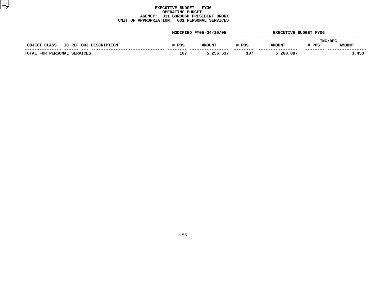#### **EXECUTIVE BUDGET - FY06 OPERATING**G BUDGET<br>UGH PRES<br>1 PERSON **AGENCY: <sup>011</sup> BOROUGH PRESIDENT BRONX UNIT OF APPROPRIATION: <sup>001</sup> PERSONAL SERVICES**

|                                        | MODIFIED FY05-04/10/05 |               |       | <b>EXECUTIVE BUDGET FY06</b> |                  |               |
|----------------------------------------|------------------------|---------------|-------|------------------------------|------------------|---------------|
| IC REF OBJ DESCRIPTION<br>OBJECT CLASS | # POS                  | <b>AMOUNT</b> | # POS | <b>AMOUNT</b>                | INC/DEC<br># POS | <b>AMOUNT</b> |
| TOTAL FOR PERSONAL SERVICES            | 107                    | 5,256,637     | 107   | 5,260,087                    |                  | 3,450         |
|                                        |                        |               |       |                              |                  |               |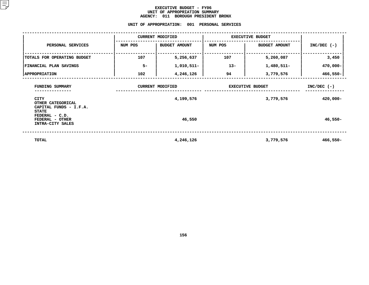#### **EXECUTIVE BUDGET - FY06** UNIT OF APPROPRIATION SUMMARY **OF APPROPRIATION SUMMARY AGENCY:**

**<sup>011</sup> BOROUGH PRESIDENT BRONX UNIT**

|                                                                               |         | UNIT OF APPROPRIATION:<br>001                                                | PERSONAL SERVICES |                         |               |
|-------------------------------------------------------------------------------|---------|------------------------------------------------------------------------------|-------------------|-------------------------|---------------|
|                                                                               |         | <b>CURRENT MODIFIED</b>                                                      |                   | <b>EXECUTIVE BUDGET</b> |               |
| PERSONAL SERVICES                                                             | NUM POS | <b>BUDGET AMOUNT</b>                                                         | NUM POS           | <b>BUDGET AMOUNT</b>    | $INC/DEC$ (-) |
| TOTALS FOR OPERATING BUDGET                                                   | 107     | 5,256,637                                                                    | 107               | 5,260,087               | 3,450         |
| FINANCIAL PLAN SAVINGS                                                        | $5-$    | 1,010,511-                                                                   | $13 -$            | 1,480,511-              | 470,000-      |
| <b>  APPROPRIATION</b>                                                        | 102     | 4,246,126                                                                    | 94                | 3,779,576               | 466,550-      |
| FUNDING SUMMARY<br><b>CITY</b><br>OTHER CATEGORICAL<br>CAPITAL FUNDS - I.F.A. |         | <b>CURRENT MODIFIED</b><br><b>EXECUTIVE BUDGET</b><br>4,199,576<br>3,779,576 |                   |                         |               |
| <b>STATE</b><br>FEDERAL - C.D.<br>FEDERAL - OTHER<br>INTRA-CITY SALES         |         | 46,550                                                                       |                   |                         | $46,550-$     |
| <b>TOTAL</b>                                                                  |         | 4,246,126                                                                    |                   | 3,779,576               | $466,550-$    |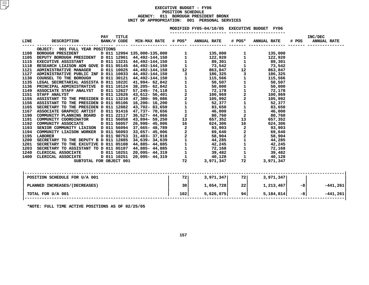#### **EXECUTIVE BUDGET - FY06 POSITIONN SCHEDULE<br>OUGH PRESI<br><mark>:</mark> 001 PE AGENCY: <sup>011</sup> BOROUGH PRESIDENT BRONX UNIT OF APPROPRIATION: <sup>001</sup> PERSONAL SERVICES**

|                                                                                                                                                                                                                                                                                                                                                                                                                  |                  |  | MODIFIED FY05-04/10/05 EXECUTIVE BUDGET FY06            |           |                              |
|------------------------------------------------------------------------------------------------------------------------------------------------------------------------------------------------------------------------------------------------------------------------------------------------------------------------------------------------------------------------------------------------------------------|------------------|--|---------------------------------------------------------|-----------|------------------------------|
|                                                                                                                                                                                                                                                                                                                                                                                                                  |                  |  |                                                         |           |                              |
|                                                                                                                                                                                                                                                                                                                                                                                                                  | <b>PAY TITLE</b> |  |                                                         |           | INC/DEC<br># POS ANNUAL RATE |
|                                                                                                                                                                                                                                                                                                                                                                                                                  |                  |  |                                                         |           |                              |
| OBJECT: 001 FULL YEAR POSITIONS<br>$\begin{tabular}{cccccccc} \textbf{1.13} & \textbf{0.14} & \textbf{0.15} & \textbf{0.15} & \textbf{0.15} & \textbf{0.15} & \textbf{0.15} & \textbf{0.15} & \textbf{0.15} & \textbf{0.15} & \textbf{0.15} & \textbf{0.15} & \textbf{0.15} & \textbf{0.15} & \textbf{0.15} & \textbf{0.15} & \textbf{0.15} & \textbf{0.15} & \textbf{0.15} & \textbf{0.15} & \textbf{0.15} & \$ |                  |  |                                                         |           |                              |
|                                                                                                                                                                                                                                                                                                                                                                                                                  |                  |  |                                                         |           |                              |
|                                                                                                                                                                                                                                                                                                                                                                                                                  |                  |  |                                                         |           |                              |
|                                                                                                                                                                                                                                                                                                                                                                                                                  |                  |  |                                                         |           |                              |
|                                                                                                                                                                                                                                                                                                                                                                                                                  |                  |  |                                                         |           |                              |
|                                                                                                                                                                                                                                                                                                                                                                                                                  |                  |  |                                                         |           |                              |
|                                                                                                                                                                                                                                                                                                                                                                                                                  |                  |  |                                                         |           |                              |
|                                                                                                                                                                                                                                                                                                                                                                                                                  |                  |  |                                                         |           |                              |
|                                                                                                                                                                                                                                                                                                                                                                                                                  |                  |  |                                                         |           |                              |
|                                                                                                                                                                                                                                                                                                                                                                                                                  |                  |  |                                                         |           |                              |
|                                                                                                                                                                                                                                                                                                                                                                                                                  |                  |  |                                                         |           |                              |
|                                                                                                                                                                                                                                                                                                                                                                                                                  |                  |  |                                                         |           |                              |
|                                                                                                                                                                                                                                                                                                                                                                                                                  |                  |  |                                                         |           |                              |
|                                                                                                                                                                                                                                                                                                                                                                                                                  |                  |  |                                                         |           |                              |
|                                                                                                                                                                                                                                                                                                                                                                                                                  |                  |  |                                                         |           |                              |
|                                                                                                                                                                                                                                                                                                                                                                                                                  |                  |  |                                                         |           |                              |
|                                                                                                                                                                                                                                                                                                                                                                                                                  |                  |  |                                                         |           |                              |
|                                                                                                                                                                                                                                                                                                                                                                                                                  |                  |  |                                                         |           |                              |
|                                                                                                                                                                                                                                                                                                                                                                                                                  |                  |  |                                                         |           |                              |
|                                                                                                                                                                                                                                                                                                                                                                                                                  |                  |  |                                                         |           |                              |
|                                                                                                                                                                                                                                                                                                                                                                                                                  |                  |  |                                                         |           |                              |
|                                                                                                                                                                                                                                                                                                                                                                                                                  |                  |  |                                                         |           |                              |
|                                                                                                                                                                                                                                                                                                                                                                                                                  |                  |  |                                                         |           |                              |
|                                                                                                                                                                                                                                                                                                                                                                                                                  |                  |  |                                                         |           |                              |
|                                                                                                                                                                                                                                                                                                                                                                                                                  |                  |  |                                                         |           |                              |
|                                                                                                                                                                                                                                                                                                                                                                                                                  |                  |  |                                                         |           |                              |
|                                                                                                                                                                                                                                                                                                                                                                                                                  |                  |  |                                                         |           |                              |
|                                                                                                                                                                                                                                                                                                                                                                                                                  |                  |  |                                                         |           |                              |
|                                                                                                                                                                                                                                                                                                                                                                                                                  |                  |  |                                                         |           |                              |
|                                                                                                                                                                                                                                                                                                                                                                                                                  |                  |  |                                                         |           |                              |
|                                                                                                                                                                                                                                                                                                                                                                                                                  |                  |  | $\begin{vmatrix} 1 & 72 & 3,971,347 & 72 \end{vmatrix}$ |           |                              |
|                                                                                                                                                                                                                                                                                                                                                                                                                  |                  |  |                                                         | 3,971,347 |                              |
|                                                                                                                                                                                                                                                                                                                                                                                                                  |                  |  |                                                         |           |                              |
|                                                                                                                                                                                                                                                                                                                                                                                                                  |                  |  |                                                         |           |                              |
|                                                                                                                                                                                                                                                                                                                                                                                                                  |                  |  | $102$ 5,626,075                                         | 5,184,814 |                              |
|                                                                                                                                                                                                                                                                                                                                                                                                                  |                  |  |                                                         |           |                              |
|                                                                                                                                                                                                                                                                                                                                                                                                                  |                  |  |                                                         |           |                              |
|                                                                                                                                                                                                                                                                                                                                                                                                                  |                  |  |                                                         |           |                              |

**\*NOTE: FULL TIME ACTIVE POSITIONS AS OF 02/25/05**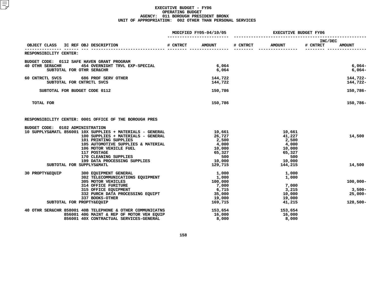#### **EXECUTIVE BUDGET - FY06 OPERATING**G BUDGET<br>UGH PRES<br>2 OTHER **AGENCY: <sup>011</sup> BOROUGH PRESIDENT BRONX UNIT OF APPROPRIATION: <sup>002</sup> OTHER THAN PERSONAL SERVICES**

|                                              |                                                                                                 | MODIFIED FY05-04/10/05 | <b>EXECUTIVE BUDGET FY06</b> |          |                  |                     |                       |
|----------------------------------------------|-------------------------------------------------------------------------------------------------|------------------------|------------------------------|----------|------------------|---------------------|-----------------------|
| OBJECT CLASS IC REF OBJ DESCRIPTION          |                                                                                                 | <b># CNTRCT</b>        | <b>AMOUNT</b>                | # CNTRCT | <b>AMOUNT</b>    | INC/DEC<br># CNTRCT | <b>AMOUNT</b>         |
| RESPONSIBILITY CENTER:                       |                                                                                                 |                        |                              |          |                  |                     |                       |
| BUDGET CODE: 0112 SAFE HAVEN GRANT PROGRAM   |                                                                                                 |                        |                              |          |                  |                     |                       |
| 40 OTHR SER&CHR<br>SUBTOTAL FOR OTHR SER&CHR | 454 OVERNIGHT TRVL EXP-SPECIAL                                                                  |                        | 6,064<br>6,064               |          |                  |                     | $6,064-$<br>$6,064-$  |
| 60 CNTRCTL SVCS                              | 686 PROF SERV OTHER                                                                             |                        | 144,722                      |          |                  |                     | 144,722-              |
| SUBTOTAL FOR CNTRCTL SVCS                    |                                                                                                 |                        | 144,722                      |          |                  |                     | 144,722-              |
| SUBTOTAL FOR BUDGET CODE 0112                |                                                                                                 |                        | 150,786                      |          |                  |                     | 150,786-              |
| TOTAL FOR                                    |                                                                                                 |                        | 150,786                      |          |                  |                     | 150,786-              |
|                                              | RESPONSIBILITY CENTER: 0001 OFFICE OF THE BOROUGH PRES                                          |                        |                              |          |                  |                     |                       |
| BUDGET CODE: 0102 ADMINISTRATION             |                                                                                                 |                        |                              |          |                  |                     |                       |
|                                              | 10 SUPPLYS&MATL 856001 10X SUPPLIES + MATERIALS - GENERAL<br>100 SUPPLIES + MATERIALS - GENERAL |                        | 10,661<br>26,727             |          | 10,661<br>41,227 |                     | 14,500                |
|                                              | 101 PRINTING SUPPLIES                                                                           |                        | 2,500                        |          | 2,500            |                     |                       |
|                                              | 105 AUTOMOTIVE SUPPLIES & MATERIAL                                                              |                        | 4,000                        |          | 4,000            |                     |                       |
|                                              | 106 MOTOR VEHICLE FUEL                                                                          |                        | 10,000                       |          | 10,000           |                     |                       |
|                                              | 117 POSTAGE                                                                                     |                        | 65,327                       |          | 65,327           |                     |                       |
|                                              | 170 CLEANING SUPPLIES<br>199 DATA PROCESSING SUPPLIES                                           |                        | 500<br>10,000                |          | 500<br>10,000    |                     |                       |
| SUBTOTAL FOR SUPPLYS&MATL                    |                                                                                                 |                        | 129,715                      |          | 144,215          |                     | 14,500                |
| 30 PROPTY&EQUIP                              | 300 EQUIPMENT GENERAL                                                                           |                        | 1,000                        |          | 1,000            |                     |                       |
|                                              | 302 TELECOMMUNICATIONS EQUIPMENT                                                                |                        | 1,000                        |          | 1,000            |                     |                       |
|                                              | 305 MOTOR VEHICLES                                                                              |                        | 100,000                      |          |                  |                     | $100,000 -$           |
|                                              | 314 OFFICE FURITURE                                                                             |                        | 7,000                        |          | 7,000            |                     |                       |
|                                              | 315 OFFICE EQUIPMENT<br>332 PURCH DATA PROCESSING EQUIPT                                        |                        | 6,715<br>35,000              |          | 3,215<br>10,000  |                     | $3,500-$<br>$25,000-$ |
|                                              | 337 BOOKS-OTHER                                                                                 |                        | 19,000                       |          | 19,000           |                     |                       |
| SUBTOTAL FOR PROPTY&EQUIP                    |                                                                                                 |                        | 169,715                      |          | 41,215           |                     | 128,500-              |
|                                              | 40 OTHR SER&CHR 858001 40B TELEPHONE & OTHER COMMUNICATNS                                       |                        | 153,654                      |          | 153,654          |                     |                       |
|                                              | 856001 40G MAINT & REP OF MOTOR VEH EQUIP                                                       |                        | 16,000                       |          | 16,000           |                     |                       |
|                                              | 856001 40X CONTRACTUAL SERVICES-GENERAL                                                         |                        | 8,000                        |          | 8,000            |                     |                       |
|                                              |                                                                                                 |                        |                              |          |                  |                     |                       |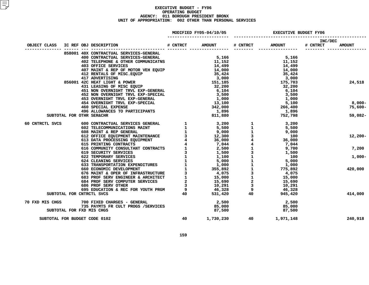#### **EXECUTIVE BUDGET - FY06 OPERATING**G BUDGET<br>UGH PRES<br>2 OTHER **AGENCY: <sup>011</sup> BOROUGH PRESIDENT BRONX UNIT OF APPROPRIATION: <sup>002</sup> OTHER THAN PERSONAL SERVICES**

|                               | MODIFIED FY05-04/10/05 |                                                                                                                                                                                                                                        |          | <b>EXECUTIVE BUDGET FY06</b>                 |          |                 |                     |               |
|-------------------------------|------------------------|----------------------------------------------------------------------------------------------------------------------------------------------------------------------------------------------------------------------------------------|----------|----------------------------------------------|----------|-----------------|---------------------|---------------|
| OBJECT CLASS                  |                        | IC REF OBJ DESCRIPTION                                                                                                                                                                                                                 | # CNTRCT | <b>AMOUNT</b>                                | # CNTRCT | <b>AMOUNT</b>   | INC/DEC<br># CNTRCT | <b>AMOUNT</b> |
|                               |                        | 858001 40X CONTRACTUAL SERVICES-GENERAL                                                                                                                                                                                                |          |                                              |          |                 |                     |               |
|                               |                        | 400 CONTRACTUAL SERVICES-GENERAL                                                                                                                                                                                                       |          | 5,166                                        |          | 5,166           |                     |               |
|                               |                        | 402 TELEPHONE & OTHER COMMUNICATNS 11,152                                                                                                                                                                                              |          |                                              |          | 11,152          |                     |               |
|                               |                        | 403 OFFICE SERVICES                                                                                                                                                                                                                    |          | 14,499                                       |          | 14,499          |                     |               |
|                               |                        | 407 MAINT & REP OF MOTOR VEH EQUIP 14,000                                                                                                                                                                                              |          |                                              |          | 14,000          |                     |               |
|                               |                        | 412 RENTALS OF MISC. EQUIP                                                                                                                                                                                                             |          |                                              |          | 35,424          |                     |               |
|                               |                        | 412 KENTALS OF MISCREAD 17<br>417 ADVERTISING<br>856001 42C HEAT LIGHT & POWER<br>431 LEASING OF MISC EQUIP                                                                                                                            |          | $35,424$<br>$3,000$<br>$151,185$<br>$32,200$ |          | 3,000           |                     |               |
|                               |                        |                                                                                                                                                                                                                                        |          |                                              |          | 175,703         |                     | 24,518        |
|                               |                        | 451 NON OVERNIGHT TRVL EXP-GENERAL                                                                                                                                                                                                     |          | 6,104                                        |          | 32,200<br>6,104 |                     |               |
|                               |                        |                                                                                                                                                                                                                                        |          | 3,500                                        |          | 3,500           |                     |               |
|                               |                        |                                                                                                                                                                                                                                        |          | 1,000                                        |          | 1,000           |                     |               |
|                               |                        | <b>452 NON OVERNIGHT TRVL EXP-SPECIAL<br/>453 OVERNIGHT TRVL EXP-GENERAL<br/>454 OVERNIGHT TRVL EXP-GENERAL<br/>460 SPECIAL EXPENSE<br/>496 ALLOWANCES TO PARTICIPANTS</b>                                                             |          | 13,100                                       |          | 5,100           |                     | 8,000-        |
|                               |                        |                                                                                                                                                                                                                                        |          | 13,100<br>342,000                            |          | 266,400         |                     | 75,600-       |
|                               |                        |                                                                                                                                                                                                                                        |          | 1,896<br>811,880                             |          | 1,896           |                     |               |
| SUBTOTAL FOR OTHR SER&CHR     |                        |                                                                                                                                                                                                                                        |          |                                              |          | 752,798         |                     | 59,082-       |
| 60 CNTRCTL SVCS               |                        |                                                                                                                                                                                                                                        |          |                                              |          |                 |                     |               |
|                               |                        |                                                                                                                                                                                                                                        |          |                                              |          |                 |                     |               |
|                               |                        |                                                                                                                                                                                                                                        |          |                                              |          |                 |                     |               |
|                               |                        |                                                                                                                                                                                                                                        |          |                                              |          |                 |                     | $12,200-$     |
|                               |                        |                                                                                                                                                                                                                                        |          |                                              |          |                 |                     |               |
|                               |                        |                                                                                                                                                                                                                                        |          |                                              |          |                 |                     | 7,200         |
|                               |                        |                                                                                                                                                                                                                                        |          |                                              |          | 1,500           |                     |               |
|                               |                        |                                                                                                                                                                                                                                        |          |                                              |          |                 |                     | $1,000-$      |
|                               |                        |                                                                                                                                                                                                                                        |          |                                              |          |                 |                     |               |
|                               |                        |                                                                                                                                                                                                                                        |          |                                              |          |                 |                     |               |
|                               |                        |                                                                                                                                                                                                                                        |          |                                              |          |                 |                     | 420,000       |
|                               |                        |                                                                                                                                                                                                                                        |          |                                              |          |                 |                     |               |
|                               |                        |                                                                                                                                                                                                                                        |          |                                              |          |                 |                     |               |
|                               |                        |                                                                                                                                                                                                                                        |          |                                              |          |                 |                     |               |
|                               |                        |                                                                                                                                                                                                                                        |          |                                              |          |                 |                     |               |
| SUBTOTAL FOR CNTRCTL SVCS     |                        | 31.790 (2017 RACHINE SERVICES GENERAL 1 3,200 1 3,200<br>602 CONTRACTUAL SERVICES GENERAL 1 3,5,500 1 3,500<br>608 MAINT & REP GENERAL 1 9,000 1 5,500<br>612 OFFICE EQUIPMENT MAINTENANCE 1 9,000 1 5,500<br>613 DATA PROCESSING EQUI |          |                                              |          |                 |                     | 414,000       |
| 70 FXD MIS CHGS               |                        | 700 FIXED CHARGES - GENERAL                                                                                                                                                                                                            |          | 2,500                                        |          | 2,500           |                     |               |
|                               |                        | 735 PAYMTS FR CULT PROGS /SERVICES                                                                                                                                                                                                     |          | 85,000                                       |          | 85,000          |                     |               |
| SUBTOTAL FOR FXD MIS CHGS     |                        |                                                                                                                                                                                                                                        |          | 87,500                                       |          | 87,500          |                     |               |
| SUBTOTAL FOR BUDGET CODE 0102 |                        |                                                                                                                                                                                                                                        | 40       | 1,730,230 40                                 |          | 1,971,148       |                     | 240,918       |
|                               |                        |                                                                                                                                                                                                                                        |          |                                              |          |                 |                     |               |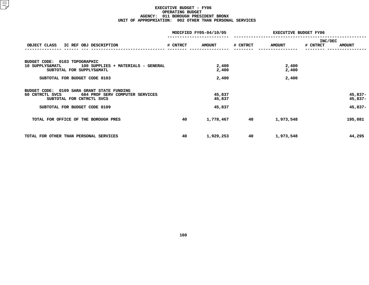#### **EXECUTIVE BUDGET - FY06 OPERATING**G BUDGET<br>UGH PRES<br>2 OTHER **AGENCY: <sup>011</sup> BOROUGH PRESIDENT BRONX UNIT OF APPROPRIATION: <sup>002</sup> OTHER THAN PERSONAL SERVICES**

|                                                                                                                                                                                                                                                       |          | MODIFIED FY05-04/10/05            | <b>EXECUTIVE BUDGET FY06</b> |                         |                |               |
|-------------------------------------------------------------------------------------------------------------------------------------------------------------------------------------------------------------------------------------------------------|----------|-----------------------------------|------------------------------|-------------------------|----------------|---------------|
|                                                                                                                                                                                                                                                       |          |                                   |                              |                         | <b>INC/DEC</b> |               |
| OBJECT CLASS IC REF OBJ DESCRIPTION                                                                                                                                                                                                                   | # CNTRCT | <b>AMOUNT</b>                     | # CNTRCT                     | <b>AMOUNT</b>           | # CNTRCT       | <b>AMOUNT</b> |
| BUDGET CODE: 0103 TOPOGRAPHIC<br>10 SUPPLYS&MATL 100 SUPPLIES + MATERIALS - GENERAL<br>SUBTOTAL FOR SUPPLYS&MATL<br>SUBTOTAL FOR BUDGET CODE 0103<br>BUDGET CODE: 0109 SARA GRANT STATE FUNDING<br>684 PROF SERV COMPUTER SERVICES<br>60 CNTRCTL SVCS |          | 2,400<br>2,400<br>2,400<br>45,837 |                              | 2,400<br>2,400<br>2,400 |                | $45,837-$     |
| SUBTOTAL FOR CNTRCTL SVCS                                                                                                                                                                                                                             |          | 45,837                            |                              |                         |                | 45,837-       |
| SUBTOTAL FOR BUDGET CODE 0109                                                                                                                                                                                                                         |          | 45,837                            |                              |                         |                | $45,837-$     |
| TOTAL FOR OFFICE OF THE BOROUGH PRES                                                                                                                                                                                                                  | 40       | 1,778,467 40                      |                              | 1,973,548               |                | 195,081       |
| TOTAL FOR OTHER THAN PERSONAL SERVICES                                                                                                                                                                                                                | 40       | 1,929,253                         | 40                           | 1,973,548               |                | 44,295        |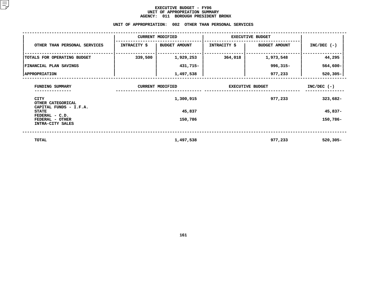#### **EXECUTIVE BUDGET - FY06** UNIT OF APPROPRIATION SUMMARY **OF APPROPRIATION SUMMARY AGENCY:**

|                                                       | <b>AGENCY:</b>          | 011<br><b>BOROUGH PRESIDENT BRONX</b>                   |                         |                      |               |
|-------------------------------------------------------|-------------------------|---------------------------------------------------------|-------------------------|----------------------|---------------|
|                                                       |                         | UNIT OF APPROPRIATION: 002 OTHER THAN PERSONAL SERVICES |                         |                      |               |
|                                                       | <b>CURRENT MODIFIED</b> |                                                         | <b>EXECUTIVE BUDGET</b> |                      |               |
| OTHER THAN PERSONAL SERVICES                          | INTRACITY \$            | <b>BUDGET AMOUNT</b>                                    | <b>INTRACITY \$</b>     | <b>BUDGET AMOUNT</b> | $INC/DEC$ (-) |
| TOTALS FOR OPERATING BUDGET                           | 339,500                 | 1,929,253                                               | 364,018                 | 1,973,548            | 44,295        |
| FINANCIAL PLAN SAVINGS                                |                         | 431,715-                                                |                         | $996,315 -$          | $564,600 -$   |
| <b>APPROPRIATION</b>                                  |                         | 1,497,538                                               |                         | 977,233              | $520,305 -$   |
| FUNDING SUMMARY                                       | <b>CURRENT MODIFIED</b> |                                                         | <b>EXECUTIVE BUDGET</b> |                      | $INC/DEC$ (-) |
| CITY<br>OTHER CATEGORICAL                             |                         | 1,300,915                                               |                         | 977,233              | 323,682-      |
| CAPITAL FUNDS - I.F.A.<br><b>STATE</b>                |                         | 45,837                                                  |                         |                      | 45,837-       |
| FEDERAL - C.D.<br>FEDERAL - OTHER<br>INTRA-CITY SALES |                         | 150,786                                                 |                         |                      | 150,786-      |
| <b>TOTAL</b>                                          |                         | 1,497,538                                               |                         | 977,233              | $520, 305 -$  |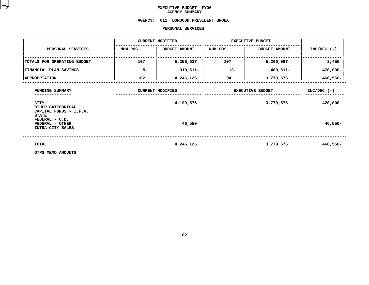### **EXECUTIVE BUDGET- FY06 AGENCY**

# **SUMMARY AGENCY: <sup>011</sup> BOROUGH PRESIDENT BRONX**

### **PERSONAL**

| PERSONAL SERVICES                                                             |         |                                      |                         |                              |               |  |  |  |  |  |
|-------------------------------------------------------------------------------|---------|--------------------------------------|-------------------------|------------------------------|---------------|--|--|--|--|--|
|                                                                               |         | <b>CURRENT MODIFIED</b>              | <b>EXECUTIVE BUDGET</b> |                              |               |  |  |  |  |  |
| PERSONAL SERVICES                                                             | NUM POS | <b>BUDGET AMOUNT</b>                 | NUM POS                 | BUDGET AMOUNT                | $INC/DEC$ (-) |  |  |  |  |  |
| TOTALS FOR OPERATING BUDGET                                                   | 107     | 5,256,637                            | 107                     | 5,260,087                    | 3,450         |  |  |  |  |  |
| FINANCIAL PLAN SAVINGS                                                        | $5-$    | 1,010,511-                           | $13 -$                  | 1,480,511-                   | 470,000-      |  |  |  |  |  |
| <b>APPROPRIATION</b>                                                          | 102     | 4,246,126                            | 94                      | 3,779,576                    | $466,550 -$   |  |  |  |  |  |
| FUNDING SUMMARY<br><b>CITY</b><br>OTHER CATEGORICAL<br>CAPITAL FUNDS - I.F.A. |         | <b>CURRENT MODIFIED</b><br>4,199,576 | <b>EXECUTIVE BUDGET</b> | $INC/DEC$ (-)<br>$420,000 -$ |               |  |  |  |  |  |
| <b>STATE</b><br>FEDERAL - C.D.<br>FEDERAL - OTHER<br>INTRA-CITY SALES         |         | 46,550                               |                         |                              | $46,550-$     |  |  |  |  |  |
| TOTAL                                                                         |         | 4,246,126                            |                         | 3,779,576                    | $466,550 -$   |  |  |  |  |  |
| OTPS MEMO AMOUNTS                                                             |         |                                      |                         |                              |               |  |  |  |  |  |

**OTPS MEMO AMOUNTS**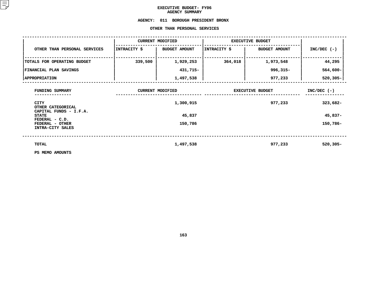### **EXECUTIVE BUDGET- FY06 AGENCY**

## AGENCY SUMMARY<br>AGENCY: 011 BOROUGH PRES **<sup>011</sup> BOROUGH PRESIDENT BRONX OTHER**

|                                                            |              | OTHER THAN PERSONAL SERVICES |                         |                         |               |
|------------------------------------------------------------|--------------|------------------------------|-------------------------|-------------------------|---------------|
|                                                            |              | <b>CURRENT MODIFIED</b>      |                         | <b>EXECUTIVE BUDGET</b> |               |
| OTHER THAN PERSONAL SERVICES                               | INTRACITY \$ | <b>BUDGET AMOUNT</b>         | INTRACITY \$            | <b>BUDGET AMOUNT</b>    | $INC/DEC$ (-) |
| TOTALS FOR OPERATING BUDGET                                | 339,500      | 1,929,253                    | 364,018                 | 1,973,548               | 44,295        |
| <b>FINANCIAL PLAN SAVINGS</b>                              |              | 431,715-                     |                         | $996, 315 -$            | $564,600 -$   |
| <b>APPROPRIATION</b>                                       |              | 1,497,538                    |                         | 977,233                 | $520,305 -$   |
| FUNDING SUMMARY                                            |              | <b>CURRENT MODIFIED</b>      | <b>EXECUTIVE BUDGET</b> | $INC/DEC$ (-)           |               |
| <b>CITY</b><br>OTHER CATEGORICAL<br>CAPITAL FUNDS - I.F.A. |              | 1,300,915                    |                         | 977,233                 | 323,682-      |
| <b>STATE</b><br>FEDERAL - C.D.                             |              | 45,837                       |                         |                         | 45,837-       |
| FEDERAL - OTHER<br>INTRA-CITY SALES                        |              | 150,786                      |                         |                         | 150,786-      |
| <b>TOTAL</b>                                               |              | 1,497,538                    |                         | 977,233                 | $520,305 -$   |
| PS MEMO AMOUNTS                                            |              |                              |                         |                         |               |

**PS MEMO AMOUNTS**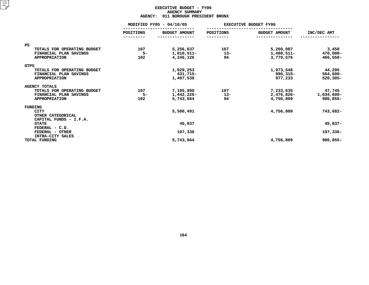### **EXECUTIVE BUDGET - FY06 AGENCY**Y SUMMARY<br>OUGH PRES<br>...<del>.</del>

|                                | <b>AGENCY:</b> | 011 BOROUGH PRESIDENT BRONX |           |                              |             |
|--------------------------------|----------------|-----------------------------|-----------|------------------------------|-------------|
|                                |                | MODIFIED FY05 - 04/10/05    |           | <b>EXECUTIVE BUDGET FY06</b> |             |
|                                | POSITIONS      | <b>BUDGET AMOUNT</b>        | POSITIONS | <b>BUDGET AMOUNT</b>         | INC/DEC AMT |
| <b>PS</b>                      |                |                             |           |                              |             |
| TOTALS FOR OPERATING BUDGET    | 107            | 5,256,637                   | 107       | 5,260,087                    | 3,450       |
| FINANCIAL PLAN SAVINGS         | $5-$           | 1,010,511-                  | $13-$     | 1,480,511-                   | 470,000-    |
| <b>APPROPRIATION</b>           | 102            | 4,246,126                   | 94        | 3,779,576                    | $466,550 -$ |
| <b>OTPS</b>                    |                |                             |           |                              |             |
| TOTALS FOR OPERATING BUDGET    |                | 1,929,253                   |           | 1,973,548                    | 44,295      |
| FINANCIAL PLAN SAVINGS         |                | 431,715-                    |           | 996,315-                     | $564,600 -$ |
| <b>APPROPRIATION</b>           |                | 1,497,538                   |           | 977,233                      | $520,305 -$ |
| <b>AGENCY TOTALS</b>           |                |                             |           |                              |             |
| TOTALS FOR OPERATING BUDGET    | 107            | 7,185,890                   | 107       | 7,233,635                    | 47,745      |
| FINANCIAL PLAN SAVINGS         | $5-$           | 1,442,226-                  | $13-$     | 2,476,826-                   | 1,034,600-  |
| <b>APPROPRIATION</b>           | 102            | 5,743,664                   | 94        | 4,756,809                    | 986,855-    |
| FUNDING                        |                |                             |           |                              |             |
| <b>CITY</b>                    |                | 5,500,491                   |           | 4,756,809                    | 743,682-    |
| OTHER CATEGORICAL              |                |                             |           |                              |             |
| CAPITAL FUNDS - I.F.A.         |                |                             |           |                              |             |
| <b>STATE</b><br>FEDERAL - C.D. |                | 45,837                      |           |                              | $45,837-$   |
| FEDERAL - OTHER                |                | 197,336                     |           |                              | 197,336-    |
| INTRA-CITY SALES               |                |                             |           |                              |             |
| TOTAL FUNDING                  |                | 5,743,664                   |           | 4,756,809                    | 986,855-    |
|                                |                |                             |           |                              |             |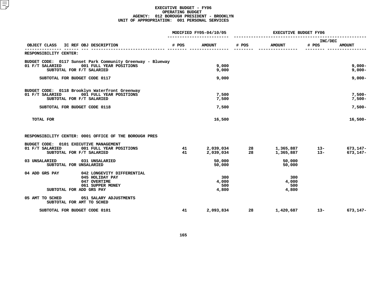### **EXECUTIVE BUDGET - FY06 OPERATING**G BUDGET<br>PRESIDE<br>1 PERSON **AGENCY: <sup>012</sup> BOROUGH PRESIDENT - BROOKLYN UNIT OF APPROPRIATION: <sup>001</sup> PERSONAL SERVICES**

|                                                                                                                                                                              |          | MODIFIED FY05-04/10/05       | <b>EXECUTIVE BUDGET FY06</b> |                              |                  |                                  |
|------------------------------------------------------------------------------------------------------------------------------------------------------------------------------|----------|------------------------------|------------------------------|------------------------------|------------------|----------------------------------|
| OBJECT CLASS<br>IC REF OBJ DESCRIPTION                                                                                                                                       | # POS    | <b>AMOUNT</b>                | # POS                        | <b>AMOUNT</b>                | INC/DEC<br># POS | <b>AMOUNT</b>                    |
| RESPONSIBILITY CENTER:                                                                                                                                                       |          |                              |                              |                              |                  |                                  |
| BUDGET CODE: 0117 Sunset Park Community Greenway - Blueway<br>001 FULL YEAR POSITIONS<br>01 F/T SALARIED<br>SUBTOTAL FOR F/T SALARIED                                        |          | 9,000<br>9,000               |                              |                              |                  | $9,000 -$<br>$9,000 -$           |
| SUBTOTAL FOR BUDGET CODE 0117                                                                                                                                                |          | 9,000                        |                              |                              |                  | $9,000 -$                        |
| BUDGET CODE: 0118 Brooklyn Waterfront Greenway<br>01 F/T SALARIED<br>001 FULL YEAR POSITIONS<br>SUBTOTAL FOR F/T SALARIED<br>SUBTOTAL FOR BUDGET CODE 0118                   |          | 7,500<br>7,500<br>7,500      |                              |                              |                  | $7,500-$<br>$7,500-$<br>$7,500-$ |
| TOTAL FOR                                                                                                                                                                    |          | 16,500                       |                              |                              |                  | $16,500-$                        |
| RESPONSIBILITY CENTER: 0001 OFFICE OF THE BOROUGH PRES<br>BUDGET CODE: 0101 EXECUTIVE MANAGEMENT                                                                             |          |                              |                              |                              |                  |                                  |
| 01 F/T SALARIED<br>001 FULL YEAR POSITIONS<br>SUBTOTAL FOR F/T SALARIED                                                                                                      | 41<br>41 | 2,039,034<br>2,039,034       | 28<br>28                     | 1,365,887<br>1,365,887       | $13-$<br>$13 -$  | 673,147-<br>$673, 147 -$         |
| 03 UNSALARIED<br>031 UNSALARIED<br>SUBTOTAL FOR UNSALARIED                                                                                                                   |          | 50,000<br>50,000             |                              | 50,000<br>50,000             |                  |                                  |
| 04 ADD GRS PAY<br>042 LONGEVITY DIFFERENTIAL<br>045 HOLIDAY PAY<br>047 OVERTIME<br>061 SUPPER MONEY<br>SUBTOTAL FOR ADD GRS PAY<br>05 AMT TO SCHED<br>051 SALARY ADJUSTMENTS |          | 300<br>4,000<br>500<br>4,800 |                              | 300<br>4,000<br>500<br>4,800 |                  |                                  |
| SUBTOTAL FOR AMT TO SCHED<br>SUBTOTAL FOR BUDGET CODE 0101                                                                                                                   | 41       | 2,093,834                    | 28                           | 1,420,687                    | $13 -$           | 673,147-                         |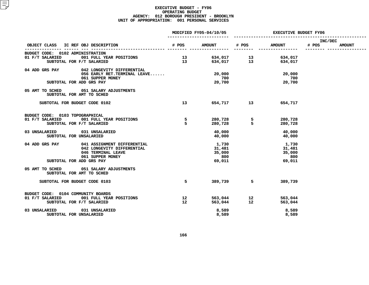### **EXECUTIVE BUDGET - FY06 OPERATING**G BUDGET<br>PRESIDE<br>1 PERSON **AGENCY: <sup>012</sup> BOROUGH PRESIDENT - BROOKLYN UNIT OF APPROPRIATION: <sup>001</sup> PERSONAL SERVICES**

|                                                                     | MODIFIED FY05-04/10/05 |                                                | <b>EXECUTIVE BUDGET FY06</b> |                                                |                  |               |
|---------------------------------------------------------------------|------------------------|------------------------------------------------|------------------------------|------------------------------------------------|------------------|---------------|
| OBJECT CLASS IC REF OBJ DESCRIPTION                                 |                        | # POS AMOUNT # POS                             |                              | <b>AMOUNT</b>                                  | INC/DEC<br># POS | <b>AMOUNT</b> |
| BUDGET CODE: 0102 ADMINISTRATION                                    |                        |                                                | ---------                    |                                                |                  |               |
| 01 F/T SALARIED 001 FULL YEAR POSITIONS                             |                        |                                                |                              |                                                |                  |               |
| SUBTOTAL FOR F/T SALARIED                                           |                        | 13 634,017 13 634,017<br>13 634,017 13 634,017 |                              |                                                |                  |               |
| 04 ADD GRS PAY<br>042 LONGEVITY DIFFERENTIAL                        |                        |                                                |                              |                                                |                  |               |
| 056 EARLY RET. TERMINAL LEAVE                                       |                        | 20,000                                         |                              | 20,000                                         |                  |               |
| 061 SUPPER MONEY                                                    |                        | 700                                            |                              | 700                                            |                  |               |
| SUBTOTAL FOR ADD GRS PAY                                            |                        | 20,700                                         |                              | 20,700                                         |                  |               |
| 05 AMT TO SCHED 051 SALARY ADJUSTMENTS<br>SUBTOTAL FOR AMT TO SCHED |                        |                                                |                              |                                                |                  |               |
| SUBTOTAL FOR BUDGET CODE 0102                                       | 13                     |                                                | 654,717 13                   | 654,717                                        |                  |               |
| BUDGET CODE: 0103 TOPOGRAPHICAL                                     |                        |                                                |                              |                                                |                  |               |
| 01 F/T SALARIED 001 FULL YEAR POSITIONS                             |                        |                                                |                              | 280,728                                        |                  |               |
| SUBTOTAL FOR F/T SALARIED                                           | $\frac{5}{5}$          |                                                |                              |                                                |                  |               |
|                                                                     |                        |                                                |                              | 280,728                                        |                  |               |
| 03 UNSALARIED 031 UNSALARIED                                        |                        |                                                | 40,000                       | 40,000                                         |                  |               |
| SUBTOTAL FOR UNSALARIED                                             |                        | 40,000                                         |                              | 40,000                                         |                  |               |
| 04 ADD GRS PAY<br>041 ASSIGNMENT DIFFERENTIAL                       |                        | 1,730                                          |                              | 1,730                                          |                  |               |
| 042 LONGEVITY DIFFERENTIAL                                          |                        | 31,481                                         |                              | 31,481                                         |                  |               |
| 046 TERMINAL LEAVE                                                  |                        | 35,000                                         |                              | 35,000                                         |                  |               |
| 061 SUPPER MONEY                                                    |                        | 800                                            |                              | 800                                            |                  |               |
| SUBTOTAL FOR ADD GRS PAY                                            |                        | 69,011                                         |                              | 69,011                                         |                  |               |
| 05 AMT TO SCHED 051 SALARY ADJUSTMENTS                              |                        |                                                |                              |                                                |                  |               |
| SUBTOTAL FOR AMT TO SCHED                                           |                        |                                                |                              |                                                |                  |               |
| SUBTOTAL FOR BUDGET CODE 0103                                       | 5                      |                                                | 389,739 5                    | 389,739                                        |                  |               |
| BUDGET CODE: 0104 COMMUNITY BOARDS                                  |                        |                                                |                              |                                                |                  |               |
| 01 F/T SALARIED 001 FULL YEAR POSITIONS                             | 12 <sup>12</sup>       |                                                |                              |                                                |                  |               |
| SUBTOTAL FOR F/T SALARIED                                           | 12 <sup>12</sup>       |                                                |                              | 563,044<br>563,044<br>563,044<br>12<br>563,044 |                  |               |
|                                                                     |                        |                                                |                              |                                                |                  |               |
| 031 UNSALARIED<br>03 UNSALARIED                                     |                        | 8,589                                          |                              | 8,589                                          |                  |               |
| SUBTOTAL FOR UNSALARIED                                             |                        | 8,589                                          |                              | 8,589                                          |                  |               |
|                                                                     |                        |                                                |                              |                                                |                  |               |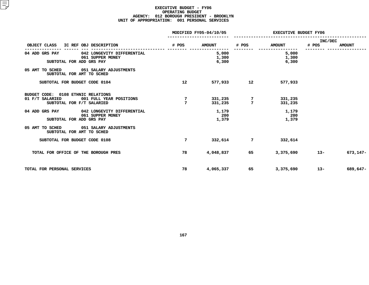### **EXECUTIVE BUDGET - FY06 OPERATING**G BUDGET<br>PRESIDE<br>1 PERSON **AGENCY: <sup>012</sup> BOROUGH PRESIDENT - BROOKLYN UNIT OF APPROPRIATION: <sup>001</sup> PERSONAL SERVICES**

|                                                                                                               |                 | MODIFIED FY05-04/10/05  | <b>EXECUTIVE BUDGET FY06</b> |                         |                  |               |
|---------------------------------------------------------------------------------------------------------------|-----------------|-------------------------|------------------------------|-------------------------|------------------|---------------|
| OBJECT CLASS<br>IC REF OBJ DESCRIPTION                                                                        | # POS           | <b>AMOUNT</b>           | # POS                        | <b>AMOUNT</b>           | INC/DEC<br># POS | <b>AMOUNT</b> |
| 042 LONGEVITY DIFFERENTIAL<br>04 ADD GRS PAY<br>061 SUPPER MONEY<br>SUBTOTAL FOR ADD GRS PAY                  |                 | 5,000<br>1,300<br>6,300 |                              | 5,000<br>1,300<br>6,300 |                  |               |
| 05 AMT TO SCHED<br>051 SALARY ADJUSTMENTS<br>SUBTOTAL FOR AMT TO SCHED                                        |                 |                         |                              |                         |                  |               |
| SUBTOTAL FOR BUDGET CODE 0104                                                                                 | 12 <sup>°</sup> | 577,933                 | 12                           | 577,933                 |                  |               |
| BUDGET CODE: 0108 ETHNIC RELATIONS<br>01 F/T SALARIED<br>001 FULL YEAR POSITIONS<br>SUBTOTAL FOR F/T SALARIED | 7<br>7          | 331,235<br>331,235      | $7\phantom{.0}$              | 331,235<br>331,235      |                  |               |
| 04 ADD GRS PAY<br>042 LONGEVITY DIFFERENTIAL<br>061 SUPPER MONEY<br>SUBTOTAL FOR ADD GRS PAY                  |                 | 1,179<br>200<br>1,379   |                              | 1,179<br>200<br>1,379   |                  |               |
| 05 AMT TO SCHED<br>051 SALARY ADJUSTMENTS<br>SUBTOTAL FOR AMT TO SCHED                                        |                 |                         |                              |                         |                  |               |
| SUBTOTAL FOR BUDGET CODE 0108                                                                                 | 7               | 332,614                 | 7                            | 332,614                 |                  |               |
| TOTAL FOR OFFICE OF THE BOROUGH PRES                                                                          | 78              | 4,048,837               | 65                           | 3,375,690               | $13 -$           | 673,147-      |
| TOTAL FOR PERSONAL SERVICES                                                                                   | 78              | 4,065,337               | 65                           | 3,375,690               | $13 -$           | 689,647-      |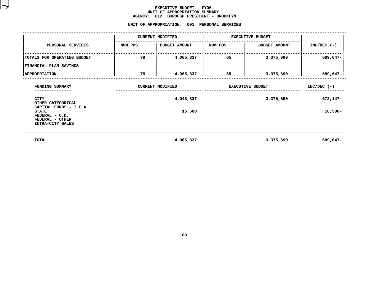### **EXECUTIVE BUDGET - FY06 UNIT OF APPROPRIATION SUMMARY AGENCY:**

**<sup>012</sup> BOROUGH PRESIDENT - BROOKLYN UNIT**

|                                                                                                 | UNIT OF APPROPRIATION: |                         | 001 PERSONAL SERVICES   |                      |               |
|-------------------------------------------------------------------------------------------------|------------------------|-------------------------|-------------------------|----------------------|---------------|
|                                                                                                 |                        | <b>CURRENT MODIFIED</b> | <b>EXECUTIVE BUDGET</b> |                      |               |
| PERSONAL SERVICES                                                                               | NUM POS                | <b>BUDGET AMOUNT</b>    | NUM POS                 | <b>BUDGET AMOUNT</b> | $INC/DEC$ (-) |
| TOTALS FOR OPERATING BUDGET                                                                     | 78                     | 4,065,337               | 65                      | 3,375,690            | 689,647-      |
| FINANCIAL PLAN SAVINGS                                                                          |                        |                         |                         |                      |               |
| <b>APPROPRIATION</b>                                                                            | 78                     | 4,065,337               | 65                      | 3,375,690            | 689,647-      |
| FUNDING SUMMARY                                                                                 |                        | <b>CURRENT MODIFIED</b> | <b>EXECUTIVE BUDGET</b> | $INC/DEC$ (-)        |               |
| <b>CITY</b><br>OTHER CATEGORICAL                                                                |                        | 4,048,837               |                         | 3,375,690            | 673,147-      |
| CAPITAL FUNDS - I.F.A.<br><b>STATE</b><br>FEDERAL - C.D.<br>FEDERAL - OTHER<br>INTRA-CITY SALES |                        | 16,500                  |                         |                      | $16,500-$     |
| TOTAL                                                                                           |                        | 4,065,337               |                         | 3,375,690            | 689,647-      |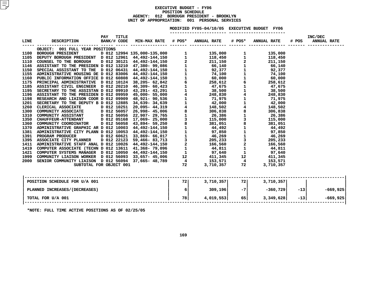### **EXECUTIVE BUDGET - FY06 POSITIONN SCHEDULE<br>GH PRESIDE<br>: 001 PE AGENCY: <sup>012</sup> BOROUGH PRESIDENT - BROOKLYN UNIT OF APPROPRIATION: <sup>001</sup> PERSONAL SERVICES**

### MODIFIED FY05-04/10/05 EXECUTIVE BUDGET FY06

**FY05-04/10/05 EXECUTIVE BUDGET FY06 -----------------------**

|                                                                                                  | <b>PAY</b> | TITLE |  |                |    |                               | INC/DEC             |
|--------------------------------------------------------------------------------------------------|------------|-------|--|----------------|----|-------------------------------|---------------------|
| LINE DESCRIPTION BANK/#CODE MIN-MAX RATE # POS* ANNUAL RATE # POS* ANNUAL RATE # POS ANNUAL RATE |            |       |  |                |    |                               |                     |
|                                                                                                  |            |       |  |                |    |                               |                     |
| OBJECT: 001 FULL YEAR POSITIONS                                                                  |            |       |  |                |    |                               |                     |
|                                                                                                  |            |       |  |                |    |                               |                     |
|                                                                                                  |            |       |  |                |    |                               |                     |
|                                                                                                  |            |       |  |                |    |                               |                     |
|                                                                                                  |            |       |  |                |    |                               |                     |
|                                                                                                  |            |       |  |                |    |                               |                     |
|                                                                                                  |            |       |  |                |    |                               |                     |
|                                                                                                  |            |       |  |                |    |                               |                     |
|                                                                                                  |            |       |  |                |    |                               |                     |
|                                                                                                  |            |       |  |                |    |                               |                     |
|                                                                                                  |            |       |  |                |    |                               |                     |
|                                                                                                  |            |       |  |                |    |                               |                     |
|                                                                                                  |            |       |  |                |    |                               |                     |
|                                                                                                  |            |       |  |                |    |                               |                     |
|                                                                                                  |            |       |  |                |    |                               |                     |
|                                                                                                  |            |       |  |                |    |                               |                     |
|                                                                                                  |            |       |  |                |    |                               |                     |
|                                                                                                  |            |       |  |                |    |                               |                     |
|                                                                                                  |            |       |  |                |    |                               |                     |
|                                                                                                  |            |       |  |                |    |                               |                     |
|                                                                                                  |            |       |  |                |    |                               |                     |
|                                                                                                  |            |       |  |                |    |                               |                     |
|                                                                                                  |            |       |  |                |    |                               |                     |
|                                                                                                  |            |       |  |                |    |                               |                     |
|                                                                                                  |            |       |  |                |    |                               |                     |
|                                                                                                  |            |       |  |                |    |                               |                     |
|                                                                                                  |            |       |  |                |    |                               |                     |
|                                                                                                  |            |       |  |                |    |                               |                     |
|                                                                                                  |            |       |  |                |    |                               |                     |
|                                                                                                  |            |       |  |                |    |                               |                     |
|                                                                                                  |            |       |  |                |    |                               |                     |
| POSITION SCHEDULE FOR U/A 001                                                                    |            |       |  | $72$ 3,710,357 | 72 | 3,710,357                     |                     |
|                                                                                                  |            |       |  |                |    |                               |                     |
| PLANNED INCREASES/(DECREASES)                                                                    |            |       |  |                |    | $6 \Big $ 309,196 -7 -360,729 | $-13$<br>$-669,925$ |
| TOTAL FOR U/A 001                                                                                |            |       |  | $78$ 4,019,553 |    | 65<br>3,349,628               | $-13$ $-669,925$    |
|                                                                                                  |            |       |  |                |    |                               |                     |
|                                                                                                  |            |       |  |                |    |                               |                     |

**\*NOTE: FULL TIME ACTIVE POSITIONS AS OF 02/25/05**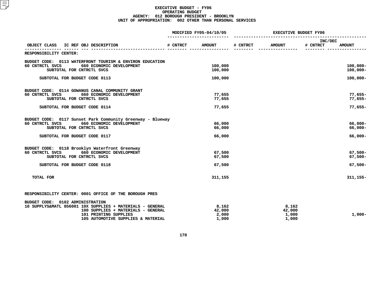### **EXECUTIVE BUDGET - FY06 OPERATINGG BUDGET<br>PRESIDE<br>2 OTHER AGENCY: <sup>012</sup> BOROUGH PRESIDENT - BROOKLYN UNIT OF APPROPRIATION: <sup>002</sup> OTHER THAN PERSONAL SERVICES**

|                                                                                                                                                                                                                                                                        |          | MODIFIED FY05-04/10/05            | <b>EXECUTIVE BUDGET FY06</b> |                                   |                     |                                        |
|------------------------------------------------------------------------------------------------------------------------------------------------------------------------------------------------------------------------------------------------------------------------|----------|-----------------------------------|------------------------------|-----------------------------------|---------------------|----------------------------------------|
| OBJECT CLASS<br>IC REF OBJ DESCRIPTION                                                                                                                                                                                                                                 | # CNTRCT | <b>AMOUNT</b>                     | # CNTRCT                     | <b>AMOUNT</b>                     | INC/DEC<br># CNTRCT | <b>AMOUNT</b>                          |
| RESPONSIBILITY CENTER:                                                                                                                                                                                                                                                 |          |                                   |                              |                                   |                     |                                        |
| BUDGET CODE: 0113 WATERFRONT TOURISM & ENVIRON EDUCATION<br>60 CNTRCTL SVCS<br>660 ECONOMIC DEVELOPMENT<br>SUBTOTAL FOR CNTRCTL SVCS                                                                                                                                   |          | 100,000<br>100,000                |                              |                                   |                     | $100,000 -$<br>$100,000 -$             |
| SUBTOTAL FOR BUDGET CODE 0113                                                                                                                                                                                                                                          |          | 100,000                           |                              |                                   |                     | $100,000 -$                            |
| BUDGET CODE: 0114 GOWANUS CANAL COMMUNITY GRANT<br>60 CNTRCTL SVCS<br>660 ECONOMIC DEVELOPMENT<br>SUBTOTAL FOR CNTRCTL SVCS<br>SUBTOTAL FOR BUDGET CODE 0114                                                                                                           |          | 77,655<br>77,655<br>77,655        |                              |                                   |                     | $77,655 -$<br>$77,655-$<br>$77,655-$   |
| BUDGET CODE: 0117 Sunset Park Community Greenway - Blueway<br>60 CNTRCTL SVCS<br>660 ECONOMIC DEVELOPMENT<br>SUBTOTAL FOR CNTRCTL SVCS<br>SUBTOTAL FOR BUDGET CODE 0117                                                                                                |          | 66,000<br>66,000<br>66,000        |                              |                                   |                     | 66,000-<br>66,000-<br>66,000-          |
| BUDGET CODE: 0118 Brooklyn Waterfront Greenway<br>60 CNTRCTL SVCS<br>660 ECONOMIC DEVELOPMENT<br>SUBTOTAL FOR CNTRCTL SVCS<br>SUBTOTAL FOR BUDGET CODE 0118                                                                                                            |          | 67,500<br>67,500<br>67,500        |                              |                                   |                     | $67,500 -$<br>$67,500 -$<br>$67,500 -$ |
| <b>TOTAL FOR</b>                                                                                                                                                                                                                                                       |          | 311,155                           |                              |                                   |                     | $311, 155 -$                           |
| RESPONSIBILITY CENTER: 0001 OFFICE OF THE BOROUGH PRES<br><b>0102 ADMINISTRATION</b><br>BUDGET CODE:<br>10 SUPPLYS&MATL 856001 10X SUPPLIES + MATERIALS - GENERAL<br>100 SUPPLIES + MATERIALS - GENERAL<br>101 PRINTING SUPPLIES<br>105 AUTOMOTIVE SUPPLIES & MATERIAL |          | 8,162<br>42,000<br>2,000<br>1,000 |                              | 8,162<br>42,000<br>1,000<br>1,000 |                     | $1,000-$                               |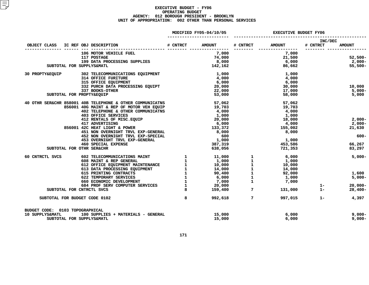### **EXECUTIVE BUDGET - FY06 OPERATINGG BUDGET<br>PRESIDE<br>2 OTHER AGENCY: <sup>012</sup> BOROUGH PRESIDENT - BROOKLYN UNIT OF APPROPRIATION: <sup>002</sup> OTHER THAN PERSONAL SERVICES**

|                                 |                           |                                                                                                                                                                                                                                                                                                                                                                                                | MODIFIED FY05-04/10/05 | <b>EXECUTIVE BUDGET FY06</b> |             |                             |                     |               |
|---------------------------------|---------------------------|------------------------------------------------------------------------------------------------------------------------------------------------------------------------------------------------------------------------------------------------------------------------------------------------------------------------------------------------------------------------------------------------|------------------------|------------------------------|-------------|-----------------------------|---------------------|---------------|
|                                 |                           | OBJECT CLASS IC REF OBJ DESCRIPTION                                                                                                                                                                                                                                                                                                                                                            |                        | # CNTRCT AMOUNT              | # CNTRCT    | <b>AMOUNT</b>               | INC/DEC<br># CNTRCT | <b>AMOUNT</b> |
|                                 |                           |                                                                                                                                                                                                                                                                                                                                                                                                |                        |                              |             | . _ _ _ _ _ _ _ _ _ _ _ _ _ |                     |               |
|                                 |                           | 106 MOTOR VEHICLE FUEL                                                                                                                                                                                                                                                                                                                                                                         |                        | 7,000                        |             | 7,000                       |                     |               |
|                                 |                           | 117 POSTAGE                                                                                                                                                                                                                                                                                                                                                                                    |                        | 74,000                       |             |                             |                     | 52,500-       |
|                                 |                           | 119 DATA PROCESSING SUPPLIES<br>"ISP DATA PROCESSING SUPPLIES                                                                                                                                                                                                                                                                                                                                  |                        | 8,000                        |             |                             |                     | 2,000-        |
|                                 | SUBTOTAL FOR SUPPLYS&MATL |                                                                                                                                                                                                                                                                                                                                                                                                |                        | 142,162                      |             | 21,500<br>6,000<br>86,662   |                     | 55,500-       |
|                                 |                           | 30 PROPTY&EQUIP 302 TELECOMMUNICATIONS EQUIPMENT                                                                                                                                                                                                                                                                                                                                               |                        | 1,000                        |             | 1,000                       |                     |               |
|                                 |                           | 314 OFFICE FURITURE                                                                                                                                                                                                                                                                                                                                                                            |                        | 4,000                        |             | 4,000                       |                     |               |
|                                 |                           | 315 OFFICE EQUIPMENT                                                                                                                                                                                                                                                                                                                                                                           |                        | 6,000                        |             | 6,000                       |                     |               |
|                                 |                           | 332 PURCH DATA PROCESSING EQUIPT                                                                                                                                                                                                                                                                                                                                                               |                        | 20,000                       |             | 30,000                      |                     | 10,000        |
|                                 |                           | 337 BOOKS-OTHER                                                                                                                                                                                                                                                                                                                                                                                |                        | 22,000                       |             | 17,000                      |                     | $5,000-$      |
|                                 | SUBTOTAL FOR PROPTY&EQUIP |                                                                                                                                                                                                                                                                                                                                                                                                |                        | 53,000                       |             | 58,000                      |                     | 5,000         |
|                                 |                           | 40 OTHR SER&CHR 858001 40B TELEPHONE & OTHER COMMUNICATNS                                                                                                                                                                                                                                                                                                                                      |                        | 57,062                       |             | 57,062                      |                     |               |
|                                 |                           | 856001 40G MAINT & REP OF MOTOR VEH EQUIP                                                                                                                                                                                                                                                                                                                                                      |                        | 19,703                       |             | 19,703                      |                     |               |
|                                 |                           | 402 TELEPHONE & OTHER COMMUNICATNS                                                                                                                                                                                                                                                                                                                                                             |                        | 4,000                        |             | 4,000                       |                     |               |
|                                 |                           |                                                                                                                                                                                                                                                                                                                                                                                                |                        | 1,000                        |             | 1,000                       |                     |               |
|                                 |                           |                                                                                                                                                                                                                                                                                                                                                                                                |                        | 20,000                       |             | 18,000                      |                     | $2,000-$      |
|                                 |                           |                                                                                                                                                                                                                                                                                                                                                                                                |                        | 6,000                        |             | 4,000                       |                     | $2,000-$      |
|                                 |                           | 856001 42C HEAT LIGHT & POWER                                                                                                                                                                                                                                                                                                                                                                  |                        |                              |             | 155,002                     |                     |               |
|                                 |                           | 403 OFFICE SERVICES<br>412 RENTALS OF MISC.EQUIP<br>417 ADVERTISING<br>425 HEAT LIGHIT & POWER                                                                                                                                                                                                                                                                                                 |                        | 133,372                      |             |                             |                     | 21,630        |
|                                 |                           | 451 NON OVERNIGHT TRVL EXP-GENERAL                                                                                                                                                                                                                                                                                                                                                             |                        | 8,000                        |             | 8,000                       |                     |               |
|                                 |                           | 452 NON OVERNIGHT TRVL EXP-SPECIAL                                                                                                                                                                                                                                                                                                                                                             |                        | 600                          |             |                             |                     | $600 -$       |
|                                 |                           | 453 OVERNIGHT TRVL EXP-GENERAL                                                                                                                                                                                                                                                                                                                                                                 |                        | 1,000                        |             | 1,000                       |                     |               |
|                                 |                           | <b>460 SPECIAL EXPENSE</b>                                                                                                                                                                                                                                                                                                                                                                     |                        | 387,319                      |             | 453,586                     |                     | 66,267        |
|                                 | SUBTOTAL FOR OTHR SER&CHR |                                                                                                                                                                                                                                                                                                                                                                                                |                        | 638,056                      |             | 721,353                     |                     | 83,297        |
| 60 CNTRCTL SVCS                 |                           |                                                                                                                                                                                                                                                                                                                                                                                                |                        |                              |             |                             |                     | $5,000-$      |
|                                 |                           |                                                                                                                                                                                                                                                                                                                                                                                                |                        |                              |             |                             |                     |               |
|                                 |                           |                                                                                                                                                                                                                                                                                                                                                                                                |                        |                              |             |                             |                     |               |
|                                 |                           |                                                                                                                                                                                                                                                                                                                                                                                                |                        |                              |             |                             |                     |               |
|                                 |                           |                                                                                                                                                                                                                                                                                                                                                                                                |                        |                              |             |                             |                     | 1,600         |
|                                 |                           |                                                                                                                                                                                                                                                                                                                                                                                                |                        |                              |             |                             |                     | $5,000-$      |
|                                 |                           |                                                                                                                                                                                                                                                                                                                                                                                                |                        |                              |             |                             |                     |               |
|                                 |                           |                                                                                                                                                                                                                                                                                                                                                                                                |                        |                              |             |                             | $1 -$               | $20,000 -$    |
|                                 | SUBTOTAL FOR CNTRCTL SVCS | $\begin{tabular}{cccccccc} 602 TELCOMMUNICATIONS MANT & & & & & & & & 1 & & & 11,000 & & 1 & & 6,000 \\ 608 MANT & & & & & & & & & & & 1 & & 1,000 & & 1 & & 1,000 \\ 612 OFFICE EQUIPMENT MANTENANCE & & & & & & & 1 & & 1,000 & & 1 & & 1,000 \\ 613 DATA PROCESSING EQUIPMENT & & & & & & & 1 & & 14,000 & & 1 & & 10,000 \\ 613 RINTING CONTRORTS & & & & & & & & 1 & & 14,000 & & 1 & & $ |                        |                              |             | 131,000                     | $1 -$               | $28,400 -$    |
|                                 |                           | SUBTOTAL FOR BUDGET CODE 0102                                                                                                                                                                                                                                                                                                                                                                  | 8                      | 992,618                      | $7^{\circ}$ | 997,015                     | $1 -$               | 4,397         |
| BUDGET CODE: 0103 TOPOGRAPHICAL |                           |                                                                                                                                                                                                                                                                                                                                                                                                |                        |                              |             |                             |                     |               |
| 10 SUPPLYS&MATL                 |                           | 100 SUPPLIES + MATERIALS - GENERAL                                                                                                                                                                                                                                                                                                                                                             |                        | 15,000                       |             | 6,000                       |                     | $9,000-$      |
|                                 |                           |                                                                                                                                                                                                                                                                                                                                                                                                |                        |                              |             |                             |                     |               |
|                                 | SUBTOTAL FOR SUPPLYS&MATL |                                                                                                                                                                                                                                                                                                                                                                                                |                        | 15,000                       |             | 6,000                       |                     | $9,000 -$     |

**FOR SUPPLYS&MATL 15,000 6,000 9,000-**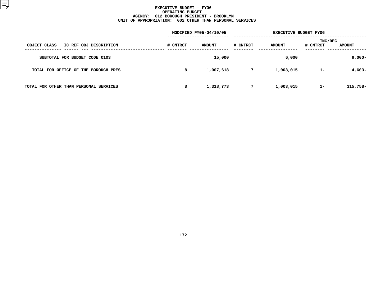### **EXECUTIVE BUDGET - FY06 OPERATINGG BUDGET<br>PRESIDE<br>2 OTHER AGENCY: <sup>012</sup> BOROUGH PRESIDENT - BROOKLYN UNIT OF APPROPRIATION: <sup>002</sup> OTHER THAN PERSONAL SERVICES**

|                                        |          | MODIFIED FY05-04/10/05 | <b>EXECUTIVE BUDGET FY06</b> |               |                     |               |
|----------------------------------------|----------|------------------------|------------------------------|---------------|---------------------|---------------|
| IC REF OBJ DESCRIPTION<br>OBJECT CLASS | # CNTRCT | <b>AMOUNT</b>          | # CNTRCT                     | <b>AMOUNT</b> | INC/DEC<br># CNTRCT | <b>AMOUNT</b> |
| SUBTOTAL FOR BUDGET CODE 0103          |          | 15,000                 |                              | 6,000         |                     | $9,000-$      |
| TOTAL FOR OFFICE OF THE BOROUGH PRES   | 8        | 1,007,618              | 7                            | 1,003,015     | $1 -$               | 4,603-        |
| TOTAL FOR OTHER THAN PERSONAL SERVICES | 8        | 1,318,773              | 7                            | 1,003,015     | $1 -$               | $315,758-$    |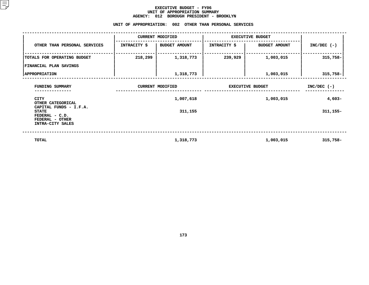### **EXECUTIVE BUDGET - FY06 UNIT OF APPROPRIATION SUMMARY AGENCY:**

|                                                                             |              | AGENCY: 012 BOROUGH PRESIDENT - BROOKLYN                |                         |                      |               |
|-----------------------------------------------------------------------------|--------------|---------------------------------------------------------|-------------------------|----------------------|---------------|
|                                                                             |              | UNIT OF APPROPRIATION: 002 OTHER THAN PERSONAL SERVICES |                         |                      |               |
|                                                                             |              | <b>CURRENT MODIFIED</b>                                 | <b>EXECUTIVE BUDGET</b> |                      |               |
| OTHER THAN PERSONAL SERVICES                                                | INTRACITY \$ | <b>BUDGET AMOUNT</b>                                    | <b>INTRACITY \$</b>     | <b>BUDGET AMOUNT</b> | $INC/DEC$ (-) |
| TOTALS FOR OPERATING BUDGET                                                 | 218,299      | 1,318,773                                               | 239,929                 | 1,003,015            | $315,758-$    |
| <b>FINANCIAL PLAN SAVINGS</b>                                               |              |                                                         |                         |                      |               |
| <b>APPROPRIATION</b>                                                        |              | 1,318,773                                               |                         | 1,003,015            | $315,758-$    |
| FUNDING SUMMARY                                                             |              | <b>CURRENT MODIFIED</b>                                 | <b>EXECUTIVE BUDGET</b> | $INC/DEC$ (-)        |               |
| CITY<br>OTHER CATEGORICAL                                                   |              | 1,007,618                                               |                         | $4,603-$             |               |
| CAPITAL FUNDS - I.F.A.<br><b>STATE</b><br>FEDERAL - C.D.<br>FEDERAL - OTHER |              | 311,155                                                 |                         | 311, 155-            |               |
| INTRA-CITY SALES                                                            |              |                                                         |                         |                      |               |
| <b>TOTAL</b>                                                                |              | 1,318,773                                               |                         | 1,003,015            | $315,758-$    |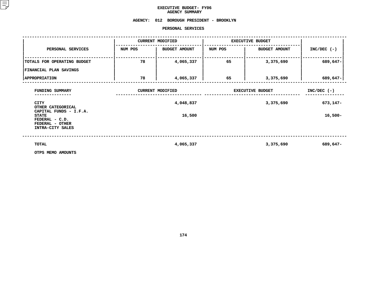### **EXECUTIVE BUDGET- FY06 AGENCY**

# **SUMMARY AGENCY: <sup>012</sup> BOROUGH PRESIDENT - BROOKLYN**

### **PERSONAL**

|                                                                       |         | PERSONAL SERVICES       |                         |                      |               |
|-----------------------------------------------------------------------|---------|-------------------------|-------------------------|----------------------|---------------|
|                                                                       |         | <b>CURRENT MODIFIED</b> | <b>EXECUTIVE BUDGET</b> |                      |               |
| PERSONAL SERVICES                                                     | NUM POS | <b>BUDGET AMOUNT</b>    | NUM POS                 | <b>BUDGET AMOUNT</b> | $INC/DEC$ (-) |
| TOTALS FOR OPERATING BUDGET                                           | 78      | 4,065,337               | 65                      | 3,375,690            | 689,647-      |
| FINANCIAL PLAN SAVINGS                                                |         |                         |                         |                      |               |
| <b>APPROPRIATION</b>                                                  | 78      | 4,065,337               | 65                      | 3,375,690            | 689,647-      |
| FUNDING SUMMARY                                                       |         | <b>CURRENT MODIFIED</b> | <b>EXECUTIVE BUDGET</b> | $INC/DEC$ (-)        |               |
| <b>CITY</b><br>OTHER CATEGORICAL<br>CAPITAL FUNDS - I.F.A.            |         | 4,048,837               |                         | 3,375,690            | 673,147-      |
| <b>STATE</b><br>FEDERAL - C.D.<br>FEDERAL - OTHER<br>INTRA-CITY SALES |         | 16,500                  |                         |                      | $16,500-$     |
| TOTAL                                                                 |         | 4,065,337               |                         | 3,375,690            | 689,647-      |
| OTPS MEMO AMOUNTS                                                     |         |                         |                         |                      |               |

**OTPS MEMO AMOUNTS**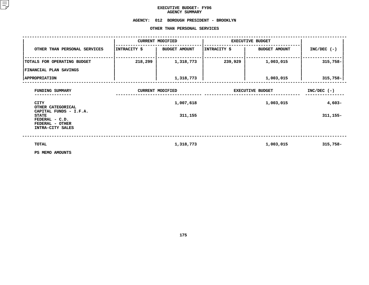### **EXECUTIVE BUDGET- FY06 AGENCY**

AGENCY SUMMARY<br>AGENCY: 012 BOROUGH PRESID **<sup>012</sup> BOROUGH PRESIDENT - BROOKLYN OTHER**

|                                                                                                 |              | OTHER THAN PERSONAL SERVICES |                         |                      |               |
|-------------------------------------------------------------------------------------------------|--------------|------------------------------|-------------------------|----------------------|---------------|
|                                                                                                 |              | <b>CURRENT MODIFIED</b>      | <b>EXECUTIVE BUDGET</b> |                      |               |
| OTHER THAN PERSONAL SERVICES                                                                    | INTRACITY \$ | <b>BUDGET AMOUNT</b>         | INTRACITY \$            | <b>BUDGET AMOUNT</b> | $INC/DEC$ (-) |
| TOTALS FOR OPERATING BUDGET                                                                     | 218,299      | 1,318,773                    | 239,929                 | 1,003,015            | 315,758-      |
| FINANCIAL PLAN SAVINGS                                                                          |              |                              |                         |                      |               |
| <b>APPROPRIATION</b>                                                                            |              | 1,318,773                    |                         | 1,003,015            | $315,758 -$   |
| FUNDING SUMMARY                                                                                 |              | <b>CURRENT MODIFIED</b>      | <b>EXECUTIVE BUDGET</b> | $INC/DEC$ (-)        |               |
| <b>CITY</b><br>OTHER CATEGORICAL                                                                |              | 1,007,618                    |                         | 1,003,015            | $4,603-$      |
| CAPITAL FUNDS - I.F.A.<br><b>STATE</b><br>FEDERAL - C.D.<br>FEDERAL - OTHER<br>INTRA-CITY SALES |              | 311,155                      |                         |                      | $311, 155 -$  |
| TOTAL<br>PS MEMO AMOUNTS                                                                        |              | 1,318,773                    |                         | 1,003,015            | $315,758-$    |

**PS MEMO AMOUNTS**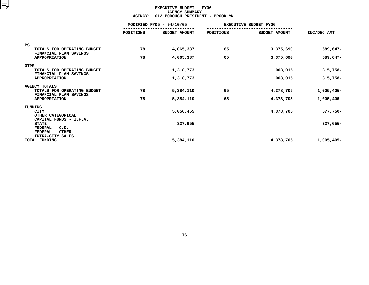### **EXECUTIVE BUDGET - FY06 AGENCYY SUMMARY<br>H PRESIDE<br>ACT**

|                                                                               | <b>AGENCY:</b>   | 012 BOROUGH PRESIDENT - BROOKLYN |           |                              |              |  |  |  |
|-------------------------------------------------------------------------------|------------------|----------------------------------|-----------|------------------------------|--------------|--|--|--|
|                                                                               |                  | MODIFIED FY05 - 04/10/05         |           | <b>EXECUTIVE BUDGET FY06</b> |              |  |  |  |
|                                                                               | <b>POSITIONS</b> | <b>BUDGET AMOUNT</b>             | POSITIONS | <b>BUDGET AMOUNT</b>         | INC/DEC AMT  |  |  |  |
| <b>PS</b><br>TOTALS FOR OPERATING BUDGET                                      | 78               | 4,065,337                        | 65        | 3,375,690                    | 689,647-     |  |  |  |
| FINANCIAL PLAN SAVINGS<br><b>APPROPRIATION</b>                                | 78               | 4,065,337                        | 65        | 3,375,690                    | 689,647-     |  |  |  |
| OTPS<br>TOTALS FOR OPERATING BUDGET<br>FINANCIAL PLAN SAVINGS                 |                  | 1,318,773                        |           | 1,003,015                    | $315,758-$   |  |  |  |
| <b>APPROPRIATION</b>                                                          |                  | 1,318,773                        |           | 1,003,015                    | 315,758-     |  |  |  |
| <b>AGENCY TOTALS</b><br>TOTALS FOR OPERATING BUDGET<br>FINANCIAL PLAN SAVINGS | 78               | 5,384,110                        | 65        | 4,378,705                    | 1,005,405-   |  |  |  |
| <b>APPROPRIATION</b>                                                          | 78               | 5,384,110                        | 65        | 4,378,705                    | $1,005,405-$ |  |  |  |
| FUNDING<br><b>CITY</b><br>OTHER CATEGORICAL<br>CAPITAL FUNDS - I.F.A.         |                  | 5,056,455                        |           | 4,378,705                    | 677,750-     |  |  |  |
| <b>STATE</b><br>FEDERAL - C.D.<br>FEDERAL - OTHER                             |                  | 327,655                          |           |                              | 327,655-     |  |  |  |
| INTRA-CITY SALES<br>TOTAL FUNDING                                             |                  | 5,384,110                        |           | 4,378,705                    | 1,005,405-   |  |  |  |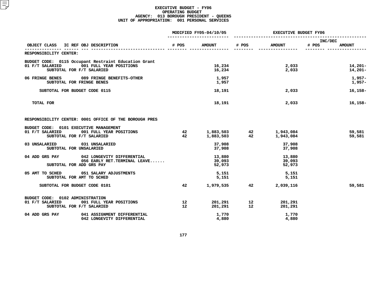### **EXECUTIVE BUDGET - FY06 OPERATING**G BUDGET<br>H PRESID<br>1 PERSON **AGENCY: <sup>013</sup> BOROUGH PRESIDENT - QUEENS UNIT OF APPROPRIATION: <sup>001</sup> PERSONAL SERVICES**

|                                                                                                                                 |                       | MODIFIED FY05-04/10/05     |          | <b>EXECUTIVE BUDGET FY06</b>                     |                                   |  |
|---------------------------------------------------------------------------------------------------------------------------------|-----------------------|----------------------------|----------|--------------------------------------------------|-----------------------------------|--|
| IC REF OBJ DESCRIPTION<br>OBJECT CLASS                                                                                          | # POS                 | <b>AMOUNT</b>              | # POS    | <b>AMOUNT</b>                                    | INC/DEC<br># POS<br><b>AMOUNT</b> |  |
| RESPONSIBILITY CENTER:                                                                                                          |                       |                            |          | -------------                                    |                                   |  |
| BUDGET CODE: 0115 Occupant Restraint Education Grant<br>01 F/T SALARIED<br>001 FULL YEAR POSITIONS<br>SUBTOTAL FOR F/T SALARIED |                       | 16,234<br>16,234           |          | 2,033<br>2,033                                   | $14,201-$<br>14,201-              |  |
| <b>06 FRINGE BENES</b><br>089 FRINGE BENEFITS-OTHER<br>SUBTOTAL FOR FRINGE BENES                                                |                       | 1,957<br>1,957             |          |                                                  | $1,957-$<br>$1,957-$              |  |
| SUBTOTAL FOR BUDGET CODE 0115                                                                                                   |                       | 18,191                     |          | 2,033                                            | $16, 158 -$                       |  |
| <b>TOTAL FOR</b>                                                                                                                |                       | 18,191                     |          | 2,033                                            | $16, 158 -$                       |  |
| RESPONSIBILITY CENTER: 0001 OFFICE OF THE BOROUGH PRES                                                                          |                       |                            |          |                                                  |                                   |  |
| BUDGET CODE: 0101 EXECUTIVE MANAGEMENT<br>01 F/T SALARIED<br>001 FULL YEAR POSITIONS<br>SUBTOTAL FOR F/T SALARIED               | 42<br>42              |                            |          | 1,883,503 42 1,943,084<br>1,883,503 42 1,943,084 | 59,581<br>59,581                  |  |
| 031 UNSALARIED<br>03 UNSALARIED<br>SUBTOTAL FOR UNSALARIED                                                                      |                       | 37,908<br>37,908           |          | 37,908<br>37,908                                 |                                   |  |
| 04 ADD GRS PAY<br>042 LONGEVITY DIFFERENTIAL<br>056 EARLY RET. TERMINAL LEAVE<br>SUBTOTAL FOR ADD GRS PAY                       |                       | 13,880<br>39,093<br>52,973 |          | 13,880<br>39,093<br>52,973                       |                                   |  |
| 05 AMT TO SCHED<br>051 SALARY ADJUSTMENTS<br>SUBTOTAL FOR AMT TO SCHED                                                          |                       | 5,151<br>5,151             |          | 5,151<br>5,151                                   |                                   |  |
| SUBTOTAL FOR BUDGET CODE 0101                                                                                                   | 42                    | 1,979,535                  | 42       | 2,039,116                                        | 59,581                            |  |
| BUDGET CODE: 0102 ADMINISTRATION<br>01 F/T SALARIED<br>001 FULL YEAR POSITIONS<br>SUBTOTAL FOR F/T SALARIED                     | 12<br>12 <sup>2</sup> | 201,291<br>201,291         | 12<br>12 | 201,291<br>201,291                               |                                   |  |
| 04 ADD GRS PAY<br>041 ASSIGNMENT DIFFERENTIAL<br>042 LONGEVITY DIFFERENTIAL                                                     |                       | 1,770<br>4,880             |          | 1,770<br>4,880                                   |                                   |  |
|                                                                                                                                 |                       |                            |          |                                                  |                                   |  |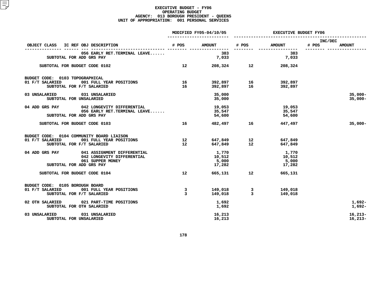### **EXECUTIVE BUDGET - FY06 OPERATING**G BUDGET<br>H PRESID<br>1 PERSON **AGENCY: <sup>013</sup> BOROUGH PRESIDENT - QUEENS UNIT OF APPROPRIATION: <sup>001</sup> PERSONAL SERVICES**

|                                                                                                                             | MODIFIED FY05-04/10/05 |                                    | <b>EXECUTIVE BUDGET FY06</b>   |                                    |                                   |  |
|-----------------------------------------------------------------------------------------------------------------------------|------------------------|------------------------------------|--------------------------------|------------------------------------|-----------------------------------|--|
| OBJECT CLASS IC REF OBJ DESCRIPTION                                                                                         | # POS                  | <b>AMOUNT</b>                      | # POS                          | <b>AMOUNT</b>                      | INC/DEC<br># POS<br><b>AMOUNT</b> |  |
| 056 EARLY RET. TERMINAL LEAVE<br>SUBTOTAL FOR ADD GRS PAY                                                                   |                        | <br>383<br>7,033                   |                                | --------------<br>383<br>7,033     |                                   |  |
| SUBTOTAL FOR BUDGET CODE 0102                                                                                               | 12 <sup>12</sup>       |                                    | 208,324 12                     | 208,324                            |                                   |  |
| BUDGET CODE: 0103 TOPOGRAPHICAL<br>001 FULL YEAR POSITIONS<br>01 F/T SALARIED<br>SUBTOTAL FOR F/T SALARIED                  | 16<br>16               | 392,897<br>392,897                 | 16<br>16                       | 392,897<br>392,897                 |                                   |  |
| 03 UNSALARIED<br>031 UNSALARIED<br>SUBTOTAL FOR UNSALARIED                                                                  |                        | 35,000<br>35,000                   |                                |                                    | $35,000 -$<br>$35,000 -$          |  |
| 04 ADD GRS PAY<br>042 LONGEVITY DIFFERENTIAL<br>056 EARLY RET. TERMINAL LEAVE<br>SUBTOTAL FOR ADD GRS PAY                   |                        | 19,053<br>35,547<br>54,600         |                                | 19,053<br>35,547<br>54,600         |                                   |  |
| SUBTOTAL FOR BUDGET CODE 0103                                                                                               | 16                     |                                    | 482,497 16                     | 447,497                            | $35,000 -$                        |  |
| BUDGET CODE: 0104 COMMUNITY BOARD LIAISON<br>01 F/T SALARIED<br>001 FULL YEAR POSITIONS<br>SUBTOTAL FOR F/T SALARIED        | 12<br>12 <sup>°</sup>  | 647,849                            | 647,849 12<br>647,849 12<br>12 | 647,849<br>647,849                 |                                   |  |
| 041 ASSIGNMENT DIFFERENTIAL<br>04 ADD GRS PAY<br>042 LONGEVITY DIFFERENTIAL<br>061 SUPPER MONEY<br>SUBTOTAL FOR ADD GRS PAY |                        | 1,770<br>10,512<br>5,000<br>17,282 |                                | 1,770<br>10,512<br>5,000<br>17,282 |                                   |  |
| SUBTOTAL FOR BUDGET CODE 0104                                                                                               | 12 <sup>°</sup>        | 665,131                            | 12                             | 665,131                            |                                   |  |
| BUDGET CODE: 0105 BOROUGH BOARD<br>01 F/T SALARIED<br>001 FULL YEAR POSITIONS<br>SUBTOTAL FOR F/T SALARIED                  | 3<br>$\mathbf{3}$      | 149,018<br>149,018                 | 3<br>$\mathbf{3}$              | 149,018<br>149,018                 |                                   |  |
| 02 OTH SALARIED<br>021 PART-TIME POSITIONS<br>SUBTOTAL FOR OTH SALARIED                                                     |                        | 1,692<br>1,692                     |                                |                                    | $1,692-$<br>$1,692-$              |  |
| 03 UNSALARIED<br>031 UNSALARIED<br>SUBTOTAL FOR UNSALARIED                                                                  |                        | 16,213<br>16,213                   |                                |                                    | $16,213-$<br>$16,213-$            |  |
|                                                                                                                             |                        |                                    |                                |                                    |                                   |  |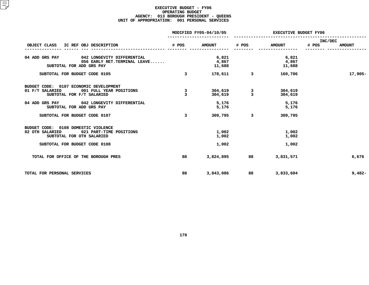### **EXECUTIVE BUDGET - FY06 OPERATING**G BUDGET<br>H PRESID<br>1 PERSON **AGENCY: <sup>013</sup> BOROUGH PRESIDENT - QUEENS UNIT OF APPROPRIATION: <sup>001</sup> PERSONAL SERVICES**

|                                                                                                                                                 | MODIFIED FY05-04/10/05  |                          | <b>EXECUTIVE BUDGET FY06</b> |                          |                                   |  |
|-------------------------------------------------------------------------------------------------------------------------------------------------|-------------------------|--------------------------|------------------------------|--------------------------|-----------------------------------|--|
| OBJECT CLASS IC REF OBJ DESCRIPTION                                                                                                             | # POS                   | <b>AMOUNT</b>            | # POS                        | <b>AMOUNT</b>            | INC/DEC<br># POS<br><b>AMOUNT</b> |  |
| 04 ADD GRS PAY<br>042 LONGEVITY DIFFERENTIAL<br>056 EARLY RET. TERMINAL LEAVE<br>SUBTOTAL FOR ADD GRS PAY                                       |                         | 6,821<br>4,867<br>11,688 |                              | 6,821<br>4,867<br>11,688 |                                   |  |
| SUBTOTAL FOR BUDGET CODE 0105                                                                                                                   | $\overline{\mathbf{3}}$ | 178,611                  | $\overline{\mathbf{3}}$      | 160,706                  | 17,905-                           |  |
| BUDGET CODE: 0107 ECONOMIC DEVELOPMENT<br>01 F/T SALARIED<br>001 FULL YEAR POSITIONS<br>SUBTOTAL FOR F/T SALARIED                               | 3<br>3                  | 304,619<br>304,619       | 3<br>$\overline{3}$          | 304,619<br>304,619       |                                   |  |
| 04 ADD GRS PAY 042 LONGEVITY DIFFERENTIAL<br>SUBTOTAL FOR ADD GRS PAY                                                                           |                         | 5,176<br>5,176           |                              | 5,176<br>5,176           |                                   |  |
| SUBTOTAL FOR BUDGET CODE 0107                                                                                                                   | 3                       | 309,795                  | $\mathbf{3}$                 | 309,795                  |                                   |  |
| BUDGET CODE: 0108 DOMESTIC VIOLENCE<br>021 PART-TIME POSITIONS<br>02 OTH SALARIED<br>SUBTOTAL FOR OTH SALARIED<br>SUBTOTAL FOR BUDGET CODE 0108 |                         | 1,002<br>1,002<br>1,002  |                              | 1,002<br>1,002<br>1,002  |                                   |  |
| TOTAL FOR OFFICE OF THE BOROUGH PRES                                                                                                            | 88                      | 3,824,895                | 88                           | 3,831,571                | 6,676                             |  |
| TOTAL FOR PERSONAL SERVICES                                                                                                                     | 88                      | 3,843,086                | 88                           | 3,833,604                | $9,482-$                          |  |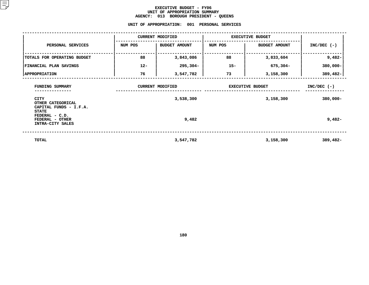### **EXECUTIVE BUDGET - FY06** UNIT OF APPROPRIATION SUMMARY **OF APPROPRIATION SUMMARY AGENCY:**

**<sup>013</sup> BOROUGH PRESIDENT - QUEENS UNIT**

|                                                                               | UNIT OF APPROPRIATION: | 001                                  | PERSONAL SERVICES |                                      |                              |
|-------------------------------------------------------------------------------|------------------------|--------------------------------------|-------------------|--------------------------------------|------------------------------|
|                                                                               |                        | <b>CURRENT MODIFIED</b>              |                   | <b>EXECUTIVE BUDGET</b>              |                              |
| PERSONAL SERVICES                                                             | NUM POS                | <b>BUDGET AMOUNT</b>                 | NUM POS           | <b>BUDGET AMOUNT</b>                 | $INC/DEC$ (-)                |
| TOTALS FOR OPERATING BUDGET                                                   | 88                     | 3,843,086                            | 88                | 3,833,604                            | $9,482-$                     |
| FINANCIAL PLAN SAVINGS                                                        | $12 -$                 | 295,304-                             | $15 -$            | 675,304-                             | $380,000 -$                  |
| <b>APPROPRIATION</b>                                                          | 76                     | 3,547,782                            | 73                | 3,158,300                            | 389,482-                     |
| FUNDING SUMMARY<br><b>CITY</b><br>OTHER CATEGORICAL<br>CAPITAL FUNDS - I.F.A. |                        | <b>CURRENT MODIFIED</b><br>3,538,300 |                   | <b>EXECUTIVE BUDGET</b><br>3,158,300 | $INC/DEC$ (-)<br>$380,000 -$ |
| <b>STATE</b><br>FEDERAL - C.D.<br>FEDERAL - OTHER<br>INTRA-CITY SALES         |                        | 9,482                                |                   |                                      | $9,482-$                     |
| <b>TOTAL</b>                                                                  |                        | 3,547,782                            |                   | 3,158,300                            | 389,482-                     |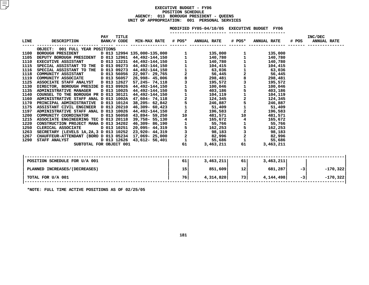### **EXECUTIVE BUDGET - FY06 POSITIONN SCHEDULE<br>UGH PRESID<br>: 001 PE AGENCY: <sup>013</sup> BOROUGH PRESIDENT - QUEENS UNIT OF APPROPRIATION: <sup>001</sup> PERSONAL SERVICES**

|             |                                             |                            |           | MODIFIED FY05-04/10/05 EXECUTIVE BUDGET FY06 |           |                    |       |                               |
|-------------|---------------------------------------------|----------------------------|-----------|----------------------------------------------|-----------|--------------------|-------|-------------------------------|
| <b>LINE</b> | DESCRIPTION BANK/# CODE MIN-MAX RATE # POS* | <b>TITLE</b><br><b>PAY</b> |           | <b>ANNUAL RATE</b>                           |           | # POS* ANNUAL RATE | # POS | INC/DEC<br><b>ANNUAL RATE</b> |
|             | OBJECT: 001 FULL YEAR POSITIONS             |                            |           |                                              |           |                    |       |                               |
|             |                                             |                            |           |                                              |           |                    |       |                               |
|             |                                             |                            |           |                                              |           |                    |       |                               |
|             |                                             |                            |           |                                              |           |                    |       |                               |
|             |                                             |                            |           |                                              |           |                    |       |                               |
|             |                                             |                            |           |                                              |           |                    |       |                               |
|             |                                             |                            |           |                                              |           |                    |       |                               |
|             |                                             |                            |           |                                              |           |                    |       |                               |
|             |                                             |                            |           |                                              |           |                    |       |                               |
|             |                                             |                            |           |                                              |           |                    |       |                               |
|             |                                             |                            |           |                                              |           |                    |       |                               |
|             |                                             |                            |           |                                              |           |                    |       |                               |
|             |                                             |                            |           |                                              |           |                    |       |                               |
|             |                                             |                            |           |                                              |           |                    |       |                               |
|             |                                             |                            |           |                                              |           |                    |       |                               |
|             |                                             |                            |           |                                              |           |                    |       |                               |
|             |                                             |                            |           |                                              |           |                    |       |                               |
|             |                                             |                            |           |                                              |           |                    |       |                               |
|             |                                             |                            |           |                                              |           |                    |       |                               |
|             |                                             |                            |           |                                              |           |                    |       |                               |
|             |                                             |                            |           |                                              |           |                    |       |                               |
|             |                                             |                            |           |                                              |           |                    |       |                               |
|             |                                             |                            |           |                                              |           |                    |       |                               |
|             |                                             |                            |           |                                              |           |                    |       |                               |
|             |                                             |                            |           |                                              |           |                    |       |                               |
|             | POSITION SCHEDULE FOR U/A 001               |                            | <b>61</b> | 3,463,211                                    | <b>61</b> | 3,463,211          |       |                               |
|             | PLANNED INCREASES / (DECREASES)             |                            | 15        | 851,609                                      | 12        | 681,287            | $-3$  | $-170,322$                    |
|             | TOTAL FOR U/A 001                           |                            | 76        | 4,314,820                                    | 73        | 4, 144, 498        | $-3$  | $-170,322$                    |
|             |                                             |                            |           |                                              |           |                    |       |                               |

**\*NOTE: FULL TIME ACTIVE POSITIONS AS OF 02/25/05**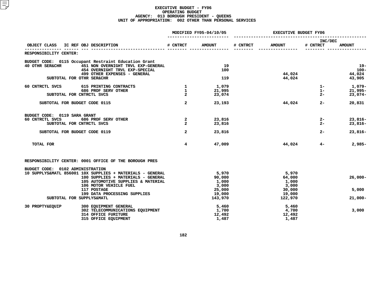### **EXECUTIVE BUDGET - FY06 OPERATING**G BUDGET<br>H PRESID<br>2 OTHER **AGENCY: <sup>013</sup> BOROUGH PRESIDENT - QUEENS UNIT OF APPROPRIATION: <sup>002</sup> OTHER THAN PERSONAL SERVICES**

|                                              |                                                                      | MODIFIED FY05-04/10/05           | <b>EXECUTIVE BUDGET FY06</b> |          |                 |                     |                        |
|----------------------------------------------|----------------------------------------------------------------------|----------------------------------|------------------------------|----------|-----------------|---------------------|------------------------|
| OBJECT CLASS                                 | IC REF OBJ DESCRIPTION                                               | # CNTRCT                         | <b>AMOUNT</b>                | # CNTRCT | <b>AMOUNT</b>   | INC/DEC<br># CNTRCT | <b>AMOUNT</b>          |
| RESPONSIBILITY CENTER:                       |                                                                      |                                  |                              |          |                 |                     |                        |
|                                              | BUDGET CODE: 0115 Occupant Restraint Education Grant                 |                                  |                              |          |                 |                     |                        |
| <b>40 OTHR SER&amp;CHR</b>                   | 451 NON OVERNIGHT TRVL EXP-GENERAL<br>454 OVERNIGHT TRVL EXP-SPECIAL |                                  | 19<br>100                    |          |                 |                     | $19-$<br>$100 -$       |
|                                              | 499 OTHER EXPENSES - GENERAL                                         |                                  |                              |          | 44,024          |                     | 44,024                 |
| SUBTOTAL FOR OTHR SER&CHR                    |                                                                      |                                  | 119                          |          | 44,024          |                     | 43,905                 |
| 60 CNTRCTL SVCS                              | 615 PRINTING CONTRACTS                                               | $\mathbf{1}$                     | 1,079                        |          |                 | $1 -$               | 1,079-                 |
|                                              | 686 PROF SERV OTHER                                                  | $\mathbf{1}$                     | 21,995                       |          |                 | $1 -$               | $21,995 -$             |
| SUBTOTAL FOR CNTRCTL SVCS                    |                                                                      | $\overline{2}$                   | 23,074                       |          |                 | $2 -$               | $23,074-$              |
| SUBTOTAL FOR BUDGET CODE 0115                |                                                                      | $\overline{a}$                   | 23,193                       |          | 44,024          | $2 -$               | 20,831                 |
| BUDGET CODE: 0119 SARA GRANT                 |                                                                      |                                  |                              |          |                 |                     |                        |
| 60 CNTRCTL SVCS<br>SUBTOTAL FOR CNTRCTL SVCS | 686 PROF SERV OTHER                                                  | $\overline{2}$<br>$\overline{a}$ | 23,816<br>23,816             |          |                 | $2 -$<br>$2 -$      | $23,816-$<br>$23,816-$ |
|                                              |                                                                      |                                  |                              |          |                 |                     |                        |
| SUBTOTAL FOR BUDGET CODE 0119                |                                                                      | $\overline{a}$                   | 23,816                       |          |                 | $2 -$               | $23,816-$              |
| TOTAL FOR                                    |                                                                      | $\overline{\mathbf{4}}$          | 47,009                       |          | 44,024          | $4-$                | $2,985-$               |
|                                              | RESPONSIBILITY CENTER: 0001 OFFICE OF THE BOROUGH PRES               |                                  |                              |          |                 |                     |                        |
| BUDGET CODE: 0102 ADMINISTRATION             |                                                                      |                                  |                              |          |                 |                     |                        |
|                                              | 10 SUPPLYS&MATL 856001 10X SUPPLIES + MATERIALS - GENERAL            |                                  | 5,970                        |          | 5,970           |                     |                        |
|                                              | 100 SUPPLIES + MATERIALS - GENERAL                                   |                                  | 90,000                       |          | 64,000          |                     | $26,000 -$             |
|                                              | 105 AUTOMOTIVE SUPPLIES & MATERIAL<br>106 MOTOR VEHICLE FUEL         |                                  | 1,000<br>3,000               |          | 1,000<br>3,000  |                     |                        |
|                                              | 117 POSTAGE                                                          |                                  | 25,000                       |          | 30,000          |                     | 5,000                  |
|                                              | 199 DATA PROCESSING SUPPLIES                                         |                                  | 19,000                       |          | 19,000          |                     |                        |
| SUBTOTAL FOR SUPPLYS&MATL                    |                                                                      |                                  | 143,970                      |          | 122,970         |                     | $21,000 -$             |
| 30 PROPTY&EQUIP                              | 300 EQUIPMENT GENERAL                                                |                                  | 5,460                        |          | 5,460           |                     |                        |
|                                              | 302 TELECOMMUNICATIONS EQUIPMENT                                     |                                  | 1,700                        |          | 4,700           |                     | 3,000                  |
|                                              | <b>314 OFFICE FURITURE</b><br>315 OFFICE EOUIPMENT                   |                                  | 12,492<br>1,487              |          | 12,492<br>1,487 |                     |                        |
|                                              |                                                                      |                                  |                              |          |                 |                     |                        |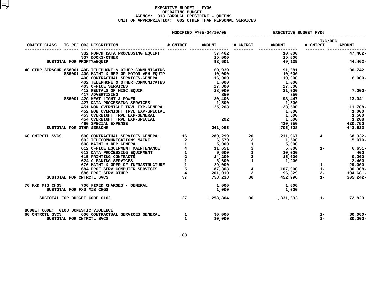### **EXECUTIVE BUDGET - FY06 OPERATING**G BUDGET<br>H PRESID<br>2 OTHER **AGENCY: <sup>013</sup> BOROUGH PRESIDENT - QUEENS UNIT OF APPROPRIATION: <sup>002</sup> OTHER THAN PERSONAL SERVICES**

|                 |                                                                                                                                                                                                                                              |              | MODIFIED FY05-04/10/05                        |         | <b>EXECUTIVE BUDGET FY06</b>  |                     |                              |  |
|-----------------|----------------------------------------------------------------------------------------------------------------------------------------------------------------------------------------------------------------------------------------------|--------------|-----------------------------------------------|---------|-------------------------------|---------------------|------------------------------|--|
| OBJECT CLASS    |                                                                                                                                                                                                                                              |              |                                               |         |                               | INC/DEC<br># CNTRCT | <b>AMOUNT</b>                |  |
|                 | 332 PURCH DATA PROCESSING EQUIPT 57,462 57,462 10,000<br>337 BOOKS-OTHER 15,000 15,000 15,000<br>PROPTY&EQUIP 93,601 49,139                                                                                                                  |              |                                               |         |                               | _________ _____     | 47,462-                      |  |
|                 | SUBTOTAL FOR PROPTY&EQUIP                                                                                                                                                                                                                    |              |                                               |         |                               |                     | 44,462-                      |  |
|                 | 40 OTHR SER&CHR 858001 40B TELEPHONE & OTHER COMMUNICATNS 60,939 60,939 51,681                                                                                                                                                               |              |                                               |         | 10,000                        |                     | 30,742                       |  |
|                 | 856001 40G MAINT & REP OF MOTOR VEH EQUIP<br>400 CONTRACTUAL SERVICES-GENERAL<br>402 TELEPHONE & OTHER COMMUNICATNS<br><b>403 OFFICE SERVICES</b>                                                                                            |              | <b>10,000<br/>16,000<br/>1,000<br/>27,800</b> |         | 10,000<br>1,000<br>27,800     |                     | $6,000-$                     |  |
|                 | 412 RENTALS OF MISC.EQUIP<br>417 ADVERTISING<br>856001 42C HEAT LIGHT & POWER<br>427 DATA PROCESSING SERVICES<br>427 DATA PROCESSING SERVICES<br>427 DATA PROCESSING SERVICES<br>427 DATA PROCESSING SERVICES<br>427 DATA PROCESSING SERVICE |              |                                               |         | 21,000<br>850                 |                     | $7,000-$                     |  |
|                 |                                                                                                                                                                                                                                              |              |                                               |         | 93,447<br>1,500               |                     | 13,041                       |  |
|                 | 451 NON OVERNIGHT TRVL EXP-GENERAL<br>452 NON OVERNIGHT TRVL EXP-SPECIAL                                                                                                                                                                     |              | 35,208                                        |         | 23,500                        |                     | 11,708-<br>1,000             |  |
|                 | 453 OVERNIGHT TRVL EXP-GENERAL<br>454 OVERNIGHT TRVL EXP-SPECIAL<br><b>460 SPECIAL EXPENSE</b>                                                                                                                                               |              | 292                                           |         | $1,000$<br>$1,500$<br>$1,500$ |                     | 1,500<br>1,208               |  |
|                 | SUBTOTAL FOR OTHR SER&CHR                                                                                                                                                                                                                    |              |                                               | 261,995 |                               | 420,750<br>705,528  | 420,750<br>443,533           |  |
| 60 CNTRCTL SVCS |                                                                                                                                                                                                                                              |              |                                               |         |                               |                     | 68,332-<br>$5,070-$          |  |
|                 |                                                                                                                                                                                                                                              |              |                                               |         |                               |                     | $6,651-$<br>400<br>$9,200 -$ |  |
|                 |                                                                                                                                                                                                                                              |              |                                               |         |                               |                     | 2,400-<br>$29,000 -$         |  |
|                 |                                                                                                                                                                                                                                              |              |                                               |         |                               |                     | $80,308 -$                   |  |
|                 | SUBTOTAL FOR CNTRCTL SVCS                                                                                                                                                                                                                    |              |                                               |         |                               |                     | 104,681-<br>305,242-         |  |
|                 | 70 FXD MIS CHGS 700 FIXED CHARGES - GENERAL<br>SUBTOTAL FOR FXD MIS CHGS                                                                                                                                                                     |              | 1,000<br>1,000                                |         | 1,000<br>1,000                |                     |                              |  |
|                 | SUBTOTAL FOR BUDGET CODE 0102                                                                                                                                                                                                                | 37           |                                               |         | $1,258,804$ 36 $1,331,633$ 1- |                     | 72,829                       |  |
| 60 CNTRCTL SVCS | BUDGET CODE: 0108 DOMESTIC VIOLENCE<br>600 CONTRACTUAL SERVICES GENERAL 1<br>SUBTOTAL FOR CNTRCTL SVCS                                                                                                                                       | $\mathbf{1}$ | 30,000<br>30,000                              |         |                               | $1 -$<br>$1 -$      | $30,000 -$<br>$30,000 -$     |  |
|                 |                                                                                                                                                                                                                                              |              |                                               |         |                               |                     |                              |  |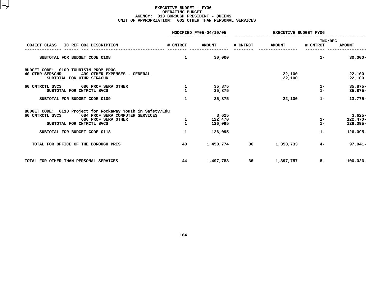### **EXECUTIVE BUDGET - FY06 OPERATING**G BUDGET<br>H PRESID<br>2 OTHER **AGENCY: <sup>013</sup> BOROUGH PRESIDENT - QUEENS UNIT OF APPROPRIATION: <sup>002</sup> OTHER THAN PERSONAL SERVICES**

|                                                                                                                                                                      |                              | MODIFIED FY05-04/10/05      | <b>EXECUTIVE BUDGET FY06</b> |                  |                     |                                      |
|----------------------------------------------------------------------------------------------------------------------------------------------------------------------|------------------------------|-----------------------------|------------------------------|------------------|---------------------|--------------------------------------|
| OBJECT CLASS<br>IC REF OBJ DESCRIPTION                                                                                                                               | # CNTRCT                     | <b>AMOUNT</b>               | # CNTRCT                     | <b>AMOUNT</b>    | INC/DEC<br># CNTRCT | <b>AMOUNT</b>                        |
| SUBTOTAL FOR BUDGET CODE 0108                                                                                                                                        | $\mathbf{1}$                 | 30,000                      |                              |                  | $1 -$               | $30,000 -$                           |
| BUDGET CODE: 0109 TOURISIM PROM PROG<br>40 OTHR SER&CHR<br>499 OTHER EXPENSES - GENERAL<br>SUBTOTAL FOR OTHR SER&CHR                                                 |                              |                             |                              | 22,100<br>22,100 |                     | 22,100<br>22,100                     |
| 60 CNTRCTL SVCS 686 PROF SERV OTHER<br>SUBTOTAL FOR CNTRCTL SVCS                                                                                                     |                              | 35,875<br>35,875            |                              |                  | $1 -$<br>$1 -$      | $35,875-$<br>$35,875-$               |
| SUBTOTAL FOR BUDGET CODE 0109                                                                                                                                        | $\mathbf{1}$                 | 35,875                      |                              | 22,100           | $1 -$               | $13,775-$                            |
| BUDGET CODE: 0118 Project for Rockaway Youth in Safety/Edu<br>60 CNTRCTL SVCS<br>684 PROF SERV COMPUTER SERVICES<br>686 PROF SERV OTHER<br>SUBTOTAL FOR CNTRCTL SVCS | $\mathbf{1}$<br>$\mathbf{1}$ | 3,625<br>122,470<br>126,095 |                              |                  | $1 -$<br>$1 -$      | $3,625-$<br>$122,470-$<br>$126,095-$ |
| SUBTOTAL FOR BUDGET CODE 0118                                                                                                                                        | $\mathbf{1}$                 | 126,095                     |                              |                  | $1 -$               | $126,095-$                           |
| TOTAL FOR OFFICE OF THE BOROUGH PRES                                                                                                                                 | 40                           | 1,450,774                   | 36                           | 1,353,733        | $4-$                | 97,041-                              |
| TOTAL FOR OTHER THAN PERSONAL SERVICES                                                                                                                               | 44                           | 1,497,783                   | 36                           | 1,397,757        | 8-                  | $100,026 -$                          |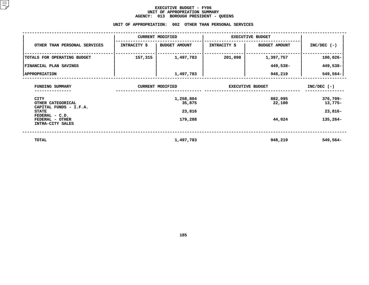### **EXECUTIVE BUDGET - FY06** UNIT OF APPROPRIATION SUMMARY **OF APPROPRIATION SUMMARY AGENCY:**

|                                                            | <b>AGENCY:</b> | 013<br><b>BOROUGH PRESIDENT - QUEENS</b>                |                         |                      |                     |
|------------------------------------------------------------|----------------|---------------------------------------------------------|-------------------------|----------------------|---------------------|
|                                                            |                | UNIT OF APPROPRIATION: 002 OTHER THAN PERSONAL SERVICES |                         |                      |                     |
|                                                            |                | <b>CURRENT MODIFIED</b>                                 | <b>EXECUTIVE BUDGET</b> |                      |                     |
| OTHER THAN PERSONAL SERVICES                               | INTRACITY \$   | <b>BUDGET AMOUNT</b>                                    | <b>INTRACITY \$</b>     | <b>BUDGET AMOUNT</b> | $INC/DEC$ (-)       |
| TOTALS FOR OPERATING BUDGET                                | 157,315        | 1,497,783                                               | 201,098                 | 1,397,757            | $100,026 -$         |
| FINANCIAL PLAN SAVINGS                                     |                |                                                         |                         | 449,538-             | 449,538-            |
| <b>APPROPRIATION</b>                                       |                | 1,497,783                                               |                         | 948,219              | $549,564-$          |
| FUNDING SUMMARY                                            |                | <b>CURRENT MODIFIED</b>                                 | <b>EXECUTIVE BUDGET</b> | $INC/DEC$ (-)        |                     |
| <b>CITY</b><br>OTHER CATEGORICAL<br>CAPITAL FUNDS - I.F.A. |                | 1,258,804<br>35,875                                     |                         | 882,095<br>22,100    | 376,709-<br>13,775- |
| <b>STATE</b><br>FEDERAL - C.D.                             |                | 23,816                                                  |                         |                      | 23,816-             |
| FEDERAL - OTHER<br>INTRA-CITY SALES                        |                | 179,288                                                 |                         | 44,024               | 135,264-            |
| <b>TOTAL</b>                                               |                | 1,497,783                                               |                         | 948,219              | 549,564-            |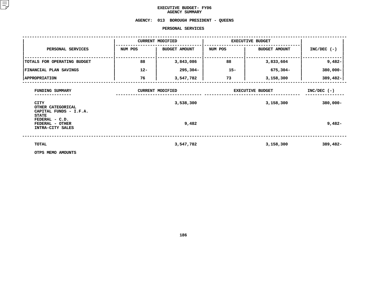### **EXECUTIVE BUDGET- FY06 AGENCY**

**SUMMARY AGENCY: <sup>013</sup> BOROUGH PRESIDENT - QUEENS**

### **PERSONAL**

|                                                                               |         | PERSONAL SERVICES                    |                         |                                      |                              |
|-------------------------------------------------------------------------------|---------|--------------------------------------|-------------------------|--------------------------------------|------------------------------|
|                                                                               |         | <b>CURRENT MODIFIED</b>              | <b>EXECUTIVE BUDGET</b> |                                      |                              |
| PERSONAL SERVICES                                                             | NUM POS | <b>BUDGET AMOUNT</b>                 | NUM POS                 | <b>BUDGET AMOUNT</b>                 | $INC/DEC$ (-)                |
| TOTALS FOR OPERATING BUDGET                                                   | 88      | 3,843,086                            | 88                      | 3,833,604                            | $9,482-$                     |
| FINANCIAL PLAN SAVINGS                                                        | $12 -$  | 295,304-                             | $15 -$                  | 675,304-                             | $380,000 -$                  |
| <b>APPROPRIATION</b>                                                          | 76      | 3,547,782                            | 73                      | 3,158,300                            | 389,482-                     |
| FUNDING SUMMARY<br><b>CITY</b><br>OTHER CATEGORICAL<br>CAPITAL FUNDS - I.F.A. |         | <b>CURRENT MODIFIED</b><br>3,538,300 |                         | <b>EXECUTIVE BUDGET</b><br>3,158,300 | $INC/DEC$ (-)<br>$380,000 -$ |
| <b>STATE</b><br>FEDERAL - C.D.<br>FEDERAL - OTHER<br>INTRA-CITY SALES         |         | 9,482                                |                         |                                      | $9,482-$                     |
| TOTAL                                                                         |         | 3,547,782                            |                         | 3,158,300                            | 389,482-                     |
| OTPS MEMO AMOUNTS                                                             |         |                                      |                         |                                      |                              |

**OTPS MEMO AMOUNTS**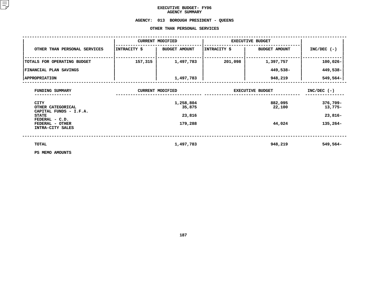### **EXECUTIVE BUDGET- FY06 AGENCY**

## AGENCY SUMMARY<br>AGENCY: 013 BOROUGH PRESI **<sup>013</sup> BOROUGH PRESIDENT - QUEENS OTHER**

|                                                            |              | OTHER THAN PERSONAL SERVICES |                         |                      |                        |
|------------------------------------------------------------|--------------|------------------------------|-------------------------|----------------------|------------------------|
|                                                            |              | <b>CURRENT MODIFIED</b>      | <b>EXECUTIVE BUDGET</b> |                      |                        |
| OTHER THAN PERSONAL SERVICES                               | INTRACITY \$ | <b>BUDGET AMOUNT</b>         | INTRACITY \$            | <b>BUDGET AMOUNT</b> | $INC/DEC$ (-)          |
| TOTALS FOR OPERATING BUDGET                                | 157,315      | 1,497,783                    | 201,098                 | 1,397,757            | $100,026 -$            |
| FINANCIAL PLAN SAVINGS                                     |              |                              |                         | 449,538-             | 449,538-               |
| <b>APPROPRIATION</b>                                       |              | 1,497,783                    |                         | 948,219              | 549,564-               |
| FUNDING SUMMARY                                            |              | <b>CURRENT MODIFIED</b>      | <b>EXECUTIVE BUDGET</b> | $INC/DEC$ (-)        |                        |
| <b>CITY</b><br>OTHER CATEGORICAL<br>CAPITAL FUNDS - I.F.A. |              | 1,258,804<br>35,875          |                         | 882,095<br>22,100    | $376,709 -$<br>13,775- |
| <b>STATE</b><br>FEDERAL - C.D.                             |              | 23,816                       |                         |                      | $23,816-$              |
| FEDERAL - OTHER<br>INTRA-CITY SALES                        |              | 179,288                      |                         | 44,024               | $135,264-$             |
| TOTAL                                                      |              | 1,497,783                    |                         | 948,219              | 549,564-               |
| PS MEMO AMOUNTS                                            |              |                              |                         |                      |                        |

**PS MEMO AMOUNTS**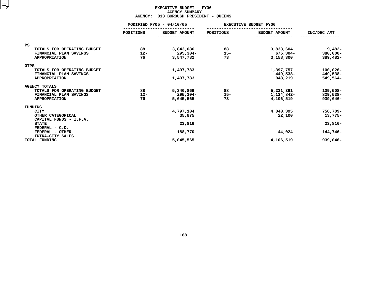### **EXECUTIVE BUDGET - FY06 AGENCY**Y SUMMARY<br>GH PRESID<br>...

|                                                       | <b>AGENCY:</b>           | 013 BOROUGH PRESIDENT - QUEENS |           |                              |             |
|-------------------------------------------------------|--------------------------|--------------------------------|-----------|------------------------------|-------------|
|                                                       | MODIFIED FY05 - 04/10/05 |                                |           | <b>EXECUTIVE BUDGET FY06</b> |             |
|                                                       | POSITIONS<br>---------   | <b>BUDGET AMOUNT</b>           | POSITIONS | <b>BUDGET AMOUNT</b>         | INC/DEC AMT |
|                                                       |                          |                                |           |                              |             |
| <b>PS</b><br>TOTALS FOR OPERATING BUDGET              | 88                       | 3,843,086                      | 88        | 3,833,604                    | $9,482-$    |
| FINANCIAL PLAN SAVINGS                                | $12 -$                   | 295,304-                       | $15 -$    | 675,304-                     | $380,000 -$ |
| <b>APPROPRIATION</b>                                  | 76                       | 3,547,782                      | 73        | 3,158,300                    | 389,482-    |
| <b>OTPS</b>                                           |                          |                                |           |                              |             |
| TOTALS FOR OPERATING BUDGET                           |                          | 1,497,783                      |           | 1,397,757                    | $100,026 -$ |
| FINANCIAL PLAN SAVINGS                                |                          |                                |           | 449,538–                     | 449,538-    |
| <b>APPROPRIATION</b>                                  |                          | 1,497,783                      |           | 948,219                      | 549,564-    |
| <b>AGENCY TOTALS</b>                                  |                          |                                |           |                              |             |
| TOTALS FOR OPERATING BUDGET                           | 88                       | 5,340,869                      | 88        | 5,231,361                    | $109,508 -$ |
| FINANCIAL PLAN SAVINGS                                | $12 -$                   | 295,304-                       | $15 -$    | 1,124,842-                   | 829,538-    |
| <b>APPROPRIATION</b>                                  | 76                       | 5,045,565                      | 73        | 4,106,519                    | $939,046 -$ |
| FUNDING                                               |                          |                                |           |                              |             |
| <b>CITY</b>                                           |                          | 4,797,104                      |           | 4,040,395                    | 756,709-    |
| OTHER CATEGORICAL<br>CAPITAL FUNDS - I.F.A.           |                          | 35,875                         |           | 22,100                       | 13,775-     |
| <b>STATE</b>                                          |                          | 23,816                         |           |                              | $23,816-$   |
| FEDERAL - C.D.<br>FEDERAL - OTHER<br>INTRA-CITY SALES |                          | 188,770                        |           | 44,024                       | 144,746-    |
| <b>TOTAL FUNDING</b>                                  |                          | 5,045,565                      |           | 4,106,519                    | 939,046-    |
|                                                       |                          |                                |           |                              |             |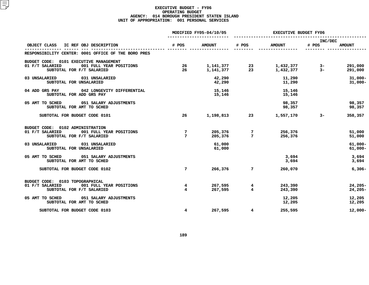### **EXECUTIVE BUDGET - FY06 OPERATING**G BUDGET<br>PRESIDEN<br>1 PERSON **AGENCY: <sup>014</sup> BOROUGH PRESIDENT STATEN ISLAND UNIT OF APPROPRIATION: <sup>001</sup> PERSONAL SERVICES**

|                                                                               |                         | MODIFIED FY05-04/10/05 |                             | <b>EXECUTIVE BUDGET FY06</b> |                  |                          |  |
|-------------------------------------------------------------------------------|-------------------------|------------------------|-----------------------------|------------------------------|------------------|--------------------------|--|
| OBJECT CLASS IC REF OBJ DESCRIPTION                                           | # POS                   | <b>AMOUNT</b>          | # POS                       | <b>AMOUNT</b>                | INC/DEC<br># POS | <b>AMOUNT</b>            |  |
|                                                                               |                         |                        |                             |                              |                  |                          |  |
| RESPONSIBILITY CENTER: 0001 OFFICE OF THE BORO PRES                           |                         |                        |                             |                              |                  |                          |  |
| BUDGET CODE: 0101 EXECUTIVE MANAGEMENT                                        |                         |                        |                             |                              |                  |                          |  |
| 01 F/T SALARIED<br>001 FULL YEAR POSITIONS                                    | 26                      |                        | 1, 141, 377 23              | 1,432,377                    | $3-$             | 291,000                  |  |
| SUBTOTAL FOR F/T SALARIED                                                     | 26                      | 1,141,377              | $\overline{\phantom{2}}$ 23 | 1,432,377                    | $3-$             | 291,000                  |  |
| 031 UNSALARIED<br>03 UNSALARIED                                               |                         | 42,290                 |                             | 11,290                       |                  | $31,000 -$               |  |
| SUBTOTAL FOR UNSALARIED                                                       |                         | 42,290                 |                             | 11,290                       |                  | $31,000 -$               |  |
| 04 ADD GRS PAY<br>042 LONGEVITY DIFFERENTIAL                                  |                         | 15,146                 |                             | 15,146                       |                  |                          |  |
| SUBTOTAL FOR ADD GRS PAY                                                      |                         | 15,146                 |                             | 15,146                       |                  |                          |  |
| 05 AMT TO SCHED 051 SALARY ADJUSTMENTS                                        |                         |                        |                             | 98,357                       |                  | 98,357                   |  |
| SUBTOTAL FOR AMT TO SCHED                                                     |                         |                        |                             | 98,357                       |                  | 98,357                   |  |
| SUBTOTAL FOR BUDGET CODE 0101                                                 | 26                      | 1,198,813              |                             | 23 1,557,170                 | $3 \sim$         | 358,357                  |  |
|                                                                               |                         |                        |                             |                              |                  |                          |  |
| BUDGET CODE: 0102 ADMINISTRATION                                              |                         |                        |                             |                              |                  |                          |  |
| 01 F/T SALARIED<br>001 FULL YEAR POSITIONS<br>SUBTOTAL FOR F/T SALARIED       | 7<br>7                  | 205,376<br>205,376     | 7<br>$7\phantom{.0}$        | 256,376<br>256,376           |                  | 51,000<br>51,000         |  |
|                                                                               |                         |                        |                             |                              |                  |                          |  |
| 03 UNSALARIED 031 UNSALARIED<br>SUBTOTAL FOR UNSALARIED                       |                         | 61,000<br>61,000       |                             |                              |                  | $61,000 -$<br>$61,000 -$ |  |
|                                                                               |                         |                        |                             |                              |                  |                          |  |
| 05 AMT TO SCHED<br>051 SALARY ADJUSTMENTS                                     |                         |                        |                             | 3,694                        |                  | 3,694                    |  |
| SUBTOTAL FOR AMT TO SCHED                                                     |                         |                        |                             | 3,694                        |                  | 3,694                    |  |
| SUBTOTAL FOR BUDGET CODE 0102                                                 | $7\overline{ }$         | 266,376                | 7                           | 260,070                      |                  | $6,306 -$                |  |
|                                                                               |                         |                        |                             |                              |                  |                          |  |
| BUDGET CODE: 0103 TOPOGRAPHICAL<br>01 F/T SALARIED<br>001 FULL YEAR POSITIONS | 4                       | 267,595                | 4                           | 243,390                      |                  | $24,205-$                |  |
| SUBTOTAL FOR F/T SALARIED                                                     | $\overline{\mathbf{4}}$ | 267,595                | 4                           | 243,390                      |                  | $24,205-$                |  |
|                                                                               |                         |                        |                             |                              |                  |                          |  |
| 05 AMT TO SCHED<br>051 SALARY ADJUSTMENTS                                     |                         |                        |                             | 12,205                       |                  | 12,205                   |  |
| SUBTOTAL FOR AMT TO SCHED                                                     |                         |                        |                             | 12,205                       |                  | 12,205                   |  |
| SUBTOTAL FOR BUDGET CODE 0103                                                 | 4                       | 267,595                | 4                           | 255,595                      |                  | $12,000-$                |  |
|                                                                               |                         |                        |                             |                              |                  |                          |  |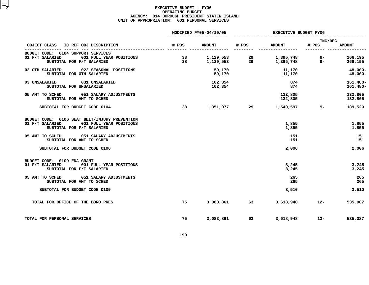### **EXECUTIVE BUDGET - FY06 OPERATING**G BUDGET<br>PRESIDEN<br>1 PERSON **AGENCY: <sup>014</sup> BOROUGH PRESIDENT STATEN ISLAND UNIT OF APPROPRIATION: <sup>001</sup> PERSONAL SERVICES**

|                                                                                                                          |          | MODIFIED FY05-04/10/05 |          | <b>EXECUTIVE BUDGET FY06</b> |                  |                            |  |
|--------------------------------------------------------------------------------------------------------------------------|----------|------------------------|----------|------------------------------|------------------|----------------------------|--|
| OBJECT CLASS IC REF OBJ DESCRIPTION                                                                                      | # POS    | <b>AMOUNT</b>          | # POS    | <b>AMOUNT</b>                | INC/DEC<br># POS | <b>AMOUNT</b>              |  |
| BUDGET CODE: 0104 SUPPORT SERVICES<br>01 F/T SALARIED<br>001 FULL YEAR POSITIONS<br>SUBTOTAL FOR F/T SALARIED            | 38<br>38 | 1,129,553<br>1,129,553 | 29<br>29 | 1,395,748<br>1,395,748       | 9-<br>$9-$       | 266,195<br>266,195         |  |
| 02 OTH SALARIED<br>022 SEASONAL POSITIONS<br>SUBTOTAL FOR OTH SALARIED                                                   |          | 59,170<br>59,170       |          | 11,170<br>11,170             |                  | 48,000-<br>48,000-         |  |
| 03 UNSALARIED<br>031 UNSALARIED<br>SUBTOTAL FOR UNSALARIED                                                               |          | 162,354<br>162,354     |          | 874<br>874                   |                  | $161,480 -$<br>$161,480 -$ |  |
| 05 AMT TO SCHED<br>051 SALARY ADJUSTMENTS<br>SUBTOTAL FOR AMT TO SCHED                                                   |          |                        |          | 132,805<br>132,805           |                  | 132,805<br>132,805         |  |
| SUBTOTAL FOR BUDGET CODE 0104                                                                                            | 38       | 1,351,077              |          | 1,540,597                    | $9 -$            | 189,520                    |  |
| BUDGET CODE: 0106 SEAT BELT/INJURY PREVENTION<br>01 F/T SALARIED<br>001 FULL YEAR POSITIONS<br>SUBTOTAL FOR F/T SALARIED |          |                        |          | 1,855<br>1,855               |                  | 1,855<br>1,855             |  |
| 05 AMT TO SCHED<br>051 SALARY ADJUSTMENTS<br>SUBTOTAL FOR AMT TO SCHED                                                   |          |                        |          | 151<br>151                   |                  | 151<br>151                 |  |
| SUBTOTAL FOR BUDGET CODE 0106                                                                                            |          |                        |          | 2,006                        |                  | 2,006                      |  |
| BUDGET CODE: 0109 EDA GRANT<br>01 F/T SALARIED<br>001 FULL YEAR POSITIONS<br>SUBTOTAL FOR F/T SALARIED                   |          |                        |          | 3,245<br>3,245               |                  | 3,245<br>3,245             |  |
| 05 AMT TO SCHED<br>051 SALARY ADJUSTMENTS<br>SUBTOTAL FOR AMT TO SCHED                                                   |          |                        |          | 265<br>265                   |                  | 265<br>265                 |  |
| SUBTOTAL FOR BUDGET CODE 0109                                                                                            |          |                        |          | 3,510                        |                  | 3,510                      |  |
| TOTAL FOR OFFICE OF THE BORO PRES                                                                                        | 75       | 3,083,861              | 63       | 3,618,948                    | $12 -$           | 535,087                    |  |
| TOTAL FOR PERSONAL SERVICES                                                                                              | 75       | 3,083,861              | 63       | 3,618,948                    | $12 -$           | 535,087                    |  |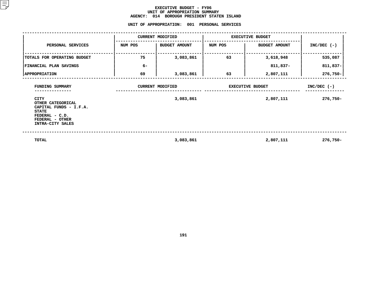### **EXECUTIVE BUDGET - FY06 UNIT OF APPROPRIATION SUMMARY AGENCY:**

**<sup>014</sup> BOROUGH PRESIDENT STATEN ISLAND UNIT**

|                                                                                        | UNIT OF APPROPRIATION: |                                      | 001 PERSONAL SERVICES   |                                      |                              |
|----------------------------------------------------------------------------------------|------------------------|--------------------------------------|-------------------------|--------------------------------------|------------------------------|
|                                                                                        |                        | <b>CURRENT MODIFIED</b>              | <b>EXECUTIVE BUDGET</b> |                                      |                              |
| PERSONAL SERVICES                                                                      | NUM POS                | <b>BUDGET AMOUNT</b>                 | NUM POS                 | <b>BUDGET AMOUNT</b>                 | $INC/DEC$ (-)                |
| TOTALS FOR OPERATING BUDGET                                                            | 75                     | 3,083,861                            | 63                      | 3,618,948                            | 535,087                      |
| FINANCIAL PLAN SAVINGS                                                                 | $6-$                   |                                      |                         | 811,837-                             | 811,837-                     |
| <b>APPROPRIATION</b>                                                                   | 69                     | 3,083,861                            | 63                      | 2,807,111                            | 276,750-                     |
| FUNDING SUMMARY<br>CITY<br>OTHER CATEGORICAL<br>CAPITAL FUNDS - I.F.A.<br><b>STATE</b> |                        | <b>CURRENT MODIFIED</b><br>3,083,861 |                         | <b>EXECUTIVE BUDGET</b><br>2,807,111 | $INC/DEC$ (-)<br>$276,750 -$ |
| FEDERAL - C.D.<br>FEDERAL - OTHER<br>INTRA-CITY SALES                                  |                        |                                      |                         |                                      |                              |
| <b>TOTAL</b>                                                                           |                        | 3,083,861                            |                         | 2,807,111                            | $276,750 -$                  |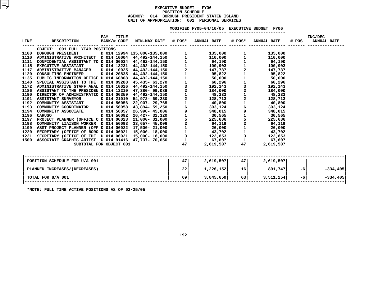### **EXECUTIVE BUDGET - FY06 POSITIONN SCHEDULE<br>PRESIDENT<br>• 001 PE AGENCY: <sup>014</sup> BOROUGH PRESIDENT STATEN ISLAND UNIT OF APPROPRIATION: <sup>001</sup> PERSONAL SERVICES**

### MODIFIED FY05-04/10/05 EXECUTIVE BUDGET FY06

**FY05-04/10/05 EXECUTIVE BUDGET FY06 -----------------------**

| LINE | DESCRIPTION                     | <b>PAY</b> | TITLE | BANK/# CODE MIN-MAX RATE # POS* ANNUAL RATE # POS* ANNUAL RATE |      |                       |    |                 | # POS | INC/DEC<br><b>ANNUAL RATE</b> |            |
|------|---------------------------------|------------|-------|----------------------------------------------------------------|------|-----------------------|----|-----------------|-------|-------------------------------|------------|
|      | OBJECT: 001 FULL YEAR POSITIONS |            |       |                                                                |      |                       |    |                 |       |                               |            |
|      |                                 |            |       |                                                                |      |                       |    |                 |       |                               |            |
|      |                                 |            |       |                                                                |      |                       |    |                 |       |                               |            |
|      |                                 |            |       |                                                                |      |                       |    |                 |       |                               |            |
|      |                                 |            |       |                                                                |      |                       |    |                 |       |                               |            |
|      |                                 |            |       |                                                                |      |                       |    |                 |       |                               |            |
|      |                                 |            |       |                                                                |      |                       |    |                 |       |                               |            |
|      |                                 |            |       |                                                                |      |                       |    |                 |       |                               |            |
|      |                                 |            |       |                                                                |      |                       |    |                 |       |                               |            |
|      |                                 |            |       |                                                                |      |                       |    |                 |       |                               |            |
|      |                                 |            |       |                                                                |      |                       |    |                 |       |                               |            |
|      |                                 |            |       |                                                                |      |                       |    |                 |       |                               |            |
|      |                                 |            |       |                                                                |      |                       |    |                 |       |                               |            |
|      |                                 |            |       |                                                                |      |                       |    |                 |       |                               |            |
|      |                                 |            |       |                                                                |      |                       |    |                 |       |                               |            |
|      |                                 |            |       |                                                                |      |                       |    |                 |       |                               |            |
|      |                                 |            |       |                                                                |      |                       |    |                 |       |                               |            |
|      |                                 |            |       |                                                                |      |                       |    |                 |       |                               |            |
|      |                                 |            |       |                                                                |      |                       |    |                 |       |                               |            |
|      |                                 |            |       |                                                                |      |                       |    |                 |       |                               |            |
|      |                                 |            |       |                                                                |      |                       |    |                 |       |                               |            |
|      |                                 |            |       |                                                                |      |                       |    |                 |       |                               |            |
|      |                                 |            |       |                                                                |      |                       |    |                 |       |                               |            |
|      | SUBTOTAL FOR OBJECT 001         |            |       |                                                                |      | 47 — 200<br>2,619,507 |    | 47<br>2,619,507 |       |                               |            |
|      |                                 |            |       |                                                                |      |                       |    |                 |       |                               |            |
|      | POSITION SCHEDULE FOR U/A 001   |            |       |                                                                | 47 I | 2,619,507             | 47 | 2,619,507       |       |                               |            |
|      | PLANNED INCREASES / (DECREASES) |            |       |                                                                | 22   | 1,226,152             |    | $16$ 891,747    | $-6$  |                               | $-334,405$ |
|      | TOTAL FOR U/A 001               |            |       |                                                                | 69   | 3,845,659             | 63 | 3,511,254       | $-6$  |                               | $-334,405$ |
|      |                                 |            |       |                                                                |      |                       |    |                 |       |                               |            |

**\*NOTE: FULL TIME ACTIVE POSITIONS AS OF 02/25/05**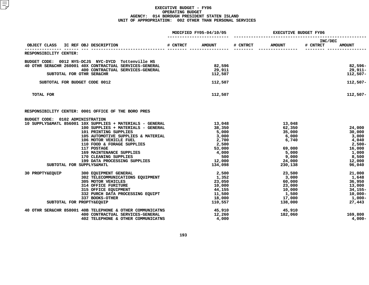### **EXECUTIVE BUDGET - FY06 OPERATING**G BUDGET<br>PRESIDEN<br>2 OTHER **AGENCY: <sup>014</sup> BOROUGH PRESIDENT STATEN ISLAND UNIT OF APPROPRIATION: <sup>002</sup> OTHER THAN PERSONAL SERVICES**

|                                                                                                                                                                                                                                                                                                                                                                                             |          | MODIFIED FY05-04/10/05                                                                              | EXECUTIVE BUDGET FY06 |                                                                                               |                     |                                                                                              |
|---------------------------------------------------------------------------------------------------------------------------------------------------------------------------------------------------------------------------------------------------------------------------------------------------------------------------------------------------------------------------------------------|----------|-----------------------------------------------------------------------------------------------------|-----------------------|-----------------------------------------------------------------------------------------------|---------------------|----------------------------------------------------------------------------------------------|
| OBJECT CLASS<br>IC REF OBJ DESCRIPTION                                                                                                                                                                                                                                                                                                                                                      | # CNTRCT | <b>AMOUNT</b>                                                                                       | # CNTRCT              | <b>AMOUNT</b>                                                                                 | INC/DEC<br># CNTRCT | <b>AMOUNT</b>                                                                                |
| <b>RESPONSIBILITY CENTER:</b>                                                                                                                                                                                                                                                                                                                                                               |          |                                                                                                     |                       |                                                                                               |                     |                                                                                              |
| BUDGET CODE: 0012 NYS-DCJS NYC-DYCD Tottenville HS<br>40 OTHR SER&CHR 260001 40X CONTRACTUAL SERVICES-GENERAL<br>400 CONTRACTUAL SERVICES-GENERAL<br>SUBTOTAL FOR OTHR SER&CHR                                                                                                                                                                                                              |          | 82,596<br>29,911<br>112,507                                                                         |                       |                                                                                               |                     | $82,596-$<br>$29,911-$<br>$112,507-$                                                         |
| SUBTOTAL FOR BUDGET CODE 0012                                                                                                                                                                                                                                                                                                                                                               |          | 112,507                                                                                             |                       |                                                                                               |                     | $112,507-$                                                                                   |
| TOTAL FOR                                                                                                                                                                                                                                                                                                                                                                                   |          | 112,507                                                                                             |                       |                                                                                               |                     | $112,507-$                                                                                   |
| RESPONSIBILITY CENTER: 0001 OFFICE OF THE BORO PRES                                                                                                                                                                                                                                                                                                                                         |          |                                                                                                     |                       |                                                                                               |                     |                                                                                              |
| BUDGET CODE: 0102 ADMINISTRATION<br>10 SUPPLYS&MATL 856001 10X SUPPLIES + MATERIALS - GENERAL<br>100 SUPPLIES + MATERIALS - GENERAL<br>101 PRINTING SUPPLIES<br>105 AUTOMOTIVE SUPPLIES & MATERIAL<br>106 MOTOR VEHICLE FUEL<br>110 FOOD & FORAGE SUPPLIES<br>117 POSTAGE<br>169 MAINTENANCE SUPPLIES<br>170 CLEANING SUPPLIES<br>199 DATA PROCESSING SUPPLIES<br>SUBTOTAL FOR SUPPLYS&MATL |          | 13,048<br>38,350<br>5,000<br>3,000<br>2,700<br>2,500<br>53,000<br>4,000<br>500<br>12,000<br>134,098 |                       | 13,048<br>62,350<br>35,000<br>6,000<br>6,740<br>69,000<br>5,000<br>9,000<br>24,000<br>230,138 |                     | 24,000<br>30,000<br>3,000<br>4,040<br>2,500-<br>16,000<br>1,000<br>8,500<br>12,000<br>96,040 |
| 30 PROPTY&EQUIP<br>300 EQUIPMENT GENERAL<br>302 TELECOMMUNICATIONS EQUIPMENT<br>305 MOTOR VEHICLES<br><b>314 OFFICE FURITURE</b><br>315 OFFICE EQUIPMENT<br>332 PURCH DATA PROCESSING EQUIPT<br>337 BOOKS-OTHER<br>SUBTOTAL FOR PROPTY&EQUIP                                                                                                                                                |          | 2,500<br>1,352<br>23,050<br>10,000<br>44,155<br>11,500<br>18,000<br>110,557                         |                       | 23,500<br>3,000<br>60,000<br>23,000<br>10,000<br>1,500<br>17,000<br>138,000                   |                     | 21,000<br>1,648<br>36,950<br>13,000<br>$34, 155 -$<br>$10,000-$<br>1,000-<br>27,443          |
| 40 OTHR SER&CHR 858001 40B TELEPHONE & OTHER COMMUNICATNS<br>400 CONTRACTUAL SERVICES-GENERAL<br>402 TELEPHONE & OTHER COMMUNICATNS                                                                                                                                                                                                                                                         |          | 45,910<br>12,260<br>4,000                                                                           |                       | 45,910<br>182,060                                                                             |                     | 169,800<br>$4,000-$                                                                          |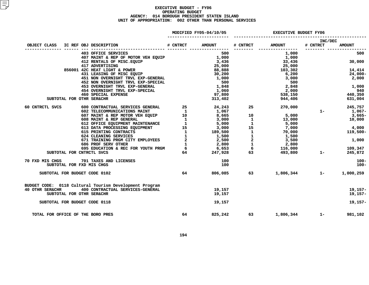### **EXECUTIVE BUDGET - FY06 OPERATING**G BUDGET<br>PRESIDEN<br>2 OTHER **AGENCY: <sup>014</sup> BOROUGH PRESIDENT STATEN ISLAND UNIT OF APPROPRIATION: <sup>002</sup> OTHER THAN PERSONAL SERVICES**

| MODIFIED FY05-04/10/05 |  |  |
|------------------------|--|--|
|------------------------|--|--|

|                                                                                                               |          | MODIFIED FY05-04/10/05 |          |               | <b>EXECUTIVE BUDGET FY06</b> |               |  |  |
|---------------------------------------------------------------------------------------------------------------|----------|------------------------|----------|---------------|------------------------------|---------------|--|--|
|                                                                                                               |          |                        |          |               | INC/DEC                      |               |  |  |
| IC REF OBJ DESCRIPTION<br>OBJECT CLASS                                                                        | # CNTRCT | <b>AMOUNT</b>          | # CNTRCT | <b>AMOUNT</b> | # CNTRCT                     | <b>AMOUNT</b> |  |  |
| 403 OFFICE SERVICES                                                                                           |          | 500                    |          | 1,000         |                              | 500           |  |  |
| 407 MAINT & REP OF MOTOR VEH EQUIP                                                                            |          |                        |          | 1,000         |                              |               |  |  |
| 412 RENTALS OF MISC. EQUIP                                                                                    |          | $1,000$<br>$3,436$     |          | 33,436        |                              | 30,000        |  |  |
| 417 ADVERTISING<br>856001 42C HEAT LIGHT & POWER                                                              |          | 25,000<br>88,888       |          | 25,000        |                              |               |  |  |
|                                                                                                               |          |                        |          | 103,302       |                              | 14,414        |  |  |
| 431 LEASING OF MISC EQUIP                                                                                     |          | 30,200                 |          | 6,200         |                              | 24,000-       |  |  |
| 451 NON OVERNIGHT TRVL EXP-GENERAL                                                                            |          | 1,000<br>500           |          | 3,000         |                              | 2,000         |  |  |
| 452 NON OVERNIGHT TRVL EXP-SPECIAL                                                                            |          |                        |          | 500           |                              |               |  |  |
| 453 OVERNIGHT TRVL EXP-GENERAL                                                                                |          | 1,848<br>1,060         |          | 2,848         | 2,848<br>2,000               | 1,000         |  |  |
| 454 OVERNIGHT TRVL EXP-SPECIAL                                                                                |          |                        |          |               | 538,150                      | 940           |  |  |
| 460 SPECIAL EXPENSE                                                                                           |          | 97,800                 |          |               |                              | 440,350       |  |  |
| SUBTOTAL FOR OTHR SER&CHR                                                                                     |          | 313,402                |          | 944,406       |                              | 631,004       |  |  |
| 60 CNTRCTL SVCS                                                                                               |          |                        |          | 270,000       |                              | 245,757       |  |  |
|                                                                                                               |          |                        |          |               | $1 -$                        | 1,067-        |  |  |
|                                                                                                               |          |                        |          |               |                              | 3,665-        |  |  |
|                                                                                                               |          |                        |          |               |                              | 10,000        |  |  |
|                                                                                                               |          |                        |          |               |                              |               |  |  |
|                                                                                                               |          |                        |          | 7,000         |                              | 4,000         |  |  |
|                                                                                                               |          |                        |          |               |                              | 119,500-      |  |  |
|                                                                                                               |          |                        |          |               |                              |               |  |  |
|                                                                                                               |          |                        |          | 3,500         |                              | 1,000         |  |  |
|                                                                                                               |          |                        |          | 2,800         |                              |               |  |  |
|                                                                                                               |          |                        |          |               |                              | 109,347       |  |  |
| SUBTOTAL FOR CNTRCTL SVCS                                                                                     |          |                        |          |               |                              | 245,872       |  |  |
| 70 FXD MIS CHGS 701 TAXES AND LICENSES                                                                        |          | 100                    |          |               |                              | 100-          |  |  |
| SUBTOTAL FOR FXD MIS CHGS                                                                                     |          | 100                    |          |               |                              | $100 -$       |  |  |
| SUBTOTAL FOR BUDGET CODE 0102                                                                                 | 64       | 806,085                | 63 — 1   |               | 1,806,344 1-                 | 1,000,259     |  |  |
|                                                                                                               |          |                        |          |               |                              |               |  |  |
| BUDGET CODE: 0118 Cultural Tourism Development Program<br>400 CONTRACTUAL SERVICES-GENERAL<br>40 OTHR SER&CHR |          | 19,157                 |          |               |                              | $19, 157 -$   |  |  |
| SUBTOTAL FOR OTHR SER&CHR                                                                                     |          | 19,157                 |          |               |                              | 19,157-       |  |  |
|                                                                                                               |          |                        |          |               |                              |               |  |  |
| SUBTOTAL FOR BUDGET CODE 0118                                                                                 |          | 19,157                 |          |               |                              | $19, 157 -$   |  |  |
| TOTAL FOR OFFICE OF THE BORO PRES                                                                             | 64       | 825,242                | 63       | 1,806,344     | $1 -$                        | 981,102       |  |  |
|                                                                                                               |          |                        |          |               |                              |               |  |  |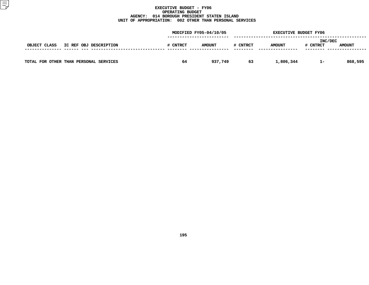### **EXECUTIVE BUDGET - FY06 OPERATING**G BUDGET<br>PRESIDEN<br>2 OTHER **AGENCY: <sup>014</sup> BOROUGH PRESIDENT STATEN ISLAND UNIT OF APPROPRIATION: <sup>002</sup> OTHER THAN PERSONAL SERVICES**

|                                        | MODIFIED FY05-04/10/05 |               |          | <b>EXECUTIVE BUDGET FY06</b> |                            |               |  |
|----------------------------------------|------------------------|---------------|----------|------------------------------|----------------------------|---------------|--|
| OBJECT CLASS<br>IC REF OBJ DESCRIPTION | # CNTRCT               | <b>AMOUNT</b> | # CNTRCT | <b>AMOUNT</b>                | <b>INC/DEC</b><br># CNTRCT | <b>AMOUNT</b> |  |
| TOTAL FOR OTHER THAN PERSONAL SERVICES | 64                     | 937,749       | 63       | 1,806,344                    | -1-                        | 868,595       |  |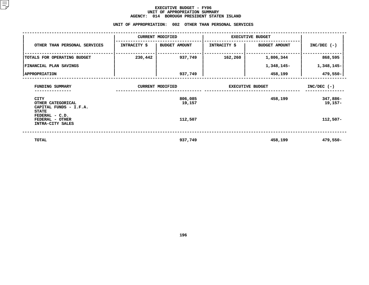### **EXECUTIVE BUDGET - FY06** UNIT OF APPROPRIATION SUMMARY **OF APPROPRIATION SUMMARY AGENCY:**

|                                                                       | <b>AGENCY:</b> | 014<br>BOROUGH PRESIDENT STATEN ISLAND<br>UNIT OF APPROPRIATION: 002 OTHER THAN PERSONAL SERVICES |                     |                         |                     |  |  |  |  |
|-----------------------------------------------------------------------|----------------|---------------------------------------------------------------------------------------------------|---------------------|-------------------------|---------------------|--|--|--|--|
| <b>CURRENT MODIFIED</b><br><b>EXECUTIVE BUDGET</b>                    |                |                                                                                                   |                     |                         |                     |  |  |  |  |
| OTHER THAN PERSONAL SERVICES                                          | INTRACITY \$   | <b>BUDGET AMOUNT</b>                                                                              | <b>INTRACITY \$</b> | <b>BUDGET AMOUNT</b>    | $INC/DEC$ (-)       |  |  |  |  |
| TOTALS FOR OPERATING BUDGET                                           | 230,442        | 937,749                                                                                           | 162,260             | 1,806,344               | 868,595             |  |  |  |  |
| FINANCIAL PLAN SAVINGS                                                |                |                                                                                                   |                     | 1,348,145-              | 1,348,145-          |  |  |  |  |
| <b>APPROPRIATION</b>                                                  |                | 937,749                                                                                           |                     | 458,199                 | 479,550-            |  |  |  |  |
| FUNDING SUMMARY                                                       |                | <b>CURRENT MODIFIED</b>                                                                           |                     | <b>EXECUTIVE BUDGET</b> | $INC/DEC$ (-)       |  |  |  |  |
| CITY<br>OTHER CATEGORICAL<br>CAPITAL FUNDS - I.F.A.                   |                | 806,085<br>19,157                                                                                 |                     | 458,199                 | 347,886-<br>19,157- |  |  |  |  |
| <b>STATE</b><br>FEDERAL - C.D.<br>FEDERAL - OTHER<br>INTRA-CITY SALES |                | 112,507                                                                                           |                     |                         | $112,507-$          |  |  |  |  |
| <b>TOTAL</b>                                                          |                | 937,749                                                                                           |                     | 458,199                 | 479,550-            |  |  |  |  |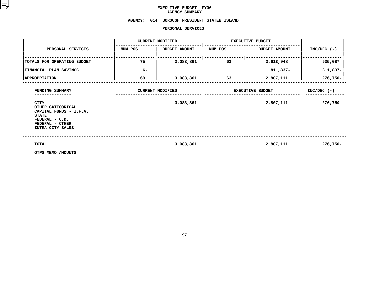### **EXECUTIVE BUDGET- FY06 AGENCY**

# **SUMMARY AGENCY: <sup>014</sup> BOROUGH PRESIDENT STATEN ISLAND**

### **PERSONAL**

|                                                                                                                      |                                      | PERSONAL SERVICES    |                                      |                      |                           |
|----------------------------------------------------------------------------------------------------------------------|--------------------------------------|----------------------|--------------------------------------|----------------------|---------------------------|
|                                                                                                                      | <b>CURRENT MODIFIED</b>              |                      | <b>EXECUTIVE BUDGET</b>              |                      |                           |
| PERSONAL SERVICES                                                                                                    | NUM POS                              | <b>BUDGET AMOUNT</b> | NUM POS                              | <b>BUDGET AMOUNT</b> | $INC/DEC$ (-)             |
| TOTALS FOR OPERATING BUDGET                                                                                          | 75                                   | 3,083,861            | 63                                   | 3,618,948            | 535,087                   |
| FINANCIAL PLAN SAVINGS                                                                                               | $6-$                                 |                      |                                      | 811,837-             | $811,837-$                |
| <b>APPROPRIATION</b>                                                                                                 | 69                                   | 3,083,861            | 63                                   | 2,807,111            | 276,750-                  |
| FUNDING SUMMARY<br><b>CITY</b>                                                                                       | <b>CURRENT MODIFIED</b><br>3,083,861 |                      | <b>EXECUTIVE BUDGET</b><br>2,807,111 |                      | $INC/DEC$ (-)<br>276,750- |
| OTHER CATEGORICAL<br>CAPITAL FUNDS - I.F.A.<br><b>STATE</b><br>FEDERAL - C.D.<br>FEDERAL - OTHER<br>INTRA-CITY SALES |                                      |                      |                                      |                      |                           |
| TOTAL<br>OTPS MEMO AMOUNTS                                                                                           |                                      | 3,083,861            |                                      | 2,807,111            | $276,750 -$               |

**OTPS MEMO AMOUNTS**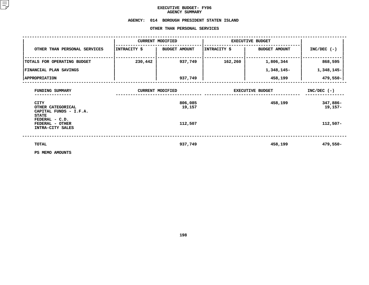## **EXECUTIVE BUDGET- FY06 AGENCY**

# AGENCY SUMMARY<br>AGENCY: 014 BOROUGH PRESID<mark>EN</mark> **<sup>014</sup> BOROUGH PRESIDENT STATEN ISLAND OTHER**

|                                                                            |              | OTHER THAN PERSONAL SERVICES |                         |                         |                       |
|----------------------------------------------------------------------------|--------------|------------------------------|-------------------------|-------------------------|-----------------------|
|                                                                            |              | <b>CURRENT MODIFIED</b>      |                         | <b>EXECUTIVE BUDGET</b> |                       |
| OTHER THAN PERSONAL SERVICES                                               | INTRACITY \$ | <b>BUDGET AMOUNT</b>         | INTRACITY \$            | <b>BUDGET AMOUNT</b>    | $INC/DEC$ (-)         |
| TOTALS FOR OPERATING BUDGET                                                | 230,442      | 937,749                      | 162,260                 | 1,806,344               | 868,595               |
| <b>FINANCIAL PLAN SAVINGS</b>                                              |              |                              |                         | 1,348,145-              | 1,348,145-            |
| <b>APPROPRIATION</b>                                                       |              | 937,749                      |                         | 458,199                 | 479,550-              |
| FUNDING SUMMARY                                                            |              | <b>CURRENT MODIFIED</b>      | <b>EXECUTIVE BUDGET</b> | $INC/DEC$ (-)           |                       |
| <b>CITY</b><br>OTHER CATEGORICAL<br>CAPITAL FUNDS - I.F.A.<br><b>STATE</b> |              | 806,085<br>19,157            |                         | 458,199                 | 347,886-<br>$19,157-$ |
| FEDERAL - C.D.<br>FEDERAL - OTHER<br>INTRA-CITY SALES                      |              | 112,507                      |                         |                         | $112,507-$            |
| <b>TOTAL</b>                                                               |              | 937,749                      |                         | 458,199                 | 479,550-              |
| PS MEMO AMOUNTS                                                            |              |                              |                         |                         |                       |

**PS MEMO AMOUNTS**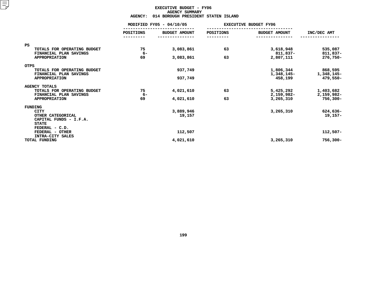### **EXECUTIVE BUDGET - FY06 AGENCYY SUMMARY<br>PRESIDEN<br>ACT**

|                                                       | <b>AGENCY:</b> | 014 BOROUGH PRESIDENT STATEN ISLAND |           |                              |                       |  |
|-------------------------------------------------------|----------------|-------------------------------------|-----------|------------------------------|-----------------------|--|
|                                                       |                | MODIFIED FY05 - 04/10/05            |           | <b>EXECUTIVE BUDGET FY06</b> |                       |  |
|                                                       | POSITIONS      | <b>BUDGET AMOUNT</b>                | POSITIONS | <b>BUDGET AMOUNT</b>         | INC/DEC AMT           |  |
| <b>PS</b>                                             |                |                                     |           |                              |                       |  |
| TOTALS FOR OPERATING BUDGET<br>FINANCIAL PLAN SAVINGS | 75<br>$6-$     | 3,083,861                           | 63        | 3,618,948<br>811,837-        | 535,087<br>811,837-   |  |
| <b>APPROPRIATION</b>                                  | 69             | 3,083,861                           | 63        | 2,807,111                    | 276,750-              |  |
| <b>OTPS</b>                                           |                |                                     |           |                              |                       |  |
| TOTALS FOR OPERATING BUDGET<br>FINANCIAL PLAN SAVINGS |                | 937,749                             |           | 1,806,344<br>1,348,145–      | 868,595<br>1,348,145- |  |
| <b>APPROPRIATION</b>                                  |                | 937,749                             |           | 458,199                      | 479,550-              |  |
| <b>AGENCY TOTALS</b><br>TOTALS FOR OPERATING BUDGET   | 75             | 4,021,610                           | 63        | 5,425,292                    | 1,403,682             |  |
| FINANCIAL PLAN SAVINGS                                | $6-$           |                                     |           | 2,159,982-                   | 2,159,982-            |  |
| <b>APPROPRIATION</b>                                  | 69             | 4,021,610                           | 63        | 3,265,310                    | $756,300 -$           |  |
| FUNDING<br><b>CITY</b>                                |                | 3,889,946                           |           | 3,265,310                    | 624,636-              |  |
| OTHER CATEGORICAL<br>CAPITAL FUNDS - I.F.A.           |                | 19,157                              |           |                              | $19, 157 -$           |  |
| <b>STATE</b><br>FEDERAL - C.D.                        |                |                                     |           |                              |                       |  |
| FEDERAL - OTHER<br>INTRA-CITY SALES                   |                | 112,507                             |           |                              | $112,507-$            |  |
| TOTAL FUNDING                                         |                | 4,021,610                           |           | 3,265,310                    | $756,300 -$           |  |
|                                                       |                |                                     |           |                              |                       |  |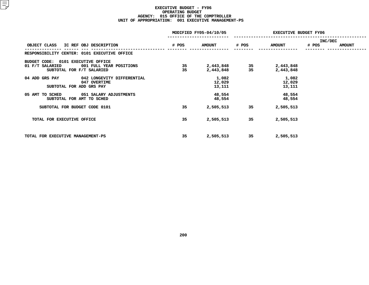### **EXECUTIVE BUDGET - FY06 OPERATINGG BUDGET<br>E OF THE<br>1 EXECUT AGENCY: <sup>015</sup> OFFICE OF THE COMPTROLLER UNIT OF APPROPRIATION: <sup>001</sup> EXECUTIVE MANAGEMENT-PS**

|                                                       |                                                                        |               | MODIFIED FY05-04/10/05<br>EXECUTIVE BUDGET FY06 |               |                           |               |  |
|-------------------------------------------------------|------------------------------------------------------------------------|---------------|-------------------------------------------------|---------------|---------------------------|---------------|--|
| OBJECT CLASS IC REF OBJ DESCRIPTION                   | # POS                                                                  | <b>AMOUNT</b> | # POS                                           | <b>AMOUNT</b> | INC/DEC<br># POS          | <b>AMOUNT</b> |  |
|                                                       | RESPONSIBILITY CENTER: 0101 EXECUTIVE OFFICE                           |               |                                                 |               |                           |               |  |
| BUDGET CODE: 0101 EXECUTIVE OFFICE<br>01 F/T SALARIED | 001 FULL YEAR POSITIONS<br>SUBTOTAL FOR F/T SALARIED                   | 35<br>35      | 2,443,848<br>2,443,848                          | 35<br>35      | 2,443,848<br>2,443,848    |               |  |
| 04 ADD GRS PAY                                        | 042 LONGEVITY DIFFERENTIAL<br>047 OVERTIME<br>SUBTOTAL FOR ADD GRS PAY |               | 1,082<br>12,029<br>13,111                       |               | 1,082<br>12,029<br>13,111 |               |  |
| 05 AMT TO SCHED                                       | 051 SALARY ADJUSTMENTS<br>SUBTOTAL FOR AMT TO SCHED                    |               | 48,554<br>48,554                                |               | 48,554<br>48,554          |               |  |
|                                                       | SUBTOTAL FOR BUDGET CODE 0101                                          | 35            | 2,505,513                                       | 35            | 2,505,513                 |               |  |
| TOTAL FOR EXECUTIVE OFFICE                            |                                                                        | 35            | 2,505,513                                       | 35            | 2,505,513                 |               |  |
| TOTAL FOR EXECUTIVE MANAGEMENT-PS                     |                                                                        | 35            | 2,505,513                                       | 35            | 2,505,513                 |               |  |
|                                                       |                                                                        |               |                                                 |               |                           |               |  |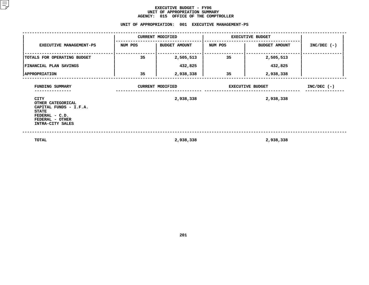### **EXECUTIVE BUDGET - FY06** UNIT OF APPROPRIATION SUMMARY **OF APPROPRIATION SUMMARY AGENCY:**

|                                                                                                                                     |         | AGENCY: 015 OFFICE OF THE COMPTROLLER<br>UNIT OF APPROPRIATION: 001 EXECUTIVE MANAGEMENT-PS |                         |                         |               |  |
|-------------------------------------------------------------------------------------------------------------------------------------|---------|---------------------------------------------------------------------------------------------|-------------------------|-------------------------|---------------|--|
|                                                                                                                                     |         | <b>CURRENT MODIFIED</b>                                                                     | <b>EXECUTIVE BUDGET</b> |                         |               |  |
| <b>EXECUTIVE MANAGEMENT-PS</b>                                                                                                      | NUM POS | <b>BUDGET AMOUNT</b>                                                                        | NUM POS                 | <b>BUDGET AMOUNT</b>    | $INC/DEC$ (-) |  |
| TOTALS FOR OPERATING BUDGET                                                                                                         | 35      | 2,505,513                                                                                   | 35                      | 2,505,513               |               |  |
| <b> FINANCIAL PLAN SAVINGS</b>                                                                                                      |         | 432,825                                                                                     |                         | 432,825                 |               |  |
| <b>APPROPRIATION</b>                                                                                                                | 35      | 2,938,338                                                                                   | 35                      | 2,938,338               |               |  |
| FUNDING SUMMARY                                                                                                                     |         | <b>CURRENT MODIFIED</b>                                                                     |                         | <b>EXECUTIVE BUDGET</b> |               |  |
| <b>CITY</b><br>OTHER CATEGORICAL<br>CAPITAL FUNDS - I.F.A.<br><b>STATE</b><br>FEDERAL - C.D.<br>FEDERAL - OTHER<br>INTRA-CITY SALES |         | 2,938,338                                                                                   |                         | 2,938,338               |               |  |

**TOTAL** 2,938,338 2,938,338 2,938,338 2,938,338

**2,938,338 2,938,338**

**201**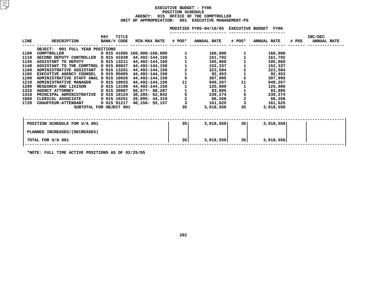### **EXECUTIVE BUDGET - FY06 POSITIONN SCHEDULE<br>CE OF THE<br>001 EXECU AGENCY: <sup>015</sup> OFFICE OF THE COMPTROLLER UNIT OF APPROPRIATION: <sup>001</sup> EXECUTIVE MANAGEMENT-PS**

|      |                                                       |                    |       |                                  |                                                            | MODIFIED FY05-04/10/05 EXECUTIVE BUDGET FY06 |                                            |                      |       |                               |  |
|------|-------------------------------------------------------|--------------------|-------|----------------------------------|------------------------------------------------------------|----------------------------------------------|--------------------------------------------|----------------------|-------|-------------------------------|--|
| LINE | <b>DESCRIPTION</b>                                    | PAY<br>BANK/# CODE | TITLE | <b>MIN-MAX RATE</b>              | # POS*                                                     | <b>ANNUAL RATE</b>                           | # POS*                                     | <b>ANNUAL RATE</b>   | # POS | INC/DEC<br><b>ANNUAL RATE</b> |  |
|      | OBJECT: 001 FULL YEAR POSITIONS                       |                    |       |                                  |                                                            |                                              |                                            |                      |       |                               |  |
| 1100 | COMPTROLLER                                           |                    |       | 000,000-160,000 15 41095 160,000 |                                                            | 160,000                                      |                                            | 160,000              |       |                               |  |
| 1110 | SECOND DEPUTY CONTROLLER D 015 41039 44,492-144,150   |                    |       |                                  |                                                            | 161,792                                      |                                            | 161,792              |       |                               |  |
| 1145 | ASSISTANT TO DEPUTY                                   |                    |       | D 015 13211 44,492-144,150       | $\begin{array}{c} 1 \\ 1 \\ 2 \\ 1 \\ 5 \\ 11 \end{array}$ | 105,060                                      |                                            | 105,060              |       |                               |  |
| 1148 | ASSISTANT TO THE COMPTROL D 015 60837                 |                    |       | 44,492-144,150                   |                                                            | 152,337                                      |                                            | 152,337              |       |                               |  |
| 1160 | ADMINISTRATIVE ASSISTANT D 015 13201 44,492-144,150   |                    |       |                                  |                                                            | 323,584                                      |                                            | 323,584              |       |                               |  |
| 1185 | EXECUTIVE AGENCY COUNSEL D 015 95005                  |                    |       | 44,492-144,150                   |                                                            | 92,453                                       | $\begin{array}{c} 2 \\ 1 \\ 5 \end{array}$ | 92,453               |       |                               |  |
| 1190 | ADMINISTRATIVE STAFF ANAL D 015 10026                 |                    |       | 44,492-144,150                   |                                                            | 397,995                                      |                                            | 397,995              |       |                               |  |
| 1210 | <b>ADMINISTRATIVE MANAGER</b>                         | D 015 10025        |       | 44,492-144,150                   |                                                            | 949,267                                      | 11                                         | 949,267              |       |                               |  |
| 1290 | RESEARCH AND LIAISON                                  | D 015 13198        |       | 44,492-144,150                   | 11523                                                      | 125,000                                      |                                            | 125,000              |       |                               |  |
| 1333 | <b>AGENCY ATTORNEY</b>                                | D 015 30087        |       | 50,677- 88,287                   |                                                            | 83,895                                       | $\begin{array}{c} 1 \\ 5 \\ 2 \end{array}$ | 83,895               |       |                               |  |
| 1418 | PRINCIPAL ADMINISTRATIVE D 015 10124 38,205- 62,842   |                    |       |                                  |                                                            | 239,274                                      |                                            | 239,274              |       |                               |  |
| 1660 | CLERICAL ASSOCIATE                                    | D 015 10251        |       | 20,095- 44,319                   |                                                            | 66,268                                       |                                            | 66,268               |       |                               |  |
| 1720 | <b>CHAUFFEUR-ATTENDANT</b><br>SUBTOTAL FOR OBJECT 001 | D 015 91217        |       | 40,156- 55,157                   | 35                                                         | 161,625<br>3,018,550                         | 35                                         | 161,625<br>3,018,550 |       |                               |  |
|      |                                                       |                    |       |                                  |                                                            |                                              |                                            |                      |       |                               |  |
|      |                                                       |                    |       |                                  |                                                            |                                              |                                            |                      |       |                               |  |
|      |                                                       |                    |       |                                  |                                                            |                                              |                                            |                      |       |                               |  |
|      | POSITION SCHEDULE FOR U/A 001                         |                    |       |                                  | 35                                                         | 3,018,550                                    | 35 l                                       | 3,018,550            |       |                               |  |
|      | PLANNED INCREASES / (DECREASES)                       |                    |       |                                  |                                                            |                                              |                                            |                      |       |                               |  |
|      | TOTAL FOR U/A 001                                     |                    |       |                                  | 35                                                         | 3,018,550                                    | 35                                         | 3,018,550            |       |                               |  |
|      |                                                       |                    |       |                                  |                                                            |                                              |                                            |                      |       |                               |  |

**\*NOTE: FULL TIME ACTIVE POSITIONS AS OF 02/25/05**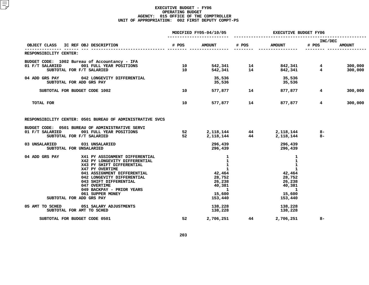|                                                                                                                                                                                                                                                                                                                       | MODIFIED FY05-04/10/05 |                                                                                                                                | EXECUTIVE BUDGET FY06    |                                                                                                           |                  |                    |
|-----------------------------------------------------------------------------------------------------------------------------------------------------------------------------------------------------------------------------------------------------------------------------------------------------------------------|------------------------|--------------------------------------------------------------------------------------------------------------------------------|--------------------------|-----------------------------------------------------------------------------------------------------------|------------------|--------------------|
| OBJECT CLASS<br>IC REF OBJ DESCRIPTION                                                                                                                                                                                                                                                                                | # POS                  | <b>AMOUNT</b>                                                                                                                  | # POS                    | <b>AMOUNT</b>                                                                                             | INC/DEC<br># POS | <b>AMOUNT</b>      |
| RESPONSIBILITY CENTER:                                                                                                                                                                                                                                                                                                |                        |                                                                                                                                |                          |                                                                                                           |                  |                    |
| BUDGET CODE: 1002 Bureau of Accountancy - IFA<br>001 FULL YEAR POSITIONS<br>01 F/T SALARIED<br>SUBTOTAL FOR F/T SALARIED                                                                                                                                                                                              | 10<br>10               |                                                                                                                                | 542,341 14<br>542,341 14 | 842,341 4<br>842,341 4                                                                                    |                  | 300,000<br>300,000 |
| 04 ADD GRS PAY 042 LONGEVITY DIFFERENTIAL<br>SUBTOTAL FOR ADD GRS PAY                                                                                                                                                                                                                                                 |                        | 35,536<br>35,536                                                                                                               |                          | 35,536<br>35,536                                                                                          |                  |                    |
| SUBTOTAL FOR BUDGET CODE 1002                                                                                                                                                                                                                                                                                         | 10                     |                                                                                                                                | 577,877 14               | 877,877                                                                                                   | $4^{\circ}$      | 300,000            |
| TOTAL FOR                                                                                                                                                                                                                                                                                                             | 10                     |                                                                                                                                | 577,877 14               | 877,877                                                                                                   | $4^{\circ}$      | 300,000            |
| RESPONSIBILITY CENTER: 0501 BUREAU OF ADMINISTRATIVE SVCS                                                                                                                                                                                                                                                             |                        |                                                                                                                                |                          |                                                                                                           |                  |                    |
| BUDGET CODE: 0501 BUREAU OF ADMINISTRATIVE SERVI<br>01 F/T SALARIED<br>001 FULL YEAR POSITIONS<br>SUBTOTAL FOR F/T SALARIED                                                                                                                                                                                           | 52<br>52               |                                                                                                                                |                          | 2,118,144 44 2,118,144<br>2,118,144 44 2,118,144                                                          | 8-<br>$8-$       |                    |
| 031 UNSALARIED<br>03 UNSALARIED<br>SUBTOTAL FOR UNSALARIED                                                                                                                                                                                                                                                            |                        | 296,439                                                                                                                        | 296,439                  | 296,439<br>296,439                                                                                        |                  |                    |
| 04 ADD GRS PAY<br>X41 PY ASSIGNMENT DIFFERENTIAL<br>X42 PY LONGEVITY DIFFERENTIAL<br>X43 PY SHIFT DIFFERENTIAL<br>X47 PY OVERTIME<br>041 ASSIGNMENT DIFFERENTIAL<br>042 LONGEVITY DIFFERENTIAL<br>043 SHIFT DIFFERENTIAL<br>047 OVERTIME<br>049 BACKPAY - PRIOR YEARS<br>061 SUPPER MONEY<br>SUBTOTAL FOR ADD GRS PAY |                        | 1<br>$\mathbf{1}$<br>$\mathbf{1}$<br>$\mathbf{1}$<br>42,464<br>28,752<br>26,238<br>40,381<br>$\mathbf{1}$<br>15,600<br>153,440 |                          | 1<br>$\mathbf{1}$<br>1<br>$\mathbf{1}$<br>42,464<br>28,752<br>26,238<br>40,381<br>-1<br>15,600<br>153,440 |                  |                    |
| 05 AMT TO SCHED 051 SALARY ADJUSTMENTS<br>SUBTOTAL FOR AMT TO SCHED                                                                                                                                                                                                                                                   |                        | 138,228<br>138,228                                                                                                             |                          | 138,228<br>138,228                                                                                        |                  |                    |
| SUBTOTAL FOR BUDGET CODE 0501                                                                                                                                                                                                                                                                                         | 52                     | 2,706,251                                                                                                                      | 44                       | 2,706,251                                                                                                 | $8-$             |                    |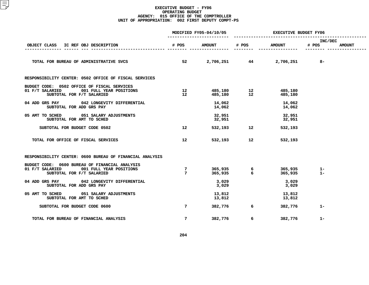|                                                                                                                           | MODIFIED FY05-04/10/05             |                  | <b>EXECUTIVE BUDGET FY06</b> |                           |                       |               |
|---------------------------------------------------------------------------------------------------------------------------|------------------------------------|------------------|------------------------------|---------------------------|-----------------------|---------------|
| OBJECT CLASS<br>IC REF OBJ DESCRIPTION                                                                                    | # POS                              | <b>AMOUNT</b>    | # POS                        | <b>AMOUNT</b>             | INC/DEC<br># POS      | <b>AMOUNT</b> |
| TOTAL FOR BUREAU OF ADMINISTRATIVE SVCS                                                                                   | 52                                 |                  |                              | 2,706,251 44 2,706,251 8- |                       |               |
| RESPONSIBILITY CENTER: 0502 OFFICE OF FISCAL SERVICES                                                                     |                                    |                  |                              |                           |                       |               |
| BUDGET CODE: 0502 OFFICE OF FISCAL SERVICES<br>001 FULL YEAR POSITIONS<br>01 F/T SALARIED<br>SUBTOTAL FOR F/T SALARIED    | 12<br>12 <sup>12</sup>             |                  |                              | 485,180<br>485,180        |                       |               |
| 04 ADD GRS PAY 042 LONGEVITY DIFFERENTIAL<br>SUBTOTAL FOR ADD GRS PAY                                                     |                                    | 14,062<br>14,062 |                              | 14,062<br>14,062          |                       |               |
| 05 AMT TO SCHED 051 SALARY ADJUSTMENTS<br>SUBTOTAL FOR AMT TO SCHED                                                       |                                    | 32,951<br>32,951 |                              | 32,951<br>32,951          |                       |               |
| SUBTOTAL FOR BUDGET CODE 0502                                                                                             | 12                                 |                  | 532,193 12                   | 532,193                   |                       |               |
| TOTAL FOR OFFICE OF FISCAL SERVICES                                                                                       | 12                                 | 532,193          | 12                           | 532,193                   |                       |               |
| RESPONSIBILITY CENTER: 0600 BUREAU OF FINANCIAL ANALYSIS                                                                  |                                    |                  |                              |                           |                       |               |
| BUDGET CODE: 0600 BUREAU OF FINANCIAL ANALYSIS<br>01 F/T SALARIED<br>001 FULL YEAR POSITIONS<br>SUBTOTAL FOR F/T SALARIED | $7\phantom{.0}$<br>$7\overline{ }$ |                  |                              | 365,935                   | $365,935$ 1-<br>$1 -$ |               |
| 04 ADD GRS PAY 042 LONGEVITY DIFFERENTIAL<br>SUBTOTAL FOR ADD GRS PAY                                                     |                                    | 3,029<br>3,029   |                              | 3,029<br>3,029            |                       |               |
| 05 AMT TO SCHED<br>051 SALARY ADJUSTMENTS<br>SUBTOTAL FOR AMT TO SCHED                                                    |                                    | 13,812<br>13,812 |                              | 13,812<br>13,812          |                       |               |
| SUBTOTAL FOR BUDGET CODE 0600                                                                                             | $7\overline{ }$                    | 382,776          | 6                            | 382,776                   | $1 -$                 |               |
| TOTAL FOR BUREAU OF FINANCIAL ANALYSIS                                                                                    | $7^{\circ}$                        | 382,776          | 6                            | 382,776                   | $1 -$                 |               |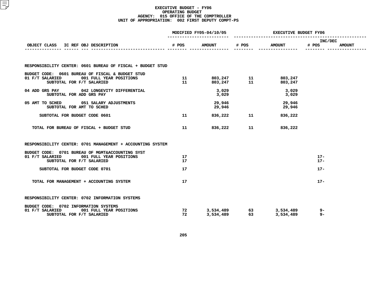|          |                  | <b>EXECUTIVE BUDGET FY06</b>                                      |                  |                                      |               |
|----------|------------------|-------------------------------------------------------------------|------------------|--------------------------------------|---------------|
|          |                  |                                                                   |                  | INC/DEC                              | <b>AMOUNT</b> |
|          |                  |                                                                   |                  |                                      |               |
|          |                  |                                                                   |                  |                                      |               |
| 11       |                  |                                                                   |                  |                                      |               |
|          | 3,029<br>3,029   |                                                                   | 3,029<br>3,029   |                                      |               |
|          | 29,946<br>29,946 |                                                                   | 29,946<br>29,946 |                                      |               |
| 11       |                  |                                                                   | 836,222          |                                      |               |
| 11       |                  |                                                                   | 836,222          |                                      |               |
|          |                  |                                                                   |                  |                                      |               |
| 17<br>17 |                  |                                                                   |                  | $17 -$<br>$17 -$                     |               |
| 17       |                  |                                                                   |                  | $17 -$                               |               |
| 17       |                  |                                                                   |                  | $17 -$                               |               |
|          |                  |                                                                   |                  |                                      |               |
| 72       |                  |                                                                   |                  | 9-<br>$9-$                           |               |
|          |                  | MODIFIED FY05-04/10/05<br># POS<br><b>AMOUNT</b><br>11<br>72 — 10 | 836,222 11       | # POS<br><b>AMOUNT</b><br>836,222 11 | # POS         |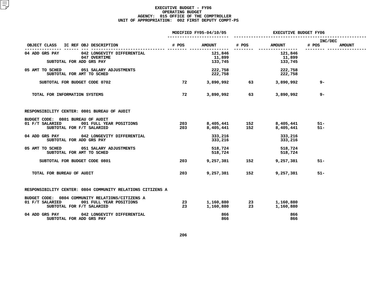|                                                                                                                             | MODIFIED FY05-04/10/05 |                              | EXECUTIVE BUDGET FY06 |                              |                  |               |
|-----------------------------------------------------------------------------------------------------------------------------|------------------------|------------------------------|-----------------------|------------------------------|------------------|---------------|
| OBJECT CLASS<br>IC REF OBJ DESCRIPTION                                                                                      | # POS                  | <b>AMOUNT</b>                | # POS                 | <b>AMOUNT</b>                | INC/DEC<br># POS | <b>AMOUNT</b> |
| 04 ADD GRS PAY<br>042 LONGEVITY DIFFERENTIAL<br>047 OVERTIME<br>SUBTOTAL FOR ADD GRS PAY                                    |                        | 121,846<br>11,899<br>133,745 |                       | 121,846<br>11,899<br>133,745 |                  |               |
| 05 AMT TO SCHED<br>051 SALARY ADJUSTMENTS<br>SUBTOTAL FOR AMT TO SCHED                                                      |                        | 222,758<br>222,758           |                       | 222,758<br>222,758           |                  |               |
| SUBTOTAL FOR BUDGET CODE 0702                                                                                               | 72                     |                              | 3,890,992 63          | 3,890,992                    | 9-               |               |
| TOTAL FOR INFORMATION SYSTEMS                                                                                               | 72                     | 3,890,992                    | 63                    | 3,890,992                    | 9-               |               |
| RESPONSIBILITY CENTER: 0801 BUREAU OF AUDIT                                                                                 |                        |                              |                       |                              |                  |               |
| BUDGET CODE: 0801 BUREAU OF AUDIT<br>001 FULL YEAR POSITIONS<br>01 F/T SALARIED<br>SUBTOTAL FOR F/T SALARIED                | 203<br>203             | 8,405,441                    | 8,405,441 152<br>152  | 8,405,441<br>8,405,441       | $51 -$<br>$51 -$ |               |
| 04 ADD GRS PAY<br>042 LONGEVITY DIFFERENTIAL<br>SUBTOTAL FOR ADD GRS PAY                                                    |                        | 333,216<br>333,216           |                       | 333,216<br>333,216           |                  |               |
| 05 AMT TO SCHED 051 SALARY ADJUSTMENTS<br>SUBTOTAL FOR AMT TO SCHED                                                         |                        | 518,724<br>518,724           |                       | 518,724<br>518,724           |                  |               |
| SUBTOTAL FOR BUDGET CODE 0801                                                                                               | 203                    | 9,257,381                    | 152                   | 9,257,381                    | $51 -$           |               |
| TOTAL FOR BUREAU OF AUDIT                                                                                                   | 203                    | 9,257,381                    | 152                   | 9,257,381                    | $51 -$           |               |
| RESPONSIBILITY CENTER: 0804 COMMUNITY RELATIONS CITIZENS A                                                                  |                        |                              |                       |                              |                  |               |
| BUDGET CODE: 0804 COMMUNITY RELATIONS/CITIZENS A<br>01 F/T SALARIED<br>001 FULL YEAR POSITIONS<br>SUBTOTAL FOR F/T SALARIED | 23<br>23               | 1,160,880<br>1,160,880       | 23<br>23              | 1,160,880<br>1,160,880       |                  |               |
| 04 ADD GRS PAY<br>042 LONGEVITY DIFFERENTIAL<br>SUBTOTAL FOR ADD GRS PAY                                                    |                        | 866<br>866                   |                       | 866<br>866                   |                  |               |
|                                                                                                                             |                        |                              |                       |                              |                  |               |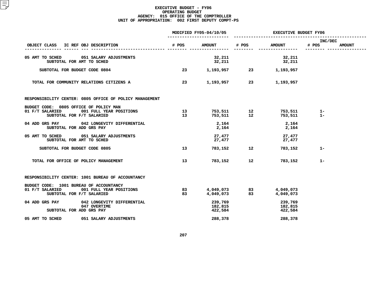|                                                                                                                    | MODIFIED FY05-04/10/05 |                               | <b>EXECUTIVE BUDGET FY06</b> |                               |                  |               |
|--------------------------------------------------------------------------------------------------------------------|------------------------|-------------------------------|------------------------------|-------------------------------|------------------|---------------|
| OBJECT CLASS<br>IC REF OBJ DESCRIPTION                                                                             | # POS                  | <b>AMOUNT</b>                 | # POS                        | <b>AMOUNT</b>                 | INC/DEC<br># POS | <b>AMOUNT</b> |
| 05 AMT TO SCHED 051 SALARY ADJUSTMENTS<br>SUBTOTAL FOR AMT TO SCHED                                                |                        | 32,211<br>32,211              |                              | 32,211<br>32,211              |                  |               |
| SUBTOTAL FOR BUDGET CODE 0804                                                                                      | 23                     |                               |                              | 1,193,957 23 1,193,957        |                  |               |
| TOTAL FOR COMMUNITY RELATIONS CITIZENS A                                                                           | 23                     |                               |                              | 1,193,957 23 1,193,957        |                  |               |
| RESPONSIBILITY CENTER: 0805 OFFICE OF POLICY MANAGEMENT                                                            |                        |                               |                              |                               |                  |               |
| BUDGET CODE: 0805 OFFICE OF POLICY MAN<br>001 FULL YEAR POSITIONS<br>01 F/T SALARIED<br>SUBTOTAL FOR F/T SALARIED  | 13<br>13 <sup>7</sup>  |                               |                              | 753,511<br>753,511            | $1-$<br>$1 -$    |               |
| 04 ADD GRS PAY<br>042 LONGEVITY DIFFERENTIAL<br>SUBTOTAL FOR ADD GRS PAY                                           |                        | 2,164<br>2,164                |                              | 2,164<br>2,164                |                  |               |
| 05 AMT TO SCHED 051 SALARY ADJUSTMENTS<br>SUBTOTAL FOR AMT TO SCHED                                                |                        | 27,477<br>27,477              |                              | 27,477<br>27,477              |                  |               |
| SUBTOTAL FOR BUDGET CODE 0805                                                                                      | 13                     | 783,152                       | $\overline{\phantom{a}}$ 12  | 783,152                       | $1 -$            |               |
| TOTAL FOR OFFICE OF POLICY MANAGEMENT                                                                              | 13                     | 783,152                       | 12                           | 783,152                       | $1-$             |               |
| RESPONSIBILITY CENTER: 1001 BUREAU OF ACCOUNTANCY                                                                  |                        |                               |                              |                               |                  |               |
| BUDGET CODE: 1001 BUREAU OF ACCOUNTANCY<br>01 F/T SALARIED<br>001 FULL YEAR POSITIONS<br>SUBTOTAL FOR F/T SALARIED | 83<br>83               | 4,049,073                     | 4,049,073 83<br>83           | 4,049,073<br>4,049,073        |                  |               |
| 04 ADD GRS PAY<br>042 LONGEVITY DIFFERENTIAL<br>047 OVERTIME<br>SUBTOTAL FOR ADD GRS PAY                           |                        | 239,769<br>182,815<br>422,584 |                              | 239,769<br>182,815<br>422,584 |                  |               |
| 05 AMT TO SCHED<br>051 SALARY ADJUSTMENTS                                                                          |                        | 288,378                       |                              | 288,378                       |                  |               |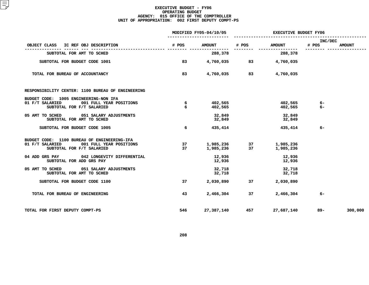|                                                                                                                        | MODIFIED FY05-04/10/05 |                        | <b>EXECUTIVE BUDGET FY06</b> |                        |                  |               |
|------------------------------------------------------------------------------------------------------------------------|------------------------|------------------------|------------------------------|------------------------|------------------|---------------|
| OBJECT CLASS IC REF OBJ DESCRIPTION                                                                                    | # POS                  | <b>AMOUNT</b>          | # POS                        | <b>AMOUNT</b>          | INC/DEC<br># POS | <b>AMOUNT</b> |
| SUBTOTAL FOR AMT TO SCHED                                                                                              |                        | 288,378                |                              | 288,378                |                  |               |
| SUBTOTAL FOR BUDGET CODE 1001                                                                                          | 83                     | 4,760,035              | 83                           | 4,760,035              |                  |               |
| TOTAL FOR BUREAU OF ACCOUNTANCY                                                                                        | 83                     | 4,760,035              | 83                           | 4,760,035              |                  |               |
| RESPONSIBILITY CENTER: 1100 BUREAU OF ENGINEERING                                                                      |                        |                        |                              |                        |                  |               |
| BUDGET CODE: 1005 ENGINEERING-NON IFA<br>01 F/T SALARIED<br>001 FULL YEAR POSITIONS<br>SUBTOTAL FOR F/T SALARIED       | 6<br>6                 | 402,565<br>402,565     |                              | 402,565<br>402,565     | 6-<br>$6-$       |               |
| 05 AMT TO SCHED<br>051 SALARY ADJUSTMENTS<br>SUBTOTAL FOR AMT TO SCHED                                                 |                        | 32,849<br>32,849       |                              | 32,849<br>32,849       |                  |               |
| SUBTOTAL FOR BUDGET CODE 1005                                                                                          | 6                      | 435,414                |                              | 435,414                | $6-$             |               |
| BUDGET CODE: 1100 BUREAU OF ENGINEERING-IFA<br>001 FULL YEAR POSITIONS<br>01 F/T SALARIED<br>SUBTOTAL FOR F/T SALARIED | 37<br>37               | 1,985,236<br>1,985,236 | 37<br>37                     | 1,985,236<br>1,985,236 |                  |               |
| 04 ADD GRS PAY<br>042 LONGEVITY DIFFERENTIAL<br>SUBTOTAL FOR ADD GRS PAY                                               |                        | 12,936<br>12,936       |                              | 12,936<br>12,936       |                  |               |
| 05 AMT TO SCHED 051 SALARY ADJUSTMENTS<br>SUBTOTAL FOR AMT TO SCHED                                                    |                        | 32,718<br>32,718       |                              | 32,718<br>32,718       |                  |               |
| SUBTOTAL FOR BUDGET CODE 1100                                                                                          | 37                     | 2,030,890              | 37                           | 2,030,890              |                  |               |
| TOTAL FOR BUREAU OF ENGINEERING                                                                                        | 43                     | 2,466,304              | 37                           | 2,466,304              | $6-$             |               |
| TOTAL FOR FIRST DEPUTY COMPT-PS                                                                                        | 546                    | 27,387,140             | 457                          | 27,687,140             | 89–              | 300,000       |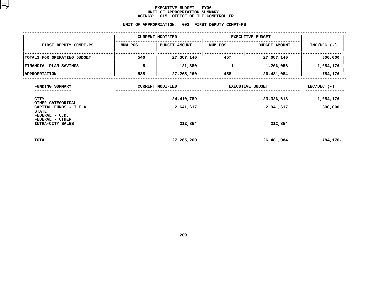### **EXECUTIVE BUDGET - FY06** UNIT OF APPROPRIATION SUMMARY **OF APPROPRIATION SUMMARY AGENCY:**

|                                                                       | <b>AGENCY:</b>                  | 015 OFFICE OF THE COMPTROLLER                    |                         |                      |               |
|-----------------------------------------------------------------------|---------------------------------|--------------------------------------------------|-------------------------|----------------------|---------------|
|                                                                       |                                 | UNIT OF APPROPRIATION: 002 FIRST DEPUTY COMPT-PS |                         |                      |               |
|                                                                       |                                 | <b>CURRENT MODIFIED</b>                          | <b>EXECUTIVE BUDGET</b> |                      |               |
| FIRST DEPUTY COMPT-PS                                                 | NUM POS<br><b>BUDGET AMOUNT</b> |                                                  | NUM POS                 | <b>BUDGET AMOUNT</b> | $INC/DEC$ (-) |
| TOTALS FOR OPERATING BUDGET                                           | 546                             | 27,387,140                                       | 457                     | 27,687,140           | 300,000       |
| FINANCIAL PLAN SAVINGS                                                | $8 -$                           | 121,880-                                         | 1                       | 1,206,056-           | 1,084,176-    |
| <b>APPROPRIATION</b>                                                  | 538                             | 27,265,260                                       | 458                     | 26,481,084           | $784, 176 -$  |
| FUNDING SUMMARY                                                       |                                 | <b>CURRENT MODIFIED</b>                          | <b>EXECUTIVE BUDGET</b> | $INC/DEC$ (-)        |               |
| <b>CITY</b>                                                           |                                 | 24,410,789                                       |                         | 23,326,613           | 1,084,176-    |
| OTHER CATEGORICAL<br>CAPITAL FUNDS - I.F.A.                           |                                 | 2,641,617                                        |                         | 2,941,617            | 300,000       |
| <b>STATE</b><br>FEDERAL - C.D.<br>FEDERAL - OTHER<br>INTRA-CITY SALES |                                 | 212,854                                          |                         | 212,854              |               |
| <b>TOTAL</b>                                                          |                                 | 27,265,260                                       |                         | 26,481,084           | 784,176-      |
|                                                                       |                                 |                                                  |                         |                      |               |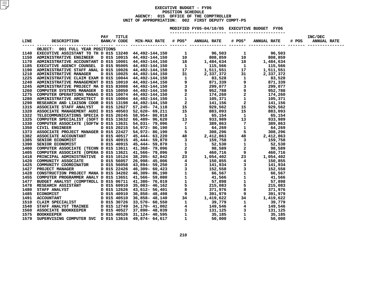### **EXECUTIVEBUDGET - FY06<br>POSITION SCHEDULE<br>AGENCY: 015 OFFICE OF THE COM POSITIONN SCHEDULE<br>CE OF THE<br>002 FIRS <sup>015</sup> OFFICE OF THE COMPTROLLER UNITOF APPROPRIATION: <sup>002</sup> FIRST DEPUTY COMPT-PS MODIFIED**

|                                 |  |  | MODIFIED FY05-04/10/05 EXECUTIVE BUDGET FY06 |  |  |
|---------------------------------|--|--|----------------------------------------------|--|--|
|                                 |  |  |                                              |  |  |
|                                 |  |  |                                              |  |  |
| OBJECT: 001 FULL YEAR POSITIONS |  |  |                                              |  |  |
|                                 |  |  |                                              |  |  |
|                                 |  |  |                                              |  |  |
|                                 |  |  |                                              |  |  |
|                                 |  |  |                                              |  |  |
|                                 |  |  |                                              |  |  |
|                                 |  |  |                                              |  |  |
|                                 |  |  |                                              |  |  |
|                                 |  |  |                                              |  |  |
|                                 |  |  |                                              |  |  |
|                                 |  |  |                                              |  |  |
|                                 |  |  |                                              |  |  |
|                                 |  |  |                                              |  |  |
|                                 |  |  |                                              |  |  |
|                                 |  |  |                                              |  |  |
|                                 |  |  |                                              |  |  |
|                                 |  |  |                                              |  |  |
|                                 |  |  |                                              |  |  |
|                                 |  |  |                                              |  |  |
|                                 |  |  |                                              |  |  |
|                                 |  |  |                                              |  |  |
|                                 |  |  |                                              |  |  |
|                                 |  |  |                                              |  |  |
|                                 |  |  |                                              |  |  |
|                                 |  |  |                                              |  |  |
|                                 |  |  |                                              |  |  |
|                                 |  |  |                                              |  |  |
|                                 |  |  |                                              |  |  |
|                                 |  |  |                                              |  |  |
|                                 |  |  |                                              |  |  |
|                                 |  |  |                                              |  |  |
|                                 |  |  |                                              |  |  |
|                                 |  |  |                                              |  |  |
|                                 |  |  |                                              |  |  |
|                                 |  |  |                                              |  |  |
|                                 |  |  |                                              |  |  |
|                                 |  |  |                                              |  |  |
|                                 |  |  |                                              |  |  |
|                                 |  |  |                                              |  |  |
|                                 |  |  |                                              |  |  |
|                                 |  |  |                                              |  |  |
|                                 |  |  |                                              |  |  |
|                                 |  |  |                                              |  |  |
|                                 |  |  |                                              |  |  |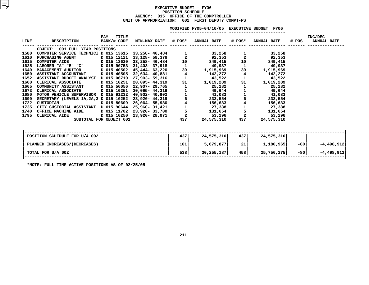### **EXECUTIVEBUDGET - FY06<br>POSITION SCHEDULE<br>AGENCY: 015 OFFICE OF THE COM POSITIONN SCHEDULE<br>CE OF THE<br>002 FIRS <sup>015</sup> OFFICE OF THE COMPTROLLER UNIT OF APPROPRIATION: <sup>002</sup> FIRST DEPUTY COMPT-PS**

|      |                                                                                                      |                             |                                                        |                    | MODIFIED FY05-04/10/05 EXECUTIVE BUDGET FY06 |                                                 |                    |       |                               |
|------|------------------------------------------------------------------------------------------------------|-----------------------------|--------------------------------------------------------|--------------------|----------------------------------------------|-------------------------------------------------|--------------------|-------|-------------------------------|
| LINE | <b>DESCRIPTION</b>                                                                                   | TITLE<br>PAY<br>BANK/# CODE | <b>MIN-MAX RATE # POS*</b>                             |                    | ANNUAL RATE # POS*                           |                                                 | <b>ANNUAL RATE</b> | # POS | INC/DEC<br><b>ANNUAL RATE</b> |
|      | OBJECT: 001 FULL YEAR POSITIONS                                                                      |                             |                                                        |                    |                                              |                                                 |                    |       |                               |
| 1580 | COMPUTER SERVICE TECHNICI D 015 13615 33,258- 46,484                                                 |                             |                                                        |                    | 33,258                                       |                                                 | 33,258             |       |                               |
| 1610 | <b>PURCHASING AGENT</b>                                                                              | D 015 12121                 | 33,128- 58,378                                         | $\frac{1}{2}$      | 92,353                                       | $\frac{1}{2}$                                   | 92,353             |       |                               |
| 1615 | $D = 015 13620$<br><b>COMPUTER AIDE</b>                                                              |                             | $33,258 - 46,484$<br>31,403-37,918<br>45,444-63,220 39 |                    | 349,415                                      | 10                                              | 349,415            |       |                               |
| 1625 | LABORER "A" "B" "C" D 015 90753                                                                      |                             |                                                        |                    | 49,937                                       | $\mathbf{1}$                                    | 49,937             |       |                               |
| 1640 | MANAGEMENT AUDITOR D 015 40502                                                                       |                             |                                                        |                    | 1,915,969                                    | 39                                              | 1,915,969          |       |                               |
| 1650 | ASSISTANT ACCOUNTANT D 015 40505 32,634-40,881                                                       |                             |                                                        | $\overline{\bf 4}$ | 142,272                                      | $\overline{\mathbf{4}}$                         | 142,272            |       |                               |
| 1652 | ASSISTANT BUDGET ANALYST D 015 06710 27,903- 59,316<br>CLERICAL ASSOCIATE D 015 10251 20,095- 44,319 |                             |                                                        | $\mathbf{1}$       | 43,522                                       | $\mathbf 1$                                     | 43,522             |       |                               |
| 1660 |                                                                                                      |                             |                                                        | 31                 | 1,019,289                                    | 31                                              | 1,019,289          |       |                               |
| 1665 |                                                                                                      |                             |                                                        |                    |                                              | 1                                               | 25,282             |       |                               |
| 1673 |                                                                                                      |                             |                                                        |                    |                                              | $\begin{array}{c} 1 \\ 1 \\ 6 \end{array}$      | 49,644             |       |                               |
| 1680 |                                                                                                      |                             |                                                        |                    |                                              |                                                 | 41,083             |       |                               |
| 1690 |                                                                                                      |                             |                                                        |                    |                                              |                                                 | 233,554            |       |                               |
| 1722 |                                                                                                      |                             |                                                        |                    |                                              |                                                 | 156,633            |       |                               |
| 1735 |                                                                                                      |                             |                                                        |                    |                                              |                                                 | 27,388             |       |                               |
| 1740 |                                                                                                      |                             |                                                        |                    |                                              | $\begin{array}{c} 4 \\ 1 \\ 5 \\ 2 \end{array}$ | 131,654            |       |                               |
| 1795 |                                                                                                      |                             |                                                        |                    |                                              |                                                 | 53,296             |       |                               |
|      |                                                                                                      |                             |                                                        |                    |                                              | 437                                             | 24,575,310         |       |                               |
|      | POSITION SCHEDULE FOR U/A 002                                                                        |                             |                                                        | 4371               | 24,575,310                                   | 4371                                            | 24,575,310         |       |                               |
|      | PLANNED INCREASES/(DECREASES)                                                                        |                             |                                                        | 101                | 5,679,877                                    | 21                                              | 1,180,965          | $-80$ | $-4,498,912$                  |
|      | TOTAL FOR U/A 002                                                                                    |                             |                                                        | 538                | 30, 255, 187                                 | 458                                             | 25,756,275         | $-80$ | $-4,498,912$                  |
|      |                                                                                                      |                             |                                                        |                    |                                              |                                                 |                    |       |                               |

**\*NOTE: FULL TIME ACTIVE POSITIONS AS OF 02/25/05**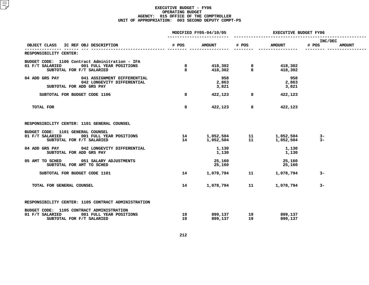| # POS        |                       |          |                                                                             |                                                     |                                                                            |
|--------------|-----------------------|----------|-----------------------------------------------------------------------------|-----------------------------------------------------|----------------------------------------------------------------------------|
|              | <b>AMOUNT</b>         | $\#$ POS | <b>AMOUNT</b>                                                               | INC/DEC<br># POS                                    | <b>AMOUNT</b>                                                              |
|              |                       |          |                                                                             |                                                     |                                                                            |
| $8 - 8$<br>8 |                       |          |                                                                             |                                                     |                                                                            |
|              | 958<br>2,863<br>3,821 |          | 958<br>2,863<br>3,821                                                       |                                                     |                                                                            |
| 8            | 422,123               |          |                                                                             |                                                     |                                                                            |
| 8            |                       |          | 422,123                                                                     |                                                     |                                                                            |
|              |                       |          |                                                                             |                                                     |                                                                            |
| 14<br>14 \,  |                       |          |                                                                             | $3-$<br>$3-$                                        |                                                                            |
|              | 1,130<br>1,130        |          | 1,130<br>1,130                                                              |                                                     |                                                                            |
|              | 25,160<br>25,160      |          | 25,160<br>25,160                                                            |                                                     |                                                                            |
| 14           |                       |          |                                                                             | $3-$                                                |                                                                            |
| 14           |                       | 11       | 1,078,794                                                                   | $3-$                                                |                                                                            |
|              |                       |          |                                                                             |                                                     |                                                                            |
| 19<br>19     |                       |          | 899,137<br>899,137                                                          |                                                     |                                                                            |
|              |                       |          | 422,123 8<br>1,078,794<br>899,137             19<br>899,137              19 | 418,302 8 418,302<br>418,302 8 418,302<br>8 422,123 | 1,052,504 11 1,052,504<br>1,052,504 11 1,052,504<br>1,078,794 11 1,078,794 |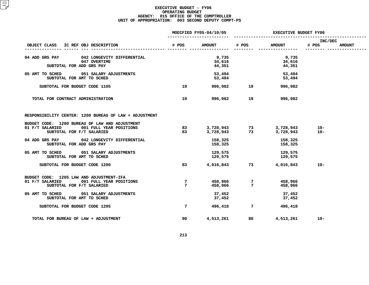|                                                                                                                           |                     | MODIFIED FY05-04/10/05    | <b>EXECUTIVE BUDGET FY06</b>                               |                           |                  |               |  |  |
|---------------------------------------------------------------------------------------------------------------------------|---------------------|---------------------------|------------------------------------------------------------|---------------------------|------------------|---------------|--|--|
| OBJECT CLASS IC REF OBJ DESCRIPTION                                                                                       | # POS               | <b>AMOUNT</b>             | # POS                                                      | <b>AMOUNT</b>             | INC/DEC<br># POS | <b>AMOUNT</b> |  |  |
| 04 ADD GRS PAY<br>042 LONGEVITY DIFFERENTIAL<br>047 OVERTIME<br>SUBTOTAL FOR ADD GRS PAY                                  |                     | 9,735<br>34,616<br>44,351 |                                                            | 9,735<br>34,616<br>44,351 |                  |               |  |  |
| 05 AMT TO SCHED 051 SALARY ADJUSTMENTS<br>SUBTOTAL FOR AMT TO SCHED                                                       |                     | 53,494<br>53,494          |                                                            | 53,494<br>53,494          |                  |               |  |  |
| SUBTOTAL FOR BUDGET CODE 1105                                                                                             | 19                  |                           | 996,982 19                                                 | 996,982                   |                  |               |  |  |
| TOTAL FOR CONTRACT ADMINISTRATION                                                                                         | 19                  | 996,982                   | 19                                                         | 996,982                   |                  |               |  |  |
| RESPONSIBILITY CENTER: 1200 BUREAU OF LAW + ADJUSTMENT                                                                    |                     |                           |                                                            |                           |                  |               |  |  |
| BUDGET CODE: 1200 BUREAU OF LAW AND ADJUSTMENT<br>001 FULL YEAR POSITIONS<br>01 F/T SALARIED<br>SUBTOTAL FOR F/T SALARIED | 83 83<br>83         |                           |                                                            | 3,728,943<br>3,728,943    | $10 -$<br>$10 -$ |               |  |  |
| 04 ADD GRS PAY 042 LONGEVITY DIFFERENTIAL<br>SUBTOTAL FOR ADD GRS PAY                                                     |                     | 158,325<br>158,325        |                                                            | 158,325<br>158,325        |                  |               |  |  |
| 05 AMT TO SCHED 051 SALARY ADJUSTMENTS<br>SUBTOTAL FOR AMT TO SCHED                                                       |                     | 129,575<br>129,575        |                                                            | 129,575<br>129,575        |                  |               |  |  |
| SUBTOTAL FOR BUDGET CODE 1200                                                                                             | 83                  |                           | 4,016,843 73                                               | 4,016,843                 | $10 -$           |               |  |  |
| BUDGET CODE: 1205 LAW AND ADJUSTMENT-IFA<br>01 F/T SALARIED<br>001 FULL YEAR POSITIONS<br>SUBTOTAL FOR F/T SALARIED       | 7<br>$7\phantom{.}$ |                           | 458,966                  7<br>458,966                    7 | 458,966<br>458,966        |                  |               |  |  |
| 05 AMT TO SCHED<br>051 SALARY ADJUSTMENTS<br>SUBTOTAL FOR AMT TO SCHED                                                    |                     | 37,452<br>37,452          |                                                            | 37,452<br>37,452          |                  |               |  |  |
| SUBTOTAL FOR BUDGET CODE 1205                                                                                             | $7\overline{ }$     | 496,418                   | $7\overline{ }$                                            | 496,418                   |                  |               |  |  |
| TOTAL FOR BUREAU OF LAW + ADJUSTMENT                                                                                      | 90                  | 4,513,261                 | 80                                                         | 4,513,261                 | $10 -$           |               |  |  |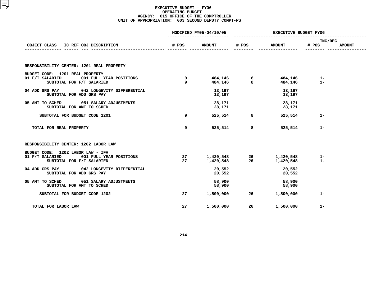|                                                                                                           |                    | MODIFIED FY05-04/10/05 | <b>EXECUTIVE BUDGET FY06</b> |                        |                                   |  |  |
|-----------------------------------------------------------------------------------------------------------|--------------------|------------------------|------------------------------|------------------------|-----------------------------------|--|--|
| OBJECT CLASS IC REF OBJ DESCRIPTION                                                                       |                    | # POS AMOUNT # POS     |                              | <b>AMOUNT</b>          | INC/DEC<br># POS<br><b>AMOUNT</b> |  |  |
| RESPONSIBILITY CENTER: 1201 REAL PROPERTY<br>BUDGET CODE: 1201 REAL PROPERTY                              |                    |                        |                              |                        |                                   |  |  |
| 01 F/T SALARIED<br>001 FULL YEAR POSITIONS<br>SUBTOTAL FOR F/T SALARIED                                   | $\frac{9}{2}$<br>9 |                        |                              |                        |                                   |  |  |
| 04 ADD GRS PAY 042 LONGEVITY DIFFERENTIAL<br>SUBTOTAL FOR ADD GRS PAY                                     |                    | 13,197<br>13,197       |                              | 13,197<br>13,197       |                                   |  |  |
| 05 AMT TO SCHED 051 SALARY ADJUSTMENTS<br>SUBTOTAL FOR AMT TO SCHED                                       |                    | 28,171<br>28,171       |                              | 28,171<br>28,171       |                                   |  |  |
| SUBTOTAL FOR BUDGET CODE 1201                                                                             | 9                  | 525,514                | 8                            | 525,514                | $1 -$                             |  |  |
| TOTAL FOR REAL PROPERTY                                                                                   | 9                  | 525,514                | 8                            | 525,514                | $1 -$                             |  |  |
| RESPONSIBILITY CENTER: 1202 LABOR LAW                                                                     |                    |                        |                              |                        |                                   |  |  |
| BUDGET CODE: 1202 LABOR LAW - IFA<br>01 F/T SALARIED 001 FULL YEAR POSITIONS<br>SUBTOTAL FOR F/T SALARIED | 27<br>27           |                        |                              |                        | 1-<br>$1 -$                       |  |  |
| 04 ADD GRS PAY 042 LONGEVITY DIFFERENTIAL<br>SUBTOTAL FOR ADD GRS PAY                                     |                    | 20,552<br>20,552       |                              | 20,552<br>20,552       |                                   |  |  |
| 05 AMT TO SCHED 051 SALARY ADJUSTMENTS<br>SUBTOTAL FOR AMT TO SCHED                                       |                    | 58,900<br>58,900       |                              | 58,900<br>58,900       |                                   |  |  |
| SUBTOTAL FOR BUDGET CODE 1202                                                                             | 27                 |                        |                              | 1,500,000 26 1,500,000 | $1 -$                             |  |  |
| TOTAL FOR LABOR LAW                                                                                       | 27                 | 1,500,000              | 26                           | 1,500,000              | $1 -$                             |  |  |
|                                                                                                           |                    |                        |                              |                        |                                   |  |  |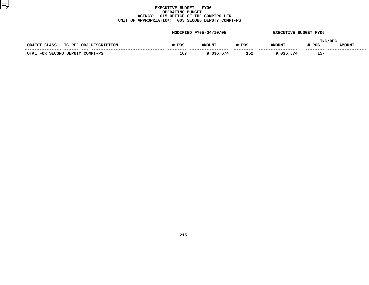|                                        |       | MODIFIED FY05-04/10/05 |       | <b>EXECUTIVE BUDGET FY06</b> |                  |               |
|----------------------------------------|-------|------------------------|-------|------------------------------|------------------|---------------|
| OBJECT CLASS<br>IC REF OBJ DESCRIPTION | # POS | <b>AMOUNT</b>          | # POS | <b>AMOUNT</b>                | INC/DEC<br># POS | <b>AMOUNT</b> |
| TOTAL FOR SECOND DEPUTY COMPT-PS       | 167   | 9,036,674              | 152   | 9,036,674                    | $15-$            |               |
|                                        |       |                        |       |                              |                  |               |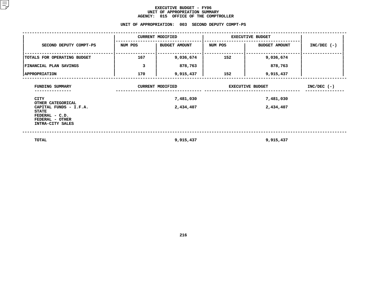### **EXECUTIVE BUDGET - FY06** UNIT OF APPROPRIATION SUMMARY **OF APPROPRIATION SUMMARY AGENCY:**

| <b>AGENCY:</b><br>015 OFFICE OF THE COMPTROLLER                                                                      |                                      |                                                   |         |                         |               |  |  |  |  |  |
|----------------------------------------------------------------------------------------------------------------------|--------------------------------------|---------------------------------------------------|---------|-------------------------|---------------|--|--|--|--|--|
|                                                                                                                      |                                      | UNIT OF APPROPRIATION: 003 SECOND DEPUTY COMPT-PS |         |                         |               |  |  |  |  |  |
| <b>CURRENT MODIFIED</b><br><b>EXECUTIVE BUDGET</b>                                                                   |                                      |                                                   |         |                         |               |  |  |  |  |  |
| SECOND DEPUTY COMPT-PS                                                                                               | NUM POS                              | <b>BUDGET AMOUNT</b>                              | NUM POS | <b>BUDGET AMOUNT</b>    | $INC/DEC$ (-) |  |  |  |  |  |
| TOTALS FOR OPERATING BUDGET                                                                                          | 167                                  | 9,036,674                                         | 152     | 9,036,674               |               |  |  |  |  |  |
| FINANCIAL PLAN SAVINGS                                                                                               | 3                                    | 878,763                                           |         | 878,763                 |               |  |  |  |  |  |
| <b>APPROPRIATION</b>                                                                                                 | 170<br>152<br>9,915,437<br>9,915,437 |                                                   |         |                         |               |  |  |  |  |  |
| FUNDING SUMMARY                                                                                                      |                                      | <b>CURRENT MODIFIED</b>                           |         | <b>EXECUTIVE BUDGET</b> | $INC/DEC$ (-) |  |  |  |  |  |
| <b>CITY</b>                                                                                                          |                                      | 7,481,030                                         |         |                         |               |  |  |  |  |  |
| OTHER CATEGORICAL<br>CAPITAL FUNDS - I.F.A.<br><b>STATE</b><br>FEDERAL - C.D.<br>FEDERAL - OTHER<br>INTRA-CITY SALES |                                      | 2,434,407                                         |         | 2,434,407               |               |  |  |  |  |  |
|                                                                                                                      |                                      |                                                   |         |                         |               |  |  |  |  |  |

 **TOTAL9,915,437 9,915,437**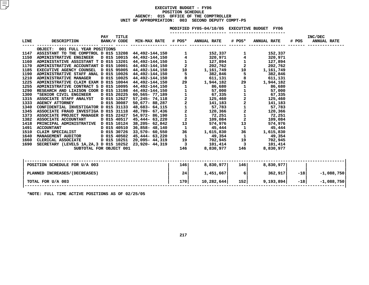### MODIFIED FY05-04/10/05 EXECUTIVE BUDGET FY06

**FY05-04/10/05 EXECUTIVE BUDGET FY06 -----------------------**

| LINE | <b>DESCRIPTION</b>                      | PAY<br>BANK/# CODE | TITLE | <b>MIN-MAX RATE # POS*</b>                                                                                                                                                      |                          | <b>ANNUAL RATE</b>                                                        | # POS*                                               | <b>ANNUAL RATE</b>                 | # POS | INC/DEC<br><b>ANNUAL RATE</b> |              |
|------|-----------------------------------------|--------------------|-------|---------------------------------------------------------------------------------------------------------------------------------------------------------------------------------|--------------------------|---------------------------------------------------------------------------|------------------------------------------------------|------------------------------------|-------|-------------------------------|--------------|
|      | OBJECT: 001 FULL YEAR POSITIONS         |                    |       |                                                                                                                                                                                 |                          |                                                                           |                                                      |                                    |       |                               |              |
| 1147 | ASSISTANT TO THE COMPTROL D 015 13208   |                    |       | 44,492-144,150                                                                                                                                                                  |                          | 152,337                                                                   | $\mathbf{1}$                                         | 152,337                            |       |                               |              |
| 1150 | ADMINISTRATIVE ENGINEER                 | D 015 10015        |       | 44,492-144,150                                                                                                                                                                  | $\frac{1}{4}$            | 320,971                                                                   | $\overline{\mathbf{4}}$                              | 320,971                            |       |                               |              |
| 1160 | ADMINISTATIVE ASSISTANT T D 015 13201   |                    |       | 44,492-144,150 1                                                                                                                                                                |                          | 127,894                                                                   | $\mathbf{1}$                                         | 127,894                            |       |                               |              |
| 1170 | ADMINISTRATIVE ACCOUNTANT D 015 10001   |                    |       |                                                                                                                                                                                 |                          | 44,492-144,150 2 202,762                                                  |                                                      | $\overline{\mathbf{2}}$<br>202,762 |       |                               |              |
| 1185 | EXECUTIVE AGENCY COUNSEL D 015 95005    |                    |       | 44,492-144,150                                                                                                                                                                  |                          | 10<br>1,161,749                                                           | 10                                                   | 1,161,749                          |       |                               |              |
| 1190 | ADMINISTRATIVE STAFF ANAL D 015 10026   |                    |       | 44,492-144,150                                                                                                                                                                  | 5                        | 382,846                                                                   | $5\overline{)}$                                      | 382,846                            |       |                               |              |
| 1210 | <b>ADMINISTRATIVE MANAGER</b>           | D 015 10025        |       | 44,492-144,150                                                                                                                                                                  |                          | $\begin{array}{cc} 8 & 611,132 \\ 29 & 1,944,182 \\ & 86,680 \end{array}$ | 8                                                    | 611,131                            |       |                               |              |
| 1225 | ADMINISTRATIVE CLAIM EXAM D 015 10044   |                    |       | 44,492-144,150                                                                                                                                                                  |                          |                                                                           | 29                                                   | 1,944,182                          |       |                               |              |
| 1255 | ADMINISTRATIVE CONTRACT S D 015 10095   |                    |       | 44,492-144,150                                                                                                                                                                  | $\mathbf{1}$             | 86,680                                                                    | $\mathbf{1}$                                         | 86,680                             |       |                               |              |
| 1290 | RESEARCH AND LIAISON COOR D 015 13198   |                    |       | 44,492-144,150<br>$44,492-144,150$<br>$60,565-77,189$<br>$57,245-74,118$<br>$50,677-88,287$<br>$248,683-64,115$<br>$48,789-67,436$<br>$54,972-86,190$<br>$45,444-63,220$<br>$2$ | $\mathbf{1}$             | $57,000$<br>$67,335$<br>$125,460$<br>$141,183$<br>$57,783$                | $\mathbf{1}$                                         | 57,000                             |       |                               |              |
| 1300 | *SENIOR CIVIL ENGINEER                  | D 015 20225        |       |                                                                                                                                                                                 |                          |                                                                           | $\mathbf 1$                                          | 67,335                             |       |                               |              |
| 1315 | ASSOCIATE STAFF ANALYST                 | D 015 12627        |       |                                                                                                                                                                                 |                          |                                                                           | 2                                                    | 125,460                            |       |                               |              |
| 1333 | <b>AGENCY ATTORNEY</b>                  | D 015 30087        |       |                                                                                                                                                                                 |                          |                                                                           | $\begin{array}{c} 2 \\ 1 \\ 2 \\ 1 \\ 2 \end{array}$ | 141,183                            |       |                               |              |
| 1340 | CONFIDENTIAL INVESTIGATOR D 015 31133   |                    |       |                                                                                                                                                                                 |                          |                                                                           |                                                      | 57,783                             |       |                               |              |
| 1345 | ASSOCIATE FRAUD INVESTIGA D 015 31118   |                    |       |                                                                                                                                                                                 |                          | 120,366                                                                   |                                                      | 120,366                            |       |                               |              |
| 1373 | ASSOCIATE PROJECT MANAGER D 015 22427   |                    |       |                                                                                                                                                                                 |                          | 72,251                                                                    |                                                      | 72,251                             |       |                               |              |
| 1382 | <b>ASSOCIATE ACCOUNTANT</b>             | D 015 40517        |       | 45,444- 63,220                                                                                                                                                                  | $\overline{\mathbf{c}}$  | 109,084                                                                   |                                                      | 109,084                            |       |                               |              |
| 1418 | PRINCIPAL ADMINISTRATIVE D 015 10124    |                    |       | 38,205- 62,842                                                                                                                                                                  |                          | 13 574,976                                                                |                                                      | 13 and 13<br>574,976               |       |                               |              |
| 1491 | <b>ACCOUNTANT</b>                       | D 015 40510        |       | 36,858-48,140 1                                                                                                                                                                 |                          | 45,444                                                                    | $\mathbf{1}$                                         | 45,444                             |       |                               |              |
| 1510 | CLAIM SPECIALIST                        | D 015 30726        |       | 33,570- 60,550                                                                                                                                                                  | 36                       | 1,615,830                                                                 |                                                      | 36<br>1,615,830                    |       |                               |              |
| 1640 | <b>MANAGEMENT AUDITOR</b>               | D 015 40502        |       | 45,444- 63,220                                                                                                                                                                  |                          | 49,354                                                                    | $\mathbf{1}$                                         | 49,354                             |       |                               |              |
| 1660 | CLERICAL ASSOCIATE                      | D 015 10251        |       | 20,095- 44,319                                                                                                                                                                  | 19                       | 702,945                                                                   |                                                      | 702,945                            |       |                               |              |
| 1690 | SECRETARY (LEVELS 1A, 2A, 3 D 015 10252 |                    |       | 23,920- 44,319                                                                                                                                                                  | $\overline{\phantom{a}}$ | 101,414                                                                   | $\overline{\mathbf{3}}$                              | 101,414                            |       |                               |              |
|      | SUBTOTAL FOR OBJECT 001                 |                    |       |                                                                                                                                                                                 | 146                      | 8,830,977                                                                 | 146 —                                                | 8,830,977                          |       |                               |              |
|      | POSITION SCHEDULE FOR U/A 003           |                    |       |                                                                                                                                                                                 | 146                      | 8,830,977                                                                 | 146                                                  | 8,830,977                          |       |                               |              |
|      | PLANNED INCREASES / (DECREASES)         |                    |       |                                                                                                                                                                                 | 24                       | 1,451,667                                                                 | 6                                                    | 362,917                            | $-18$ |                               | $-1,088,750$ |
|      | TOTAL FOR U/A 003                       |                    |       |                                                                                                                                                                                 | 170                      | 10,282,644                                                                | 152                                                  | 9,193,894                          | $-18$ |                               | $-1,088,750$ |
|      |                                         |                    |       |                                                                                                                                                                                 |                          |                                                                           |                                                      |                                    |       |                               |              |

**\*NOTE: FULL TIME ACTIVE POSITIONS AS OF 02/25/05**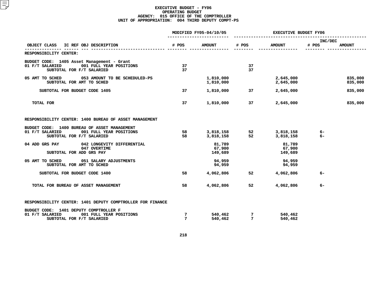|                                                                                                                         |                      | MODIFIED FY05-04/10/05      | <b>EXECUTIVE BUDGET FY06</b>                  |                             |                  |                    |  |
|-------------------------------------------------------------------------------------------------------------------------|----------------------|-----------------------------|-----------------------------------------------|-----------------------------|------------------|--------------------|--|
| OBJECT CLASS<br>IC REF OBJ DESCRIPTION                                                                                  | # POS                | <b>AMOUNT</b>               | # POS                                         | <b>AMOUNT</b>               | INC/DEC<br># POS | <b>AMOUNT</b>      |  |
| RESPONSIBILITY CENTER:                                                                                                  |                      |                             |                                               |                             |                  |                    |  |
| BUDGET CODE: 1405 Asset Management - Grant<br>001 FULL YEAR POSITIONS<br>01 F/T SALARIED<br>SUBTOTAL FOR F/T SALARIED   | 37<br>37             |                             | 37<br>37                                      |                             |                  |                    |  |
| 053 AMOUNT TO BE SCHEDULED-PS<br>05 AMT TO SCHED<br>SUBTOTAL FOR AMT TO SCHED                                           |                      | 1,810,000<br>1,810,000      |                                               | 2,645,000<br>2,645,000      |                  | 835,000<br>835,000 |  |
| SUBTOTAL FOR BUDGET CODE 1405                                                                                           | 37                   | 1,810,000                   | 37                                            | 2,645,000                   |                  | 835,000            |  |
| TOTAL FOR                                                                                                               | 37                   | 1,810,000                   | 37                                            | 2,645,000                   |                  | 835,000            |  |
| RESPONSIBILITY CENTER: 1400 BUREAU OF ASSET MANAGEMENT                                                                  |                      |                             |                                               |                             |                  |                    |  |
| BUDGET CODE: 1400 BUREAU OF ASSET MANAGEMENT<br>01 F/T SALARIED<br>001 FULL YEAR POSITIONS<br>SUBTOTAL FOR F/T SALARIED | 58<br>58             | 3,818,158<br>3,818,158      | $\begin{array}{c} 52 \\ 52 \end{array}$<br>52 | 3,818,158<br>3,818,158      | 6-<br>$6-$       |                    |  |
| 04 ADD GRS PAY<br>042 LONGEVITY DIFFERENTIAL<br>047 OVERTIME<br>SUBTOTAL FOR ADD GRS PAY                                |                      | 81,789<br>67,900<br>149,689 |                                               | 81,789<br>67,900<br>149,689 |                  |                    |  |
| 05 AMT TO SCHED<br>051 SALARY ADJUSTMENTS<br>SUBTOTAL FOR AMT TO SCHED                                                  |                      | 94,959<br>94,959            |                                               | 94,959<br>94,959            |                  |                    |  |
| SUBTOTAL FOR BUDGET CODE 1400                                                                                           | 58                   | 4,062,806                   | 52                                            | 4,062,806                   | $6-$             |                    |  |
| TOTAL FOR BUREAU OF ASSET MANAGEMENT                                                                                    | 58                   | 4,062,806                   | 52                                            | 4,062,806                   | $6-$             |                    |  |
| RESPONSIBILITY CENTER: 1401 DEPUTY COMPTROLLER FOR FINANCE                                                              |                      |                             |                                               |                             |                  |                    |  |
| BUDGET CODE: 1401 DEPUTY COMPTROLLER F<br>01 F/T SALARIED<br>001 FULL YEAR POSITIONS<br>SUBTOTAL FOR F/T SALARIED       | 7<br>$7\phantom{.0}$ | 540,462<br>540.462          | $\overline{7}$<br>$7\phantom{.0}$             | 540,462<br>540,462          |                  |                    |  |
|                                                                                                                         |                      |                             |                                               |                             |                  |                    |  |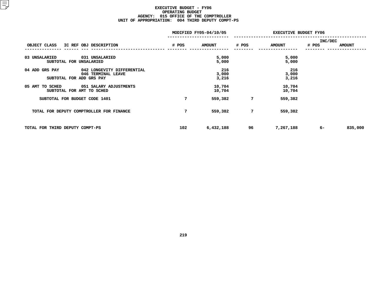|                                              |       | MODIFIED FY05-04/10/05 | <b>EXECUTIVE BUDGET FY06</b> |               |                |               |  |  |
|----------------------------------------------|-------|------------------------|------------------------------|---------------|----------------|---------------|--|--|
|                                              |       |                        |                              |               | <b>INC/DEC</b> |               |  |  |
| OBJECT CLASS IC REF OBJ DESCRIPTION          | # POS | <b>AMOUNT</b>          | # POS                        | <b>AMOUNT</b> | # POS          | <b>AMOUNT</b> |  |  |
|                                              |       |                        |                              |               |                |               |  |  |
| 03 UNSALARIED<br>031 UNSALARIED              |       | 5,000                  |                              | 5,000         |                |               |  |  |
| SUBTOTAL FOR UNSALARIED                      |       | 5,000                  |                              | 5,000         |                |               |  |  |
| 04 ADD GRS PAY<br>042 LONGEVITY DIFFERENTIAL |       | 216                    |                              | - 216         |                |               |  |  |
| 046 TERMINAL LEAVE                           |       | 3,000                  |                              | 3,000         |                |               |  |  |
| SUBTOTAL FOR ADD GRS PAY                     |       | 3,216                  |                              | 3,216         |                |               |  |  |
| 05 AMT TO SCHED 051 SALARY ADJUSTMENTS       |       | 10,704                 |                              | 10,704        |                |               |  |  |
| SUBTOTAL FOR AMT TO SCHED                    |       | 10,704                 |                              | 10,704        |                |               |  |  |
| SUBTOTAL FOR BUDGET CODE 1401                | 7     | 559,382                | 7                            | 559,382       |                |               |  |  |
| TOTAL FOR DEPUTY COMPTROLLER FOR FINANCE     | 7     | 559,382                | 7                            | 559,382       |                |               |  |  |
| TOTAL FOR THIRD DEPUTY COMPT-PS              | 102   | 6,432,188              | 96                           | 7,267,188     | $6-$           | 835,000       |  |  |
|                                              |       |                        |                              |               |                |               |  |  |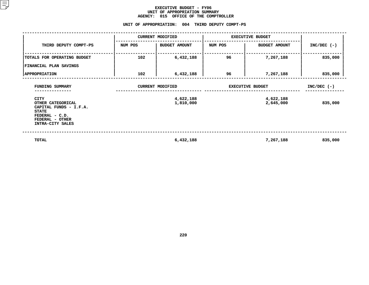### **EXECUTIVE BUDGET - FY06 UNIT OF APPROPRIATION SUMMARY AGENCY:**

**<sup>015</sup> OFFICE OF THE COMPTROLLER UNIT**

|                                                                                                                                     | UNIT OF APPROPRIATION: |                         | 004 THIRD DEPUTY COMPT-PS |                        |               |
|-------------------------------------------------------------------------------------------------------------------------------------|------------------------|-------------------------|---------------------------|------------------------|---------------|
|                                                                                                                                     |                        | <b>CURRENT MODIFIED</b> | <b>EXECUTIVE BUDGET</b>   |                        |               |
| THIRD DEPUTY COMPT-PS                                                                                                               | NUM POS                | <b>BUDGET AMOUNT</b>    | NUM POS                   | <b>BUDGET AMOUNT</b>   | $INC/DEC$ (-) |
| TOTALS FOR OPERATING BUDGET<br>FINANCIAL PLAN SAVINGS                                                                               | 102                    | 6,432,188               | 96                        | 7,267,188              | 835,000       |
| <b>APPROPRIATION</b>                                                                                                                | 102                    | 6,432,188               | 96                        | 7,267,188              | 835,000       |
| FUNDING SUMMARY                                                                                                                     |                        | <b>CURRENT MODIFIED</b> | <b>EXECUTIVE BUDGET</b>   | $INC/DEC$ (-)          |               |
| <b>CITY</b><br>OTHER CATEGORICAL<br>CAPITAL FUNDS - I.F.A.<br><b>STATE</b><br>FEDERAL - C.D.<br>FEDERAL - OTHER<br>INTRA-CITY SALES |                        | 4,622,188<br>1,810,000  |                           | 4,622,188<br>2,645,000 | 835,000       |
| TOTAL                                                                                                                               |                        | 6,432,188               |                           | 7,267,188              | 835,000       |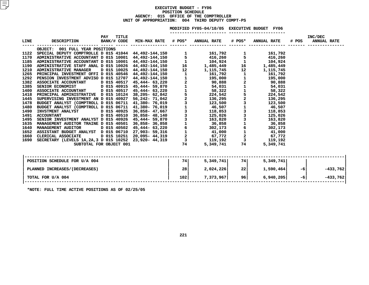### **EXECUTIVE BUDGET - FY06 POSITIONN SCHEDULE<br>CE OF THE<br>004 THIR AGENCY: <sup>015</sup> OFFICE OF THE COMPTROLLER UNIT OF APPROPRIATION: <sup>004</sup> THIRD DEPUTY COMPT-PS**

|      |                                             |                            |     | MODIFIED FY05-04/10/05 EXECUTIVE BUDGET FY06 |             |                    |       |                               |
|------|---------------------------------------------|----------------------------|-----|----------------------------------------------|-------------|--------------------|-------|-------------------------------|
| LINE | DESCRIPTION BANK/# CODE MIN-MAX RATE # POS* | <b>TITLE</b><br><b>PAY</b> |     | <b>ANNUAL RATE</b>                           | # POS*      | <b>ANNUAL RATE</b> | # POS | INC/DEC<br><b>ANNUAL RATE</b> |
|      | OBJECT: 001 FULL YEAR POSITIONS             |                            |     |                                              |             |                    |       |                               |
|      |                                             |                            |     |                                              |             |                    |       |                               |
|      |                                             |                            |     |                                              |             |                    |       |                               |
|      |                                             |                            |     |                                              |             |                    |       |                               |
|      |                                             |                            |     |                                              |             |                    |       |                               |
|      |                                             |                            |     |                                              |             |                    |       |                               |
|      |                                             |                            |     |                                              |             |                    |       |                               |
|      |                                             |                            |     |                                              |             |                    |       |                               |
|      |                                             |                            |     |                                              |             |                    |       |                               |
|      |                                             |                            |     |                                              |             |                    |       |                               |
|      |                                             |                            |     |                                              |             |                    |       |                               |
|      |                                             |                            |     |                                              |             |                    |       |                               |
|      |                                             |                            |     |                                              |             |                    |       |                               |
|      |                                             |                            |     |                                              |             |                    |       |                               |
|      |                                             |                            |     |                                              |             |                    |       |                               |
|      |                                             |                            |     |                                              |             |                    |       |                               |
|      |                                             |                            |     |                                              |             |                    |       |                               |
|      |                                             |                            |     |                                              |             |                    |       |                               |
|      |                                             |                            |     |                                              |             |                    |       |                               |
|      |                                             |                            |     |                                              |             |                    |       |                               |
|      |                                             |                            |     |                                              |             |                    |       |                               |
|      |                                             |                            |     |                                              |             |                    |       |                               |
|      |                                             |                            |     |                                              |             |                    |       |                               |
|      |                                             |                            |     |                                              |             |                    |       |                               |
|      |                                             |                            |     |                                              |             |                    |       |                               |
|      | POSITION SCHEDULE FOR U/A 004               |                            | 74  | 5,349,741                                    | 74          | 5,349,741          |       |                               |
|      | PLANNED INCREASES / (DECREASES)             |                            | 28  | 2,024,226                                    | <b>22</b> l | 1,590,464          | $-6$  | $-433,762$                    |
|      | TOTAL FOR U/A 004                           |                            | 102 | 7,373,967                                    | 96          | 6,940,205          | $-6$  | $-433,762$                    |
|      |                                             |                            |     |                                              |             |                    |       |                               |

**\*NOTE: FULL TIME ACTIVE POSITIONS AS OF 02/25/05**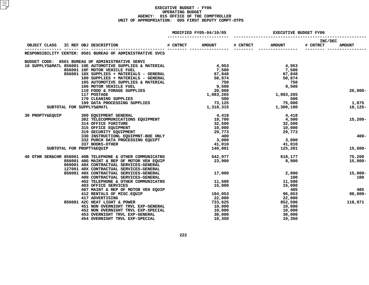| MODIFIED FY05-04/10/05<br><b>EXECUTIVE BUDGET FY06</b> |  |                                                                                                                                                                                                                                              |                              |                  |                     |               |
|--------------------------------------------------------|--|----------------------------------------------------------------------------------------------------------------------------------------------------------------------------------------------------------------------------------------------|------------------------------|------------------|---------------------|---------------|
| OBJECT CLASS                                           |  |                                                                                                                                                                                                                                              | <b>AMOUNT</b>                | # CNTRCT AMOUNT  | INC/DEC<br># CNTRCT | <b>AMOUNT</b> |
|                                                        |  | RESPONSIBILITY CENTER: 0501 BUREAU OF ADMINISTRATIVE SVCS                                                                                                                                                                                    |                              |                  |                     |               |
|                                                        |  | BUDGET CODE: 0501 BUREAU OF ADMINISTRATIVE SERVI                                                                                                                                                                                             |                              |                  |                     |               |
|                                                        |  | BUDGET CODE: 0501 BUREAU OF ADMINISTRATIVE SUPPLIES & MATERIAL<br>10 SUPPLYS&MATL 856001 10E AUTOMOTIVE SUPPLIES & MATERIAL                                                                                                                  | 4,953<br>7,500               | 4,953            |                     |               |
|                                                        |  |                                                                                                                                                                                                                                              |                              | 7,500            |                     |               |
|                                                        |  | 856001 10x SUPPLIES + MATERIALS - GENERAL<br>100 SUPPLIES + MATERIALS - GENERAL<br>105 AUTOMOTIVE SUPPLIES & MATERIAL<br>105 AUTOMOTIVE SUPPLIES & MATERIAL<br>106 MOTOR VEHICLE FUEL<br>110 FOOD & FORAGE SUPPLIES<br>117 POSTAGE<br>170 CL |                              | 67,848           |                     |               |
|                                                        |  |                                                                                                                                                                                                                                              |                              | 50,874           |                     |               |
|                                                        |  |                                                                                                                                                                                                                                              |                              | 750              |                     |               |
|                                                        |  |                                                                                                                                                                                                                                              |                              | 9,500            |                     |               |
|                                                        |  |                                                                                                                                                                                                                                              |                              | 1,083,265        |                     | $20,000 -$    |
|                                                        |  |                                                                                                                                                                                                                                              |                              | 500              |                     |               |
|                                                        |  |                                                                                                                                                                                                                                              |                              | 75,000           |                     | 1,875         |
|                                                        |  | SUBTOTAL FOR SUPPLYS&MATL                                                                                                                                                                                                                    |                              | 1,300,190        |                     | 18,125-       |
|                                                        |  |                                                                                                                                                                                                                                              |                              |                  |                     |               |
| 30 PROPTY&EQUIP                                        |  | 300 EQUIPMENT GENERAL<br>302 TELECOMMUNICATIONS EQUIPMENT 19,700<br>32,500 32,500                                                                                                                                                            |                              | 4,418            |                     |               |
|                                                        |  |                                                                                                                                                                                                                                              |                              | 4,500            |                     | $15,200-$     |
|                                                        |  |                                                                                                                                                                                                                                              |                              | 32,500           |                     |               |
|                                                        |  |                                                                                                                                                                                                                                              |                              | 10,000           |                     |               |
|                                                        |  |                                                                                                                                                                                                                                              |                              | 29,773           |                     |               |
|                                                        |  |                                                                                                                                                                                                                                              |                              |                  |                     | $400 -$       |
|                                                        |  | 314 OFFICE FURITURE<br>315 OFFICE EQUIPMENT<br>319 SECURITY EQUIPMENT<br>330 INSTRUCTIONL EQUIPMNT-BOE ONLY<br>332 PURCH DATA PROCESSING EQUIPT<br>337 BOOKS-OTHER<br>337 ACORS ATTER<br>341,010                                             |                              | 3,000            |                     |               |
|                                                        |  |                                                                                                                                                                                                                                              |                              | 41,010           |                     |               |
|                                                        |  | SUBTOTAL FOR PROPTY&EQUIP                                                                                                                                                                                                                    | 140,801                      | 125,201          |                     | 15,600-       |
|                                                        |  | 40 OTHR SER&CHR 858001 40B TELEPHONE & OTHER COMMUNICATNS                                                                                                                                                                                    | 542,977                      | 618,177          |                     | 75,200        |
|                                                        |  | 856001 40G MAINT & REP OF MOTOR VEH EQUIP                                                                                                                                                                                                    | 23,900                       | 8,900            |                     | $15,000-$     |
|                                                        |  | 069001 40X CONTRACTUAL SERVICES-GENERAL                                                                                                                                                                                                      |                              |                  |                     |               |
|                                                        |  | 127001 40X CONTRACTUAL SERVICES-GENERAL<br>127001 40X CONTRACTUAL SERVICES-GENERAL<br>856001 40X CONTRACTUAL SERVICES-GENERAL                                                                                                                |                              |                  |                     |               |
|                                                        |  |                                                                                                                                                                                                                                              | 17,000                       | 2,000            |                     | $15,000-$     |
|                                                        |  | 400 CONTRACTUAL SERVICES-GENERAL<br>402 TELEPHONE & OTHER COMMUNICATNS 11,500                                                                                                                                                                |                              | 100<br>11,500    |                     | 100           |
|                                                        |  | <b>403 OFFICE SERVICES</b>                                                                                                                                                                                                                   | 15,000                       | 15,000           |                     |               |
|                                                        |  | 407 MAINT & REP OF MOTOR VEH EQUIP                                                                                                                                                                                                           |                              | 485              |                     | 485           |
|                                                        |  |                                                                                                                                                                                                                                              |                              |                  |                     | $98,000 -$    |
|                                                        |  |                                                                                                                                                                                                                                              |                              | 96,053<br>22,000 |                     |               |
|                                                        |  | 412 RENTALS OF MISC.EQUIP<br>417 ADVERTISING<br>856001 42C HEAT LIGHT & POWER                                                                                                                                                                | 194,053<br>22,000<br>733,625 | 852,596          |                     | 118,971       |
|                                                        |  | 451 NON OVERNIGHT TRVL EXP-GENERAL                                                                                                                                                                                                           | 10,000                       | 10,000           |                     |               |
|                                                        |  | 451 NON OVERNIGHT TRVL EXP-GENERAL<br>452 NON OVERNIGHT TRVL EXP-SPECIAL                                                                                                                                                                     | 10,000                       | 10,000           |                     |               |
|                                                        |  |                                                                                                                                                                                                                                              | 30,000                       | 30,000           |                     |               |
|                                                        |  | 452 NON OVERNIGHT IRVE BALLALLOWER 153 OVERNIGHT TRVL EXP-GENERAL<br>454 OVERNIGHT TRVL EXP-SPECIAL                                                                                                                                          | 10,350                       | 10,350           |                     |               |
|                                                        |  |                                                                                                                                                                                                                                              |                              |                  |                     |               |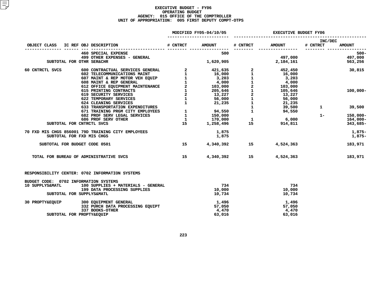|                                       |  |                                                                                                                                                                                                                                                            |                 | MODIFIED FY05-04/10/05 | <b>EXECUTIVE BUDGET FY06</b> |                                                           |                     |                             |  |
|---------------------------------------|--|------------------------------------------------------------------------------------------------------------------------------------------------------------------------------------------------------------------------------------------------------------|-----------------|------------------------|------------------------------|-----------------------------------------------------------|---------------------|-----------------------------|--|
| OBJECT CLASS IC REF OBJ DESCRIPTION   |  |                                                                                                                                                                                                                                                            | # CNTRCT        | <b>AMOUNT</b>          | # CNTRCT                     | <b>AMOUNT</b>                                             | INC/DEC<br># CNTRCT | <b>AMOUNT</b>               |  |
|                                       |  |                                                                                                                                                                                                                                                            |                 |                        |                              |                                                           |                     |                             |  |
|                                       |  | 460 SPECIAL EXPENSE                                                                                                                                                                                                                                        |                 | 500                    |                              |                                                           |                     | $500 -$                     |  |
|                                       |  | 499 OTHER EXPENSES - GENERAL                                                                                                                                                                                                                               |                 |                        |                              | 497,000                                                   |                     | 497,000                     |  |
|                                       |  | SUBTOTAL FOR OTHR SER&CHR                                                                                                                                                                                                                                  |                 | 1,620,905              |                              | 2,184,161                                                 |                     | 563,256                     |  |
| 60 CNTRCTL SVCS                       |  | 9THE SERVICES GENERAL 2<br>600 CONTRACTUAL SERVICES GENERAL 2<br>602 TELECOMMUNICATIONS MAINT<br>602 TELECOMMUNICATIONS MAINT<br>602 NAINT & REP MOTOR VEH EQUIP<br>608 MAINT & REP GENERAL 2<br>608 MAINT & REP GENERAL 2<br>608 MAINT & RE               |                 |                        |                              |                                                           |                     | 30,815                      |  |
|                                       |  |                                                                                                                                                                                                                                                            |                 |                        |                              |                                                           |                     |                             |  |
|                                       |  |                                                                                                                                                                                                                                                            |                 |                        |                              |                                                           |                     |                             |  |
|                                       |  |                                                                                                                                                                                                                                                            |                 |                        |                              |                                                           |                     |                             |  |
|                                       |  |                                                                                                                                                                                                                                                            |                 |                        |                              |                                                           |                     |                             |  |
|                                       |  |                                                                                                                                                                                                                                                            |                 |                        |                              |                                                           |                     | $100,000 -$                 |  |
|                                       |  |                                                                                                                                                                                                                                                            |                 |                        |                              |                                                           |                     |                             |  |
|                                       |  |                                                                                                                                                                                                                                                            |                 |                        |                              |                                                           |                     |                             |  |
|                                       |  |                                                                                                                                                                                                                                                            |                 |                        |                              |                                                           |                     |                             |  |
|                                       |  |                                                                                                                                                                                                                                                            |                 |                        |                              |                                                           |                     | $1 \qquad \qquad$<br>39,500 |  |
|                                       |  |                                                                                                                                                                                                                                                            |                 |                        | $\mathbf{1}$                 | 94,550                                                    |                     |                             |  |
|                                       |  |                                                                                                                                                                                                                                                            |                 |                        |                              |                                                           | $1 -$               | 150,000-                    |  |
|                                       |  |                                                                                                                                                                                                                                                            |                 |                        |                              | 6,000                                                     |                     | 164,000-                    |  |
|                                       |  | SUBTOTAL FOR CNTRCTL SVCS                                                                                                                                                                                                                                  |                 |                        |                              | $\begin{array}{cc} 1 & 6,000 \\ 15 & 914,811 \end{array}$ |                     | 343,685-                    |  |
|                                       |  | -12<br>519 SECURITY SERVICES<br>624 CLEANING SERVICES<br>633 TRANSPORTATION EXPENDITURES<br>671 TRAINING PRGM CITY EMPLOYEES<br>682 PROF SERV LEGAL SERVICES<br>727 PROF SERV OTHER<br>15<br>170,000<br>15<br>1,258,496<br>194,550<br>170,000<br>15<br>1,2 |                 |                        |                              |                                                           |                     |                             |  |
|                                       |  | 70 FXD MIS CHGS 856001 79D TRAINING CITY EMPLOYEES                                                                                                                                                                                                         |                 | 1,875                  |                              |                                                           |                     | 1,875-                      |  |
|                                       |  | SUBTOTAL FOR FXD MIS CHGS                                                                                                                                                                                                                                  |                 | 1,875                  |                              |                                                           |                     | 1,875-                      |  |
|                                       |  | SUBTOTAL FOR BUDGET CODE 0501                                                                                                                                                                                                                              | 15 <sub>1</sub> |                        |                              | 4,340,392 15 4,524,363                                    |                     | 183,971                     |  |
|                                       |  | TOTAL FOR BUREAU OF ADMINISTRATIVE SVCS                                                                                                                                                                                                                    | 15              |                        |                              | 4,340,392 15 4,524,363                                    |                     | 183,971                     |  |
|                                       |  | RESPONSIBILITY CENTER: 0702 INFORMATION SYSTEMS                                                                                                                                                                                                            |                 |                        |                              |                                                           |                     |                             |  |
| BUDGET CODE: 0702 INFORMATION SYSTEMS |  |                                                                                                                                                                                                                                                            |                 |                        |                              |                                                           |                     |                             |  |
| 10 SUPPLYS&MATL                       |  | 100 SUPPLIES + MATERIALS - GENERAL                                                                                                                                                                                                                         |                 | 734                    |                              | 734                                                       |                     |                             |  |
|                                       |  | 199 DATA PROCESSING SUPPLIES                                                                                                                                                                                                                               |                 | 10,000                 |                              | 10,000                                                    |                     |                             |  |
|                                       |  | SUBTOTAL FOR SUPPLYS&MATL                                                                                                                                                                                                                                  |                 | 10,734                 |                              | 10,734                                                    |                     |                             |  |
|                                       |  | 30 PROPTY&EQUIP 300 EQUIPMENT GENERAL                                                                                                                                                                                                                      |                 | 1,496                  |                              | 1,496                                                     |                     |                             |  |
|                                       |  | 332 PURCH DATA PROCESSING EQUIPT                                                                                                                                                                                                                           |                 | 57,050                 |                              | 57,050                                                    |                     |                             |  |
|                                       |  | 337 BOOKS-OTHER                                                                                                                                                                                                                                            |                 | 4,470                  |                              | 4,470                                                     |                     |                             |  |
|                                       |  | SUBTOTAL FOR PROPTY&EQUIP                                                                                                                                                                                                                                  |                 | 63,016                 |                              | 63,016                                                    |                     |                             |  |
|                                       |  |                                                                                                                                                                                                                                                            |                 |                        |                              |                                                           |                     |                             |  |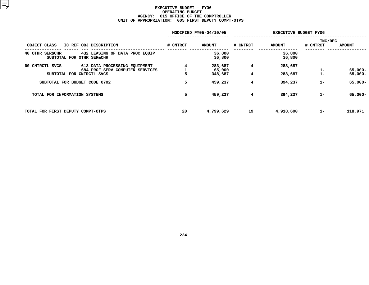|                                   | MODIFIED FY05-04/10/05          |          | <b>EXECUTIVE BUDGET FY06</b> |          |               |          |               |
|-----------------------------------|---------------------------------|----------|------------------------------|----------|---------------|----------|---------------|
|                                   |                                 |          |                              |          |               | INC/DEC  |               |
| OBJECT CLASS                      | IC REF OBJ DESCRIPTION          | # CNTRCT | <b>AMOUNT</b>                | # CNTRCT | <b>AMOUNT</b> | # CNTRCT | <b>AMOUNT</b> |
| <b>SER&amp;CHR</b><br>40 OTHR     | 432 LEASING OF DATA PROC EQUIP  |          | 36,800                       |          | 36,800        |          |               |
|                                   | SUBTOTAL FOR OTHR SER&CHR       |          | 36,800                       |          | 36,800        |          |               |
| 60 CNTRCTL SVCS                   | 613 DATA PROCESSING EQUIPMENT   |          | 283,687                      | 4        | 283,687       |          |               |
|                                   | 684 PROF SERV COMPUTER SERVICES |          | 65,000                       |          |               | $1 -$    | 65,000-       |
|                                   | SUBTOTAL FOR CNTRCTL SVCS       |          | 348,687                      | 4        | 283,687       | $1 -$    | 65,000-       |
| SUBTOTAL FOR BUDGET CODE 0702     |                                 | 5        | 459,237                      | 4        | 394,237       | $1-$     | 65,000-       |
| TOTAL FOR INFORMATION SYSTEMS     |                                 | 5        | 459,237                      | 4        | 394,237       | $1 -$    | 65,000-       |
| TOTAL FOR FIRST DEPUTY COMPT-OTPS |                                 | 20       | 4,799,629                    | 19       | 4,918,600     | $1-$     | 118,971       |
|                                   |                                 |          |                              |          |               |          |               |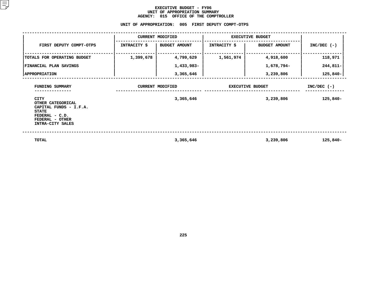### **EXECUTIVE BUDGET - FY06 UNIT OF APPROPRIATION SUMMARY AGENCY:**

**<sup>015</sup> OFFICE OF THE COMPTROLLER UNIT**

|                                                                                                                                     | UNIT OF APPROPRIATION: |                         | 005 FIRST DEPUTY COMPT-OTPS |                      |               |
|-------------------------------------------------------------------------------------------------------------------------------------|------------------------|-------------------------|-----------------------------|----------------------|---------------|
|                                                                                                                                     |                        | <b>CURRENT MODIFIED</b> | <b>EXECUTIVE BUDGET</b>     |                      |               |
| FIRST DEPUTY COMPT-OTPS                                                                                                             | INTRACITY \$           | <b>BUDGET AMOUNT</b>    | INTRACITY \$                | <b>BUDGET AMOUNT</b> | $INC/DEC$ (-) |
| TOTALS FOR OPERATING BUDGET                                                                                                         | 1,399,678              | 4,799,629               | 1,561,974                   | 4,918,600            | 118,971       |
| FINANCIAL PLAN SAVINGS                                                                                                              |                        | 1,433,983-              |                             | 1,678,794-           | 244,811-      |
| <b>  APPROPRIATION</b>                                                                                                              |                        | 3,365,646               |                             | 3,239,806            | $125,840-$    |
| FUNDING SUMMARY                                                                                                                     |                        | <b>CURRENT MODIFIED</b> | <b>EXECUTIVE BUDGET</b>     |                      | $INC/DEC$ (-) |
| <b>CITY</b><br>OTHER CATEGORICAL<br>CAPITAL FUNDS - I.F.A.<br><b>STATE</b><br>FEDERAL - C.D.<br>FEDERAL - OTHER<br>INTRA-CITY SALES |                        | 3,365,646               |                             | 3,239,806            | 125,840-      |
| <b>TOTAL</b>                                                                                                                        |                        | 3,365,646               |                             | 3,239,806            | 125,840-      |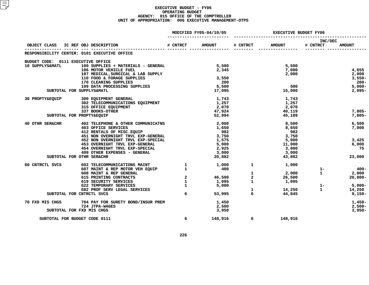### **EXECUTIVE BUDGET - FY06 OPERATINGG BUDGET<br>E OF THE<br>6 EXECUT AGENCY: <sup>015</sup> OFFICE OF THE COMPTROLLER UNIT OF APPROPRIATION: <sup>006</sup> EXECUTIVE MANAGEMENT-OTPS**

|                                                       |                                                                               | MODIFIED FY05-04/10/05                     |                 | <b>EXECUTIVE BUDGET FY06</b> |               |                     |               |
|-------------------------------------------------------|-------------------------------------------------------------------------------|--------------------------------------------|-----------------|------------------------------|---------------|---------------------|---------------|
|                                                       | OBJECT CLASS IC REF OBJ DESCRIPTION                                           | # CNTRCT                                   | <b>AMOUNT</b>   | # CNTRCT                     | <b>AMOUNT</b> | INC/DEC<br># CNTRCT | <b>AMOUNT</b> |
|                                                       | RESPONSIBILITY CENTER: 0101 EXECUTIVE OFFICE                                  |                                            |                 |                              |               |                     |               |
|                                                       |                                                                               |                                            |                 |                              |               |                     |               |
| BUDGET CODE: 0111 EXECUTIVE OFFICE<br>10 SUPPLYS&MATL | 100 SUPPLIES + MATERIALS - GENERAL                                            |                                            | 5,500           |                              | 5,500         |                     |               |
|                                                       | 106 MOTOR VEHICLE FUEL                                                        |                                            | 2,345           |                              | 7,000         |                     | 4,655         |
|                                                       | 107 MEDICAL, SURGICAL & LAB SUPPLY                                            |                                            |                 |                              | 2,000         |                     | 2,000         |
|                                                       | 110 FOOD & FORAGE SUPPLIES                                                    |                                            | 3,550           |                              |               |                     | $3,550-$      |
|                                                       | 170 CLEANING SUPPLIES                                                         |                                            | 200             |                              |               |                     | $200 -$       |
|                                                       | 199 DATA PROCESSING SUPPLIES                                                  |                                            | 5,500           |                              | 500           |                     | $5,000-$      |
|                                                       | SUBTOTAL FOR SUPPLYS&MATL                                                     |                                            | 17,095          |                              | 15,000        |                     | $2,095-$      |
| <b>30 PROPTY&amp;EOUIP</b>                            | 300 EQUIPMENT GENERAL                                                         |                                            | 1,743           |                              | 1,743         |                     |               |
|                                                       | 302 TELECOMMUNICATIONS EQUIPMENT                                              |                                            | 1,257           |                              | 1,257         |                     |               |
|                                                       | 315 OFFICE EQUIPMENT                                                          |                                            | 2,070           |                              | 2,070         |                     |               |
|                                                       | 337 BOOKS-OTHER                                                               |                                            | 47,924          |                              | 40,119        |                     | $7,805-$      |
|                                                       | SUBTOTAL FOR PROPTY&EQUIP                                                     |                                            | 52,994          |                              | 45,189        |                     | $7,805-$      |
| 40 OTHR SER&CHR                                       | 402 TELEPHONE & OTHER COMMUNICATNS                                            |                                            | 2,000           |                              | 8,500         |                     | 6,500         |
|                                                       | 403 OFFICE SERVICES                                                           |                                            | 1,650           |                              | 8,650         |                     | 7,000         |
|                                                       | 412 RENTALS OF MISC. EQUIP                                                    |                                            | 982             |                              | 982           |                     |               |
|                                                       | 451 NON OVERNIGHT TRVL EXP-GENERAL                                            |                                            | 3,750           |                              | 3,750         |                     |               |
|                                                       | 452 NON OVERNIGHT TRVL EXP-SPECIAL                                            |                                            | 1,575           |                              | 5,000         |                     | 3,425         |
|                                                       | 453 OVERNIGHT TRVL EXP-GENERAL                                                |                                            | 5,000           |                              | 11,000        |                     | 6,000         |
|                                                       | 454 OVERNIGHT TRVL EXP-SPECIAL                                                |                                            | 2,925           |                              | 3,000         |                     | 75            |
|                                                       | 499 OTHER EXPENSES - GENERAL                                                  |                                            | 3,000           |                              | 3,000         |                     |               |
|                                                       | SUBTOTAL FOR OTHR SER&CHR                                                     |                                            | 20,882          |                              | 43,882        |                     | 23,000        |
| 60 CNTRCTL SVCS                                       | 602 TELECOMMUNICATIONS MAINT 1 1,000<br>607 MAINT & REP MOTOR VEH EQUIP 1 400 |                                            |                 | 1                            | 1,000         |                     |               |
|                                                       |                                                                               |                                            |                 |                              |               | $1 -$               | - 400         |
|                                                       | 608 MAINT & REP GENERAL                                                       |                                            |                 | $\mathbf{1}$                 | 2,000         | $\mathbf{1}$        | 2,000         |
|                                                       | 615 PRINTING CONTRACTS                                                        | $\begin{array}{c} 2 \\ 1 \\ 1 \end{array}$ | 46,500<br>1,095 | $\overline{a}$               | 26,500        |                     | $20,000 -$    |
|                                                       | 619 SECURITY SERVICES<br>622 TEMPORARY SERVICES                               |                                            | 1,095<br>5,000  | $\mathbf{1}$                 | 1,095         | $1 -$               | 5,000-        |
|                                                       | 682 PROF SERV LEGAL SERVICES                                                  |                                            |                 | $\mathbf{1}$                 | 14,250        | $\mathbf{1}$        | 14,250        |
|                                                       | SUBTOTAL FOR CNTRCTL SVCS                                                     | 6                                          | 53,995          | 6                            | 44,845        |                     | $9,150-$      |
| 70 FXD MIS CHGS                                       | 704 PAY FOR SURETY BOND/INSUR PREM                                            |                                            | 1,450           |                              |               |                     | 1,450-        |
|                                                       | 724 JTPA-WAGES                                                                |                                            | 2,500           |                              |               |                     | $2,500-$      |
|                                                       | SUBTOTAL FOR FXD MIS CHGS                                                     |                                            | 3,950           |                              |               |                     | $3,950-$      |
|                                                       | SUBTOTAL FOR BUDGET CODE 0111                                                 | 6                                          | 148,916         | 6                            | 148,916       |                     |               |
|                                                       |                                                                               |                                            |                 |                              |               |                     |               |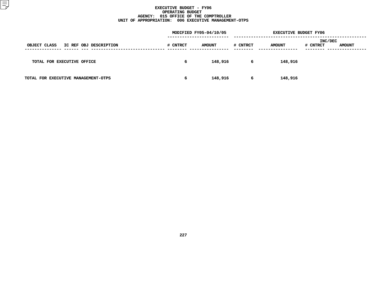### **EXECUTIVE BUDGET - FY06 OPERATINGG BUDGET<br>E OF THE<br>6 EXECUT AGENCY: <sup>015</sup> OFFICE OF THE COMPTROLLER UNIT OF APPROPRIATION: <sup>006</sup> EXECUTIVE MANAGEMENT-OTPS**

| MODIFIED FY05-04/10/05 |               |   |               |          |                                         |
|------------------------|---------------|---|---------------|----------|-----------------------------------------|
| # CNTRCT               | <b>AMOUNT</b> |   | <b>AMOUNT</b> | # CNTRCT | <b>AMOUNT</b>                           |
| 6                      | 148,916       | 6 | 148,916       |          |                                         |
| 6                      | 148,916       | 6 | 148,916       |          |                                         |
|                        |               |   | # CNTRCT      |          | <b>EXECUTIVE BUDGET FY06</b><br>INC/DEC |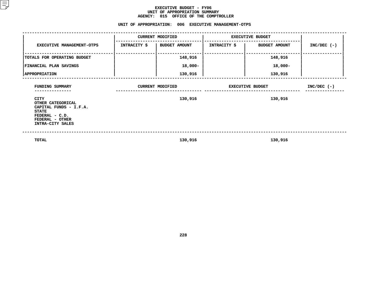### **EXECUTIVE BUDGET - FY06** UNIT OF APPROPRIATION SUMMARY **OF APPROPRIATION SUMMARY AGENCY:**

| AGENCY: 015 OFFICE OF THE COMPTROLLER                                                                                        |                                                      |                         |                         |                         |               |  |  |  |  |  |  |  |
|------------------------------------------------------------------------------------------------------------------------------|------------------------------------------------------|-------------------------|-------------------------|-------------------------|---------------|--|--|--|--|--|--|--|
|                                                                                                                              | UNIT OF APPROPRIATION: 006 EXECUTIVE MANAGEMENT-OTPS |                         |                         |                         |               |  |  |  |  |  |  |  |
|                                                                                                                              |                                                      | <b>CURRENT MODIFIED</b> |                         | <b>EXECUTIVE BUDGET</b> |               |  |  |  |  |  |  |  |
| <b>EXECUTIVE MANAGEMENT-OTPS</b>                                                                                             | INTRACITY \$                                         | <b>BUDGET AMOUNT</b>    | <b>INTRACITY \$</b>     | <b>BUDGET AMOUNT</b>    | $INC/DEC$ (-) |  |  |  |  |  |  |  |
| TOTALS FOR OPERATING BUDGET                                                                                                  |                                                      | 148,916                 |                         | 148,916                 |               |  |  |  |  |  |  |  |
| FINANCIAL PLAN SAVINGS                                                                                                       |                                                      | 18,000-                 |                         | 18,000-                 |               |  |  |  |  |  |  |  |
| <b>APPROPRIATION</b>                                                                                                         |                                                      | 130,916                 |                         | 130,916                 |               |  |  |  |  |  |  |  |
| FUNDING SUMMARY                                                                                                              |                                                      | <b>CURRENT MODIFIED</b> | <b>EXECUTIVE BUDGET</b> | $INC/DEC$ (-)           |               |  |  |  |  |  |  |  |
| CITY<br>OTHER CATEGORICAL<br>CAPITAL FUNDS - I.F.A.<br><b>STATE</b><br>FEDERAL - C.D.<br>FEDERAL - OTHER<br>INTRA-CITY SALES |                                                      | 130,916                 |                         | 130,916                 |               |  |  |  |  |  |  |  |
|                                                                                                                              |                                                      |                         |                         |                         |               |  |  |  |  |  |  |  |

 **TOTAL130,916 130,916**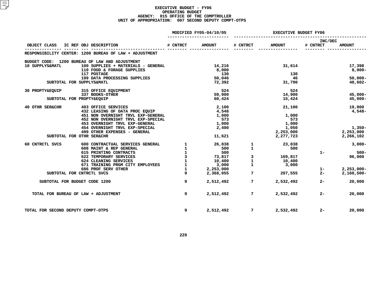|                                    |                                                         | MODIFIED FY05-04/10/05 |                        | <b>EXECUTIVE BUDGET FY06</b> |               |                     |                                |
|------------------------------------|---------------------------------------------------------|------------------------|------------------------|------------------------------|---------------|---------------------|--------------------------------|
| OBJECT CLASS                       | IC REF OBJ DESCRIPTION                                  | # CNTRCT               | <b>AMOUNT</b>          | # CNTRCT                     | <b>AMOUNT</b> | INC/DEC<br># CNTRCT | <b>AMOUNT</b>                  |
|                                    | RESPONSIBILITY CENTER: 1200 BUREAU OF LAW + ADJUSTMENT  |                        |                        |                              |               |                     |                                |
|                                    | BUDGET CODE: 1200 BUREAU OF LAW AND ADJUSTMENT          |                        |                        |                              |               |                     |                                |
| 10 SUPPLYS&MATL                    | 100 SUPPLIES + MATERIALS - GENERAL                      |                        | 14,216                 |                              | 31,614        |                     | 17,398                         |
|                                    | 110 FOOD & FORAGE SUPPLIES                              |                        | 8,000                  |                              |               |                     | 8,000-                         |
|                                    | 117 POSTAGE                                             |                        | 130                    |                              | 130           |                     |                                |
|                                    | 199 DATA PROCESSING SUPPLIES                            |                        | 50,046                 |                              | - 46          |                     | $50,000 -$                     |
|                                    | SUBTOTAL FOR SUPPLYS&MATL                               |                        | 72,392                 |                              | 31,790        |                     | 40,602-                        |
| 30 PROPTY&EOUIP                    | 315 OFFICE EOUIPMENT                                    |                        | 524                    |                              | 524           |                     |                                |
|                                    | 337 BOOKS-OTHER                                         |                        | 59,900                 |                              | 14,900        |                     | $45,000 -$                     |
|                                    | SUBTOTAL FOR PROPTY&EQUIP                               |                        | 60,424                 |                              | 15,424        |                     | $45,000 -$                     |
| 40 OTHR SER&CHR                    | 403 OFFICE SERVICES                                     |                        | 2,100                  |                              | 21,100        |                     | 19,000                         |
|                                    | 432 LEASING OF DATA PROC EQUIP                          |                        | 4,548                  |                              |               |                     | 4,548-                         |
|                                    | 451 NON OVERNIGHT TRVL EXP-GENERAL                      |                        | 1,000                  |                              | 1,000         |                     |                                |
|                                    | 452 NON OVERNIGHT TRVL EXP-SPECIAL                      |                        | 573                    |                              | 573           |                     |                                |
|                                    | 453 OVERNIGHT TRVL EXP-GENERAL                          |                        | 1,000                  |                              | 1,000         |                     |                                |
|                                    | 454 OVERNIGHT TRVL EXP-SPECIAL                          |                        | 2,400                  |                              | 1,050         |                     | $1,350-$                       |
|                                    | 499 OTHER EXPENSES - GENERAL                            |                        |                        |                              | 2,253,000     |                     | 2,253,000                      |
|                                    | SUBTOTAL FOR OTHR SER&CHR                               |                        | 11,621                 |                              | 2,277,723     |                     | 2,266,102                      |
| 60 CNTRCTL SVCS                    | 600 CONTRACTUAL SERVICES GENERAL 1 26,838               |                        |                        | $\mathbf{1}$                 | 23,838        |                     | $3,000-$                       |
|                                    | 608 MAINT & REP GENERAL                                 | $\mathbf{1}$           | 500                    | $\mathbf{1}$                 | 500           |                     |                                |
|                                    | 615 PRINTING CONTRACTS                                  |                        | 500                    |                              |               | $1 -$               | 500-                           |
|                                    | 622 TEMPORARY SERVICES                                  | $\overline{3}$         | 73,817                 | 3                            | 169,817       |                     | 96,000                         |
|                                    | 624 CLEANING SERVICES                                   | $\mathbf{1}$           | 10,400                 | $\mathbf{1}$                 | 10,400        |                     |                                |
|                                    | 671 TRAINING PRGM CITY EMPLOYEES<br>686 PROF SERV OTHER | $\mathbf{1}$           | 3,000                  | $\mathbf{1}$                 | 3,000         |                     |                                |
|                                    | SUBTOTAL FOR CNTRCTL SVCS                               |                        | 2,253,000<br>2,368,055 | $7\overline{ }$              | 207,555       | $1 -$<br>$2 -$      | $2,253,000 -$<br>$2,160,500 -$ |
|                                    |                                                         |                        |                        |                              |               |                     |                                |
|                                    | SUBTOTAL FOR BUDGET CODE 1200                           | 9                      | 2,512,492              | $7^{\circ}$                  | 2,532,492     | $2 -$               | 20,000                         |
|                                    | TOTAL FOR BUREAU OF LAW + ADJUSTMENT                    | 9                      | 2,512,492              | $7^{\circ}$                  | 2,532,492     | $2 -$               | 20,000                         |
| TOTAL FOR SECOND DEPUTY COMPT-OTPS |                                                         | 9                      | 2,512,492              | $7$ and $7$                  | 2,532,492     | $2 -$               | 20,000                         |
|                                    |                                                         |                        |                        |                              |               |                     |                                |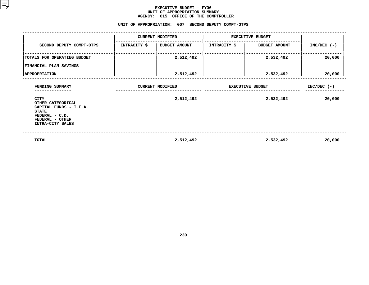### **EXECUTIVE BUDGET - FY06 UNIT OF APPROPRIATION SUMMARY AGENCY:**

**<sup>015</sup> OFFICE OF THE COMPTROLLER UNIT**

|                                                                                                                                     |                     | UNIT OF APPROPRIATION: 007 SECOND DEPUTY COMPT-OTPS |                         |                      |               |
|-------------------------------------------------------------------------------------------------------------------------------------|---------------------|-----------------------------------------------------|-------------------------|----------------------|---------------|
|                                                                                                                                     |                     | <b>CURRENT MODIFIED</b>                             | <b>EXECUTIVE BUDGET</b> |                      |               |
| SECOND DEPUTY COMPT-OTPS                                                                                                            | <b>INTRACITY \$</b> | BUDGET AMOUNT                                       | <b>INTRACITY \$</b>     | <b>BUDGET AMOUNT</b> | $INC/DEC$ (-) |
| TOTALS FOR OPERATING BUDGET                                                                                                         |                     | 2,512,492                                           |                         | 2,532,492            | 20,000        |
| FINANCIAL PLAN SAVINGS                                                                                                              |                     |                                                     |                         |                      |               |
| <b>APPROPRIATION</b>                                                                                                                |                     | 2,512,492                                           |                         | 2,532,492            | 20,000        |
| FUNDING SUMMARY                                                                                                                     |                     | <b>CURRENT MODIFIED</b><br><b>EXECUTIVE BUDGET</b>  |                         |                      | $INC/DEC$ (-) |
| <b>CITY</b><br>OTHER CATEGORICAL<br>CAPITAL FUNDS - I.F.A.<br><b>STATE</b><br>FEDERAL - C.D.<br>FEDERAL - OTHER<br>INTRA-CITY SALES |                     | 2,512,492                                           |                         | 2,532,492            | 20,000        |
| TOTAL                                                                                                                               |                     | 2,512,492                                           |                         | 2,532,492            | 20,000        |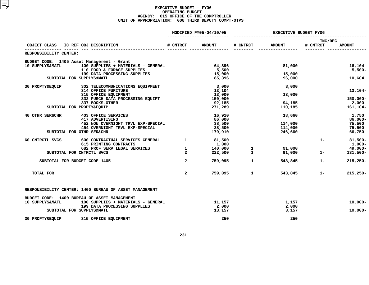|                            |                                                        | MODIFIED FY05-04/10/05 |               | <b>EXECUTIVE BUDGET FY06</b> |               |                     |               |
|----------------------------|--------------------------------------------------------|------------------------|---------------|------------------------------|---------------|---------------------|---------------|
| OBJECT CLASS               | IC REF OBJ DESCRIPTION                                 | # CNTRCT               | <b>AMOUNT</b> | # CNTRCT                     | <b>AMOUNT</b> | INC/DEC<br># CNTRCT | <b>AMOUNT</b> |
| RESPONSIBILITY CENTER:     |                                                        |                        |               |                              |               |                     |               |
|                            | BUDGET CODE: 1405 Asset Management - Grant             |                        |               |                              |               |                     |               |
| 10 SUPPLYS&MATL            | 100 SUPPLIES + MATERIALS - GENERAL                     |                        | 64,896        |                              | 81,000        |                     | 16,104        |
|                            | 110 FOOD & FORAGE SUPPLIES                             |                        | 5,500         |                              |               |                     | $5,500 -$     |
|                            | 199 DATA PROCESSING SUPPLIES                           |                        | 15,000        |                              | 15,000        |                     |               |
|                            | SUBTOTAL FOR SUPPLYS&MATL                              |                        | 85,396        |                              | 96,000        |                     | 10,604        |
| 30 PROPTY&EQUIP            | 302 TELECOMMUNICATIONS EQUIPMENT                       |                        | 3,000         |                              | 3,000         |                     |               |
|                            | <b>314 OFFICE FURITURE</b>                             |                        | 13,104        |                              |               |                     | $13,104-$     |
|                            | 315 OFFICE EQUIPMENT                                   |                        | 13,000        |                              | 13,000        |                     |               |
|                            | 332 PURCH DATA PROCESSING EQUIPT                       |                        | 150,000       |                              |               |                     | $150,000 -$   |
|                            | 337 BOOKS-OTHER                                        |                        | 92,185        |                              | 94,185        |                     | 2,000         |
|                            | SUBTOTAL FOR PROPTY&EQUIP                              |                        | 271,289       |                              | 110,185       |                     | 161,104-      |
| <b>40 OTHR SER&amp;CHR</b> | <b>403 OFFICE SERVICES</b>                             |                        | 16,910        |                              | 18,660        |                     | 1,750         |
|                            | 417 ADVERTISING                                        |                        | 86,000        |                              |               |                     | 86,000-       |
|                            | 452 NON OVERNIGHT TRVL EXP-SPECIAL                     |                        | 38,500        |                              | 114,000       |                     | 75,500        |
|                            | 454 OVERNIGHT TRVL EXP-SPECIAL                         |                        | 38,500        |                              | 114,000       |                     | 75,500        |
|                            | SUBTOTAL FOR OTHR SER&CHR                              |                        | 179,910       |                              | 246,660       |                     | 66,750        |
| 60 CNTRCTL SVCS            | 600 CONTRACTUAL SERVICES GENERAL                       | $\mathbf{1}$           | 81,500        |                              |               | $1 -$               | $81,500 -$    |
|                            | 615 PRINTING CONTRACTS                                 |                        | 1,000         |                              |               |                     | $1,000-$      |
|                            | 682 PROF SERV LEGAL SERVICES                           | $\mathbf{1}$           | 140,000       | $\mathbf{1}$                 | 91,000        |                     | 49,000-       |
|                            | SUBTOTAL FOR CNTRCTL SVCS                              | $\overline{a}$         | 222,500       | $\mathbf{1}$                 | 91,000        | $1 -$               | 131,500-      |
|                            | SUBTOTAL FOR BUDGET CODE 1405                          | $\overline{a}$         | 759,095       | $\mathbf{1}$                 | 543,845       | $1 -$               | $215,250 -$   |
| TOTAL FOR                  |                                                        | $\overline{a}$         | 759,095       | $\mathbf{1}$                 | 543,845       | $1 -$               | $215,250 -$   |
|                            | RESPONSIBILITY CENTER: 1400 BUREAU OF ASSET MANAGEMENT |                        |               |                              |               |                     |               |
|                            | BUDGET CODE: 1400 BUREAU OF ASSET MANAGEMENT           |                        |               |                              |               |                     |               |
| 10 SUPPLYS&MATL            | 100 SUPPLIES + MATERIALS - GENERAL                     |                        | 11,157        |                              | 1,157         |                     | $10,000 -$    |
|                            | 199 DATA PROCESSING SUPPLIES                           |                        | 2,000         |                              | 2,000         |                     |               |
|                            | SUBTOTAL FOR SUPPLYS&MATL                              |                        | 13,157        |                              | 3,157         |                     | $10,000 -$    |
| 30 PROPTY&EQUIP            | 315 OFFICE EQUIPMENT                                   |                        | 250           |                              | 250           |                     |               |
|                            |                                                        |                        |               |                              |               |                     |               |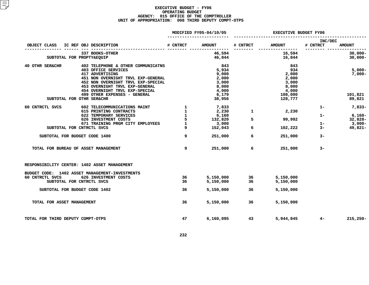|                                                                              | MODIFIED FY05-04/10/05  |               | <b>EXECUTIVE BUDGET FY06</b> |               |                     |               |
|------------------------------------------------------------------------------|-------------------------|---------------|------------------------------|---------------|---------------------|---------------|
| IC REF OBJ DESCRIPTION<br>OBJECT CLASS                                       | # CNTRCT                | <b>AMOUNT</b> | # CNTRCT                     | <b>AMOUNT</b> | INC/DEC<br># CNTRCT | <b>AMOUNT</b> |
| 337 BOOKS-OTHER                                                              |                         | 46,594        |                              | 16,594        |                     | $30,000 -$    |
| SUBTOTAL FOR PROPTY&EQUIP                                                    |                         | 46,844        |                              | 16,844        |                     | $30,000 -$    |
|                                                                              |                         |               |                              |               |                     |               |
| 40 OTHR SER&CHR<br>402 TELEPHONE & OTHER COMMUNICATNS<br>403 OFFICE SERVICES |                         | 843<br>5,934  |                              | 843<br>934    |                     | $5,000 -$     |
| 417 ADVERTISING                                                              |                         | 9,000         |                              | 2,000         |                     | $7,000-$      |
| 451 NON OVERNIGHT TRVL EXP-GENERAL                                           |                         | 2,000         |                              | 2,000         |                     |               |
| 452 NON OVERNIGHT TRVL EXP-SPECIAL                                           |                         | 3,000         |                              | 3,000         |                     |               |
| 453 OVERNIGHT TRVL EXP-GENERAL                                               |                         | 8,000         |                              | 8,000         |                     |               |
| 454 OVERNIGHT TRVL EXP-SPECIAL                                               |                         | 4,000         |                              | 4,000         |                     |               |
| 499 OTHER EXPENSES - GENERAL                                                 |                         | 6,179         |                              | 108,000       |                     | 101,821       |
| SUBTOTAL FOR OTHR SER&CHR                                                    |                         | 38,956        |                              | 128,777       |                     | 89,821        |
| 60 CNTRCTL SVCS<br>602 TELECOMMUNICATIONS MAINT                              | $\frac{1}{1}$           | 7,833         |                              |               | $1 -$               | 7,833-        |
| 615 PRINTING CONTRACTS                                                       |                         | 2,230         | $\mathbf{1}$                 | 2,230         |                     |               |
| 622 TEMPORARY SERVICES                                                       | $\overline{\mathbf{1}}$ | 6,160         |                              |               | $1 -$               | $6,160-$      |
| 626 INVESTMENT COSTS                                                         | 5                       | 132,820       | 5                            | 99,992        |                     | $32,828-$     |
| 671 TRAINING PRGM CITY EMPLOYEES                                             | $\mathbf{1}$            | 3,000         |                              |               | $1 -$               | $3,000-$      |
| SUBTOTAL FOR CNTRCTL SVCS                                                    | 9                       | 152,043       | 6                            | 102,222       | $3-$                | 49,821-       |
| SUBTOTAL FOR BUDGET CODE 1400                                                | 9                       | 251,000       | 6                            | 251,000       | $3-$                |               |
| TOTAL FOR BUREAU OF ASSET MANAGEMENT                                         | 9                       | 251,000       | 6                            | 251,000       | $3-$                |               |
| RESPONSIBILITY CENTER: 1402 ASSET MANAGEMENT                                 |                         |               |                              |               |                     |               |
| BUDGET CODE: 1402 ASSET MANAGEMENT-INVESTMENTS                               |                         |               |                              |               |                     |               |
| 60 CNTRCTL SVCS<br>626 INVESTMENT COSTS                                      | 36                      | 5,150,000     |                              | 5,150,000     |                     |               |
| SUBTOTAL FOR CNTRCTL SVCS                                                    | 36                      | 5,150,000     | $\frac{36}{36}$              | 5,150,000     |                     |               |
| SUBTOTAL FOR BUDGET CODE 1402                                                | 36                      | 5,150,000     | 36                           |               |                     |               |
|                                                                              |                         |               |                              | 5,150,000     |                     |               |
| TOTAL FOR ASSET MANAGEMENT                                                   | 36                      | 5,150,000     | 36                           | 5,150,000     |                     |               |
| TOTAL FOR THIRD DEPUTY COMPT-OTPS                                            | 47                      | 6,160,095     | 43                           | 5,944,845     | $4-$                | $215,250 -$   |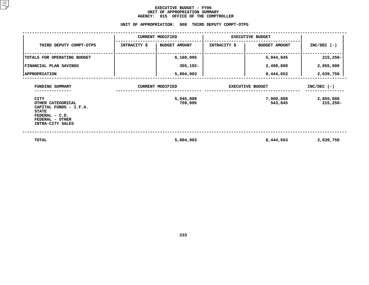### **EXECUTIVE BUDGET - FY06 UNIT OF APPROPRIATION SUMMARY AGENCY:**

|                                                                                                                                     | <b>AGENCY:</b>          | 015 OFFICE OF THE COMPTROLLER<br>UNIT OF APPROPRIATION: 008 THIRD DEPUTY COMPT-OTPS |                         |                      |                         |  |  |  |  |  |
|-------------------------------------------------------------------------------------------------------------------------------------|-------------------------|-------------------------------------------------------------------------------------|-------------------------|----------------------|-------------------------|--|--|--|--|--|
| <b>CURRENT MODIFIED</b><br><b>EXECUTIVE BUDGET</b>                                                                                  |                         |                                                                                     |                         |                      |                         |  |  |  |  |  |
|                                                                                                                                     |                         |                                                                                     |                         |                      |                         |  |  |  |  |  |
| THIRD DEPUTY COMPT-OTPS                                                                                                             | INTRACITY \$            | <b>BUDGET AMOUNT</b>                                                                | <b>INTRACITY \$</b>     | <b>BUDGET AMOUNT</b> | $INC/DEC$ (-)           |  |  |  |  |  |
| TOTALS FOR OPERATING BUDGET                                                                                                         |                         | 6,160,095                                                                           |                         | 5,944,845            | $215,250 -$             |  |  |  |  |  |
| FINANCIAL PLAN SAVINGS                                                                                                              |                         | 355,192-                                                                            |                         | 2,499,808            | 2,855,000               |  |  |  |  |  |
| <b>APPROPRIATION</b>                                                                                                                |                         | 5,804,903                                                                           |                         | 8,444,653            | 2,639,750               |  |  |  |  |  |
| FUNDING SUMMARY                                                                                                                     | <b>CURRENT MODIFIED</b> |                                                                                     | <b>EXECUTIVE BUDGET</b> | $INC/DEC$ (-)        |                         |  |  |  |  |  |
| <b>CITY</b><br>OTHER CATEGORICAL<br>CAPITAL FUNDS - I.F.A.<br><b>STATE</b><br>FEDERAL - C.D.<br>FEDERAL - OTHER<br>INTRA-CITY SALES |                         | 5,045,808<br>759,095                                                                |                         | 7,900,808<br>543,845 | 2,855,000<br>$215,250-$ |  |  |  |  |  |
| <b>TOTAL</b>                                                                                                                        |                         | 5,804,903                                                                           |                         | 8,444,653            | 2,639,750               |  |  |  |  |  |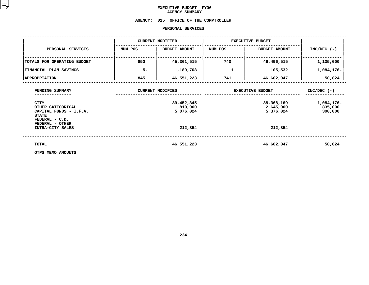## **EXECUTIVE BUDGET- FY06 AGENCY**

# **SUMMARY AGENCY: <sup>015</sup> OFFICE OF THE COMPTROLLER**

#### **PERSONAL**

|                                                                                                                                    |         | PERSONAL SERVICES                                               |                         |                                                                 |                                                   |
|------------------------------------------------------------------------------------------------------------------------------------|---------|-----------------------------------------------------------------|-------------------------|-----------------------------------------------------------------|---------------------------------------------------|
|                                                                                                                                    |         | <b>CURRENT MODIFIED</b>                                         | <b>EXECUTIVE BUDGET</b> |                                                                 |                                                   |
| PERSONAL SERVICES                                                                                                                  | NUM POS | <b>BUDGET AMOUNT</b>                                            | NUM POS                 | <b>BUDGET AMOUNT</b>                                            | $INC/DEC$ (-)                                     |
| TOTALS FOR OPERATING BUDGET                                                                                                        | 850     | 45,361,515                                                      | 740                     | 46,496,515                                                      | 1,135,000                                         |
| <b>FINANCIAL PLAN SAVINGS</b>                                                                                                      | $5-$    | 1,189,708                                                       | 1                       | 105,532                                                         | 1,084,176-                                        |
| <b>APPROPRIATION</b>                                                                                                               | 845     | 46,551,223                                                      | 741                     | 46,602,047                                                      | 50,824                                            |
| FUNDING SUMMARY<br><b>CITY</b><br>OTHER CATEGORICAL<br>CAPITAL FUNDS - I.F.A.<br><b>STATE</b><br>FEDERAL - C.D.<br>FEDERAL - OTHER |         | <b>CURRENT MODIFIED</b><br>39,452,345<br>1,810,000<br>5,076,024 |                         | <b>EXECUTIVE BUDGET</b><br>38,368,169<br>2,645,000<br>5,376,024 | $INC/DEC$ (-)<br>1,084,176-<br>835,000<br>300,000 |
| INTRA-CITY SALES                                                                                                                   |         | 212,854                                                         |                         | 212,854                                                         |                                                   |
| TOTAL                                                                                                                              |         | 46,551,223                                                      |                         | 46,602,047                                                      | 50,824                                            |
| OTPS MEMO AMOUNTS                                                                                                                  |         |                                                                 |                         |                                                                 |                                                   |

**OTPS MEMO AMOUNTS**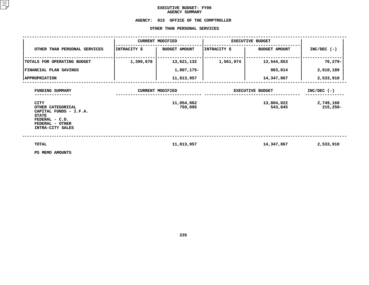## **EXECUTIVE BUDGET- FY06 AGENCY**

## **SUMMARY AGENCY:<sup>015</sup> OFFICE OF THE COMPTROLLER OTHER**

|                                                                                                                                     |              | OTHER THAN PERSONAL SERVICES |              |                         |                         |  |
|-------------------------------------------------------------------------------------------------------------------------------------|--------------|------------------------------|--------------|-------------------------|-------------------------|--|
|                                                                                                                                     |              | <b>CURRENT MODIFIED</b>      |              | <b>EXECUTIVE BUDGET</b> |                         |  |
| OTHER THAN PERSONAL SERVICES                                                                                                        | INTRACITY \$ | <b>BUDGET AMOUNT</b>         | INTRACITY \$ | <b>BUDGET AMOUNT</b>    | $INC/DEC$ (-)           |  |
| TOTALS FOR OPERATING BUDGET                                                                                                         | 1,399,678    | 13,621,132                   | 1,561,974    | 13,544,853              | 76,279-                 |  |
| FINANCIAL PLAN SAVINGS                                                                                                              |              | 1,807,175-                   |              | 803,014                 | 2,610,189               |  |
| <b>APPROPRIATION</b>                                                                                                                |              | 11,813,957                   |              | 14,347,867              | 2,533,910               |  |
| FUNDING SUMMARY                                                                                                                     |              | <b>CURRENT MODIFIED</b>      |              | <b>EXECUTIVE BUDGET</b> | $INC/DEC$ (-)           |  |
| <b>CITY</b><br>OTHER CATEGORICAL<br>CAPITAL FUNDS - I.F.A.<br><b>STATE</b><br>FEDERAL - C.D.<br>FEDERAL - OTHER<br>INTRA-CITY SALES |              | 11,054,862<br>759,095        |              | 13,804,022<br>543,845   | 2,749,160<br>$215,250-$ |  |
| <b>TOTAL</b><br>PS MEMO AMOUNTS                                                                                                     |              | 11,813,957                   |              | 14,347,867              | 2,533,910               |  |

**PS MEMO AMOUNTS**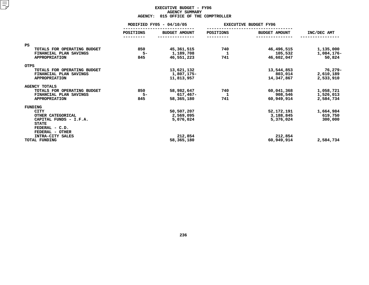#### **EXECUTIVE BUDGET - FY06 AGENCYY SUMMARY<br>CE OF THE<br>ACT**

|                             | <b>AGENCY:</b> | 015 OFFICE OF THE COMPTROLLER |           |                              |             |  |
|-----------------------------|----------------|-------------------------------|-----------|------------------------------|-------------|--|
|                             |                | MODIFIED FY05 - 04/10/05      |           | <b>EXECUTIVE BUDGET FY06</b> |             |  |
|                             | POSITIONS      | <b>BUDGET AMOUNT</b>          | POSITIONS | <b>BUDGET AMOUNT</b>         | INC/DEC AMT |  |
|                             |                |                               |           |                              |             |  |
| PS                          |                |                               |           |                              |             |  |
| TOTALS FOR OPERATING BUDGET | 850            | 45,361,515                    | 740       | 46,496,515                   | 1,135,000   |  |
| FINANCIAL PLAN SAVINGS      | $5-$           | 1,189,708                     | 1         | 105,532                      | 1,084,176-  |  |
| <b>APPROPRIATION</b>        | 845            | 46,551,223                    | 741       | 46,602,047                   | 50,824      |  |
| <b>OTPS</b>                 |                |                               |           |                              |             |  |
| TOTALS FOR OPERATING BUDGET |                | 13,621,132                    |           | 13,544,853                   | 76,279-     |  |
| FINANCIAL PLAN SAVINGS      |                | 1,807,175-                    |           | 803,014                      | 2,610,189   |  |
| <b>APPROPRIATION</b>        |                | 11,813,957                    |           | 14,347,867                   | 2,533,910   |  |
| <b>AGENCY TOTALS</b>        |                |                               |           |                              |             |  |
| TOTALS FOR OPERATING BUDGET | 850            | 58,982,647                    | 740       | 60,041,368                   | 1,058,721   |  |
| FINANCIAL PLAN SAVINGS      | $5-$           | 617,467-                      | 1         | 908,546                      | 1,526,013   |  |
| <b>APPROPRIATION</b>        | 845            | 58,365,180                    | 741       | 60,949,914                   | 2,584,734   |  |
| FUNDING                     |                |                               |           |                              |             |  |
| <b>CITY</b>                 |                | 50,507,207                    |           | 52,172,191                   | 1,664,984   |  |
| OTHER CATEGORICAL           |                | 2,569,095                     |           | 3,188,845                    | 619,750     |  |
| CAPITAL FUNDS - I.F.A.      |                | 5,076,024                     |           | 5,376,024                    | 300,000     |  |
| <b>STATE</b>                |                |                               |           |                              |             |  |
| FEDERAL - C.D.              |                |                               |           |                              |             |  |
| FEDERAL - OTHER             |                |                               |           |                              |             |  |
| INTRA-CITY SALES            |                | 212,854                       |           | 212,854                      |             |  |
| TOTAL FUNDING               |                | 58,365,180                    |           | 60,949,914                   | 2,584,734   |  |
|                             |                |                               |           |                              |             |  |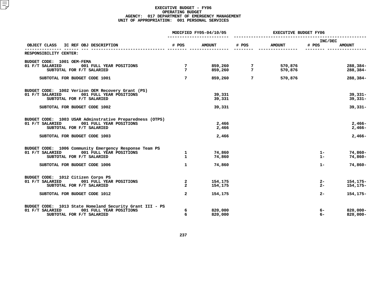|                                                                         |                      | MODIFIED FY05-04/10/05 | <b>EXECUTIVE BUDGET FY06</b> |                    |                  |                      |
|-------------------------------------------------------------------------|----------------------|------------------------|------------------------------|--------------------|------------------|----------------------|
| OBJECT CLASS<br>IC REF OBJ DESCRIPTION                                  | # POS                | <b>AMOUNT</b>          | # POS                        | <b>AMOUNT</b>      | INC/DEC<br># POS | <b>AMOUNT</b>        |
| RESPONSIBILITY CENTER:                                                  |                      |                        |                              |                    |                  |                      |
| BUDGET CODE: 1001 OEM-FEMA                                              |                      |                        |                              |                    |                  |                      |
| 01 F/T SALARIED<br>001 FULL YEAR POSITIONS<br>SUBTOTAL FOR F/T SALARIED | 7<br>$7\overline{ }$ | 859,260<br>859,260     | -7<br>$7\phantom{.0}$        | 570,876<br>570,876 |                  | 288,384-<br>288,384- |
| SUBTOTAL FOR BUDGET CODE 1001                                           | $7\phantom{.0}$      | 859,260                | $7\phantom{.0}$              | 570,876            |                  | $288,384-$           |
| BUDGET CODE: 1002 Verizon OEM Recovery Grant (PS)                       |                      |                        |                              |                    |                  |                      |
| 01 F/T SALARIED<br>001 FULL YEAR POSITIONS                              |                      | 39,331                 |                              |                    |                  | $39,331 -$           |
| SUBTOTAL FOR F/T SALARIED                                               |                      | 39,331                 |                              |                    |                  | $39,331 -$           |
| SUBTOTAL FOR BUDGET CODE 1002                                           |                      | 39,331                 |                              |                    |                  | $39,331 -$           |
| BUDGET CODE: 1003 USAR Adminstrative Preparedness (OTPS)                |                      |                        |                              |                    |                  |                      |
| 01 F/T SALARIED<br>001 FULL YEAR POSITIONS                              |                      | 2,466                  |                              |                    |                  | $2,466-$             |
| SUBTOTAL FOR F/T SALARIED                                               |                      | 2,466                  |                              |                    |                  | $2,466-$             |
| SUBTOTAL FOR BUDGET CODE 1003                                           |                      | 2,466                  |                              |                    |                  | $2,466-$             |
| BUDGET CODE: 1006 Community Emergency Response Team PS                  |                      |                        |                              |                    |                  |                      |
| 01 F/T SALARIED<br>001 FULL YEAR POSITIONS                              | $\mathbf{1}$         | 74,860                 |                              |                    | $1 -$            | 74,860-              |
| SUBTOTAL FOR F/T SALARIED                                               | $\mathbf{1}$         | 74,860                 |                              |                    | $1 -$            | 74,860-              |
| SUBTOTAL FOR BUDGET CODE 1006                                           | $\mathbf{1}$         | 74,860                 |                              |                    | $1 -$            | 74,860-              |
| BUDGET CODE: 1012 Citizen Corps PS                                      |                      |                        |                              |                    |                  |                      |
| 001 FULL YEAR POSITIONS<br>01 F/T SALARIED                              | $\mathbf{2}$         | 154,175                |                              |                    | 2-               | $154, 175 -$         |
| SUBTOTAL FOR F/T SALARIED                                               | $\overline{a}$       | 154,175                |                              |                    | $2 -$            | 154, 175-            |
| SUBTOTAL FOR BUDGET CODE 1012                                           | $\overline{a}$       | 154,175                |                              |                    | $2 -$            | 154, 175-            |
| BUDGET CODE: 1013 State Homeland Security Grant III - PS                |                      |                        |                              |                    |                  |                      |
| 01 F/T SALARIED<br>001 FULL YEAR POSITIONS                              | 6                    | 820,000                |                              |                    | 6-               | $820,000 -$          |
| SUBTOTAL FOR F/T SALARIED                                               | 6                    | 820,000                |                              |                    | $6-$             | $820,000 -$          |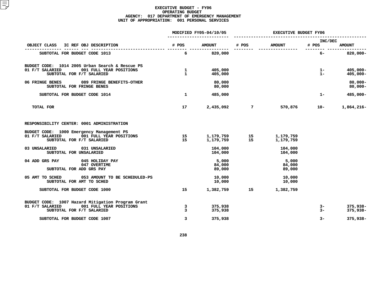|                                                                                                                              |                              | MODIFIED FY05-04/10/05                | EXECUTIVE BUDGET FY06 |                           |                  |                            |
|------------------------------------------------------------------------------------------------------------------------------|------------------------------|---------------------------------------|-----------------------|---------------------------|------------------|----------------------------|
| OBJECT CLASS<br>IC REF OBJ DESCRIPTION                                                                                       | # POS                        | <b>AMOUNT</b>                         | # POS                 | <b>AMOUNT</b>             | INC/DEC<br># POS | <b>AMOUNT</b>              |
| SUBTOTAL FOR BUDGET CODE 1013                                                                                                | 6                            | --------- ----------------<br>820,000 |                       | ----------------          | $6-$             | $820,000 -$                |
| BUDGET CODE: 1014 2005 Urban Search & Rescue PS<br>01 F/T SALARIED<br>001 FULL YEAR POSITIONS<br>SUBTOTAL FOR F/T SALARIED   | $\mathbf{1}$<br>$\mathbf{1}$ | 405,000<br>405,000                    |                       |                           | $1 -$<br>$1 -$   | $405,000 -$<br>$405,000 -$ |
| 06 FRINGE BENES<br>089 FRINGE BENEFITS-OTHER<br>SUBTOTAL FOR FRINGE BENES                                                    |                              | 80,000<br>80,000                      |                       |                           |                  | $80,000 -$<br>$80,000 -$   |
| SUBTOTAL FOR BUDGET CODE 1014                                                                                                | $\mathbf{1}$                 | 485,000                               |                       |                           | $1 -$            | 485,000-                   |
| <b>TOTAL FOR</b>                                                                                                             | 17                           | 2,435,092                             | $\overline{7}$        | 570,876                   | 10-              | 1,864,216-                 |
| RESPONSIBILITY CENTER: 0001 ADMINISTRATION                                                                                   |                              |                                       |                       |                           |                  |                            |
| BUDGET CODE: 1000 Emergency Management PS<br>001 FULL YEAR POSITIONS<br>01 F/T SALARIED<br>SUBTOTAL FOR F/T SALARIED         | 15<br>15                     | 1,179,759<br>1,179,759                | 15                    | 1,179,759<br>1,179,759    |                  |                            |
| 03 UNSALARIED<br>031 UNSALARIED<br>SUBTOTAL FOR UNSALARIED                                                                   |                              | 104,000<br>104,000                    |                       | 104,000<br>104,000        |                  |                            |
| 04 ADD GRS PAY<br>045 HOLIDAY PAY<br>047 OVERTIME<br>SUBTOTAL FOR ADD GRS PAY                                                |                              | 5,000<br>84,000<br>89,000             |                       | 5,000<br>84,000<br>89,000 |                  |                            |
| 05 AMT TO SCHED<br>053 AMOUNT TO BE SCHEDULED-PS<br>SUBTOTAL FOR AMT TO SCHED                                                |                              | 10,000<br>10,000                      |                       | 10,000<br>10,000          |                  |                            |
| SUBTOTAL FOR BUDGET CODE 1000                                                                                                | 15                           | 1,382,759                             | 15                    | 1,382,759                 |                  |                            |
| BUDGET CODE: 1007 Hazard Mitigation Program Grant<br>01 F/T SALARIED<br>001 FULL YEAR POSITIONS<br>SUBTOTAL FOR F/T SALARIED | 3<br>$\overline{3}$          | 375,938<br>375,938                    |                       |                           | 3-<br>$3-$       | 375,938-<br>375,938-       |
| SUBTOTAL FOR BUDGET CODE 1007                                                                                                | $\overline{3}$               | 375,938                               |                       |                           | $3-$             | 375,938-                   |
|                                                                                                                              |                              |                                       |                       |                           |                  |                            |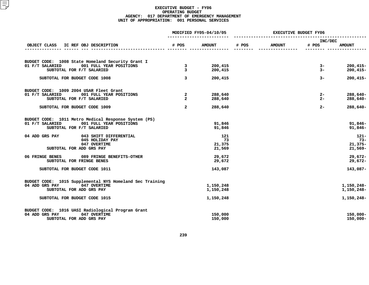|                                                                                                                                                     |                                                  | MODIFIED FY05-04/10/05        | <b>EXECUTIVE BUDGET FY06</b> |               |                        |                                            |
|-----------------------------------------------------------------------------------------------------------------------------------------------------|--------------------------------------------------|-------------------------------|------------------------------|---------------|------------------------|--------------------------------------------|
| IC REF OBJ DESCRIPTION<br>OBJECT CLASS                                                                                                              | # POS                                            | <b>AMOUNT</b>                 | # POS                        | <b>AMOUNT</b> | INC/DEC<br># POS       | <b>AMOUNT</b>                              |
|                                                                                                                                                     |                                                  |                               |                              | -----------   |                        |                                            |
| BUDGET CODE: 1008 State Homeland Security Grant I<br>001 FULL YEAR POSITIONS<br>01 F/T SALARIED<br>SUBTOTAL FOR F/T SALARIED                        | $\overline{\mathbf{3}}$<br>3                     | 200,415<br>200,415            |                              |               | $3-$<br>$3 -$          | $200, 415 -$<br>$200, 415 -$               |
| SUBTOTAL FOR BUDGET CODE 1008                                                                                                                       | $\overline{3}$                                   | 200,415                       |                              |               | $3-$                   | $200, 415 -$                               |
| BUDGET CODE: 1009 2004 USAR Fleet Grant<br>01 F/T SALARIED<br>001 FULL YEAR POSITIONS<br>SUBTOTAL FOR F/T SALARIED<br>SUBTOTAL FOR BUDGET CODE 1009 | $\mathbf{2}$<br>$\overline{a}$<br>$\overline{a}$ | 288,640<br>288,640<br>288,640 |                              |               | $2-$<br>$2 -$<br>$2 -$ | $288,640-$<br>288,640-<br>288,640-         |
| BUDGET CODE: 1011 Metro Medical Response System (PS)<br>01 F/T SALARIED<br>001 FULL YEAR POSITIONS<br>SUBTOTAL FOR F/T SALARIED                     |                                                  | 91,846<br>91,846              |                              |               |                        | $91,846 -$<br>$91,846 -$                   |
| 04 ADD GRS PAY<br>043 SHIFT DIFFERENTIAL<br>045 HOLIDAY PAY<br>047 OVERTIME<br>SUBTOTAL FOR ADD GRS PAY                                             |                                                  | 121<br>73<br>21,375<br>21,569 |                              |               |                        | $121 -$<br>$73-$<br>$21,375-$<br>$21,569-$ |
| 06 FRINGE BENES<br>089 FRINGE BENEFITS-OTHER<br>SUBTOTAL FOR FRINGE BENES                                                                           |                                                  | 29,672<br>29,672              |                              |               |                        | $29,672 -$<br>$29,672-$                    |
| SUBTOTAL FOR BUDGET CODE 1011                                                                                                                       |                                                  | 143,087                       |                              |               |                        | 143,087-                                   |
| BUDGET CODE: 1015 Supplemental NYS Homeland Sec Training<br>04 ADD GRS PAY<br>047 OVERTIME<br>SUBTOTAL FOR ADD GRS PAY                              |                                                  | 1,150,248<br>1,150,248        |                              |               |                        | 1,150,248-<br>1,150,248-                   |
| SUBTOTAL FOR BUDGET CODE 1015                                                                                                                       |                                                  | 1,150,248                     |                              |               |                        | 1,150,248-                                 |
| BUDGET CODE: 1016 UASI Radiological Program Grant<br>04 ADD GRS PAY<br>047 OVERTIME<br>SUBTOTAL FOR ADD GRS PAY                                     |                                                  | 150,000<br>150,000            |                              |               |                        | $150,000 -$<br>$150,000 -$                 |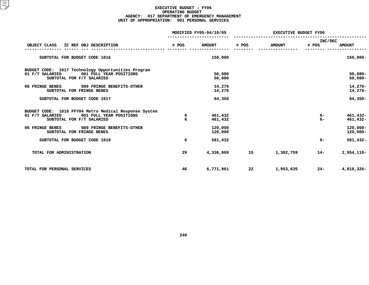|                                                                                                                                  |        | MODIFIED FY05-04/10/05 | <b>EXECUTIVE BUDGET FY06</b> |               |                  |                            |
|----------------------------------------------------------------------------------------------------------------------------------|--------|------------------------|------------------------------|---------------|------------------|----------------------------|
| OBJECT CLASS<br>IC REF OBJ DESCRIPTION                                                                                           | # POS  | <b>AMOUNT</b>          | # POS                        | <b>AMOUNT</b> | INC/DEC<br># POS | <b>AMOUNT</b>              |
| SUBTOTAL FOR BUDGET CODE 1016                                                                                                    |        | 150,000                |                              |               |                  | 150,000-                   |
| BUDGET CODE: 1017 Technology Opportunities Program<br>001 FULL YEAR POSITIONS<br>01 F/T SALARIED<br>SUBTOTAL FOR F/T SALARIED    |        | 50,080<br>50,080       |                              |               |                  | $50,080 -$<br>$50,080 -$   |
| 06 FRINGE BENES<br>089 FRINGE BENEFITS-OTHER<br>SUBTOTAL FOR FRINGE BENES                                                        |        | 14,270<br>14,270       |                              |               |                  | $14,270-$<br>14,270-       |
| SUBTOTAL FOR BUDGET CODE 1017                                                                                                    |        | 64,350                 |                              |               |                  | $64,350-$                  |
| BUDGET CODE: 1018 FFY04 Metro Medical Response System<br>01 F/T SALARIED<br>001 FULL YEAR POSITIONS<br>SUBTOTAL FOR F/T SALARIED | 6<br>6 | 461,432<br>461,432     |                              |               | - 6<br>$6-$      | 461,432-<br>461,432-       |
| 06 FRINGE BENES<br>089 FRINGE BENEFITS-OTHER<br>SUBTOTAL FOR FRINGE BENES                                                        |        | 120,000<br>120,000     |                              |               |                  | $120,000 -$<br>$120,000 -$ |
| SUBTOTAL FOR BUDGET CODE 1018                                                                                                    | 6      | 581,432                |                              |               | $6-$             | 581,432-                   |
| TOTAL FOR ADMINISTRATION                                                                                                         | 29     | 4,336,869              | 15                           | 1,382,759     | $14-$            | $2,954,110-$               |
| TOTAL FOR PERSONAL SERVICES                                                                                                      | 46     | 6,771,961              | 22                           | 1,953,635     | $24 -$           | 4,818,326-                 |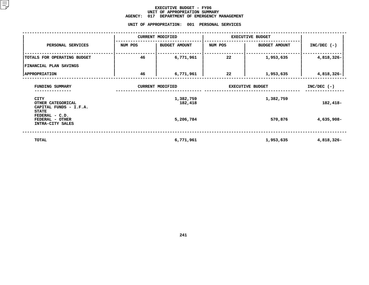#### **EXECUTIVE BUDGET - FY06** UNIT OF APPROPRIATION SUMMARY **OF APPROPRIATION SUMMARY AGENCY:**

**<sup>017</sup> DEPARTMENT OF EMERGENCY MANAGEMENT UNIT**

| NUM POS | <b>BUDGET AMOUNT</b> | NUM POS                                                                             | <b>BUDGET AMOUNT</b> | $INC/DEC$ (-)                               |
|---------|----------------------|-------------------------------------------------------------------------------------|----------------------|---------------------------------------------|
| 46      | 6,771,961            | 22                                                                                  | 1,953,635            | 4,818,326-                                  |
|         |                      |                                                                                     |                      |                                             |
| 46      | 6,771,961            | 22                                                                                  | 1,953,635            | 4,818,326-                                  |
|         |                      |                                                                                     | $INC/DEC$ (-)        |                                             |
|         | 1,382,759<br>182,418 |                                                                                     | 1,382,759            | 182,418-                                    |
|         | 5,206,784            |                                                                                     | 570,876              | 4,635,908-                                  |
|         | 6,771,961            |                                                                                     | 1,953,635            | 4,818,326-                                  |
|         |                      | UNIT OF APPROPRIATION:<br>001<br><b>CURRENT MODIFIED</b><br><b>CURRENT MODIFIED</b> | PERSONAL SERVICES    | <b>EXECUTIVE BUDGET</b><br>EXECUTIVE BUDGET |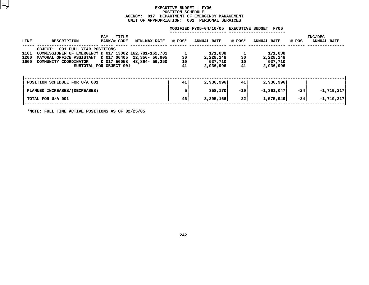#### **EXECUTIVE BUDGET - FY06 POSITIONN SCHEDULE<br>NT OF EMER<br><mark>:</mark> 001 PE AGENCY: <sup>017</sup> DEPARTMENT OF EMERGENCY MANAGEMENT UNIT OF APPROPRIATION: <sup>001</sup> PERSONAL SERVICES**

|                      |                                                                                                                                                                                                     |                                         |                            |                | MODIFIED FY05-04/10/05 EXECUTIVE BUDGET FY06 |                |                                              |       |                               |
|----------------------|-----------------------------------------------------------------------------------------------------------------------------------------------------------------------------------------------------|-----------------------------------------|----------------------------|----------------|----------------------------------------------|----------------|----------------------------------------------|-------|-------------------------------|
| LINE                 | <b>DESCRIPTION</b>                                                                                                                                                                                  | TITLE<br>PAY<br>BANK/# CODE             | MIN-MAX RATE # POS*        |                | <b>ANNUAL RATE</b>                           | # POS*         | <b>ANNUAL RATE</b>                           | # POS | INC/DEC<br><b>ANNUAL RATE</b> |
| 1161<br>1200<br>1600 | OBJECT: 001 FULL YEAR POSITIONS<br>COMMISSIONER OF EMERGENCY D 017 13002 162,781-162,781<br>MAYORAL OFFICE ASSISTANT D 017 06405 22,356- 56,905<br>COMMUNITY COORDINATOR<br>SUBTOTAL FOR OBJECT 001 |                                         | D 017 56058 43,894- 59,250 | 30<br>10<br>41 | 171,038<br>2,228,248<br>537,710<br>2,936,996 | 30<br>10<br>41 | 171,038<br>2,228,248<br>537,710<br>2,936,996 |       |                               |
|                      | POSITION SCHEDULE FOR U/A 001                                                                                                                                                                       |                                         |                            | 41             | 2,936,996                                    | 41             | 2,936,996                                    |       |                               |
|                      | PLANNED INCREASES/(DECREASES)                                                                                                                                                                       |                                         |                            |                | 358,170                                      | $-19$          | $-1,361,047$                                 | $-24$ | $-1,719,217$                  |
|                      | TOTAL FOR U/A 001                                                                                                                                                                                   |                                         |                            | 46             | 3,295,166                                    | 22             | 1,575,949                                    | -241  | $-1, 719, 217$                |
|                      |                                                                                                                                                                                                     | _ _ _ _ _ _ _ _ _ _ _ _ _ _ _ _ _ _ _ _ |                            |                |                                              |                |                                              |       |                               |

**\*NOTE: FULL TIME ACTIVE POSITIONS AS OF 02/25/05**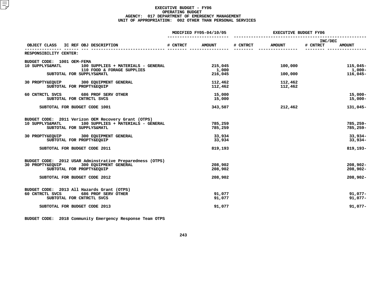|                                                                                     |          | MODIFIED FY05-04/10/05 | <b>EXECUTIVE BUDGET FY06</b> |               |                     |               |
|-------------------------------------------------------------------------------------|----------|------------------------|------------------------------|---------------|---------------------|---------------|
| OBJECT CLASS IC REF OBJ DESCRIPTION                                                 | # CNTRCT | <b>AMOUNT</b>          | # CNTRCT                     | <b>AMOUNT</b> | INC/DEC<br># CNTRCT | <b>AMOUNT</b> |
| RESPONSIBILITY CENTER:                                                              |          |                        |                              |               |                     |               |
|                                                                                     |          |                        |                              |               |                     |               |
| BUDGET CODE: 1001 OEM-FEMA<br>10 SUPPLYS&MATL<br>100 SUPPLIES + MATERIALS - GENERAL |          | 215,045                |                              | 100,000       |                     | $115,045-$    |
| 110 FOOD & FORAGE SUPPLIES                                                          |          | 1,000                  |                              |               |                     | 1,000-        |
| SUBTOTAL FOR SUPPLYS&MATL                                                           |          | 216,045                |                              | 100,000       |                     | $116,045-$    |
| 30 PROPTY&EQUIP 300 EQUIPMENT GENERAL                                               |          | 112,462                |                              | 112,462       |                     |               |
| SUBTOTAL FOR PROPTY&EQUIP                                                           |          | 112,462                |                              | 112,462       |                     |               |
| 60 CNTRCTL SVCS<br>686 PROF SERV OTHER                                              |          | 15,000                 |                              |               |                     | $15,000 -$    |
| SUBTOTAL FOR CNTRCTL SVCS                                                           |          | 15,000                 |                              |               |                     | $15,000-$     |
| SUBTOTAL FOR BUDGET CODE 1001                                                       |          | 343,507                |                              | 212,462       |                     | 131,045-      |
| BUDGET CODE: 2011 Verizon OEM Recovery Grant (OTPS)                                 |          |                        |                              |               |                     |               |
| 100 SUPPLIES + MATERIALS - GENERAL<br>10 SUPPLYS&MATL                               |          | 785,259                |                              |               |                     | 785,259-      |
| SUBTOTAL FOR SUPPLYS&MATL                                                           |          | 785,259                |                              |               |                     | $785,259-$    |
| 30 PROPTY&EQUIP 300 EQUIPMENT GENERAL                                               |          | 33,934                 |                              |               |                     | $33,934-$     |
| SUBTOTAL FOR PROPTY&EQUIP                                                           |          | 33,934                 |                              |               |                     | $33,934-$     |
| SUBTOTAL FOR BUDGET CODE 2011                                                       |          | 819,193                |                              |               |                     | 819,193-      |
| BUDGET CODE: 2012 USAR Adminstrative Preparedness (OTPS)                            |          |                        |                              |               |                     |               |
| 300 EQUIPMENT GENERAL<br>30 PROPTY&EQUIP                                            |          | 208,902                |                              |               |                     | $208,902 -$   |
| SUBTOTAL FOR PROPTY&EQUIP                                                           |          | 208,902                |                              |               |                     | $208,902 -$   |
| SUBTOTAL FOR BUDGET CODE 2012                                                       |          | 208,902                |                              |               |                     | $208,902 -$   |
| BUDGET CODE: 2013 All Hazards Grant (OTPS)                                          |          |                        |                              |               |                     |               |
| 60 CNTRCTL SVCS<br>686 PROF SERV OTHER                                              |          | 91,077                 |                              |               |                     | $91,077-$     |
| SUBTOTAL FOR CNTRCTL SVCS                                                           |          | 91,077                 |                              |               |                     | $91,077-$     |
| SUBTOTAL FOR BUDGET CODE 2013                                                       |          | 91,077                 |                              |               |                     | $91,077-$     |
|                                                                                     |          |                        |                              |               |                     |               |

**BUDGET CODE: <sup>2018</sup> Community Emergency Response Team OTPS**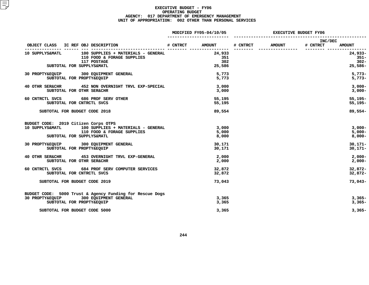|                                                          | MODIFIED FY05-04/10/05 | <b>EXECUTIVE BUDGET FY06</b> |               |                     |               |
|----------------------------------------------------------|------------------------|------------------------------|---------------|---------------------|---------------|
| OBJECT CLASS IC REF OBJ DESCRIPTION                      | # CNTRCT AMOUNT        | # CNTRCT                     | <b>AMOUNT</b> | INC/DEC<br># CNTRCT | <b>AMOUNT</b> |
| 100 SUPPLIES + MATERIALS - GENERAL<br>10 SUPPLYS&MATL    | 24,933                 | ---------                    |               | --------- ------    | $24,933-$     |
| 110 FOOD & FORAGE SUPPLIES                               | 351                    |                              |               |                     | $351 -$       |
| 117 POSTAGE                                              | 302                    |                              |               |                     | $302 -$       |
| SUBTOTAL FOR SUPPLYS&MATL                                | 25,586                 |                              |               |                     | 25,586-       |
| 30 PROPTY&EQUIP 300 EQUIPMENT GENERAL                    | 5,773                  |                              |               |                     | $5.773-$      |
| SUBTOTAL FOR PROPTY&EQUIP                                | 5,773                  |                              |               |                     | $5,773-$      |
| 40 OTHR SER&CHR 452 NON OVERNIGHT TRVL EXP-SPECIAL       | 3,000                  |                              |               |                     | $3,000-$      |
| SUBTOTAL FOR OTHR SER&CHR                                | 3,000                  |                              |               |                     | $3,000-$      |
| 60 CNTRCTL SVCS 686 PROF SERV OTHER                      | 55,195                 |                              |               |                     | $55,195-$     |
| SUBTOTAL FOR CNTRCTL SVCS                                | 55,195                 |                              |               |                     | $55,195-$     |
| SUBTOTAL FOR BUDGET CODE 2018                            | 89,554                 |                              |               |                     | 89,554-       |
| BUDGET CODE: 2019 Citizen Corps OTPS                     |                        |                              |               |                     |               |
| 10 SUPPLYS&MATL<br>100 SUPPLIES + MATERIALS - GENERAL    | 3,000                  |                              |               |                     | $3,000-$      |
| 110 FOOD & FORAGE SUPPLIES                               | 5,000                  |                              |               |                     | $5,000-$      |
| SUBTOTAL FOR SUPPLYS&MATL                                | 8,000                  |                              |               |                     | $8,000-$      |
| 30 PROPTY&EQUIP 300 EQUIPMENT GENERAL                    | 30,171                 |                              |               |                     | $30,171 -$    |
| SUBTOTAL FOR PROPTY&EQUIP                                | 30,171                 |                              |               |                     | $30,171 -$    |
| 40 OTHR SER&CHR 453 OVERNIGHT TRVL EXP-GENERAL           | 2,000                  |                              |               |                     | $2,000-$      |
| SUBTOTAL FOR OTHR SER&CHR                                | 2,000                  |                              |               |                     | $2,000-$      |
| 60 CNTRCTL SVCS 684 PROF SERV COMPUTER SERVICES          | 32,872                 |                              |               |                     | 32,872-       |
| SUBTOTAL FOR CNTRCTL SVCS                                | 32,872                 |                              |               |                     | 32,872-       |
| SUBTOTAL FOR BUDGET CODE 2019                            | 73,043                 |                              |               |                     | 73,043-       |
| BUDGET CODE: 5000 Trust & Agency Funding for Rescue Dogs |                        |                              |               |                     |               |
| 30 PROPTY&EQUIP 300 EQUIPMENT GENERAL                    | 3,365                  |                              |               |                     | $3,365-$      |
| SUBTOTAL FOR PROPTY&EQUIP                                | 3,365                  |                              |               |                     | $3,365-$      |
| SUBTOTAL FOR BUDGET CODE 5000                            | 3,365                  |                              |               |                     | $3,365-$      |
|                                                          |                        |                              |               |                     |               |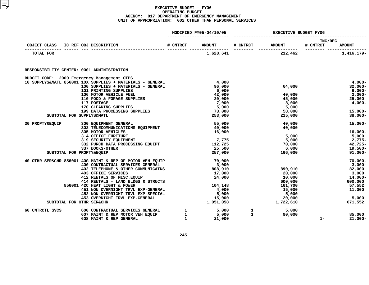|                                            |                                                                | MODIFIED FY05-04/10/05 | <b>EXECUTIVE BUDGET FY06</b> |              |                 |                     |               |
|--------------------------------------------|----------------------------------------------------------------|------------------------|------------------------------|--------------|-----------------|---------------------|---------------|
| OBJECT CLASS IC REF OBJ DESCRIPTION        |                                                                |                        | # CNTRCT AMOUNT              |              | # CNTRCT AMOUNT | INC/DEC<br># CNTRCT | <b>AMOUNT</b> |
| TOTAL FOR                                  |                                                                |                        | 1,628,641                    |              | 212,462         |                     | 1,416,179-    |
| RESPONSIBILITY CENTER: 0001 ADMINISTRATION |                                                                |                        |                              |              |                 |                     |               |
|                                            | BUDGET CODE: 2000 Emergency Management OTPS                    |                        |                              |              |                 |                     |               |
|                                            | 10 SUPPLYS&MATL 856001 10X SUPPLIES + MATERIALS - GENERAL      |                        | 4,000                        |              |                 |                     | $4,000-$      |
|                                            | 100 SUPPLIES + MATERIALS - GENERAL                             |                        | 96,000                       |              | 64,000          |                     | $32,000 -$    |
|                                            | 101 PRINTING SUPPLIES                                          |                        | 6,000                        |              |                 |                     | 6,000-        |
|                                            | 106 MOTOR VEHICLE FUEL                                         |                        | 42,000                       |              | 40,000          |                     | 2,000-        |
|                                            | 110 FOOD & FORAGE SUPPLIES                                     |                        | 20,000                       |              | 45,000          |                     | 25,000        |
|                                            | 117 POSTAGE                                                    |                        | 7,000                        |              | 3,000           |                     | 4,000-        |
|                                            | 170 CLEANING SUPPLIES                                          |                        | 5,000                        |              | 5,000           |                     |               |
|                                            | 199 DATA PROCESSING SUPPLIES                                   |                        | 73,000                       |              | 58,000          |                     | $15,000 -$    |
|                                            | SUBTOTAL FOR SUPPLYS&MATL                                      |                        | 253,000                      |              | 215,000         |                     | $38,000 -$    |
| 30 PROPTY&EQUIP                            | 300 EQUIPMENT GENERAL                                          |                        | 55,000                       |              | 40,000          |                     | $15,000 -$    |
|                                            | 302 TELECOMMUNICATIONS EQUIPMENT                               |                        | 40,000                       |              | 40,000          |                     |               |
|                                            | 305 MOTOR VEHICLES                                             |                        | 16,000                       |              |                 |                     | $16,000 -$    |
|                                            | 314 OFFICE FURITURE                                            |                        |                              |              | 5,000           |                     | 5,000         |
|                                            | 319 SECURITY EQUIPMENT                                         |                        | 7,775                        |              | 5,000           |                     | 2,775-        |
|                                            | 332 PURCH DATA PROCESSING EQUIPT                               |                        | 112,725                      |              | 70,000          |                     | 42,725-       |
|                                            | 337 BOOKS-OTHER                                                |                        | 25,500                       |              | 6,000           |                     | 19,500-       |
|                                            | SUBTOTAL FOR PROPTY&EQUIP                                      |                        | 257,000                      |              | 166,000         |                     | $91,000 -$    |
|                                            | 40 OTHR SER&CHR 856001 40G MAINT & REP OF MOTOR VEH EQUIP      |                        | 70,000                       |              |                 |                     | $70,000 -$    |
|                                            | 400 CONTRACTUAL SERVICES-GENERAL                               |                        | 3,000                        |              |                 |                     | 3,000-        |
|                                            | 402 TELEPHONE & OTHER COMMUNICATNS                             |                        | 808,910                      |              | 890,910         |                     | 82,000        |
|                                            | 403 OFFICE SERVICES                                            |                        | 17,000                       |              | 20,000          |                     | 3,000         |
|                                            | 412 RENTALS OF MISC. EQUIP                                     |                        | 24,000                       |              | 10,000          |                     | 14,000-       |
|                                            | 414 RENTALS - LAND BLDGS & STRUCTS                             |                        |                              |              | 600,000         |                     | 600,000       |
|                                            | 856001 42C HEAT LIGHT & POWER                                  |                        | 104,148                      |              | 161,700         |                     | 57,552        |
|                                            | 451 NON OVERNIGHT TRVL EXP-GENERAL                             |                        | 4,000                        |              | 15,000          |                     | 11,000        |
|                                            | 452 NON OVERNIGHT TRVL EXP-SPECIAL                             |                        | 5,000<br>15,000              |              | 5,000           |                     |               |
|                                            | 453 OVERNIGHT TRVL EXP-GENERAL                                 |                        |                              |              | 20,000          |                     | 5,000         |
|                                            | SUBTOTAL FOR OTHR SER&CHR                                      |                        | 1,051,058                    |              | 1,722,610       |                     | 671,552       |
| 60 CNTRCTL SVCS                            | 600 CONTRACTUAL SERVICES GENERAL                               | $\mathbf{1}$           | 5,000                        | $\mathbf{1}$ | 5,000           |                     |               |
|                                            | 607 MAINT & REP MOTOR VEH EQUIP 1<br>608 MAINT & REP GENERAL 1 |                        | 5,000                        | 1            | 90,000          |                     | 85,000        |
|                                            | 608 MAINT & REP GENERAL                                        |                        | 21,000                       |              |                 | $1 -$               | $21,000-$     |
|                                            |                                                                |                        |                              |              |                 |                     |               |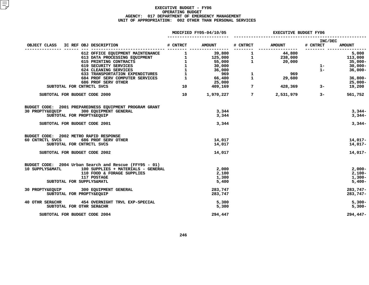|                                        |                                                        | MODIFIED FY05-04/10/05 | EXECUTIVE BUDGET FY06       |                            |               |  |
|----------------------------------------|--------------------------------------------------------|------------------------|-----------------------------|----------------------------|---------------|--|
| OBJECT CLASS IC REF OBJ DESCRIPTION    |                                                        | # CNTRCT AMOUNT        | # CNTRCT AMOUNT             | <b>INC/DEC</b><br># CNTRCT | <b>AMOUNT</b> |  |
|                                        |                                                        |                        |                             |                            | 5,000         |  |
|                                        |                                                        |                        |                             |                            | 113,000       |  |
|                                        |                                                        |                        |                             |                            | 35,000-       |  |
|                                        |                                                        |                        |                             | $1 -$                      | $30,000 -$    |  |
|                                        |                                                        |                        |                             | $1 -$                      | $36,000 -$    |  |
|                                        |                                                        |                        |                             |                            |               |  |
|                                        |                                                        |                        |                             |                            |               |  |
|                                        |                                                        |                        |                             |                            | $36,800 -$    |  |
|                                        | 686 PROF SERV OTHER                                    |                        |                             |                            | 25,000-       |  |
|                                        | SUBTOTAL FOR CNTRCTL SVCS                              |                        |                             |                            | 19,200        |  |
|                                        | SUBTOTAL FOR BUDGET CODE 2000                          |                        | 10 1,970,227 7 2,531,979 3- |                            | 561,752       |  |
|                                        | BUDGET CODE: 2001 PREPAREDNESS EQUIPMENT PROGRAM GRANT |                        |                             |                            |               |  |
|                                        | 30 PROPTY&EQUIP 300 EQUIPMENT GENERAL                  | 3,344                  |                             |                            | $3,344-$      |  |
|                                        | SUBTOTAL FOR PROPTY&EQUIP                              | 3,344                  |                             |                            | $3,344-$      |  |
|                                        | SUBTOTAL FOR BUDGET CODE 2001                          | 3,344                  |                             |                            | $3,344-$      |  |
| BUDGET CODE: 2002 METRO RAPID RESPONSE |                                                        |                        |                             |                            |               |  |
|                                        | 60 CNTRCTL SVCS 686 PROF SERV OTHER                    | 14,017                 |                             |                            | $14,017-$     |  |
|                                        | SUBTOTAL FOR CNTRCTL SVCS                              | 14,017                 |                             |                            | $14,017-$     |  |
|                                        |                                                        |                        |                             |                            |               |  |
|                                        | SUBTOTAL FOR BUDGET CODE 2002                          | 14,017                 |                             |                            | $14,017-$     |  |
|                                        | BUDGET CODE: 2004 Urban Search and Rescue (FFY95 - 01) |                        |                             |                            |               |  |
| 10 SUPPLYS&MATL                        | 100 SUPPLIES + MATERIALS - GENERAL                     | 2,000                  |                             |                            | $2,000-$      |  |
|                                        | 110 FOOD & FORAGE SUPPLIES                             | 2,100                  |                             |                            | $2,100-$      |  |
|                                        | 117 POSTAGE                                            | 1,300                  |                             |                            | $1,300-$      |  |
|                                        | SUBTOTAL FOR SUPPLYS&MATL                              | 5,400                  |                             |                            | $5,400-$      |  |
|                                        | 30 PROPTY&EQUIP 300 EQUIPMENT GENERAL                  | 283,747                |                             |                            | $283,747-$    |  |
|                                        | SUBTOTAL FOR PROPTY&EQUIP                              | 283,747                |                             |                            | 283,747-      |  |
|                                        | 40 OTHR SER&CHR 454 OVERNIGHT TRVL EXP-SPECIAL         | 5,300                  |                             |                            | $5,300-$      |  |
|                                        | SUBTOTAL FOR OTHR SER&CHR                              | 5,300                  |                             |                            | $5,300-$      |  |
|                                        | SUBTOTAL FOR BUDGET CODE 2004                          | 294,447                |                             |                            | 294,447-      |  |
|                                        |                                                        |                        |                             |                            |               |  |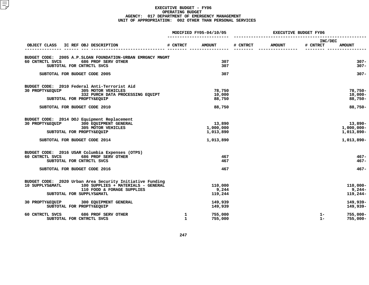|                                                                           |                              | MODIFIED FY05-04/10/05 | <b>EXECUTIVE BUDGET FY06</b> |               |                     |                            |
|---------------------------------------------------------------------------|------------------------------|------------------------|------------------------------|---------------|---------------------|----------------------------|
| OBJECT CLASS IC REF OBJ DESCRIPTION                                       | # CNTRCT                     | <b>AMOUNT</b>          | # CNTRCT                     | <b>AMOUNT</b> | INC/DEC<br># CNTRCT | <b>AMOUNT</b>              |
|                                                                           |                              |                        |                              |               |                     |                            |
| BUDGET CODE: 2005 A.P.SLOAN FOUNDATION-URBAN EMRGNCY MNGMT                |                              |                        |                              |               |                     |                            |
| 60 CNTRCTL SVCS<br>686 PROF SERV OTHER<br>SUBTOTAL FOR CNTRCTL SVCS       |                              | 307<br>307             |                              |               |                     | $307 -$<br>$307 -$         |
|                                                                           |                              |                        |                              |               |                     |                            |
| SUBTOTAL FOR BUDGET CODE 2005                                             |                              | 307                    |                              |               |                     | $307 -$                    |
| BUDGET CODE: 2010 Federal Anti-Terrorist Aid                              |                              |                        |                              |               |                     |                            |
| 30 PROPTY&EOUIP<br>305 MOTOR VEHICLES<br>332 PURCH DATA PROCESSING EQUIPT |                              | 78,750<br>10,000       |                              |               |                     | $78,750 -$<br>$10,000 -$   |
| SUBTOTAL FOR PROPTY&EQUIP                                                 |                              | 88,750                 |                              |               |                     | $88,750 -$                 |
| SUBTOTAL FOR BUDGET CODE 2010                                             |                              | 88,750                 |                              |               |                     | $88,750 -$                 |
|                                                                           |                              |                        |                              |               |                     |                            |
| BUDGET CODE: 2014 DOJ Equipment Replacement                               |                              |                        |                              |               |                     |                            |
| 30 PROPTY&EOUIP<br>300 EQUIPMENT GENERAL<br>305 MOTOR VEHICLES            |                              | 13,890<br>1,000,000    |                              |               |                     | $13,890-$<br>$1,000,000 -$ |
| SUBTOTAL FOR PROPTY&EQUIP                                                 |                              | 1,013,890              |                              |               |                     | 1,013,890-                 |
| SUBTOTAL FOR BUDGET CODE 2014                                             |                              | 1,013,890              |                              |               |                     | 1,013,890-                 |
| BUDGET CODE: 2016 USAR Columbia Expenses (OTPS)                           |                              |                        |                              |               |                     |                            |
| 60 CNTRCTL SVCS<br>686 PROF SERV OTHER                                    |                              | 467                    |                              |               |                     | $467 -$                    |
| SUBTOTAL FOR CNTRCTL SVCS                                                 |                              | 467                    |                              |               |                     | $467 -$                    |
| SUBTOTAL FOR BUDGET CODE 2016                                             |                              | 467                    |                              |               |                     | $467 -$                    |
| BUDGET CODE: 2020 Urban Area Security Initiative Funding                  |                              |                        |                              |               |                     |                            |
| 10 SUPPLYS&MATL<br>100 SUPPLIES + MATERIALS - GENERAL                     |                              | 110,000                |                              |               |                     | $110,000 -$                |
| 110 FOOD & FORAGE SUPPLIES                                                |                              | 9,244                  |                              |               |                     | $9,244-$                   |
| SUBTOTAL FOR SUPPLYS&MATL                                                 |                              | 119,244                |                              |               |                     | 119,244-                   |
| 30 PROPTY&EQUIP 300 EQUIPMENT GENERAL                                     |                              | 149,939                |                              |               |                     | 149,939-                   |
| SUBTOTAL FOR PROPTY&EQUIP                                                 |                              | 149,939                |                              |               |                     | 149,939-                   |
| 60 CNTRCTL SVCS<br>686 PROF SERV OTHER<br>SUBTOTAL FOR CNTRCTL SVCS       | $\mathbf{1}$<br>$\mathbf{1}$ | 755,000<br>755,000     |                              |               | $1 -$<br>$1 -$      | $755,000 -$<br>$755,000 -$ |
|                                                                           |                              |                        |                              |               |                     |                            |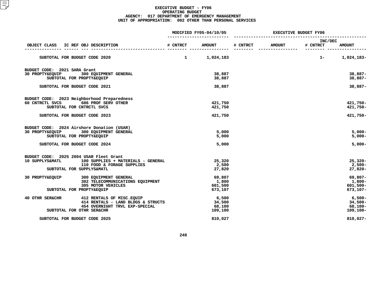|                                                                                                                                                                                                         |              | MODIFIED FY05-04/10/05               | <b>EXECUTIVE BUDGET FY06</b> |               |                     |                                                 |
|---------------------------------------------------------------------------------------------------------------------------------------------------------------------------------------------------------|--------------|--------------------------------------|------------------------------|---------------|---------------------|-------------------------------------------------|
| IC REF OBJ DESCRIPTION<br>OBJECT CLASS                                                                                                                                                                  | # CNTRCT     | <b>AMOUNT</b>                        | # CNTRCT                     | <b>AMOUNT</b> | INC/DEC<br># CNTRCT | <b>AMOUNT</b>                                   |
| SUBTOTAL FOR BUDGET CODE 2020                                                                                                                                                                           | $\mathbf{1}$ | 1,024,183                            |                              |               | $1 -$               | 1,024,183-                                      |
| BUDGET CODE: 2021 SARA Grant<br>30 PROPTY&EQUIP<br>300 EQUIPMENT GENERAL<br>SUBTOTAL FOR PROPTY&EQUIP                                                                                                   |              | 38,887<br>38,887                     |                              |               |                     | $38,887-$<br>$38,887-$                          |
| SUBTOTAL FOR BUDGET CODE 2021                                                                                                                                                                           |              | 38,887                               |                              |               |                     | 38,887-                                         |
| BUDGET CODE: 2023 Neighborhood Preparedness<br>60 CNTRCTL SVCS<br>686 PROF SERV OTHER<br>SUBTOTAL FOR CNTRCTL SVCS<br>SUBTOTAL FOR BUDGET CODE 2023                                                     |              | 421,750<br>421,750<br>421,750        |                              |               |                     | 421,750-<br>421,750-<br>421,750-                |
| BUDGET CODE: 2024 Airshore Donation (USAR)<br>300 EQUIPMENT GENERAL<br>30 PROPTY&EQUIP<br>SUBTOTAL FOR PROPTY&EQUIP<br>SUBTOTAL FOR BUDGET CODE 2024                                                    |              | 5,000<br>5,000<br>5,000              |                              |               |                     | $5,000 -$<br>$5,000 -$<br>$5,000-$              |
| BUDGET CODE: 2025 2004 USAR Fleet Grant<br>10 SUPPLYS&MATL<br>100 SUPPLIES + MATERIALS - GENERAL<br>110 FOOD & FORAGE SUPPLIES<br>SUBTOTAL FOR SUPPLYS&MATL<br>30 PROPTY&EQUIP<br>300 EQUIPMENT GENERAL |              | 25,320<br>2,500<br>27,820<br>69,807  |                              |               |                     | $25,320 -$<br>$2,500-$<br>$27,820 -$<br>69,807- |
| 302 TELECOMMUNICATIONS EQUIPMENT<br>305 MOTOR VEHICLES<br>SUBTOTAL FOR PROPTY&EQUIP                                                                                                                     |              | 1,800<br>601,500<br>673,107          |                              |               |                     | 1,800-<br>$601,500 -$<br>$673,107-$             |
| 40 OTHR SER&CHR<br>412 RENTALS OF MISC. EQUIP<br>414 RENTALS - LAND BLDGS & STRUCTS<br>454 OVERNIGHT TRVL EXP-SPECIAL<br>SUBTOTAL FOR OTHR SER&CHR                                                      |              | 6,500<br>34,500<br>68,100<br>109,100 |                              |               |                     | $6,500-$<br>$34,500 -$<br>68,100-<br>109,100-   |
| SUBTOTAL FOR BUDGET CODE 2025                                                                                                                                                                           |              | 810,027                              |                              |               |                     | $810,027 -$                                     |
|                                                                                                                                                                                                         |              |                                      |                              |               |                     |                                                 |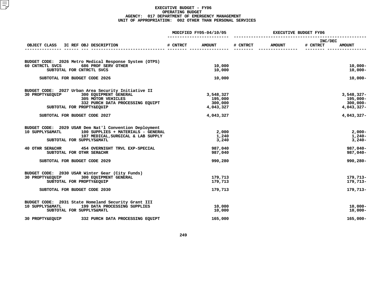|                                                                                                 |          | MODIFIED FY05-04/10/05 |          | <b>EXECUTIVE BUDGET FY06</b> |                     |                          |
|-------------------------------------------------------------------------------------------------|----------|------------------------|----------|------------------------------|---------------------|--------------------------|
| IC REF OBJ DESCRIPTION<br>OBJECT CLASS                                                          | # CNTRCT | <b>AMOUNT</b>          | # CNTRCT | <b>AMOUNT</b>                | INC/DEC<br># CNTRCT | <b>AMOUNT</b>            |
|                                                                                                 |          |                        |          |                              |                     |                          |
| BUDGET CODE: 2026 Metro Medical Response System (OTPS)                                          |          |                        |          |                              |                     |                          |
| 60 CNTRCTL SVCS<br>686 PROF SERV OTHER<br>SUBTOTAL FOR CNTRCTL SVCS                             |          | 10,000<br>10,000       |          |                              |                     | $10,000 -$<br>$10,000 -$ |
| SUBTOTAL FOR BUDGET CODE 2026                                                                   |          | 10,000                 |          |                              |                     | $10,000 -$               |
| BUDGET CODE: 2027 Urban Area Security Initiative II<br>300 EQUIPMENT GENERAL<br>30 PROPTY&EOUIP |          | 3,548,327              |          |                              |                     | $3,548,327-$             |
| 305 MOTOR VEHICLES                                                                              |          | 195,000                |          |                              |                     | 195,000-                 |
| 332 PURCH DATA PROCESSING EQUIPT                                                                |          | 300,000                |          |                              |                     | $300,000 -$              |
| SUBTOTAL FOR PROPTY&EQUIP                                                                       |          | 4,043,327              |          |                              |                     | 4,043,327-               |
| SUBTOTAL FOR BUDGET CODE 2027                                                                   |          | 4,043,327              |          |                              |                     | 4,043,327-               |
| BUDGET CODE: 2029 USAR Dem Nat'l Convention Deployment                                          |          |                        |          |                              |                     |                          |
| 10 SUPPLYS&MATL<br>100 SUPPLIES + MATERIALS - GENERAL                                           |          | 2,000                  |          |                              |                     | $2,000-$                 |
| 107 MEDICAL, SURGICAL & LAB SUPPLY<br>SUBTOTAL FOR SUPPLYS&MATL                                 |          | 1,240<br>3,240         |          |                              |                     | $1,240-$<br>$3,240-$     |
| 40 OTHR SER&CHR<br>454 OVERNIGHT TRVL EXP-SPECIAL                                               |          | 987,040                |          |                              |                     | 987,040-                 |
| SUBTOTAL FOR OTHR SER&CHR                                                                       |          | 987,040                |          |                              |                     | 987,040-                 |
| SUBTOTAL FOR BUDGET CODE 2029                                                                   |          | 990,280                |          |                              |                     | 990,280-                 |
| BUDGET CODE: 2030 USAR Winter Gear (City Funds)                                                 |          |                        |          |                              |                     |                          |
| 300 EQUIPMENT GENERAL<br>30 PROPTY&EQUIP<br>SUBTOTAL FOR PROPTY&EQUIP                           |          | 179,713<br>179,713     |          |                              |                     | 179,713-<br>179,713-     |
| SUBTOTAL FOR BUDGET CODE 2030                                                                   |          | 179,713                |          |                              |                     | 179,713-                 |
|                                                                                                 |          |                        |          |                              |                     |                          |
| BUDGET CODE: 2031 State Homeland Security Grant III                                             |          |                        |          |                              |                     |                          |
| 10 SUPPLYS&MATL<br>199 DATA PROCESSING SUPPLIES<br>SUBTOTAL FOR SUPPLYS&MATL                    |          | 10,000<br>10,000       |          |                              |                     | $10,000 -$<br>$10,000 -$ |
| 30 PROPTY&EQUIP<br>332 PURCH DATA PROCESSING EQUIPT                                             |          | 165,000                |          |                              |                     | $165,000 -$              |
|                                                                                                 |          |                        |          |                              |                     |                          |
|                                                                                                 |          |                        |          |                              |                     |                          |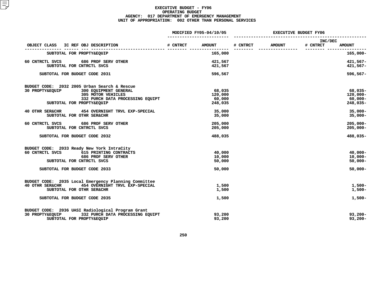|                                                                                                                                                                                        |          | MODIFIED FY05-04/10/05                 |          |               | <b>EXECUTIVE BUDGET FY06</b> |                                                      |
|----------------------------------------------------------------------------------------------------------------------------------------------------------------------------------------|----------|----------------------------------------|----------|---------------|------------------------------|------------------------------------------------------|
| IC REF OBJ DESCRIPTION<br>OBJECT CLASS                                                                                                                                                 | # CNTRCT | <b>AMOUNT</b>                          | # CNTRCT | <b>AMOUNT</b> | INC/DEC<br># CNTRCT          | <b>AMOUNT</b>                                        |
| ----- ------ --- ------------<br>SUBTOTAL FOR PROPTY&EQUIP                                                                                                                             |          | 165,000                                |          |               |                              | $165,000 -$                                          |
| 60 CNTRCTL SVCS<br>686 PROF SERV OTHER<br>SUBTOTAL FOR CNTRCTL SVCS                                                                                                                    |          | 421,567<br>421,567                     |          |               |                              | $421,567-$<br>$421,567-$                             |
| SUBTOTAL FOR BUDGET CODE 2031                                                                                                                                                          |          | 596,567                                |          |               |                              | $596,567 -$                                          |
| BUDGET CODE: 2032 2005 Urban Search & Rescue<br>300 EQUIPMENT GENERAL<br>30 PROPTY&EQUIP<br><b>305 MOTOR VEHICLES</b><br>332 PURCH DATA PROCESSING EQUIPT<br>SUBTOTAL FOR PROPTY&EQUIP |          | 68,035<br>120,000<br>60,000<br>248,035 |          |               |                              | $68,035-$<br>$120,000 -$<br>$60,000 -$<br>248,035-   |
| 40 OTHR SER&CHR<br>454 OVERNIGHT TRVL EXP-SPECIAL<br>SUBTOTAL FOR OTHR SER&CHR                                                                                                         |          | 35,000<br>35,000                       |          |               |                              | $35,000 -$<br>$35,000 -$                             |
| 60 CNTRCTL SVCS<br>686 PROF SERV OTHER<br>SUBTOTAL FOR CNTRCTL SVCS                                                                                                                    |          | 205,000<br>205,000                     |          |               |                              | $205,000 -$<br>$205,000 -$                           |
| SUBTOTAL FOR BUDGET CODE 2032                                                                                                                                                          |          | 488,035                                |          |               |                              | 488,035-                                             |
| BUDGET CODE: 2033 Ready New York IntraCity<br>60 CNTRCTL SVCS<br>615 PRINTING CONTRACTS<br>686 PROF SERV OTHER<br>SUBTOTAL FOR CNTRCTL SVCS<br>SUBTOTAL FOR BUDGET CODE 2033           |          | 40,000<br>10,000<br>50,000<br>50,000   |          |               |                              | $40,000 -$<br>$10,000 -$<br>$50,000 -$<br>$50,000 -$ |
| BUDGET CODE: 2035 Local Emergency Planning Committee<br>454 OVERNIGHT TRVL EXP-SPECIAL<br><b>40 OTHR SER&amp;CHR</b><br>SUBTOTAL FOR OTHR SER&CHR<br>SUBTOTAL FOR BUDGET CODE 2035     |          | 1,500<br>1,500<br>1,500                |          |               |                              | $1,500-$<br>$1,500-$<br>$1,500-$                     |
| BUDGET CODE: 2036 UASI Radiological Program Grant<br>332 PURCH DATA PROCESSING EQUIPT<br>30 PROPTY&EQUIP<br>SUBTOTAL FOR PROPTY&EQUIP                                                  |          | 93,200<br>93,200                       |          |               |                              | $93,200 -$<br>$93,200 -$                             |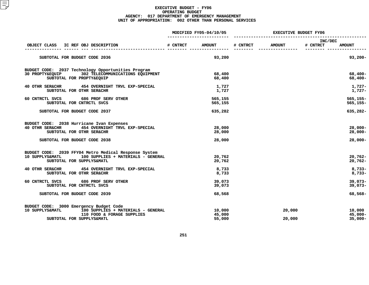|                                                                                                                                                             |          | MODIFIED FY05-04/10/05     | <b>EXECUTIVE BUDGET FY06</b> |                  |                     |                                    |  |
|-------------------------------------------------------------------------------------------------------------------------------------------------------------|----------|----------------------------|------------------------------|------------------|---------------------|------------------------------------|--|
| IC REF OBJ DESCRIPTION<br>OBJECT CLASS                                                                                                                      | # CNTRCT | <b>AMOUNT</b>              | # CNTRCT                     | <b>AMOUNT</b>    | INC/DEC<br># CNTRCT | <b>AMOUNT</b>                      |  |
| SUBTOTAL FOR BUDGET CODE 2036                                                                                                                               |          | 93,200                     |                              |                  |                     | $93,200 -$                         |  |
| BUDGET CODE: 2037 Technology Opportunities Program<br>30 PROPTY&EQUIP 302 TELECOMMUNICATIONS EQUIPMENT<br>SUBTOTAL FOR PROPTY&EQUIP                         |          | 68,400<br>68,400           |                              |                  |                     | $68,400 -$<br>$68,400 -$           |  |
| <b>40 OTHR SER&amp;CHR</b><br>454 OVERNIGHT TRVL EXP-SPECIAL<br>SUBTOTAL FOR OTHR SER&CHR                                                                   |          | 1,727<br>1,727             |                              |                  |                     | $1,727-$<br>1,727-                 |  |
| 60 CNTRCTL SVCS<br>686 PROF SERV OTHER<br>SUBTOTAL FOR CNTRCTL SVCS                                                                                         |          | 565,155<br>565,155         |                              |                  |                     | $565, 155 -$<br>$565, 155 -$       |  |
| SUBTOTAL FOR BUDGET CODE 2037                                                                                                                               |          | 635,282                    |                              |                  |                     | 635,282-                           |  |
| BUDGET CODE: 2038 Hurricane Ivan Expenses<br>454 OVERNIGHT TRVL EXP-SPECIAL<br>40 OTHR SER&CHR<br>SUBTOTAL FOR OTHR SER&CHR                                 |          | 28,000<br>28,000           |                              |                  |                     | $28,000 -$<br>$28,000 -$           |  |
| SUBTOTAL FOR BUDGET CODE 2038                                                                                                                               |          | 28,000                     |                              |                  |                     | $28,000 -$                         |  |
| BUDGET CODE: 2039 FFY04 Metro Medical Response System<br>10 SUPPLYS&MATL<br>100 SUPPLIES + MATERIALS - GENERAL<br>SUBTOTAL FOR SUPPLYS&MATL                 |          | 20,762<br>20,762           |                              |                  |                     | $20,762 -$<br>$20,762 -$           |  |
| 40 OTHR SER&CHR 454 OVERNIGHT TRVL EXP-SPECIAL<br>SUBTOTAL FOR OTHR SER&CHR                                                                                 |          | 8,733<br>8,733             |                              |                  |                     | $8,733-$<br>$8,733-$               |  |
| 60 CNTRCTL SVCS<br>686 PROF SERV OTHER<br>SUBTOTAL FOR CNTRCTL SVCS                                                                                         |          | 39,073<br>39,073           |                              |                  |                     | $39,073-$<br>$39,073-$             |  |
| SUBTOTAL FOR BUDGET CODE 2039                                                                                                                               |          | 68,568                     |                              |                  |                     | 68,568-                            |  |
| BUDGET CODE: 3000 Emergency Budget Code<br>10 SUPPLYS&MATL<br>100 SUPPLIES + MATERIALS - GENERAL<br>110 FOOD & FORAGE SUPPLIES<br>SUBTOTAL FOR SUPPLYS&MATL |          | 10,000<br>45,000<br>55,000 |                              | 20,000<br>20,000 |                     | 10,000<br>$45,000 -$<br>$35,000 -$ |  |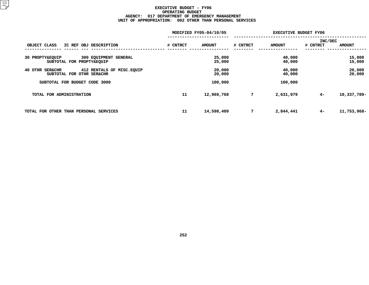|                                                                            |          | MODIFIED FY05-04/10/05 |          | <b>EXECUTIVE BUDGET FY06</b> |          |                  |  |
|----------------------------------------------------------------------------|----------|------------------------|----------|------------------------------|----------|------------------|--|
|                                                                            |          |                        |          |                              |          | INC/DEC          |  |
| OBJECT CLASS<br>IC REF OBJ DESCRIPTION                                     | # CNTRCT | <b>AMOUNT</b>          | # CNTRCT | <b>AMOUNT</b>                | # CNTRCT | <b>AMOUNT</b>    |  |
| 30 PROPTY&EQUIP<br>300 EQUIPMENT GENERAL<br>SUBTOTAL FOR PROPTY&EQUIP      |          | 25,000<br>25,000       |          | 40,000<br>40,000             |          | 15,000<br>15,000 |  |
| 412 RENTALS OF MISC. EQUIP<br>40 OTHR SER&CHR<br>SUBTOTAL FOR OTHR SER&CHR |          | 20,000<br>20,000       |          | 40,000<br>40,000             |          | 20,000<br>20,000 |  |
| SUBTOTAL FOR BUDGET CODE 3000                                              |          | 100,000                |          | 100,000                      |          |                  |  |
| TOTAL FOR ADMINISTRATION                                                   | 11       | 12,969,768             | 7        | 2,631,979                    | $4-$     | 10,337,789-      |  |
| TOTAL FOR OTHER THAN PERSONAL SERVICES                                     | 11       | 14,598,409             | 7        | 2,844,441                    | $4-$     | 11,753,968-      |  |
|                                                                            |          |                        |          |                              |          |                  |  |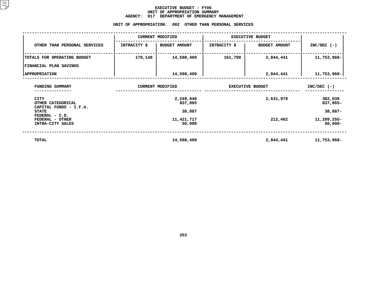#### **EXECUTIVE BUDGET - FY06** UNIT OF APPROPRIATION SUMMARY **OF APPROPRIATION SUMMARY AGENCY:**

|                                                       | <b>AGENCY:</b><br>017<br>UNIT OF APPROPRIATION: | DEPARTMENT OF EMERGENCY MANAGEMENT<br>002 | OTHER THAN PERSONAL SERVICES |                         |                           |  |
|-------------------------------------------------------|-------------------------------------------------|-------------------------------------------|------------------------------|-------------------------|---------------------------|--|
|                                                       |                                                 | <b>CURRENT MODIFIED</b>                   |                              | <b>EXECUTIVE BUDGET</b> |                           |  |
| OTHER THAN PERSONAL SERVICES                          | INTRACITY \$                                    | <b>BUDGET AMOUNT</b>                      | INTRACITY \$                 | <b>BUDGET AMOUNT</b>    | $INC/DEC$ (-)             |  |
| TOTALS FOR OPERATING BUDGET                           | 178,148                                         | 14,598,409                                | 161,700                      | 2,844,441               | 11,753,968-               |  |
| FINANCIAL PLAN SAVINGS                                |                                                 |                                           |                              |                         |                           |  |
| <b>APPROPRIATION</b>                                  |                                                 | 14,598,409                                |                              | 2,844,441               | 11,753,968-               |  |
| FUNDING SUMMARY                                       |                                                 | <b>CURRENT MODIFIED</b>                   |                              | <b>EXECUTIVE BUDGET</b> | $INC/DEC$ (-)             |  |
| <b>CITY</b><br>OTHER CATEGORICAL                      |                                                 | 2,249,940<br>837,865                      |                              | 2,631,979               | 382,039<br>837,865-       |  |
| CAPITAL FUNDS - I.F.A.<br><b>STATE</b>                |                                                 | 38,887                                    |                              |                         | $38,887-$                 |  |
| FEDERAL - C.D.<br>FEDERAL - OTHER<br>INTRA-CITY SALES |                                                 | 11,421,717<br>50,000                      |                              | 212,462                 | 11,209,255-<br>$50,000 -$ |  |
| <b>TOTAL</b>                                          |                                                 | 14,598,409                                |                              | 2,844,441               | 11,753,968-               |  |

**14,598,409 2,844,441 11,753,968-**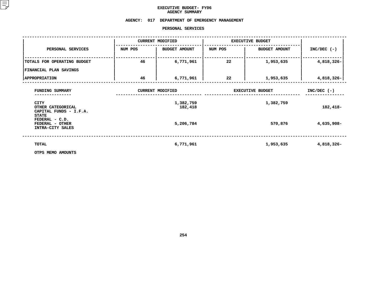### **EXECUTIVE BUDGET- FY06 AGENCY**

# AGENCY SUMMARY<br>AGENCY: 017 DEPARTMENT OF EMERGENCY MANAGEMENT<br>PERSONAL SERVICES

#### **PERSONAL**

|                                                                            |         | PERSONAL SERVICES       |                         |                      |               |
|----------------------------------------------------------------------------|---------|-------------------------|-------------------------|----------------------|---------------|
|                                                                            |         | <b>CURRENT MODIFIED</b> | <b>EXECUTIVE BUDGET</b> |                      |               |
| PERSONAL SERVICES                                                          | NUM POS | <b>BUDGET AMOUNT</b>    | NUM POS                 | <b>BUDGET AMOUNT</b> | $INC/DEC$ (-) |
| TOTALS FOR OPERATING BUDGET                                                | 46      | 6,771,961               | 22                      | 1,953,635            | 4,818,326-    |
| <b>FINANCIAL PLAN SAVINGS</b>                                              |         |                         |                         |                      |               |
| <b>APPROPRIATION</b>                                                       | 46      | 6,771,961               | 22                      | 1,953,635            | 4,818,326-    |
| FUNDING SUMMARY                                                            |         | <b>CURRENT MODIFIED</b> |                         | EXECUTIVE BUDGET     | $INC/DEC$ (-) |
| <b>CITY</b><br>OTHER CATEGORICAL<br>CAPITAL FUNDS - I.F.A.<br><b>STATE</b> |         | 1,382,759<br>182,418    |                         | 1,382,759            | 182,418-      |
| FEDERAL - C.D.<br>FEDERAL - OTHER<br>INTRA-CITY SALES                      |         | 5,206,784               |                         | 570,876              | 4,635,908-    |
| TOTAL                                                                      |         | 6,771,961               |                         | 1,953,635            | 4,818,326-    |
| OTPS MEMO AMOUNTS                                                          |         |                         |                         |                      |               |

**OTPS MEMO AMOUNTS**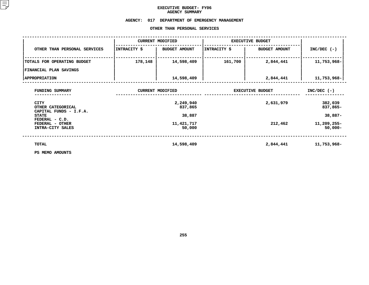### **EXECUTIVE BUDGET- FY06 AGENCY**

# **SUMMARY AGENCY: <sup>017</sup> DEPARTMENT OF EMERGENCY MANAGEMENT**

#### OTHER THAN PERSONAL SERVICES

|                                                          |              | OTHER THAN PERSONAL SERVICES |                         |                         |                           |
|----------------------------------------------------------|--------------|------------------------------|-------------------------|-------------------------|---------------------------|
|                                                          |              | <b>CURRENT MODIFIED</b>      | <b>EXECUTIVE BUDGET</b> |                         |                           |
| OTHER THAN PERSONAL SERVICES                             | INTRACITY \$ | <b>BUDGET AMOUNT</b>         | INTRACITY \$            | <b>BUDGET AMOUNT</b>    | $INC/DEC$ (-)             |
| TOTALS FOR OPERATING BUDGET                              | 178,148      | 14,598,409                   | 161,700                 | 2,844,441               | 11,753,968-               |
| <b>FINANCIAL PLAN SAVINGS</b>                            |              |                              |                         |                         |                           |
| <b>APPROPRIATION</b>                                     |              | 14,598,409                   |                         | 2,844,441               | 11,753,968-               |
| FUNDING SUMMARY                                          |              | <b>CURRENT MODIFIED</b>      |                         | <b>EXECUTIVE BUDGET</b> | $INC/DEC$ (-)             |
| <b>CITY</b><br>OTHER CATEGORICAL                         |              | 2,249,940<br>837,865         |                         | 2,631,979               | 382,039<br>837,865-       |
| CAPITAL FUNDS - I.F.A.<br><b>STATE</b><br>FEDERAL - C.D. |              | 38,887                       |                         |                         | $38,887-$                 |
| FEDERAL - OTHER<br>INTRA-CITY SALES                      |              | 11,421,717<br>50,000         |                         | 212,462                 | 11,209,255-<br>$50,000 -$ |
| TOTAL                                                    |              | 14,598,409                   |                         | 2,844,441               | 11,753,968-               |
| PS MEMO AMOUNTS                                          |              |                              |                         |                         |                           |

**PS MEMO AMOUNTS**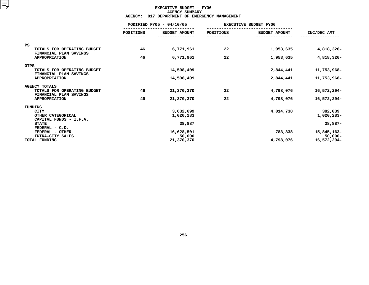#### **EXECUTIVE BUDGET - FY06 AGENCYY SUMMARY<br>T OF EMER<br>ACT**

|                                                       | <b>AGENCY:</b>   | 017 DEPARTMENT OF EMERGENCY MANAGEMENT |           |                              |             |
|-------------------------------------------------------|------------------|----------------------------------------|-----------|------------------------------|-------------|
|                                                       |                  | MODIFIED FY05 - 04/10/05               |           | <b>EXECUTIVE BUDGET FY06</b> |             |
|                                                       | <b>POSITIONS</b> | <b>BUDGET AMOUNT</b>                   | POSITIONS | <b>BUDGET AMOUNT</b>         | INC/DEC AMT |
| <b>PS</b>                                             |                  |                                        |           |                              |             |
| TOTALS FOR OPERATING BUDGET<br>FINANCIAL PLAN SAVINGS | 46               | 6,771,961                              | 22        | 1,953,635                    | 4,818,326-  |
| <b>APPROPRIATION</b>                                  | 46               | 6,771,961                              | 22        | 1,953,635                    | 4,818,326-  |
| <b>OTPS</b>                                           |                  |                                        |           |                              |             |
| TOTALS FOR OPERATING BUDGET<br>FINANCIAL PLAN SAVINGS |                  | 14,598,409                             |           | 2,844,441                    | 11,753,968- |
| <b>APPROPRIATION</b>                                  |                  | 14,598,409                             |           | 2,844,441                    | 11,753,968- |
| <b>AGENCY TOTALS</b>                                  |                  |                                        |           |                              |             |
| TOTALS FOR OPERATING BUDGET<br>FINANCIAL PLAN SAVINGS | 46               | 21,370,370                             | 22        | 4,798,076                    | 16,572,294- |
| <b>APPROPRIATION</b>                                  | 46               | 21,370,370                             | 22        | 4,798,076                    | 16,572,294- |
| FUNDING                                               |                  |                                        |           |                              |             |
| <b>CITY</b>                                           |                  | 3,632,699                              |           | 4,014,738                    | 382,039     |
| OTHER CATEGORICAL                                     |                  | 1,020,283                              |           |                              | 1,020,283-  |
| CAPITAL FUNDS - I.F.A.                                |                  |                                        |           |                              |             |
| <b>STATE</b><br>FEDERAL - C.D.                        |                  | 38,887                                 |           |                              | 38,887-     |
| FEDERAL - OTHER                                       |                  | 16,628,501                             |           | 783,338                      | 15,845,163- |
| INTRA-CITY SALES                                      |                  | 50,000                                 |           |                              | $50,000 -$  |
| TOTAL FUNDING                                         |                  | 21,370,370                             |           | 4,798,076                    | 16,572,294- |
|                                                       |                  |                                        |           |                              |             |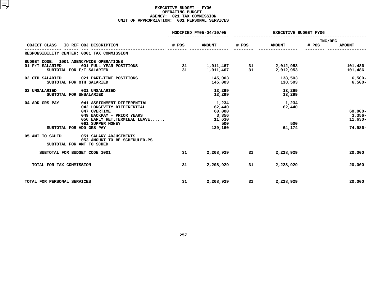#### **EXECUTIVE BUDGET - FY06 OPERATING**G BUDGET<br>TAX COMM<br>1 PERSON **AGENCY: <sup>021</sup> TAX COMMISSION UNIT OF APPROPRIATION: <sup>001</sup> PERSONAL SERVICES**

|                                                                                         |                                                                                                                                                             |          | MODIFIED FY05-04/10/05                                         |           | EXECUTIVE BUDGET FY06            |                  |                                                |  |
|-----------------------------------------------------------------------------------------|-------------------------------------------------------------------------------------------------------------------------------------------------------------|----------|----------------------------------------------------------------|-----------|----------------------------------|------------------|------------------------------------------------|--|
| OBJECT CLASS<br>IC REF OBJ DESCRIPTION                                                  |                                                                                                                                                             | # POS    | <b>AMOUNT</b>                                                  | # POS     | <b>AMOUNT</b>                    | INC/DEC<br># POS | <b>AMOUNT</b>                                  |  |
| RESPONSIBILITY CENTER: 0001 TAX COMMISSION                                              |                                                                                                                                                             |          |                                                                |           |                                  |                  |                                                |  |
| BUDGET CODE: 1001 AGENCYWIDE OPERATIONS<br>01 F/T SALARIED<br>SUBTOTAL FOR F/T SALARIED | 001 FULL YEAR POSITIONS                                                                                                                                     | 31<br>31 | 1,911,467<br>1,911,467                                         | -31<br>31 | 2,012,953<br>2,012,953           |                  | 101,486<br>101,486                             |  |
| 02 OTH SALARIED<br>SUBTOTAL FOR OTH SALARIED                                            | 021 PART-TIME POSITIONS                                                                                                                                     |          | 145,003<br>145,003                                             |           | 138,503<br>138,503               |                  | $6,500 -$<br>$6,500-$                          |  |
| 03 UNSALARIED<br>SUBTOTAL FOR UNSALARIED                                                | 031 UNSALARIED                                                                                                                                              |          | 13,299<br>13,299                                               |           | 13,299<br>13,299                 |                  |                                                |  |
| 04 ADD GRS PAY<br>SUBTOTAL FOR ADD GRS PAY                                              | 041 ASSIGNMENT DIFFERENTIAL<br>042 LONGEVITY DIFFERENTIAL<br>047 OVERTIME<br>049 BACKPAY - PRIOR YEARS<br>056 EARLY RET. TERMINAL LEAVE<br>061 SUPPER MONEY |          | 1,234<br>62,440<br>60,000<br>3,356<br>11,630<br>500<br>139,160 |           | 1,234<br>62,440<br>500<br>64,174 |                  | $60,000 -$<br>$3,356-$<br>$11,630-$<br>74,986- |  |
| 05 AMT TO SCHED<br>SUBTOTAL FOR AMT TO SCHED                                            | 051 SALARY ADJUSTMENTS<br>053 AMOUNT TO BE SCHEDULED-PS                                                                                                     |          |                                                                |           |                                  |                  |                                                |  |
| SUBTOTAL FOR BUDGET CODE 1001                                                           |                                                                                                                                                             | 31       | 2,208,929                                                      | 31        | 2,228,929                        |                  | 20,000                                         |  |
| TOTAL FOR TAX COMMISSION                                                                |                                                                                                                                                             | 31       | 2,208,929                                                      | 31        | 2,228,929                        |                  | 20,000                                         |  |
| TOTAL FOR PERSONAL SERVICES                                                             |                                                                                                                                                             | 31       | 2,208,929                                                      | 31        | 2,228,929                        |                  | 20,000                                         |  |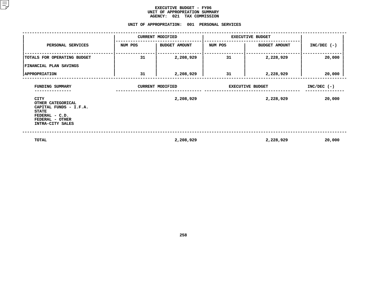#### **EXECUTIVE BUDGET - FY06** UNIT OF APPROPRIATION SUMMARY **OF APPROPRIATION SUMMARY AGENCY:**

# AGENCY: 021 TAX COMMISSION<br>UNIT OF APPROPRIATION: 001 PERSONAL

|                                                                                                                              |         | UNIT OF APPROPRIATION: 001 PERSONAL SERVICES |                         |                         |               |
|------------------------------------------------------------------------------------------------------------------------------|---------|----------------------------------------------|-------------------------|-------------------------|---------------|
|                                                                                                                              |         | <b>CURRENT MODIFIED</b>                      |                         | <b>EXECUTIVE BUDGET</b> |               |
| PERSONAL SERVICES                                                                                                            | NUM POS | <b>BUDGET AMOUNT</b>                         | NUM POS                 | <b>BUDGET AMOUNT</b>    | $INC/DEC$ (-) |
| TOTALS FOR OPERATING BUDGET<br>FINANCIAL PLAN SAVINGS                                                                        | 31      | 2,208,929                                    | 31                      | 2,228,929               | 20,000        |
| <b>APPROPRIATION</b>                                                                                                         | 31      | 2,208,929                                    | 31                      | 2,228,929               | 20,000        |
| FUNDING SUMMARY                                                                                                              |         | <b>CURRENT MODIFIED</b>                      | <b>EXECUTIVE BUDGET</b> | $INC/DEC$ (-)           |               |
| CITY<br>OTHER CATEGORICAL<br>CAPITAL FUNDS - I.F.A.<br><b>STATE</b><br>FEDERAL - C.D.<br>FEDERAL - OTHER<br>INTRA-CITY SALES |         | 2,208,929                                    |                         | 2,228,929               | 20,000        |
| TOTAL                                                                                                                        |         | 2,208,929                                    |                         | 2,228,929               | 20,000        |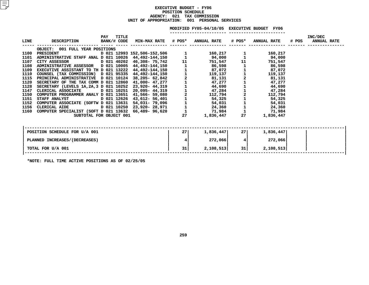#### **EXECUTIVE BUDGET - FY06 POSITIONN SCHEDULE<br>TAX COMM<br>• 001 PE AGENCY: <sup>021</sup> TAX COMMISSION UNIT OF APPROPRIATION: <sup>001</sup> PERSONAL SERVICES**

#### MODIFIED FY05-04/10/05 EXECUTIVE BUDGET FY06

**FY05-04/10/05 EXECUTIVE BUDGET FY06 -----------------------**

| LINE | <b>DESCRIPTION</b>                                   | PAY<br>BANK/# CODE | TITLE | <b>MIN-MAX RATE # POS*</b>  |                   | <b>ANNUAL RATE</b> | # POS* | <b>ANNUAL RATE</b> | # POS | INC/DEC<br><b>ANNUAL RATE</b> |
|------|------------------------------------------------------|--------------------|-------|-----------------------------|-------------------|--------------------|--------|--------------------|-------|-------------------------------|
|      | OBJECT: 001 FULL YEAR POSITIONS                      |                    |       |                             |                   |                    |        |                    |       |                               |
| 1100 | PRESIDENT                                            |                    |       | D 021 12993 152,506-152,506 |                   | 160,217            |        | 160,217            |       |                               |
| 1101 | ADMINISTRATIVE STAFF ANAL D 021 10026 44,492-144,150 |                    |       |                             |                   | 94,000             |        | 94,000             |       |                               |
| 1107 | CITY ASSESSOR                                        | D 021 40202        |       | 46,308- 75,742              | 11                | 751,547            | 11     | 751,547            |       |                               |
| 1108 | ADMINISTRATIVE ASSESSOR D 021 10005                  |                    |       | 44,492-144,150              |                   | 86,598             |        | 86,598             |       |                               |
| 1109 | EXECUTIVE ASSISTANT TO TH D 021 13222 44,492-144,150 |                    |       |                             | $112111$<br>$112$ | 87,072             |        | 87,072             |       |                               |
| 1110 | COUNSEL (TAX COMMISSION) D 021 95335                 |                    |       | 44,492-144,150              |                   | 119,137            |        | 119,137            |       |                               |
| 1115 | PRINCIPAL ADMINISTRATIVE D 021 10124                 |                    |       | 38,205- 62,842              |                   | 81,131             |        | 81,131             |       |                               |
| 1120 | SECRETARY OF THE TAX COMM D 021 12860                |                    |       | 41,000- 47,277              |                   | 47,277             |        | 47,277             |       |                               |
| 1128 | SECRETARY (LEVELS 1A, 2A, 3 D 021 10252              |                    |       | 23,920- 44,319              |                   | 44,690             |        | 44,690             |       |                               |
| 1147 | CLERICAL ASSOCIATE                                   | D 021 10251        |       | $20,095 - 44,319$           |                   | 47,284             |        | 47,284             |       |                               |
| 1150 | COMPUTER PROGRAMMER ANALY D 021 13651                |                    |       | 41,566- 59,080              |                   | 112,794            |        | 112,794            |       |                               |
| 1151 | <b>STAFF ANALYST</b>                                 | D 021 12626        |       | 43,612- 56,401              |                   | 54,325             |        | 54,325             |       |                               |
| 1152 | COMPUTER ASSOCIATE (SOFTW D 021 13631                |                    |       | 54,031- 79,096              |                   | 54,031             |        | 54,031             |       |                               |
| 1156 | CLERICAL AIDE                                        |                    |       | D 021 10250 23,920- 28,971  |                   | 24,360             |        | 24,360             |       |                               |
| 1160 | COMPUTER SPECIALIST (SOFT D 021 13632                |                    |       | 66,489-96,620               |                   | 71,984             |        | 71,984             |       |                               |
|      | SUBTOTAL FOR OBJECT 001                              |                    |       |                             | 27                | 1,836,447          | 27     | 1,836,447          |       |                               |
|      |                                                      |                    |       |                             |                   |                    |        |                    |       |                               |
|      | POSITION SCHEDULE FOR U/A 001                        |                    |       |                             | 27                | 1,836,447          | 27     | 1,836,447          |       |                               |
|      | PLANNED INCREASES/(DECREASES)                        |                    |       |                             | 4                 | 272,066            | 4      | 272,066            |       |                               |
|      | TOTAL FOR U/A 001                                    |                    |       |                             | 31                | 2,108,513          | 31     | 2,108,513          |       |                               |
|      |                                                      |                    |       |                             |                   |                    |        |                    |       |                               |

**\*NOTE: FULL TIME ACTIVE POSITIONS AS OF 02/25/05**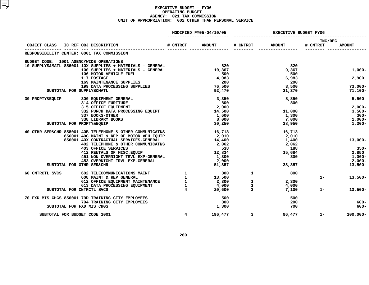#### **EXECUTIVE BUDGET - FY06 OPERATING**G BUDGET<br>TAX COMM<br>2 OTHER **AGENCY: <sup>021</sup> TAX COMMISSION UNIT OF APPROPRIATION: <sup>002</sup> OTHER THAN PERSONAL SERVICE**

|                 |                                                                                                                     |                | MODIFIED FY05-04/10/05                   | <b>EXECUTIVE BUDGET FY06</b> |               |                     |               |
|-----------------|---------------------------------------------------------------------------------------------------------------------|----------------|------------------------------------------|------------------------------|---------------|---------------------|---------------|
| OBJECT CLASS    | IC REF OBJ DESCRIPTION                                                                                              | # CNTRCT       | <b>AMOUNT</b>                            | # CNTRCT                     | <b>AMOUNT</b> | INC/DEC<br># CNTRCT | <b>AMOUNT</b> |
|                 | RESPONSIBILITY CENTER: 0001 TAX COMMISSION                                                                          |                |                                          |                              |               |                     |               |
|                 |                                                                                                                     |                |                                          |                              |               |                     |               |
|                 | BUDGET CODE: 1001 AGENCYWIDE OPERATIONS<br>10 SUPPLYS&MATL 856001 10X SUPPLIES + MATERIALS - GENERAL                |                | $\begin{array}{c} 820 \\ 10 \end{array}$ |                              | 820           |                     |               |
|                 | 100 SUPPLIES + MATERIALS - GENERAL                                                                                  |                |                                          |                              | 9,367         |                     | $1,000-$      |
|                 | 106 MOTOR VEHICLE FUEL                                                                                              |                | 500                                      |                              | 500           |                     |               |
|                 | 117 POSTAGE                                                                                                         |                | 4,083                                    |                              | 6,983         |                     | 2,900         |
|                 | <b>169 MAINTENANCE SUPPLIES</b><br><b>169 MAINTENANCE SUPPLIES<br/>199 DATA PROCESSING SUPPLIES<br/>INDIVISAMET</b> |                | 200                                      |                              | 200           |                     |               |
|                 |                                                                                                                     |                | 76,500                                   |                              | 3,500         |                     | $73,000 -$    |
|                 | SUBTOTAL FOR SUPPLYS&MATL                                                                                           |                | 92,470                                   |                              | 21,370        |                     | 71,100-       |
| 30 PROPTY&EQUIP | 300 EQUIPMENT GENERAL                                                                                               |                | 3,350                                    |                              | 8,850         |                     | 5,500         |
|                 | 314 OFFICE FURITURE                                                                                                 |                | 800                                      |                              | 800           |                     |               |
|                 | 315 OFFICE EQUIPMENT                                                                                                |                | 2,000                                    |                              |               |                     | $2,000-$      |
|                 | 332 PURCH DATA PROCESSING EQUIPT                                                                                    |                | 14,500                                   |                              | 11,000        |                     | $3,500-$      |
|                 | 337 BOOKS-OTHER                                                                                                     |                | 1,600                                    |                              | 1,300         |                     | $300 -$       |
|                 | 338 LIBRARY BOOKS                                                                                                   |                | 8,000                                    |                              | 7,000         |                     | $1,000-$      |
|                 | SUBTOTAL FOR PROPTY&EQUIP                                                                                           |                | 30,250                                   |                              | 28,950        |                     | $1,300-$      |
|                 | 40 OTHR SER&CHR 858001 40B TELEPHONE & OTHER COMMUNICATNS                                                           |                | 16,713                                   |                              | 16,713        |                     |               |
|                 | 856001 40G MAINT & REP OF MOTOR VEH EQUIP                                                                           |                | 2,010                                    |                              | 2,010         |                     |               |
|                 | 856001 40X CONTRACTUAL SERVICES-GENERAL                                                                             |                | 14,400                                   |                              | 1,400         |                     | $13,000-$     |
|                 | 402 TELEPHONE & OTHER COMMUNICATNS                                                                                  |                | 2,062                                    |                              | 2,062         |                     |               |
|                 | 403 OFFICE SERVICES<br>412 RENTALS OF MISC.EQUIP                                                                    |                | 538                                      |                              | 188           |                     | - 350 –       |
|                 |                                                                                                                     |                | 12,834                                   |                              | 15,684        |                     | 2,850         |
|                 | 451 NON OVERNIGHT TRVL EXP-GENERAL                                                                                  |                | 1,300                                    |                              | 300           |                     | $1,000-$      |
|                 | 453 OVERNIGHT TRVL EXP-GENERAL                                                                                      |                | 2,000                                    |                              |               |                     | $2,000-$      |
|                 | SUBTOTAL FOR OTHR SER&CHR                                                                                           |                | 51,857                                   |                              | 38,357        |                     | $13,500-$     |
| 60 CNTRCTL SVCS | 602 TELECOMMUNICATIONS MAINT $\frac{1}{2}$                                                                          |                | 800                                      | 1                            | 800           |                     |               |
|                 |                                                                                                                     |                | 13,500                                   |                              |               | $1 -$               | $13,500-$     |
|                 |                                                                                                                     |                | 2,300                                    | $\frac{1}{1}$                | 2,300         |                     |               |
|                 |                                                                                                                     |                | 4,000                                    |                              | 4,000         |                     |               |
|                 | SUBTOTAL FOR CNTRCTL SVCS                                                                                           |                | 20,600                                   | $\overline{3}$               | 7,100         | $1 -$               | $13,500-$     |
|                 | 70 FXD MIS CHGS 856001 79D TRAINING CITY EMPLOYEES                                                                  |                | 500                                      |                              | 500           |                     |               |
|                 | 794 TRAINING CITY EMPLOYEES                                                                                         |                | 800                                      |                              | 200           |                     | $600 -$       |
|                 | SUBTOTAL FOR FXD MIS CHGS                                                                                           |                | 1,300                                    |                              | 700           |                     | $600 -$       |
|                 | SUBTOTAL FOR BUDGET CODE 1001                                                                                       | $\overline{4}$ | 196,477                                  | $\overline{\mathbf{3}}$      | 96,477        | $1 -$               | $100,000 -$   |
|                 |                                                                                                                     |                |                                          |                              |               |                     |               |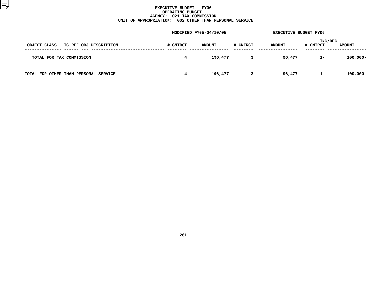#### **EXECUTIVE BUDGET - FY06 OPERATING**G BUDGET<br>TAX COMM<br>2 OTHER **AGENCY: <sup>021</sup> TAX COMMISSION UNIT OF APPROPRIATION: <sup>002</sup> OTHER THAN PERSONAL SERVICE**

|                                        | MODIFIED FY05-04/10/05 |               |          | <b>EXECUTIVE BUDGET FY06</b> |                     |               |
|----------------------------------------|------------------------|---------------|----------|------------------------------|---------------------|---------------|
| OBJECT CLASS<br>IC REF OBJ DESCRIPTION | # CNTRCT               | <b>AMOUNT</b> | # CNTRCT | <b>AMOUNT</b>                | INC/DEC<br># CNTRCT | <b>AMOUNT</b> |
| TOTAL FOR TAX COMMISSION               | 4                      | 196,477       | 3        | 96,477                       | $1 -$               | $100,000 -$   |
| TOTAL FOR OTHER THAN PERSONAL SERVICE  | 4                      | 196,477       | 3        | 96,477                       | $1 -$               | $100,000 -$   |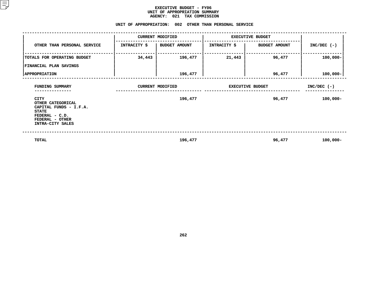#### **EXECUTIVE BUDGET - FY06** UNIT OF APPROPRIATION SUMMARY **OF APPROPRIATION SUMMARY AGENCY:**

|                                                                                                                              |                               | AGENCY: 021 TAX COMMISSION<br>UNIT OF APPROPRIATION: 002 OTHER THAN PERSONAL SERVICE |                         |                         |               |  |
|------------------------------------------------------------------------------------------------------------------------------|-------------------------------|--------------------------------------------------------------------------------------|-------------------------|-------------------------|---------------|--|
|                                                                                                                              |                               | <b>CURRENT MODIFIED</b>                                                              |                         | <b>EXECUTIVE BUDGET</b> |               |  |
| OTHER THAN PERSONAL SERVICE                                                                                                  | INTRACITY \$<br>BUDGET AMOUNT |                                                                                      | INTRACITY \$            | <b>BUDGET AMOUNT</b>    | $INC/DEC$ (-) |  |
| TOTALS FOR OPERATING BUDGET                                                                                                  | 34,443                        | 196,477                                                                              | 21,443                  | 96,477                  | $100,000 -$   |  |
| FINANCIAL PLAN SAVINGS                                                                                                       |                               |                                                                                      |                         |                         |               |  |
| <b>APPROPRIATION</b>                                                                                                         |                               | 196,477                                                                              |                         | 96,477                  | $100,000 -$   |  |
| FUNDING SUMMARY                                                                                                              |                               | <b>CURRENT MODIFIED</b>                                                              | <b>EXECUTIVE BUDGET</b> | $INC/DEC$ (-)           |               |  |
| CITY<br>OTHER CATEGORICAL<br>CAPITAL FUNDS - I.F.A.<br><b>STATE</b><br>FEDERAL - C.D.<br>FEDERAL - OTHER<br>INTRA-CITY SALES |                               | 196,477                                                                              |                         | 96,477                  | $100,000 -$   |  |
| TOTAL                                                                                                                        |                               | 196,477                                                                              |                         | 96,477                  | $100,000 -$   |  |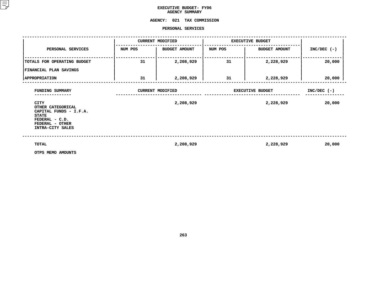### **EXECUTIVE BUDGET- FY06 AGENCY**

## **SUMMARY AGENCY:<sup>021</sup> TAX COMMISSION PERSONAL**

|                                                                               |         | PERSONAL SERVICES                    |                         |                                      |                         |
|-------------------------------------------------------------------------------|---------|--------------------------------------|-------------------------|--------------------------------------|-------------------------|
|                                                                               |         | <b>CURRENT MODIFIED</b>              | <b>EXECUTIVE BUDGET</b> |                                      |                         |
| PERSONAL SERVICES                                                             | NUM POS | <b>BUDGET AMOUNT</b>                 | NUM POS                 | <b>BUDGET AMOUNT</b>                 | $INC/DEC$ (-)           |
| TOTALS FOR OPERATING BUDGET                                                   | 31      | 2,208,929                            | 31                      | 2,228,929                            | 20,000                  |
| FINANCIAL PLAN SAVINGS                                                        |         |                                      |                         |                                      |                         |
| <b>APPROPRIATION</b>                                                          | 31      | 2,208,929                            | 31                      | 2,228,929                            | 20,000                  |
| FUNDING SUMMARY<br><b>CITY</b><br>OTHER CATEGORICAL<br>CAPITAL FUNDS - I.F.A. |         | <b>CURRENT MODIFIED</b><br>2,208,929 |                         | <b>EXECUTIVE BUDGET</b><br>2,228,929 | $INC/DEC$ (-)<br>20,000 |
| <b>STATE</b><br>FEDERAL - C.D.<br>FEDERAL - OTHER<br>INTRA-CITY SALES         |         |                                      |                         |                                      |                         |
| TOTAL                                                                         |         | 2,208,929                            |                         | 2,228,929                            | 20,000                  |
| OTPS MEMO AMOUNTS                                                             |         |                                      |                         |                                      |                         |

**OTPS MEMO AMOUNTS**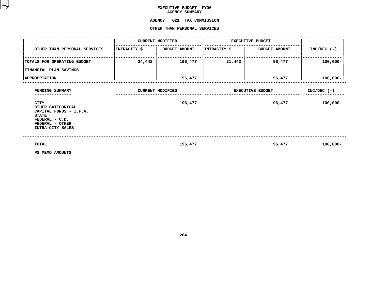## **EXECUTIVE BUDGET- FY06 AGENCY**

## **SUMMARY AGENCY:**

# **<sup>021</sup> TAX COMMISSION OTHER**

|                                                                                                                                     |              | OTHER THAN PERSONAL SERVICES |                         |                         |               |
|-------------------------------------------------------------------------------------------------------------------------------------|--------------|------------------------------|-------------------------|-------------------------|---------------|
|                                                                                                                                     |              | <b>CURRENT MODIFIED</b>      | <b>EXECUTIVE BUDGET</b> |                         |               |
| OTHER THAN PERSONAL SERVICES                                                                                                        | INTRACITY \$ | <b>BUDGET AMOUNT</b>         | INTRACITY \$            | <b>BUDGET AMOUNT</b>    | $INC/DEC$ (-) |
| TOTALS FOR OPERATING BUDGET                                                                                                         | 34,443       | 196,477                      | 21,443                  | 96,477                  | $100,000 -$   |
| FINANCIAL PLAN SAVINGS                                                                                                              |              |                              |                         |                         |               |
| <b>APPROPRIATION</b>                                                                                                                |              | 196,477                      |                         | 96,477                  | $100,000 -$   |
| FUNDING SUMMARY                                                                                                                     |              | <b>CURRENT MODIFIED</b>      |                         | <b>EXECUTIVE BUDGET</b> | $INC/DEC$ (-) |
| <b>CITY</b><br>OTHER CATEGORICAL<br>CAPITAL FUNDS - I.F.A.<br><b>STATE</b><br>FEDERAL - C.D.<br>FEDERAL - OTHER<br>INTRA-CITY SALES |              | 196,477                      |                         | 96,477                  | $100,000 -$   |
| TOTAL<br>PS MEMO AMOUNTS                                                                                                            |              | 196,477                      |                         | 96,477                  | $100,000 -$   |

**PS MEMO AMOUNTS**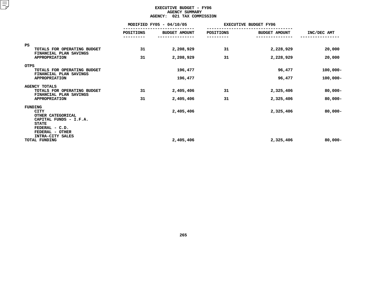#### **EXECUTIVE BUDGET - FY06 AGENCYY SUMMARY<br>TAX COMM<br>...**

|                                                                                                       |                  | <b>AGENCY:</b><br>021 TAX COMMISSION |           |                              |                            |
|-------------------------------------------------------------------------------------------------------|------------------|--------------------------------------|-----------|------------------------------|----------------------------|
|                                                                                                       |                  | MODIFIED FY05 - 04/10/05             |           | <b>EXECUTIVE BUDGET FY06</b> |                            |
|                                                                                                       | <b>POSITIONS</b> | <b>BUDGET AMOUNT</b>                 | POSITIONS | <b>BUDGET AMOUNT</b>         | INC/DEC AMT                |
| PS<br>TOTALS FOR OPERATING BUDGET                                                                     | 31               | 2,208,929                            | 31        | 2,228,929                    | 20,000                     |
| FINANCIAL PLAN SAVINGS<br><b>APPROPRIATION</b>                                                        | 31               | 2,208,929                            | 31        | 2,228,929                    | 20,000                     |
| <b>OTPS</b><br>TOTALS FOR OPERATING BUDGET<br>FINANCIAL PLAN SAVINGS<br><b>APPROPRIATION</b>          |                  | 196,477<br>196,477                   |           | 96,477<br>96,477             | $100,000 -$<br>$100,000 -$ |
| <b>AGENCY TOTALS</b><br>TOTALS FOR OPERATING BUDGET<br>FINANCIAL PLAN SAVINGS<br><b>APPROPRIATION</b> | 31<br>31         | 2,405,406<br>2,405,406               | 31<br>31  | 2,325,406<br>2,325,406       | $80,000 -$<br>$80,000 -$   |
| FUNDING<br><b>CITY</b><br>OTHER CATEGORICAL<br>CAPITAL FUNDS - I.F.A.<br><b>STATE</b>                 |                  | 2,405,406                            |           | 2,325,406                    | $80,000 -$                 |
| FEDERAL - C.D.<br>FEDERAL - OTHER<br>INTRA-CITY SALES<br>TOTAL FUNDING                                |                  | 2,405,406                            |           | 2,325,406                    | $80,000 -$                 |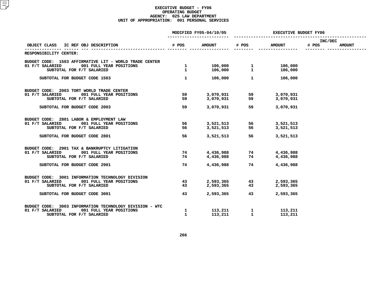| <b>EXECUTIVE BUDGET FY06</b> |       |                                        |                                      | MODIFIED FY05-04/10/05 |                                  |                                                                                             |  |  |  |
|------------------------------|-------|----------------------------------------|--------------------------------------|------------------------|----------------------------------|---------------------------------------------------------------------------------------------|--|--|--|
| INC/DEC<br><b>AMOUNT</b>     | # POS | <b>AMOUNT</b>                          | # POS                                | <b>AMOUNT</b>          | # POS                            | OBJECT CLASS IC REF OBJ DESCRIPTION                                                         |  |  |  |
|                              |       |                                        |                                      |                        | ------- -------- --------------- | RESPONSIBILITY CENTER:                                                                      |  |  |  |
|                              |       |                                        |                                      |                        |                                  |                                                                                             |  |  |  |
|                              |       |                                        |                                      |                        |                                  | BUDGET CODE: 1503 AFFIRMATIVE LIT - WORLD TRADE CENTER                                      |  |  |  |
|                              |       | 106,000                                |                                      |                        | $\mathbf{1}$                     | 01 F/T SALARIED<br>001 FULL YEAR POSITIONS                                                  |  |  |  |
|                              |       | 106,000                                |                                      |                        | $\mathbf{1}$                     | SUBTOTAL FOR F/T SALARIED                                                                   |  |  |  |
|                              |       | 106,000                                | $\mathbf{1}$                         | 106,000                | $\mathbf{1}$                     | SUBTOTAL FOR BUDGET CODE 1503                                                               |  |  |  |
|                              |       |                                        |                                      |                        |                                  | BUDGET CODE: 2003 TORT WORLD TRADE CENTER                                                   |  |  |  |
|                              |       | 3,070,931                              | 59                                   | 3,070,931              | 59                               | 01 F/T SALARIED<br>001 FULL YEAR POSITIONS                                                  |  |  |  |
|                              |       | 3,070,931                              | 59                                   | 3,070,931              | 59                               | SUBTOTAL FOR F/T SALARIED                                                                   |  |  |  |
|                              |       | 3,070,931                              | 3,070,931 59                         |                        | 59                               | SUBTOTAL FOR BUDGET CODE 2003                                                               |  |  |  |
|                              |       |                                        |                                      |                        |                                  | BUDGET CODE: 2801 LABOR & EMPLOYMENT LAW                                                    |  |  |  |
|                              |       | 3,521,513                              | 3,521,513 56                         |                        | 56                               | 01 F/T SALARIED<br>001 FULL YEAR POSITIONS                                                  |  |  |  |
|                              |       | 56 3,521,513                           |                                      | 3,521,513              | 56                               | SUBTOTAL FOR F/T SALARIED                                                                   |  |  |  |
|                              |       | 3,521,513                              | 56 — 1                               | 3,521,513              | 56                               | SUBTOTAL FOR BUDGET CODE 2801                                                               |  |  |  |
|                              |       |                                        |                                      |                        |                                  |                                                                                             |  |  |  |
|                              |       |                                        |                                      |                        | 74                               | BUDGET CODE: 2901 TAX & BANKRUPTCY LITIGATION<br>01 F/T SALARIED<br>001 FULL YEAR POSITIONS |  |  |  |
|                              |       | 4,436,988 74 4,436,988<br>74 4,436,988 |                                      | 4,436,988              | 74                               | SUBTOTAL FOR F/T SALARIED                                                                   |  |  |  |
|                              |       |                                        |                                      |                        |                                  |                                                                                             |  |  |  |
|                              |       | 4,436,988                              | 4,436,988 74                         |                        | 74                               | SUBTOTAL FOR BUDGET CODE 2901                                                               |  |  |  |
|                              |       |                                        |                                      |                        |                                  | BUDGET CODE: 3001 INFORMATION TECHNOLOGY DIVISION                                           |  |  |  |
|                              |       | 2,593,365                              |                                      |                        | 43                               | 01 F/T SALARIED<br>001 FULL YEAR POSITIONS                                                  |  |  |  |
|                              |       | 2,593,365                              | 2,593,365     43<br>2,593,365     43 |                        | 43                               | SUBTOTAL FOR F/T SALARIED                                                                   |  |  |  |
|                              |       | 2,593,365                              | 43 and $\sim$                        | 2,593,365              | 43                               | SUBTOTAL FOR BUDGET CODE 3001                                                               |  |  |  |
|                              |       |                                        |                                      |                        |                                  | BUDGET CODE: 3003 INFORMATION TECHNOLOGY DIVISION - WTC                                     |  |  |  |
|                              |       | 113,211                                |                                      |                        |                                  | 01 F/T SALARIED<br>001 FULL YEAR POSITIONS                                                  |  |  |  |
|                              |       | 113,211                                |                                      |                        | $\mathbf{1}$                     | SUBTOTAL FOR F/T SALARIED                                                                   |  |  |  |
|                              |       |                                        | 113,211 1<br>113,211 1               |                        | 1                                |                                                                                             |  |  |  |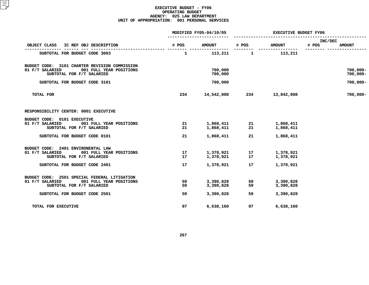|                                                                                                                          |              | MODIFIED FY05-04/10/05 | <b>EXECUTIVE BUDGET FY06</b> |                        |                                   |  |
|--------------------------------------------------------------------------------------------------------------------------|--------------|------------------------|------------------------------|------------------------|-----------------------------------|--|
| OBJECT CLASS<br>IC REF OBJ DESCRIPTION                                                                                   | # POS        | <b>AMOUNT</b>          | # POS                        | <b>AMOUNT</b>          | INC/DEC<br># POS<br><b>AMOUNT</b> |  |
| SUBTOTAL FOR BUDGET CODE 3003                                                                                            | $\mathbf{1}$ | 113,211                | $\mathbf{1}$                 | 113,211                |                                   |  |
|                                                                                                                          |              |                        |                              |                        |                                   |  |
| BUDGET CODE: 3101 CHARTER REVISION COMMISSION<br>01 F/T SALARIED<br>001 FULL YEAR POSITIONS<br>SUBTOTAL FOR F/T SALARIED |              | 700,000<br>700,000     |                              |                        | $700,000 -$<br>$700,000 -$        |  |
| SUBTOTAL FOR BUDGET CODE 3101                                                                                            |              | 700,000                |                              |                        | $700,000 -$                       |  |
| <b>TOTAL FOR</b>                                                                                                         | 234          | 14,542,008             | 234                          | 13,842,008             | $700,000 -$                       |  |
| RESPONSIBILITY CENTER: 0001 EXECUTIVE                                                                                    |              |                        |                              |                        |                                   |  |
| BUDGET CODE: 0101 EXECUTIVE                                                                                              |              |                        |                              |                        |                                   |  |
| 01 F/T SALARIED<br>001 FULL YEAR POSITIONS<br>SUBTOTAL FOR F/T SALARIED                                                  | 21<br>21     | 1,868,411<br>1,868,411 | 21<br>21                     | 1,868,411<br>1,868,411 |                                   |  |
| SUBTOTAL FOR BUDGET CODE 0101                                                                                            | 21           | 1,868,411              | 21                           | 1,868,411              |                                   |  |
| BUDGET CODE: 2401 ENVIRONENTAL LAW                                                                                       |              |                        |                              |                        |                                   |  |
| 01 F/T SALARIED<br>001 FULL YEAR POSITIONS<br>SUBTOTAL FOR F/T SALARIED                                                  | 17<br>17     | 1,378,921<br>1,378,921 | 17<br>17                     | 1,378,921<br>1,378,921 |                                   |  |
|                                                                                                                          |              |                        |                              |                        |                                   |  |
| SUBTOTAL FOR BUDGET CODE 2401                                                                                            | 17           | 1,378,921              | 17                           | 1,378,921              |                                   |  |
| BUDGET CODE: 2501 SPECIAL FEDERAL LITIGATION                                                                             |              |                        |                              |                        |                                   |  |
| 01 F/T SALARIED<br>001 FULL YEAR POSITIONS<br>SUBTOTAL FOR F/T SALARIED                                                  | 59<br>59     | 3,390,828<br>3,390,828 | 59<br>59                     | 3,390,828<br>3,390,828 |                                   |  |
| SUBTOTAL FOR BUDGET CODE 2501                                                                                            | 59           | 3,390,828              | 59                           | 3,390,828              |                                   |  |
| TOTAL FOR EXECUTIVE                                                                                                      | 97           | 6,638,160              | 97                           | 6,638,160              |                                   |  |
|                                                                                                                          |              |                        |                              |                        |                                   |  |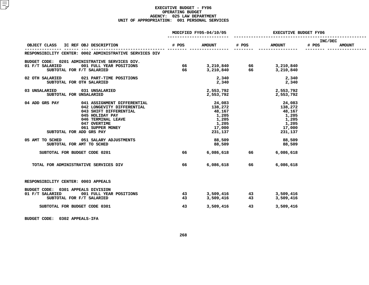|                                                                                                     |       | MODIFIED FY05-04/10/05 | <b>EXECUTIVE BUDGET FY06</b> |                                                          |                  |               |
|-----------------------------------------------------------------------------------------------------|-------|------------------------|------------------------------|----------------------------------------------------------|------------------|---------------|
| OBJECT CLASS IC REF OBJ DESCRIPTION                                                                 | # POS | <b>AMOUNT</b>          | # POS                        | <b>AMOUNT</b>                                            | INC/DEC<br># POS | <b>AMOUNT</b> |
| RESPONSIBILITY CENTER: 0002 ADMINISTRATIVE SERVICES DIV                                             |       |                        |                              |                                                          |                  |               |
|                                                                                                     |       |                        |                              |                                                          |                  |               |
| BUDGET CODE: 0201 ADMINISTRATIVE SERVICES DIV.<br>01 F/T SALARIED                                   | 66    |                        |                              |                                                          |                  |               |
| 001 FULL YEAR POSITIONS                                                                             |       |                        |                              | 3, 210, 840 66 3, 210, 840<br>3, 210, 840 66 3, 210, 840 |                  |               |
| SUBTOTAL FOR F/T SALARIED                                                                           | 66    |                        |                              | 3,210,840                                                |                  |               |
| 02 OTH SALARIED<br>021 PART-TIME POSITIONS                                                          |       | 2,340                  |                              | 2,340                                                    |                  |               |
| SUBTOTAL FOR OTH SALARIED                                                                           |       |                        |                              | 2,340                                                    |                  |               |
| 03 UNSALARIED<br>031 UNSALARIED                                                                     |       | 2,553,792              |                              | 2,553,792                                                |                  |               |
| SUBTOTAL FOR UNSALARIED                                                                             |       | 2,553,792              |                              | 2,553,792                                                |                  |               |
| 04 ADD GRS PAY<br>041 ASSIGNMENT DIFFERENTIAL                                                       |       | 24,083                 |                              | 24,083                                                   |                  |               |
| 042 LONGEVITY DIFFERENTIAL                                                                          |       | 138,272                |                              | 138,272                                                  |                  |               |
| 043 SHIFT DIFFERENTIAL                                                                              |       | 48,167                 |                              | 48,167                                                   |                  |               |
| 043 SHIFT DIFFERENTIFF<br>045 HOLIDAY PAY<br>046 TERMINAL LEAVE<br>047 OVERTIME<br>061 SUPPER MONEY |       | 1,205                  |                              |                                                          |                  |               |
|                                                                                                     |       |                        |                              | 1,205                                                    |                  |               |
|                                                                                                     |       | 1,205                  |                              | 1,205                                                    |                  |               |
|                                                                                                     |       | 1,205                  |                              | 1,205                                                    |                  |               |
|                                                                                                     |       | 17,000                 |                              | 17,000                                                   |                  |               |
| SUBTOTAL FOR ADD GRS PAY                                                                            |       | 231,137                |                              | 231,137                                                  |                  |               |
| 05 AMT TO SCHED<br>051 SALARY ADJUSTMENTS                                                           |       | 88,509                 |                              | 88,509                                                   |                  |               |
| SUBTOTAL FOR AMT TO SCHED                                                                           |       | 88,509                 |                              | 88,509                                                   |                  |               |
| SUBTOTAL FOR BUDGET CODE 0201                                                                       | 66    | 6,086,618 66           |                              | 6,086,618                                                |                  |               |
| TOTAL FOR ADMINISTRATIVE SERVICES DIV                                                               | 66    | 6,086,618              | 66                           | 6,086,618                                                |                  |               |
|                                                                                                     |       |                        |                              |                                                          |                  |               |
| RESPONSIBILITY CENTER: 0003 APPEALS                                                                 |       |                        |                              |                                                          |                  |               |
| BUDGET CODE: 0301 APPEALS DIVISION                                                                  |       |                        |                              |                                                          |                  |               |
| 01 F/T SALARIED<br>001 FULL YEAR POSITIONS                                                          | 43    | 3,509,416              |                              | 3,509,416                                                |                  |               |
| SUBTOTAL FOR F/T SALARIED                                                                           | 43    | 3,509,416              | $\frac{43}{43}$              | 3,509,416                                                |                  |               |
| SUBTOTAL FOR BUDGET CODE 0301                                                                       | 43    | 3,509,416              | 43                           | 3,509,416                                                |                  |               |
|                                                                                                     |       |                        |                              |                                                          |                  |               |

**BUDGET CODE: <sup>0302</sup> APPEALS-IFA**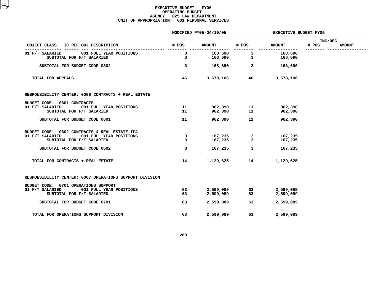|                                                         |                         | MODIFIED FY05-04/10/05 | EXECUTIVE BUDGET FY06                                        |                   |                  |               |
|---------------------------------------------------------|-------------------------|------------------------|--------------------------------------------------------------|-------------------|------------------|---------------|
| OBJECT CLASS IC REF OBJ DESCRIPTION                     |                         | # POS AMOUNT # POS     |                                                              | <b>AMOUNT</b>     | INC/DEC<br># POS | <b>AMOUNT</b> |
| 01 F/T SALARIED 001 FULL YEAR POSITIONS                 | $\overline{\mathbf{3}}$ |                        |                                                              | 168,690 3 168,690 |                  |               |
| SUBTOTAL FOR F/T SALARIED                               | 3                       |                        | $168,690$ 3                                                  | 168,690           |                  |               |
| SUBTOTAL FOR BUDGET CODE 0302                           | $\mathbf{3}$            |                        |                                                              | 168,690 3 168,690 |                  |               |
| TOTAL FOR APPEALS                                       | 46                      |                        | 3,678,106 46                                                 | 3,678,106         |                  |               |
| RESPONSIBILITY CENTER: 0006 CONTRACTS + REAL ESTATE     |                         |                        |                                                              |                   |                  |               |
| BUDGET CODE: 0601 CONTRACTS                             |                         |                        |                                                              |                   |                  |               |
| 01 F/T SALARIED<br>001 FULL YEAR POSITIONS              | 11                      |                        |                                                              | 962,390           |                  |               |
| SUBTOTAL FOR F/T SALARIED                               | 11                      |                        |                                                              | 962,390           |                  |               |
| SUBTOTAL FOR BUDGET CODE 0601                           | 11                      |                        | 962,390 11                                                   | 962,390           |                  |               |
| BUDGET CODE: 0602 CONTRACTS & REAL ESTATE-IFA           |                         |                        |                                                              |                   |                  |               |
| 01 F/T SALARIED 001 FULL YEAR POSITIONS                 | $\mathbf{3}$            |                        | 167,235 3<br>167,235 3                                       | 167,235           |                  |               |
| SUBTOTAL FOR F/T SALARIED                               | $\overline{3}$          |                        |                                                              | 167,235           |                  |               |
| SUBTOTAL FOR BUDGET CODE 0602                           | 3                       | 167,235                | $\overline{\mathbf{3}}$                                      | 167,235           |                  |               |
| TOTAL FOR CONTRACTS + REAL ESTATE                       | 14                      | 1,129,625              | 14                                                           | 1,129,625         |                  |               |
| RESPONSIBILITY CENTER: 0007 OPERATIONS SUPPORT DIVISION |                         |                        |                                                              |                   |                  |               |
| BUDGET CODE: 0701 OPERATIONS SUPPORT                    |                         |                        |                                                              |                   |                  |               |
| 01 F/T SALARIED<br>001 FULL YEAR POSITIONS              | 63                      |                        | 2,599,089               63<br>2,599,089                   63 | 2,599,089         |                  |               |
| SUBTOTAL FOR F/T SALARIED                               | 63                      |                        |                                                              | 2,599,089         |                  |               |
| SUBTOTAL FOR BUDGET CODE 0701                           | 63                      | 2,599,089              | 63 — 1                                                       | 2,599,089         |                  |               |
| TOTAL FOR OPERATIONS SUPPORT DIVISION                   | 63                      | 2,599,089              | 63                                                           | 2,599,089         |                  |               |
|                                                         |                         |                        |                                                              |                   |                  |               |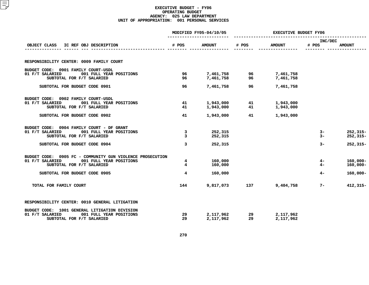|                                                                         |                     | MODIFIED FY05-04/10/05 | <b>EXECUTIVE BUDGET FY06</b> |                        |                  |                              |  |
|-------------------------------------------------------------------------|---------------------|------------------------|------------------------------|------------------------|------------------|------------------------------|--|
| IC REF OBJ DESCRIPTION<br>OBJECT CLASS                                  | # POS               | <b>AMOUNT</b>          | # POS                        | <b>AMOUNT</b>          | INC/DEC<br># POS | <b>AMOUNT</b>                |  |
|                                                                         |                     |                        |                              |                        |                  |                              |  |
| RESPONSIBILITY CENTER: 0009 FAMILY COURT                                |                     |                        |                              |                        |                  |                              |  |
| BUDGET CODE: 0901 FAMILY COURT-USDL                                     |                     |                        |                              |                        |                  |                              |  |
| 01 F/T SALARIED<br>001 FULL YEAR POSITIONS<br>SUBTOTAL FOR F/T SALARIED | 96<br>96            | 7,461,758<br>7,461,758 | 96<br>96                     | 7,461,758<br>7,461,758 |                  |                              |  |
| SUBTOTAL FOR BUDGET CODE 0901                                           | 96                  | 7,461,758              | 96                           | 7,461,758              |                  |                              |  |
| BUDGET CODE: 0902 FAMILY COURT-USDL                                     |                     |                        |                              |                        |                  |                              |  |
| 01 F/T SALARIED<br>001 FULL YEAR POSITIONS<br>SUBTOTAL FOR F/T SALARIED | 41<br>41            | 1,943,000<br>1,943,000 | 41<br>41                     | 1,943,000<br>1,943,000 |                  |                              |  |
| SUBTOTAL FOR BUDGET CODE 0902                                           | 41                  | 1,943,000              | 41                           | 1,943,000              |                  |                              |  |
| BUDGET CODE: 0904 FAMILY COURT - DF GRANT                               |                     |                        |                              |                        |                  |                              |  |
| 01 F/T SALARIED<br>001 FULL YEAR POSITIONS<br>SUBTOTAL FOR F/T SALARIED | 3<br>$\overline{3}$ | 252,315<br>252,315     |                              |                        | $3-$<br>$3-$     | $252, 315 -$<br>$252, 315 -$ |  |
| SUBTOTAL FOR BUDGET CODE 0904                                           | 3                   | 252,315                |                              |                        | $3-$             | $252, 315 -$                 |  |
| BUDGET CODE: 0905 FC - COMMUNITY GUN VIOLENCE PROSECUTION               |                     |                        |                              |                        |                  |                              |  |
| 01 F/T SALARIED<br>001 FULL YEAR POSITIONS<br>SUBTOTAL FOR F/T SALARIED | 4<br>$\overline{4}$ | 160,000<br>160,000     |                              |                        | 4 –<br>$4-$      | $160,000 -$<br>$160,000 -$   |  |
| SUBTOTAL FOR BUDGET CODE 0905                                           | $\overline{4}$      | 160,000                |                              |                        | $4-$             | $160,000 -$                  |  |
| TOTAL FOR FAMILY COURT                                                  | 144                 | 9,817,073              | 137                          | 9,404,758              | $7 -$            | $412,315-$                   |  |
| RESPONSIBILITY CENTER: 0010 GENERAL LITIGATION                          |                     |                        |                              |                        |                  |                              |  |
| BUDGET CODE: 1001 GENERAL LITIGATION DIVISION                           |                     |                        |                              |                        |                  |                              |  |
| 01 F/T SALARIED<br>001 FULL YEAR POSITIONS<br>SUBTOTAL FOR F/T SALARIED | 29<br>29            | 2,117,962<br>2,117,962 | 29<br>29                     | 2,117,962<br>2,117,962 |                  |                              |  |
|                                                                         |                     |                        |                              |                        |                  |                              |  |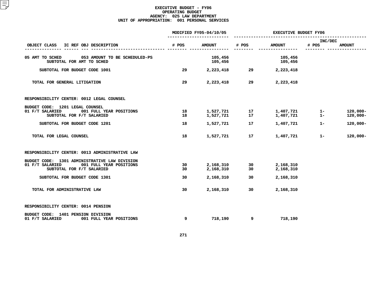|                                                                                                                          |          | MODIFIED FY05-04/10/05 | <b>EXECUTIVE BUDGET FY06</b> |                        |                  |                            |  |
|--------------------------------------------------------------------------------------------------------------------------|----------|------------------------|------------------------------|------------------------|------------------|----------------------------|--|
| OBJECT CLASS<br>IC REF OBJ DESCRIPTION                                                                                   | # POS    | <b>AMOUNT</b>          | # POS                        | <b>AMOUNT</b>          | INC/DEC<br># POS | <b>AMOUNT</b>              |  |
| 05 AMT TO SCHED<br>053 AMOUNT TO BE SCHEDULED-PS<br>SUBTOTAL FOR AMT TO SCHED                                            |          | 105,456<br>105,456     |                              | 105,456<br>105,456     |                  |                            |  |
| SUBTOTAL FOR BUDGET CODE 1001                                                                                            | 29       | 2,223,418              | 29                           | 2,223,418              |                  |                            |  |
| TOTAL FOR GENERAL LITIGATION                                                                                             | 29       | 2,223,418              | 29                           | 2,223,418              |                  |                            |  |
| RESPONSIBILITY CENTER: 0012 LEGAL COUNSEL                                                                                |          |                        |                              |                        |                  |                            |  |
| BUDGET CODE: 1201 LEGAL COUNSEL<br>01 F/T SALARIED<br>001 FULL YEAR POSITIONS<br>SUBTOTAL FOR F/T SALARIED               | 18<br>18 | 1,527,721<br>1,527,721 | 17<br>17                     | 1,407,721<br>1,407,721 | $1-$<br>$1 -$    | $120,000 -$<br>$120,000 -$ |  |
| SUBTOTAL FOR BUDGET CODE 1201                                                                                            | 18       | 1,527,721              | 17                           | 1,407,721              | $1 -$            | $120,000 -$                |  |
| TOTAL FOR LEGAL COUNSEL                                                                                                  | 18       | 1,527,721              | 17                           | 1,407,721              | $1 -$            | $120,000 -$                |  |
| RESPONSIBILITY CENTER: 0013 ADMINISTRATIVE LAW                                                                           |          |                        |                              |                        |                  |                            |  |
| BUDGET CODE: 1301 ADMINISTRATIVE LAW DIVISION<br>01 F/T SALARIED<br>001 FULL YEAR POSITIONS<br>SUBTOTAL FOR F/T SALARIED | 30<br>30 | 2,168,310<br>2,168,310 | 30<br>30                     | 2,168,310<br>2,168,310 |                  |                            |  |
| SUBTOTAL FOR BUDGET CODE 1301                                                                                            | 30       | 2,168,310              | 30                           | 2,168,310              |                  |                            |  |
| TOTAL FOR ADMINISTRATIVE LAW                                                                                             | 30       | 2,168,310              | 30                           | 2,168,310              |                  |                            |  |
| RESPONSIBILITY CENTER: 0014 PENSION                                                                                      |          |                        |                              |                        |                  |                            |  |
| BUDGET CODE: 1401 PENSION DIVISION<br>01 F/T SALARIED<br>001 FULL YEAR POSITIONS                                         | 9        | 718,190                | 9                            | 718,190                |                  |                            |  |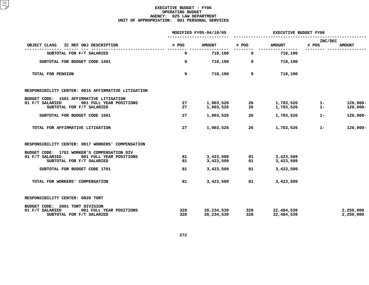|                                                                         |            | MODIFIED FY05-04/10/05   | <b>EXECUTIVE BUDGET FY06</b> |                          |                  |                        |  |
|-------------------------------------------------------------------------|------------|--------------------------|------------------------------|--------------------------|------------------|------------------------|--|
| IC REF OBJ DESCRIPTION<br>OBJECT CLASS                                  | # POS      | <b>AMOUNT</b>            | # POS                        | <b>AMOUNT</b>            | INC/DEC<br># POS | <b>AMOUNT</b>          |  |
| SUBTOTAL FOR F/T SALARIED                                               | 9          | 718,190                  | 9                            | 718,190                  |                  |                        |  |
| SUBTOTAL FOR BUDGET CODE 1401                                           | 9          | 718,190                  | 9                            | 718,190                  |                  |                        |  |
| TOTAL FOR PENSION                                                       | 9          | 718,190                  | 9                            | 718,190                  |                  |                        |  |
| RESPONSIBILITY CENTER: 0015 AFFIRMATIVE LITIGATION                      |            |                          |                              |                          |                  |                        |  |
| BUDGET CODE: 1501 AFFIRMATIVE LITIGATION                                |            |                          |                              |                          |                  |                        |  |
| 01 F/T SALARIED<br>001 FULL YEAR POSITIONS                              | 27         | 1,903,526                | 26                           | 1,783,526                | $1 -$            | $120,000 -$            |  |
| SUBTOTAL FOR F/T SALARIED                                               | 27         | 1,903,526                | 26                           | 1,783,526                | $1 -$            | $120,000 -$            |  |
| SUBTOTAL FOR BUDGET CODE 1501                                           | 27         | 1,903,526                | 26                           | 1,783,526                | $1 -$            | $120,000 -$            |  |
| TOTAL FOR AFFIRMATIVE LITIGATION                                        | 27         | 1,903,526                | 26                           | 1,783,526                | $1 -$            | $120,000 -$            |  |
| RESPONSIBILITY CENTER: 0017 WORKERS' COMPENSATION                       |            |                          |                              |                          |                  |                        |  |
| BUDGET CODE: 1701 WORKER'S COMPENSATION DIV                             |            |                          |                              |                          |                  |                        |  |
| 01 F/T SALARIED<br>001 FULL YEAR POSITIONS                              | 81         | 3,423,509                | 81                           | 3,423,509                |                  |                        |  |
| SUBTOTAL FOR F/T SALARIED                                               | 81         | 3,423,509                | 81                           | 3,423,509                |                  |                        |  |
| SUBTOTAL FOR BUDGET CODE 1701                                           | 81         | 3,423,509                | 81                           | 3,423,509                |                  |                        |  |
| TOTAL FOR WORKERS' COMPENSATION                                         | 81         | 3,423,509                | 81                           | 3,423,509                |                  |                        |  |
| RESPONSIBILITY CENTER: 0020 TORT                                        |            |                          |                              |                          |                  |                        |  |
| BUDGET CODE: 2001 TORT DIVISION                                         |            |                          |                              |                          |                  |                        |  |
| 01 F/T SALARIED<br>001 FULL YEAR POSITIONS<br>SUBTOTAL FOR F/T SALARIED | 328<br>328 | 20,234,539<br>20,234,539 | 328<br>328                   | 22,484,539<br>22,484,539 |                  | 2,250,000<br>2,250,000 |  |
|                                                                         |            |                          |                              |                          |                  |                        |  |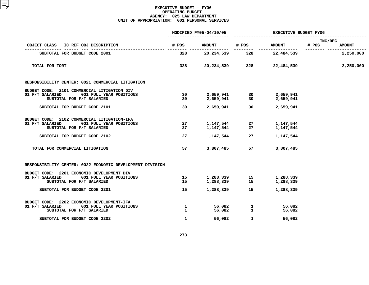|                                                                                                                                                         |                              | MODIFIED FY05-04/10/05              | <b>EXECUTIVE BUDGET FY06</b> |                                     |                                   |  |  |
|---------------------------------------------------------------------------------------------------------------------------------------------------------|------------------------------|-------------------------------------|------------------------------|-------------------------------------|-----------------------------------|--|--|
| OBJECT CLASS<br>IC REF OBJ DESCRIPTION                                                                                                                  | # POS                        | <b>AMOUNT</b>                       | # POS                        | <b>AMOUNT</b>                       | INC/DEC<br># POS<br><b>AMOUNT</b> |  |  |
| SUBTOTAL FOR BUDGET CODE 2001                                                                                                                           | 328                          | 20,234,539                          | 328                          | --------------<br>22,484,539        | 2,250,000                         |  |  |
| TOTAL FOR TORT                                                                                                                                          | 328                          | 20,234,539                          | 328 — 1                      | 22,484,539                          | 2,250,000                         |  |  |
| RESPONSIBILITY CENTER: 0021 COMMERCIAL LITIGATION                                                                                                       |                              |                                     |                              |                                     |                                   |  |  |
| BUDGET CODE: 2101 COMMERCIAL LITIGATION DIV<br>01 F/T SALARIED<br>001 FULL YEAR POSITIONS<br>SUBTOTAL FOR F/T SALARIED                                  | 30<br>30                     | 2,659,941<br>2,659,941              | $\frac{30}{30}$              | 2,659,941<br>2,659,941              |                                   |  |  |
| SUBTOTAL FOR BUDGET CODE 2101                                                                                                                           | 30                           | 2,659,941                           | $\overline{30}$              | 2,659,941                           |                                   |  |  |
| BUDGET CODE: 2102 COMMERCIAL LITIGATION-IFA<br>001 FULL YEAR POSITIONS<br>01 F/T SALARIED<br>SUBTOTAL FOR F/T SALARIED<br>SUBTOTAL FOR BUDGET CODE 2102 | 27<br>27<br>27               | 1,147,544<br>1.147.544<br>1,147,544 | 27<br>27<br>27               | 1,147,544<br>1,147,544<br>1,147,544 |                                   |  |  |
| TOTAL FOR COMMERCIAL LITIGATION                                                                                                                         | 57                           | 3,807,485                           | 57                           | 3,807,485                           |                                   |  |  |
| RESPONSIBILITY CENTER: 0022 ECONOMIC DEVELOPMENT DIVISION                                                                                               |                              |                                     |                              |                                     |                                   |  |  |
| BUDGET CODE: 2201 ECONOMIC DEVELOPMENT DIV<br>01 F/T SALARIED<br>001 FULL YEAR POSITIONS<br>SUBTOTAL FOR F/T SALARIED                                   | 15<br>15                     | 1,288,339<br>1,288,339              | 15<br>15                     | 1,288,339<br>1,288,339              |                                   |  |  |
| SUBTOTAL FOR BUDGET CODE 2201                                                                                                                           | 15                           | 1,288,339                           | 15                           | 1,288,339                           |                                   |  |  |
| BUDGET CODE: 2202 ECONOMIC DEVELOPMENT-IFA<br>01 F/T SALARIED<br>001 FULL YEAR POSITIONS<br>SUBTOTAL FOR F/T SALARIED                                   | $\mathbf{1}$<br>$\mathbf{1}$ | 56,082<br>56,082                    | $\mathbf{1}$<br>$\mathbf{1}$ | 56,082<br>56,082                    |                                   |  |  |
| SUBTOTAL FOR BUDGET CODE 2202                                                                                                                           | $\mathbf{1}$                 | 56,082                              | $\mathbf{1}$                 | 56,082                              |                                   |  |  |
|                                                                                                                                                         |                              |                                     |                              |                                     |                                   |  |  |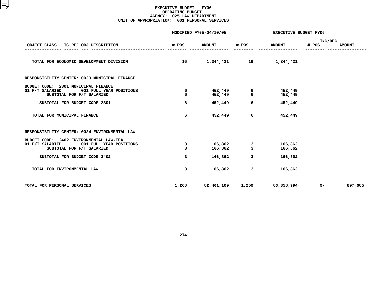|                                                                                                                                                     |                          | MODIFIED FY05-04/10/05        | <b>EXECUTIVE BUDGET FY06</b> |                               |                  |               |  |
|-----------------------------------------------------------------------------------------------------------------------------------------------------|--------------------------|-------------------------------|------------------------------|-------------------------------|------------------|---------------|--|
| OBJECT CLASS<br>IC REF OBJ DESCRIPTION                                                                                                              | # POS                    | <b>AMOUNT</b>                 | # POS                        | <b>AMOUNT</b>                 | INC/DEC<br># POS | <b>AMOUNT</b> |  |
| TOTAL FOR ECONOMIC DEVELOPMENT DIVISION                                                                                                             | 16                       | 1,344,421 16                  |                              | 1,344,421                     |                  |               |  |
| RESPONSIBILITY CENTER: 0023 MUNICIPAL FINANCE                                                                                                       |                          |                               |                              |                               |                  |               |  |
| BUDGET CODE: 2301 MUNICIPAL FINANCE<br>01 F/T SALARIED<br>001 FULL YEAR POSITIONS<br>SUBTOTAL FOR F/T SALARIED                                      | 6<br>6                   | 452, 449<br>452,449           | 6<br>6                       | 452,449<br>452,449            |                  |               |  |
| SUBTOTAL FOR BUDGET CODE 2301                                                                                                                       | 6                        | 452,449                       | 6                            | 452,449                       |                  |               |  |
| TOTAL FOR MUNICIPAL FINANCE                                                                                                                         | 6                        | 452,449                       | 6                            | 452,449                       |                  |               |  |
| RESPONSIBILITY CENTER: 0024 ENVIRONMENTAL LAW                                                                                                       |                          |                               |                              |                               |                  |               |  |
| BUDGET CODE: 2402 ENVIRONMENTAL LAW-IFA<br>01 F/T SALARIED<br>001 FULL YEAR POSITIONS<br>SUBTOTAL FOR F/T SALARIED<br>SUBTOTAL FOR BUDGET CODE 2402 | 3<br>$\overline{3}$<br>3 | 166,862<br>166,862<br>166,862 | 3<br>$\overline{3}$<br>3     | 166,862<br>166,862<br>166,862 |                  |               |  |
| TOTAL FOR ENVIRONMENTAL LAW                                                                                                                         | 3                        | 166,862                       | 3                            | 166,862                       |                  |               |  |
| TOTAL FOR PERSONAL SERVICES                                                                                                                         | 1,268                    | 82,461,109                    | 1,259                        | 83,358,794                    | $9 -$            | 897,685       |  |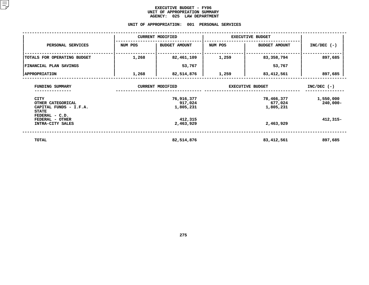## **EXECUTIVE BUDGET - FY06** UNIT OF APPROPRIATION SUMMARY **OF APPROPRIATION SUMMARY AGENCY:**

# AGENCY: 025 LAW DEPARTMENT<br>UNIT OF APPROPRIATION: 001 PERSONAL

|                                                                            |         | <b>CURRENT MODIFIED</b>            | <b>EXECUTIVE BUDGET</b> |                                    |                          |
|----------------------------------------------------------------------------|---------|------------------------------------|-------------------------|------------------------------------|--------------------------|
| PERSONAL SERVICES                                                          | NUM POS | <b>BUDGET AMOUNT</b>               | NUM POS                 | <b>BUDGET AMOUNT</b>               | $INC/DEC$ (-)            |
| TOTALS FOR OPERATING BUDGET                                                | 1,268   | 82,461,109                         | 1,259                   | 83,358,794                         | 897,685                  |
| FINANCIAL PLAN SAVINGS                                                     |         | 53,767                             |                         | 53,767                             |                          |
| <b>APPROPRIATION</b>                                                       | 1,268   | 82,514,876                         | 1,259                   | 83,412,561                         | 897,685                  |
| FUNDING SUMMARY                                                            |         | <b>CURRENT MODIFIED</b>            |                         | <b>EXECUTIVE BUDGET</b>            | $INC/DEC$ (-)            |
| <b>CITY</b><br>OTHER CATEGORICAL<br>CAPITAL FUNDS - I.F.A.<br><b>STATE</b> |         | 76,916,377<br>917,024<br>1,805,231 |                         | 78,466,377<br>677,024<br>1,805,231 | 1,550,000<br>$240,000 -$ |
| FEDERAL - C.D.<br>FEDERAL - OTHER<br>INTRA-CITY SALES                      |         | 412,315<br>2,463,929               |                         | 2,463,929                          | $412,315-$               |
| TOTAL                                                                      |         | 82,514,876                         |                         | 83,412,561                         | 897,685                  |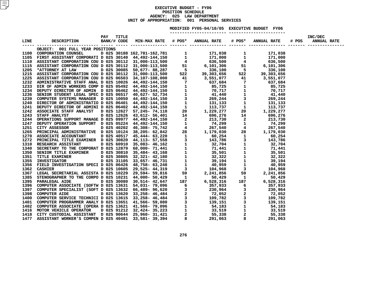## **EXECUTIVE BUDGET - FY06** POSITION SCHEDULE **N SCHEDULE<br>LAW DEPA<br>• 001 PE AGENCY: <sup>025</sup> LAW DEPARTMENT UNITOF APPROPRIATION: <sup>001</sup> PERSONAL SERVICES MODIFIED**

**FY05-04/10/05 EXECUTIVE BUDGET FY06 -----------------------**

| OBJECT: 001 FULL YEAR POSITIONS                                                                                                                                                                                                    |  |  |  |  |  |
|------------------------------------------------------------------------------------------------------------------------------------------------------------------------------------------------------------------------------------|--|--|--|--|--|
|                                                                                                                                                                                                                                    |  |  |  |  |  |
|                                                                                                                                                                                                                                    |  |  |  |  |  |
|                                                                                                                                                                                                                                    |  |  |  |  |  |
|                                                                                                                                                                                                                                    |  |  |  |  |  |
|                                                                                                                                                                                                                                    |  |  |  |  |  |
|                                                                                                                                                                                                                                    |  |  |  |  |  |
|                                                                                                                                                                                                                                    |  |  |  |  |  |
|                                                                                                                                                                                                                                    |  |  |  |  |  |
|                                                                                                                                                                                                                                    |  |  |  |  |  |
|                                                                                                                                                                                                                                    |  |  |  |  |  |
|                                                                                                                                                                                                                                    |  |  |  |  |  |
|                                                                                                                                                                                                                                    |  |  |  |  |  |
|                                                                                                                                                                                                                                    |  |  |  |  |  |
|                                                                                                                                                                                                                                    |  |  |  |  |  |
|                                                                                                                                                                                                                                    |  |  |  |  |  |
|                                                                                                                                                                                                                                    |  |  |  |  |  |
|                                                                                                                                                                                                                                    |  |  |  |  |  |
|                                                                                                                                                                                                                                    |  |  |  |  |  |
|                                                                                                                                                                                                                                    |  |  |  |  |  |
|                                                                                                                                                                                                                                    |  |  |  |  |  |
|                                                                                                                                                                                                                                    |  |  |  |  |  |
|                                                                                                                                                                                                                                    |  |  |  |  |  |
|                                                                                                                                                                                                                                    |  |  |  |  |  |
|                                                                                                                                                                                                                                    |  |  |  |  |  |
|                                                                                                                                                                                                                                    |  |  |  |  |  |
|                                                                                                                                                                                                                                    |  |  |  |  |  |
|                                                                                                                                                                                                                                    |  |  |  |  |  |
|                                                                                                                                                                                                                                    |  |  |  |  |  |
|                                                                                                                                                                                                                                    |  |  |  |  |  |
|                                                                                                                                                                                                                                    |  |  |  |  |  |
|                                                                                                                                                                                                                                    |  |  |  |  |  |
|                                                                                                                                                                                                                                    |  |  |  |  |  |
|                                                                                                                                                                                                                                    |  |  |  |  |  |
|                                                                                                                                                                                                                                    |  |  |  |  |  |
|                                                                                                                                                                                                                                    |  |  |  |  |  |
|                                                                                                                                                                                                                                    |  |  |  |  |  |
|                                                                                                                                                                                                                                    |  |  |  |  |  |
|                                                                                                                                                                                                                                    |  |  |  |  |  |
|                                                                                                                                                                                                                                    |  |  |  |  |  |
|                                                                                                                                                                                                                                    |  |  |  |  |  |
|                                                                                                                                                                                                                                    |  |  |  |  |  |
|                                                                                                                                                                                                                                    |  |  |  |  |  |
| 1.120<br>1.120<br>1.120<br>1.200 - 1.200 - 1.200 - 1.200 - 1.200 - 1.200 - 1.200 - 1.200 - 1.200 - 1.200 - 1.200 - 1.200 - 1.200 - 1.200 - 1.200 - 1.200 - 1.200 - 1.200 - 1.200 - 1.200 - 1.200 - 1.200 - 1.200 - 1.200 - 1.200 - |  |  |  |  |  |
|                                                                                                                                                                                                                                    |  |  |  |  |  |
|                                                                                                                                                                                                                                    |  |  |  |  |  |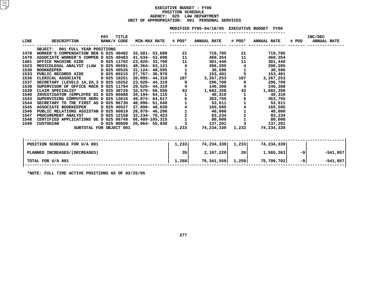# **EXECUTIVE BUDGET - FY06 POSITIONN SCHEDULE<br>LAW DEPA<br>• 001 PE AGENCY: <sup>025</sup> LAW DEPARTMENT UNIT OF APPROPRIATION: <sup>001</sup> PERSONAL SERVICES**

|             |                                                                                                              |             |             |                           |                         | MODIFIED FY05-04/10/05 EXECUTIVE BUDGET FY06                                                   |                |                    |       |                                      |  |
|-------------|--------------------------------------------------------------------------------------------------------------|-------------|-------------|---------------------------|-------------------------|------------------------------------------------------------------------------------------------|----------------|--------------------|-------|--------------------------------------|--|
| <b>LINE</b> | DESCRIPTION                                                                                                  | <b>PAY</b>  | TITLE       |                           |                         | BANK/# CODE MIN-MAX RATE # POS* ANNUAL RATE # POS*                                             |                | <b>ANNUAL RATE</b> | # POS | <b>INC/DEC</b><br><b>ANNUAL RATE</b> |  |
|             | OBJECT: 001 FULL YEAR POSITIONS                                                                              |             |             |                           |                         |                                                                                                |                |                    |       |                                      |  |
| 1478        |                                                                                                              |             |             |                           | 21                      | 719,785                                                                                        |                | 719,785            |       |                                      |  |
| 1479        | WORKER'S COMPENSATION BEN D 025 40482 33,581- 53,608<br>ASSOCIATE WORKER'S COMPEN D 025 40483 41,634- 53,608 |             |             |                           | 11                      | 460,354                                                                                        | 11             | 460,354            |       |                                      |  |
| 1481        | OFFICE MACHINE AIDE                                                                                          |             |             | D 025 11702 23,920-33,700 |                         | 11 (1)<br>301,440                                                                              | 11             | 301,440            |       |                                      |  |
| 1523        | MEDICOLEGAL ANALYST (LAW D 025 06591 48,364- 63,121                                                          |             |             |                           |                         | 48,364 - 63,121   4   206,205<br>31,124 - 40,595   1   30,596<br>27,767   36,970   5   153,401 |                | 206,205            |       |                                      |  |
| 1530        | BOOKKEEPER D 025 40526                                                                                       |             |             |                           |                         |                                                                                                | $\frac{4}{1}$  | 30,596             |       |                                      |  |
| 1533        | PUBLIC RECORDS AIDE    D 025 60215 27,767- 36,970                                                            |             |             |                           |                         |                                                                                                | 5              | 153,401            |       |                                      |  |
| 1536        | CLERICAL ASSOCIATE D 025 10251 20,095- 44,319                                                                |             |             |                           | 107                     | 3,267,253                                                                                      | 107            | 3,267,253          |       |                                      |  |
| 1537        | SECRETARY (LEVELS 1A, 2A, 3 D 025 10252 23, 920- 44, 319                                                     |             |             |                           | 9                       | 296,709                                                                                        | 9              | 296,709            |       |                                      |  |
| 1538        | SUPERVISOR OF OFFICE MACH D 025 11704 29,525- 44,319<br>CLAIM SPECIALIST D 025 30726 33,570- 60,550          |             |             |                           | $\overline{\mathbf{4}}$ | 146,308                                                                                        | 4              | 146,308            |       |                                      |  |
| 1539        |                                                                                                              |             |             |                           |                         | 43 and $\overline{a}$<br>1,682,358                                                             | 43             | 1,682,358          |       |                                      |  |
| 1540        | INVESTIGATOR (EMPLOYEE DI D 025 06688 34,194- 64,115                                                         |             |             |                           |                         | $1 \quad \cdots$<br>40,310                                                                     | $\mathbf{1}$   | 40,310             |       |                                      |  |
| 1543        | SUPERVISING COMPUTER SERV D 025 13616                                                                        |             |             | 49,874- 64,617            |                         | $\overline{6}$ 363,755<br>1 53,611                                                             | 6              | 363,755            |       |                                      |  |
| 1544        | SECRETARY TO THE FIRST AS D 025 06730                                                                        |             |             | 48,096- 61,040            |                         |                                                                                                |                | 53,611             |       |                                      |  |
| 1545        | <b>ASSOCIATE BOOKKEEPER</b>                                                                                  | D 025 40527 |             | 37,890- 48,039            |                         | $\begin{array}{cc} 4 & 165,595 \\ 1 & 40,000 \\ 2 & 83,234 \end{array}$                        |                | 165,595            |       |                                      |  |
| 1546        | PUBLIC RELATIONS ASSISTAN D 025 60810                                                                        |             |             | 28,879- 46,206            |                         |                                                                                                |                | 40,000             |       |                                      |  |
| 1547        | PROCUREMENT ANALYST                                                                                          |             | D 025 12158 | 33,234- 70,423            |                         |                                                                                                | $\overline{2}$ | 83,234             |       |                                      |  |
| 1548        | CERTIFIED APPLICATIONS DE D 025 06748                                                                        |             |             | 66,489-105,315            |                         | 80,000                                                                                         |                | 80,000             |       |                                      |  |
| 1549        | <b>CUSTODIAN</b>                                                                                             |             | D 025 80609 | 26,064- 55,930            |                         | 137,201                                                                                        |                | 137,201            |       |                                      |  |
|             | SUBTOTAL FOR OBJECT 001                                                                                      |             |             |                           | 1,233                   | 74,234,339                                                                                     | 1,233          | 74,234,339         |       |                                      |  |
|             |                                                                                                              |             |             |                           |                         |                                                                                                |                |                    |       |                                      |  |
|             |                                                                                                              |             |             |                           |                         |                                                                                                |                |                    |       |                                      |  |

| POSITION SCHEDULE FOR U/A 001 | 1,233 | 74,234,339 | 1,233     | 74,234,339 |     |            |
|-------------------------------|-------|------------|-----------|------------|-----|------------|
| PLANNED INCREASES/(DECREASES) | 35    | 2,107,220  | <b>26</b> | 1,565,363  | -9  | $-541,857$ |
| TOTAL FOR U/A 001             | 1,268 | 76,341,559 | 1,259     | 75,799,702 | -91 | $-541,857$ |
| ______ _ _ __ _ _ _ _ _       |       |            |           |            |     |            |

**\*NOTE: FULL TIME ACTIVE POSITIONS AS OF 02/25/05**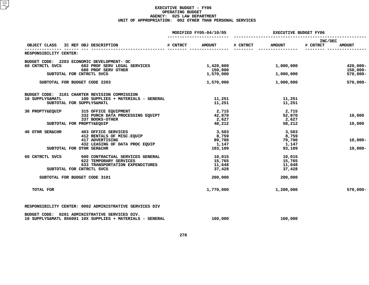|                                     |                                                                                                             |          | MODIFIED FY05-04/10/05 | <b>EXECUTIVE BUDGET FY06</b> |               |                     |               |  |
|-------------------------------------|-------------------------------------------------------------------------------------------------------------|----------|------------------------|------------------------------|---------------|---------------------|---------------|--|
| OBJECT CLASS IC REF OBJ DESCRIPTION |                                                                                                             | # CNTRCT | <b>AMOUNT</b>          | # CNTRCT                     | <b>AMOUNT</b> | INC/DEC<br># CNTRCT | <b>AMOUNT</b> |  |
| RESPONSIBILITY CENTER:              |                                                                                                             |          |                        |                              |               |                     |               |  |
|                                     | BUDGET CODE: 2203 ECONOMIC DEVELOPMENT- OC                                                                  |          |                        |                              |               |                     |               |  |
| 60 CNTRCTL SVCS                     | 682 PROF SERV LEGAL SERVICES                                                                                |          | 1,420,000              |                              | 1,000,000     |                     | $420,000 -$   |  |
|                                     | 686 PROF SERV OTHER                                                                                         |          | 150,000                |                              |               |                     | $150,000 -$   |  |
|                                     | SUBTOTAL FOR CNTRCTL SVCS                                                                                   |          | 1,570,000              |                              | 1,000,000     |                     | $570,000 -$   |  |
| SUBTOTAL FOR BUDGET CODE 2203       |                                                                                                             |          | 1,570,000              |                              | 1,000,000     |                     | $570,000 -$   |  |
|                                     | BUDGET CODE: 3101 CHARTER REVISION COMMISSION                                                               |          |                        |                              |               |                     |               |  |
| 10 SUPPLYS&MATL                     | 100 SUPPLIES + MATERIALS - GENERAL                                                                          |          | 11,251                 |                              | 11,251        |                     |               |  |
|                                     | SUBTOTAL FOR SUPPLYS&MATL                                                                                   |          | 11,251                 |                              | 11,251        |                     |               |  |
| 30 PROPTY&EQUIP                     | 315 OFFICE EQUIPMENT                                                                                        |          | 2,715                  |                              | 2,715         |                     |               |  |
|                                     | 332 PURCH DATA PROCESSING EQUIPT                                                                            |          | 42,870                 |                              | 52,870        |                     | 10,000        |  |
|                                     | 337 BOOKS-OTHER                                                                                             |          | 2,627                  |                              | 2,627         |                     |               |  |
|                                     | SUBTOTAL FOR PROPTY&EQUIP                                                                                   |          | 48,212                 |                              | 58,212        |                     | 10,000        |  |
| 40 OTHR SER&CHR                     | 403 OFFICE SERVICES                                                                                         |          | 3,503                  |                              | 3,503         |                     |               |  |
|                                     | 412 RENTALS OF MISC. EQUIP                                                                                  |          | 8,759                  |                              | 8,759         |                     |               |  |
|                                     | 417 ADVERTISING                                                                                             |          | 89,700                 |                              | 79,700        |                     | $10,000-$     |  |
|                                     | 432 LEASING OF DATA PROC EQUIP                                                                              |          | 1,147                  |                              | 1,147         |                     |               |  |
|                                     | SUBTOTAL FOR OTHR SER&CHR                                                                                   |          | 103,109                |                              | 93,109        |                     | $10,000 -$    |  |
| 60 CNTRCTL SVCS                     | 600 CONTRACTUAL SERVICES GENERAL                                                                            |          | 10,015                 |                              | 10,015        |                     |               |  |
|                                     | 622 TEMPORARY SERVICES                                                                                      |          | 15,765                 |                              | 15,765        |                     |               |  |
|                                     | 633 TRANSPORTATION EXPENDITURES                                                                             |          | 11,648                 |                              | 11,648        |                     |               |  |
|                                     | SUBTOTAL FOR CNTRCTL SVCS                                                                                   |          | 37,428                 |                              | 37,428        |                     |               |  |
| SUBTOTAL FOR BUDGET CODE 3101       |                                                                                                             |          | 200,000                |                              | 200,000       |                     |               |  |
| TOTAL FOR                           |                                                                                                             |          | 1,770,000              |                              | 1,200,000     |                     | $570,000 -$   |  |
|                                     | RESPONSIBILITY CENTER: 0002 ADMINISTRATIVE SERVICES DIV                                                     |          |                        |                              |               |                     |               |  |
|                                     | BUDGET CODE: 0201 ADMINISTRATIVE SERVICES DIV.<br>10 SUPPLYS&MATL 856001 10X SUPPLIES + MATERIALS - GENERAL |          | 160,000                |                              | 160,000       |                     |               |  |
|                                     |                                                                                                             |          |                        |                              |               |                     |               |  |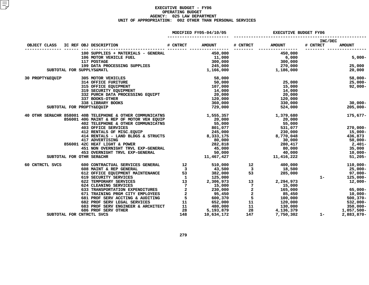|                           |                                                                                                   |                 | MODIFIED FY05-04/10/05                                                                  | <b>EXECUTIVE BUDGET FY06</b> |                                                                                                          |                            |               |  |
|---------------------------|---------------------------------------------------------------------------------------------------|-----------------|-----------------------------------------------------------------------------------------|------------------------------|----------------------------------------------------------------------------------------------------------|----------------------------|---------------|--|
| OBJECT CLASS              | IC REF OBJ DESCRIPTION                                                                            |                 |                                                                                         | # CNTRCT                     | <b>AMOUNT</b>                                                                                            | <b>INC/DEC</b><br># CNTRCT | <b>AMOUNT</b> |  |
|                           |                                                                                                   |                 |                                                                                         |                              |                                                                                                          |                            |               |  |
|                           | 100 SUPPLIES + MATERIALS - GENERAL                                                                |                 | 450,000                                                                                 |                              | 450,000                                                                                                  |                            |               |  |
|                           | 106 MOTOR VEHICLE FUEL                                                                            |                 | 11,000<br>300,000                                                                       |                              | 6,000<br>300,000                                                                                         |                            | $5,000-$      |  |
|                           | 117 POSTAGE                                                                                       |                 |                                                                                         |                              |                                                                                                          |                            |               |  |
|                           | 117 POSTAGE<br>199 DATA PROCESSING SUPPLIES                                                       |                 | 245,000                                                                                 |                              | $270,000$<br>$1,186,000$                                                                                 |                            | 25,000        |  |
| SUBTOTAL FOR SUPPLYS&MATL |                                                                                                   |                 | 1,166,000                                                                               |                              |                                                                                                          |                            | 20,000        |  |
| 30 PROPTY&EQUIP           | 305 MOTOR VEHICLES                                                                                |                 | 58,000                                                                                  |                              |                                                                                                          |                            | 58,000-       |  |
|                           | 314 OFFICE FURITURE                                                                               |                 | 50,000                                                                                  |                              | 25,000                                                                                                   |                            | $25,000-$     |  |
|                           | 315 OFFICE EQUIPMENT<br>319 SECURITY EQUIPMENT                                                    |                 | 107,000                                                                                 |                              | 15,000                                                                                                   |                            | 92,000-       |  |
|                           |                                                                                                   |                 | 14,000                                                                                  |                              | 14,000                                                                                                   |                            |               |  |
|                           | 332 PURCH DATA PROCESSING EQUIPT                                                                  |                 | 20,000                                                                                  |                              | 20,000                                                                                                   |                            |               |  |
|                           | 337 BOOKS-OTHER                                                                                   |                 | 120,000                                                                                 |                              | 120,000                                                                                                  |                            |               |  |
|                           | 338 LIBRARY BOOKS                                                                                 |                 | 360,000                                                                                 |                              | 330,000                                                                                                  |                            | $30,000 -$    |  |
| SUBTOTAL FOR PROPTY&EQUIP |                                                                                                   |                 | 729,000                                                                                 |                              | 524,000                                                                                                  |                            | $205,000 -$   |  |
|                           | 40 OTHR SER&CHR 858001 40B TELEPHONE & OTHER COMMUNICATNS                                         |                 | 1,555,357                                                                               |                              | 1,379,680                                                                                                |                            | 175,677-      |  |
|                           | 856001 40G MAINT & REP OF MOTOR VEH EQUIP                                                         |                 | 20,000                                                                                  |                              | 20,000                                                                                                   |                            |               |  |
|                           | 402 TELEPHONE & OTHER COMMUNICATNS                                                                |                 | 55,000                                                                                  |                              | 55,000                                                                                                   |                            |               |  |
|                           | <b>403 OFFICE SERVICES</b>                                                                        |                 |                                                                                         |                              | 531,077<br>230,000<br>8,770,048                                                                          |                            | 270,000-      |  |
|                           |                                                                                                   |                 | 801,077<br>245,000                                                                      |                              |                                                                                                          |                            | 15,000-       |  |
|                           | 403 OFFICE SERVICES<br>412 RENTALS OF MISC.EQUIP<br>414 RENTALS - LAND BLDGS & STRUCTS (8,333,175 |                 |                                                                                         |                              |                                                                                                          |                            | 436,873       |  |
|                           | 417 ADVERTISING                                                                                   |                 | 80,000                                                                                  |                              | 30,000                                                                                                   |                            | 50,000-       |  |
|                           | 417 ADVERTISING<br>856001 42C HEAT LIGHT & POWER                                                  |                 | 282,818                                                                                 |                              | 280,417                                                                                                  |                            | $2,401-$      |  |
|                           | 451 NON OVERNIGHT TRVL EXP-GENERAL                                                                |                 |                                                                                         |                              | 80,000<br>40,000                                                                                         |                            | 35,000        |  |
|                           | 453 OVERNIGHT TRVL EXP-GENERAL                                                                    |                 |                                                                                         |                              |                                                                                                          |                            | 10,000-       |  |
| SUBTOTAL FOR OTHR SER&CHR |                                                                                                   |                 | $50,000$<br>11,467,427                                                                  |                              | 000,000<br>40,000<br>11,416,222                                                                          |                            | $51,205 -$    |  |
| 60 CNTRCTL SVCS           | 600 CONTRACTUAL SERVICES GENERAL 12                                                               |                 |                                                                                         | 510,000 12                   | 400,000                                                                                                  |                            | $110,000 -$   |  |
|                           | 3<br>612 OFFICE EQUIPMENT MAINTENANCE<br>53<br>619 SECURITY SERVICES                              |                 | 43,500                                                                                  |                              | 18,500                                                                                                   |                            | 25,000-       |  |
|                           |                                                                                                   |                 | $\frac{3}{53}$ $\frac{43,500}{382,000}$                                                 |                              | $\frac{3}{53}$<br>285,000                                                                                |                            | 97,000-       |  |
|                           |                                                                                                   |                 | $\begin{array}{ccc} & 1 & & 125,000 \\ 13 & & 2,306,973 \end{array}$                    |                              |                                                                                                          | $1 -$                      | 125,000-      |  |
|                           | 622 TEMPORARY SERVICES                                                                            |                 |                                                                                         | 13 <sup>7</sup>              | 2,294,973                                                                                                |                            | 12,000-       |  |
|                           | 624 CLEANING SERVICES                                                                             | $7\overline{ }$ | 15,000                                                                                  | $\overline{7}$               | 15,000                                                                                                   |                            |               |  |
|                           | 633 TRANSPORTATION EXPENDITURES                                                                   |                 |                                                                                         | $\frac{2}{2}$                | 165,000<br>85,450                                                                                        |                            | 65,000-       |  |
|                           | 671 TRAINING PRGM CITY EMPLOYEES                                                                  |                 |                                                                                         |                              |                                                                                                          |                            | 10,000-       |  |
|                           | 681 PROF SERV ACCTING & AUDITING                                                                  |                 |                                                                                         |                              |                                                                                                          |                            | $500, 370 -$  |  |
|                           | 682 PROF SERV LEGAL SERVICES                                                                      |                 | $\begin{array}{ccc} 2 & 230,000\ 2 & 95,450\ 5 & 600,370\ 11 & 652,000\ \end{array}$    |                              | $\begin{array}{cc} 2 & 100,000 \\ 1 & 120,000 \\ 11 & 130,000 \\ 28 & 4,136,379 \\ -750,302 \end{array}$ |                            | $532,000 -$   |  |
|                           | 683 PROF SERV ENGINEER & ARCHITECT                                                                |                 | $\begin{array}{ccc} 11 & & 480,000 \ 28 & & 5,193,879 \ 148 & & 10,634,172 \end{array}$ |                              |                                                                                                          |                            | $350,000 -$   |  |
|                           | 686 PROF SERV OTHER                                                                               |                 |                                                                                         |                              |                                                                                                          |                            | 1,057,500-    |  |
| SUBTOTAL FOR CNTRCTL SVCS |                                                                                                   | 148             | 10,634,172                                                                              | 147                          | 7,750,302                                                                                                | $1 -$                      | 2,883,870-    |  |
|                           |                                                                                                   |                 |                                                                                         |                              |                                                                                                          |                            |               |  |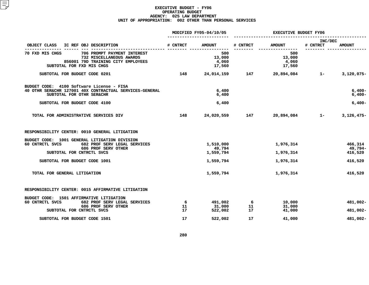|                                                                                                                                                      |          | MODIFIED FY05-04/10/05           | <b>EXECUTIVE BUDGET FY06</b> |                                  |                     |                               |  |
|------------------------------------------------------------------------------------------------------------------------------------------------------|----------|----------------------------------|------------------------------|----------------------------------|---------------------|-------------------------------|--|
| OBJECT CLASS<br>IC REF OBJ DESCRIPTION                                                                                                               | # CNTRCT | <b>AMOUNT</b>                    | # CNTRCT                     | <b>AMOUNT</b>                    | INC/DEC<br># CNTRCT | <b>AMOUNT</b>                 |  |
| 70 FXD MIS CHGS<br>706 PROMPT PAYMENT INTEREST<br>732 MISCELLANEOUS AWARDS<br>856001 79D TRAINING CITY EMPLOYEES<br>SUBTOTAL FOR FXD MIS CHGS        |          | 500<br>13,000<br>4,060<br>17,560 |                              | 500<br>13,000<br>4,060<br>17,560 |                     |                               |  |
| SUBTOTAL FOR BUDGET CODE 0201                                                                                                                        | 148      | 24,014,159                       | 147                          | 20,894,084                       | $1 -$               | $3,120,075-$                  |  |
| BUDGET CODE: 4100 Software License - FISA<br>40 OTHR SER&CHR 127001 40X CONTRACTUAL SERVICES-GENERAL<br>SUBTOTAL FOR OTHR SER&CHR                    |          | 6,400<br>6,400                   |                              |                                  |                     | $6,400-$<br>$6,400-$          |  |
| SUBTOTAL FOR BUDGET CODE 4100                                                                                                                        |          | 6,400                            |                              |                                  |                     | $6,400-$                      |  |
| TOTAL FOR ADMINISTRATIVE SERVICES DIV                                                                                                                | 148      | 24,020,559                       | 147                          | 20,894,084                       | $1 -$               | $3,126,475-$                  |  |
| RESPONSIBILITY CENTER: 0010 GENERAL LITIGATION                                                                                                       |          |                                  |                              |                                  |                     |                               |  |
| BUDGET CODE: 1001 GENERAL LITIGATION DIVISION<br>60 CNTRCTL SVCS<br>682 PROF SERV LEGAL SERVICES<br>686 PROF SERV OTHER<br>SUBTOTAL FOR CNTRCTL SVCS |          | 1,510,000<br>49,794<br>1,559,794 |                              | 1,976,314<br>1,976,314           |                     | 466,314<br>49,794-<br>416,520 |  |
| SUBTOTAL FOR BUDGET CODE 1001                                                                                                                        |          | 1,559,794                        |                              | 1,976,314                        |                     | 416,520                       |  |
| TOTAL FOR GENERAL LITIGATION                                                                                                                         |          | 1,559,794                        |                              | 1,976,314                        |                     | 416,520                       |  |
| RESPONSIBILITY CENTER: 0015 AFFIRMATIVE LITIGATION                                                                                                   |          |                                  |                              |                                  |                     |                               |  |
| BUDGET CODE: 1501 AFFIRMATIVE LITIGATION<br>60 CNTRCTL SVCS<br>682 PROF SERV LEGAL SERVICES<br>686 PROF SERV OTHER                                   | -6<br>11 | 491,002<br>31,000                | -6<br>11                     | 10,000<br>31,000                 |                     | 481,002-                      |  |
| SUBTOTAL FOR CNTRCTL SVCS                                                                                                                            | 17       | 522,002                          | 17                           | 41,000                           |                     | 481,002-                      |  |
| SUBTOTAL FOR BUDGET CODE 1501                                                                                                                        | 17       | 522,002                          | 17                           | 41,000                           |                     | 481,002-                      |  |
|                                                                                                                                                      |          |                                  |                              |                                  |                     |                               |  |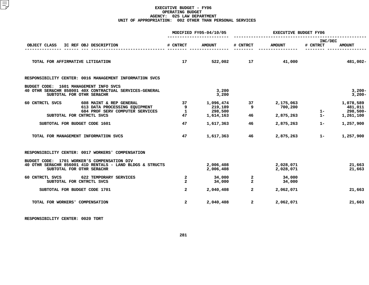|                                                                          |                                                                                             | MODIFIED FY05-04/10/05         |                                                 | <b>EXECUTIVE BUDGET FY06</b> |                                   |                     |                                               |
|--------------------------------------------------------------------------|---------------------------------------------------------------------------------------------|--------------------------------|-------------------------------------------------|------------------------------|-----------------------------------|---------------------|-----------------------------------------------|
| OBJECT CLASS                                                             | IC REF OBJ DESCRIPTION                                                                      | # CNTRCT                       | <b>AMOUNT</b>                                   | # CNTRCT                     | <b>AMOUNT</b>                     | INC/DEC<br># CNTRCT | <b>AMOUNT</b>                                 |
| TOTAL FOR AFFIRMATIVE LITIGATION                                         |                                                                                             | 17                             |                                                 |                              | $522,002$ 17 $41,000$             |                     | 481,002-                                      |
|                                                                          | RESPONSIBILITY CENTER: 0016 MANAGEMENT INFORMATION SVCS                                     |                                |                                                 |                              |                                   |                     |                                               |
| BUDGET CODE: 1601 MANAGEMENT INFO SVCS<br>SUBTOTAL FOR OTHR SER&CHR      | 40 OTHR SER&CHR 858001 40X CONTRACTUAL SERVICES-GENERAL                                     |                                | 3,200<br>3,200                                  |                              |                                   |                     | $3,200-$<br>$3,200-$                          |
| 60 CNTRCTL SVCS<br>SUBTOTAL FOR CNTRCTL SVCS                             | 608 MAINT & REP GENERAL<br>613 DATA PROCESSING EQUIPMENT<br>684 PROF SERV COMPUTER SERVICES | 37<br>9<br><b>1</b><br>47      | 1,096,474 37<br>219,189<br>298,500<br>1,614,163 | 9<br>46                      | 2,175,063<br>700,200<br>2,875,263 | $\frac{1}{1}$       | 1,078,589<br>481,011<br>298,500-<br>1,261,100 |
| SUBTOTAL FOR BUDGET CODE 1601                                            |                                                                                             | 47                             | 1,617,363                                       | 46                           | 2,875,263                         | $1 -$               | 1,257,900                                     |
| TOTAL FOR MANAGEMENT INFORMATION SVCS                                    |                                                                                             | 47                             | 1,617,363                                       | 46                           | 2,875,263                         | $1 -$               | 1,257,900                                     |
|                                                                          | RESPONSIBILITY CENTER: 0017 WORKERS' COMPENSATION                                           |                                |                                                 |                              |                                   |                     |                                               |
| BUDGET CODE: 1701 WORKER'S COMPENSATION DIV<br>SUBTOTAL FOR OTHR SER&CHR | 40 OTHR SER&CHR 856001 41D RENTALS - LAND BLDGS & STRUCTS                                   |                                | 2,006,408<br>2,006,408                          |                              | 2,028,071<br>2,028,071            |                     | 21,663<br>21,663                              |
| 60 CNTRCTL SVCS 622 TEMPORARY SERVICES<br>SUBTOTAL FOR CNTRCTL SVCS      |                                                                                             | $\overline{a}$<br>$\mathbf{2}$ | 34,000<br>34,000                                | $\frac{2}{2}$                | 34,000<br>34,000                  |                     |                                               |
| SUBTOTAL FOR BUDGET CODE 1701                                            |                                                                                             | $\overline{a}$                 | 2,040,408                                       | $\overline{2}$               | 2,062,071                         |                     | 21,663                                        |
| TOTAL FOR WORKERS' COMPENSATION                                          |                                                                                             | $\overline{2}$                 | 2,040,408                                       | $\overline{2}$               | 2,062,071                         |                     | 21,663                                        |

**RESPONSIBILITY CENTER: <sup>0020</sup> TORT**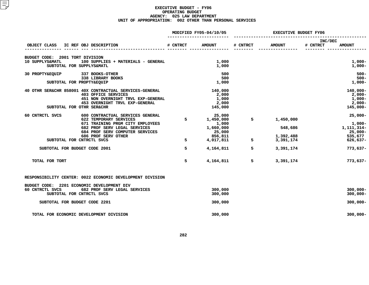|                                 |                                                           |             | MODIFIED FY05-04/10/05 |          | <b>EXECUTIVE BUDGET FY06</b> |                     |               |
|---------------------------------|-----------------------------------------------------------|-------------|------------------------|----------|------------------------------|---------------------|---------------|
| OBJECT CLASS                    | IC REF OBJ DESCRIPTION                                    | # CNTRCT    | <b>AMOUNT</b>          | # CNTRCT | <b>AMOUNT</b>                | INC/DEC<br># CNTRCT | <b>AMOUNT</b> |
|                                 |                                                           |             |                        |          |                              |                     |               |
| BUDGET CODE: 2001 TORT DIVISION |                                                           |             |                        |          |                              |                     |               |
| 10 SUPPLYS&MATL                 |                                                           |             |                        |          |                              |                     |               |
|                                 | 100 SUPPLIES + MATERIALS - GENERAL                        |             | 1,000                  |          |                              |                     | $1,000-$      |
|                                 | SUBTOTAL FOR SUPPLYS&MATL                                 |             | 1,000                  |          |                              |                     | $1,000-$      |
| 30 PROPTY&EQUIP                 | 337 BOOKS-OTHER                                           |             | 500                    |          |                              |                     | $500 -$       |
|                                 | 338 LIBRARY BOOKS                                         |             | 500                    |          |                              |                     | $500 -$       |
|                                 | SUBTOTAL FOR PROPTY&EQUIP                                 |             | 1,000                  |          |                              |                     | $1,000-$      |
|                                 | 40 OTHR SER&CHR 858001 40X CONTRACTUAL SERVICES-GENERAL   |             | 140,000                |          |                              |                     | 140,000-      |
|                                 | <b>403 OFFICE SERVICES</b>                                |             | 2,000                  |          |                              |                     | $2,000-$      |
|                                 | 451 NON OVERNIGHT TRVL EXP-GENERAL                        |             | 1,000                  |          |                              |                     | $1,000-$      |
|                                 | 453 OVERNIGHT TRVL EXP-GENERAL                            |             | 2,000                  |          |                              |                     | $2,000-$      |
|                                 | SUBTOTAL FOR OTHR SER&CHR                                 |             | 145,000                |          |                              |                     | $145,000 -$   |
|                                 |                                                           |             |                        |          |                              |                     |               |
| 60 CNTRCTL SVCS                 | 600 CONTRACTUAL SERVICES GENERAL                          |             | 25,000                 |          |                              |                     | $25,000 -$    |
|                                 | 622 TEMPORARY SERVICES                                    | $5^{\circ}$ | 1,450,000              | 5        | 1,450,000                    |                     |               |
|                                 | 671 TRAINING PRGM CITY EMPLOYEES                          |             | 1,000                  |          |                              |                     | $1,000-$      |
|                                 | 682 PROF SERV LEGAL SERVICES                              |             | 1,660,000              |          | 548,686                      |                     | 1,111,314-    |
|                                 | 684 PROF SERV COMPUTER SERVICES                           |             | 25,000                 |          |                              |                     | $25,000 -$    |
|                                 | 686 PROF SERV OTHER                                       |             | 856,811                |          | 1,392,488                    |                     | 535,677       |
|                                 | SUBTOTAL FOR CNTRCTL SVCS                                 | 5           | 4,017,811              | 5        | 3,391,174                    |                     | $626,637-$    |
|                                 | SUBTOTAL FOR BUDGET CODE 2001                             | 5           | 4,164,811              | 5        | 3,391,174                    |                     | $773,637-$    |
|                                 |                                                           |             |                        |          |                              |                     |               |
| TOTAL FOR TORT                  |                                                           | 5           | 4,164,811              | 5        | 3,391,174                    |                     | $773,637-$    |
|                                 |                                                           |             |                        |          |                              |                     |               |
|                                 | RESPONSIBILITY CENTER: 0022 ECONOMIC DEVELOPMENT DIVISION |             |                        |          |                              |                     |               |
|                                 |                                                           |             |                        |          |                              |                     |               |
|                                 | BUDGET CODE: 2201 ECONOMIC DEVELOPMENT DIV                |             |                        |          |                              |                     |               |
| 60 CNTRCTL SVCS                 | 682 PROF SERV LEGAL SERVICES                              |             | 300,000                |          |                              |                     | $300,000 -$   |
|                                 | SUBTOTAL FOR CNTRCTL SVCS                                 |             | 300,000                |          |                              |                     | $300,000 -$   |
|                                 | SUBTOTAL FOR BUDGET CODE 2201                             |             | 300,000                |          |                              |                     | $300,000 -$   |
|                                 |                                                           |             |                        |          |                              |                     |               |
|                                 | TOTAL FOR ECONOMIC DEVELOPMENT DIVISION                   |             | 300,000                |          |                              |                     | $300,000 -$   |
|                                 |                                                           |             |                        |          |                              |                     |               |
|                                 |                                                           |             |                        |          |                              |                     |               |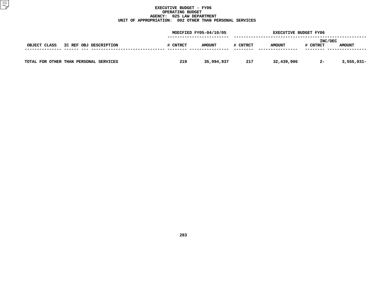|                                        |          | MODIFIED FY05-04/10/05 |          |               | <b>EXECUTIVE BUDGET FY06</b> |               |
|----------------------------------------|----------|------------------------|----------|---------------|------------------------------|---------------|
| OBJECT CLASS<br>IC REF OBJ DESCRIPTION | # CNTRCT | <b>AMOUNT</b>          | # CNTRCT | <b>AMOUNT</b> | INC/DEC<br># CNTRCT          | <b>AMOUNT</b> |
| TOTAL FOR OTHER THAN PERSONAL SERVICES | 219      | 35,994,937             | 217      | 32,439,906    | $2 -$                        | $3,555,031-$  |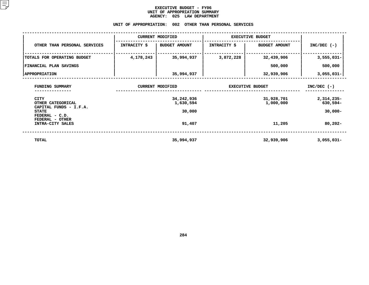## **EXECUTIVE BUDGET - FY06** UNIT OF APPROPRIATION SUMMARY **OF APPROPRIATION SUMMARY AGENCY:**

|                                                                             |                        | <b>AGENCY:</b><br>025 LAW DEPARTMENT |                              |                         |                        |  |
|-----------------------------------------------------------------------------|------------------------|--------------------------------------|------------------------------|-------------------------|------------------------|--|
|                                                                             | UNIT OF APPROPRIATION: | 002                                  | OTHER THAN PERSONAL SERVICES |                         |                        |  |
|                                                                             |                        | <b>CURRENT MODIFIED</b>              | <b>EXECUTIVE BUDGET</b>      |                         |                        |  |
| OTHER THAN PERSONAL SERVICES                                                | <b>INTRACITY \$</b>    | <b>BUDGET AMOUNT</b>                 | <b>INTRACITY \$</b>          | <b>BUDGET AMOUNT</b>    | $INC/DEC$ (-)          |  |
| TOTALS FOR OPERATING BUDGET                                                 | 4,178,243              | 35,994,937                           | 3,872,228                    | 32,439,906              | $3,555,031-$           |  |
| FINANCIAL PLAN SAVINGS                                                      |                        |                                      |                              | 500,000                 | 500,000                |  |
| <b>  APPROPRIATION</b>                                                      |                        | 35,994,937                           |                              | 32,939,906              | $3,055,031 -$          |  |
| FUNDING SUMMARY                                                             |                        | <b>CURRENT MODIFIED</b>              |                              | <b>EXECUTIVE BUDGET</b> |                        |  |
| <b>CITY</b><br>OTHER CATEGORICAL                                            |                        | 34,242,936<br>1,630,594              |                              | 31,928,701<br>1,000,000 | 2,314,235-<br>630,594- |  |
| CAPITAL FUNDS - I.F.A.<br><b>STATE</b><br>FEDERAL - C.D.<br>FEDERAL - OTHER |                        | 30,000                               |                              |                         | $30,000 -$             |  |
| INTRA-CITY SALES                                                            |                        | 91,407                               |                              | 11,205                  | $80,202 -$             |  |
|                                                                             |                        |                                      |                              |                         |                        |  |

 **TOTAL35,994,937 32,939,906 3,055,031-**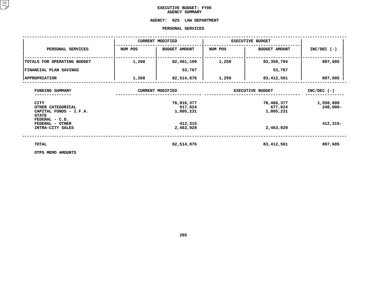# **EXECUTIVE BUDGET- FY06 AGENCY**

# **SUMMARY AGENCY:<sup>025</sup> LAW DEPARTMENT PERSONAL**

|                                                                            |         | PERSONAL SERVICES                  |         |                                    |                          |
|----------------------------------------------------------------------------|---------|------------------------------------|---------|------------------------------------|--------------------------|
|                                                                            |         | <b>CURRENT MODIFIED</b>            |         | <b>EXECUTIVE BUDGET</b>            |                          |
| PERSONAL SERVICES                                                          | NUM POS | <b>BUDGET AMOUNT</b>               | NUM POS | <b>BUDGET AMOUNT</b>               | $INC/DEC$ (-)            |
| TOTALS FOR OPERATING BUDGET                                                | 1,268   | 82,461,109                         | 1,259   | 83,358,794                         | 897,685                  |
| FINANCIAL PLAN SAVINGS                                                     |         | 53,767                             |         | 53,767                             |                          |
| <b>APPROPRIATION</b>                                                       | 1,268   | 82,514,876                         | 1,259   | 83,412,561                         | 897,685                  |
| FUNDING SUMMARY                                                            |         | <b>CURRENT MODIFIED</b>            |         | <b>EXECUTIVE BUDGET</b>            | $INC/DEC$ (-)            |
| <b>CITY</b><br>OTHER CATEGORICAL<br>CAPITAL FUNDS - I.F.A.<br><b>STATE</b> |         | 76,916,377<br>917,024<br>1,805,231 |         | 78,466,377<br>677,024<br>1,805,231 | 1,550,000<br>$240,000 -$ |
| FEDERAL - C.D.<br>FEDERAL - OTHER<br>INTRA-CITY SALES                      |         | 412,315<br>2,463,929               |         | 2,463,929                          | $412,315-$               |
| TOTAL                                                                      |         | 82,514,876                         |         | 83,412,561                         | 897,685                  |
| OTPS MEMO AMOUNTS                                                          |         |                                    |         |                                    |                          |

**OTPS MEMO AMOUNTS**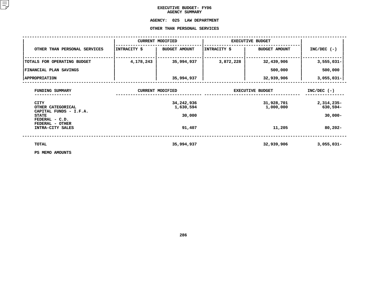# **EXECUTIVE BUDGET- FY06 AGENCY**

# **SUMMARY AGENCY:**

# **<sup>025</sup> LAW DEPARTMENT OTHER**

|                                                            |              | OTHER THAN PERSONAL SERVICES |                         |                         |                        |
|------------------------------------------------------------|--------------|------------------------------|-------------------------|-------------------------|------------------------|
|                                                            |              | <b>CURRENT MODIFIED</b>      | <b>EXECUTIVE BUDGET</b> |                         |                        |
| OTHER THAN PERSONAL SERVICES                               | INTRACITY \$ | <b>BUDGET AMOUNT</b>         | INTRACITY \$            | <b>BUDGET AMOUNT</b>    | $INC/DEC$ (-)          |
| TOTALS FOR OPERATING BUDGET                                | 4,178,243    | 35,994,937                   | 3,872,228               | 32,439,906              | $3,555,031-$           |
| <b>FINANCIAL PLAN SAVINGS</b>                              |              |                              |                         | 500,000                 | 500,000                |
| <b>APPROPRIATION</b>                                       |              | 35,994,937                   |                         | 32,939,906              | $3,055,031-$           |
| FUNDING SUMMARY                                            |              | <b>CURRENT MODIFIED</b>      |                         | <b>EXECUTIVE BUDGET</b> | $INC/DEC$ (-)          |
| <b>CITY</b><br>OTHER CATEGORICAL<br>CAPITAL FUNDS - I.F.A. |              | 34,242,936<br>1,630,594      |                         | 31,928,701<br>1,000,000 | 2,314,235-<br>630,594- |
| <b>STATE</b><br>FEDERAL - C.D.                             |              | 30,000                       |                         |                         | $30,000 -$             |
| FEDERAL - OTHER<br>INTRA-CITY SALES                        |              | 91,407                       |                         | 11,205                  | $80,202 -$             |
| TOTAL                                                      |              | 35,994,937                   |                         | 32,939,906              | $3,055,031-$           |
| PS MEMO AMOUNTS                                            |              |                              |                         |                         |                        |

**PS MEMO AMOUNTS**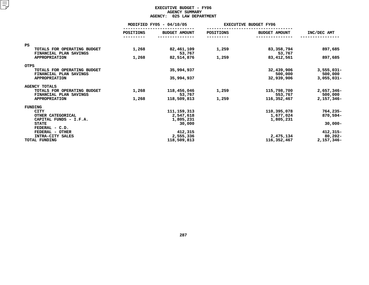# **EXECUTIVE BUDGET - FY06 AGENCY**Y SUMMARY<br>LAW DEPA<br>...

| <b>AGENCY:</b><br>025 LAW DEPARTMENT                  |                          |                       |           |                              |                         |  |  |  |  |
|-------------------------------------------------------|--------------------------|-----------------------|-----------|------------------------------|-------------------------|--|--|--|--|
|                                                       | MODIFIED FY05 - 04/10/05 |                       |           | <b>EXECUTIVE BUDGET FY06</b> |                         |  |  |  |  |
|                                                       | <b>POSITIONS</b>         | <b>BUDGET AMOUNT</b>  | POSITIONS | <b>BUDGET AMOUNT</b>         | INC/DEC AMT             |  |  |  |  |
| <b>PS</b>                                             |                          |                       |           |                              |                         |  |  |  |  |
| TOTALS FOR OPERATING BUDGET<br>FINANCIAL PLAN SAVINGS | 1,268                    | 82,461,109<br>53,767  | 1,259     | 83,358,794<br>53,767         | 897,685                 |  |  |  |  |
| APPROPRIATION                                         | 1,268                    | 82,514,876            | 1,259     | 83,412,561                   | 897,685                 |  |  |  |  |
| <b>OTPS</b>                                           |                          |                       |           |                              |                         |  |  |  |  |
| TOTALS FOR OPERATING BUDGET<br>FINANCIAL PLAN SAVINGS |                          | 35,994,937            |           | 32,439,906<br>500,000        | $3,555,031-$<br>500,000 |  |  |  |  |
| <b>APPROPRIATION</b>                                  |                          | 35,994,937            |           | 32,939,906                   | $3,055,031-$            |  |  |  |  |
| <b>AGENCY TOTALS</b>                                  |                          |                       |           |                              |                         |  |  |  |  |
| TOTALS FOR OPERATING BUDGET<br>FINANCIAL PLAN SAVINGS | 1,268                    | 118,456,046<br>53,767 | 1,259     | 115,798,700<br>553,767       | 2,657,346-<br>500,000   |  |  |  |  |
| <b>APPROPRIATION</b>                                  | 1,268                    | 118,509,813           | 1,259     | 116,352,467                  | 2,157,346-              |  |  |  |  |
| FUNDING                                               |                          |                       |           |                              |                         |  |  |  |  |
| <b>CITY</b>                                           |                          | 111, 159, 313         |           | 110,395,078                  | $764, 235 -$            |  |  |  |  |
| OTHER CATEGORICAL                                     |                          | 2,547,618             |           | 1,677,024                    | 870,594-                |  |  |  |  |
| CAPITAL FUNDS - I.F.A.                                |                          | 1,805,231             |           | 1,805,231                    |                         |  |  |  |  |
| <b>STATE</b><br>FEDERAL - C.D.                        |                          | 30,000                |           |                              | $30,000 -$              |  |  |  |  |
| FEDERAL - OTHER                                       |                          | 412,315               |           |                              | $412,315-$              |  |  |  |  |
| INTRA-CITY SALES                                      |                          | 2,555,336             |           | 2,475,134                    | $80,202 -$              |  |  |  |  |
| TOTAL FUNDING                                         |                          | 118,509,813           |           | 116,352,467                  | 2,157,346-              |  |  |  |  |
|                                                       |                          |                       |           |                              |                         |  |  |  |  |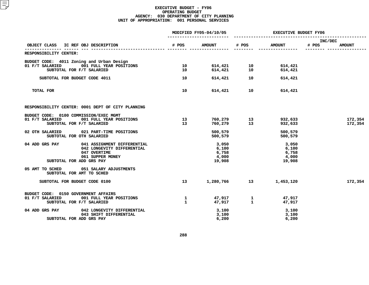|                                                                                                                                             |                              | MODIFIED FY05-04/10/05                     |                                                        | <b>EXECUTIVE BUDGET FY06</b>               |                                   |  |  |
|---------------------------------------------------------------------------------------------------------------------------------------------|------------------------------|--------------------------------------------|--------------------------------------------------------|--------------------------------------------|-----------------------------------|--|--|
| IC REF OBJ DESCRIPTION<br>OBJECT CLASS                                                                                                      | # POS                        | <b>AMOUNT</b>                              | # POS                                                  | <b>AMOUNT</b>                              | INC/DEC<br># POS<br><b>AMOUNT</b> |  |  |
| RESPONSIBILITY CENTER:                                                                                                                      |                              |                                            |                                                        |                                            |                                   |  |  |
| BUDGET CODE: 4011 Zoning and Urban Design<br>001 FULL YEAR POSITIONS<br>01 F/T SALARIED<br>SUBTOTAL FOR F/T SALARIED                        | 10<br>10                     |                                            |                                                        | 614,421<br>614,421                         |                                   |  |  |
| SUBTOTAL FOR BUDGET CODE 4011                                                                                                               | 10                           |                                            | 614,421 10                                             | 614,421                                    |                                   |  |  |
| TOTAL FOR                                                                                                                                   | 10                           |                                            | 614,421 10                                             | 614,421                                    |                                   |  |  |
| RESPONSIBILITY CENTER: 0001 DEPT OF CITY PLANNING                                                                                           |                              |                                            |                                                        |                                            |                                   |  |  |
| BUDGET CODE: 0100 COMMISSION/EXEC MGMT<br>01 F/T SALARIED<br>001 FULL YEAR POSITIONS<br>SUBTOTAL FOR F/T SALARIED                           | 13<br>13 <sup>7</sup>        |                                            | 760,279               13<br>760,279                 13 | 932,633<br>932,633                         | 172,354<br>172,354                |  |  |
| 02 OTH SALARIED 021 PART-TIME POSITIONS<br>SUBTOTAL FOR OTH SALARIED                                                                        |                              | 500,579<br>500,579                         |                                                        | 500,579<br>500,579                         |                                   |  |  |
| 04 ADD GRS PAY<br>041 ASSIGNMENT DIFFERENTIAL<br>042 LONGEVITY DIFFERENTIAL<br>047 OVERTIME<br>061 SUPPER MONEY<br>SUBTOTAL FOR ADD GRS PAY |                              | 3,050<br>6,100<br>6,758<br>4,000<br>19,908 |                                                        | 3,050<br>6,100<br>6,758<br>4,000<br>19,908 |                                   |  |  |
| 05 AMT TO SCHED 051 SALARY ADJUSTMENTS<br>SUBTOTAL FOR AMT TO SCHED                                                                         |                              |                                            |                                                        |                                            |                                   |  |  |
| SUBTOTAL FOR BUDGET CODE 0100                                                                                                               | 13 <sup>7</sup>              |                                            | 1,280,766 13                                           | 1,453,120                                  | 172,354                           |  |  |
| BUDGET CODE: 0150 GOVERNMENT AFFAIRS<br>01 F/T SALARIED<br>001 FULL YEAR POSITIONS<br>SUBTOTAL FOR F/T SALARIED                             | $\mathbf{1}$<br>$\mathbf{1}$ |                                            | 47,917 1<br>47,917 1                                   | 47,917<br>47,917                           |                                   |  |  |
| 04 ADD GRS PAY<br>042 LONGEVITY DIFFERENTIAL<br>043 SHIFT DIFFERENTIAL<br>SUBTOTAL FOR ADD GRS PAY                                          |                              | 3,100<br>3,100<br>6,200                    |                                                        | 3,100<br>3,100<br>6,200                    |                                   |  |  |
|                                                                                                                                             |                              |                                            |                                                        |                                            |                                   |  |  |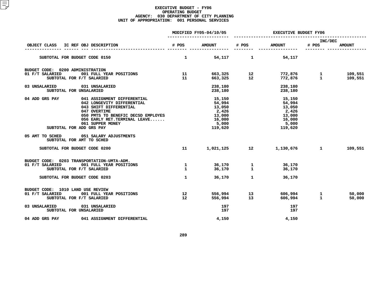|                                                                                                                                                                                                                                              |                                     | MODIFIED FY05-04/10/05                                                      |                                   |                                                                               | <b>EXECUTIVE BUDGET FY06</b> |                    |  |  |
|----------------------------------------------------------------------------------------------------------------------------------------------------------------------------------------------------------------------------------------------|-------------------------------------|-----------------------------------------------------------------------------|-----------------------------------|-------------------------------------------------------------------------------|------------------------------|--------------------|--|--|
| IC REF OBJ DESCRIPTION<br>OBJECT CLASS                                                                                                                                                                                                       | # POS                               | <b>AMOUNT</b>                                                               | # POS                             | <b>AMOUNT</b>                                                                 | INC/DEC<br># POS             | <b>AMOUNT</b>      |  |  |
| SUBTOTAL FOR BUDGET CODE 0150                                                                                                                                                                                                                | $\mathbf{1}$                        | 54,117                                                                      | $\mathbf{1}$                      | 54,117                                                                        |                              |                    |  |  |
| BUDGET CODE: 0200 ADMINISTRATION<br>01 F/T SALARIED<br>001 FULL YEAR POSITIONS<br>SUBTOTAL FOR F/T SALARIED                                                                                                                                  | 11<br>11                            |                                                                             | 663,325 12<br>663,325 12          | 772,876                       1<br>772,876                                  1 |                              | 109,551<br>109,551 |  |  |
| 03 UNSALARIED<br>031 UNSALARIED<br>SUBTOTAL FOR UNSALARIED                                                                                                                                                                                   |                                     | 238,180<br>238,180                                                          |                                   | 238,180<br>238,180                                                            |                              |                    |  |  |
| 04 ADD GRS PAY<br>041 ASSIGNMENT DIFFERENTIAL<br>042 LONGEVITY DIFFERENTIAL<br>043 SHIFT DIFFERENTIAL<br>047 OVERTIME<br>050 PMTS TO BENEFIC DECSD EMPLOYES<br>056 EARLY RET. TERMINAL LEAVE<br>061 SUPPER MONEY<br>SUBTOTAL FOR ADD GRS PAY |                                     | 15,150<br>54,994<br>13,050<br>2,426<br>13,000<br>16,000<br>5,000<br>119,620 |                                   | 15,150<br>54,994<br>13,050<br>2,426<br>13,000<br>16,000<br>5,000<br>119,620   |                              |                    |  |  |
| 05 AMT TO SCHED<br>051 SALARY ADJUSTMENTS<br>SUBTOTAL FOR AMT TO SCHED                                                                                                                                                                       |                                     |                                                                             |                                   |                                                                               |                              |                    |  |  |
| SUBTOTAL FOR BUDGET CODE 0200                                                                                                                                                                                                                | 11                                  | 1,021,125 12                                                                |                                   | 1,130,676 1                                                                   |                              | 109,551            |  |  |
| BUDGET CODE: 0203 TRANSPORTATION-UMTA-ADM.<br>01 F/T SALARIED<br>001 FULL YEAR POSITIONS<br>SUBTOTAL FOR F/T SALARIED                                                                                                                        | 1<br>$\mathbf{1}$                   | 36,170<br>36,170                                                            | 1<br>$\mathbf{1}$<br>$\mathbf{1}$ | 36,170<br>36,170                                                              |                              |                    |  |  |
| SUBTOTAL FOR BUDGET CODE 0203                                                                                                                                                                                                                | $\mathbf{1}$                        | 36,170                                                                      |                                   | 36,170                                                                        |                              |                    |  |  |
| BUDGET CODE: 1010 LAND USE REVIEW<br>01 F/T SALARIED<br>001 FULL YEAR POSITIONS<br>SUBTOTAL FOR F/T SALARIED                                                                                                                                 | 12 <sup>12</sup><br>12 <sup>°</sup> | 556,994<br>556,994                                                          | 13<br>13                          | 606,994<br>606,994                                                            | $\mathbf{1}$<br>$\mathbf{1}$ | 50,000<br>50,000   |  |  |
| 03 UNSALARIED<br>031 UNSALARIED<br>SUBTOTAL FOR UNSALARIED                                                                                                                                                                                   |                                     | 197<br>197                                                                  |                                   | 197<br>197                                                                    |                              |                    |  |  |
| 04 ADD GRS PAY<br>041 ASSIGNMENT DIFFERENTIAL                                                                                                                                                                                                |                                     | 4,150                                                                       |                                   | 4,150                                                                         |                              |                    |  |  |
|                                                                                                                                                                                                                                              |                                     |                                                                             |                                   |                                                                               |                              |                    |  |  |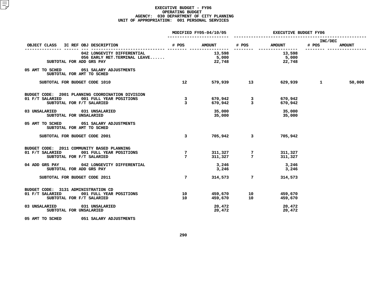|                                                                                         |                                           | MODIFIED FY05-04/10/05    |                                                           | <b>EXECUTIVE BUDGET FY06</b>                                                                                                                                                                                                    |                  |               |  |
|-----------------------------------------------------------------------------------------|-------------------------------------------|---------------------------|-----------------------------------------------------------|---------------------------------------------------------------------------------------------------------------------------------------------------------------------------------------------------------------------------------|------------------|---------------|--|
| OBJECT CLASS IC REF OBJ DESCRIPTION                                                     |                                           |                           |                                                           | # POS AMOUNT # POS AMOUNT                                                                                                                                                                                                       | INC/DEC<br># POS | <b>AMOUNT</b> |  |
| 042 LONGEVITY DIFFERENTIAL<br>056 EARLY RET. TERMINAL LEAVE<br>SUBTOTAL FOR ADD GRS PAY |                                           | 13,598<br>5,000<br>22,748 |                                                           | -------- ----------------<br>13,598<br>5,000<br>22,748                                                                                                                                                                          |                  |               |  |
| 05 AMT TO SCHED 051 SALARY ADJUSTMENTS<br>SUBTOTAL FOR AMT TO SCHED                     |                                           |                           |                                                           |                                                                                                                                                                                                                                 |                  |               |  |
| SUBTOTAL FOR BUDGET CODE 1010                                                           | 12                                        |                           | 579,939 13                                                | 629,939 – 100 – 100 – 100 – 100 – 100 – 100 – 100 – 100 – 100 – 100 – 100 – 100 – 100 – 100 – 100 – 100 – 100 – 100 – 100 – 100 – 100 – 100 – 100 – 100 – 100 – 100 – 100 – 100 – 100 – 100 – 100 – 100 – 100 – 100 – 100 – 100 | $\mathbf{1}$     | 50,000        |  |
| BUDGET CODE: 2001 PLANNING COORDINATION DIVISION                                        |                                           |                           |                                                           |                                                                                                                                                                                                                                 |                  |               |  |
| 01 F/T SALARIED<br>001 FULL YEAR POSITIONS<br>SUBTOTAL FOR F/T SALARIED                 | $\overline{\mathbf{3}}$<br>$\overline{3}$ |                           |                                                           | 670,942<br>670,942                                                                                                                                                                                                              |                  |               |  |
| 03 UNSALARIED 031 UNSALARIED<br>SUBTOTAL FOR UNSALARIED                                 |                                           | 35,000<br>35,000          |                                                           | 35,000<br>35,000                                                                                                                                                                                                                |                  |               |  |
| 05 AMT TO SCHED 051 SALARY ADJUSTMENTS<br>SUBTOTAL FOR AMT TO SCHED                     |                                           |                           |                                                           |                                                                                                                                                                                                                                 |                  |               |  |
| SUBTOTAL FOR BUDGET CODE 2001                                                           | $\overline{3}$                            |                           | 705,942 3                                                 | 705,942                                                                                                                                                                                                                         |                  |               |  |
| BUDGET CODE: 2011 COMMUNITY BASED PLANNING                                              |                                           |                           |                                                           |                                                                                                                                                                                                                                 |                  |               |  |
| 01 F/T SALARIED 001 FULL YEAR POSITIONS<br>SUBTOTAL FOR F/T SALARIED                    | 7<br>$7\phantom{.0}$                      |                           | $311,327$<br>$311,327$<br>7                               | 311,327<br>311,327                                                                                                                                                                                                              |                  |               |  |
| 04 ADD GRS PAY 042 LONGEVITY DIFFERENTIAL<br>SUBTOTAL FOR ADD GRS PAY                   |                                           | 3,246<br>3,246            |                                                           | 3,246<br>3,246                                                                                                                                                                                                                  |                  |               |  |
| SUBTOTAL FOR BUDGET CODE 2011                                                           | $7\overline{ }$                           | 314,573                   |                                                           | 7<br>314,573                                                                                                                                                                                                                    |                  |               |  |
| BUDGET CODE: 3131 ADMINISTRATION CD                                                     |                                           |                           |                                                           |                                                                                                                                                                                                                                 |                  |               |  |
| 01 F/T SALARIED<br>001 FULL YEAR POSITIONS<br>SUBTOTAL FOR F/T SALARIED                 | 10<br>10                                  |                           | 459,670                10<br>459,670                   10 | 459,670<br>459,670                                                                                                                                                                                                              |                  |               |  |
| 03 UNSALARIED 031 UNSALARIED<br>SUBTOTAL FOR UNSALARIED                                 |                                           | 20,472<br>20,472          |                                                           | 20,472<br>20,472                                                                                                                                                                                                                |                  |               |  |
| 05 AMT TO SCHED 051 SALARY ADJUSTMENTS                                                  |                                           |                           |                                                           |                                                                                                                                                                                                                                 |                  |               |  |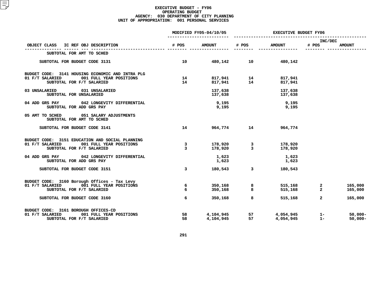|                                                                                                                             |                         | MODIFIED FY05-04/10/05 |                                    |                                              | <b>EXECUTIVE BUDGET FY06</b>   |                          |  |  |
|-----------------------------------------------------------------------------------------------------------------------------|-------------------------|------------------------|------------------------------------|----------------------------------------------|--------------------------------|--------------------------|--|--|
| OBJECT CLASS IC REF OBJ DESCRIPTION                                                                                         | # POS                   | <b>AMOUNT</b>          | # POS                              | <b>AMOUNT</b>                                | INC/DEC<br># POS               | <b>AMOUNT</b>            |  |  |
| SUBTOTAL FOR AMT TO SCHED                                                                                                   |                         |                        |                                    |                                              |                                |                          |  |  |
| SUBTOTAL FOR BUDGET CODE 3131                                                                                               | 10                      |                        | 480,142 10                         | 480,142                                      |                                |                          |  |  |
| BUDGET CODE: 3141 HOUSING ECONOMIC AND INTRA PLG<br>01 F/T SALARIED<br>001 FULL YEAR POSITIONS<br>SUBTOTAL FOR F/T SALARIED | 14<br>14                |                        | 817,941 14<br>817,941 14           | 817,941<br>817,941                           |                                |                          |  |  |
| 03 UNSALARIED 031 UNSALARIED<br>SUBTOTAL FOR UNSALARIED                                                                     |                         | 137,638                | 137,638                            | 137,638<br>137,638                           |                                |                          |  |  |
| 042 LONGEVITY DIFFERENTIAL<br>04 ADD GRS PAY<br>SUBTOTAL FOR ADD GRS PAY                                                    |                         | 9,195<br>9,195         |                                    | 9,195<br>9,195                               |                                |                          |  |  |
| 05 AMT TO SCHED 051 SALARY ADJUSTMENTS<br>SUBTOTAL FOR AMT TO SCHED                                                         |                         |                        |                                    |                                              |                                |                          |  |  |
| SUBTOTAL FOR BUDGET CODE 3141                                                                                               | 14                      |                        | 964,774 14                         | 964,774                                      |                                |                          |  |  |
| BUDGET CODE: 3151 EDUCATION AND SOCIAL PLANNING<br>001 FULL YEAR POSITIONS<br>01 F/T SALARIED<br>SUBTOTAL FOR F/T SALARIED  | 3<br>$\overline{3}$     |                        | 178,920     3<br>178,920     3     | 178,920<br>178,920                           |                                |                          |  |  |
| 04 ADD GRS PAY 042 LONGEVITY DIFFERENTIAL<br>SUBTOTAL FOR ADD GRS PAY                                                       |                         | 1,623<br>1,623         |                                    | 1,623<br>1,623                               |                                |                          |  |  |
| SUBTOTAL FOR BUDGET CODE 3151                                                                                               | $\overline{\mathbf{3}}$ | 180,543                | $\overline{3}$                     | 180,543                                      |                                |                          |  |  |
| BUDGET CODE: 3160 Borough Offices - Tax Levy<br>01 F/T SALARIED 001 FULL YEAR POSITIONS<br>SUBTOTAL FOR F/T SALARIED        | 6<br>6                  | 350,168<br>350,168     | 8<br>8                             | 515,168<br>515,168                           | $\mathbf{2}$<br>$\overline{a}$ | 165,000<br>165,000       |  |  |
| SUBTOTAL FOR BUDGET CODE 3160                                                                                               | 6                       | 350,168                | 8                                  | 515,168                                      | $\overline{a}$                 | 165,000                  |  |  |
| BUDGET CODE: 3161 BOROUGH OFFICES-CD<br>01 F/T SALARIED<br>001 FULL YEAR POSITIONS<br>SUBTOTAL FOR F/T SALARIED             | 58<br>58                | 4,104,945              | 4,104,945 57<br>4,104,945 57<br>57 | 4,054,945<br>4.054 <i>.</i> 945<br>4,054,945 | $1 -$<br>$1 -$                 | $50,000 -$<br>$50,000 -$ |  |  |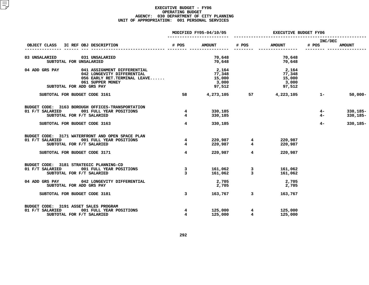|                                          |                                                            |                                   | MODIFIED FY05-04/10/05 |                                           | <b>EXECUTIVE BUDGET FY06</b> |               |             |  |
|------------------------------------------|------------------------------------------------------------|-----------------------------------|------------------------|-------------------------------------------|------------------------------|---------------|-------------|--|
| IC REF OBJ DESCRIPTION<br>OBJECT CLASS   | # POS                                                      | <b>AMOUNT</b>                     | # POS                  | <b>AMOUNT</b>                             | INC/DEC<br># POS             | <b>AMOUNT</b> |             |  |
|                                          |                                                            |                                   |                        |                                           |                              |               |             |  |
| 03 UNSALARIED<br>SUBTOTAL FOR UNSALARIED | 031 UNSALARIED                                             |                                   | 70,648<br>70,648       |                                           | 70,648<br>70,648             |               |             |  |
| 04 ADD GRS PAY                           | 041 ASSIGNMENT DIFFERENTIAL                                |                                   | 2,164                  |                                           | 2,164                        |               |             |  |
|                                          | 042 LONGEVITY DIFFERENTIAL<br>056 EARLY RET.TERMINAL LEAVE |                                   | 77,348                 |                                           | 77,348                       |               |             |  |
|                                          |                                                            |                                   | 15,000                 |                                           | 15,000                       |               |             |  |
|                                          | 061 SUPPER MONEY                                           |                                   | 3,000                  |                                           | 3,000                        |               |             |  |
| SUBTOTAL FOR ADD GRS PAY                 |                                                            |                                   | 97,512                 |                                           | 97,512                       |               |             |  |
| SUBTOTAL FOR BUDGET CODE 3161            |                                                            | 58                                | 4,273,105              |                                           | 57 4,223,105                 | $1 -$         | $50,000 -$  |  |
|                                          | BUDGET CODE: 3163 BOROUGH OFFICES-TRANSPORTATION           |                                   |                        |                                           |                              |               |             |  |
| 01 F/T SALARIED                          | 001 FULL YEAR POSITIONS                                    | $4^{\circ}$                       | 330,185                |                                           |                              | $4-$          | $330,185 -$ |  |
| SUBTOTAL FOR F/T SALARIED                |                                                            | $\overline{4}$                    | 330,185                |                                           |                              | $4-$          | $330,185 -$ |  |
| SUBTOTAL FOR BUDGET CODE 3163            |                                                            | $\overline{4}$                    | 330,185                |                                           |                              | $4-$          | $330,185 -$ |  |
|                                          | BUDGET CODE: 3171 WATERFRONT AND OPEN SPACE PLAN           |                                   |                        |                                           |                              |               |             |  |
| 01 F/T SALARIED                          | 001 FULL YEAR POSITIONS                                    | $4\phantom{1}$                    | 220,987                | $\overline{\mathbf{4}}$                   | 220,987                      |               |             |  |
| SUBTOTAL FOR F/T SALARIED                |                                                            | $\overline{4}$                    | 220,987                | $4\overline{ }$                           | 220,987                      |               |             |  |
|                                          |                                                            |                                   |                        |                                           |                              |               |             |  |
| SUBTOTAL FOR BUDGET CODE 3171            |                                                            | $\overline{4}$                    | 220,987                | $4^{\circ}$                               | 220,987                      |               |             |  |
| BUDGET CODE: 3181 STRATEGIC PLANNING-CD  |                                                            |                                   |                        |                                           |                              |               |             |  |
| 01 F/T SALARIED                          | 001 FULL YEAR POSITIONS                                    | $\overline{\mathbf{3}}$           |                        | 161,062 3<br>161,062 3                    | 161,062                      |               |             |  |
| SUBTOTAL FOR F/T SALARIED                |                                                            | 3                                 | 161,062                |                                           | 161,062                      |               |             |  |
|                                          | 04 ADD GRS PAY 042 LONGEVITY DIFFERENTIAL                  |                                   | 2,705                  |                                           | 2,705                        |               |             |  |
| SUBTOTAL FOR ADD GRS PAY                 |                                                            |                                   | 2,705                  |                                           | 2,705                        |               |             |  |
| SUBTOTAL FOR BUDGET CODE 3181            |                                                            | $\overline{3}$                    | 163,767                | $\overline{\mathbf{3}}$                   | 163,767                      |               |             |  |
|                                          |                                                            |                                   |                        |                                           |                              |               |             |  |
| BUDGET CODE: 3191 ASSET SALES PROGRAM    |                                                            |                                   |                        |                                           |                              |               |             |  |
| 01 F/T SALARIED                          | 001 FULL YEAR POSITIONS                                    | $4\overline{ }$<br>$\overline{4}$ | 125,000<br>125,000     | $\overline{\mathbf{4}}$<br>$\overline{4}$ | 125,000                      |               |             |  |
| SUBTOTAL FOR F/T SALARIED                |                                                            |                                   |                        |                                           | 125,000                      |               |             |  |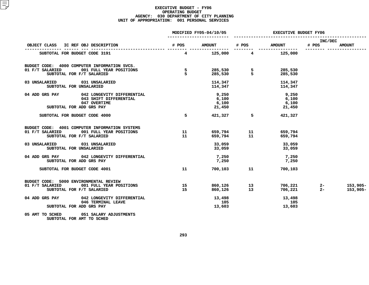|                       |                                   | <b>EXECUTIVE BUDGET FY06</b>            |                                                   |                                                                                                                                                        |                                      |
|-----------------------|-----------------------------------|-----------------------------------------|---------------------------------------------------|--------------------------------------------------------------------------------------------------------------------------------------------------------|--------------------------------------|
|                       |                                   |                                         |                                                   | # POS                                                                                                                                                  | <b>AMOUNT</b>                        |
|                       |                                   |                                         |                                                   |                                                                                                                                                        |                                      |
|                       |                                   |                                         |                                                   |                                                                                                                                                        |                                      |
|                       |                                   |                                         | 114,347<br>114,347                                |                                                                                                                                                        |                                      |
|                       | 9,250<br>6,100<br>6,100<br>21,450 |                                         | 9,250<br>6,100<br>6,100<br>21,450                 |                                                                                                                                                        |                                      |
| 5                     |                                   |                                         | 421,327                                           |                                                                                                                                                        |                                      |
| 11<br>11              |                                   |                                         | 659,794<br>659,794                                |                                                                                                                                                        |                                      |
|                       | 33,059                            |                                         | 33,059<br>33,059                                  |                                                                                                                                                        |                                      |
|                       | 7,250<br>7,250                    |                                         | 7,250<br>7,250                                    |                                                                                                                                                        |                                      |
| 11                    |                                   |                                         | 700,103                                           |                                                                                                                                                        |                                      |
| $\overline{15}$<br>15 |                                   |                                         |                                                   |                                                                                                                                                        | 153,905-<br>153,905-                 |
|                       | 105<br>13,603                     |                                         | 13,498<br>105<br>13,603                           |                                                                                                                                                        |                                      |
|                       |                                   |                                         |                                                   |                                                                                                                                                        |                                      |
|                       |                                   | MODIFIED FY05-04/10/05<br>$\frac{5}{5}$ | 114,347<br>114,347<br>421,327<br>33,059<br>13,498 | 4 125,000 4 125,000<br>285,530 5 285,530<br>285,530 5 285,530<br>$5^{\circ}$<br>700,103 11<br>860,126               13<br>860,126                   13 | INC/DEC<br># POS AMOUNT # POS AMOUNT |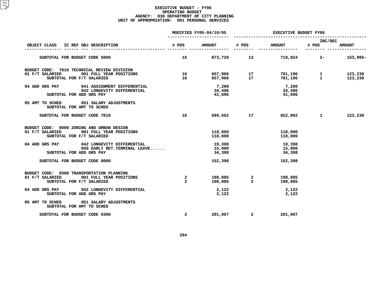|                                                                                                                      |                                           | MODIFIED FY05-04/10/05     | <b>EXECUTIVE BUDGET FY06</b> |                            |                                                          |                    |
|----------------------------------------------------------------------------------------------------------------------|-------------------------------------------|----------------------------|------------------------------|----------------------------|----------------------------------------------------------|--------------------|
| IC REF OBJ DESCRIPTION<br>OBJECT CLASS                                                                               | # POS                                     | <b>AMOUNT</b>              | # POS                        | <b>AMOUNT</b>              | INC/DEC<br># POS<br>---------                            | <b>AMOUNT</b>      |
| SUBTOTAL FOR BUDGET CODE 5000                                                                                        | 15                                        | 873,729 13                 |                              |                            | $719,824$ 2-                                             | 153,905-           |
| BUDGET CODE: 7010 TECHNICAL REVIEW DIVISION<br>01 F/T SALARIED 001 FULL YEAR POSITIONS<br>SUBTOTAL FOR F/T SALARIED  | 16                                        | 16 657,966 17              | 657,966 17                   |                            | 781,196                1<br>781,196                    1 | 123,230<br>123,230 |
| 04 ADD GRS PAY 041 ASSIGNMENT DIFFERENTIAL<br>042 LONGEVITY DIFFERENTIAL<br>SUBTOTAL FOR ADD GRS PAY                 |                                           | 7,200<br>34,496<br>41,696  |                              | 7,200<br>34,496<br>41,696  |                                                          |                    |
| 05 AMT TO SCHED 051 SALARY ADJUSTMENTS<br>SUBTOTAL FOR AMT TO SCHED                                                  |                                           |                            |                              |                            |                                                          |                    |
| SUBTOTAL FOR BUDGET CODE 7010                                                                                        | 16                                        |                            | 699,662 17                   | 822,892                    | $\mathbf{1}$ and $\mathbf{1}$                            | 123,230            |
| BUDGET CODE: 8000 ZONING AND URBAN DESIGN<br>001 FULL YEAR POSITIONS<br>01 F/T SALARIED<br>SUBTOTAL FOR F/T SALARIED |                                           | 118,000<br>118,000         |                              | 118,000<br>118,000         |                                                          |                    |
| 04 ADD GRS PAY 042 LONGEVITY DIFFERENTIAL<br>056 EARLY RET.TERMINAL LEAVE<br>SUBTOTAL FOR ADD GRS PAY                |                                           | 19,398<br>15,000<br>34,398 |                              | 19,398<br>15,000<br>34,398 |                                                          |                    |
| SUBTOTAL FOR BUDGET CODE 8000                                                                                        |                                           | 152,398                    |                              | 152,398                    |                                                          |                    |
| BUDGET CODE: 9300 TRANSPORTATION PLANNING<br>01 F/T SALARIED 001 FULL YEAR POSITIONS<br>SUBTOTAL FOR F/T SALARIED    | $\overline{\mathbf{2}}$<br>$\overline{2}$ |                            |                              | 198,885<br>198,885         |                                                          |                    |
| 04 ADD GRS PAY 042 LONGEVITY DIFFERENTIAL<br>SUBTOTAL FOR ADD GRS PAY                                                |                                           | 2,122<br>2,122             |                              | 2,122<br>2,122             |                                                          |                    |
| 05 AMT TO SCHED 051 SALARY ADJUSTMENTS<br>SUBTOTAL FOR AMT TO SCHED                                                  |                                           |                            |                              |                            |                                                          |                    |
| SUBTOTAL FOR BUDGET CODE 9300                                                                                        | $\overline{a}$                            |                            | 201,007 2                    | 201,007                    |                                                          |                    |
|                                                                                                                      |                                           |                            |                              |                            |                                                          |                    |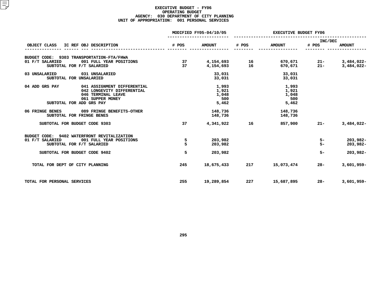|                                        |                                             | MODIFIED FY05-04/10/05 |               |       | <b>EXECUTIVE BUDGET FY06</b> |                  |               |  |  |
|----------------------------------------|---------------------------------------------|------------------------|---------------|-------|------------------------------|------------------|---------------|--|--|
| OBJECT CLASS<br>IC REF OBJ DESCRIPTION |                                             | # POS                  | <b>AMOUNT</b> | # POS | <b>AMOUNT</b>                | INC/DEC<br># POS | <b>AMOUNT</b> |  |  |
|                                        | BUDGET CODE: 9303 TRANSPORTATION-FTA/FHWA   |                        |               |       |                              |                  |               |  |  |
| 01 F/T SALARIED                        | 001 FULL YEAR POSITIONS                     | 37                     | 4,154,693     | 16    | 670,671                      | $21-$            | 3,484,022-    |  |  |
|                                        | SUBTOTAL FOR F/T SALARIED                   | 37                     | 4,154,693     | 16    | 670,671                      | $21 -$           | 3,484,022-    |  |  |
| 03 UNSALARIED                          | 031 UNSALARIED                              |                        | 33,031        |       | 33,031                       |                  |               |  |  |
| SUBTOTAL FOR UNSALARIED                |                                             |                        | 33,031        |       | 33,031                       |                  |               |  |  |
| 04 ADD GRS PAY                         | 041 ASSIGNMENT DIFFERENTIAL                 |                        | 1,993         |       | 1,993                        |                  |               |  |  |
|                                        | 042 LONGEVITY DIFFERENTIAL                  |                        | 1,921         |       | 1,921                        |                  |               |  |  |
|                                        | 046 TERMINAL LEAVE                          |                        | 1,048         |       | 1,048                        |                  |               |  |  |
|                                        | 061 SUPPER MONEY                            |                        | 500           |       | 500                          |                  |               |  |  |
|                                        | SUBTOTAL FOR ADD GRS PAY                    |                        | 5,462         |       | 5,462                        |                  |               |  |  |
| 06 FRINGE BENES                        | 089 FRINGE BENEFITS-OTHER                   |                        | 148,736       |       | 148,736                      |                  |               |  |  |
|                                        | SUBTOTAL FOR FRINGE BENES                   |                        | 148,736       |       | 148,736                      |                  |               |  |  |
| SUBTOTAL FOR BUDGET CODE 9303          |                                             | 37                     | 4,341,922     | 16    | 857,900                      | $21 -$           | 3,484,022-    |  |  |
|                                        | BUDGET CODE: 9402 WATERFRONT REVITALIZATION |                        |               |       |                              |                  |               |  |  |
| 01 F/T SALARIED                        | 001 FULL YEAR POSITIONS                     | 5                      | 203,982       |       |                              | $5-$             | 203,982-      |  |  |
|                                        | SUBTOTAL FOR F/T SALARIED                   | 5                      | 203,982       |       |                              | $5-$             | 203,982-      |  |  |
| SUBTOTAL FOR BUDGET CODE 9402          |                                             | 5                      | 203,982       |       |                              | $5-$             | 203,982-      |  |  |
| TOTAL FOR DEPT OF CITY PLANNING        |                                             | 245                    | 18,675,433    | 217   | 15,073,474                   | $28 -$           | $3,601,959-$  |  |  |
| TOTAL FOR PERSONAL SERVICES            |                                             | 255                    | 19,289,854    | 227   | 15,687,895                   | $28 -$           | $3,601,959-$  |  |  |
|                                        |                                             |                        |               |       |                              |                  |               |  |  |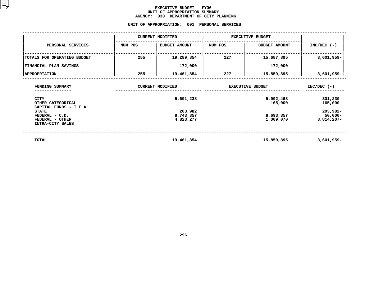## **EXECUTIVE BUDGET - FY06 UNIT OF APPROPRIATION SUMMARY AGENCY:**

**<sup>030</sup> DEPARTMENT OF CITY PLANNING UNIT**

|                                                                       |         | UNIT OF APPROPRIATION:<br>001     | PERSONAL SERVICES       |                                           |                    |
|-----------------------------------------------------------------------|---------|-----------------------------------|-------------------------|-------------------------------------------|--------------------|
|                                                                       |         | <b>CURRENT MODIFIED</b>           | <b>EXECUTIVE BUDGET</b> |                                           |                    |
| PERSONAL SERVICES                                                     | NUM POS | <b>BUDGET AMOUNT</b>              | NUM POS                 | <b>BUDGET AMOUNT</b>                      | $INC/DEC$ (-)      |
| TOTALS FOR OPERATING BUDGET                                           | 255     | 19,289,854                        | 227                     | 15,687,895                                | $3,601,959-$       |
| FINANCIAL PLAN SAVINGS                                                |         | 172,000                           |                         | 172,000                                   |                    |
| <b>APPROPRIATION</b>                                                  | 255     | 19,461,854                        | 227                     | 15,859,895                                | 3,601,959-         |
| FUNDING SUMMARY                                                       |         | <b>CURRENT MODIFIED</b>           | <b>EXECUTIVE BUDGET</b> | $INC/DEC$ (-)                             |                    |
| <b>CITY</b><br>OTHER CATEGORICAL<br>CAPITAL FUNDS - I.F.A.            |         | 5,691,238                         |                         | 5,992,468<br>165,000                      | 301,230<br>165,000 |
| <b>STATE</b><br>FEDERAL - C.D.<br>FEDERAL - OTHER<br>INTRA-CITY SALES |         | 203,982<br>8,743,357<br>4,823,277 |                         | $203,982 -$<br>$50,000 -$<br>$3,814,207-$ |                    |
| <b>TOTAL</b>                                                          |         | 19,461,854                        |                         | 15,859,895                                | $3,601,959-$       |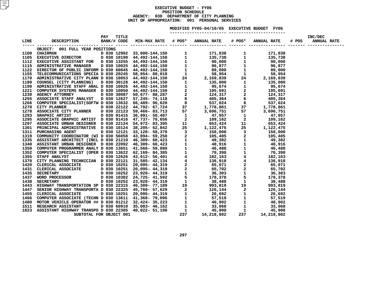## **EXECUTIVE BUDGET - FY06 POSITIONN SCHEDULE<br>TMENT OF C<br>: 001 PE AGENCY: <sup>030</sup> DEPARTMENT OF CITY PLANNING UNITOF APPROPRIATION: <sup>001</sup> PERSONAL SERVICES MODIFIED**

**FY05-04/10/05 EXECUTIVE BUDGET FY06 -----------------------**

| OBJECT: 001 FULL YEAR POSITIONS                                                                                                                                                                                                                                                 |  |  |  |  |  |
|---------------------------------------------------------------------------------------------------------------------------------------------------------------------------------------------------------------------------------------------------------------------------------|--|--|--|--|--|
|                                                                                                                                                                                                                                                                                 |  |  |  |  |  |
|                                                                                                                                                                                                                                                                                 |  |  |  |  |  |
|                                                                                                                                                                                                                                                                                 |  |  |  |  |  |
|                                                                                                                                                                                                                                                                                 |  |  |  |  |  |
|                                                                                                                                                                                                                                                                                 |  |  |  |  |  |
|                                                                                                                                                                                                                                                                                 |  |  |  |  |  |
|                                                                                                                                                                                                                                                                                 |  |  |  |  |  |
|                                                                                                                                                                                                                                                                                 |  |  |  |  |  |
|                                                                                                                                                                                                                                                                                 |  |  |  |  |  |
|                                                                                                                                                                                                                                                                                 |  |  |  |  |  |
|                                                                                                                                                                                                                                                                                 |  |  |  |  |  |
|                                                                                                                                                                                                                                                                                 |  |  |  |  |  |
|                                                                                                                                                                                                                                                                                 |  |  |  |  |  |
|                                                                                                                                                                                                                                                                                 |  |  |  |  |  |
|                                                                                                                                                                                                                                                                                 |  |  |  |  |  |
|                                                                                                                                                                                                                                                                                 |  |  |  |  |  |
|                                                                                                                                                                                                                                                                                 |  |  |  |  |  |
|                                                                                                                                                                                                                                                                                 |  |  |  |  |  |
|                                                                                                                                                                                                                                                                                 |  |  |  |  |  |
|                                                                                                                                                                                                                                                                                 |  |  |  |  |  |
|                                                                                                                                                                                                                                                                                 |  |  |  |  |  |
|                                                                                                                                                                                                                                                                                 |  |  |  |  |  |
|                                                                                                                                                                                                                                                                                 |  |  |  |  |  |
|                                                                                                                                                                                                                                                                                 |  |  |  |  |  |
|                                                                                                                                                                                                                                                                                 |  |  |  |  |  |
|                                                                                                                                                                                                                                                                                 |  |  |  |  |  |
|                                                                                                                                                                                                                                                                                 |  |  |  |  |  |
|                                                                                                                                                                                                                                                                                 |  |  |  |  |  |
|                                                                                                                                                                                                                                                                                 |  |  |  |  |  |
|                                                                                                                                                                                                                                                                                 |  |  |  |  |  |
|                                                                                                                                                                                                                                                                                 |  |  |  |  |  |
|                                                                                                                                                                                                                                                                                 |  |  |  |  |  |
|                                                                                                                                                                                                                                                                                 |  |  |  |  |  |
|                                                                                                                                                                                                                                                                                 |  |  |  |  |  |
|                                                                                                                                                                                                                                                                                 |  |  |  |  |  |
|                                                                                                                                                                                                                                                                                 |  |  |  |  |  |
|                                                                                                                                                                                                                                                                                 |  |  |  |  |  |
|                                                                                                                                                                                                                                                                                 |  |  |  |  |  |
|                                                                                                                                                                                                                                                                                 |  |  |  |  |  |
|                                                                                                                                                                                                                                                                                 |  |  |  |  |  |
|                                                                                                                                                                                                                                                                                 |  |  |  |  |  |
|                                                                                                                                                                                                                                                                                 |  |  |  |  |  |
| $\begin{tabular}{cccccccccccc} 1.168 & 0.168 & 0.168 & 0.168 & 0.168 & 0.168 & 0.168 & 0.168 & 0.168 & 0.168 & 0.168 & 0.168 & 0.168 & 0.168 & 0.168 & 0.168 & 0.168 & 0.168 & 0.168 & 0.168 & 0.168 & 0.168 & 0.168 & 0.168 & 0.168 & 0.168 & 0.168 & 0.168 & 0.168 & 0.168 &$ |  |  |  |  |  |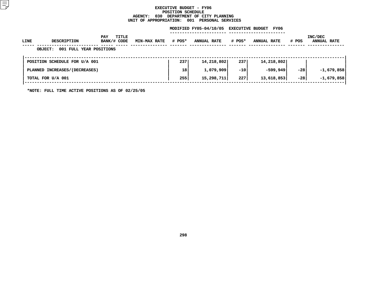## **EXECUTIVE BUDGET - FY06 POSITIONN SCHEDULE<br>TMENT OF C<br>: 001 PE AGENCY: <sup>030</sup> DEPARTMENT OF CITY PLANNING UNIT**

|      |                                           |                             | UNIT OF APPROPRIATION: |        | 001 PERSONAL SERVICES  |        |                                 |       |                               |
|------|-------------------------------------------|-----------------------------|------------------------|--------|------------------------|--------|---------------------------------|-------|-------------------------------|
|      |                                           |                             |                        |        | MODIFIED FY05-04/10/05 |        | <b>EXECUTIVE BUDGET</b><br>FY06 |       |                               |
| LINE | <b>DESCRIPTION</b>                        | TITLE<br>PAY<br>BANK/# CODE | <b>MIN-MAX RATE</b>    | # POS* | <b>ANNUAL RATE</b>     | # POS* | <b>ANNUAL RATE</b>              | # POS | INC/DEC<br><b>ANNUAL RATE</b> |
|      | 001 FULL YEAR POSITIONS<br><b>OBJECT:</b> |                             |                        |        |                        |        |                                 |       |                               |
|      | POSITION SCHEDULE FOR U/A 001             |                             |                        | 237    | 14,218,802             | 237    | 14,218,802                      |       |                               |
|      | PLANNED INCREASES/(DECREASES)             |                             |                        | 18     | 1,079,909              | $-10$  | -599,949                        | $-28$ | $-1,679,858$                  |
|      | TOTAL FOR U/A 001                         |                             |                        | 255    | 15,298,711             | 227    | 13,618,853                      | $-28$ | $-1,679,858$                  |
|      |                                           |                             |                        |        |                        |        |                                 |       |                               |

**\*NOTE: FULL TIME ACTIVE POSITIONS AS OF 02/25/05**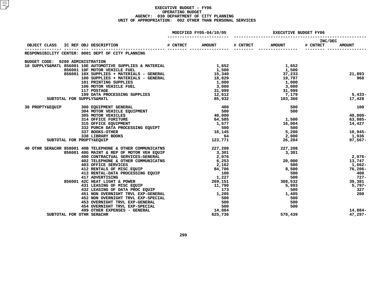|                                  |                           |                                                                                                                                                                                                                            |          | MODIFIED FY05-04/10/05 | <b>EXECUTIVE BUDGET FY06</b> |               |                            |               |
|----------------------------------|---------------------------|----------------------------------------------------------------------------------------------------------------------------------------------------------------------------------------------------------------------------|----------|------------------------|------------------------------|---------------|----------------------------|---------------|
|                                  |                           |                                                                                                                                                                                                                            | # CNTRCT | <b>AMOUNT</b>          | # CNTRCT                     | <b>AMOUNT</b> | <b>INC/DEC</b><br># CNTRCT | <b>AMOUNT</b> |
|                                  |                           | RESPONSIBILITY CENTER: 0001 DEPT OF CITY PLANNING                                                                                                                                                                          |          |                        |                              |               |                            |               |
| BUDGET CODE: 0200 ADMINISTRATION |                           |                                                                                                                                                                                                                            |          |                        |                              |               |                            |               |
|                                  |                           | 10 SUPPLYS&MATL 856001 10E AUTOMOTIVE SUPPLIES & MATERIAL                                                                                                                                                                  |          | 1,652                  |                              | 1,652         |                            |               |
|                                  |                           | 856001 10F MOTOR VEHICLE FUEL                                                                                                                                                                                              |          | 1,500                  |                              | 1,500         |                            |               |
|                                  |                           | $356001$ 10X SUPPLIES + MATERIALS - GENERAL $15,340$                                                                                                                                                                       |          |                        |                              | 37,233        |                            | 21,893        |
|                                  |                           | 100 SUPPLIES + MATERIALS - GENERAL 18,829<br>101 PRINTING SUPPLIES 1,000                                                                                                                                                   |          |                        |                              | 19,797        |                            | 968           |
|                                  |                           |                                                                                                                                                                                                                            |          |                        |                              | 1,000         |                            |               |
|                                  |                           | 106 MOTOR VEHICLE FUEL<br>117 POSTAGE                                                                                                                                                                                      |          | 3,000                  |                              | 3,000         |                            |               |
|                                  |                           |                                                                                                                                                                                                                            |          | 31,999                 |                              | 31,999        |                            |               |
|                                  |                           | 199 DATA PROCESSING SUPPLIES                                                                                                                                                                                               |          | 12,612                 |                              |               | 7,179                      | $5,433-$      |
|                                  | SUBTOTAL FOR SUPPLYS&MATL |                                                                                                                                                                                                                            |          | 85,932                 |                              | 103,360       |                            | 17,428        |
|                                  |                           | 30 PROPTY&EQUIP 300 EQUIPMENT GENERAL                                                                                                                                                                                      |          | $\frac{400}{500}$      |                              | 500           |                            | 100           |
|                                  |                           | 300 EQUIPMENT GENERAL<br>304 MOTOR VEHICLE EQUIPMENT<br>305 MOTOR VEHICLES<br>314 OFFICE FURITURE<br>315 OFFICE EQUIPMENT<br>332 PURCH DATA PROCESSING EQUIPT<br>232 PURCH DATA PROCESSING EQUIPT                          |          |                        |                              | 500           |                            |               |
|                                  |                           |                                                                                                                                                                                                                            |          | 40,000                 |                              |               |                            | 40,000-       |
|                                  |                           |                                                                                                                                                                                                                            |          | 64,585                 |                              | 1,500         |                            | 63,085-       |
|                                  |                           |                                                                                                                                                                                                                            |          | 1,577                  |                              | 16,004        |                            | 14,427        |
|                                  |                           |                                                                                                                                                                                                                            |          | 500                    |                              | 500           |                            |               |
|                                  |                           | 337 BOOKS-OTHER                                                                                                                                                                                                            |          | 16,145                 |                              | 5,200         |                            | 10,945-       |
|                                  |                           | 338 LIBRARY BOOKS                                                                                                                                                                                                          |          | 64                     |                              |               |                            | 1,936         |
|                                  | SUBTOTAL FOR PROPTY&EQUIP |                                                                                                                                                                                                                            |          | 123,771                |                              | 26,204        |                            | $97,567-$     |
|                                  |                           | 40 OTHR SER&CHR 858001 40B TELEPHONE & OTHER COMMUNICATNS                                                                                                                                                                  |          | 227,208                |                              | 227,208       |                            |               |
|                                  |                           | 856001 40G MAINT & REP OF MOTOR VEH EQUIP                                                                                                                                                                                  |          | 3,301                  |                              | 3,301         |                            |               |
|                                  |                           | 400 CONTRACTUAL SERVICES-GENERAL                                                                                                                                                                                           |          | 2,076                  |                              |               |                            | 2,076-        |
|                                  |                           | 402 TELEPHONE & OTHER COMMUNICATNS                                                                                                                                                                                         |          | 6,253                  |                              | 20,000        |                            | 13,747        |
|                                  |                           | 403 OFFICE SERVICES<br>412 RENTALS OF MISC.EQUIP<br>413 RENTAL-DATA PROCESSING EQUIP<br>417 ADVERTISING<br>420 HEAT LIGHT & POWER<br>420 HEAT LIGHT & POWER<br>420 HEAT LIGHT & POWER<br>420 HEAT LIGHT & POWER<br>420 JON |          |                        |                              | 500           |                            | 1,662–        |
|                                  |                           |                                                                                                                                                                                                                            |          |                        |                              | 8,500         |                            | $76,206 -$    |
|                                  |                           |                                                                                                                                                                                                                            |          |                        |                              | 500           |                            | 400           |
|                                  |                           |                                                                                                                                                                                                                            |          |                        |                              | 500           |                            | 727-          |
|                                  |                           |                                                                                                                                                                                                                            |          |                        |                              | 308,532       |                            | 39,381        |
|                                  |                           | 431 LEASING OF MISC EQUIP<br>432 LEASING OF DATA PROC EQUIP                                                                                                                                                                |          | 11,790                 |                              | 5,993         |                            | 5,797-        |
|                                  |                           |                                                                                                                                                                                                                            |          | 173                    |                              | 500           |                            | 327           |
|                                  |                           | 451 NON OVERNIGHT TRVL EXP-GENERAL                                                                                                                                                                                         |          | 1,205                  |                              | 1,405         |                            | 200           |
|                                  |                           |                                                                                                                                                                                                                            |          | 500<br>500             |                              | 500           |                            |               |
|                                  |                           | <b>452 NON OVERNIGHT TRVL EXP-SPECIAL<br/>453 OVERNIGHT TRVL EXP-GENERAL</b>                                                                                                                                               |          |                        |                              | 500           |                            |               |
|                                  |                           | 454 OVERNIGHT TRVL EXP-SPECIAL                                                                                                                                                                                             |          | 500                    |                              | 500           |                            |               |
|                                  |                           | 499 OTHER EXPENSES - GENERAL                                                                                                                                                                                               |          | 14,884                 |                              |               |                            | 14,884-       |
|                                  | SUBTOTAL FOR OTHR SER&CHR |                                                                                                                                                                                                                            |          | 625,736                |                              | 578,439       |                            | $47,297-$     |
|                                  |                           |                                                                                                                                                                                                                            |          |                        |                              |               |                            |               |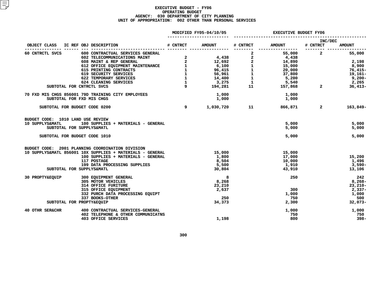|                                              |                                                                                                                                                                                                                                                        |                          | MODIFIED FY05-04/10/05 | <b>EXECUTIVE BUDGET FY06</b>                                    |                            |                                           |                |  |
|----------------------------------------------|--------------------------------------------------------------------------------------------------------------------------------------------------------------------------------------------------------------------------------------------------------|--------------------------|------------------------|-----------------------------------------------------------------|----------------------------|-------------------------------------------|----------------|--|
| OBJECT CLASS IC REF OBJ DESCRIPTION          |                                                                                                                                                                                                                                                        | # CNTRCT                 | <b>AMOUNT</b>          | # CNTRCT                                                        | <b>AMOUNT</b>              | INC/DEC<br># CNTRCT                       | <b>AMOUNT</b>  |  |
| 60 CNTRCTL SVCS                              | 600 CONTRACTUAL SERVICES GENERAL                                                                                                                                                                                                                       |                          |                        |                                                                 | ----------------<br>55,000 | --------- -------------<br>$\overline{a}$ | 55,000         |  |
|                                              |                                                                                                                                                                                                                                                        |                          |                        | $\mathbf{2}$                                                    | 4,438                      |                                           |                |  |
|                                              |                                                                                                                                                                                                                                                        |                          |                        | $\mathbf{2}$                                                    | 14,890                     |                                           | 2,198          |  |
|                                              |                                                                                                                                                                                                                                                        |                          |                        | $\begin{bmatrix} 1 \\ 1 \\ 1 \\ 1 \\ 1 \\ 1 \\ 1 \end{bmatrix}$ |                            |                                           | 8,900          |  |
|                                              |                                                                                                                                                                                                                                                        |                          |                        |                                                                 | 15,000<br>20,000           |                                           | 76,415-        |  |
|                                              |                                                                                                                                                                                                                                                        |                          |                        |                                                                 | 37,800                     |                                           | 19,161-        |  |
|                                              |                                                                                                                                                                                                                                                        |                          |                        |                                                                 | 5,200                      |                                           | 9,200-         |  |
|                                              |                                                                                                                                                                                                                                                        |                          |                        |                                                                 | 5,540                      |                                           | 2,265          |  |
| SUBTOTAL FOR CNTRCTL SVCS                    | 602 TELECOMMUNICATIONS MAINT<br>602 TELECOMMUNICATIONS MAINT<br>608 MAINT & REP GENERAL<br>619 SECURITY SERVICES<br>619 SECURITY SERVICES<br>622 TEMPORARY SERVICES<br>624 CLEANING SERVICES<br>7275 CNTRCTL SVCS<br>7281<br>7275<br>7275<br>7275<br>7 | $9^{\circ}$              | 194,281                |                                                                 | 11 157,868                 | $2^{\circ}$                               | $36,413-$      |  |
|                                              | 70 FXD MIS CHGS 856001 79D TRAINING CITY EMPLOYEES                                                                                                                                                                                                     |                          | 1,000                  |                                                                 | 1,000                      |                                           |                |  |
| SUBTOTAL FOR FXD MIS CHGS                    |                                                                                                                                                                                                                                                        |                          | 1,000                  |                                                                 | 1,000                      |                                           |                |  |
| SUBTOTAL FOR BUDGET CODE 0200                |                                                                                                                                                                                                                                                        | $\overline{\phantom{a}}$ |                        | 1,030,720 11                                                    | 866,871                    | $\sim$ 2                                  | 163,849-       |  |
| BUDGET CODE: 1010 LAND USE REVIEW            |                                                                                                                                                                                                                                                        |                          |                        |                                                                 |                            |                                           |                |  |
| 10 SUPPLYS&MATL<br>SUBTOTAL FOR SUPPLYS&MATL | 100 SUPPLIES + MATERIALS - GENERAL                                                                                                                                                                                                                     |                          |                        |                                                                 | 5,000<br>5,000             |                                           | 5,000<br>5,000 |  |
| SUBTOTAL FOR BUDGET CODE 1010                |                                                                                                                                                                                                                                                        |                          |                        |                                                                 | 5,000                      |                                           | 5,000          |  |
|                                              | BUDGET CODE: 2001 PLANNING COORDINATION DIVISION                                                                                                                                                                                                       |                          |                        |                                                                 |                            |                                           |                |  |
|                                              | 10 SUPPLYS&MATL 856001 10X SUPPLIES + MATERIALS - GENERAL                                                                                                                                                                                              |                          | 15,000                 |                                                                 | 15,000                     |                                           |                |  |
|                                              | 100 SUPPLIES + MATERIALS - GENERAL                                                                                                                                                                                                                     |                          | 1,800                  |                                                                 | 17,000                     |                                           | 15,200         |  |
|                                              | 117 POSTAGE<br>199 DATA PROCESSING SUPPLIES                                                                                                                                                                                                            |                          | 8,504                  |                                                                 | 10,000                     |                                           | 1,496          |  |
|                                              |                                                                                                                                                                                                                                                        |                          | 5,500                  |                                                                 | 1,910                      |                                           | 3,590-         |  |
| SUBTOTAL FOR SUPPLYS&MATL                    |                                                                                                                                                                                                                                                        |                          | 30,804                 |                                                                 | 43,910                     |                                           | 13,106         |  |
| 30 PROPTY&EQUIP                              | 300 EQUIPMENT GENERAL                                                                                                                                                                                                                                  |                          | 8                      |                                                                 | 250                        |                                           | 242            |  |
|                                              | 305 MOTOR VEHICLES                                                                                                                                                                                                                                     |                          | 8,268                  |                                                                 |                            |                                           | $8,268-$       |  |
|                                              | 314 OFFICE FURITURE                                                                                                                                                                                                                                    |                          | 23,210                 |                                                                 |                            |                                           | $23,210-$      |  |
|                                              | 315 OFFICE EQUIPMENT                                                                                                                                                                                                                                   |                          | 2,637                  |                                                                 | 300                        |                                           | $2,337-$       |  |
|                                              | 332 PURCH DATA PROCESSING EQUIPT                                                                                                                                                                                                                       |                          |                        |                                                                 | 1,000                      |                                           | 1,000          |  |
|                                              | 337 BOOKS-OTHER                                                                                                                                                                                                                                        |                          | 250                    |                                                                 | 750                        |                                           | 500            |  |
| SUBTOTAL FOR PROPTY&EQUIP                    |                                                                                                                                                                                                                                                        |                          | 34,373                 |                                                                 | 2,300                      |                                           | $32,073-$      |  |
| 40 OTHR SER&CHR                              | 400 CONTRACTUAL SERVICES-GENERAL<br>402 TELEPHONE & OTHER COMMUNICATNS                                                                                                                                                                                 |                          |                        |                                                                 | 1,000<br>750               |                                           | 1,000<br>750   |  |
|                                              | <b>403 OFFICE SERVICES</b>                                                                                                                                                                                                                             |                          | 1,198                  |                                                                 | 800                        |                                           | $398-$         |  |
|                                              |                                                                                                                                                                                                                                                        |                          |                        |                                                                 |                            |                                           |                |  |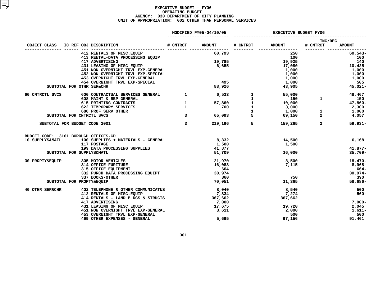|                 |  |                                                                                    |                | MODIFIED FY05-04/10/05 |              | <b>EXECUTIVE BUDGET FY06</b>                                                                                                 |                             |                                            |  |  |
|-----------------|--|------------------------------------------------------------------------------------|----------------|------------------------|--------------|------------------------------------------------------------------------------------------------------------------------------|-----------------------------|--------------------------------------------|--|--|
| OBJECT CLASS    |  |                                                                                    |                |                        |              | # CNTRCT AMOUNT                                                                                                              | INC/DEC<br># CNTRCT         | <b>AMOUNT</b>                              |  |  |
|                 |  | 412 RENTALS OF MISC.EQUIP                                                          |                | 60,793                 |              | 250                                                                                                                          |                             | --------- -----------------<br>$60, 543 -$ |  |  |
|                 |  | 413 RENTAL-DATA PROCESSING EQUIP                                                   |                |                        |              | 100                                                                                                                          |                             | 100                                        |  |  |
|                 |  | 417 ADVERTISING                                                                    |                | 19,785                 |              | 19,925                                                                                                                       |                             | 140                                        |  |  |
|                 |  | 417 ADVERTISING<br>431 LEASING OF MISC EQUIP<br>100 LEASE CURRICULE TELEVE-CENERAL |                | 6,655                  |              | 17,080                                                                                                                       |                             | 10,425                                     |  |  |
|                 |  | 451 NON OVERNIGHT TRVL EXP-GENERAL                                                 |                |                        |              | 1,000                                                                                                                        |                             | 1,000                                      |  |  |
|                 |  | 452 NON OVERNIGHT TRVL EXP-SPECIAL                                                 |                |                        |              | 1,000<br>1,000                                                                                                               |                             | 1,000                                      |  |  |
|                 |  | 453 OVERNIGHT TRVL EXP-GENERAL                                                     |                |                        |              |                                                                                                                              |                             | 1,000                                      |  |  |
|                 |  | 454 OVERNIGHT TRVL EXP-SPECIAL                                                     |                | 495<br>88,926          |              | 1,000<br>43,905                                                                                                              |                             | 505                                        |  |  |
|                 |  | SUBTOTAL FOR OTHR SER&CHR                                                          |                |                        |              |                                                                                                                              |                             | 45,021-                                    |  |  |
| 60 CNTRCTL SVCS |  | 600 CONTRACTUAL SERVICES GENERAL 1                                                 |                | 6,533                  | $\mathbf{1}$ | 55,000                                                                                                                       |                             | 48,467                                     |  |  |
|                 |  | 608 MAINT & REP GENERAL                                                            |                |                        | $\mathbf{1}$ |                                                                                                                              | $\mathbf{1}$                | 150                                        |  |  |
|                 |  | $\frac{1}{1}$<br>615 PRINTING CONTRACTS                                            |                | 57,860<br>700          |              |                                                                                                                              |                             | 47,860-                                    |  |  |
|                 |  | 622 TEMPORARY SERVICES                                                             |                |                        |              |                                                                                                                              |                             | 2,300                                      |  |  |
|                 |  | 686 PROF SERV OTHER                                                                | $\mathbf{3}$   | 65,093                 |              |                                                                                                                              | $\mathbf{1}$<br>$2^{\circ}$ | 1,000                                      |  |  |
|                 |  | SUBTOTAL FOR CNTRCTL SVCS                                                          |                |                        |              | $\begin{array}{ccc} 1 & & & & & \dots \ 1 & & & & 10,000 \ 1 & & & & 3,000 \ 1 & & & & 1,000 \ 5 & & & & 69,150 \end{array}$ |                             | 4,057                                      |  |  |
|                 |  | SUBTOTAL FOR BUDGET CODE 2001                                                      | $\overline{3}$ | 219,196                |              | 159,265<br>$5^{\circ}$                                                                                                       | $\overline{2}$              | 59,931-                                    |  |  |
|                 |  | BUDGET CODE: 3161 BOROUGH OFFICES-CD                                               |                |                        |              |                                                                                                                              |                             |                                            |  |  |
| 10 SUPPLYS&MATL |  | 100 SUPPLIES + MATERIALS - GENERAL                                                 |                | 8,332                  |              | 14,500                                                                                                                       |                             | 6,168                                      |  |  |
|                 |  | 117 POSTAGE                                                                        |                | 1,500                  |              | 1,500                                                                                                                        |                             |                                            |  |  |
|                 |  | 199 DATA PROCESSING SUPPLIES                                                       |                | 41,877                 |              |                                                                                                                              |                             | 41,877-                                    |  |  |
|                 |  | SUBTOTAL FOR SUPPLYS&MATL                                                          |                | 51,709                 |              | 16,000                                                                                                                       |                             | $35,709-$                                  |  |  |
| 30 PROPTY&EQUIP |  | 305 MOTOR VEHICLES                                                                 |                | 21,970                 |              | 3,500                                                                                                                        |                             | 18,470-                                    |  |  |
|                 |  | <b>314 OFFICE FURITURE</b>                                                         |                | 16,083                 |              | 7,115                                                                                                                        |                             | 8,968-                                     |  |  |
|                 |  | 315 OFFICE EQUIPMENT                                                               |                | 664                    |              |                                                                                                                              |                             | 664-                                       |  |  |
|                 |  | 332 PURCH DATA PROCESSING EQUIPT                                                   |                | 30,974                 |              |                                                                                                                              |                             | $30,974-$                                  |  |  |
|                 |  | 337 BOOKS-OTHER                                                                    |                | 360                    |              | 750                                                                                                                          |                             | 390                                        |  |  |
|                 |  | SUBTOTAL FOR PROPTY&EQUIP                                                          |                | 70,051                 |              | 11,365                                                                                                                       |                             | 58,686-                                    |  |  |
| 40 OTHR SER&CHR |  | 402 TELEPHONE & OTHER COMMUNICATNS                                                 |                | 8,040                  |              | 8,540                                                                                                                        |                             | 500                                        |  |  |
|                 |  | 412 RENTALS OF MISC. EQUIP                                                         |                | 7,834                  |              | 7,274                                                                                                                        |                             | -560                                       |  |  |
|                 |  | 414 RENTALS - LAND BLDGS & STRUCTS                                                 |                | 367,662                |              | 367,662                                                                                                                      |                             |                                            |  |  |
|                 |  |                                                                                    |                | 7,000                  |              |                                                                                                                              |                             | $7,000-$                                   |  |  |
|                 |  |                                                                                    |                | 17,675                 |              | 19,720<br>2,000                                                                                                              |                             | 2,045                                      |  |  |
|                 |  |                                                                                    |                | 3,611                  |              |                                                                                                                              |                             | $1,611-$                                   |  |  |
|                 |  | 453 OVERNIGHT TRVL EXP-GENERAL                                                     |                |                        |              | 500                                                                                                                          |                             | 500                                        |  |  |
|                 |  | 499 OTHER EXPENSES - GENERAL                                                       |                | 5,695                  |              | 97,156                                                                                                                       |                             | 91,461                                     |  |  |
|                 |  |                                                                                    |                |                        |              |                                                                                                                              |                             |                                            |  |  |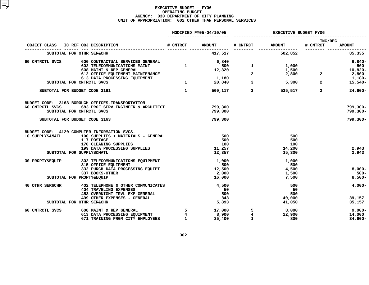|                            |                                                                                                                               |                                                                                                        | MODIFIED FY05-04/10/05 | <b>EXECUTIVE BUDGET FY06</b> |                                                                                                                                                                                                                                                                                                                                                                                                                  |                                  |                  |
|----------------------------|-------------------------------------------------------------------------------------------------------------------------------|--------------------------------------------------------------------------------------------------------|------------------------|------------------------------|------------------------------------------------------------------------------------------------------------------------------------------------------------------------------------------------------------------------------------------------------------------------------------------------------------------------------------------------------------------------------------------------------------------|----------------------------------|------------------|
|                            | OBJECT CLASS IC REF OBJ DESCRIPTION                                                                                           |                                                                                                        | # CNTRCT AMOUNT        | # CNTRCT                     | <b>AMOUNT</b>                                                                                                                                                                                                                                                                                                                                                                                                    | INC/DEC<br># CNTRCT              | <b>AMOUNT</b>    |
|                            | SUBTOTAL FOR OTHR SER&CHR                                                                                                     |                                                                                                        | 417,517                |                              | 502,852                                                                                                                                                                                                                                                                                                                                                                                                          |                                  | 85,335           |
| 60 CNTRCTL SVCS            |                                                                                                                               |                                                                                                        |                        |                              |                                                                                                                                                                                                                                                                                                                                                                                                                  |                                  |                  |
|                            | 600 CONTRACTUAL SERVICES GENERAL<br>602 TELECOMMUNICATIONS MAINT                                                              | $\mathbf{1}$                                                                                           | 6,840<br>500           | $\mathbf{1}$                 | $1,000$<br>$1,500$                                                                                                                                                                                                                                                                                                                                                                                               |                                  | $6,840-$<br>500  |
|                            | 608 MAINT & REP GENERAL                                                                                                       |                                                                                                        | 12,320                 |                              | 1,500                                                                                                                                                                                                                                                                                                                                                                                                            |                                  | 10,820-          |
|                            | 612 OFFICE EQUIPMENT MAINTENANCE                                                                                              |                                                                                                        |                        | $\overline{2}$               | $\begin{array}{c} \texttt{1,500} \\ \texttt{2,800} \end{array} \hspace{1.5cm} \begin{array}{c} \texttt{2} \end{array}$                                                                                                                                                                                                                                                                                           |                                  | 2,800            |
|                            | 613 DATA PROCESSING EQUIPMENT                                                                                                 |                                                                                                        | 1,180                  |                              |                                                                                                                                                                                                                                                                                                                                                                                                                  |                                  | 1,180-           |
|                            | SUBTOTAL FOR CNTRCTL SVCS                                                                                                     | $\begin{array}{ccc} \cdot & & \\ & \cdot & & \\ & & \cdot & \\ & & & \cdot & \\ & & & & 1 \end{array}$ |                        | 20,840<br>$\overline{3}$     |                                                                                                                                                                                                                                                                                                                                                                                                                  | 5,300<br>$\overline{\mathbf{2}}$ | $15,540-$        |
|                            | SUBTOTAL FOR BUDGET CODE 3161                                                                                                 | $\sim$ 1                                                                                               | 560,117                |                              | 535,517<br>$\overline{\mathbf{3}}$ and $\overline{\mathbf{3}}$ and $\overline{\mathbf{3}}$ and $\overline{\mathbf{3}}$ and $\overline{\mathbf{3}}$ and $\overline{\mathbf{3}}$ and $\overline{\mathbf{3}}$ and $\overline{\mathbf{3}}$ and $\overline{\mathbf{3}}$ and $\overline{\mathbf{3}}$ and $\overline{\mathbf{3}}$ and $\overline{\mathbf{3}}$ and $\overline{\mathbf{3}}$ and $\overline{\mathbf{3}}$ a | $\overline{2}$                   | $24,600 -$       |
|                            | BUDGET CODE: 3163 BOROUGH OFFICES-TRANSPORTATION                                                                              |                                                                                                        |                        |                              |                                                                                                                                                                                                                                                                                                                                                                                                                  |                                  |                  |
| 60 CNTRCTL SVCS            | 683 PROF SERV ENGINEER & ARCHITECT                                                                                            |                                                                                                        | 799,300                |                              |                                                                                                                                                                                                                                                                                                                                                                                                                  |                                  | $799,300 -$      |
|                            | SUBTOTAL FOR CNTRCTL SVCS                                                                                                     |                                                                                                        | 799,300                |                              |                                                                                                                                                                                                                                                                                                                                                                                                                  |                                  | 799,300-         |
|                            | SUBTOTAL FOR BUDGET CODE 3163                                                                                                 |                                                                                                        | 799,300                |                              |                                                                                                                                                                                                                                                                                                                                                                                                                  |                                  | 799,300-         |
|                            | BUDGET CODE: 4120 COMPUTER INFORMATION SVCS.                                                                                  |                                                                                                        |                        |                              |                                                                                                                                                                                                                                                                                                                                                                                                                  |                                  |                  |
| 10 SUPPLYS&MATL            | 100 SUPPLIES + MATERIALS - GENERAL                                                                                            |                                                                                                        | 500                    |                              | 500                                                                                                                                                                                                                                                                                                                                                                                                              |                                  |                  |
|                            | 117 POSTAGE                                                                                                                   |                                                                                                        | 500                    |                              | 500                                                                                                                                                                                                                                                                                                                                                                                                              |                                  |                  |
|                            | 170 CLEANING SUPPLIES                                                                                                         |                                                                                                        | 100                    |                              | 100                                                                                                                                                                                                                                                                                                                                                                                                              |                                  |                  |
|                            | 199 DATA PROCESSING SUPPLIES<br>SUBTOTAL FOR SUPPLYS&MATL                                                                     |                                                                                                        | 11,257<br>12,357       |                              | 14,200<br>15,300                                                                                                                                                                                                                                                                                                                                                                                                 |                                  | 2,943<br>2,943   |
|                            |                                                                                                                               |                                                                                                        |                        |                              |                                                                                                                                                                                                                                                                                                                                                                                                                  |                                  |                  |
| 30 PROPTY&EOUIP            | 302 TELECOMMUNICATIONS EQUIPMENT                                                                                              |                                                                                                        | 1,000                  |                              | 1,000                                                                                                                                                                                                                                                                                                                                                                                                            |                                  |                  |
|                            | 315 OFFICE EQUIPMENT                                                                                                          |                                                                                                        | 500                    |                              | 500                                                                                                                                                                                                                                                                                                                                                                                                              |                                  |                  |
|                            | 332 PURCH DATA PROCESSING EQUIPT                                                                                              |                                                                                                        | 12,500                 |                              | 4,500                                                                                                                                                                                                                                                                                                                                                                                                            |                                  | $8,000-$         |
|                            | 337 BOOKS-OTHER                                                                                                               |                                                                                                        | 2,000                  |                              | 1,500                                                                                                                                                                                                                                                                                                                                                                                                            |                                  | $500 -$          |
|                            | SUBTOTAL FOR PROPTY&EQUIP                                                                                                     |                                                                                                        | 16,000                 |                              | 7,500                                                                                                                                                                                                                                                                                                                                                                                                            |                                  | $8,500 -$        |
| <b>40 OTHR SER&amp;CHR</b> | 402 TELEPHONE & OTHER COMMUNICATNS                                                                                            |                                                                                                        | 4,500                  |                              | 500                                                                                                                                                                                                                                                                                                                                                                                                              |                                  | $4,000-$         |
|                            | <b>404 TRAVELING EXPENSES</b>                                                                                                 |                                                                                                        | 50                     |                              | 50                                                                                                                                                                                                                                                                                                                                                                                                               |                                  |                  |
|                            | 453 OVERNIGHT TRVL EXP-GENERAL                                                                                                |                                                                                                        | 500                    |                              | 500                                                                                                                                                                                                                                                                                                                                                                                                              |                                  |                  |
|                            | 499 OTHER EXPENSES - GENERAL<br>SUBTOTAL FOR OTHR SER&CHR                                                                     |                                                                                                        | 843<br>5,893           |                              | 40,000<br>41,050                                                                                                                                                                                                                                                                                                                                                                                                 |                                  | 39,157<br>35,157 |
|                            |                                                                                                                               |                                                                                                        |                        |                              |                                                                                                                                                                                                                                                                                                                                                                                                                  |                                  |                  |
| 60 CNTRCTL SVCS            | 608 MAINT & REP GENERAL<br>608 MAINT & REP GENERAL 5<br>613 DATA PROCESSING EQUIPMENT 4<br>671 TRAINING PRGM CITY EMPLOYEES 1 |                                                                                                        | 17,000                 | 5                            | 8,000                                                                                                                                                                                                                                                                                                                                                                                                            |                                  | 9,000-           |
|                            |                                                                                                                               |                                                                                                        | 8,900                  | $\overline{4}$               | 22,900                                                                                                                                                                                                                                                                                                                                                                                                           |                                  | 14,000           |
|                            | 671 TRAINING PRGM CITY EMPLOYEES                                                                                              |                                                                                                        | 35,400                 | 1                            | 800                                                                                                                                                                                                                                                                                                                                                                                                              |                                  | $34,600 -$       |
|                            |                                                                                                                               |                                                                                                        |                        |                              |                                                                                                                                                                                                                                                                                                                                                                                                                  |                                  |                  |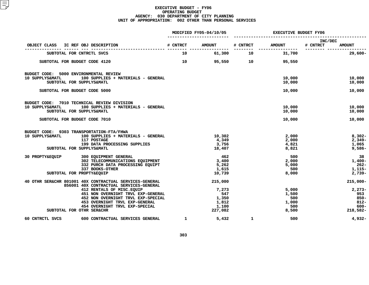|                                                                                                    |                 | MODIFIED FY05-04/10/05 | <b>EXECUTIVE BUDGET FY06</b> |                  |                                      |  |  |
|----------------------------------------------------------------------------------------------------|-----------------|------------------------|------------------------------|------------------|--------------------------------------|--|--|
| OBJECT CLASS<br>IC REF OBJ DESCRIPTION                                                             | # CNTRCT        | <b>AMOUNT</b>          | # CNTRCT                     | <b>AMOUNT</b>    | INC/DEC<br># CNTRCT<br><b>AMOUNT</b> |  |  |
| SUBTOTAL FOR CNTRCTL SVCS                                                                          | 10              | 61,300                 | ---------<br>10              | 31,700           | $29,600 -$                           |  |  |
| SUBTOTAL FOR BUDGET CODE 4120                                                                      | 10 <sup>1</sup> | 95,550                 | $\overline{\mathbf{10}}$     | 95,550           |                                      |  |  |
| BUDGET CODE: 5000 ENVIRONMENTAL REVIEW<br>10 SUPPLYS&MATL<br>100 SUPPLIES + MATERIALS - GENERAL    |                 |                        |                              | 10,000           | 10,000                               |  |  |
| SUBTOTAL FOR SUPPLYS&MATL                                                                          |                 |                        |                              | 10,000           | 10,000                               |  |  |
| SUBTOTAL FOR BUDGET CODE 5000                                                                      |                 |                        |                              | 10,000           | 10,000                               |  |  |
| BUDGET CODE: 7010 TECHNICAL REVIEW DIVISION                                                        |                 |                        |                              |                  |                                      |  |  |
| 100 SUPPLIES + MATERIALS - GENERAL<br>10 SUPPLYS&MATL<br>SUBTOTAL FOR SUPPLYS&MATL                 |                 |                        |                              | 10,000<br>10,000 | 10,000<br>10,000                     |  |  |
| SUBTOTAL FOR BUDGET CODE 7010                                                                      |                 |                        |                              | 10,000           | 10,000                               |  |  |
| BUDGET CODE: 9303 TRANSPORTATION-FTA/FHWA                                                          |                 |                        |                              |                  |                                      |  |  |
| 10 SUPPLYS&MATL<br>100 SUPPLIES + MATERIALS - GENERAL                                              |                 | 10,302                 |                              | 2,000            | $8,302 -$                            |  |  |
| 117 POSTAGE<br>199 DATA PROCESSING SUPPLIES                                                        |                 | 4,349<br>3,756         |                              | 2,000<br>4,821   | $2,349-$<br>1,065                    |  |  |
| SUBTOTAL FOR SUPPLYS&MATL                                                                          |                 | 18,407                 |                              | 8,821            | $9,586-$                             |  |  |
| 30 PROPTY&EQUIP<br>300 EQUIPMENT GENERAL<br>302 TELECOMMUNICATIONS EQUIPMENT                       |                 | 462<br>3,400           |                              | 500              | 38                                   |  |  |
| 332 PURCH DATA PROCESSING EQUIPT                                                                   |                 | 5,262                  |                              | 2,000<br>5,000   | $1,400-$<br>$262-$                   |  |  |
| 337 BOOKS-OTHER                                                                                    |                 | 1,615                  |                              | 500              | 1,115-                               |  |  |
| SUBTOTAL FOR PROPTY&EQUIP                                                                          |                 | 10,739                 |                              | 8,000            | $2,739-$                             |  |  |
| 40 OTHR SER&CHR 801001 40X CONTRACTUAL SERVICES-GENERAL<br>856001 40X CONTRACTUAL SERVICES-GENERAL |                 | 215,000                |                              |                  | $215,000 -$                          |  |  |
| 412 RENTALS OF MISC. EQUIP                                                                         |                 | 7,273                  |                              | 5,000            | $2,273-$                             |  |  |
| 451 NON OVERNIGHT TRVL EXP-GENERAL<br>452 NON OVERNIGHT TRVL EXP-SPECIAL                           |                 | 547<br>1,350           |                              | 1,500<br>500     | 953<br>$850 -$                       |  |  |
| 453 OVERNIGHT TRVL EXP-GENERAL                                                                     |                 | 1,812                  |                              | 1,000            | $812 -$                              |  |  |
| 454 OVERNIGHT TRVL EXP-SPECIAL                                                                     |                 | 1,100                  |                              | 500              | $600 -$                              |  |  |
| SUBTOTAL FOR OTHR SER&CHR                                                                          |                 | 227,082                |                              | 8,500            | 218,582-                             |  |  |
| 600 CONTRACTUAL SERVICES GENERAL<br>60 CNTRCTL SVCS                                                | $\mathbf{1}$    | 5,432                  | $\mathbf{1}$                 | 500              | $4,932-$                             |  |  |
|                                                                                                    |                 |                        |                              |                  |                                      |  |  |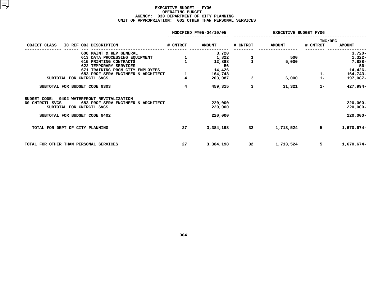|                                                       | MODIFIED FY05-04/10/05 |               | <b>EXECUTIVE BUDGET FY06</b> |               |                     |               |
|-------------------------------------------------------|------------------------|---------------|------------------------------|---------------|---------------------|---------------|
| OBJECT CLASS<br>IC REF OBJ DESCRIPTION                | # CNTRCT               | <b>AMOUNT</b> | # CNTRCT                     | <b>AMOUNT</b> | INC/DEC<br># CNTRCT | <b>AMOUNT</b> |
|                                                       |                        |               |                              |               |                     |               |
| 608 MAINT & REP GENERAL                               |                        | 3,720         |                              |               |                     | $3,720-$      |
| 613 DATA PROCESSING EQUIPMENT                         | $\frac{1}{1}$          | 1,822         | $\frac{1}{1}$                | 500           |                     | 1,322-        |
| 615 PRINTING CONTRACTS                                |                        | 12,888        |                              | 5,000         |                     | 7,888-        |
| 622 TEMPORARY SERVICES                                |                        | 56            |                              |               |                     | $56 -$        |
| 671 TRAINING PRGM CITY EMPLOYEES                      |                        | 14,426        |                              |               |                     | $14,426-$     |
| 683 PROF SERV ENGINEER & ARCHITECT                    | 1                      | 164,743       |                              |               | $\frac{1}{1}$       | 164,743-      |
| SUBTOTAL FOR CNTRCTL SVCS                             |                        | 203,087       | 3                            | 6,000         |                     | 197,087-      |
| SUBTOTAL FOR BUDGET CODE 9303                         | 4                      | 459,315       | 3                            | 31,321        | $1 -$               | 427,994-      |
| BUDGET CODE:<br>9402 WATERFRONT REVITALIZATION        |                        |               |                              |               |                     |               |
| 683 PROF SERV ENGINEER & ARCHITECT<br>60 CNTRCTL SVCS |                        | 220,000       |                              |               |                     | $220,000 -$   |
| SUBTOTAL FOR CNTRCTL SVCS                             |                        | 220,000       |                              |               |                     | $220,000 -$   |
| SUBTOTAL FOR BUDGET CODE 9402                         |                        | 220,000       |                              |               |                     | $220,000 -$   |
|                                                       |                        |               |                              |               |                     |               |
| TOTAL FOR DEPT OF CITY PLANNING                       | 27                     | 3,384,198     | 32                           | 1,713,524     | 5                   | 1,670,674-    |
|                                                       |                        |               |                              |               |                     |               |
|                                                       |                        |               |                              |               |                     |               |
| TOTAL FOR OTHER THAN PERSONAL SERVICES                | 27                     | 3,384,198     | 32                           | 1,713,524     | 5                   | 1,670,674-    |
|                                                       |                        |               |                              |               |                     |               |
|                                                       |                        |               |                              |               |                     |               |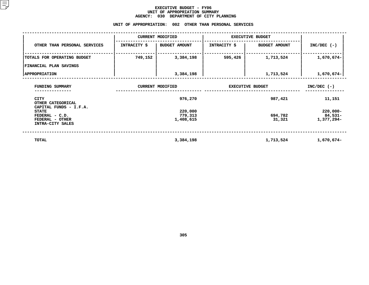## **EXECUTIVE BUDGET - FY06** UNIT OF APPROPRIATION SUMMARY **OF APPROPRIATION SUMMARY AGENCY:**

|                                                                       | <b>AGENCY:</b>          | 030<br>DEPARTMENT OF CITY PLANNING<br>UNIT OF APPROPRIATION: 002 OTHER THAN PERSONAL SERVICES |                         |                      |                                      |
|-----------------------------------------------------------------------|-------------------------|-----------------------------------------------------------------------------------------------|-------------------------|----------------------|--------------------------------------|
|                                                                       | <b>CURRENT MODIFIED</b> |                                                                                               | <b>EXECUTIVE BUDGET</b> |                      |                                      |
| OTHER THAN PERSONAL SERVICES                                          | INTRACITY \$            | <b>BUDGET AMOUNT</b>                                                                          | <b>INTRACITY \$</b>     | <b>BUDGET AMOUNT</b> | $INC/DEC$ (-)                        |
| TOTALS FOR OPERATING BUDGET                                           | 749,152                 | 3,384,198                                                                                     | 595,426                 | 1,713,524            | 1,670,674-                           |
| FINANCIAL PLAN SAVINGS                                                |                         |                                                                                               |                         |                      |                                      |
| <b>APPROPRIATION</b>                                                  |                         | 3,384,198                                                                                     |                         | 1,713,524            | 1,670,674-                           |
| FUNDING SUMMARY                                                       |                         | <b>CURRENT MODIFIED</b>                                                                       | <b>EXECUTIVE BUDGET</b> | $INC/DEC$ (-)        |                                      |
| CITY<br>OTHER CATEGORICAL<br>CAPITAL FUNDS - I.F.A.                   |                         | 976,270                                                                                       |                         | 987,421              | 11,151                               |
| <b>STATE</b><br>FEDERAL - C.D.<br>FEDERAL - OTHER<br>INTRA-CITY SALES |                         | 220,000<br>779,313<br>1,408,615                                                               |                         | 694,782<br>31,321    | $220,000 -$<br>84,531-<br>1,377,294- |
| <b>TOTAL</b>                                                          |                         | 3,384,198                                                                                     |                         | 1,713,524            | 1,670,674-                           |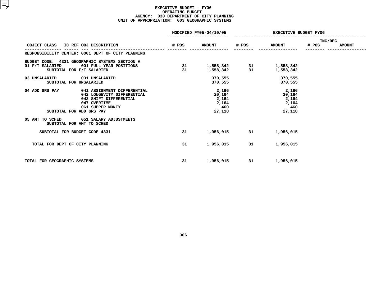#### **EXECUTIVE BUDGET - FY06 OPERATING**G BUDGET<br>MENT OF<br>3 GEOGRA **AGENCY: <sup>030</sup> DEPARTMENT OF CITY PLANNING UNIT OF APPROPRIATION: <sup>003</sup> GEOGRAPHIC SYSTEMS**

|                                                                                                                                                                                                                 | MODIFIED FY05-04/10/05 |                                                    | <b>EXECUTIVE BUDGET FY06</b> |                                                    |                         |               |
|-----------------------------------------------------------------------------------------------------------------------------------------------------------------------------------------------------------------|------------------------|----------------------------------------------------|------------------------------|----------------------------------------------------|-------------------------|---------------|
| OBJECT CLASS IC REF OBJ DESCRIPTION                                                                                                                                                                             | # POS                  | <b>AMOUNT</b>                                      | # POS                        | <b>AMOUNT</b>                                      | <b>INC/DEC</b><br># POS | <b>AMOUNT</b> |
| RESPONSIBILITY CENTER: 0001 DEPT OF CITY PLANNING                                                                                                                                                               |                        |                                                    |                              |                                                    |                         |               |
| BUDGET CODE: 4331 GEOGRAPHIC SYSTEMS SECTION A<br>01 F/T SALARIED 001 FULL YEAR POSITIONS<br>SUBTOTAL FOR F/T SALARIED                                                                                          | 31<br>31               | 1,558,342 31<br>1,558,342                          | 31                           | 1,558,342<br>1,558,342                             |                         |               |
| 03 UNSALARIED 031 UNSALARIED<br>SUBTOTAL FOR UNSALARIED                                                                                                                                                         |                        | 370,555<br>370,555                                 |                              | 370,555<br>370,555                                 |                         |               |
| 04 ADD GRS PAY<br>041 ASSIGNMENT DIFFERENTIAL<br>042 LONGEVITY DIFFERENTIAL<br>043 SHIFT DIFFERENTIAL<br>047 OVERTIME<br>061 SUPPER MONEY<br>SUBTOTAL FOR ADD GRS PAY<br>05 AMT TO SCHED 051 SALARY ADJUSTMENTS |                        | 2,166<br>20,164<br>2,164<br>2,164<br>460<br>27,118 |                              | 2,166<br>20,164<br>2,164<br>2,164<br>460<br>27,118 |                         |               |
| SUBTOTAL FOR AMT TO SCHED                                                                                                                                                                                       |                        |                                                    |                              |                                                    |                         |               |
| SUBTOTAL FOR BUDGET CODE 4331                                                                                                                                                                                   | 31                     | 1,956,015                                          | 31                           | 1,956,015                                          |                         |               |
| TOTAL FOR DEPT OF CITY PLANNING                                                                                                                                                                                 | 31                     | 1,956,015                                          | 31                           | 1,956,015                                          |                         |               |
| TOTAL FOR GEOGRAPHIC SYSTEMS                                                                                                                                                                                    | 31                     | 1,956,015                                          | 31                           | 1,956,015                                          |                         |               |
|                                                                                                                                                                                                                 |                        |                                                    |                              |                                                    |                         |               |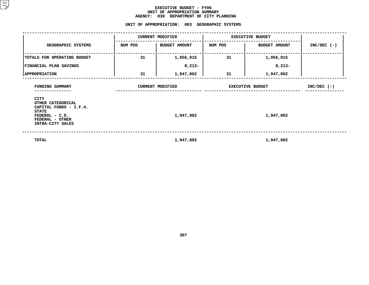#### **EXECUTIVE BUDGET - FY06** UNIT OF APPROPRIATION SUMMARY **OF APPROPRIATION SUMMARY AGENCY:**

**<sup>030</sup> DEPARTMENT OF CITY PLANNING UNIT**

|                                                                                                 |         | UNIT OF APPROPRIATION: 003 GEOGRAPHIC SYSTEMS |                         |                         |               |
|-------------------------------------------------------------------------------------------------|---------|-----------------------------------------------|-------------------------|-------------------------|---------------|
|                                                                                                 |         | <b>CURRENT MODIFIED</b>                       | <b>EXECUTIVE BUDGET</b> |                         |               |
| GEOGRAPHIC SYSTEMS                                                                              | NUM POS | BUDGET AMOUNT                                 | NUM POS                 | <b>BUDGET AMOUNT</b>    | $INC/DEC$ (-) |
| TOTALS FOR OPERATING BUDGET                                                                     | 31      | 1,956,015                                     | 31                      | 1,956,015               |               |
| <b>FINANCIAL PLAN SAVINGS</b>                                                                   |         | $8,213-$                                      |                         | $8,213-$                |               |
| <b>APPROPRIATION</b>                                                                            | 31      | 1,947,802                                     | 31                      | 1,947,802               |               |
| FUNDING SUMMARY<br>CITY<br>OTHER CATEGORICAL                                                    |         | <b>CURRENT MODIFIED</b>                       |                         | <b>EXECUTIVE BUDGET</b> | $INC/DEC$ (-) |
| CAPITAL FUNDS - I.F.A.<br><b>STATE</b><br>FEDERAL - C.D.<br>FEDERAL - OTHER<br>INTRA-CITY SALES |         | 1,947,802                                     |                         | 1,947,802               |               |
| TOTAL                                                                                           |         | 1,947,802                                     |                         | 1,947,802               |               |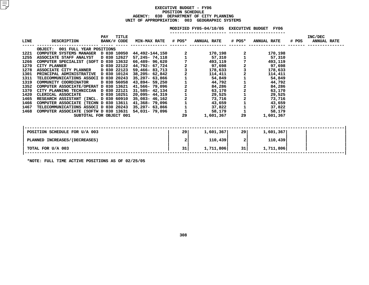### **EXECUTIVEBXECUTIVE BUDGET - FY06<br>POSITION SCHEDULE<br>AGENCY: 030 DEPARTMENT OF CITY POSITIONN SCHEDULE<br>TMENT OF C<br>003 GEO <sup>030</sup> DEPARTMENT OF CITY PLANNING UNIT OF APPROPRIATION: <sup>003</sup> GEOGRAPHIC SYSTEMS**

|      |                                                                                                                                                                                                                                        |                            |                                                                |                | MODIFIED FY05-04/10/05 EXECUTIVE BUDGET FY06 |                                            |                                                                                                                                                                                                                                                                                                         |       |                               |
|------|----------------------------------------------------------------------------------------------------------------------------------------------------------------------------------------------------------------------------------------|----------------------------|----------------------------------------------------------------|----------------|----------------------------------------------|--------------------------------------------|---------------------------------------------------------------------------------------------------------------------------------------------------------------------------------------------------------------------------------------------------------------------------------------------------------|-------|-------------------------------|
|      | LINE DESCRIPTION                                                                                                                                                                                                                       | <b>TITLE</b><br><b>PAY</b> | BANK/# CODE MIN-MAX RATE # POS* ANNUAL RATE # POS* ANNUAL RATE |                |                                              |                                            |                                                                                                                                                                                                                                                                                                         | # POS | INC/DEC<br><b>ANNUAL RATE</b> |
|      | OBJECT: 001 FULL YEAR POSITIONS                                                                                                                                                                                                        |                            |                                                                |                |                                              |                                            |                                                                                                                                                                                                                                                                                                         |       |                               |
| 1221 | OBJECT: 001 FULL YEAR POSITIONS<br>COMPUTER SYSTEMS MANAGER D 030 10050 44,492-144,150 2 170,198<br>ASSOCIATE STAFF ANALYST D 030 10650 44,492-144,150 2 170,198<br>COMPUTER SPECIALIST (SOFT D 030 12627 57,245-74,118 1 57,310 1<br> |                            |                                                                |                |                                              |                                            | 170,198                                                                                                                                                                                                                                                                                                 |       |                               |
| 1255 |                                                                                                                                                                                                                                        |                            |                                                                |                |                                              | $\begin{array}{c} 2 \\ 1 \\ 7 \end{array}$ | 57,310                                                                                                                                                                                                                                                                                                  |       |                               |
| 1266 |                                                                                                                                                                                                                                        |                            |                                                                |                |                                              |                                            | 493,119                                                                                                                                                                                                                                                                                                 |       |                               |
| 1270 |                                                                                                                                                                                                                                        |                            |                                                                |                |                                              |                                            | 193,119<br>2<br>97,698<br>178,633<br>178,633<br>114,411<br>54,8492<br>2<br>44,792<br>84,286<br>63,170<br>29,525<br>2<br>2<br>73,716<br>43,659<br>1<br>1<br>43,659<br>2<br>1<br>38,170<br>29,525<br>2<br>1<br>43,659<br>2<br>1<br>38,170<br>29,525<br>1<br>38,170<br>43,659<br>1<br>38,170<br>43,659<br> |       |                               |
| 1278 |                                                                                                                                                                                                                                        |                            |                                                                |                |                                              |                                            |                                                                                                                                                                                                                                                                                                         |       |                               |
| 1301 |                                                                                                                                                                                                                                        |                            |                                                                |                |                                              |                                            |                                                                                                                                                                                                                                                                                                         |       |                               |
| 1311 |                                                                                                                                                                                                                                        |                            |                                                                |                |                                              |                                            |                                                                                                                                                                                                                                                                                                         |       |                               |
| 1319 |                                                                                                                                                                                                                                        |                            |                                                                |                |                                              |                                            |                                                                                                                                                                                                                                                                                                         |       |                               |
| 1352 |                                                                                                                                                                                                                                        |                            |                                                                |                |                                              |                                            |                                                                                                                                                                                                                                                                                                         |       |                               |
| 1370 |                                                                                                                                                                                                                                        |                            |                                                                |                |                                              |                                            |                                                                                                                                                                                                                                                                                                         |       |                               |
| 1420 |                                                                                                                                                                                                                                        |                            |                                                                |                |                                              |                                            |                                                                                                                                                                                                                                                                                                         |       |                               |
| 1465 |                                                                                                                                                                                                                                        |                            |                                                                |                |                                              |                                            |                                                                                                                                                                                                                                                                                                         |       |                               |
| 1466 |                                                                                                                                                                                                                                        |                            |                                                                |                |                                              |                                            |                                                                                                                                                                                                                                                                                                         |       |                               |
| 1467 |                                                                                                                                                                                                                                        |                            |                                                                |                |                                              |                                            |                                                                                                                                                                                                                                                                                                         |       |                               |
| 1468 |                                                                                                                                                                                                                                        |                            |                                                                |                |                                              |                                            |                                                                                                                                                                                                                                                                                                         |       |                               |
|      |                                                                                                                                                                                                                                        | SUBTOTAL FOR OBJECT 001    |                                                                | 29             | 1,601,367                                    | 29                                         | 1,601,367                                                                                                                                                                                                                                                                                               |       |                               |
|      |                                                                                                                                                                                                                                        |                            |                                                                |                |                                              |                                            |                                                                                                                                                                                                                                                                                                         |       |                               |
|      |                                                                                                                                                                                                                                        |                            |                                                                |                |                                              |                                            |                                                                                                                                                                                                                                                                                                         |       |                               |
|      | POSITION SCHEDULE FOR U/A 003                                                                                                                                                                                                          |                            |                                                                | 29 l           | 1,601,367                                    | <b>291</b>                                 | 1,601,367                                                                                                                                                                                                                                                                                               |       |                               |
|      | PLANNED INCREASES / (DECREASES)                                                                                                                                                                                                        |                            |                                                                | $\overline{a}$ | 110,439                                      | 2 <sup>1</sup>                             | 110,439                                                                                                                                                                                                                                                                                                 |       |                               |
|      | TOTAL FOR U/A 003                                                                                                                                                                                                                      |                            |                                                                | 31             | 1,711,806                                    | 31                                         | 1,711,806                                                                                                                                                                                                                                                                                               |       |                               |
|      |                                                                                                                                                                                                                                        |                            |                                                                |                |                                              |                                            |                                                                                                                                                                                                                                                                                                         |       |                               |

**\*NOTE: FULL TIME ACTIVE POSITIONS AS OF 02/25/05**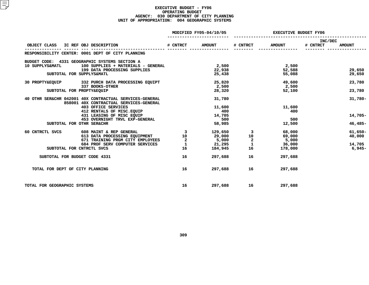#### **EXECUTIVE BUDGET - FY06 OPERATING**G BUDGET<br>MENT OF<br>4 GEOGRA **AGENCY: <sup>030</sup> DEPARTMENT OF CITY PLANNING UNIT OF APPROPRIATION: <sup>004</sup> GEOGRAPHIC SYSTEMS**

|                                 |                                                                                                                                                                                                                                                          | MODIFIED FY05-04/10/05                                                          |               | <b>EXECUTIVE BUDGET FY06</b> |               |                     |               |
|---------------------------------|----------------------------------------------------------------------------------------------------------------------------------------------------------------------------------------------------------------------------------------------------------|---------------------------------------------------------------------------------|---------------|------------------------------|---------------|---------------------|---------------|
| OBJECT CLASS                    | and the state of the state of the contract of the state of the state of the state of the state of the state of the state of the state of the state of the state of the state of the state of the state of the state of the sta<br>IC REF OBJ DESCRIPTION |                                                                                 | <b>AMOUNT</b> | # CNTRCT                     | <b>AMOUNT</b> | INC/DEC<br># CNTRCT | <b>AMOUNT</b> |
|                                 | RESPONSIBILITY CENTER: 0001 DEPT OF CITY PLANNING                                                                                                                                                                                                        |                                                                                 |               |                              |               |                     |               |
|                                 | BUDGET CODE: 4331 GEOGRAPHIC SYSTEMS SECTION A                                                                                                                                                                                                           |                                                                                 |               |                              |               |                     |               |
| 10 SUPPLYS&MATL                 | 100 SUPPLIES + MATERIALS - GENERAL                                                                                                                                                                                                                       |                                                                                 | 2,500         |                              | 2,500         |                     |               |
|                                 | 199 DATA PROCESSING SUPPLIES                                                                                                                                                                                                                             |                                                                                 | 22,938        |                              | 52,588        |                     | 29,650        |
|                                 | SUBTOTAL FOR SUPPLYS&MATL                                                                                                                                                                                                                                |                                                                                 | 25,438        |                              | 55,088        |                     | 29,650        |
|                                 | 30 PROPTY&EQUIP 332 PURCH DATA PROCESSING EQUIPT                                                                                                                                                                                                         |                                                                                 | 25,820        |                              | 49,600        |                     | 23,780        |
|                                 | 337 BOOKS-OTHER                                                                                                                                                                                                                                          |                                                                                 | 2,500         |                              | 2,500         |                     |               |
|                                 | SUBTOTAL FOR PROPTY&EQUIP                                                                                                                                                                                                                                |                                                                                 | 28,320        |                              | 52,100        |                     | 23,780        |
|                                 | 40 OTHR SER&CHR 042001 40X CONTRACTUAL SERVICES-GENERAL                                                                                                                                                                                                  |                                                                                 | 31,780        |                              |               |                     | $31,780 -$    |
|                                 | 858001 40X CONTRACTUAL SERVICES-GENERAL                                                                                                                                                                                                                  |                                                                                 |               |                              |               |                     |               |
|                                 | <b>403 OFFICE SERVICES</b>                                                                                                                                                                                                                               |                                                                                 | 11,600        |                              | 11,600        |                     |               |
|                                 | 412 RENTALS OF MISC.EQUIP                                                                                                                                                                                                                                |                                                                                 | 400           |                              | 400           |                     |               |
|                                 | 431 LEASING OF MISC EQUIP<br>431 LEASING OF MISC EQUIP<br>453 OVERNIGHT TRVL EXP-GENERAL                                                                                                                                                                 |                                                                                 | 14,705        |                              |               |                     | $14,705-$     |
|                                 |                                                                                                                                                                                                                                                          |                                                                                 | 500           |                              | 500           |                     |               |
|                                 | SUBTOTAL FOR OTHR SER&CHR                                                                                                                                                                                                                                |                                                                                 | 58,985        |                              | 12,500        |                     | $46,485-$     |
| 60 CNTRCTL SVCS                 | 608 MAINT & REP GENERAL                                                                                                                                                                                                                                  | $\overline{\mathbf{3}}$ and $\overline{\mathbf{3}}$ and $\overline{\mathbf{4}}$ |               | 129,650 3                    | 68,000        |                     | $61,650-$     |
|                                 | 613 DATA PROCESSING EQUIPMENT                                                                                                                                                                                                                            | 10                                                                              | 29,000        |                              | 69,000        |                     | 40,000        |
|                                 | 671 TRAINING PRGM CITY EMPLOYEES                                                                                                                                                                                                                         | $\overline{a}$                                                                  | 5,000         | $\sim$ 2                     | 5,000         |                     |               |
|                                 | 684 PROF SERV COMPUTER SERVICES                                                                                                                                                                                                                          | $\mathbf{1}$                                                                    | 21,295        | $\mathbf{1}$                 | 36,000        |                     | 14,705        |
|                                 | SUBTOTAL FOR CNTRCTL SVCS                                                                                                                                                                                                                                | 16                                                                              | 184,945       | 16                           | 178,000       |                     | 6,945–        |
|                                 | SUBTOTAL FOR BUDGET CODE 4331                                                                                                                                                                                                                            | 16                                                                              | 297,688       | 16                           | 297,688       |                     |               |
| TOTAL FOR DEPT OF CITY PLANNING |                                                                                                                                                                                                                                                          | 16                                                                              | 297,688       | 16                           | 297,688       |                     |               |
| TOTAL FOR GEOGRAPHIC SYSTEMS    |                                                                                                                                                                                                                                                          | 16                                                                              | 297,688       | 16                           | 297,688       |                     |               |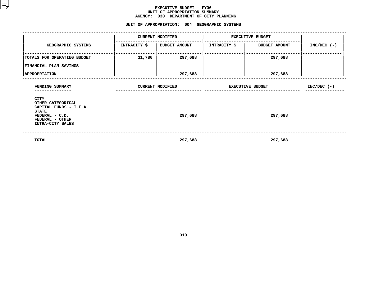#### **EXECUTIVE BUDGET - FY06** UNIT OF APPROPRIATION SUMMARY **OF APPROPRIATION SUMMARY AGENCY:**

**<sup>030</sup> DEPARTMENT OF CITY PLANNING UNIT**

|                                                                                                                              |        | UNIT OF APPROPRIATION: 004 GEOGRAPHIC SYSTEMS |                         |                              |               |  |
|------------------------------------------------------------------------------------------------------------------------------|--------|-----------------------------------------------|-------------------------|------------------------------|---------------|--|
|                                                                                                                              |        | <b>CURRENT MODIFIED</b>                       |                         | <b>EXECUTIVE BUDGET</b>      |               |  |
| GEOGRAPHIC SYSTEMS                                                                                                           |        | INTRACITY \$   BUDGET AMOUNT                  |                         | INTRACITY \$   BUDGET AMOUNT | $INC/DEC$ (-) |  |
| TOTALS FOR OPERATING BUDGET<br><b>FINANCIAL PLAN SAVINGS</b>                                                                 | 31,780 | 297,688                                       |                         | 297,688                      |               |  |
| <b>APPROPRIATION</b>                                                                                                         |        | 297,688                                       |                         | 297,688                      |               |  |
| FUNDING SUMMARY                                                                                                              |        | <b>CURRENT MODIFIED</b>                       | <b>EXECUTIVE BUDGET</b> | $INC/DEC$ (-)                |               |  |
| CITY<br>OTHER CATEGORICAL<br>CAPITAL FUNDS - I.F.A.<br><b>STATE</b><br>FEDERAL - C.D.<br>FEDERAL - OTHER<br>INTRA-CITY SALES |        | 297,688                                       |                         | 297,688                      |               |  |
| TOTAL                                                                                                                        |        | 297,688                                       |                         | 297,688                      |               |  |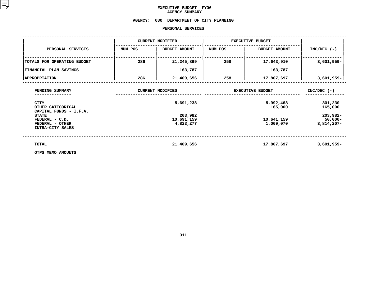# **EXECUTIVE BUDGET- FY06 AGENCY**

# **SUMMARY AGENCY: <sup>030</sup> DEPARTMENT OF CITY PLANNING**

### **PERSONAL**

|                                                                                                                      |         | PERSONAL SERVICES                    |                         |                                                 |                                                   |
|----------------------------------------------------------------------------------------------------------------------|---------|--------------------------------------|-------------------------|-------------------------------------------------|---------------------------------------------------|
|                                                                                                                      |         | <b>CURRENT MODIFIED</b>              | <b>EXECUTIVE BUDGET</b> |                                                 |                                                   |
| PERSONAL SERVICES                                                                                                    | NUM POS | <b>BUDGET AMOUNT</b>                 | NUM POS                 | <b>BUDGET AMOUNT</b>                            | $INC/DEC$ (-)                                     |
| TOTALS FOR OPERATING BUDGET                                                                                          | 286     | 21,245,869                           | 258                     | 17,643,910                                      | $3,601,959-$                                      |
| FINANCIAL PLAN SAVINGS                                                                                               |         | 163,787                              |                         | 163,787                                         |                                                   |
| <b>APPROPRIATION</b>                                                                                                 | 286     | 21,409,656                           | 258                     | 17,807,697                                      | $3,601,959 -$                                     |
| FUNDING SUMMARY<br><b>CITY</b>                                                                                       |         | <b>CURRENT MODIFIED</b><br>5,691,238 | <b>EXECUTIVE BUDGET</b> | $INC/DEC$ (-)<br>301,230                        |                                                   |
| OTHER CATEGORICAL<br>CAPITAL FUNDS - I.F.A.<br><b>STATE</b><br>FEDERAL - C.D.<br>FEDERAL - OTHER<br>INTRA-CITY SALES |         | 203,982<br>10,691,159<br>4,823,277   |                         | 5,992,468<br>165,000<br>10,641,159<br>1,009,070 | 165,000<br>203,982-<br>$50,000 -$<br>$3,814,207-$ |
| TOTAL<br>OTPS MEMO AMOUNTS                                                                                           |         | 21,409,656                           |                         | 17,807,697                                      | $3,601,959 -$                                     |

**OTPS MEMO AMOUNTS**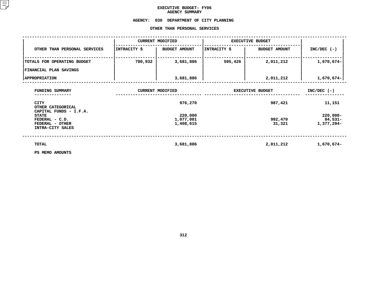# **EXECUTIVE BUDGET- FY06 AGENCY**

# AGENCY SUMMARY<br>AGENCY: 030 DEPARTMENT OF **<sup>030</sup> DEPARTMENT OF CITY PLANNING OTHER**

|                                                                       |              | OTHER THAN PERSONAL SERVICES      |                         |                      |                                      |
|-----------------------------------------------------------------------|--------------|-----------------------------------|-------------------------|----------------------|--------------------------------------|
|                                                                       |              | <b>CURRENT MODIFIED</b>           | <b>EXECUTIVE BUDGET</b> |                      |                                      |
| OTHER THAN PERSONAL SERVICES                                          | INTRACITY \$ | <b>BUDGET AMOUNT</b>              | INTRACITY \$            | <b>BUDGET AMOUNT</b> | $INC/DEC$ (-)                        |
| TOTALS FOR OPERATING BUDGET                                           | 780,932      | 3,681,886                         | 595,426                 | 2,011,212            | 1,670,674-                           |
| <b>FINANCIAL PLAN SAVINGS</b>                                         |              |                                   |                         |                      |                                      |
| <b>APPROPRIATION</b>                                                  |              | 3,681,886                         |                         | 2,011,212            | $1,670,674-$                         |
| FUNDING SUMMARY                                                       |              | <b>CURRENT MODIFIED</b>           | <b>EXECUTIVE BUDGET</b> | $INC/DEC$ (-)        |                                      |
| <b>CITY</b><br>OTHER CATEGORICAL<br>CAPITAL FUNDS - I.F.A.            |              | 976,270                           |                         | 987,421              | 11,151                               |
| <b>STATE</b><br>FEDERAL - C.D.<br>FEDERAL - OTHER<br>INTRA-CITY SALES |              | 220,000<br>1,077,001<br>1,408,615 |                         | 992,470<br>31,321    | $220,000 -$<br>84,531-<br>1,377,294- |
| TOTAL                                                                 |              | 3,681,886                         |                         | 2,011,212            | 1,670,674-                           |
| PS MEMO AMOUNTS                                                       |              |                                   |                         |                      |                                      |

**PS MEMO AMOUNTS**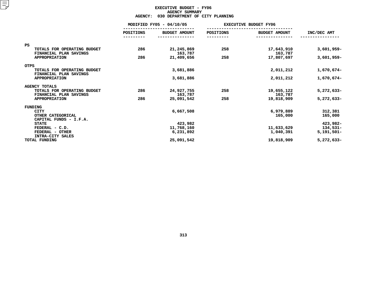## **EXECUTIVE BUDGET - FY06 AGENCYY SUMMARY<br>TMENT OF<br>ACT**

| <b>AGENCY:</b><br>030 DEPARTMENT OF CITY PLANNING           |                          |                         |           |                              |                        |  |  |  |
|-------------------------------------------------------------|--------------------------|-------------------------|-----------|------------------------------|------------------------|--|--|--|
|                                                             | MODIFIED FY05 - 04/10/05 |                         |           | <b>EXECUTIVE BUDGET FY06</b> |                        |  |  |  |
|                                                             | POSITIONS                | <b>BUDGET AMOUNT</b>    | POSITIONS | <b>BUDGET AMOUNT</b>         | INC/DEC AMT            |  |  |  |
|                                                             |                          |                         |           |                              |                        |  |  |  |
| PS<br>TOTALS FOR OPERATING BUDGET<br>FINANCIAL PLAN SAVINGS | 286                      | 21,245,869<br>163,787   | 258       | 17,643,910<br>163,787        | 3,601,959-             |  |  |  |
| <b>APPROPRIATION</b>                                        | 286                      | 21,409,656              | 258       | 17,807,697                   | $3,601,959 -$          |  |  |  |
| <b>OTPS</b>                                                 |                          |                         |           |                              |                        |  |  |  |
| TOTALS FOR OPERATING BUDGET<br>FINANCIAL PLAN SAVINGS       |                          | 3,681,886               |           | 2,011,212                    | 1,670,674-             |  |  |  |
| <b>APPROPRIATION</b>                                        |                          | 3,681,886               |           | 2,011,212                    | 1,670,674-             |  |  |  |
| <b>AGENCY TOTALS</b>                                        |                          |                         |           |                              |                        |  |  |  |
| TOTALS FOR OPERATING BUDGET<br>FINANCIAL PLAN SAVINGS       | 286                      | 24,927,755<br>163,787   | 258       | 19,655,122<br>163,787        | $5,272,633-$           |  |  |  |
| <b>APPROPRIATION</b>                                        | 286                      | 25,091,542              | 258       | 19,818,909                   | $5,272,633-$           |  |  |  |
| FUNDING                                                     |                          |                         |           |                              |                        |  |  |  |
| <b>CITY</b><br>OTHER CATEGORICAL<br>CAPITAL FUNDS - I.F.A.  |                          | 6,667,508               |           | 6,979,889<br>165,000         | 312,381<br>165,000     |  |  |  |
| <b>STATE</b>                                                |                          | 423,982                 |           |                              | 423,982-               |  |  |  |
| FEDERAL - C.D.<br>FEDERAL - OTHER<br>INTRA-CITY SALES       |                          | 11,768,160<br>6,231,892 |           | 11,633,629<br>1,040,391      | 134,531-<br>5,191,501- |  |  |  |
| TOTAL FUNDING                                               |                          | 25,091,542              |           | 19,818,909                   | $5,272,633-$           |  |  |  |
|                                                             |                          |                         |           |                              |                        |  |  |  |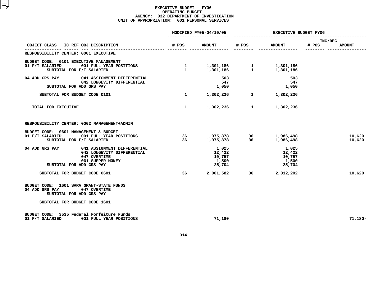|                                                                                                                                             |              | MODIFIED FY05-04/10/05                                                                                       |       | EXECUTIVE BUDGET FY06                        |                                   |  |  |
|---------------------------------------------------------------------------------------------------------------------------------------------|--------------|--------------------------------------------------------------------------------------------------------------|-------|----------------------------------------------|-----------------------------------|--|--|
| OBJECT CLASS IC REF OBJ DESCRIPTION                                                                                                         | # POS        | <b>AMOUNT</b>                                                                                                | # POS | <b>AMOUNT</b>                                | INC/DEC<br># POS<br><b>AMOUNT</b> |  |  |
| RESPONSIBILITY CENTER: 0001 EXECUTIVE                                                                                                       |              |                                                                                                              |       |                                              |                                   |  |  |
| BUDGET CODE: 0101 EXECUTIVE MANAGEMENT<br>01 F/T SALARIED<br>001 FULL YEAR POSITIONS<br>SUBTOTAL FOR F/T SALARIED                           |              | $\begin{array}{cccc} 1 & 1,301,186 & 1 & 1,301,186 \ 1 & 1,301,186 & 1 & 1,301,186 \end{array}$<br>1,301,186 |       | 1,301,186                                    |                                   |  |  |
| 041 ASSIGNMENT DIFFERENTIAL<br>04 ADD GRS PAY<br>042 LONGEVITY DIFFERENTIAL<br>SUBTOTAL FOR ADD GRS PAY                                     |              | 503<br>547<br>1,050                                                                                          |       | 503<br>547<br>1,050                          |                                   |  |  |
| SUBTOTAL FOR BUDGET CODE 0101                                                                                                               | $\mathbf{1}$ | 1,302,236                                                                                                    |       | 1,302,236                                    |                                   |  |  |
| TOTAL FOR EXECUTIVE                                                                                                                         | $\mathbf{1}$ |                                                                                                              |       | 1,302,236 1 1,302,236                        |                                   |  |  |
| RESPONSIBILITY CENTER: 0002 MANAGEMENT+ADMIN                                                                                                |              |                                                                                                              |       |                                              |                                   |  |  |
| BUDGET CODE: 0601 MANAGEMENT & BUDGET<br>01 F/T SALARIED<br>001 FULL YEAR POSITIONS<br>SUBTOTAL FOR F/T SALARIED                            | 36.          | 36<br>1,975,878                                                                                              | 36    | 1,975,878 36 1,986,498<br>1,986,498          | 10,620<br>10,620                  |  |  |
| 041 ASSIGNMENT DIFFERENTIAL<br>04 ADD GRS PAY<br>042 LONGEVITY DIFFERENTIAL<br>047 OVERTIME<br>061 SUPPER MONEY<br>SUBTOTAL FOR ADD GRS PAY |              | 1,025<br>12,422<br>10,757<br>1,500<br>25,704                                                                 |       | 1,025<br>12,422<br>10,757<br>1,500<br>25,704 |                                   |  |  |
| SUBTOTAL FOR BUDGET CODE 0601                                                                                                               | 36           |                                                                                                              |       | 2,001,582 36 2,012,202                       | 10,620                            |  |  |
| BUDGET CODE: 1601 SARA GRANT-STATE FUNDS<br>04 ADD GRS PAY 047 OVERTIME<br>SUBTOTAL FOR ADD GRS PAY<br>SUBTOTAL FOR BUDGET CODE 1601        |              |                                                                                                              |       |                                              |                                   |  |  |
| BUDGET CODE: 3535 Federal Forfeiture Funds<br>001 FULL YEAR POSITIONS<br>01 F/T SALARIED                                                    |              | 71,180                                                                                                       |       |                                              | $71,180 -$                        |  |  |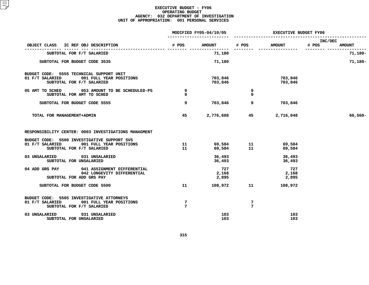|                                                                                                                     | MODIFIED FY05-04/10/05 |                                              | <b>EXECUTIVE BUDGET FY06</b> |                        |                  |               |
|---------------------------------------------------------------------------------------------------------------------|------------------------|----------------------------------------------|------------------------------|------------------------|------------------|---------------|
| OBJECT CLASS<br>IC REF OBJ DESCRIPTION                                                                              | # POS                  | AMOUNT # POS                                 |                              | <b>AMOUNT</b>          | INC/DEC<br># POS | <b>AMOUNT</b> |
| SUBTOTAL FOR F/T SALARIED                                                                                           |                        | 71,180                                       |                              |                        |                  | $71,180 -$    |
| SUBTOTAL FOR BUDGET CODE 3535                                                                                       |                        | 71,180                                       |                              |                        |                  | $71,180-$     |
| BUDGET CODE: 5555 TECHNICAL SUPPORT UNIT<br>001 FULL YEAR POSITIONS<br>01 F/T SALARIED<br>SUBTOTAL FOR F/T SALARIED |                        | 703,846<br>703,846                           |                              | 703,846<br>703,846     |                  |               |
| 05 AMT TO SCHED 053 AMOUNT TO BE SCHEDULED-PS<br>SUBTOTAL FOR AMT TO SCHED                                          | 9<br>9                 |                                              | 9<br>9                       |                        |                  |               |
| SUBTOTAL FOR BUDGET CODE 5555                                                                                       | 9                      | 703,846                                      | 9                            | 703,846                |                  |               |
| TOTAL FOR MANAGEMENT+ADMIN                                                                                          | 45                     |                                              |                              | 2,776,608 45 2,716,048 |                  | $60,560 -$    |
| RESPONSIBILITY CENTER: 0003 INVESTIGATIONS MANAGMENT                                                                |                        |                                              |                              |                        |                  |               |
| BUDGET CODE: 5500 INVESTIGATIVE SUPPORT SVS<br>01 F/T SALARIED 001 FULL YEAR POSITIONS<br>SUBTOTAL FOR F/T SALARIED |                        | $11$ 69,584 11 69,584<br>11 69,584 11 69,584 |                              |                        |                  |               |
| 03 UNSALARIED 031 UNSALARIED<br>SUBTOTAL FOR UNSALARIED                                                             |                        | 36,493<br>36,493                             |                              | 36,493<br>36,493       |                  |               |
| 04 ADD GRS PAY 041 ASSIGNMENT DIFFERENTIAL<br>042 LONGEVITY DIFFERENTIAL<br>SUBTOTAL FOR ADD GRS PAY                |                        | 727<br>2,168<br>2,895                        |                              | 727<br>2,168<br>2,895  |                  |               |
| SUBTOTAL FOR BUDGET CODE 5500                                                                                       | 11                     | 108,972                                      | 11                           | 108,972                |                  |               |
| BUDGET CODE: 5505 INVESTIGATIVE ATTORNEYS<br>01 F/T SALARIED 001 FULL YEAR POSITIONS<br>SUBTOTAL FOR F/T SALARIED   | 7<br>$7\phantom{.0}$   |                                              | 7<br>$7\phantom{.0}$         |                        |                  |               |
| 03 UNSALARIED 031 UNSALARIED<br>SUBTOTAL FOR UNSALARIED                                                             |                        | 103<br>103                                   |                              | 103<br>103             |                  |               |
|                                                                                                                     |                        |                                              |                              |                        |                  |               |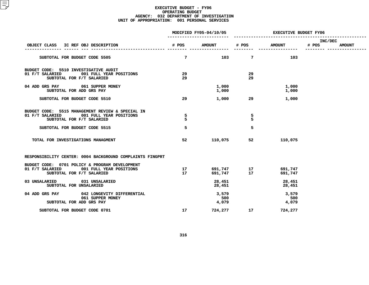|                                                          |                                                                                                                        |                 | MODIFIED FY05-04/10/05 |                                                      | <b>EXECUTIVE BUDGET FY06</b> |                  |               |  |
|----------------------------------------------------------|------------------------------------------------------------------------------------------------------------------------|-----------------|------------------------|------------------------------------------------------|------------------------------|------------------|---------------|--|
| OBJECT CLASS                                             | IC REF OBJ DESCRIPTION                                                                                                 | # POS           | <b>AMOUNT</b>          | # POS                                                | <b>AMOUNT</b>                | INC/DEC<br># POS | <b>AMOUNT</b> |  |
|                                                          | SUBTOTAL FOR BUDGET CODE 5505                                                                                          | $7\overline{ }$ | 103                    | 7                                                    | 103                          |                  |               |  |
| BUDGET CODE: 5510 INVESTIGATIVE AUDIT<br>01 F/T SALARIED | 001 FULL YEAR POSITIONS<br>SUBTOTAL FOR F/T SALARIED                                                                   | 29<br>29        |                        | 29<br>29                                             |                              |                  |               |  |
|                                                          | 04 ADD GRS PAY 061 SUPPER MONEY<br>SUBTOTAL FOR ADD GRS PAY                                                            |                 | 1,000<br>1,000         |                                                      | 1,000<br>1,000               |                  |               |  |
|                                                          | SUBTOTAL FOR BUDGET CODE 5510                                                                                          | 29              | 1,000                  | 29                                                   | 1,000                        |                  |               |  |
| 01 F/T SALARIED                                          | BUDGET CODE: 5515 MANAGEMENT REVIEW & SPECIAL IN<br>001 FULL YEAR POSITIONS<br>SUBTOTAL FOR F/T SALARIED               | 5<br>5          |                        | 5<br>5                                               |                              |                  |               |  |
|                                                          | SUBTOTAL FOR BUDGET CODE 5515                                                                                          | 5               |                        | 5                                                    |                              |                  |               |  |
|                                                          | TOTAL FOR INVESTIGATIONS MANAGMENT                                                                                     | 52              | 110,075                | 52                                                   | 110,075                      |                  |               |  |
|                                                          | RESPONSIBILITY CENTER: 0004 BACKGROUND COMPLAINTS FINGPRT                                                              |                 |                        |                                                      |                              |                  |               |  |
|                                                          | BUDGET CODE: 0701 POLICY & PROGRAM DEVELOPMENT<br>01 F/T SALARIED 001 FULL YEAR POSITIONS<br>SUBTOTAL FOR F/T SALARIED | 17<br>17        |                        | 691,747              17<br>691,747                17 | 691,747<br>691,747           |                  |               |  |
| 03 UNSALARIED                                            | 031 UNSALARIED<br>SUBTOTAL FOR UNSALARIED                                                                              |                 | 28,451<br>28,451       |                                                      | 28,451<br>28,451             |                  |               |  |
| 04 ADD GRS PAY                                           | 042 LONGEVITY DIFFERENTIAL<br>061 SUPPER MONEY<br>SUBTOTAL FOR ADD GRS PAY                                             |                 | 3,579<br>500<br>4,079  |                                                      | 3,579<br>500<br>4,079        |                  |               |  |
|                                                          | SUBTOTAL FOR BUDGET CODE 0701                                                                                          | 17              | 724,277                | 17                                                   | 724,277                      |                  |               |  |
|                                                          |                                                                                                                        |                 |                        |                                                      |                              |                  |               |  |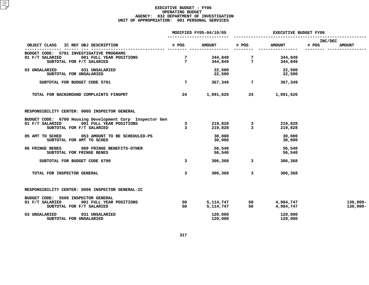|                                                                                                                                     | MODIFIED FY05-04/10/05         |                             | <b>EXECUTIVE BUDGET FY06</b> |                            |                  |                            |
|-------------------------------------------------------------------------------------------------------------------------------------|--------------------------------|-----------------------------|------------------------------|----------------------------|------------------|----------------------------|
| OBJECT CLASS IC REF OBJ DESCRIPTION                                                                                                 |                                | # POS AMOUNT                | # POS                        | <b>AMOUNT</b>              | INC/DEC<br># POS | <b>AMOUNT</b>              |
| BUDGET CODE: 5701 INVESTIGATIVE PROGRAMS<br>001 FULL YEAR POSITIONS<br>01 F/T SALARIED<br>SUBTOTAL FOR F/T SALARIED                 | 7<br>$7\overline{ }$           |                             | 344,849 7<br>344,849 7       | 344,849<br>344,849         |                  |                            |
| 03 UNSALARIED 031 UNSALARIED<br>SUBTOTAL FOR UNSALARIED                                                                             |                                | 22,500<br>22,500<br>22,500  |                              | 22,500<br>22,500           |                  |                            |
| SUBTOTAL FOR BUDGET CODE 5701                                                                                                       | 7                              | 367,349                     |                              | $7\overline{ }$<br>367,349 |                  |                            |
| TOTAL FOR BACKGROUND COMPLAINTS FINGPRT                                                                                             | 24                             | 1,091,626                   | 24 7 1                       | 1,091,626                  |                  |                            |
| RESPONSIBILITY CENTER: 0005 INSPECTOR GENERAL                                                                                       |                                |                             |                              |                            |                  |                            |
| BUDGET CODE: 6700 Housing Development Corp Inspector Gen<br>01 F/T SALARIED<br>001 FULL YEAR POSITIONS<br>SUBTOTAL FOR F/T SALARIED | $\mathbf{3}$<br>$\overline{3}$ |                             | 219,828 3<br>219,828 3       | 219,828<br>219,828         |                  |                            |
| 05 AMT TO SCHED<br>053 AMOUNT TO BE SCHEDULED-PS<br>SUBTOTAL FOR AMT TO SCHED                                                       |                                | 30,000<br>30,000            |                              | 30,000<br>30,000           |                  |                            |
| 06 FRINGE BENES 089 FRINGE BENEFITS-OTHER<br>SUBTOTAL FOR FRINGE BENES                                                              |                                | 56,540<br>56,540            |                              | 56,540<br>56,540           |                  |                            |
| SUBTOTAL FOR BUDGET CODE 6700                                                                                                       | $\mathbf{3}$                   |                             | $306,368$ 3                  | 306,368                    |                  |                            |
| TOTAL FOR INSPECTOR GENERAL                                                                                                         | 3                              | 306,368                     | 3                            | 306,368                    |                  |                            |
| RESPONSIBILITY CENTER: 0006 INSPECTOR GENERAL-IC                                                                                    |                                |                             |                              |                            |                  |                            |
| BUDGET CODE: 5506 INSPECTOR GENERAL<br>01 F/T SALARIED<br>001 FULL YEAR POSITIONS<br>SUBTOTAL FOR F/T SALARIED                      | 50<br>50                       | 5, 114, 747 50<br>5,114,747 | 50                           | 4,984,747<br>4,984,747     |                  | $130,000 -$<br>$130,000 -$ |
| 03 UNSALARIED<br>031 UNSALARIED<br>SUBTOTAL FOR UNSALARIED                                                                          |                                | 120,000<br>120,000          |                              | 120,000<br>120,000         |                  |                            |
|                                                                                                                                     |                                |                             |                              |                            |                  |                            |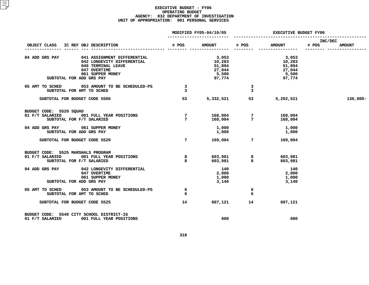|                                                                                                                                                                   | MODIFIED FY05-04/10/05       |                                                        | <b>EXECUTIVE BUDGET FY06</b>       |                                                        |                                   |  |
|-------------------------------------------------------------------------------------------------------------------------------------------------------------------|------------------------------|--------------------------------------------------------|------------------------------------|--------------------------------------------------------|-----------------------------------|--|
| OBJECT CLASS<br>IC REF OBJ DESCRIPTION                                                                                                                            | # POS                        | <b>AMOUNT</b>                                          | # POS                              | <b>AMOUNT</b>                                          | INC/DEC<br># POS<br><b>AMOUNT</b> |  |
| 04 ADD GRS PAY<br>041 ASSIGNMENT DIFFERENTIAL<br>042 LONGEVITY DIFFERENTIAL<br>046 TERMINAL LEAVE<br>047 OVERTIME<br>061 SUPPER MONEY<br>SUBTOTAL FOR ADD GRS PAY |                              | 3,053<br>10,283<br>51,894<br>27,044<br>5,500<br>97,774 |                                    | 3,053<br>10,283<br>51,894<br>27,044<br>5,500<br>97,774 |                                   |  |
| 05 AMT TO SCHED<br>053 AMOUNT TO BE SCHEDULED-PS<br>SUBTOTAL FOR AMT TO SCHED                                                                                     | $\overline{\mathbf{3}}$<br>3 |                                                        | $\overline{\mathbf{3}}$<br>3       |                                                        |                                   |  |
| SUBTOTAL FOR BUDGET CODE 5506                                                                                                                                     | 53                           | 5,332,521                                              |                                    | 5,202,521                                              | $130,000 -$                       |  |
| BUDGET CODE: 5520 SQUAD<br>01 F/T SALARIED<br>001 FULL YEAR POSITIONS<br>SUBTOTAL FOR F/T SALARIED                                                                | $7\phantom{.0}$<br>7         | 168,004<br>168,004                                     | $7\phantom{.0}$<br>$7\overline{ }$ | 168,004<br>168,004                                     |                                   |  |
| 04 ADD GRS PAY 061 SUPPER MONEY<br>SUBTOTAL FOR ADD GRS PAY                                                                                                       |                              | 1,000<br>1,000                                         |                                    | 1,000<br>1,000                                         |                                   |  |
| SUBTOTAL FOR BUDGET CODE 5520                                                                                                                                     | $7^{\circ}$                  |                                                        | 169,004 7                          | 169,004                                                |                                   |  |
| BUDGET CODE: 5525 MARSHALS PROGRAM<br>01 F/T SALARIED<br>001 FULL YEAR POSITIONS<br>SUBTOTAL FOR F/T SALARIED                                                     | 8<br>8                       |                                                        | 603,981 8<br>603,981 8             | 603,981<br>603,981                                     |                                   |  |
| 04 ADD GRS PAY<br>042 LONGEVITY DIFFERENTIAL<br>047 OVERTIME<br>061 SUPPER MONEY<br>SUBTOTAL FOR ADD GRS PAY                                                      |                              | 140<br>2,000<br>1,000<br>3,140                         |                                    | 140<br>2,000<br>1,000<br>3,140                         |                                   |  |
| 05 AMT TO SCHED 053 AMOUNT TO BE SCHEDULED-PS<br>SUBTOTAL FOR AMT TO SCHED                                                                                        | 6<br>6                       |                                                        | 6<br>6                             |                                                        |                                   |  |
| SUBTOTAL FOR BUDGET CODE 5525                                                                                                                                     | 14                           | 607,121                                                | 14                                 | 607,121                                                |                                   |  |
| BUDGET CODE: 5540 CITY SCHOOL DISTRICT-IG<br>001 FULL YEAR POSITIONS<br>01 F/T SALARIED                                                                           |                              | 600                                                    |                                    | 600                                                    |                                   |  |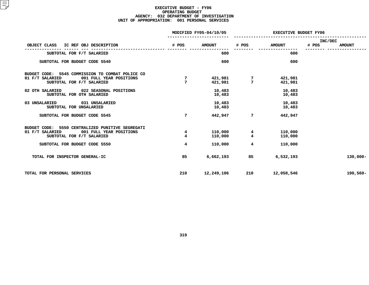|                                                                                                                                |                              | MODIFIED FY05-04/10/05 | EXECUTIVE BUDGET FY06        |                    |                  |               |
|--------------------------------------------------------------------------------------------------------------------------------|------------------------------|------------------------|------------------------------|--------------------|------------------|---------------|
| IC REF OBJ DESCRIPTION<br>OBJECT CLASS                                                                                         | # POS                        | <b>AMOUNT</b>          | # POS                        | <b>AMOUNT</b>      | INC/DEC<br># POS | <b>AMOUNT</b> |
| SUBTOTAL FOR F/T SALARIED                                                                                                      |                              | 600                    |                              | 600                |                  |               |
| SUBTOTAL FOR BUDGET CODE 5540                                                                                                  |                              | 600                    |                              | 600                |                  |               |
| BUDGET CODE:<br>5545 COMMISSION TO COMBAT POLICE CO<br>01 F/T SALARIED<br>001 FULL YEAR POSITIONS<br>SUBTOTAL FOR F/T SALARIED | 7<br>$\overline{7}$          | 421,981<br>421,981     | 7<br>7                       | 421,981<br>421,981 |                  |               |
| 02 OTH SALARIED<br>022 SEASONAL POSITIONS<br>SUBTOTAL FOR OTH SALARIED                                                         |                              | 10,483<br>10,483       |                              | 10,483<br>10,483   |                  |               |
| 03 UNSALARIED<br>031 UNSALARIED<br>SUBTOTAL FOR UNSALARIED                                                                     |                              | 10,483<br>10,483       |                              | 10,483<br>10,483   |                  |               |
| SUBTOTAL FOR BUDGET CODE 5545                                                                                                  | $7\phantom{.0}$              | 442,947                | 7                            | 442,947            |                  |               |
| 5550 CENTRALIZED PUNITIVE SEGREGATI<br>BUDGET CODE:<br>01 F/T SALARIED<br>001 FULL YEAR POSITIONS<br>SUBTOTAL FOR F/T SALARIED | 4<br>$\overline{\mathbf{4}}$ | 110,000<br>110,000     | 4<br>$\overline{\mathbf{4}}$ | 110,000<br>110,000 |                  |               |
| SUBTOTAL FOR BUDGET CODE 5550                                                                                                  | $\overline{\mathbf{4}}$      | 110,000                | 4                            | 110,000            |                  |               |
| TOTAL FOR INSPECTOR GENERAL-IC                                                                                                 | 85                           | 6,662,193              | 85                           | 6,532,193          |                  | $130,000 -$   |
| TOTAL FOR PERSONAL SERVICES                                                                                                    | 210                          | 12,249,106             | 210                          | 12,058,546         |                  | 190,560-      |
|                                                                                                                                |                              |                        |                              |                    |                  |               |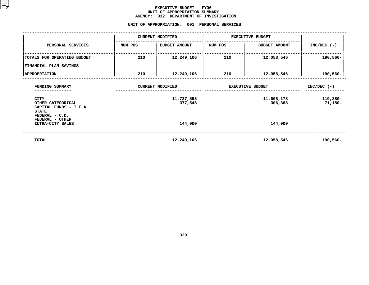#### **EXECUTIVE BUDGET - FY06** UNIT OF APPROPRIATION SUMMARY **OF APPROPRIATION SUMMARY AGENCY:**

**<sup>032</sup> DEPARTMENT OF INVESTIGATION UNIT**

|                                                                            |         | UNIT OF APPROPRIATION:<br>001 | PERSONAL SERVICES       |                         |                     |
|----------------------------------------------------------------------------|---------|-------------------------------|-------------------------|-------------------------|---------------------|
|                                                                            |         | <b>CURRENT MODIFIED</b>       |                         | <b>EXECUTIVE BUDGET</b> |                     |
| PERSONAL SERVICES                                                          | NUM POS | BUDGET AMOUNT                 | NUM POS                 | <b>BUDGET AMOUNT</b>    | $INC/DEC$ (-)       |
| TOTALS FOR OPERATING BUDGET                                                | 210     | 12,249,106                    | 210                     | 12,058,546              | 190,560-            |
| FINANCIAL PLAN SAVINGS<br><b>APPROPRIATION</b>                             | 210     | 12,249,106                    | 210                     | 12,058,546              | 190,560-            |
| FUNDING SUMMARY                                                            |         | <b>CURRENT MODIFIED</b>       | <b>EXECUTIVE BUDGET</b> | $INC/DEC$ (-)           |                     |
| <b>CITY</b><br>OTHER CATEGORICAL<br>CAPITAL FUNDS - I.F.A.<br><b>STATE</b> |         | 11,727,558<br>377,548         |                         | 11,608,178<br>306,368   | 119,380-<br>71,180- |
| FEDERAL - C.D.<br>FEDERAL - OTHER<br>INTRA-CITY SALES                      |         | 144,000                       |                         | 144,000                 |                     |
| TOTAL                                                                      |         | 12,249,106                    |                         | 12,058,546              | 190,560-            |
|                                                                            |         |                               |                         |                         |                     |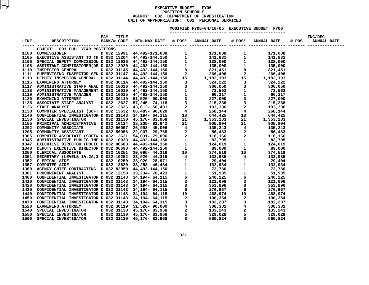#### **EXECUTIVE BUDGET - FY06 POSITIONN SCHEDULE<br>TMENT OF I<br>: 001 PE AGENCY: <sup>032</sup> DEPARTMENT OF INVESTIGATION UNITOF APPROPRIATION: <sup>001</sup> PERSONAL SERVICES MODIFIED**

**FY05-04/10/05 EXECUTIVE BUDGET FY06 -----------------------**

| OBJECT: 001 FULL YEAR POSITIONS |  |  |  |  |  |
|---------------------------------|--|--|--|--|--|
|                                 |  |  |  |  |  |
|                                 |  |  |  |  |  |
|                                 |  |  |  |  |  |
|                                 |  |  |  |  |  |
|                                 |  |  |  |  |  |
|                                 |  |  |  |  |  |
|                                 |  |  |  |  |  |
|                                 |  |  |  |  |  |
|                                 |  |  |  |  |  |
|                                 |  |  |  |  |  |
|                                 |  |  |  |  |  |
|                                 |  |  |  |  |  |
|                                 |  |  |  |  |  |
|                                 |  |  |  |  |  |
|                                 |  |  |  |  |  |
|                                 |  |  |  |  |  |
|                                 |  |  |  |  |  |
|                                 |  |  |  |  |  |
|                                 |  |  |  |  |  |
|                                 |  |  |  |  |  |
|                                 |  |  |  |  |  |
|                                 |  |  |  |  |  |
|                                 |  |  |  |  |  |
|                                 |  |  |  |  |  |
|                                 |  |  |  |  |  |
|                                 |  |  |  |  |  |
|                                 |  |  |  |  |  |
|                                 |  |  |  |  |  |
|                                 |  |  |  |  |  |
|                                 |  |  |  |  |  |
|                                 |  |  |  |  |  |
|                                 |  |  |  |  |  |
|                                 |  |  |  |  |  |
|                                 |  |  |  |  |  |
|                                 |  |  |  |  |  |
|                                 |  |  |  |  |  |
|                                 |  |  |  |  |  |
|                                 |  |  |  |  |  |
|                                 |  |  |  |  |  |
|                                 |  |  |  |  |  |
|                                 |  |  |  |  |  |
|                                 |  |  |  |  |  |
|                                 |  |  |  |  |  |
|                                 |  |  |  |  |  |
|                                 |  |  |  |  |  |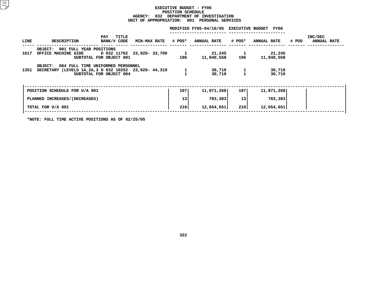#### **EXECUTIVEBXECUTIVE BUDGET - FY06<br>POSITION SCHEDULE<br>AGENCY: 032 DEPARTMENT OF INVE POSITIONN SCHEDULE<br>TMENT OF I<br>: 001 PE <sup>032</sup> DEPARTMENT OF INVESTIGATION UNIT**

|      | UNIT OF APPROPRIATION:<br>001 PERSONAL SERVICES                                                            |                             |  |                     |                                              |       |                           |       |                               |  |
|------|------------------------------------------------------------------------------------------------------------|-----------------------------|--|---------------------|----------------------------------------------|-------|---------------------------|-------|-------------------------------|--|
|      |                                                                                                            |                             |  |                     | MODIFIED FY05-04/10/05 EXECUTIVE BUDGET FY06 |       |                           |       |                               |  |
| LINE | DESCRIPTION                                                                                                | TITLE<br>PAY<br>BANK/# CODE |  |                     | MIN-MAX RATE # POS* ANNUAL RATE              |       | <b># POS* ANNUAL RATE</b> | # POS | INC/DEC<br><b>ANNUAL RATE</b> |  |
| 1617 | OBJECT: 001 FULL YEAR POSITIONS<br>OFFICE MACHINE AIDE D 032 11702 23,920- 33,700                          | SUBTOTAL FOR OBJECT 001     |  | $\mathbf{1}$<br>196 | 21,245<br>11,840,558                         | 196   | 21,245<br>11,840,558      |       |                               |  |
|      | OBJECT: 004 FULL TIME UNIFORMED PERSONNEL<br>1351 SECRETARY (LEVELS 1A, 2A, 3 D 032 10252 23, 920- 44, 319 | SUBTOTAL FOR OBJECT 004     |  |                     | 30,710<br>30,710                             |       | 30,710<br>30,710          |       |                               |  |
|      | POSITION SCHEDULE FOR U/A 001                                                                              |                             |  | 197                 | 11,871,268                                   | 197 l | 11,871,268                |       |                               |  |
|      | PLANNED INCREASES/(DECREASES)                                                                              |                             |  | 13                  | 783,383                                      | 13    | 783,383                   |       |                               |  |
|      | TOTAL FOR U/A 001                                                                                          |                             |  | 210                 | 12,654,651                                   | 210   | 12,654,651                |       |                               |  |
|      |                                                                                                            |                             |  |                     |                                              |       |                           |       |                               |  |

**\*NOTE: FULL TIME ACTIVE POSITIONS AS OF 02/25/05**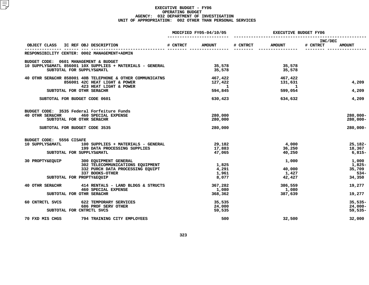|                                                                                        |          | MODIFIED FY05-04/10/05  | <b>EXECUTIVE BUDGET FY06</b> |                     |                     |                    |
|----------------------------------------------------------------------------------------|----------|-------------------------|------------------------------|---------------------|---------------------|--------------------|
| OBJECT CLASS<br>IC REF OBJ DESCRIPTION                                                 | # CNTRCT | <b>AMOUNT</b>           | # CNTRCT                     | <b>AMOUNT</b>       | INC/DEC<br># CNTRCT | <b>AMOUNT</b>      |
| RESPONSIBILITY CENTER: 0002 MANAGEMENT+ADMIN                                           |          |                         |                              |                     |                     |                    |
| BUDGET CODE: 0601 MANAGEMENT & BUDGET                                                  |          |                         |                              |                     |                     |                    |
| 10 SUPPLYS&MATL 856001 10X SUPPLIES + MATERIALS - GENERAL<br>SUBTOTAL FOR SUPPLYS&MATL |          | 35,578<br>35,578        |                              | 35,578<br>35,578    |                     |                    |
| 40 OTHR SER&CHR 858001 40B TELEPHONE & OTHER COMMUNICATNS                              |          | 467,422                 |                              | 467,422             |                     |                    |
| 856001 42C HEAT LIGHT & POWER<br>423 HEAT LIGHT & POWER                                |          | 127,422<br>$\mathbf{1}$ |                              | 131,631<br>$\sim$ 1 |                     | 4,209              |
| SUBTOTAL FOR OTHR SER&CHR                                                              |          | 594,845                 |                              | 599,054             |                     | 4,209              |
| SUBTOTAL FOR BUDGET CODE 0601                                                          |          | 630,423                 |                              | 634,632             |                     | 4,209              |
| BUDGET CODE: 3535 Federal Forfeiture Funds                                             |          |                         |                              |                     |                     |                    |
| <b>40 OTHR SER&amp;CHR</b><br><b>460 SPECIAL EXPENSE</b>                               |          | 280,000                 |                              |                     |                     | 280,000-           |
| SUBTOTAL FOR OTHR SER&CHR                                                              |          | 280,000                 |                              |                     |                     | $280,000 -$        |
| SUBTOTAL FOR BUDGET CODE 3535                                                          |          | 280,000                 |                              |                     |                     | $280,000 -$        |
| BUDGET CODE: 5556 CISAFE                                                               |          |                         |                              |                     |                     |                    |
| 10 SUPPLYS&MATL<br>100 SUPPLIES + MATERIALS - GENERAL                                  |          | 29,182                  |                              | 4,000               |                     | $25,182-$          |
| 199 DATA PROCESSING SUPPLIES<br>SUBTOTAL FOR SUPPLYS&MATL                              |          | 17,883<br>47,065        |                              | 36,250<br>40,250    |                     | 18,367<br>$6,815-$ |
|                                                                                        |          |                         |                              |                     |                     |                    |
| 30 PROPTY&EQUIP<br>300 EQUIPMENT GENERAL                                               |          |                         |                              | 1,000               |                     | 1,000              |
| 302 TELECOMMUNICATIONS EQUIPMENT                                                       |          | 1,825                   |                              |                     |                     | 1,825-             |
| 332 PURCH DATA PROCESSING EQUIPT<br>337 BOOKS-OTHER                                    |          | 4,291<br>1,961          |                              | 40,000<br>1,427     |                     | 35,709<br>$534 -$  |
| SUBTOTAL FOR PROPTY&EQUIP                                                              |          | 8,077                   |                              | 42,427              |                     | 34,350             |
| 414 RENTALS - LAND BLDGS & STRUCTS<br><b>40 OTHR SER&amp;CHR</b>                       |          | 367,282                 |                              | 386,559             |                     | 19,277             |
| <b>460 SPECIAL EXPENSE</b>                                                             |          | 1,080                   |                              | 1,080               |                     |                    |
| SUBTOTAL FOR OTHR SER&CHR                                                              |          | 368,362                 |                              | 387,639             |                     | 19,277             |
| 60 CNTRCTL SVCS<br>622 TEMPORARY SERVICES                                              |          | 35,535                  |                              |                     |                     | $35,535-$          |
| 686 PROF SERV OTHER                                                                    |          | 24,000                  |                              |                     |                     | $24,000-$          |
| SUBTOTAL FOR CNTRCTL SVCS                                                              |          | 59,535                  |                              |                     |                     | $59,535-$          |
| 70 FXD MIS CHGS<br>794 TRAINING CITY EMPLOYEES                                         |          | 500                     |                              | 32,500              |                     | 32,000             |
|                                                                                        |          |                         |                              |                     |                     |                    |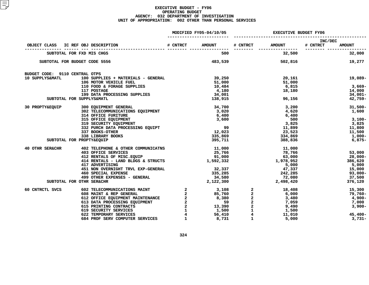|                                |                                                                                                                                                                                                                                    |                         | MODIFIED FY05-04/10/05 | <b>EXECUTIVE BUDGET FY06</b> |                            |                         |               |
|--------------------------------|------------------------------------------------------------------------------------------------------------------------------------------------------------------------------------------------------------------------------------|-------------------------|------------------------|------------------------------|----------------------------|-------------------------|---------------|
| OBJECT CLASS                   | IC REF OBJ DESCRIPTION                                                                                                                                                                                                             | # CNTRCT                | <b>AMOUNT</b>          | # CNTRCT                     | <b>AMOUNT</b>              | INC/DEC<br># CNTRCT     | <b>AMOUNT</b> |
|                                | SUBTOTAL FOR FXD MIS CHGS                                                                                                                                                                                                          |                         | 500                    |                              | ----------------<br>32,500 | _________ _____________ | 32,000        |
|                                | SUBTOTAL FOR BUDGET CODE 5556                                                                                                                                                                                                      |                         | 483,539                |                              | 502,816                    |                         | 19,277        |
| BUDGET CODE: 9110 CENTRAL OTPS |                                                                                                                                                                                                                                    |                         |                        |                              |                            |                         |               |
| 10 SUPPLYS&MATL                | 100 SUPPLIES + MATERIALS - GENERAL                                                                                                                                                                                                 |                         | 39,250                 |                              | 20,161                     |                         | 19,089-       |
|                                | 106 MOTOR VEHICLE FUEL                                                                                                                                                                                                             |                         | 51,000                 |                              | 51,000                     |                         |               |
|                                | 110 FOOD & FORAGE SUPPLIES                                                                                                                                                                                                         |                         | 10,484                 |                              | 6,815                      |                         | 3,669–        |
|                                | 117 POSTAGE                                                                                                                                                                                                                        |                         | 4,180                  |                              | 18,180                     |                         | 14,000        |
|                                | 117 POSTAGE<br>199 DATA PROCESSING SUPPLIES                                                                                                                                                                                        |                         | 34,001                 |                              |                            |                         | 34,001-       |
|                                | SUBTOTAL FOR SUPPLYS&MATL                                                                                                                                                                                                          |                         | 138,915                |                              | 96,156                     |                         | 42,759-       |
| 30 PROPTY&EQUIP                | 300 EQUIPMENT GENERAL                                                                                                                                                                                                              |                         | 34,700                 |                              | 3,200                      |                         | 31,500-       |
|                                | 302 TELECOMMUNICATIONS EQUIPMENT                                                                                                                                                                                                   |                         | 3,020                  |                              | 4,620                      |                         | 1,600         |
|                                | <b>314 OFFICE FURITURE</b>                                                                                                                                                                                                         |                         | 6,400                  |                              | 6,400                      |                         |               |
|                                | 315 OFFICE EQUIPMENT<br>319 SECURITY EQUIPMENT                                                                                                                                                                                     |                         | 3,600                  |                              | 500                        |                         | 3,100-        |
|                                |                                                                                                                                                                                                                                    |                         |                        |                              | 3,825                      |                         | 3,825         |
|                                | 332 PURCH DATA PROCESSING EQUIPT                                                                                                                                                                                                   |                         | 99                     |                              |                            | 11,899                  | 11,800        |
|                                | 337 BOOKS-OTHER                                                                                                                                                                                                                    |                         | 12,023                 |                              | 23,523<br>334,869          |                         | 11,500        |
|                                | 338 LIBRARY BOOKS                                                                                                                                                                                                                  |                         | 335,869                |                              |                            |                         | 1,000-        |
|                                | SUBTOTAL FOR PROPTY&EQUIP                                                                                                                                                                                                          |                         | 395,711                |                              | 388,836                    |                         | $6,875-$      |
| 40 OTHR SER&CHR                | 402 TELEPHONE & OTHER COMMUNICATNS                                                                                                                                                                                                 |                         | 11,000                 |                              | 11,000                     |                         |               |
|                                | 403 OFFICE SERVICES                                                                                                                                                                                                                |                         | 25,766                 |                              | 78,766                     |                         | 53,000        |
|                                | 412 RENTALS OF MISC. EQUIP                                                                                                                                                                                                         |                         | 91,000                 |                              | 63,000                     |                         | 28,000-       |
|                                | 414 RENTALS OF MISC.EQUIP<br>414 RENTALS - LAND BLDGS & STRUCTS 414 RENTALS - LAND BLDGS & STRUCTS 41,592,332                                                                                                                      |                         |                        |                              | 1,978,952                  |                         | 386,620       |
|                                | 417 ADVERTISING                                                                                                                                                                                                                    |                         |                        |                              | 5,000                      |                         | 5,000         |
|                                | 451 NON OVERNIGHT TRVL EXP-GENERAL                                                                                                                                                                                                 |                         | 32,337                 |                              | 47,337                     |                         | 15,000        |
|                                | <b>460 SPECIAL EXPENSE</b>                                                                                                                                                                                                         |                         | 335,285                |                              | 242,285                    |                         | 93,000-       |
|                                | $499$ OTHER EXPENSES - GENERAL                                                                                                                                                                                                     |                         | 34,580                 |                              | 72,080                     |                         | 37,500        |
|                                | SUBTOTAL FOR OTHR SER&CHR                                                                                                                                                                                                          |                         | 2,122,300              |                              | 2,498,420                  |                         | 376,120       |
| 60 CNTRCTL SVCS                | 602 TELECOMMUNICATIONS MAINT 2                                                                                                                                                                                                     |                         | 3,108                  | $\overline{2}$               | 18,408                     |                         | 15,300        |
|                                |                                                                                                                                                                                                                                    |                         |                        |                              | 6,000 000                  |                         | 79,760-       |
|                                |                                                                                                                                                                                                                                    |                         |                        |                              | 3,480                      |                         | 4,900-        |
|                                |                                                                                                                                                                                                                                    |                         |                        |                              | 7,059                      |                         | 7,000         |
|                                | 608 MAINT & REP GENERAL<br>612 OFFICE EQUIPMENT MAINTENANCE<br>613 DATA PROCESSING EQUIPMENT<br>615 PRINTING CONTRACTS<br>619 SECURITY SERVICES<br>622 TEMPORARY SERVICES<br>622 TEMPORARY SERVICES<br>622 TEMPORARY SERVICES<br>4 |                         |                        |                              | 9,490                      |                         | $3,900-$      |
|                                |                                                                                                                                                                                                                                    |                         |                        |                              | 1,500                      |                         |               |
|                                |                                                                                                                                                                                                                                    | $\overline{\mathbf{4}}$ |                        |                              | 11,010                     |                         | $45,400 -$    |
|                                | 684 PROF SERV COMPUTER SERVICES                                                                                                                                                                                                    | $\mathbf{1}$            | 8,731                  | 1                            | 5,000                      |                         | $3,731-$      |
|                                |                                                                                                                                                                                                                                    |                         |                        |                              |                            |                         |               |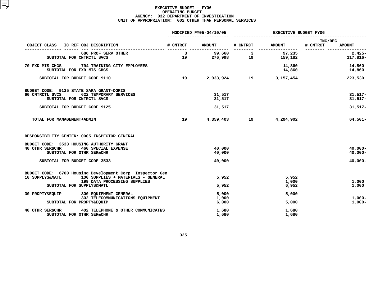|                                                                                       |          | MODIFIED FY05-04/10/05 | <b>EXECUTIVE BUDGET FY06</b>                                                                                                                                                                                                                                                                                                                                                                                                                                                    |                  |                                      |  |
|---------------------------------------------------------------------------------------|----------|------------------------|---------------------------------------------------------------------------------------------------------------------------------------------------------------------------------------------------------------------------------------------------------------------------------------------------------------------------------------------------------------------------------------------------------------------------------------------------------------------------------|------------------|--------------------------------------|--|
| IC REF OBJ DESCRIPTION<br>OBJECT CLASS                                                | # CNTRCT | <b>AMOUNT</b>          | # CNTRCT                                                                                                                                                                                                                                                                                                                                                                                                                                                                        | <b>AMOUNT</b>    | INC/DEC<br># CNTRCT<br><b>AMOUNT</b> |  |
| 686 PROF SERV OTHER                                                                   | 3        | 99,660                 | $\overline{\mathbf{3}}$                                                                                                                                                                                                                                                                                                                                                                                                                                                         | 97,235           | $2,425-$                             |  |
| SUBTOTAL FOR CNTRCTL SVCS                                                             | 19       | 276,998                | 19                                                                                                                                                                                                                                                                                                                                                                                                                                                                              | 159,182          | 117,816-                             |  |
| 70 FXD MIS CHGS<br>794 TRAINING CITY EMPLOYEES<br>SUBTOTAL FOR FXD MIS CHGS           |          |                        |                                                                                                                                                                                                                                                                                                                                                                                                                                                                                 | 14,860<br>14,860 | 14,860<br>14,860                     |  |
| SUBTOTAL FOR BUDGET CODE 9110                                                         | 19       | 2,933,924              | 19                                                                                                                                                                                                                                                                                                                                                                                                                                                                              | 3,157,454        | 223,530                              |  |
| BUDGET CODE: 9125 STATE SARA GRANT-DORIS                                              |          |                        |                                                                                                                                                                                                                                                                                                                                                                                                                                                                                 |                  |                                      |  |
| 60 CNTRCTL SVCS<br>622 TEMPORARY SERVICES<br>SUBTOTAL FOR CNTRCTL SVCS                |          | 31,517<br>31,517       |                                                                                                                                                                                                                                                                                                                                                                                                                                                                                 |                  | $31,517-$<br>$31,517-$               |  |
| SUBTOTAL FOR BUDGET CODE 9125                                                         |          | 31,517                 |                                                                                                                                                                                                                                                                                                                                                                                                                                                                                 |                  | $31,517-$                            |  |
| TOTAL FOR MANAGEMENT+ADMIN                                                            | 19       | 4,359,403              | $\overline{\phantom{1}}$ $\overline{\phantom{1}}$ $\overline{\phantom{1}}$ $\overline{\phantom{1}}$ $\overline{\phantom{1}}$ $\overline{\phantom{1}}$ $\overline{\phantom{1}}$ $\overline{\phantom{1}}$ $\overline{\phantom{1}}$ $\overline{\phantom{1}}$ $\overline{\phantom{1}}$ $\overline{\phantom{1}}$ $\overline{\phantom{1}}$ $\overline{\phantom{1}}$ $\overline{\phantom{1}}$ $\overline{\phantom{1}}$ $\overline{\phantom{1}}$ $\overline{\phantom{1}}$ $\overline{\$ | 4,294,902        | 64,501-                              |  |
| RESPONSIBILITY CENTER: 0005 INSPECTOR GENERAL                                         |          |                        |                                                                                                                                                                                                                                                                                                                                                                                                                                                                                 |                  |                                      |  |
| BUDGET CODE: 3533 HOUSING AUTHORITY GRANT                                             |          |                        |                                                                                                                                                                                                                                                                                                                                                                                                                                                                                 |                  |                                      |  |
| <b>40 OTHR SER&amp;CHR</b><br>460 SPECIAL EXPENSE<br>SUBTOTAL FOR OTHR SER&CHR        |          | 40,000<br>40,000       |                                                                                                                                                                                                                                                                                                                                                                                                                                                                                 |                  | $40,000 -$<br>$40,000 -$             |  |
|                                                                                       |          |                        |                                                                                                                                                                                                                                                                                                                                                                                                                                                                                 |                  |                                      |  |
| SUBTOTAL FOR BUDGET CODE 3533                                                         |          | 40,000                 |                                                                                                                                                                                                                                                                                                                                                                                                                                                                                 |                  | $40,000 -$                           |  |
| BUDGET CODE: 6700 Housing Development Corp Inspector Gen                              |          |                        |                                                                                                                                                                                                                                                                                                                                                                                                                                                                                 |                  |                                      |  |
| 10 SUPPLYS&MATL<br>100 SUPPLIES + MATERIALS - GENERAL<br>199 DATA PROCESSING SUPPLIES |          | 5,952                  |                                                                                                                                                                                                                                                                                                                                                                                                                                                                                 | 5,952<br>1,000   | 1,000                                |  |
| SUBTOTAL FOR SUPPLYS&MATL                                                             |          | 5,952                  |                                                                                                                                                                                                                                                                                                                                                                                                                                                                                 | 6,952            | 1,000                                |  |
| 30 PROPTY&EQUIP<br>300 EQUIPMENT GENERAL                                              |          | 5,000                  |                                                                                                                                                                                                                                                                                                                                                                                                                                                                                 | 5,000            |                                      |  |
| 302 TELECOMMUNICATIONS EQUIPMENT                                                      |          | 1,000                  |                                                                                                                                                                                                                                                                                                                                                                                                                                                                                 |                  | $1,000-$                             |  |
| SUBTOTAL FOR PROPTY&EQUIP                                                             |          | 6,000                  |                                                                                                                                                                                                                                                                                                                                                                                                                                                                                 | 5,000            | $1,000-$                             |  |
| 40 OTHR SER&CHR<br>402 TELEPHONE & OTHER COMMUNICATNS                                 |          | 1,680                  |                                                                                                                                                                                                                                                                                                                                                                                                                                                                                 | 1,680            |                                      |  |
| SUBTOTAL FOR OTHR SER&CHR                                                             |          | 1,680                  |                                                                                                                                                                                                                                                                                                                                                                                                                                                                                 | 1,680            |                                      |  |
|                                                                                       |          |                        |                                                                                                                                                                                                                                                                                                                                                                                                                                                                                 |                  |                                      |  |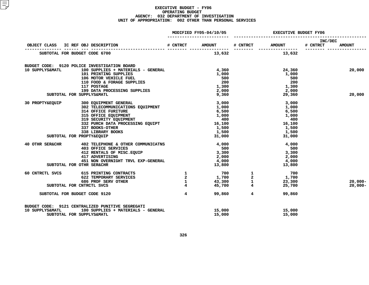|                                     |  |                                                                                                                                                                                           |                                                 | MODIFIED FY05-04/10/05 | EXECUTIVE BUDGET FY06 |                                                        |                            |               |
|-------------------------------------|--|-------------------------------------------------------------------------------------------------------------------------------------------------------------------------------------------|-------------------------------------------------|------------------------|-----------------------|--------------------------------------------------------|----------------------------|---------------|
| OBJECT CLASS IC REF OBJ DESCRIPTION |  |                                                                                                                                                                                           |                                                 | # CNTRCT AMOUNT        | # CNTRCT              | <b>AMOUNT</b>                                          | <b>INC/DEC</b><br># CNTRCT | <b>AMOUNT</b> |
| SUBTOTAL FOR BUDGET CODE 6700       |  |                                                                                                                                                                                           | ____ ________                                   | 13,632                 |                       | 13,632                                                 |                            |               |
|                                     |  |                                                                                                                                                                                           |                                                 |                        |                       |                                                        |                            |               |
|                                     |  | BUDGET CODE: 9120 POLICE INVESTIGATION BOARD                                                                                                                                              |                                                 |                        |                       |                                                        |                            |               |
| 10 SUPPLYS&MATL                     |  | 100 SUPPLIES + MATERIALS - GENERAL                                                                                                                                                        |                                                 | 4,360                  |                       | 24,360                                                 |                            | 20,000        |
|                                     |  | 101 PRINTING SUPPLIES                                                                                                                                                                     |                                                 | 1,000                  |                       | 1,000                                                  |                            |               |
|                                     |  |                                                                                                                                                                                           |                                                 | 500                    |                       | 500                                                    |                            |               |
|                                     |  |                                                                                                                                                                                           |                                                 | 200                    |                       | 200                                                    |                            |               |
|                                     |  |                                                                                                                                                                                           |                                                 | 1,300                  |                       | 1,300                                                  |                            |               |
|                                     |  |                                                                                                                                                                                           |                                                 | 2,000                  |                       | 2,000                                                  |                            |               |
| SUBTOTAL FOR SUPPLYS&MATL           |  | 106 MOTOR VEHICLE FUEL<br>110 FOOD & FORAGE SUPPLIES<br>117 POSTAGE<br>199 DATA PROCESSING SUPPLIES<br>SUPPLYS&MATL<br>200 FOURCETS                                                       |                                                 | 9,360                  |                       | 29,360                                                 |                            | 20,000        |
| 30 PROPTY&EQUIP                     |  | 300 EQUIPMENT GENERAL<br>302 TELECOMMUNICATIONS EQUIPMENT<br>314 OFFICE FURITURE<br>315 OFFICE EQUIPMENT<br>319 SECURITY EQUIPMENT<br>332 PURCH DATA PROCESSING EQUIPT<br>337 BOOKS-OTHER |                                                 | 3,000                  |                       | 3,000                                                  |                            |               |
|                                     |  |                                                                                                                                                                                           |                                                 | 1,000                  |                       | 1,000                                                  |                            |               |
|                                     |  |                                                                                                                                                                                           |                                                 |                        |                       | 6,500                                                  |                            |               |
|                                     |  |                                                                                                                                                                                           |                                                 | 6,500<br>1,000         |                       | 1,000                                                  |                            |               |
|                                     |  |                                                                                                                                                                                           |                                                 | 400                    |                       | 400                                                    |                            |               |
|                                     |  |                                                                                                                                                                                           |                                                 | 16,100                 |                       | 16,100                                                 |                            |               |
|                                     |  |                                                                                                                                                                                           |                                                 | 1,500                  |                       | 1,500                                                  |                            |               |
|                                     |  | 337 BOOKS-OTHER                                                                                                                                                                           |                                                 |                        |                       |                                                        |                            |               |
|                                     |  | 338 LIBRARY BOOKS                                                                                                                                                                         |                                                 | 1,500                  |                       | 1,500                                                  |                            |               |
| SUBTOTAL FOR PROPTY&EQUIP           |  |                                                                                                                                                                                           |                                                 | 31,000                 |                       | 31,000                                                 |                            |               |
| 40 OTHR SER&CHR                     |  | 402 TELEPHONE & OTHER COMMUNICATNS                                                                                                                                                        |                                                 | 4,000                  |                       | 4,000                                                  |                            |               |
|                                     |  | <b>403 OFFICE SERVICES</b>                                                                                                                                                                |                                                 | 500                    |                       | 500                                                    |                            |               |
|                                     |  | 412 RENTALS OF MISC.EQUIP<br>417 ADVERTISING                                                                                                                                              |                                                 | 3,300                  |                       | 3,300                                                  |                            |               |
|                                     |  | 417 ADVERTISING                                                                                                                                                                           |                                                 | 2,000                  |                       | 2,000                                                  |                            |               |
|                                     |  | 451 NON OVERNIGHT TRVL EXP-GENERAL                                                                                                                                                        |                                                 | 4,000                  |                       | 4,000                                                  |                            |               |
| SUBTOTAL FOR OTHR SER&CHR           |  |                                                                                                                                                                                           |                                                 | 13,800                 |                       | 13,800                                                 |                            |               |
| 60 CNTRCTL SVCS                     |  | 615 PRINTING CONTRACTS                                                                                                                                                                    | $\begin{array}{c} 1 \\ 2 \\ 1 \\ 4 \end{array}$ | 700                    |                       | $\begin{array}{c} 1 \\ 2 \\ 1 \\ 4 \end{array}$<br>700 |                            |               |
|                                     |  | 622 TEMPORARY SERVICES                                                                                                                                                                    |                                                 | 1,700                  |                       |                                                        |                            |               |
|                                     |  | 686 PROF SERV OTHER                                                                                                                                                                       |                                                 | 43,300                 |                       | $\frac{1,700}{23,300}$<br>23,300                       |                            | $20,000 -$    |
| SUBTOTAL FOR CNTRCTL SVCS           |  |                                                                                                                                                                                           |                                                 | 45,700                 |                       | 25,700                                                 |                            | $20,000 -$    |
|                                     |  |                                                                                                                                                                                           |                                                 |                        |                       |                                                        |                            |               |
| SUBTOTAL FOR BUDGET CODE 9120       |  |                                                                                                                                                                                           | $\overline{4}$                                  | 99,860                 | $\overline{4}$        | 99,860                                                 |                            |               |
|                                     |  | BUDGET CODE: 9121 CENTRALIZED PUNITIVE SEGREGATI                                                                                                                                          |                                                 |                        |                       |                                                        |                            |               |
| 10 SUPPLYS&MATL                     |  | 100 SUPPLIES + MATERIALS - GENERAL                                                                                                                                                        |                                                 | 15,000                 |                       | 15,000                                                 |                            |               |
| SUBTOTAL FOR SUPPLYS&MATL           |  |                                                                                                                                                                                           |                                                 | 15,000                 |                       | 15,000                                                 |                            |               |
|                                     |  |                                                                                                                                                                                           |                                                 |                        |                       |                                                        |                            |               |
|                                     |  |                                                                                                                                                                                           |                                                 |                        |                       |                                                        |                            |               |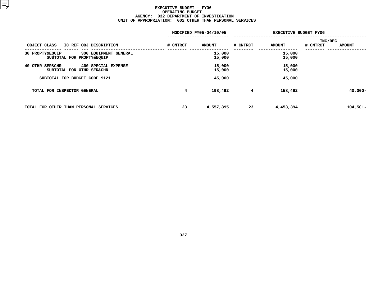|                                                                       |          | MODIFIED FY05-04/10/05 | <b>EXECUTIVE BUDGET FY06</b> |                  |                |               |
|-----------------------------------------------------------------------|----------|------------------------|------------------------------|------------------|----------------|---------------|
|                                                                       |          |                        |                              |                  | <b>INC/DEC</b> |               |
| OBJECT CLASS<br>IC REF OBJ DESCRIPTION                                | # CNTRCT | <b>AMOUNT</b>          | # CNTRCT                     | <b>AMOUNT</b>    | # CNTRCT       | <b>AMOUNT</b> |
| 300 EQUIPMENT GENERAL<br>30 PROPTY&EQUIP<br>SUBTOTAL FOR PROPTY&EQUIP |          | 15,000<br>15,000       |                              | 15,000<br>15,000 |                |               |
| 460 SPECIAL EXPENSE<br>40 OTHR SER&CHR<br>SUBTOTAL FOR OTHR SER&CHR   |          | 15,000<br>15,000       |                              | 15,000<br>15,000 |                |               |
| SUBTOTAL FOR BUDGET CODE 9121                                         |          | 45,000                 |                              | 45,000           |                |               |
| TOTAL FOR INSPECTOR GENERAL                                           | 4        | 198,492                | 4                            | 158,492          |                | $40,000 -$    |
| TOTAL FOR OTHER THAN PERSONAL SERVICES                                | 23       | 4,557,895              | 23                           | 4,453,394        |                | $104,501 -$   |
|                                                                       |          |                        |                              |                  |                |               |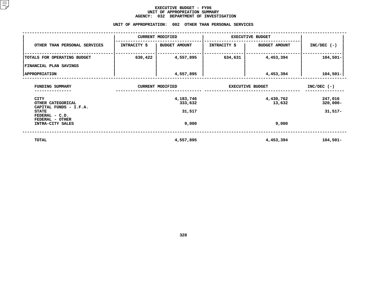#### **EXECUTIVE BUDGET - FY06** UNIT OF APPROPRIATION SUMMARY **OF APPROPRIATION SUMMARY AGENCY:**

| <b>AGENCY:</b><br>032<br>DEPARTMENT OF INVESTIGATION    |              |                         |                         |                         |                        |  |  |  |  |  |  |
|---------------------------------------------------------|--------------|-------------------------|-------------------------|-------------------------|------------------------|--|--|--|--|--|--|
| UNIT OF APPROPRIATION: 002 OTHER THAN PERSONAL SERVICES |              |                         |                         |                         |                        |  |  |  |  |  |  |
|                                                         |              | <b>CURRENT MODIFIED</b> |                         | <b>EXECUTIVE BUDGET</b> |                        |  |  |  |  |  |  |
| OTHER THAN PERSONAL SERVICES                            | INTRACITY \$ | <b>BUDGET AMOUNT</b>    | <b>INTRACITY \$</b>     | <b>BUDGET AMOUNT</b>    | $INC/DEC$ (-)          |  |  |  |  |  |  |
| TOTALS FOR OPERATING BUDGET                             | 630,422      | 4,557,895               | 634,631                 | 4,453,394               | $104,501-$             |  |  |  |  |  |  |
| FINANCIAL PLAN SAVINGS                                  |              |                         |                         |                         |                        |  |  |  |  |  |  |
| <b>APPROPRIATION</b>                                    |              | 4,557,895               |                         | 4,453,394               | $104,501 -$            |  |  |  |  |  |  |
| FUNDING SUMMARY                                         |              | <b>CURRENT MODIFIED</b> | <b>EXECUTIVE BUDGET</b> | $INC/DEC$ (-)           |                        |  |  |  |  |  |  |
| CITY<br>OTHER CATEGORICAL<br>CAPITAL FUNDS - I.F.A.     |              | 4,183,746<br>333,632    |                         | 4,430,762<br>13,632     | 247,016<br>$320,000 -$ |  |  |  |  |  |  |
| <b>STATE</b><br>FEDERAL - C.D.                          |              | 31,517                  |                         |                         | $31,517-$              |  |  |  |  |  |  |
| FEDERAL - OTHER<br>INTRA-CITY SALES                     |              | 9,000                   |                         | 9,000                   |                        |  |  |  |  |  |  |
| <b>TOTAL</b>                                            |              | 4,557,895               |                         | 4,453,394               | $104,501-$             |  |  |  |  |  |  |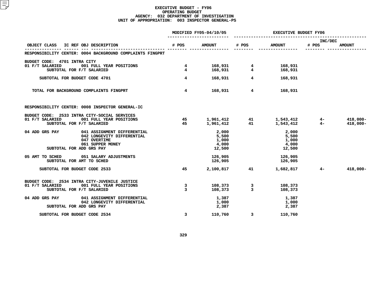#### **EXECUTIVE BUDGET - FY06 OPERATING**G BUDGET<br>MENT OF<br>3 INSPEC **AGENCY: <sup>032</sup> DEPARTMENT OF INVESTIGATION UNIT OF APPROPRIATION: <sup>003</sup> INSPECTOR GENERAL-PS**

|                                                           |                         | MODIFIED FY05-04/10/05                                      |                         | <b>EXECUTIVE BUDGET FY06</b>                                                                                                                                                                                                                                                                                                                  |                  |               |  |
|-----------------------------------------------------------|-------------------------|-------------------------------------------------------------|-------------------------|-----------------------------------------------------------------------------------------------------------------------------------------------------------------------------------------------------------------------------------------------------------------------------------------------------------------------------------------------|------------------|---------------|--|
| OBJECT CLASS IC REF OBJ DESCRIPTION                       | # POS                   | <b>AMOUNT</b>                                               | # POS                   | <b>AMOUNT</b>                                                                                                                                                                                                                                                                                                                                 | INC/DEC<br># POS | <b>AMOUNT</b> |  |
| RESPONSIBILITY CENTER: 0004 BACKGROUND COMPLAINTS FINGPRT |                         |                                                             |                         |                                                                                                                                                                                                                                                                                                                                               |                  |               |  |
| BUDGET CODE: 4701 INTRA CITY                              |                         |                                                             |                         |                                                                                                                                                                                                                                                                                                                                               |                  |               |  |
| 01 F/T SALARIED<br>001 FULL YEAR POSITIONS                |                         |                                                             |                         | 4 168,931                                                                                                                                                                                                                                                                                                                                     |                  |               |  |
| SUBTOTAL FOR F/T SALARIED                                 |                         | $\begin{array}{ccc} 4 & 168,931 \\ 4 & 168,931 \end{array}$ | $\overline{\mathbf{4}}$ | 168,931                                                                                                                                                                                                                                                                                                                                       |                  |               |  |
| SUBTOTAL FOR BUDGET CODE 4701                             | $\overline{4}$          | 168,931                                                     |                         | $\overline{4}$ and $\overline{4}$ and $\overline{4}$ and $\overline{4}$ and $\overline{4}$ and $\overline{4}$ and $\overline{4}$ and $\overline{4}$ and $\overline{4}$ and $\overline{4}$ and $\overline{4}$ and $\overline{4}$ and $\overline{4}$ and $\overline{4}$ and $\overline{4}$ and $\overline{4}$ and $\overline{4}$ and<br>168,931 |                  |               |  |
| TOTAL FOR BACKGROUND COMPLAINTS FINGPRT                   | $4^{\circ}$             | 168,931                                                     | $\overline{4}$          | 168,931                                                                                                                                                                                                                                                                                                                                       |                  |               |  |
| RESPONSIBILITY CENTER: 0008 INSPECTOR GENERAL-IC          |                         |                                                             |                         |                                                                                                                                                                                                                                                                                                                                               |                  |               |  |
| BUDGET CODE: 2533 INTRA CITY-SOCIAL SERVICES              |                         |                                                             |                         |                                                                                                                                                                                                                                                                                                                                               |                  |               |  |
| 01 F/T SALARIED 001 FULL YEAR POSITIONS                   | 45 3                    |                                                             |                         | 1,961,412  41  1,543,412  4-<br>1,961,412  41  1,543,412  4-                                                                                                                                                                                                                                                                                  |                  | 418,000-      |  |
| SUBTOTAL FOR F/T SALARIED                                 | 45                      |                                                             |                         |                                                                                                                                                                                                                                                                                                                                               |                  | 418,000-      |  |
| 04 ADD GRS PAY 041 ASSIGNMENT DIFFERENTIAL                |                         | 2,000                                                       |                         | 2,000                                                                                                                                                                                                                                                                                                                                         |                  |               |  |
| 042 LONGEVITY DIFFERENTIAL                                |                         | 5,500                                                       |                         | 5,500                                                                                                                                                                                                                                                                                                                                         |                  |               |  |
| 047 OVERTIME                                              |                         | 1,000                                                       |                         | 1,000                                                                                                                                                                                                                                                                                                                                         |                  |               |  |
| 061 SUPPER MONEY                                          |                         | 4,000                                                       |                         | 4,000                                                                                                                                                                                                                                                                                                                                         |                  |               |  |
| SUBTOTAL FOR ADD GRS PAY                                  |                         | 12,500                                                      |                         | 12,500                                                                                                                                                                                                                                                                                                                                        |                  |               |  |
| 05 AMT TO SCHED 051 SALARY ADJUSTMENTS                    |                         | 126,905                                                     |                         | 126,905                                                                                                                                                                                                                                                                                                                                       |                  |               |  |
| SUBTOTAL FOR AMT TO SCHED                                 |                         | 126,905                                                     |                         | 126,905                                                                                                                                                                                                                                                                                                                                       |                  |               |  |
| SUBTOTAL FOR BUDGET CODE 2533                             | 45                      |                                                             |                         | 2,100,817 41 1,682,817 4-                                                                                                                                                                                                                                                                                                                     |                  | 418,000-      |  |
| BUDGET CODE: 2534 INTRA CITY-JUVENILE JUSTICE             |                         |                                                             |                         |                                                                                                                                                                                                                                                                                                                                               |                  |               |  |
| 01 F/T SALARIED<br>001 FULL YEAR POSITIONS                | $\overline{\mathbf{3}}$ |                                                             |                         | 108,373                                                                                                                                                                                                                                                                                                                                       |                  |               |  |
| SUBTOTAL FOR F/T SALARIED                                 | 3                       |                                                             | 108,373 3<br>108,373 3  | 108,373                                                                                                                                                                                                                                                                                                                                       |                  |               |  |
| 04 ADD GRS PAY 041 ASSIGNMENT DIFFERENTIAL                |                         |                                                             |                         | 1,387                                                                                                                                                                                                                                                                                                                                         |                  |               |  |
| 042 LONGEVITY DIFFERENTIAL                                |                         | 1,387<br>1,000                                              |                         | 1,000                                                                                                                                                                                                                                                                                                                                         |                  |               |  |
| SUBTOTAL FOR ADD GRS PAY                                  |                         | 2,387                                                       |                         | 2,387                                                                                                                                                                                                                                                                                                                                         |                  |               |  |
| SUBTOTAL FOR BUDGET CODE 2534                             | $\mathbf{3}$            | 110,760                                                     | $\overline{\mathbf{3}}$ | 110,760                                                                                                                                                                                                                                                                                                                                       |                  |               |  |
|                                                           |                         |                                                             |                         |                                                                                                                                                                                                                                                                                                                                               |                  |               |  |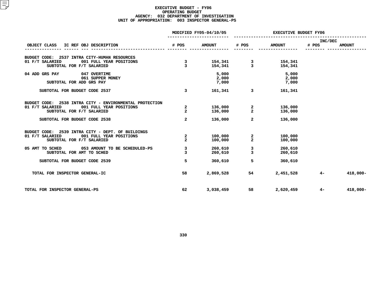#### **EXECUTIVE BUDGET - FY06 OPERATING**G BUDGET<br>MENT OF<br>3 INSPEC **AGENCY: <sup>032</sup> DEPARTMENT OF INVESTIGATION UNIT OF APPROPRIATION: <sup>003</sup> INSPECTOR GENERAL-PS**

|                                                         |                         | MODIFIED FY05-04/10/05                 | <b>EXECUTIVE BUDGET FY06</b> |               |         |               |
|---------------------------------------------------------|-------------------------|----------------------------------------|------------------------------|---------------|---------|---------------|
|                                                         |                         |                                        |                              |               | INC/DEC |               |
| OBJECT CLASS IC REF OBJ DESCRIPTION                     | # POS                   | <b>AMOUNT</b>                          | # POS                        | <b>AMOUNT</b> | # POS   | <b>AMOUNT</b> |
| BUDGET CODE: 2537 INTRA CITY-HUMAN RESOURCES            |                         |                                        |                              |               |         |               |
| 01 F/T SALARIED<br>001 FULL YEAR POSITIONS              | $\overline{\mathbf{3}}$ | 154,341 3 154,341<br>154,341 3 154,341 |                              |               |         |               |
| SUBTOTAL FOR F/T SALARIED                               | $\overline{3}$          |                                        |                              |               |         |               |
| 04 ADD GRS PAY 047 OVERTIME                             |                         | 5,000<br>2,000                         |                              | 5,000         |         |               |
| 061 SUPPER MONEY                                        |                         |                                        |                              | 2,000         |         |               |
| SUBTOTAL FOR ADD GRS PAY                                |                         | 7,000                                  |                              | 7,000         |         |               |
| SUBTOTAL FOR BUDGET CODE 2537                           | $\overline{\mathbf{3}}$ | 161,341                                |                              | 3 161,341     |         |               |
| BUDGET CODE: 2538 INTRA CITY - ENVIRONMENTAL PROTECTION |                         |                                        |                              |               |         |               |
| 01 F/T SALARIED<br>001 FULL YEAR POSITIONS              | $\overline{a}$          | 136,000                                | $\overline{a}$               | 136,000       |         |               |
| SUBTOTAL FOR F/T SALARIED                               | $\overline{2}$          | 136,000                                | $\overline{2}$               | 136,000       |         |               |
| SUBTOTAL FOR BUDGET CODE 2538                           | $\mathbf{2}$            | 136,000                                | $\overline{2}$               | 136,000       |         |               |
| BUDGET CODE: 2539 INTRA CITY - DEPT. OF BUILDINGS       |                         |                                        |                              |               |         |               |
| 01 F/T SALARIED 001 FULL YEAR POSITIONS                 | $\overline{a}$          | 100,000                                | $\mathbf{2}$                 | 100,000       |         |               |
| SUBTOTAL FOR F/T SALARIED                               | $\overline{2}$          | 100,000                                | $\overline{2}$               | 100,000       |         |               |
| 05 AMT TO SCHED 053 AMOUNT TO BE SCHEDULED-PS           | 3                       | 260,610                                | 3                            | 260,610       |         |               |
| SUBTOTAL FOR AMT TO SCHED                               | 3                       | 260,610                                | $\overline{3}$               | 260,610       |         |               |
| SUBTOTAL FOR BUDGET CODE 2539                           | 5                       | 360,610                                | 5 <sup>5</sup>               | 360,610       |         |               |
| TOTAL FOR INSPECTOR GENERAL-IC                          | 58                      | 2,869,528                              |                              | 2,451,528     | $4-$    | 418,000-      |
|                                                         |                         |                                        |                              |               |         |               |
| TOTAL FOR INSPECTOR GENERAL-PS                          | 62                      | 3,038,459                              | 58 — 1                       | 2,620,459     | $4-$    | $418,000 -$   |
|                                                         |                         |                                        |                              |               |         |               |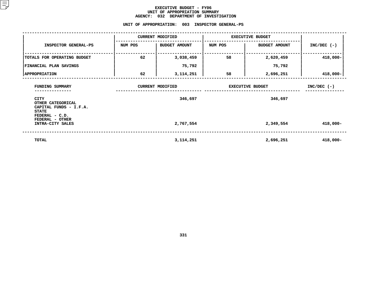#### **EXECUTIVE BUDGET - FY06 UNIT OF APPROPRIATION SUMMARY AGENCY:**

**<sup>032</sup> DEPARTMENT OF INVESTIGATION UNIT**

|                                                                                                                      | UNIT OF APPROPRIATION: | 003                                | INSPECTOR GENERAL-PS |                                    |               |
|----------------------------------------------------------------------------------------------------------------------|------------------------|------------------------------------|----------------------|------------------------------------|---------------|
|                                                                                                                      |                        | <b>CURRENT MODIFIED</b>            |                      | <b>EXECUTIVE BUDGET</b>            |               |
| INSPECTOR GENERAL-PS                                                                                                 | NUM POS                | <b>BUDGET AMOUNT</b>               | NUM POS              | <b>BUDGET AMOUNT</b>               | $INC/DEC$ (-) |
| TOTALS FOR OPERATING BUDGET                                                                                          | 62                     | 3,038,459                          | 58                   | 2,620,459                          | 418,000-      |
| FINANCIAL PLAN SAVINGS                                                                                               |                        | 75,792                             |                      | 75,792                             |               |
| <b>APPROPRIATION</b>                                                                                                 | 62                     | 3, 114, 251                        | 58                   | 2,696,251                          | $418,000 -$   |
| FUNDING SUMMARY<br><b>CITY</b>                                                                                       |                        | <b>CURRENT MODIFIED</b><br>346,697 |                      | <b>EXECUTIVE BUDGET</b><br>346,697 | $INC/DEC$ (-) |
| OTHER CATEGORICAL<br>CAPITAL FUNDS - I.F.A.<br><b>STATE</b><br>FEDERAL - C.D.<br>FEDERAL - OTHER<br>INTRA-CITY SALES |                        | 2,767,554                          |                      | 2,349,554                          | $418,000 -$   |
| <b>TOTAL</b>                                                                                                         |                        | 3, 114, 251                        |                      | 2,696,251                          | 418,000-      |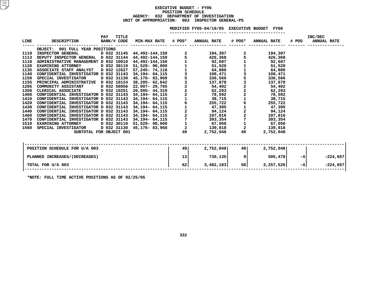#### **EXECUTIVE BUDGET - FY06 POSITIONN SCHEDULE<br>TMENT OF I<br>003 INSP AGENCY: <sup>032</sup> DEPARTMENT OF INVESTIGATION UNIT OF APPROPRIATION: <sup>003</sup> INSPECTOR GENERAL-PS**

|      |                                                                                                             |     |                      |                                 |                                            | MODIFIED FY05-04/10/05 EXECUTIVE BUDGET FY06 |                                            |                    |       |                               |
|------|-------------------------------------------------------------------------------------------------------------|-----|----------------------|---------------------------------|--------------------------------------------|----------------------------------------------|--------------------------------------------|--------------------|-------|-------------------------------|
| LINE | DESCRIPTION                                                                                                 | PAY | TITLE<br>BANK/# CODE | MIN-MAX RATE # POS* ANNUAL RATE |                                            |                                              | # POS*                                     | <b>ANNUAL RATE</b> | # POS | INC/DEC<br><b>ANNUAL RATE</b> |
|      | OBJECT: 001 FULL YEAR POSITIONS                                                                             |     |                      |                                 |                                            |                                              |                                            |                    |       |                               |
| 1110 | INSPECTOR GENERAL D 032 31145 44,492-144,150                                                                |     |                      |                                 | $\mathbf{2}$                               | 194,397                                      |                                            | 194,397            |       |                               |
| 1113 |                                                                                                             |     |                      |                                 |                                            | 426,368                                      |                                            | 426,368            |       |                               |
| 1118 | DEPUTY INSPECTOR GENERAL D 032 31144 44,492-144,150<br>ADMINISTRATIVE MANAGEMENT D 032 10010 44,492-144,150 |     |                      |                                 |                                            | 92,687                                       |                                            | 92,687             |       |                               |
| 1120 | EXAMINING ATTORNEY D 032 30119                                                                              |     |                      | 51,520- 90,000                  |                                            | 51,520                                       |                                            | 51,520             |       |                               |
| 1135 | ASSOCIATE STAFF ANALYST D 032 12627                                                                         |     |                      | 57,245- 74,118                  | $\frac{1}{3}$                              | 64,880                                       |                                            | 64,880             |       |                               |
| 1140 | CONFIDENTIAL INVESTIGATOR D 032 31143 34,194- 64,115                                                        |     |                      |                                 |                                            | 108,471                                      |                                            | 108,471            |       |                               |
| 1150 | SPECIAL INVESTIGATOR D 032 31130 45,176-83,968                                                              |     |                      |                                 | $\overline{5}$                             | 336,566                                      | 5<br>3<br>2<br>2<br>2                      | 336,566            |       |                               |
| 1155 | PRINCIPAL ADMINISTRATIVE D 032 10124 38,205- 62,842                                                         |     |                      |                                 | $\frac{3}{2}$                              | 137,878                                      |                                            | 137,878            |       |                               |
| 1205 | <b>COMMUNITY ASSISTANT</b>                                                                                  |     |                      | D 032 56056 22,907- 29,765      |                                            | 54,402                                       |                                            | 54,402             |       |                               |
| 1350 | CLERICAL ASSOCIATE                                                                                          |     |                      | D 032 10251 20,095- 44,319      |                                            | 62,293                                       |                                            | 62,293             |       |                               |
| 1400 | CONFIDENTIAL INVESTIGATOR D 032 31143 34,194- $64,115$                                                      |     |                      |                                 | $\begin{array}{c} 2 \\ 1 \end{array}$      | 78,592                                       |                                            | 78,592             |       |                               |
| 1410 | CONFIDENTIAL INVESTIGATOR D 032 31143 34,194- $64,115$                                                      |     |                      |                                 |                                            | 38,715                                       |                                            | 38,715             |       |                               |
| 1420 | CONFIDENTIAL INVESTIGATOR D 032 31143 34,194- $64,115$                                                      |     |                      |                                 | 6                                          | 255,722                                      | 6                                          | 255,722            |       |                               |
| 1430 | CONFIDENTIAL INVESTIGATOR D 032 31143 34,194- $64,115$                                                      |     |                      |                                 |                                            | 47,395                                       |                                            | 47,395             |       |                               |
| 1440 | CONFIDENTIAL INVESTIGATOR D 032 31143 34,194- $64,115$                                                      |     |                      |                                 | $\begin{array}{c} 1 \\ 2 \\ 2 \end{array}$ | 94,124                                       | $\begin{array}{c} 2 \\ 2 \\ 7 \end{array}$ | 94,124             |       |                               |
| 1460 | CONFIDENTIAL INVESTIGATOR D 032 31143 34,194- $64,115$                                                      |     |                      |                                 |                                            | 107,816                                      |                                            | 107,816            |       |                               |
| 1470 | CONFIDENTIAL INVESTIGATOR D 032 31143 34,194- 64,115                                                        |     |                      |                                 | $\overline{7}$                             | 393,354                                      |                                            | 393,354            |       |                               |
| 1510 | <b>EXAMINING ATTORNEY</b>                                                                                   |     | D 032 30119          | 51,520- 90,000                  | $\frac{1}{2}$                              | 67,050                                       | $\mathbf 1$                                | 67,050             |       |                               |
| 1560 | SPECIAL INVESTIGATOR                                                                                        |     |                      | D 032 31130 45,176-83,968       |                                            | 139,818                                      | $\overline{a}$                             | 139,818            |       |                               |
|      | SUBTOTAL FOR OBJECT 001                                                                                     |     |                      |                                 | 49                                         | 2,752,048                                    | 49                                         | 2,752,048          |       |                               |
|      |                                                                                                             |     |                      |                                 |                                            |                                              |                                            |                    |       |                               |
|      |                                                                                                             |     |                      |                                 |                                            |                                              |                                            |                    |       |                               |

| POSITION SCHEDULE FOR U/A 003 | 49 | 2,752,048 | ا 49 | 2,752,048 |      |            |
|-------------------------------|----|-----------|------|-----------|------|------------|
| PLANNED INCREASES/(DECREASES) | 13 | 730,135   |      | 505,478   | $-4$ | $-224,657$ |
| TOTAL FOR U/A 003             | 62 | 3,482,183 | 58   | 3,257,526 | $-4$ | $-224,657$ |
| ______ _ _ __ _ _ _ _ _       |    |           |      |           |      |            |

**\*NOTE: FULL TIME ACTIVE POSITIONS AS OF 02/25/05**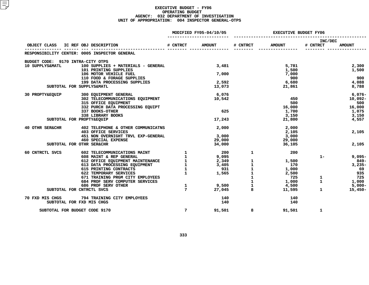#### **EXECUTIVE BUDGET - FY06 OPERATING**G BUDGET<br>MENT OF<br>4 INSPEC **AGENCY: <sup>032</sup> DEPARTMENT OF INVESTIGATION UNIT OF APPROPRIATION: <sup>004</sup> INSPECTOR GENERAL-OTPS**

|                                   |                                                                   | MODIFIED FY05-04/10/05 | <b>EXECUTIVE BUDGET FY06</b>                                 |                                            |                |                     |                     |
|-----------------------------------|-------------------------------------------------------------------|------------------------|--------------------------------------------------------------|--------------------------------------------|----------------|---------------------|---------------------|
|                                   | OBJECT CLASS IC REF OBJ DESCRIPTION                               | # CNTRCT               | <b>AMOUNT</b>                                                | # CNTRCT                                   | <b>AMOUNT</b>  | INC/DEC<br># CNTRCT | <b>AMOUNT</b>       |
|                                   | RESPONSIBILITY CENTER: 0005 INSPECTOR GENERAL                     |                        |                                                              |                                            |                |                     |                     |
|                                   |                                                                   |                        |                                                              |                                            |                |                     |                     |
| BUDGET CODE: 9170 INTRA-CITY OTPS |                                                                   |                        |                                                              |                                            |                |                     |                     |
| 10 SUPPLYS&MATL                   | 100 SUPPLIES + MATERIALS - GENERAL<br>101 PRINTING SUPPLIES       |                        | 3,481                                                        |                                            | 5,781          |                     | 2,300               |
|                                   | 106 MOTOR VEHICLE FUEL                                            |                        | 7,000                                                        |                                            | 1,500<br>7,000 |                     | 1,500               |
|                                   | 110 FOOD & FORAGE SUPPLIES                                        |                        |                                                              |                                            | 900            |                     | 900                 |
|                                   | 199 DATA PROCESSING SUPPLIES                                      |                        | 2,592                                                        |                                            | 6,680          |                     | 4,088               |
|                                   | SUBTOTAL FOR SUPPLYS&MATL                                         |                        | 13,073                                                       |                                            | 21,861         |                     | 8,788               |
|                                   |                                                                   |                        |                                                              |                                            |                |                     |                     |
| 30 PROPTY&EQUIP                   | 300 EQUIPMENT GENERAL<br>302 TELECOMMUNICATIONS EQUIPMENT         |                        | 6,076<br>10,542                                              |                                            | 450            |                     | $6,076-$<br>10,092- |
|                                   | 315 OFFICE EQUIPMENT                                              |                        |                                                              |                                            | 500            |                     | 500                 |
|                                   | 332 PURCH DATA PROCESSING EQUIPT                                  |                        |                                                              |                                            | 16,000         |                     | 16,000              |
|                                   | 337 BOOKS-OTHER                                                   |                        | 625                                                          |                                            | 1,700          |                     | 1,075               |
|                                   | 338 LIBRARY BOOKS                                                 |                        |                                                              |                                            | 3,150          |                     | 3,150               |
|                                   | SUBTOTAL FOR PROPTY&EQUIP                                         |                        | 17,243                                                       |                                            | 21,800         |                     | 4,557               |
| 40 OTHR SER&CHR                   | 402 TELEPHONE & OTHER COMMUNICATNS                                |                        | 2,000                                                        |                                            | 2,000          |                     |                     |
|                                   | 403 OFFICE SERVICES                                               |                        |                                                              |                                            | 2,105          |                     | 2,105               |
|                                   | 451 NON OVERNIGHT TRVL EXP-GENERAL                                |                        | 3,000                                                        |                                            | 3,000          |                     |                     |
|                                   | <b>460 SPECIAL EXPENSE</b>                                        |                        | 29,000                                                       |                                            | 29,000         |                     |                     |
|                                   | SUBTOTAL FOR OTHR SER&CHR                                         |                        | 34,000                                                       |                                            | 36,105         |                     | 2,105               |
| 60 CNTRCTL SVCS                   | 602 TELECOMMUNICATIONS MAINT                                      |                        | $\begin{array}{ccc} 1 & 200 \\ 1 & 9,095 \end{array}$<br>200 | $\mathbf{1}$                               | 200            |                     |                     |
|                                   | 608 MAINT & REP GENERAL                                           |                        |                                                              |                                            |                | $1 -$               | $9,095 -$           |
|                                   | 612 OFFICE EQUIPMENT MAINTENANCE<br>613 DATA PROCESSING EQUIPMENT | $\frac{1}{3}$          | 95، ر<br>2,349<br>ممبر                                       | $\mathbf{1}$                               | 1,500          |                     | -849                |
|                                   |                                                                   |                        |                                                              | $\mathbf{1}$                               | 170            |                     | $3,235-$            |
|                                   | 615 PRINTING CONTRACTS<br>622 TEMPORARY SERVICES                  | $\mathbf{1}$           | 931<br>1,565                                                 | $\begin{array}{c} 1 \\ 1 \\ 1 \end{array}$ | 1,000          |                     | - 69<br>935         |
|                                   | 671 TRAINING PRGM CITY EMPLOYEES                                  |                        |                                                              |                                            | 2,500<br>725   | $\mathbf{1}$        | 725                 |
|                                   | 684 PROF SERV COMPUTER SERVICES                                   |                        |                                                              | $\mathbf 1$                                | 1,000          | $\mathbf{1}$        | 1,000               |
|                                   | 686 PROF SERV OTHER                                               | $\mathbf{1}$           | 9,500                                                        | $\mathbf{1}$                               | 4,500          |                     | $5,000-$            |
|                                   | SUBTOTAL FOR CNTRCTL SVCS                                         | $7^{\circ}$            | 27,045                                                       | 8                                          | 11,595         | $\mathbf{1}$        | $15,450-$           |
| 70 FXD MIS CHGS                   | 794 TRAINING CITY EMPLOYEES                                       |                        | 140                                                          |                                            | 140            |                     |                     |
|                                   | SUBTOTAL FOR FXD MIS CHGS                                         |                        | 140                                                          |                                            | 140            |                     |                     |
|                                   | SUBTOTAL FOR BUDGET CODE 9170                                     | $7\overline{ }$        | 91,501                                                       | 8                                          | 91,501         | $\mathbf{1}$        |                     |
|                                   |                                                                   |                        |                                                              |                                            |                |                     |                     |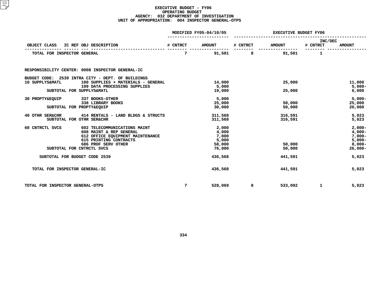#### **EXECUTIVE BUDGET - FY06 OPERATING**G BUDGET<br>MENT OF<br>4 INSPEC **AGENCY: <sup>032</sup> DEPARTMENT OF INVESTIGATION UNIT OF APPROPRIATION: <sup>004</sup> INSPECTOR GENERAL-OTPS**

|                                  |                                                                                                                                                                           |                 | MODIFIED FY05-04/10/05                               |          | <b>EXECUTIVE BUDGET FY06</b> |                     |                                                                        |  |
|----------------------------------|---------------------------------------------------------------------------------------------------------------------------------------------------------------------------|-----------------|------------------------------------------------------|----------|------------------------------|---------------------|------------------------------------------------------------------------|--|
| OBJECT CLASS                     | IC REF OBJ DESCRIPTION                                                                                                                                                    | # CNTRCT        | <b>AMOUNT</b>                                        | # CNTRCT | <b>AMOUNT</b>                | INC/DEC<br># CNTRCT | <b>AMOUNT</b>                                                          |  |
| TOTAL FOR INSPECTOR GENERAL      |                                                                                                                                                                           | 7               | 91,501                                               | 8        | 91,501                       | 1                   |                                                                        |  |
|                                  | RESPONSIBILITY CENTER: 0008 INSPECTOR GENERAL-IC                                                                                                                          |                 |                                                      |          |                              |                     |                                                                        |  |
| 10 SUPPLYS&MATL                  | BUDGET CODE: 2539 INTRA CITY - DEPT. OF BUILDINGS<br>100 SUPPLIES + MATERIALS - GENERAL                                                                                   |                 | 14,000                                               |          | 25,000                       |                     | 11,000                                                                 |  |
|                                  | 199 DATA PROCESSING SUPPLIES<br>SUBTOTAL FOR SUPPLYS&MATL                                                                                                                 |                 | 5,000<br>19,000                                      |          | 25,000                       |                     | $5,000-$<br>6,000                                                      |  |
| 30 PROPTY&EQUIP                  | 337 BOOKS-OTHER<br>338 LIBRARY BOOKS<br>SUBTOTAL FOR PROPTY&EQUIP                                                                                                         |                 | 5,000<br>25,000<br>30,000                            |          | 50,000<br>50,000             |                     | $5,000-$<br>25,000<br>20,000                                           |  |
| 40 OTHR SER&CHR                  | 414 RENTALS - LAND BLDGS & STRUCTS<br>SUBTOTAL FOR OTHR SER&CHR                                                                                                           |                 | 311,568<br>311,568                                   |          | 316,591<br>316,591           |                     | 5,023<br>5,023                                                         |  |
| 60 CNTRCTL SVCS                  | 602 TELECOMMUNICATIONS MAINT<br>608 MAINT & REP GENERAL<br>612 OFFICE EQUIPMENT MAINTENANCE<br>615 PRINTING CONTRACTS<br>686 PROF SERV OTHER<br>SUBTOTAL FOR CNTRCTL SVCS |                 | 2,000<br>4,000<br>7,000<br>5,000<br>58,000<br>76,000 |          | 50,000<br>50,000             |                     | $2,000-$<br>$4,000-$<br>$7,000-$<br>$5,000-$<br>$8,000-$<br>$26,000 -$ |  |
| SUBTOTAL FOR BUDGET CODE 2539    |                                                                                                                                                                           |                 | 436,568                                              |          | 441,591                      |                     | 5,023                                                                  |  |
| TOTAL FOR INSPECTOR GENERAL-IC   |                                                                                                                                                                           |                 | 436,568                                              |          | 441,591                      |                     | 5,023                                                                  |  |
| TOTAL FOR INSPECTOR GENERAL-OTPS |                                                                                                                                                                           | $7\phantom{.0}$ | 528,069                                              | 8        | 533,092                      | $\mathbf{1}$        | 5,023                                                                  |  |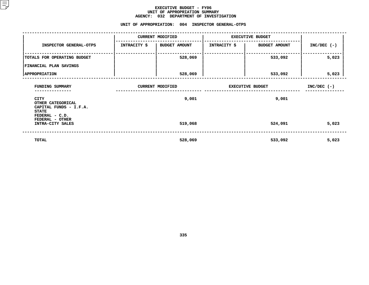#### **EXECUTIVE BUDGET - FY06 UNIT OF APPROPRIATION SUMMARY AGENCY:**

|                                                                     | AGENCY: 032 DEPARTMENT OF INVESTIGATION           |                         |                              |               |
|---------------------------------------------------------------------|---------------------------------------------------|-------------------------|------------------------------|---------------|
|                                                                     | UNIT OF APPROPRIATION: 004 INSPECTOR GENERAL-OTPS |                         |                              |               |
|                                                                     | <b>CURRENT MODIFIED</b>                           | <b>EXECUTIVE BUDGET</b> |                              |               |
| INSPECTOR GENERAL-OTPS                                              | INTRACITY \$   BUDGET AMOUNT                      |                         | INTRACITY \$   BUDGET AMOUNT | $INC/DEC$ (-) |
| TOTALS FOR OPERATING BUDGET                                         | 528,069                                           |                         | 533,092                      | 5,023         |
| FINANCIAL PLAN SAVINGS                                              |                                                   |                         |                              |               |
| <b>APPROPRIATION</b>                                                | 528,069                                           |                         | 533,092                      | 5,023         |
| FUNDING SUMMARY<br>------------                                     | <b>CURRENT MODIFIED</b>                           | <b>EXECUTIVE BUDGET</b> | $INC/DEC$ (-)                |               |
| CITY<br>OTHER CATEGORICAL<br>CAPITAL FUNDS - I.F.A.<br><b>STATE</b> | 9,001                                             |                         | 9,001                        |               |
| FEDERAL - C.D.<br>FEDERAL - OTHER<br>INTRA-CITY SALES               | 519,068                                           |                         | 524,091                      | 5,023         |
| TOTAL                                                               | 528,069                                           |                         | 533,092                      | 5,023         |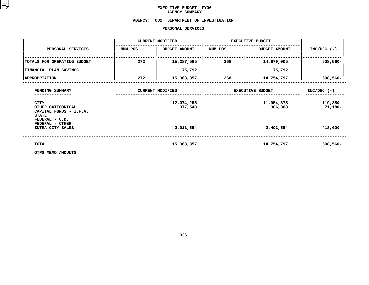# **EXECUTIVE BUDGET- FY06 AGENCY**

# **SUMMARY AGENCY: <sup>032</sup> DEPARTMENT OF INVESTIGATION**

### **PERSONAL**

|                                                                                              |         | PERSONAL SERVICES       |         |                         |                     |
|----------------------------------------------------------------------------------------------|---------|-------------------------|---------|-------------------------|---------------------|
|                                                                                              |         | <b>CURRENT MODIFIED</b> |         | <b>EXECUTIVE BUDGET</b> |                     |
| PERSONAL SERVICES                                                                            | NUM POS | <b>BUDGET AMOUNT</b>    | NUM POS | <b>BUDGET AMOUNT</b>    | $INC/DEC$ (-)       |
| TOTALS FOR OPERATING BUDGET                                                                  | 272     | 15,287,565              | 268     | 14,679,005              | 608,560-            |
| <b>FINANCIAL PLAN SAVINGS</b>                                                                |         | 75,792                  |         | 75,792                  |                     |
| <b>APPROPRIATION</b>                                                                         | 272     | 15,363,357              | 268     | 14,754,797              | $608,560 -$         |
| FUNDING SUMMARY                                                                              |         | <b>CURRENT MODIFIED</b> |         | <b>EXECUTIVE BUDGET</b> | $INC/DEC$ (-)       |
| <b>CITY</b><br>OTHER CATEGORICAL<br>CAPITAL FUNDS - I.F.A.<br><b>STATE</b><br>FEDERAL - C.D. |         | 12,074,255<br>377,548   |         | 11,954,875<br>306,368   | 119,380-<br>71,180- |
| FEDERAL - OTHER<br>INTRA-CITY SALES                                                          |         | 2,911,554               |         | 2,493,554               | $418,000 -$         |
| TOTAL                                                                                        |         | 15,363,357              |         | 14,754,797              | $608,560 -$         |
| OTPS MEMO AMOUNTS                                                                            |         |                         |         |                         |                     |

**OTPS MEMO AMOUNTS**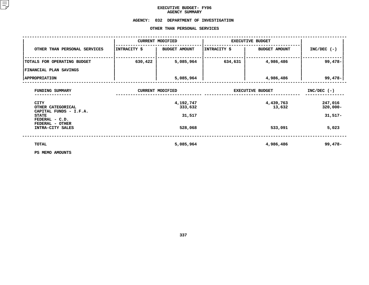# **EXECUTIVE BUDGET- FY06 AGENCY**

# AGENCY SUMMARY<br>AGENCY: 032 DEPARTMENT OF **<sup>032</sup> DEPARTMENT OF INVESTIGATION OTHER**

|                                                            |              | OTHER THAN PERSONAL SERVICES |                         |                         |                        |
|------------------------------------------------------------|--------------|------------------------------|-------------------------|-------------------------|------------------------|
|                                                            |              | <b>CURRENT MODIFIED</b>      |                         | <b>EXECUTIVE BUDGET</b> |                        |
| OTHER THAN PERSONAL SERVICES                               | INTRACITY \$ | <b>BUDGET AMOUNT</b>         | INTRACITY \$            | <b>BUDGET AMOUNT</b>    | $INC/DEC$ (-)          |
| TOTALS FOR OPERATING BUDGET                                | 630,422      | 5,085,964                    | 634,631                 | 4,986,486               | $99,478-$              |
| FINANCIAL PLAN SAVINGS                                     |              |                              |                         |                         |                        |
| <b>APPROPRIATION</b>                                       |              | 5,085,964                    |                         | 4,986,486               | $99,478 -$             |
| FUNDING SUMMARY                                            |              | <b>CURRENT MODIFIED</b>      | <b>EXECUTIVE BUDGET</b> | $INC/DEC$ (-)           |                        |
| <b>CITY</b><br>OTHER CATEGORICAL<br>CAPITAL FUNDS - I.F.A. |              | 4,192,747<br>333,632         |                         | 4,439,763<br>13,632     | 247,016<br>$320,000 -$ |
| <b>STATE</b><br>FEDERAL - C.D.<br>FEDERAL - OTHER          |              | 31,517                       |                         |                         | $31,517-$              |
| INTRA-CITY SALES                                           |              | 528,068                      |                         | 533,091                 | 5,023                  |
| TOTAL                                                      |              | 5,085,964                    |                         | 4,986,486               | 99,478-                |
| PS MEMO AMOUNTS                                            |              |                              |                         |                         |                        |

**PS MEMO AMOUNTS**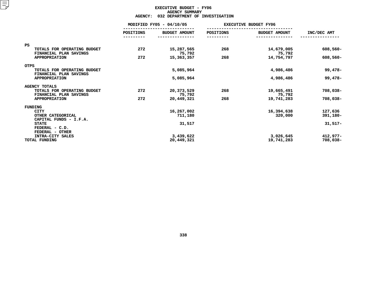## **EXECUTIVE BUDGET - FY06 AGENCYY SUMMARY<br>TMENT OF<br>ACT**

|                                                                    | <b>AGENCY:</b>           | 032 DEPARTMENT OF INVESTIGATION |           |                              |             |
|--------------------------------------------------------------------|--------------------------|---------------------------------|-----------|------------------------------|-------------|
|                                                                    | MODIFIED FY05 - 04/10/05 |                                 |           | <b>EXECUTIVE BUDGET FY06</b> |             |
|                                                                    | <b>POSITIONS</b>         | <b>BUDGET AMOUNT</b>            | POSITIONS | <b>BUDGET AMOUNT</b>         | INC/DEC AMT |
|                                                                    |                          |                                 |           |                              |             |
| <b>PS</b><br>TOTALS FOR OPERATING BUDGET<br>FINANCIAL PLAN SAVINGS | 272                      | 15,287,565<br>75,792            | 268       | 14,679,005<br>75,792         | 608,560-    |
| <b>APPROPRIATION</b>                                               | 272                      | 15,363,357                      | 268       | 14,754,797                   | 608,560-    |
| <b>OTPS</b>                                                        |                          |                                 |           |                              |             |
| TOTALS FOR OPERATING BUDGET<br>FINANCIAL PLAN SAVINGS              |                          | 5,085,964                       |           | 4,986,486                    | $99,478-$   |
| <b>APPROPRIATION</b>                                               |                          | 5,085,964                       |           | 4,986,486                    | $99,478-$   |
| <b>AGENCY TOTALS</b>                                               |                          |                                 |           |                              |             |
| TOTALS FOR OPERATING BUDGET<br>FINANCIAL PLAN SAVINGS              | 272                      | 20,373,529<br>75,792            | 268       | 19,665,491<br>75,792         | 708,038-    |
| <b>APPROPRIATION</b>                                               | 272                      | 20,449,321                      | 268       | 19,741,283                   | 708,038-    |
| FUNDING                                                            |                          |                                 |           |                              |             |
| <b>CITY</b>                                                        |                          | 16,267,002                      |           | 16,394,638                   | 127,636     |
| OTHER CATEGORICAL<br>CAPITAL FUNDS - I.F.A.                        |                          | 711,180                         |           | 320,000                      | 391,180-    |
| <b>STATE</b><br>FEDERAL - C.D.<br>FEDERAL - OTHER                  |                          | 31,517                          |           |                              | $31,517-$   |
| INTRA-CITY SALES                                                   |                          | 3,439,622                       |           | 3,026,645                    | $412,977-$  |
| TOTAL FUNDING                                                      |                          | 20,449,321                      |           | 19,741,283                   | 708,038-    |
|                                                                    |                          |                                 |           |                              |             |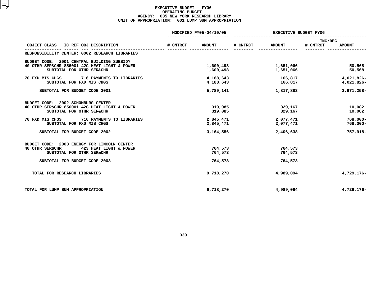#### **EXECUTIVE BUDGET - FY06 OPERATING**G BUDGET<br>ORK RESE<br>1 LUMP S **AGENCY: <sup>035</sup> NEW YORK RESEARCH LIBRARY UNIT OF APPROPRIATION: <sup>001</sup> LUMP SUM APPROPRIATION**

|                                                                                                                                                        |          | MODIFIED FY05-04/10/05        | <b>EXECUTIVE BUDGET FY06</b> |                               |                     |                          |
|--------------------------------------------------------------------------------------------------------------------------------------------------------|----------|-------------------------------|------------------------------|-------------------------------|---------------------|--------------------------|
| OBJECT CLASS<br>IC REF OBJ DESCRIPTION                                                                                                                 | # CNTRCT | <b>AMOUNT</b>                 | # CNTRCT                     | <b>AMOUNT</b>                 | INC/DEC<br># CNTRCT | <b>AMOUNT</b>            |
| RESPONSIBILITY CENTER: 0002 RESEARCH LIBRARIES                                                                                                         |          |                               |                              |                               |                     |                          |
| 2001 CENTRAL BUILDING SUBSIDY<br>BUDGET CODE:<br>40 OTHR SER&CHR 856001 42C HEAT LIGHT & POWER<br>SUBTOTAL FOR OTHR SER&CHR                            |          | 1,600,498<br>1,600,498        |                              | 1,651,066<br>1,651,066        |                     | 50,568<br>50,568         |
| 70 FXD MIS CHGS 716 PAYMENTS TO LIBRARIES<br>SUBTOTAL FOR FXD MIS CHGS                                                                                 |          | 4,188,643<br>4,188,643        |                              | 166,817<br>166,817            |                     | 4,021,826-<br>4,021,826- |
| SUBTOTAL FOR BUDGET CODE 2001                                                                                                                          |          | 5,789,141                     |                              | 1,817,883                     |                     | 3,971,258-               |
| 2002 SCHOMBURG CENTER<br>BUDGET CODE:<br>40 OTHR SER&CHR 856001 42C HEAT LIGHT & POWER<br>SUBTOTAL FOR OTHR SER&CHR                                    |          | 319,085<br>319,085            |                              | 329,167<br>329,167            |                     | 10,082<br>10,082         |
| 70 FXD MIS CHGS<br>716 PAYMENTS TO LIBRARIES<br>SUBTOTAL FOR FXD MIS CHGS                                                                              |          | 2,845,471<br>2,845,471        |                              | 2,077,471<br>2,077,471        |                     | $768,000 -$<br>768,000-  |
| SUBTOTAL FOR BUDGET CODE 2002                                                                                                                          |          | 3,164,556                     |                              | 2,406,638                     |                     | 757,918-                 |
| BUDGET CODE: 2003 ENERGY FOR LINCOLN CENTER<br>40 OTHR SER&CHR<br>423 HEAT LIGHT & POWER<br>SUBTOTAL FOR OTHR SER&CHR<br>SUBTOTAL FOR BUDGET CODE 2003 |          | 764,573<br>764,573<br>764,573 |                              | 764,573<br>764,573<br>764,573 |                     |                          |
| TOTAL FOR RESEARCH LIBRARIES                                                                                                                           |          | 9,718,270                     |                              | 4,989,094                     |                     | 4,729,176-               |
| TOTAL FOR LUMP SUM APPROPRIATION                                                                                                                       |          | 9,718,270                     |                              | 4,989,094                     |                     | 4,729,176-               |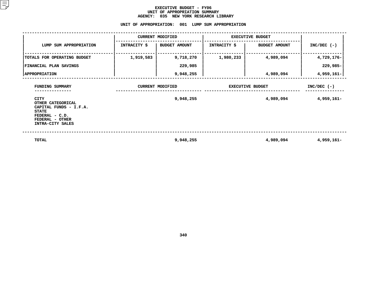#### **EXECUTIVE BUDGET - FY06** UNIT OF APPROPRIATION SUMMARY **OF APPROPRIATION SUMMARY AGENCY:**

**<sup>035</sup> NEW YORK RESEARCH LIBRARY UNIT**

|                                                                                                                                     | UNIT OF APPROPRIATION:  |                      | 001 LUMP SUM APPROPRIATION |                      |               |
|-------------------------------------------------------------------------------------------------------------------------------------|-------------------------|----------------------|----------------------------|----------------------|---------------|
|                                                                                                                                     | <b>CURRENT MODIFIED</b> |                      | <b>EXECUTIVE BUDGET</b>    |                      |               |
| LUMP SUM APPROPRIATION                                                                                                              | INTRACITY \$            | <b>BUDGET AMOUNT</b> | <b>INTRACITY \$</b>        | <b>BUDGET AMOUNT</b> | $INC/DEC$ (-) |
| TOTALS FOR OPERATING BUDGET                                                                                                         | 1,919,583               | 9,718,270            | 1,980,233                  | 4,989,094            | 4,729,176-    |
| FINANCIAL PLAN SAVINGS                                                                                                              |                         | 229,985              |                            |                      | 229,985-      |
| <b>  APPROPRIATION</b>                                                                                                              |                         | 9,948,255            |                            | 4,989,094            | 4,959,161-    |
| FUNDING SUMMARY                                                                                                                     | <b>CURRENT MODIFIED</b> |                      | <b>EXECUTIVE BUDGET</b>    |                      | $INC/DEC$ (-) |
| <b>CITY</b><br>OTHER CATEGORICAL<br>CAPITAL FUNDS - I.F.A.<br><b>STATE</b><br>FEDERAL - C.D.<br>FEDERAL - OTHER<br>INTRA-CITY SALES |                         | 9,948,255            |                            | 4,989,094            | 4,959,161-    |
| <b>TOTAL</b>                                                                                                                        |                         | 9,948,255            |                            | 4,989,094            | 4,959,161-    |

**340**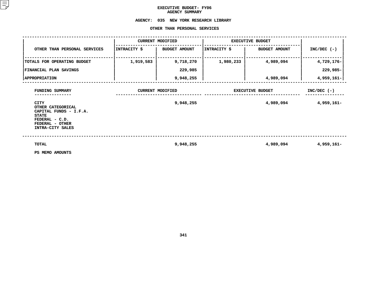# **EXECUTIVE BUDGET- FY06 AGENCY**

# AGENCY SUMMARY<br>AGENCY: 035 NEW YORK RESE **<sup>035</sup> NEW YORK RESEARCH LIBRARY OTHER**

|                                                                                                                                     |                         | OTHER THAN PERSONAL SERVICES |                         |                      |               |
|-------------------------------------------------------------------------------------------------------------------------------------|-------------------------|------------------------------|-------------------------|----------------------|---------------|
|                                                                                                                                     | <b>CURRENT MODIFIED</b> |                              | <b>EXECUTIVE BUDGET</b> |                      |               |
| OTHER THAN PERSONAL SERVICES                                                                                                        | INTRACITY \$            | <b>BUDGET AMOUNT</b>         | INTRACITY \$            | <b>BUDGET AMOUNT</b> | $INC/DEC$ (-) |
| TOTALS FOR OPERATING BUDGET                                                                                                         | 1,919,583               | 9,718,270                    | 1,980,233               | 4,989,094            | 4,729,176-    |
| <b>FINANCIAL PLAN SAVINGS</b>                                                                                                       |                         | 229,985                      |                         |                      | 229,985-      |
| <b>APPROPRIATION</b>                                                                                                                |                         | 9,948,255                    |                         | 4,989,094            | 4,959,161-    |
| FUNDING SUMMARY                                                                                                                     | <b>CURRENT MODIFIED</b> |                              | <b>EXECUTIVE BUDGET</b> |                      | $INC/DEC$ (-) |
| <b>CITY</b><br>OTHER CATEGORICAL<br>CAPITAL FUNDS - I.F.A.<br><b>STATE</b><br>FEDERAL - C.D.<br>FEDERAL - OTHER<br>INTRA-CITY SALES |                         | 9,948,255                    |                         | 4,989,094            | 4,959,161-    |
| TOTAL<br>PS MEMO AMOUNTS                                                                                                            |                         | 9,948,255                    |                         | 4,989,094            | 4,959,161-    |

**PS MEMO AMOUNTS**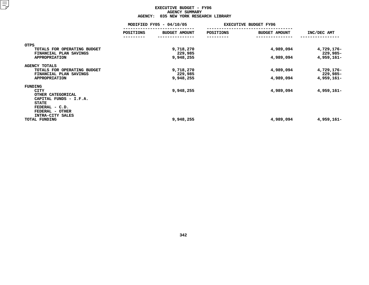#### **EXECUTIVE BUDGET - FY06 AGENCYY SUMMARY<br>YORK RESE<br>ACT**

|                                                                                | <b>AGENCY:</b>           | 035 NEW YORK RESEARCH LIBRARY |                              |                      |                        |
|--------------------------------------------------------------------------------|--------------------------|-------------------------------|------------------------------|----------------------|------------------------|
|                                                                                | MODIFIED FY05 - 04/10/05 |                               | <b>EXECUTIVE BUDGET FY06</b> |                      |                        |
|                                                                                | POSITIONS                | <b>BUDGET AMOUNT</b>          | POSITIONS                    | <b>BUDGET AMOUNT</b> | INC/DEC AMT            |
| <b>OTPS</b>                                                                    |                          |                               |                              |                      |                        |
| TOTALS FOR OPERATING BUDGET<br>FINANCIAL PLAN SAVINGS                          |                          | 9,718,270<br>229,985          |                              | 4,989,094            | 4,729,176-<br>229,985- |
| <b>APPROPRIATION</b>                                                           |                          | 9,948,255                     |                              | 4,989,094            | 4,959,161-             |
| <b>AGENCY TOTALS</b><br>TOTALS FOR OPERATING BUDGET                            |                          | 9,718,270                     |                              | 4,989,094            | 4,729,176-             |
| FINANCIAL PLAN SAVINGS<br><b>APPROPRIATION</b>                                 |                          | 229,985<br>9,948,255          |                              | 4,989,094            | 229,985-<br>4,959,161- |
| FUNDING<br>CITY<br>OTHER CATEGORICAL<br>CAPITAL FUNDS - I.F.A.<br><b>STATE</b> |                          | 9,948,255                     |                              | 4,989,094            | 4,959,161-             |
| FEDERAL - C.D.<br>FEDERAL - OTHER<br>INTRA-CITY SALES<br>TOTAL FUNDING         |                          | 9,948,255                     |                              | 4,989,094            | 4,959,161-             |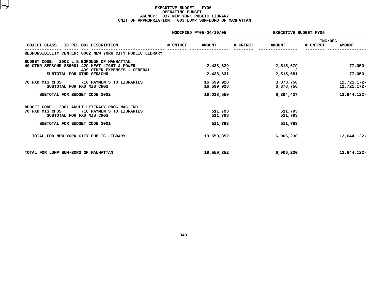#### **EXECUTIVE BUDGET - FY06 OPERATING**G BUDGET<br>YORK PUB<br>3 LUMP S **AGENCY: <sup>037</sup> NEW YORK PUBLIC LIBRARY UNIT OF APPROPRIATION: <sup>003</sup> LUMP SUM-BORO OF MANHATTAN**

|                                                                                                                                | MODIFIED FY05-04/10/05 |                          | <b>EXECUTIVE BUDGET FY06</b> |                        |                     |                            |
|--------------------------------------------------------------------------------------------------------------------------------|------------------------|--------------------------|------------------------------|------------------------|---------------------|----------------------------|
| IC REF OBJ DESCRIPTION<br>OBJECT CLASS                                                                                         | # CNTRCT               | <b>AMOUNT</b>            | # CNTRCT                     | <b>AMOUNT</b>          | INC/DEC<br># CNTRCT | <b>AMOUNT</b>              |
| RESPONSIBILITY CENTER: 0002 NEW YORK CITY PUBLIC LIBRARY                                                                       |                        |                          |                              |                        |                     |                            |
| 2002 L.S.BOROUGH OF MANHATTAN<br>BUDGET CODE:<br>40 OTHR SER&CHR 856001 42C HEAT LIGHT & POWER<br>499 OTHER EXPENSES - GENERAL |                        | 2,438,629<br>2           |                              | 2,515,679<br>2         |                     | 77,050                     |
| SUBTOTAL FOR OTHR SER&CHR                                                                                                      |                        | 2,438,631                |                              | 2,515,681              |                     | 77,050                     |
| 70 FXD MIS CHGS<br><b>716 PAYMENTS TO LIBRARIES</b><br>SUBTOTAL FOR FXD MIS CHGS                                               |                        | 16,599,928<br>16,599,928 |                              | 3,878,756<br>3,878,756 |                     | 12,721,172-<br>12,721,172- |
| SUBTOTAL FOR BUDGET CODE 2002                                                                                                  |                        | 19,038,559               |                              | 6,394,437              |                     | 12,644,122-                |
| BUDGET CODE: 3001 ADULT LITERACY PROG MAC FND<br>70 FXD MIS CHGS<br>716 PAYMENTS TO LIBRARIES<br>SUBTOTAL FOR FXD MIS CHGS     |                        | 511,793<br>511,793       |                              | 511,793<br>511,793     |                     |                            |
| SUBTOTAL FOR BUDGET CODE 3001                                                                                                  |                        | 511,793                  |                              | 511,793                |                     |                            |
| TOTAL FOR NEW YORK CITY PUBLIC LIBRARY                                                                                         |                        | 19,550,352               |                              | 6,906,230              |                     | 12,644,122-                |
| TOTAL FOR LUMP SUM-BORO OF MANHATTAN                                                                                           |                        | 19,550,352               |                              | 6,906,230              |                     | 12,644,122-                |
|                                                                                                                                |                        |                          |                              |                        |                     |                            |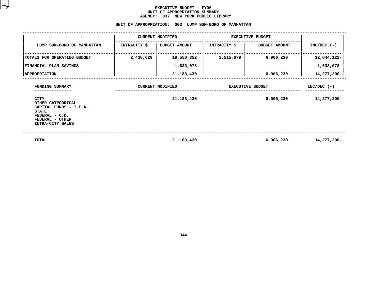#### **EXECUTIVE BUDGET - FY06** UNIT OF APPROPRIATION SUMMARY **OF APPROPRIATION SUMMARY AGENCY:**

| AGENCY: 037 NEW YORK PUBLIC LIBRARY                                                                                                 |                     |                                                       |                     |                         |               |  |  |
|-------------------------------------------------------------------------------------------------------------------------------------|---------------------|-------------------------------------------------------|---------------------|-------------------------|---------------|--|--|
|                                                                                                                                     |                     | UNIT OF APPROPRIATION: 003 LUMP SUM-BORO OF MANHATTAN |                     |                         |               |  |  |
| <b>CURRENT MODIFIED</b><br><b>EXECUTIVE BUDGET</b>                                                                                  |                     |                                                       |                     |                         |               |  |  |
| LUMP SUM-BORO OF MANHATTAN                                                                                                          | <b>INTRACITY \$</b> | <b>BUDGET AMOUNT</b>                                  | <b>INTRACITY \$</b> | <b>BUDGET AMOUNT</b>    | $INC/DEC$ (-) |  |  |
| TOTALS FOR OPERATING BUDGET                                                                                                         | 2,438,629           | 19,550,352                                            | 2,515,679           | 6,906,230               | 12,644,122-   |  |  |
| FINANCIAL PLAN SAVINGS                                                                                                              |                     | 1,633,078                                             |                     |                         | 1,633,078-    |  |  |
| <b>  APPROPRIATION</b>                                                                                                              |                     | 21, 183, 430                                          |                     | 6,906,230               | 14,277,200-   |  |  |
| FUNDING SUMMARY                                                                                                                     |                     | <b>CURRENT MODIFIED</b>                               |                     | <b>EXECUTIVE BUDGET</b> | $INC/DEC$ (-) |  |  |
| <b>CITY</b><br>OTHER CATEGORICAL<br>CAPITAL FUNDS - I.F.A.<br><b>STATE</b><br>FEDERAL - C.D.<br>FEDERAL - OTHER<br>INTRA-CITY SALES |                     | 21, 183, 430                                          |                     | 6,906,230               | 14,277,200-   |  |  |
|                                                                                                                                     |                     |                                                       |                     |                         |               |  |  |

**TOTAL 14,277,200 21,183,430 6,906,230 14,277,200-**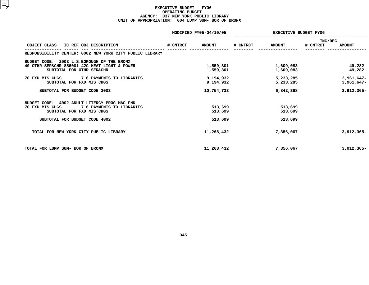#### **EXECUTIVE BUDGET - FY06 OPERATING**G BUDGET<br>YORK PUB<br>4 LUMP S **AGENCY: <sup>037</sup> NEW YORK PUBLIC LIBRARY UNIT OF APPROPRIATION: <sup>004</sup> LUMP SUM- BOR OF BRONX**

|                                                          | MODIFIED FY05-04/10/05 |               | <b>EXECUTIVE BUDGET FY06</b> |               |          |               |
|----------------------------------------------------------|------------------------|---------------|------------------------------|---------------|----------|---------------|
|                                                          |                        |               |                              |               | INC/DEC  |               |
| OBJECT CLASS<br>IC REF OBJ DESCRIPTION                   | # CNTRCT               | <b>AMOUNT</b> | # CNTRCT                     | <b>AMOUNT</b> | # CNTRCT | <b>AMOUNT</b> |
| RESPONSIBILITY CENTER: 0002 NEW YORK CITY PUBLIC LIBRARY |                        |               |                              |               |          |               |
| 2003 L.S.BOROUGH OF THE BRONX<br>BUDGET CODE:            |                        |               |                              |               |          |               |
| 40 OTHR SER&CHR 856001 42C HEAT LIGHT & POWER            |                        | 1,559,801     |                              | 1,609,083     |          | 49,282        |
| SUBTOTAL FOR OTHR SER&CHR                                |                        | 1,559,801     |                              | 1,609,083     |          | 49,282        |
| 716 PAYMENTS TO LIBRARIES<br>70 FXD MIS CHGS             |                        | 9,194,932     |                              | 5,233,285     |          | $3,961,647-$  |
| SUBTOTAL FOR FXD MIS CHGS                                |                        | 9,194,932     |                              | 5,233,285     |          | $3,961,647-$  |
| SUBTOTAL FOR BUDGET CODE 2003                            |                        | 10,754,733    |                              | 6,842,368     |          | $3,912,365-$  |
| 4002 ADULT LITERCY PROG MAC FND<br>BUDGET CODE:          |                        |               |                              |               |          |               |
| 70 FXD MIS CHGS<br>716 PAYMENTS TO LIBRARIES             |                        | 513,699       |                              | 513,699       |          |               |
| SUBTOTAL FOR FXD MIS CHGS                                |                        | 513,699       |                              | 513,699       |          |               |
| SUBTOTAL FOR BUDGET CODE 4002                            |                        | 513,699       |                              | 513,699       |          |               |
| TOTAL FOR NEW YORK CITY PUBLIC LIBRARY                   |                        | 11,268,432    |                              | 7,356,067     |          | $3,912,365-$  |
| TOTAL FOR LUMP SUM- BOR OF BRONX                         |                        | 11,268,432    |                              | 7,356,067     |          | $3,912,365-$  |
|                                                          |                        |               |                              |               |          |               |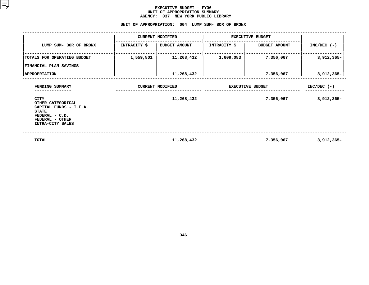#### **EXECUTIVE BUDGET - FY06 UNIT OF APPROPRIATION SUMMARY AGENCY:**

# **<sup>037</sup> NEW YORK PUBLIC LIBRARY UNIT**

|                                                                                                                              |              | UNIT OF APPROPRIATION: 004 LUMP SUM- BOR OF BRONX |                     |                         |               |  |
|------------------------------------------------------------------------------------------------------------------------------|--------------|---------------------------------------------------|---------------------|-------------------------|---------------|--|
|                                                                                                                              |              | <b>CURRENT MODIFIED</b>                           |                     | <b>EXECUTIVE BUDGET</b> |               |  |
| LUMP SUM- BOR OF BRONX                                                                                                       | INTRACITY \$ | <b>BUDGET AMOUNT</b>                              | <b>INTRACITY \$</b> | <b>BUDGET AMOUNT</b>    | $INC/DEC$ (-) |  |
| TOTALS FOR OPERATING BUDGET<br>FINANCIAL PLAN SAVINGS                                                                        | 1,559,801    | 11,268,432                                        | 1,609,083           | 7,356,067               | $3,912,365-$  |  |
| <b>APPROPRIATION</b>                                                                                                         |              | 11,268,432                                        |                     | 7,356,067               | 3,912,365-    |  |
| FUNDING SUMMARY                                                                                                              |              | <b>CURRENT MODIFIED</b>                           |                     | <b>EXECUTIVE BUDGET</b> | $INC/DEC$ (-) |  |
| CITY<br>OTHER CATEGORICAL<br>CAPITAL FUNDS - I.F.A.<br><b>STATE</b><br>FEDERAL - C.D.<br>FEDERAL - OTHER<br>INTRA-CITY SALES |              | 11,268,432                                        |                     | 7,356,067               | $3,912,365-$  |  |
| TOTAL                                                                                                                        |              | 11,268,432                                        |                     | 7,356,067               | $3,912,365-$  |  |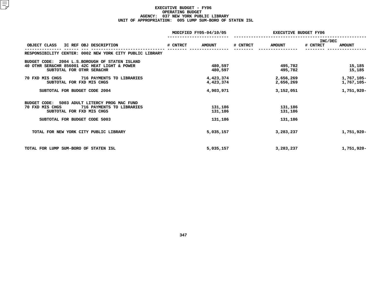#### **EXECUTIVE BUDGET - FY06 OPERATING**G BUDGET<br>YORK PUB<br>5 LUMP S **AGENCY: <sup>037</sup> NEW YORK PUBLIC LIBRARY UNIT OF APPROPRIATION: <sup>005</sup> LUMP SUM-BORO OF STATEN ISL**

|                                                                                                                                 | MODIFIED FY05-04/10/05 |                        | <b>EXECUTIVE BUDGET FY06</b> |                        |                     |                          |
|---------------------------------------------------------------------------------------------------------------------------------|------------------------|------------------------|------------------------------|------------------------|---------------------|--------------------------|
| IC REF OBJ DESCRIPTION<br>OBJECT CLASS                                                                                          | # CNTRCT               | <b>AMOUNT</b>          | # CNTRCT                     | <b>AMOUNT</b>          | INC/DEC<br># CNTRCT | <b>AMOUNT</b>            |
| RESPONSIBILITY CENTER: 0002 NEW YORK CITY PUBLIC LIBRARY                                                                        |                        |                        |                              |                        |                     |                          |
| 2004 L.S.BOROUGH OF STATEN ISLAND<br>BUDGET CODE:<br>40 OTHR SER&CHR 856001 42C HEAT LIGHT & POWER<br>SUBTOTAL FOR OTHR SER&CHR |                        | 480,597<br>480,597     |                              | 495,782<br>495,782     |                     | 15,185<br>15,185         |
| 70 FXD MIS CHGS<br>716 PAYMENTS TO LIBRARIES<br>SUBTOTAL FOR FXD MIS CHGS                                                       |                        | 4,423,374<br>4,423,374 |                              | 2,656,269<br>2,656,269 |                     | 1,767,105-<br>1,767,105- |
| SUBTOTAL FOR BUDGET CODE 2004                                                                                                   |                        | 4,903,971              |                              | 3,152,051              |                     | 1,751,920-               |
| 5003 ADULT LITERCY PROG MAC FUND<br>BUDGET CODE:<br>716 PAYMENTS TO LIBRARIES<br>70 FXD MIS CHGS<br>SUBTOTAL FOR FXD MIS CHGS   |                        | 131,186<br>131,186     |                              | 131,186<br>131,186     |                     |                          |
| SUBTOTAL FOR BUDGET CODE 5003                                                                                                   |                        | 131,186                |                              | 131,186                |                     |                          |
| TOTAL FOR NEW YORK CITY PUBLIC LIBRARY                                                                                          |                        | 5,035,157              |                              | 3,283,237              |                     | 1,751,920-               |
| TOTAL FOR LUMP SUM-BORO OF STATEN ISL                                                                                           |                        | 5,035,157              |                              | 3,283,237              |                     | 1,751,920-               |
|                                                                                                                                 |                        |                        |                              |                        |                     |                          |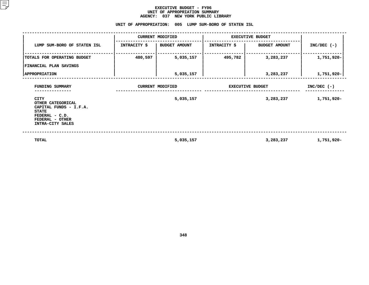#### **EXECUTIVE BUDGET - FY06** UNIT OF APPROPRIATION SUMMARY **OF APPROPRIATION SUMMARY AGENCY:**

|                                                                                                                                     | <b>AGENCY:</b>      | 037<br>NEW YORK PUBLIC LIBRARY<br>UNIT OF APPROPRIATION: 005 LUMP SUM-BORO OF STATEN ISL |                         |                         |               |
|-------------------------------------------------------------------------------------------------------------------------------------|---------------------|------------------------------------------------------------------------------------------|-------------------------|-------------------------|---------------|
|                                                                                                                                     |                     | <b>CURRENT MODIFIED</b>                                                                  | <b>EXECUTIVE BUDGET</b> |                         |               |
| LUMP SUM-BORO OF STATEN ISL                                                                                                         | <b>INTRACITY \$</b> | BUDGET AMOUNT                                                                            | <b>INTRACITY \$</b>     | <b>BUDGET AMOUNT</b>    | $INC/DEC$ (-) |
| TOTALS FOR OPERATING BUDGET<br>FINANCIAL PLAN SAVINGS                                                                               | 480,597             | 5,035,157                                                                                | 495,782                 | 3,283,237               | 1,751,920-    |
| <b>APPROPRIATION</b>                                                                                                                |                     | 5,035,157                                                                                |                         | 3,283,237               | 1,751,920-    |
| FUNDING SUMMARY                                                                                                                     |                     | <b>CURRENT MODIFIED</b>                                                                  |                         | <b>EXECUTIVE BUDGET</b> | $INC/DEC$ (-) |
| <b>CITY</b><br>OTHER CATEGORICAL<br>CAPITAL FUNDS - I.F.A.<br><b>STATE</b><br>FEDERAL - C.D.<br>FEDERAL - OTHER<br>INTRA-CITY SALES |                     | 5,035,157                                                                                |                         | 3,283,237               | 1,751,920-    |
| <b>TOTAL</b>                                                                                                                        |                     | 5,035,157                                                                                |                         | 3,283,237               | 1,751,920-    |

**5,035,157 3,283,237 1,751,920-**

**348**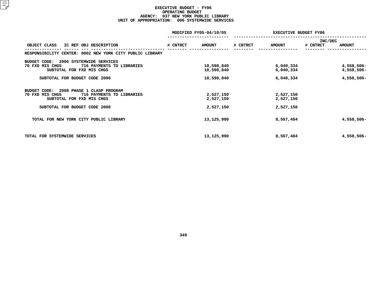#### **EXECUTIVE BUDGET - FY06 OPERATING**G BUDGET<br>YORK PUB<br>6 SYST<mark>EM</mark> **AGENCY: <sup>037</sup> NEW YORK PUBLIC LIBRARY UNIT OF APPROPRIATION: <sup>006</sup> SYSTEMWIDE SERVICES**

|                                                                                                                                                        |          | MODIFIED FY05-04/10/05                 | <b>EXECUTIVE BUDGET FY06</b> |                                     |                            |                                        |
|--------------------------------------------------------------------------------------------------------------------------------------------------------|----------|----------------------------------------|------------------------------|-------------------------------------|----------------------------|----------------------------------------|
| OBJECT CLASS<br>IC REF OBJ DESCRIPTION                                                                                                                 | # CNTRCT | <b>AMOUNT</b>                          | # CNTRCT                     | <b>AMOUNT</b>                       | <b>INC/DEC</b><br># CNTRCT | <b>AMOUNT</b>                          |
| RESPONSIBILITY CENTER: 0002 NEW YORK CITY PUBLIC LIBRARY                                                                                               |          |                                        |                              |                                     |                            |                                        |
| 2006 SYSTEMWIDE SERVICES<br>BUDGET CODE:<br>716 PAYMENTS TO LIBRARIES<br>70 FXD MIS CHGS<br>SUBTOTAL FOR FXD MIS CHGS<br>SUBTOTAL FOR BUDGET CODE 2006 |          | 10,598,840<br>10,598,840<br>10,598,840 |                              | 6,040,334<br>6,040,334<br>6,040,334 |                            | 4,558,506-<br>4,558,506-<br>4,558,506- |
| 2008 PHASE 1 CLASP PROGRAM<br>BUDGET CODE:<br>716 PAYMENTS TO LIBRARIES<br>70 FXD MIS CHGS<br>SUBTOTAL FOR FXD MIS CHGS                                |          | 2,527,150<br>2,527,150                 |                              | 2,527,150<br>2,527,150              |                            |                                        |
| SUBTOTAL FOR BUDGET CODE 2008                                                                                                                          |          | 2,527,150                              |                              | 2,527,150                           |                            |                                        |
| TOTAL FOR NEW YORK CITY PUBLIC LIBRARY                                                                                                                 |          | 13,125,990                             |                              | 8,567,484                           |                            | 4,558,506-                             |
| TOTAL FOR SYSTEMWIDE SERVICES                                                                                                                          |          | 13,125,990                             |                              | 8,567,484                           |                            | 4,558,506-                             |
|                                                                                                                                                        |          |                                        |                              |                                     |                            |                                        |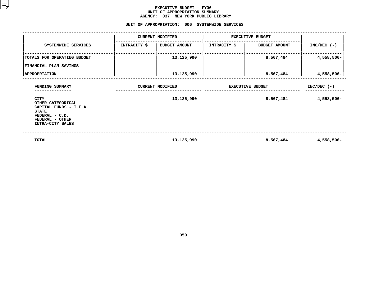#### **EXECUTIVE BUDGET - FY06 UNIT OF APPROPRIATION SUMMARY AGENCY:**

**<sup>037</sup> NEW YORK PUBLIC LIBRARY UNIT**

|                                                                                                                                     |              | UNIT OF APPROPRIATION: 006 SYSTEMWIDE SERVICES |                     |                         |               |  |
|-------------------------------------------------------------------------------------------------------------------------------------|--------------|------------------------------------------------|---------------------|-------------------------|---------------|--|
|                                                                                                                                     |              | <b>CURRENT MODIFIED</b>                        |                     | <b>EXECUTIVE BUDGET</b> |               |  |
| SYSTEMWIDE SERVICES                                                                                                                 | INTRACITY \$ | <b>BUDGET AMOUNT</b>                           | <b>INTRACITY \$</b> | <b>BUDGET AMOUNT</b>    | $INC/DEC$ (-) |  |
| TOTALS FOR OPERATING BUDGET<br>FINANCIAL PLAN SAVINGS                                                                               |              | 13,125,990                                     |                     | 8,567,484               | 4,558,506-    |  |
| <b>APPROPRIATION</b>                                                                                                                |              | 13,125,990                                     |                     | 8,567,484               | $4,558,506 -$ |  |
| FUNDING SUMMARY                                                                                                                     |              | <b>CURRENT MODIFIED</b>                        |                     | <b>EXECUTIVE BUDGET</b> | $INC/DEC$ (-) |  |
| <b>CITY</b><br>OTHER CATEGORICAL<br>CAPITAL FUNDS - I.F.A.<br><b>STATE</b><br>FEDERAL - C.D.<br>FEDERAL - OTHER<br>INTRA-CITY SALES |              | 13,125,990                                     |                     | 8,567,484               | 4,558,506-    |  |
| <b>TOTAL</b>                                                                                                                        |              | 13,125,990                                     |                     | 8,567,484               | 4,558,506-    |  |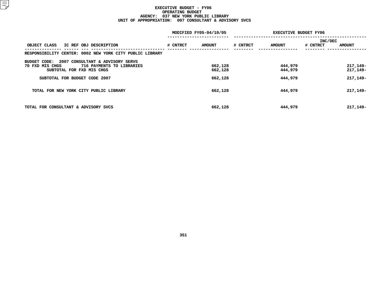#### **EXECUTIVE BUDGET - FY06 OPERATING**G BUDGET<br>YORK PUB<br>7 CONSUL **AGENCY: <sup>037</sup> NEW YORK PUBLIC LIBRARY UNIT OF APPROPRIATION: <sup>007</sup> CONSULTANT & ADVISORY SVCS**

|                                                          |          | MODIFIED FY05-04/10/05 | <b>EXECUTIVE BUDGET FY06</b> |               |          |               |
|----------------------------------------------------------|----------|------------------------|------------------------------|---------------|----------|---------------|
|                                                          |          |                        |                              |               | INC/DEC  |               |
| OBJECT CLASS<br>IC REF OBJ DESCRIPTION                   | # CNTRCT | <b>AMOUNT</b>          | # CNTRCT                     | <b>AMOUNT</b> | # CNTRCT | <b>AMOUNT</b> |
| RESPONSIBILITY CENTER: 0002 NEW YORK CITY PUBLIC LIBRARY |          |                        |                              |               |          |               |
| 2007 CONSULTANT & ADVISORY SERVS<br>BUDGET CODE:         |          |                        |                              |               |          |               |
| 70 FXD MIS CHGS<br>716 PAYMENTS TO LIBRARIES             |          | 662,128                |                              | 444,979       |          | 217, 149-     |
| SUBTOTAL FOR FXD MIS CHGS                                |          | 662,128                |                              | 444,979       |          | 217,149-      |
| SUBTOTAL FOR BUDGET CODE 2007                            |          | 662,128                |                              | 444,979       |          | 217, 149-     |
| TOTAL FOR NEW YORK CITY PUBLIC LIBRARY                   |          | 662,128                |                              | 444,979       |          | 217, 149-     |
| TOTAL FOR CONSULTANT & ADVISORY SVCS                     |          | 662,128                |                              | 444,979       |          | 217, 149-     |
|                                                          |          |                        |                              |               |          |               |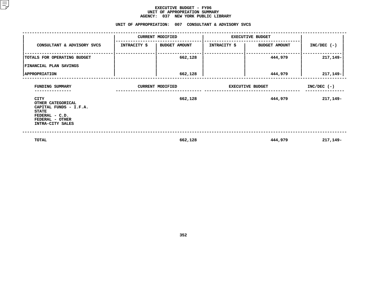#### **EXECUTIVE BUDGET - FY06 UNIT OF APPROPRIATION SUMMARY AGENCY:**

|                                                                                                                              |              | AGENCY: 037 NEW YORK PUBLIC LIBRARY<br>UNIT OF APPROPRIATION: 007 CONSULTANT & ADVISORY SVCS |                     |                         |               |
|------------------------------------------------------------------------------------------------------------------------------|--------------|----------------------------------------------------------------------------------------------|---------------------|-------------------------|---------------|
|                                                                                                                              |              | <b>CURRENT MODIFIED</b>                                                                      |                     | <b>EXECUTIVE BUDGET</b> |               |
| CONSULTANT & ADVISORY SVCS                                                                                                   | INTRACITY \$ | <b>BUDGET AMOUNT</b>                                                                         | <b>INTRACITY \$</b> | <b>BUDGET AMOUNT</b>    | $INC/DEC$ (-) |
| TOTALS FOR OPERATING BUDGET                                                                                                  |              | 662,128                                                                                      |                     | 444,979                 | 217,149-      |
| <b>FINANCIAL PLAN SAVINGS</b>                                                                                                |              |                                                                                              |                     |                         |               |
| <b>APPROPRIATION</b>                                                                                                         |              | 662,128                                                                                      |                     | 444,979                 | $217, 149 -$  |
| FUNDING SUMMARY<br>------------                                                                                              |              | <b>CURRENT MODIFIED</b>                                                                      |                     | <b>EXECUTIVE BUDGET</b> | $INC/DEC$ (-) |
| CITY<br>OTHER CATEGORICAL<br>CAPITAL FUNDS - I.F.A.<br><b>STATE</b><br>FEDERAL - C.D.<br>FEDERAL - OTHER<br>INTRA-CITY SALES |              | 662,128                                                                                      |                     | 444,979                 | 217,149-      |
| <b>TOTAL</b>                                                                                                                 |              | 662,128                                                                                      |                     | 444,979                 | 217,149-      |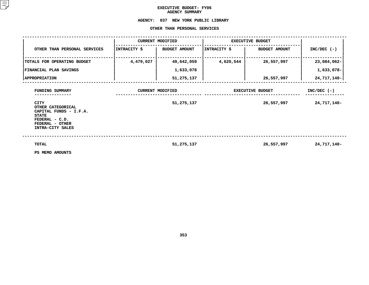### **EXECUTIVE BUDGET- FY06 AGENCY**

## AGENCY SUMMARY<br><mark>AGENCY: 037 NEW YORK</mark> PUB **<sup>037</sup> NEW YORK PUBLIC LIBRARY OTHER**

|                                                                                                                              |              | OTHER THAN PERSONAL SERVICES |              |                         |               |
|------------------------------------------------------------------------------------------------------------------------------|--------------|------------------------------|--------------|-------------------------|---------------|
|                                                                                                                              |              | <b>CURRENT MODIFIED</b>      |              | <b>EXECUTIVE BUDGET</b> |               |
| OTHER THAN PERSONAL SERVICES                                                                                                 | INTRACITY \$ | <b>BUDGET AMOUNT</b>         | INTRACITY \$ | <b>BUDGET AMOUNT</b>    | $INC/DEC$ (-) |
| TOTALS FOR OPERATING BUDGET                                                                                                  | 4,479,027    | 49,642,059                   | 4,620,544    | 26,557,997              | 23,084,062-   |
| FINANCIAL PLAN SAVINGS                                                                                                       |              | 1,633,078                    |              |                         | 1,633,078-    |
| <b>APPROPRIATION</b>                                                                                                         |              | 51,275,137                   |              | 26,557,997              | 24,717,140-   |
| FUNDING SUMMARY                                                                                                              |              | <b>CURRENT MODIFIED</b>      |              | EXECUTIVE BUDGET        | $INC/DEC$ (-) |
| CITY<br>OTHER CATEGORICAL<br>CAPITAL FUNDS - I.F.A.<br><b>STATE</b><br>FEDERAL - C.D.<br>FEDERAL - OTHER<br>INTRA-CITY SALES |              | 51,275,137                   |              | 26,557,997              | 24,717,140-   |
| <b>TOTAL</b><br>PS MEMO AMOUNTS                                                                                              |              | 51,275,137                   |              | 26,557,997              | 24,717,140-   |

**PS MEMO AMOUNTS**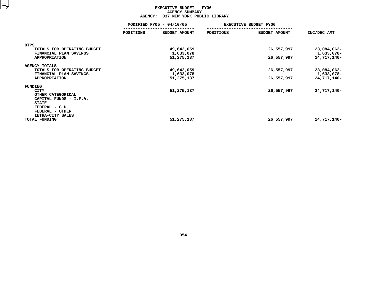#### **EXECUTIVE BUDGET - FY06 AGENCYY SUMMARY<br>'YORK PUB<br>'S-**

|                                                       | 037 NEW YORK PUBLIC LIBRARY<br><b>AGENCY:</b> |                         |           |                              |                           |  |  |
|-------------------------------------------------------|-----------------------------------------------|-------------------------|-----------|------------------------------|---------------------------|--|--|
|                                                       | MODIFIED FY05 - 04/10/05                      |                         |           | <b>EXECUTIVE BUDGET FY06</b> |                           |  |  |
|                                                       | POSITIONS                                     | BUDGET AMOUNT           | POSITIONS | <b>BUDGET AMOUNT</b>         | INC/DEC AMT               |  |  |
| <b>OTPS</b>                                           |                                               |                         |           |                              |                           |  |  |
| TOTALS FOR OPERATING BUDGET<br>FINANCIAL PLAN SAVINGS |                                               | 49,642,059<br>1,633,078 |           | 26,557,997                   | 23,084,062-<br>1,633,078- |  |  |
| <b>APPROPRIATION</b>                                  |                                               | 51,275,137              |           | 26,557,997                   | 24,717,140-               |  |  |
| <b>AGENCY TOTALS</b><br>TOTALS FOR OPERATING BUDGET   |                                               | 49,642,059              |           | 26,557,997                   | 23,084,062-               |  |  |
| FINANCIAL PLAN SAVINGS<br><b>APPROPRIATION</b>        |                                               | 1,633,078<br>51,275,137 |           | 26,557,997                   | 1,633,078-<br>24,717,140- |  |  |
| FUNDING                                               |                                               |                         |           |                              |                           |  |  |
| CITY<br>OTHER CATEGORICAL                             |                                               | 51,275,137              |           | 26,557,997                   | 24,717,140-               |  |  |
| CAPITAL FUNDS - I.F.A.<br><b>STATE</b>                |                                               |                         |           |                              |                           |  |  |
| FEDERAL - C.D.<br>FEDERAL - OTHER                     |                                               |                         |           |                              |                           |  |  |
| INTRA-CITY SALES<br>TOTAL FUNDING                     |                                               | 51,275,137              |           | 26,557,997                   | 24,717,140-               |  |  |
|                                                       |                                               |                         |           |                              |                           |  |  |
|                                                       |                                               |                         |           |                              |                           |  |  |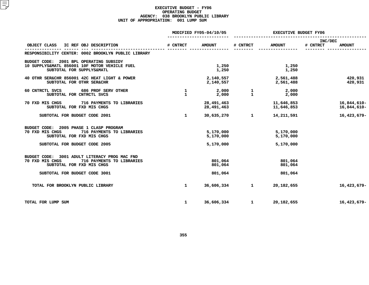#### **EXECUTIVE BUDGET - FY06 OPERATING**G BUDGET<br>KLYN PUB<br>1 LUMP S **AGENCY: <sup>038</sup> BROOKLYN PUBLIC LIBRARY UNIT OF APPROPRIATION: <sup>001</sup> LUMP SUM**

|                                                                                                                                                             |                              | MODIFIED FY05-04/10/05              | <b>EXECUTIVE BUDGET FY06</b> |                                     |                                      |
|-------------------------------------------------------------------------------------------------------------------------------------------------------------|------------------------------|-------------------------------------|------------------------------|-------------------------------------|--------------------------------------|
| OBJECT CLASS<br>IC REF OBJ DESCRIPTION                                                                                                                      | # CNTRCT                     | <b>AMOUNT</b>                       | # CNTRCT                     | <b>AMOUNT</b>                       | INC/DEC<br># CNTRCT<br><b>AMOUNT</b> |
| RESPONSIBILITY CENTER: 0002 BROOKLYN PUBLIC LIBRARY                                                                                                         |                              |                                     |                              |                                     |                                      |
| BUDGET CODE: 2001 BPL OPERATING SUBSIDY<br>10 SUPPLYS&MATL 856001 10F MOTOR VEHICLE FUEL<br>SUBTOTAL FOR SUPPLYS&MATL                                       |                              | 1,250<br>1,250                      |                              | 1,250<br>1,250                      |                                      |
| 40 OTHR SER&CHR 856001 42C HEAT LIGHT & POWER<br>SUBTOTAL FOR OTHR SER&CHR                                                                                  |                              | 2,140,557<br>2,140,557              |                              | 2,561,488<br>2,561,488              | 420,931<br>420,931                   |
| 60 CNTRCTL SVCS 686 PROF SERV OTHER<br>SUBTOTAL FOR CNTRCTL SVCS                                                                                            | $\mathbf{1}$<br>$\mathbf{1}$ | 2,000<br>2,000                      | $\mathbf{1}$<br>$\mathbf{1}$ | 2,000<br>2,000                      |                                      |
| 70 FXD MIS CHGS<br>716 PAYMENTS TO LIBRARIES<br>SUBTOTAL FOR FXD MIS CHGS                                                                                   |                              | 28,491,463<br>28,491,463            |                              | 11,646,853<br>11,646,853            | 16,844,610-<br>16,844,610-           |
| SUBTOTAL FOR BUDGET CODE 2001                                                                                                                               | $\mathbf{1}$                 | 30,635,270                          | 1                            | 14,211,591                          | 16,423,679-                          |
| BUDGET CODE: 2005 PHASE 1 CLASP PROGRAM<br>70 FXD MIS CHGS<br>716 PAYMENTS TO LIBRARIES<br>SUBTOTAL FOR FXD MIS CHGS<br>SUBTOTAL FOR BUDGET CODE 2005       |                              | 5,170,000<br>5,170,000<br>5,170,000 |                              | 5,170,000<br>5,170,000<br>5,170,000 |                                      |
| BUDGET CODE: 3001 ADULT LITERACY PROG MAC FND<br>70 FXD MIS CHGS<br>716 PAYMENTS TO LIBRARIES<br>SUBTOTAL FOR FXD MIS CHGS<br>SUBTOTAL FOR BUDGET CODE 3001 |                              | 801,064<br>801,064<br>801,064       |                              | 801,064<br>801,064<br>801,064       |                                      |
| TOTAL FOR BROOKLYN PUBLIC LIBRARY                                                                                                                           | $\mathbf{1}$                 | 36,606,334                          | $\mathbf{1}$                 | 20,182,655                          | 16,423,679-                          |
| TOTAL FOR LUMP SUM                                                                                                                                          | $\mathbf{1}$                 | 36,606,334                          | 1                            | 20,182,655                          | 16,423,679-                          |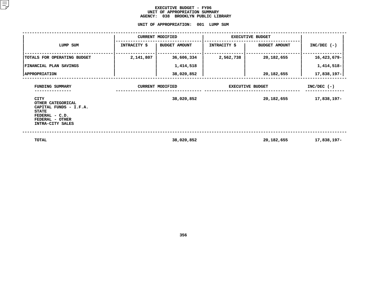#### **EXECUTIVE BUDGET - FY06** UNIT OF APPROPRIATION SUMMARY **OF APPROPRIATION SUMMARY AGENCY:**

**<sup>038</sup> BROOKLYN PUBLIC LIBRARY UNIT**

| UNIT OF APPROPRIATION:<br>001 LUMP SUM                                                                                              |              |                         |                         |                         |               |  |  |
|-------------------------------------------------------------------------------------------------------------------------------------|--------------|-------------------------|-------------------------|-------------------------|---------------|--|--|
|                                                                                                                                     |              | <b>CURRENT MODIFIED</b> | <b>EXECUTIVE BUDGET</b> |                         |               |  |  |
| LUMP SUM                                                                                                                            | INTRACITY \$ | <b>BUDGET AMOUNT</b>    | INTRACITY \$            | <b>BUDGET AMOUNT</b>    | $INC/DEC$ (-) |  |  |
| TOTALS FOR OPERATING BUDGET                                                                                                         | 2,141,807    | 36,606,334              | 2,562,738               | 20,182,655              | 16,423,679-   |  |  |
| FINANCIAL PLAN SAVINGS                                                                                                              |              | 1,414,518               |                         |                         | 1,414,518-    |  |  |
| <b>APPROPRIATION</b>                                                                                                                |              | 38,020,852              |                         | 20,182,655              | 17,838,197-   |  |  |
| FUNDING SUMMARY                                                                                                                     |              | <b>CURRENT MODIFIED</b> |                         | <b>EXECUTIVE BUDGET</b> | $INC/DEC$ (-) |  |  |
| <b>CITY</b><br>OTHER CATEGORICAL<br>CAPITAL FUNDS - I.F.A.<br><b>STATE</b><br>FEDERAL - C.D.<br>FEDERAL - OTHER<br>INTRA-CITY SALES |              | 38,020,852              |                         | 20,182,655              | 17,838,197-   |  |  |
|                                                                                                                                     |              |                         |                         |                         |               |  |  |

 **TOTAL38,020,852 20,182,655 17,838,197-**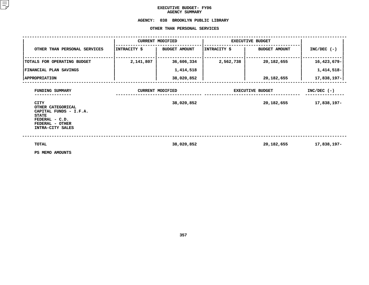### **EXECUTIVE BUDGET- FY06 AGENCY**

## AGENCY SUMMARY<br><mark>AGENCY: 038 BROOKLYN PUB</mark> **<sup>038</sup> BROOKLYN PUBLIC LIBRARY OTHER**

|                                                                                                                              |              | OTHER THAN PERSONAL SERVICES |                         |                         |               |
|------------------------------------------------------------------------------------------------------------------------------|--------------|------------------------------|-------------------------|-------------------------|---------------|
|                                                                                                                              |              | <b>CURRENT MODIFIED</b>      | <b>EXECUTIVE BUDGET</b> |                         |               |
| OTHER THAN PERSONAL SERVICES                                                                                                 | INTRACITY \$ | <b>BUDGET AMOUNT</b>         | INTRACITY \$            | <b>BUDGET AMOUNT</b>    | $INC/DEC$ (-) |
| TOTALS FOR OPERATING BUDGET                                                                                                  | 2,141,807    | 36,606,334                   | 2,562,738               | 20,182,655              | 16,423,679-   |
| FINANCIAL PLAN SAVINGS                                                                                                       |              | 1,414,518                    |                         |                         | 1,414,518-    |
| <b>APPROPRIATION</b>                                                                                                         |              | 38,020,852                   |                         | 20,182,655              | 17,838,197-   |
| FUNDING SUMMARY                                                                                                              |              | <b>CURRENT MODIFIED</b>      |                         | <b>EXECUTIVE BUDGET</b> | $INC/DEC$ (-) |
| CITY<br>OTHER CATEGORICAL<br>CAPITAL FUNDS - I.F.A.<br><b>STATE</b><br>FEDERAL - C.D.<br>FEDERAL - OTHER<br>INTRA-CITY SALES |              | 38,020,852                   |                         | 20,182,655              | 17,838,197-   |
| <b>TOTAL</b><br>PS MEMO AMOUNTS                                                                                              |              | 38,020,852                   |                         | 20,182,655              | 17,838,197-   |

**PS MEMO AMOUNTS**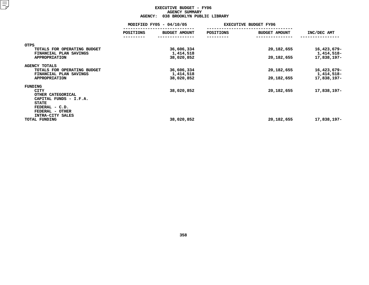#### **EXECUTIVE BUDGET - FY06 AGENCY**Y SUMMARY<br>OKLYN PUB<br>...

|                                                                       | <b>AGENCY:</b><br>038 BROOKLYN PUBLIC LIBRARY |                         |           |                              |                           |  |  |
|-----------------------------------------------------------------------|-----------------------------------------------|-------------------------|-----------|------------------------------|---------------------------|--|--|
|                                                                       | MODIFIED FY05 - 04/10/05                      |                         |           | <b>EXECUTIVE BUDGET FY06</b> |                           |  |  |
|                                                                       | POSITIONS                                     | BUDGET AMOUNT           | POSITIONS | <b>BUDGET AMOUNT</b>         | INC/DEC AMT               |  |  |
| <b>OTPS</b>                                                           |                                               |                         |           |                              |                           |  |  |
| TOTALS FOR OPERATING BUDGET<br>FINANCIAL PLAN SAVINGS                 |                                               | 36,606,334<br>1,414,518 |           | 20, 182, 655                 | 16,423,679-<br>1,414,518- |  |  |
| <b>APPROPRIATION</b>                                                  |                                               | 38,020,852              |           | 20, 182, 655                 | 17,838,197-               |  |  |
| <b>AGENCY TOTALS</b><br>TOTALS FOR OPERATING BUDGET                   |                                               | 36,606,334              |           | 20, 182, 655                 | 16,423,679-               |  |  |
| FINANCIAL PLAN SAVINGS<br><b>APPROPRIATION</b>                        |                                               | 1,414,518<br>38,020,852 |           | 20, 182, 655                 | 1,414,518-<br>17,838,197- |  |  |
| FUNDING                                                               |                                               |                         |           |                              |                           |  |  |
| CITY<br>OTHER CATEGORICAL<br>CAPITAL FUNDS - I.F.A.                   |                                               | 38,020,852              |           | 20, 182, 655                 | 17,838,197-               |  |  |
| <b>STATE</b><br>FEDERAL - C.D.<br>FEDERAL - OTHER<br>INTRA-CITY SALES |                                               |                         |           |                              |                           |  |  |
| TOTAL FUNDING                                                         |                                               | 38,020,852              |           | 20, 182, 655                 | 17,838,197-               |  |  |
|                                                                       |                                               |                         |           |                              |                           |  |  |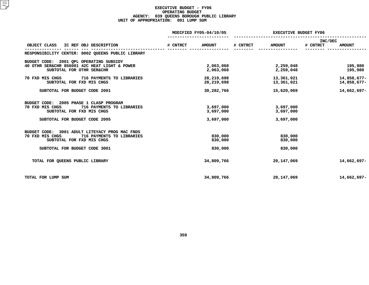#### **EXECUTIVE BUDGET - FY06 OPERATING**G BUDGET<br>BOROUGH<br>1 LUMP S **AGENCY: <sup>039</sup> QUEENS BOROUGH PUBLIC LIBRARY UNIT OF APPROPRIATION: <sup>001</sup> LUMP SUM**

|                                                                                                                                                              |          | MODIFIED FY05-04/10/05              |          | <b>EXECUTIVE BUDGET FY06</b>        |                     |                            |  |
|--------------------------------------------------------------------------------------------------------------------------------------------------------------|----------|-------------------------------------|----------|-------------------------------------|---------------------|----------------------------|--|
| OBJECT CLASS<br>IC REF OBJ DESCRIPTION                                                                                                                       | # CNTRCT | <b>AMOUNT</b>                       | # CNTRCT | <b>AMOUNT</b>                       | INC/DEC<br># CNTRCT | <b>AMOUNT</b>              |  |
| RESPONSIBILITY CENTER: 0002 QUEENS PUBLIC LIBRARY                                                                                                            |          |                                     |          |                                     |                     |                            |  |
| BUDGET CODE: 2001 OPL OPERATING SUBSIDY<br>40 OTHR SER&CHR 856001 42C HEAT LIGHT & POWER<br>SUBTOTAL FOR OTHR SER&CHR                                        |          | 2,063,068<br>2,063,068              |          | 2,259,048<br>2,259,048              |                     | 195,980<br>195,980         |  |
| 716 PAYMENTS TO LIBRARIES<br>70 FXD MIS CHGS<br>SUBTOTAL FOR FXD MIS CHGS                                                                                    |          | 28, 219, 698<br>28, 219, 698        |          | 13,361,021<br>13,361,021            |                     | 14,858,677-<br>14,858,677- |  |
| SUBTOTAL FOR BUDGET CODE 2001                                                                                                                                |          | 30,282,766                          |          | 15,620,069                          |                     | 14,662,697-                |  |
| 2005 PHASE 1 CLASP PROGRAM<br>BUDGET CODE:<br>70 FXD MIS CHGS<br>716 PAYMENTS TO LIBRARIES<br>SUBTOTAL FOR FXD MIS CHGS<br>SUBTOTAL FOR BUDGET CODE 2005     |          | 3,697,000<br>3,697,000<br>3,697,000 |          | 3,697,000<br>3,697,000<br>3,697,000 |                     |                            |  |
| BUDGET CODE: 3001 ADULT LITEYACY PROG MAC FNDS<br>70 FXD MIS CHGS<br>716 PAYMENTS TO LIBRARIES<br>SUBTOTAL FOR FXD MIS CHGS<br>SUBTOTAL FOR BUDGET CODE 3001 |          | 830,000<br>830,000<br>830,000       |          | 830,000<br>830,000<br>830,000       |                     |                            |  |
| TOTAL FOR QUEENS PUBLIC LIBRARY                                                                                                                              |          | 34,809,766                          |          | 20, 147, 069                        |                     | 14,662,697-                |  |
| TOTAL FOR LUMP SUM                                                                                                                                           |          | 34,809,766                          |          | 20, 147, 069                        |                     | 14,662,697-                |  |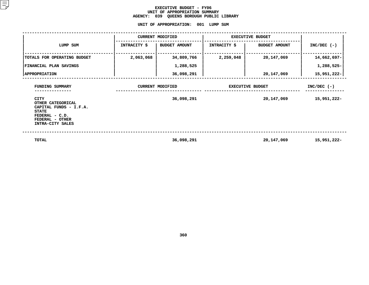#### **EXECUTIVE BUDGET - FY06** UNIT OF APPROPRIATION SUMMARY **OF APPROPRIATION SUMMARY AGENCY:**

**<sup>039</sup> QUEENS BOROUGH PUBLIC LIBRARY UNIT**

|                                                                                                                                     |                         | UNIT OF APPROPRIATION:  | 001 LUMP SUM            |                         |               |  |
|-------------------------------------------------------------------------------------------------------------------------------------|-------------------------|-------------------------|-------------------------|-------------------------|---------------|--|
|                                                                                                                                     |                         | <b>CURRENT MODIFIED</b> |                         | <b>EXECUTIVE BUDGET</b> |               |  |
| LUMP SUM                                                                                                                            | INTRACITY \$            | <b>BUDGET AMOUNT</b>    | INTRACITY \$            | <b>BUDGET AMOUNT</b>    | $INC/DEC$ (-) |  |
| TOTALS FOR OPERATING BUDGET                                                                                                         | 2,063,068               | 34,809,766              | 2,259,048               | 20, 147, 069            | 14,662,697-   |  |
| FINANCIAL PLAN SAVINGS                                                                                                              |                         | 1,288,525               |                         |                         | 1,288,525-    |  |
| <b>APPROPRIATION</b>                                                                                                                |                         | 36,098,291              |                         | 20,147,069              | 15,951,222-   |  |
| FUNDING SUMMARY                                                                                                                     | <b>CURRENT MODIFIED</b> |                         | <b>EXECUTIVE BUDGET</b> |                         | $INC/DEC$ (-) |  |
| <b>CITY</b><br>OTHER CATEGORICAL<br>CAPITAL FUNDS - I.F.A.<br><b>STATE</b><br>FEDERAL - C.D.<br>FEDERAL - OTHER<br>INTRA-CITY SALES |                         | 36,098,291              |                         | 20,147,069              | 15,951,222-   |  |
| TOTAL                                                                                                                               |                         | 36,098,291              |                         | 20, 147, 069            | 15,951,222-   |  |

**36,098,291 20,147,069 15,951,222-**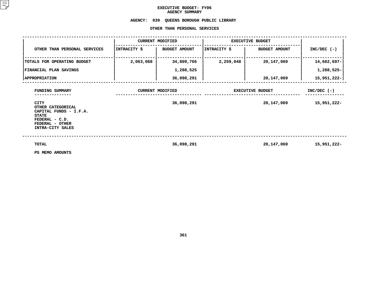### **EXECUTIVE BUDGET- FY06 AGENCY**

## AGENCY SUMMARY<br>AGENCY: 039 QUEENS BOROUGH **<sup>039</sup> QUEENS BOROUGH PUBLIC LIBRARY OTHER**

|                                                                                                                              |              | OTHER THAN PERSONAL SERVICES |                         |                         |               |
|------------------------------------------------------------------------------------------------------------------------------|--------------|------------------------------|-------------------------|-------------------------|---------------|
|                                                                                                                              |              | <b>CURRENT MODIFIED</b>      | <b>EXECUTIVE BUDGET</b> |                         |               |
| OTHER THAN PERSONAL SERVICES                                                                                                 | INTRACITY \$ | <b>BUDGET AMOUNT</b>         | INTRACITY \$            | <b>BUDGET AMOUNT</b>    | $INC/DEC$ (-) |
| TOTALS FOR OPERATING BUDGET                                                                                                  | 2,063,068    | 34,809,766                   | 2,259,048               | 20,147,069              | 14,662,697-   |
| FINANCIAL PLAN SAVINGS                                                                                                       |              | 1,288,525                    |                         |                         | 1,288,525-    |
| <b>APPROPRIATION</b>                                                                                                         |              | 36,098,291                   |                         | 20,147,069              | 15,951,222-   |
| FUNDING SUMMARY                                                                                                              |              | <b>CURRENT MODIFIED</b>      |                         | <b>EXECUTIVE BUDGET</b> | $INC/DEC$ (-) |
| CITY<br>OTHER CATEGORICAL<br>CAPITAL FUNDS - I.F.A.<br><b>STATE</b><br>FEDERAL - C.D.<br>FEDERAL - OTHER<br>INTRA-CITY SALES |              | 36,098,291                   |                         | 20,147,069              | 15,951,222-   |
| <b>TOTAL</b><br>PS MEMO AMOUNTS                                                                                              |              | 36,098,291                   |                         | 20,147,069              | 15,951,222-   |

**PS MEMO AMOUNTS**